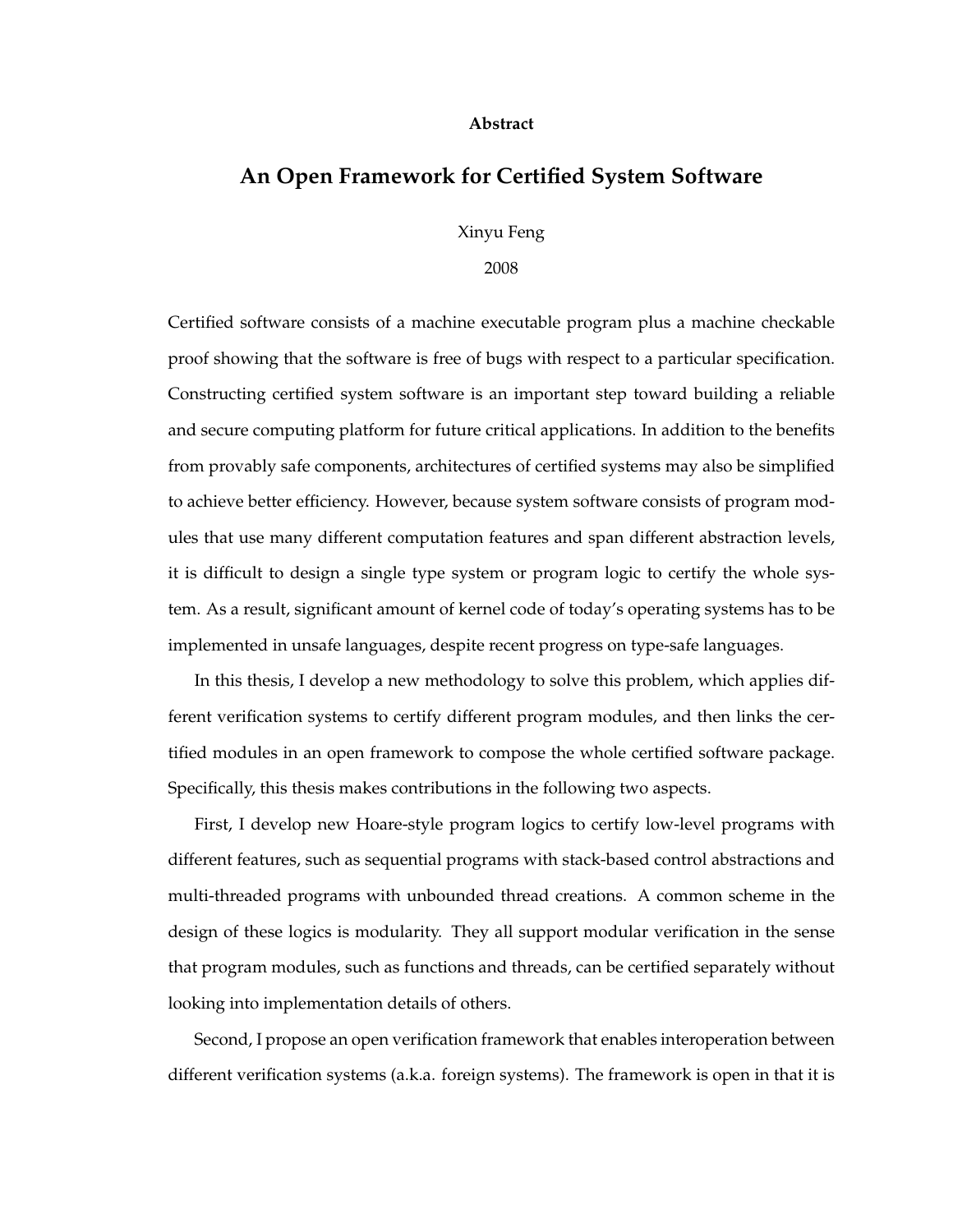#### **Abstract**

### **An Open Framework for Certified System Software**

Xinyu Feng

2008

Certified software consists of a machine executable program plus a machine checkable proof showing that the software is free of bugs with respect to a particular specification. Constructing certified system software is an important step toward building a reliable and secure computing platform for future critical applications. In addition to the benefits from provably safe components, architectures of certified systems may also be simplified to achieve better efficiency. However, because system software consists of program modules that use many different computation features and span different abstraction levels, it is difficult to design a single type system or program logic to certify the whole system. As a result, significant amount of kernel code of today's operating systems has to be implemented in unsafe languages, despite recent progress on type-safe languages.

In this thesis, I develop a new methodology to solve this problem, which applies different verification systems to certify different program modules, and then links the certified modules in an open framework to compose the whole certified software package. Specifically, this thesis makes contributions in the following two aspects.

First, I develop new Hoare-style program logics to certify low-level programs with different features, such as sequential programs with stack-based control abstractions and multi-threaded programs with unbounded thread creations. A common scheme in the design of these logics is modularity. They all support modular verification in the sense that program modules, such as functions and threads, can be certified separately without looking into implementation details of others.

Second, I propose an open verification framework that enables interoperation between different verification systems (a.k.a. foreign systems). The framework is open in that it is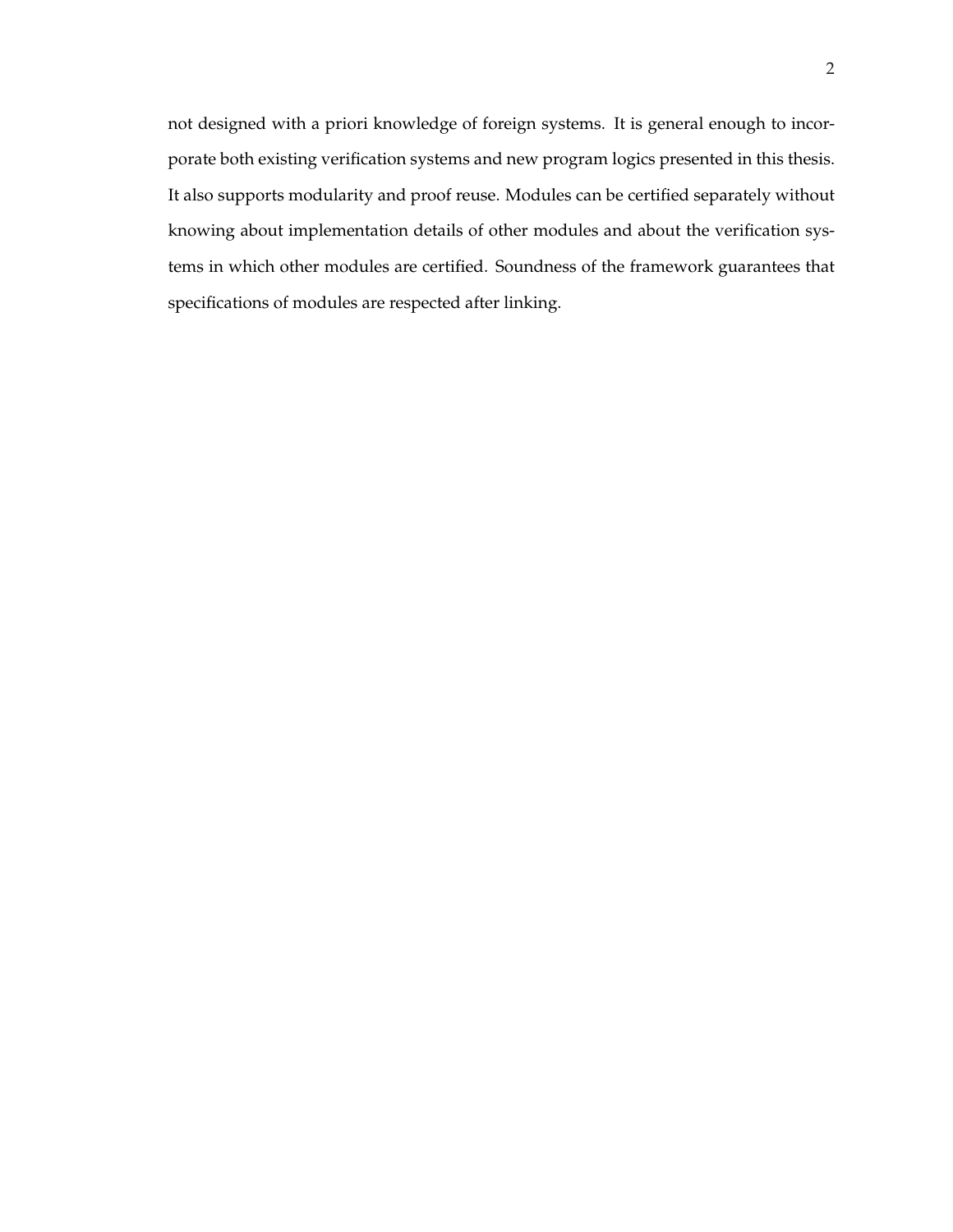not designed with a priori knowledge of foreign systems. It is general enough to incorporate both existing verification systems and new program logics presented in this thesis. It also supports modularity and proof reuse. Modules can be certified separately without knowing about implementation details of other modules and about the verification systems in which other modules are certified. Soundness of the framework guarantees that specifications of modules are respected after linking.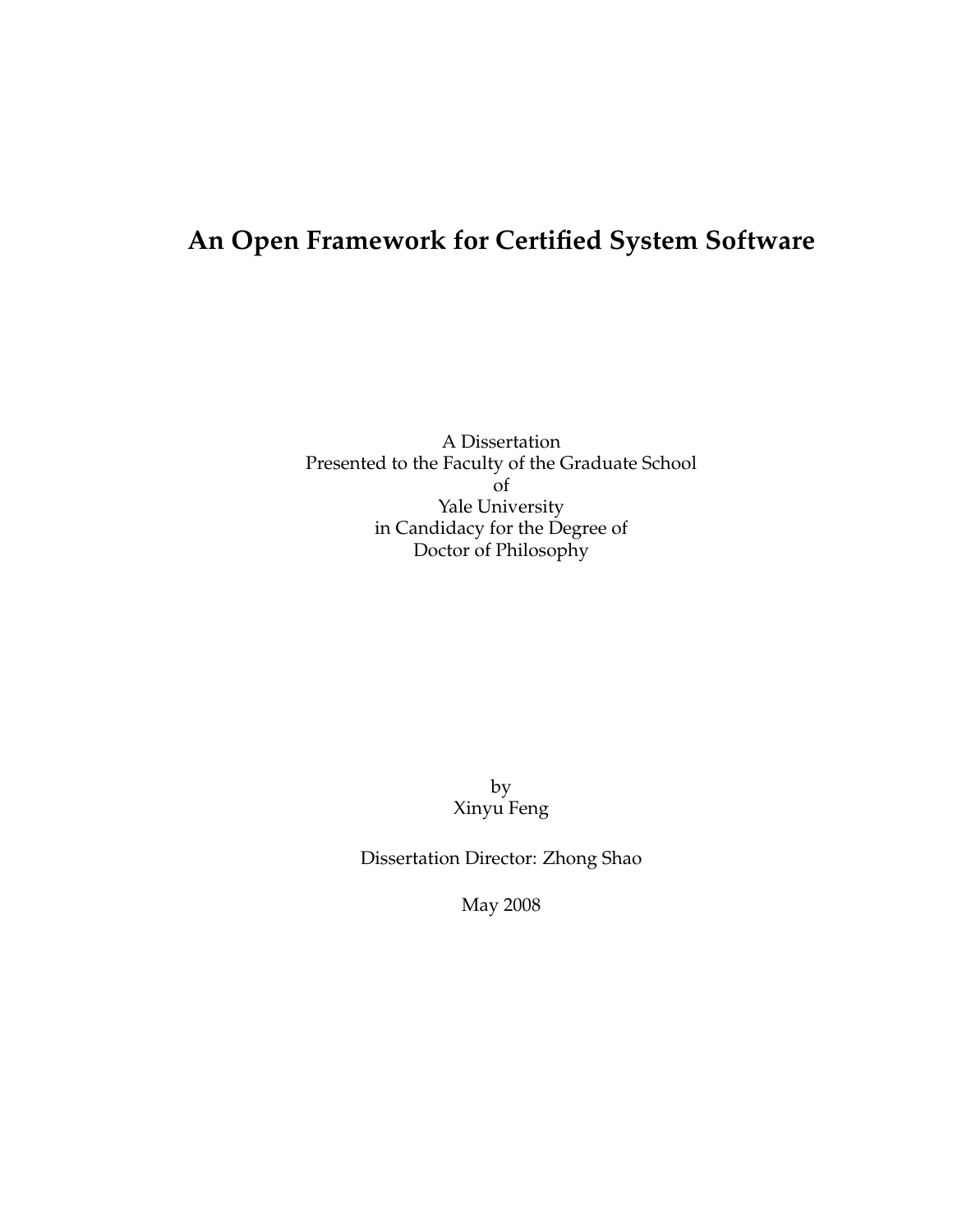### **An Open Framework for Certified System Software**

A Dissertation Presented to the Faculty of the Graduate School of Yale University in Candidacy for the Degree of Doctor of Philosophy

> by Xinyu Feng

Dissertation Director: Zhong Shao

May 2008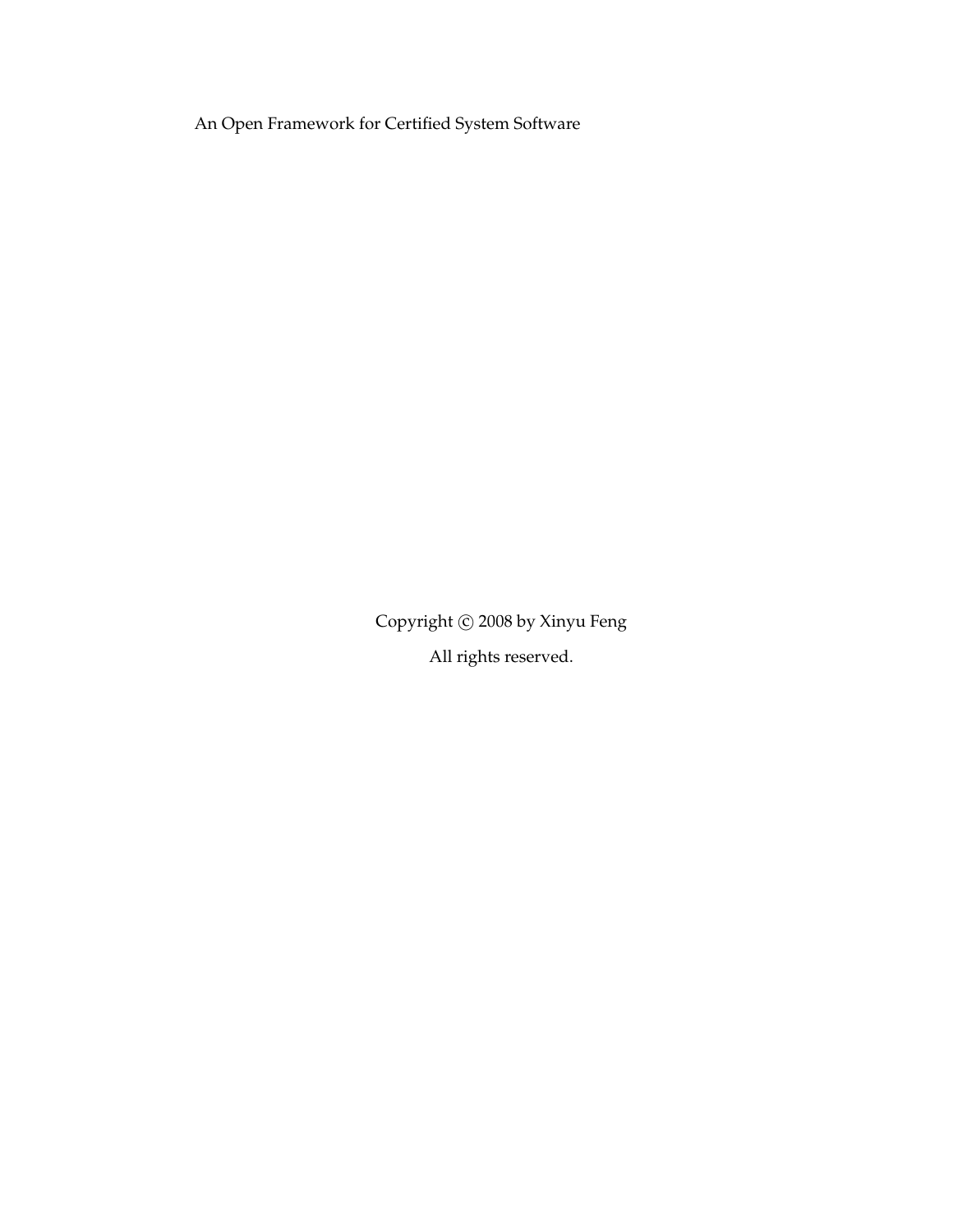An Open Framework for Certified System Software

Copyright © 2008 by Xinyu Feng All rights reserved.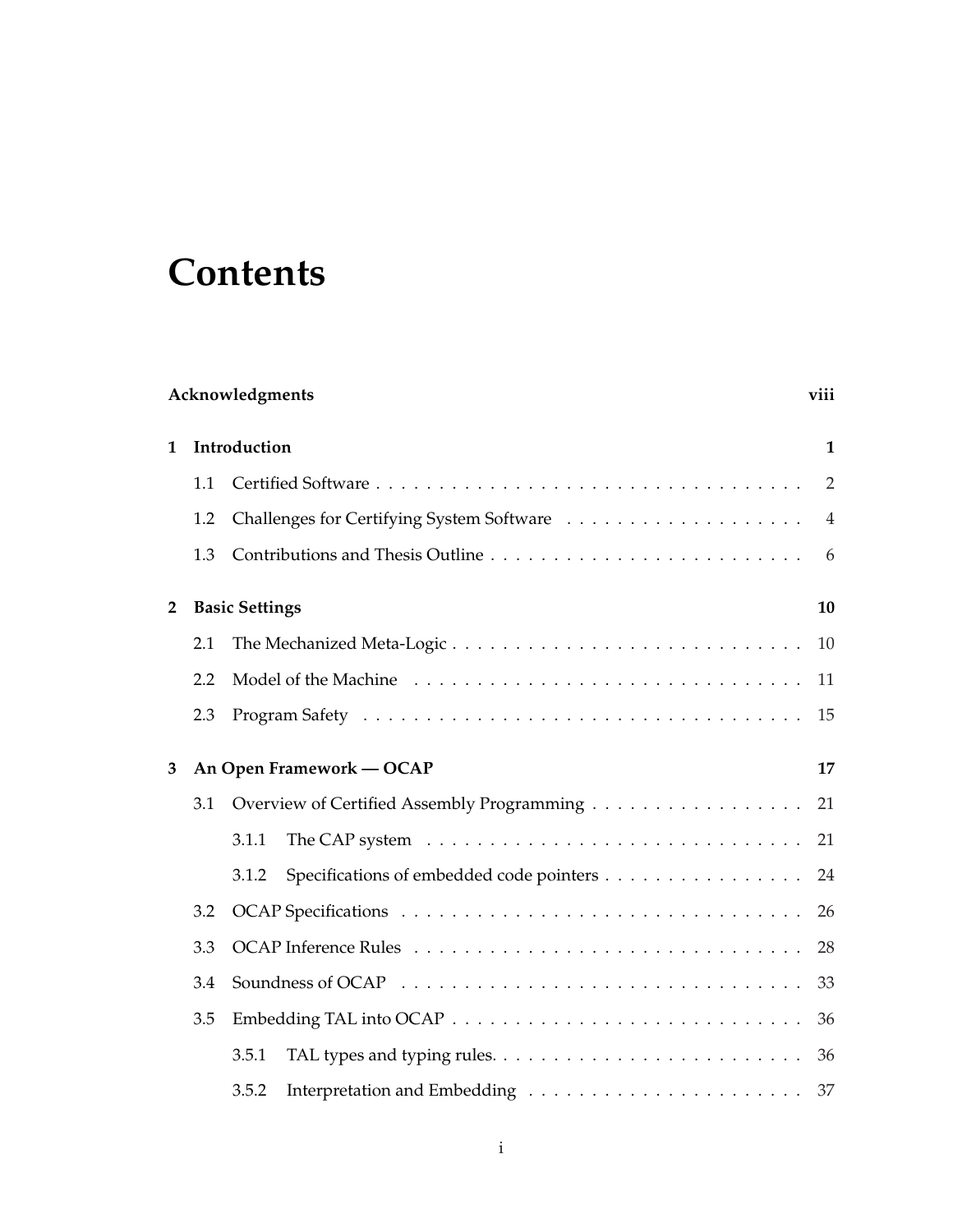# **Contents**

|   | Acknowledgments<br>viii |                                                   |                |  |  |
|---|-------------------------|---------------------------------------------------|----------------|--|--|
| 1 |                         | Introduction                                      |                |  |  |
|   | 1.1                     |                                                   | $\overline{2}$ |  |  |
|   | 1.2                     |                                                   | $\overline{4}$ |  |  |
|   | 1.3                     |                                                   | 6              |  |  |
| 2 |                         | <b>Basic Settings</b>                             | 10             |  |  |
|   | 2.1                     | The Mechanized Meta-Logic                         | 10             |  |  |
|   | 2.2                     |                                                   | 11             |  |  |
|   | 2.3                     |                                                   | 15             |  |  |
| 3 |                         | An Open Framework — OCAP                          | 17             |  |  |
|   | 3.1                     | Overview of Certified Assembly Programming        | 21             |  |  |
|   |                         | 3.1.1                                             | 21             |  |  |
|   |                         | Specifications of embedded code pointers<br>3.1.2 | 24             |  |  |
|   | 3.2                     |                                                   | 26             |  |  |
|   | 3.3                     |                                                   | 28             |  |  |
|   | 3.4                     |                                                   | 33             |  |  |
|   | 3.5                     |                                                   | 36             |  |  |
|   |                         | 3.5.1                                             | 36             |  |  |
|   |                         | 3.5.2                                             |                |  |  |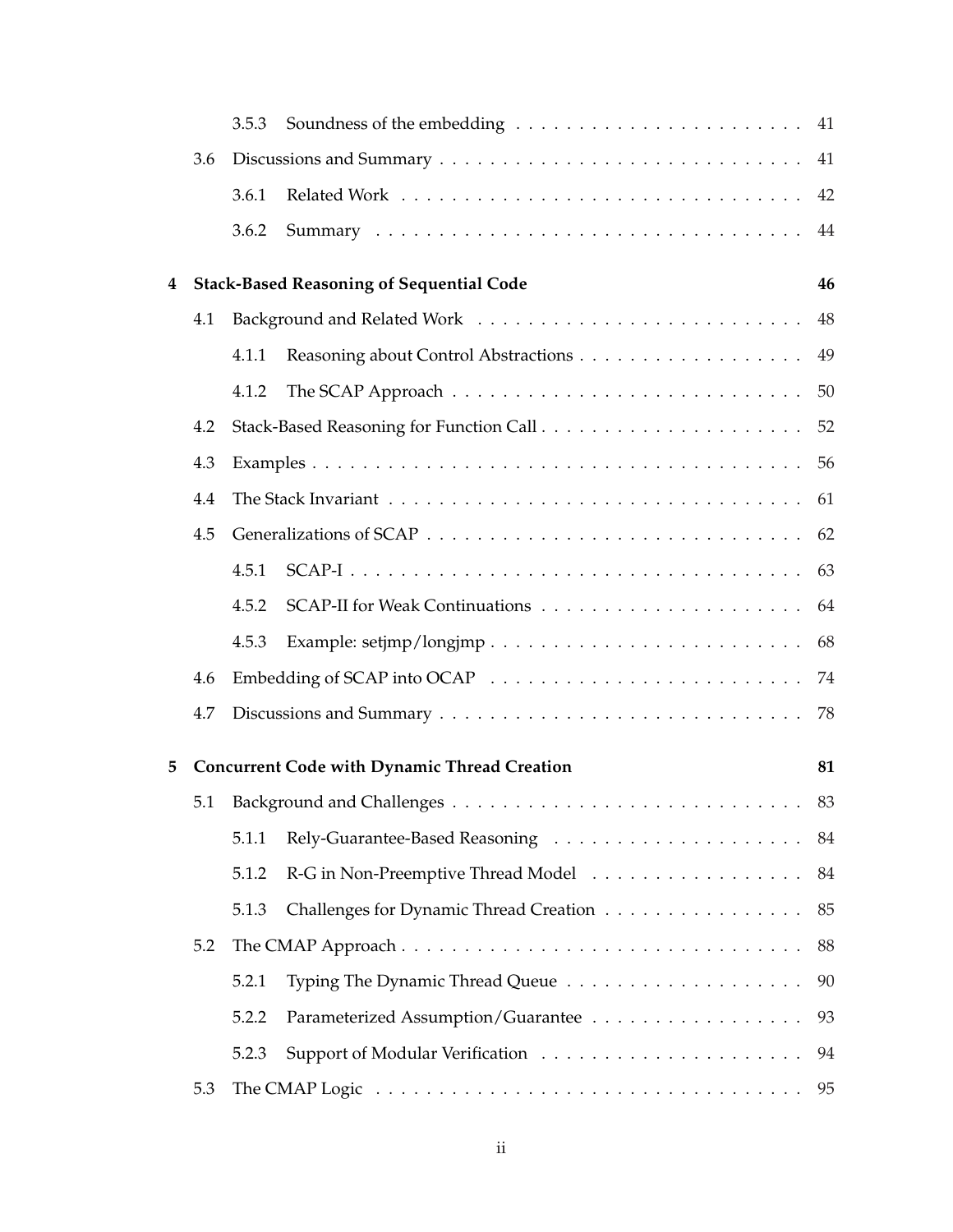|   |     | 3.5.3 |                                                                                                                |    |
|---|-----|-------|----------------------------------------------------------------------------------------------------------------|----|
|   | 3.6 |       |                                                                                                                |    |
|   |     | 3.6.1 |                                                                                                                |    |
|   |     | 3.6.2 |                                                                                                                |    |
| 4 |     |       | <b>Stack-Based Reasoning of Sequential Code</b>                                                                | 46 |
|   | 4.1 |       |                                                                                                                |    |
|   |     | 4.1.1 |                                                                                                                | 49 |
|   |     | 4.1.2 |                                                                                                                | 50 |
|   | 4.2 |       |                                                                                                                |    |
|   | 4.3 |       |                                                                                                                |    |
|   | 4.4 |       |                                                                                                                | 61 |
|   | 4.5 |       |                                                                                                                |    |
|   |     | 4.5.1 |                                                                                                                | 63 |
|   |     | 4.5.2 |                                                                                                                |    |
|   |     | 4.5.3 |                                                                                                                | 68 |
|   | 4.6 |       |                                                                                                                | 74 |
|   | 4.7 |       |                                                                                                                | 78 |
| 5 |     |       | <b>Concurrent Code with Dynamic Thread Creation</b>                                                            | 81 |
|   |     |       |                                                                                                                | 83 |
|   |     | 5.1.1 |                                                                                                                |    |
|   |     | 5.1.2 | R-G in Non-Preemptive Thread Model 84                                                                          |    |
|   |     | 5.1.3 | Challenges for Dynamic Thread Creation                                                                         | 85 |
|   | 5.2 |       |                                                                                                                | 88 |
|   |     | 5.2.1 |                                                                                                                | 90 |
|   |     | 5.2.2 | Parameterized Assumption/Guarantee                                                                             | 93 |
|   |     | 5.2.3 |                                                                                                                |    |
|   | 5.3 |       | The CMAP Logic $\ldots \ldots \ldots \ldots \ldots \ldots \ldots \ldots \ldots \ldots \ldots \ldots \ldots$ 95 |    |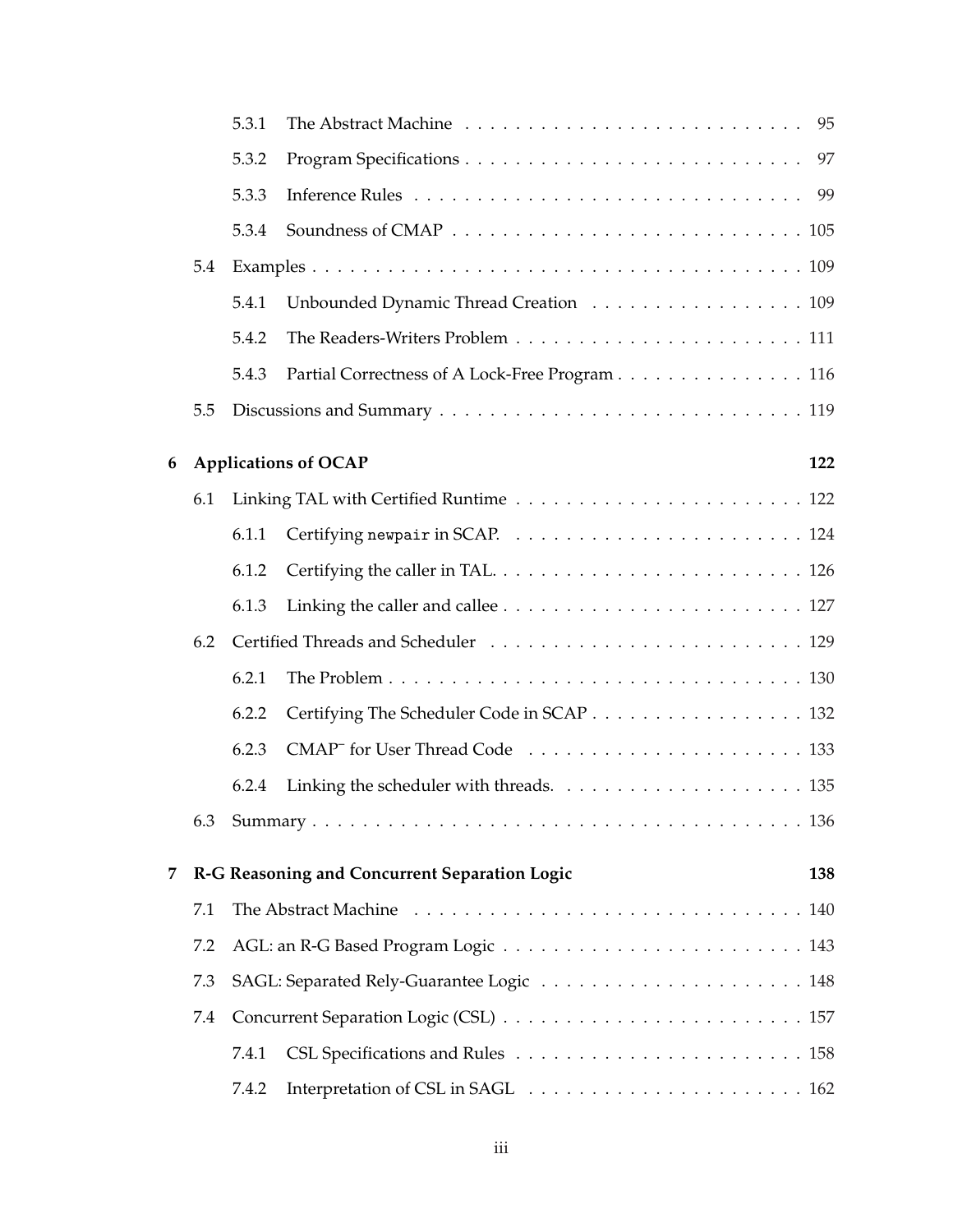|       |     | 5.3.1 |                                                |     |
|-------|-----|-------|------------------------------------------------|-----|
|       |     | 5.3.2 |                                                |     |
| 5.3.3 |     |       |                                                |     |
|       |     | 5.3.4 |                                                |     |
|       | 5.4 |       |                                                |     |
|       |     | 5.4.1 | Unbounded Dynamic Thread Creation 109          |     |
|       |     | 5.4.2 |                                                |     |
|       |     | 5.4.3 | Partial Correctness of A Lock-Free Program 116 |     |
|       | 5.5 |       |                                                |     |
| 6     |     |       | <b>Applications of OCAP</b>                    | 122 |
|       | 6.1 |       |                                                |     |
|       |     | 6.1.1 |                                                |     |
|       |     | 6.1.2 |                                                |     |
|       |     | 6.1.3 |                                                |     |
|       | 6.2 |       |                                                |     |
|       |     | 6.2.1 |                                                |     |
|       |     | 6.2.2 | Certifying The Scheduler Code in SCAP 132      |     |
|       |     | 6.2.3 |                                                |     |
|       |     | 6.2.4 |                                                |     |
|       | 6.3 |       |                                                |     |
| 7     |     |       | R-G Reasoning and Concurrent Separation Logic  | 138 |
|       | 7.1 |       |                                                |     |
|       | 7.2 |       |                                                |     |
|       | 7.3 |       |                                                |     |
|       | 7.4 |       |                                                |     |
|       |     | 7.4.1 |                                                |     |
|       |     | 7.4.2 |                                                |     |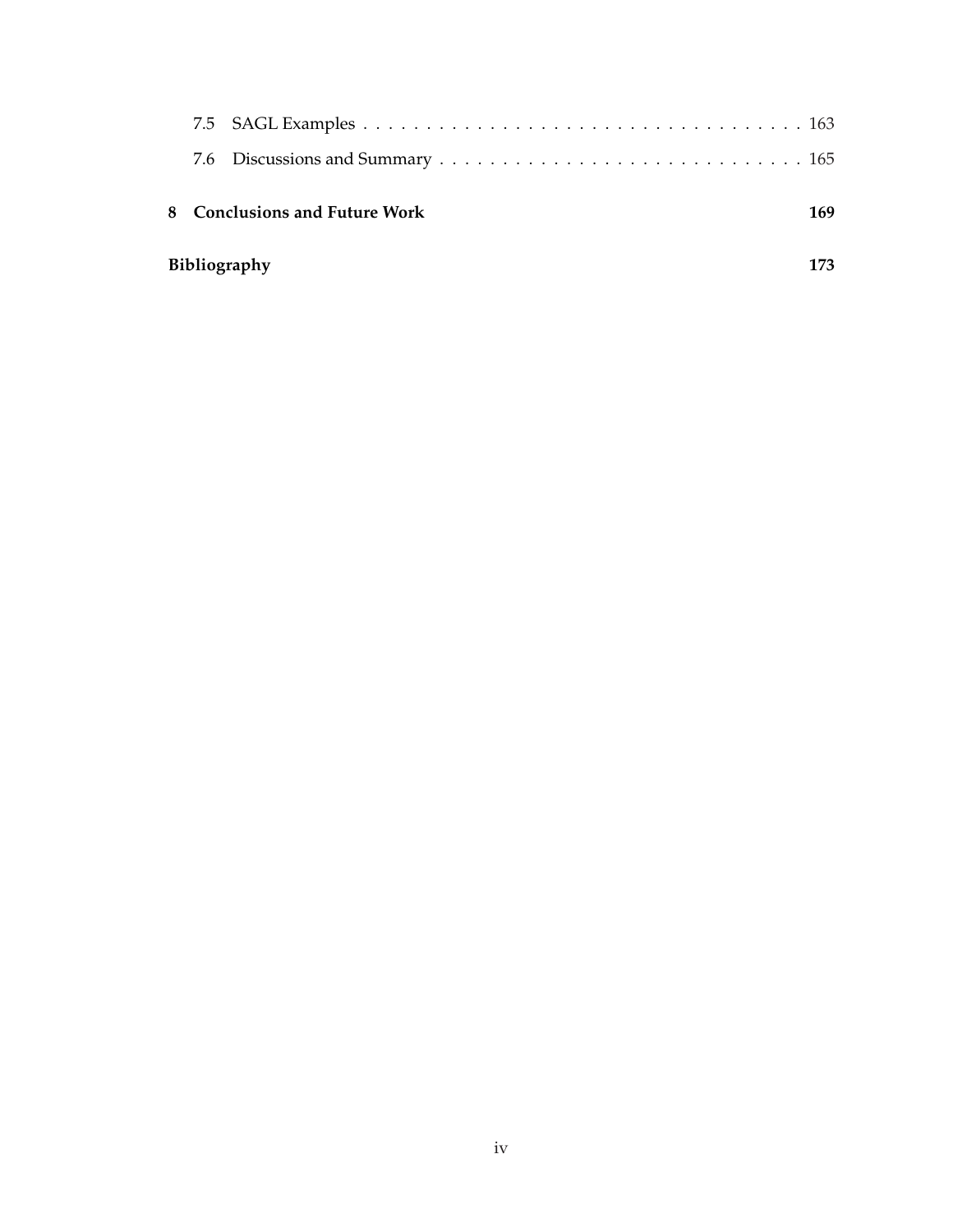| Bibliography<br>173 |                               |     |  |  |  |
|---------------------|-------------------------------|-----|--|--|--|
|                     | 8 Conclusions and Future Work | 169 |  |  |  |
|                     |                               |     |  |  |  |
|                     |                               |     |  |  |  |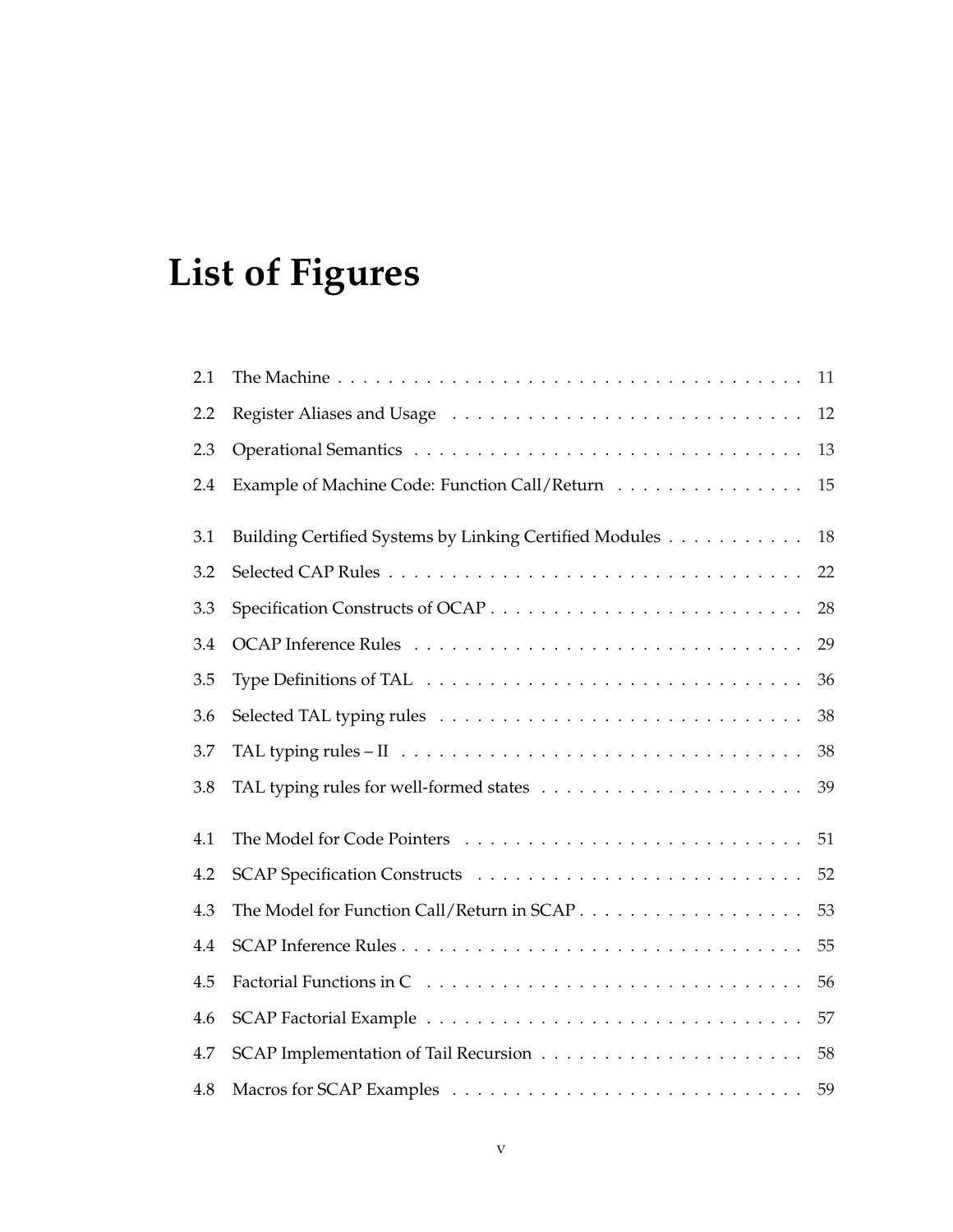# **List of Figures**

| 2.1     |                                                         | 11 |
|---------|---------------------------------------------------------|----|
| 2.2     |                                                         | 12 |
| 2.3     |                                                         | 13 |
| 2.4     | Example of Machine Code: Function Call/Return           | 15 |
| 3.1     | Building Certified Systems by Linking Certified Modules | 18 |
| 3.2     |                                                         | 22 |
| 3.3     |                                                         | 28 |
| 3.4     |                                                         | 29 |
| 3.5     |                                                         | 36 |
| 3.6     |                                                         | 38 |
| 3.7     |                                                         | 38 |
| 3.8     |                                                         | 39 |
| 4.1     |                                                         | 51 |
| $4.2\,$ |                                                         | 52 |
| 4.3     |                                                         | 53 |
| 4.4     |                                                         | 55 |
| 4.5     |                                                         | 56 |
| 4.6     |                                                         | 57 |
| 4.7     |                                                         | 58 |
| 4.8     |                                                         | 59 |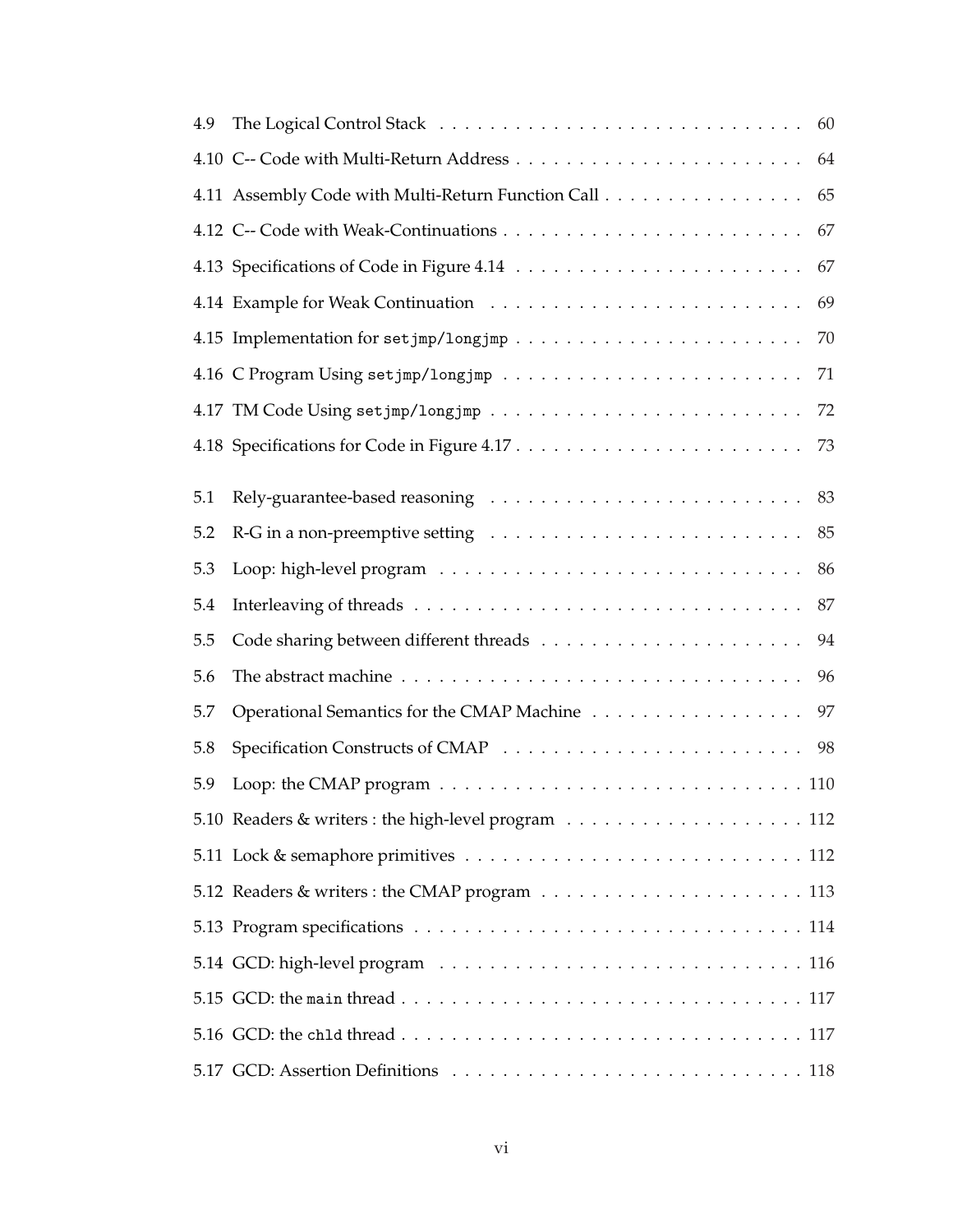| 4.9 |                                                                                             | 60 |
|-----|---------------------------------------------------------------------------------------------|----|
|     |                                                                                             | 64 |
|     | 4.11 Assembly Code with Multi-Return Function Call                                          | 65 |
|     |                                                                                             | 67 |
|     |                                                                                             | 67 |
|     |                                                                                             | 69 |
|     |                                                                                             | 70 |
|     |                                                                                             | 71 |
|     |                                                                                             |    |
|     |                                                                                             | 73 |
| 5.1 |                                                                                             |    |
| 5.2 | $R-G$ in a non-preemptive setting $\ldots \ldots \ldots \ldots \ldots \ldots \ldots \ldots$ | 85 |
| 5.3 |                                                                                             | 86 |
| 5.4 |                                                                                             | 87 |
| 5.5 |                                                                                             | 94 |
| 5.6 |                                                                                             | 96 |
| 5.7 | Operational Semantics for the CMAP Machine                                                  | 97 |
| 5.8 |                                                                                             |    |
| 5.9 |                                                                                             |    |
|     |                                                                                             |    |
|     |                                                                                             |    |
|     |                                                                                             |    |
|     |                                                                                             |    |
|     |                                                                                             |    |
|     |                                                                                             |    |
|     |                                                                                             |    |
|     |                                                                                             |    |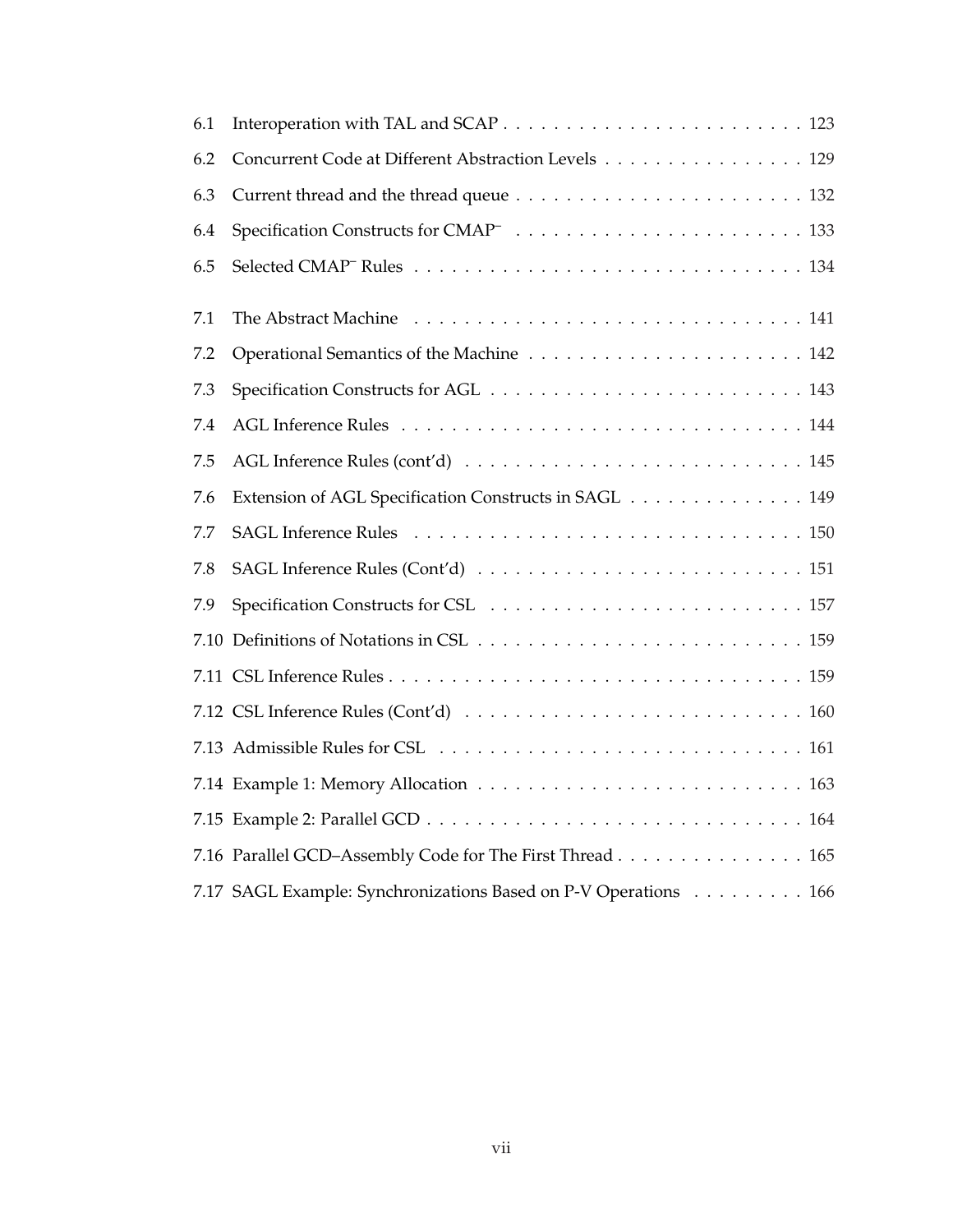| Concurrent Code at Different Abstraction Levels 129             |
|-----------------------------------------------------------------|
|                                                                 |
|                                                                 |
|                                                                 |
|                                                                 |
|                                                                 |
|                                                                 |
|                                                                 |
|                                                                 |
| Extension of AGL Specification Constructs in SAGL 149           |
|                                                                 |
|                                                                 |
|                                                                 |
|                                                                 |
|                                                                 |
|                                                                 |
|                                                                 |
|                                                                 |
|                                                                 |
| 7.16 Parallel GCD-Assembly Code for The First Thread 165        |
| 7.17 SAGL Example: Synchronizations Based on P-V Operations 166 |
|                                                                 |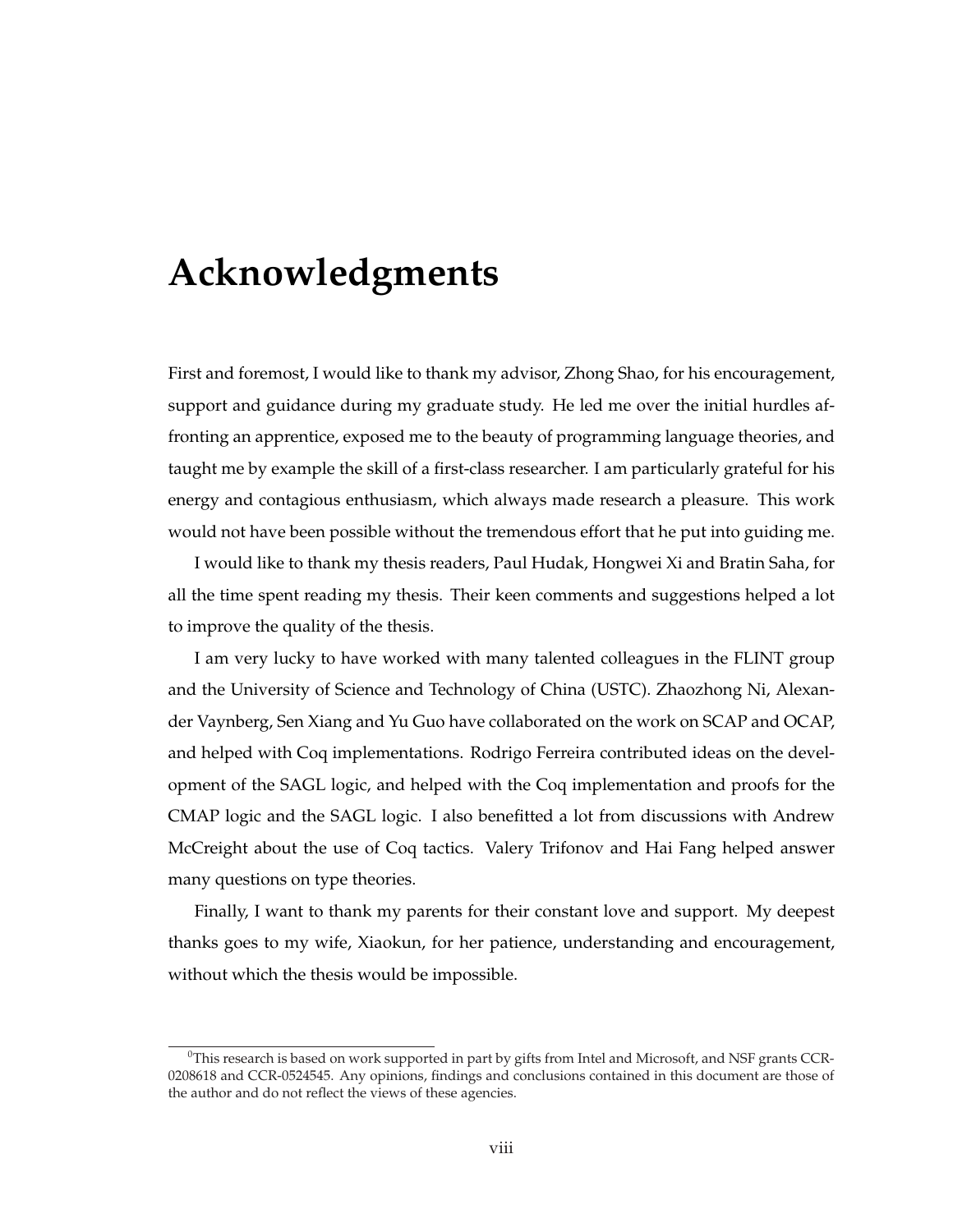# **Acknowledgments**

First and foremost, I would like to thank my advisor, Zhong Shao, for his encouragement, support and guidance during my graduate study. He led me over the initial hurdles affronting an apprentice, exposed me to the beauty of programming language theories, and taught me by example the skill of a first-class researcher. I am particularly grateful for his energy and contagious enthusiasm, which always made research a pleasure. This work would not have been possible without the tremendous effort that he put into guiding me.

I would like to thank my thesis readers, Paul Hudak, Hongwei Xi and Bratin Saha, for all the time spent reading my thesis. Their keen comments and suggestions helped a lot to improve the quality of the thesis.

I am very lucky to have worked with many talented colleagues in the FLINT group and the University of Science and Technology of China (USTC). Zhaozhong Ni, Alexander Vaynberg, Sen Xiang and Yu Guo have collaborated on the work on SCAP and OCAP, and helped with Coq implementations. Rodrigo Ferreira contributed ideas on the development of the SAGL logic, and helped with the Coq implementation and proofs for the CMAP logic and the SAGL logic. I also benefitted a lot from discussions with Andrew McCreight about the use of Coq tactics. Valery Trifonov and Hai Fang helped answer many questions on type theories.

Finally, I want to thank my parents for their constant love and support. My deepest thanks goes to my wife, Xiaokun, for her patience, understanding and encouragement, without which the thesis would be impossible.

 $^{0}$ This research is based on work supported in part by gifts from Intel and Microsoft, and NSF grants CCR-0208618 and CCR-0524545. Any opinions, findings and conclusions contained in this document are those of the author and do not reflect the views of these agencies.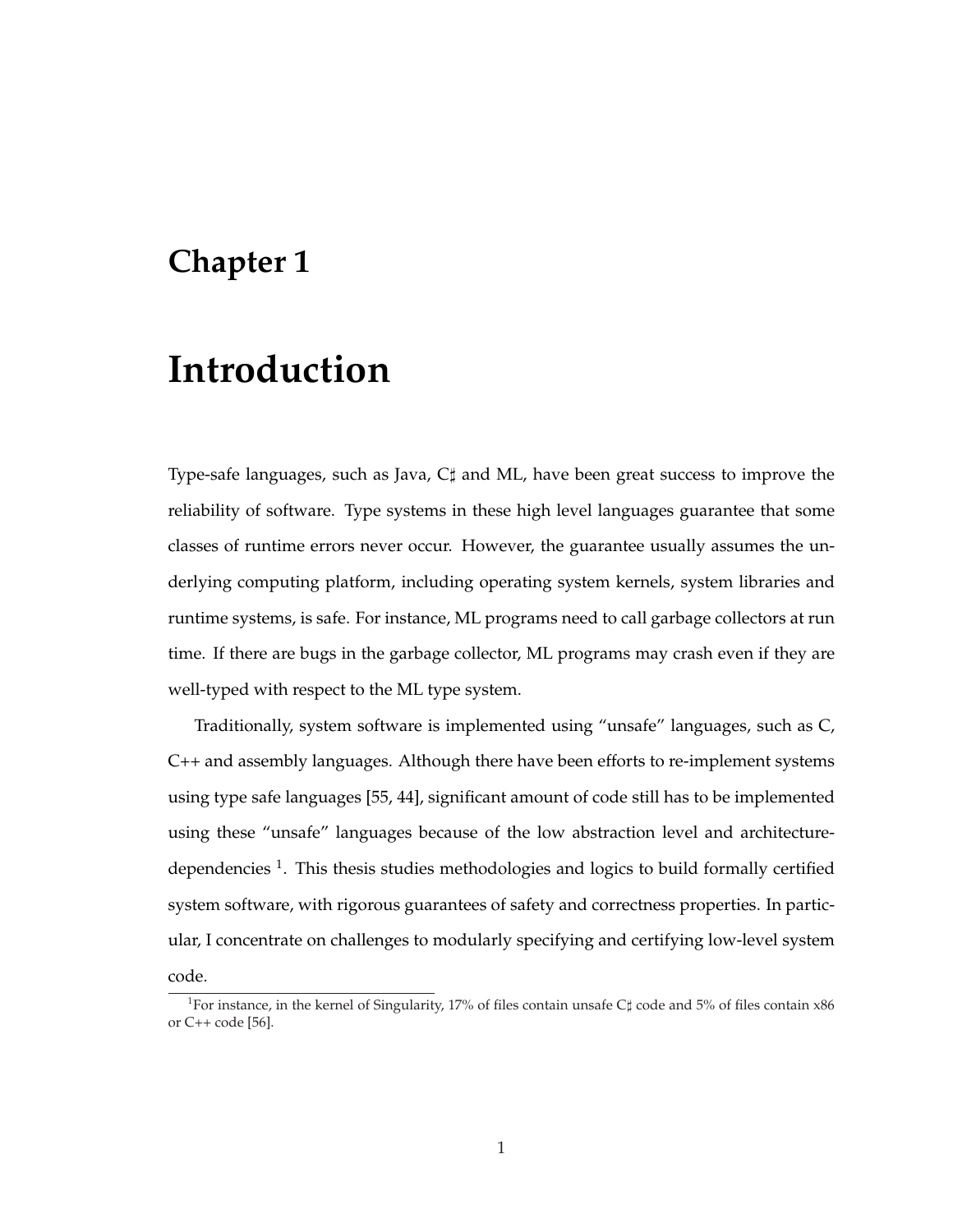### **Chapter 1**

# **Introduction**

Type-safe languages, such as Java,  $C\sharp$  and ML, have been great success to improve the reliability of software. Type systems in these high level languages guarantee that some classes of runtime errors never occur. However, the guarantee usually assumes the underlying computing platform, including operating system kernels, system libraries and runtime systems, is safe. For instance, ML programs need to call garbage collectors at run time. If there are bugs in the garbage collector, ML programs may crash even if they are well-typed with respect to the ML type system.

Traditionally, system software is implemented using "unsafe" languages, such as C, C++ and assembly languages. Although there have been efforts to re-implement systems using type safe languages [55, 44], significant amount of code still has to be implemented using these "unsafe" languages because of the low abstraction level and architecturedependencies  $<sup>1</sup>$ . This thesis studies methodologies and logics to build formally certified</sup> system software, with rigorous guarantees of safety and correctness properties. In particular, I concentrate on challenges to modularly specifying and certifying low-level system code.

<sup>&</sup>lt;sup>1</sup>For instance, in the kernel of Singularity, 17% of files contain unsafe C $\sharp$  code and 5% of files contain x86 or C++ code [56].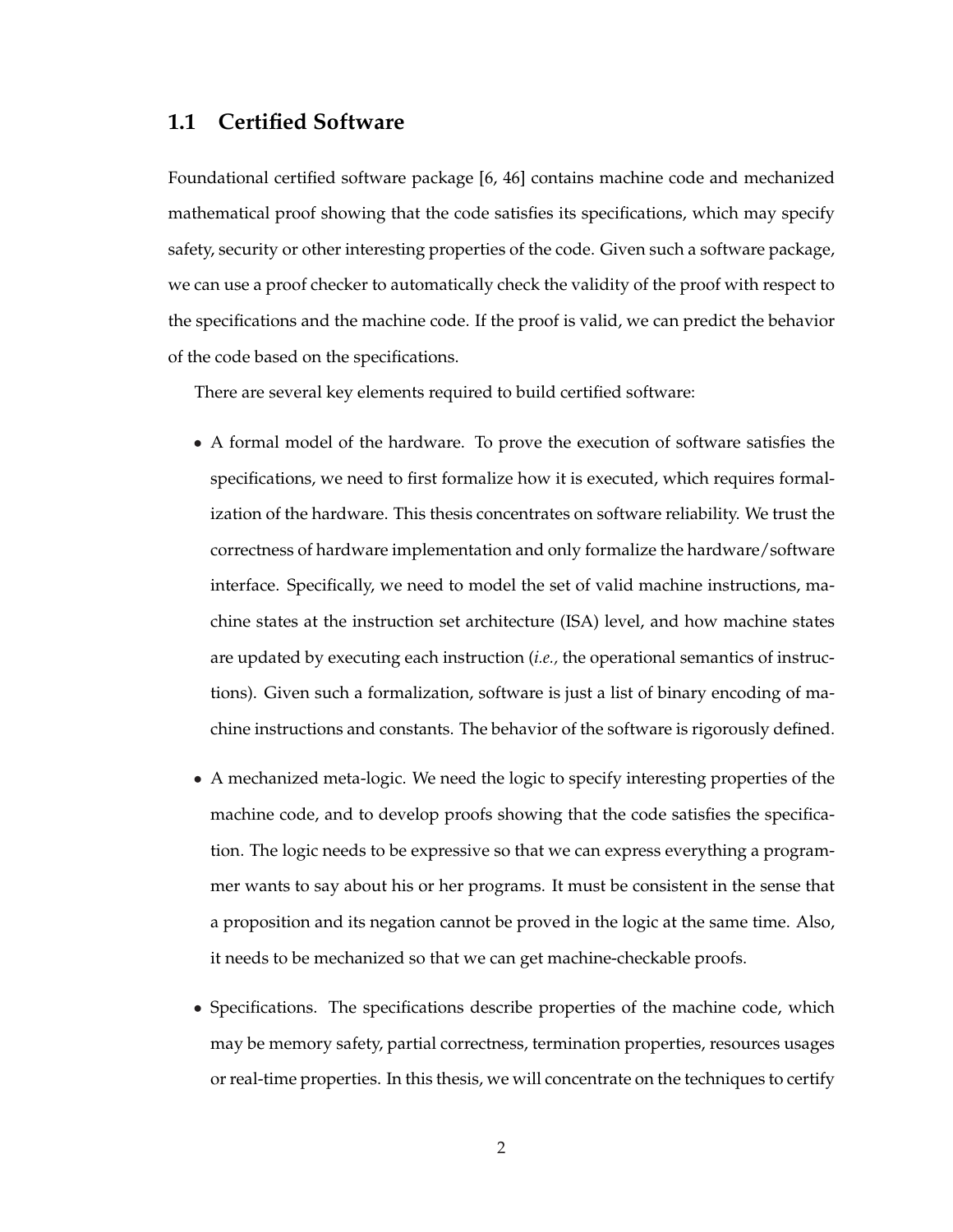#### **1.1 Certified Software**

Foundational certified software package [6, 46] contains machine code and mechanized mathematical proof showing that the code satisfies its specifications, which may specify safety, security or other interesting properties of the code. Given such a software package, we can use a proof checker to automatically check the validity of the proof with respect to the specifications and the machine code. If the proof is valid, we can predict the behavior of the code based on the specifications.

There are several key elements required to build certified software:

- A formal model of the hardware. To prove the execution of software satisfies the specifications, we need to first formalize how it is executed, which requires formalization of the hardware. This thesis concentrates on software reliability. We trust the correctness of hardware implementation and only formalize the hardware/software interface. Specifically, we need to model the set of valid machine instructions, machine states at the instruction set architecture (ISA) level, and how machine states are updated by executing each instruction (*i.e.,* the operational semantics of instructions). Given such a formalization, software is just a list of binary encoding of machine instructions and constants. The behavior of the software is rigorously defined.
- A mechanized meta-logic. We need the logic to specify interesting properties of the machine code, and to develop proofs showing that the code satisfies the specification. The logic needs to be expressive so that we can express everything a programmer wants to say about his or her programs. It must be consistent in the sense that a proposition and its negation cannot be proved in the logic at the same time. Also, it needs to be mechanized so that we can get machine-checkable proofs.
- Specifications. The specifications describe properties of the machine code, which may be memory safety, partial correctness, termination properties, resources usages or real-time properties. In this thesis, we will concentrate on the techniques to certify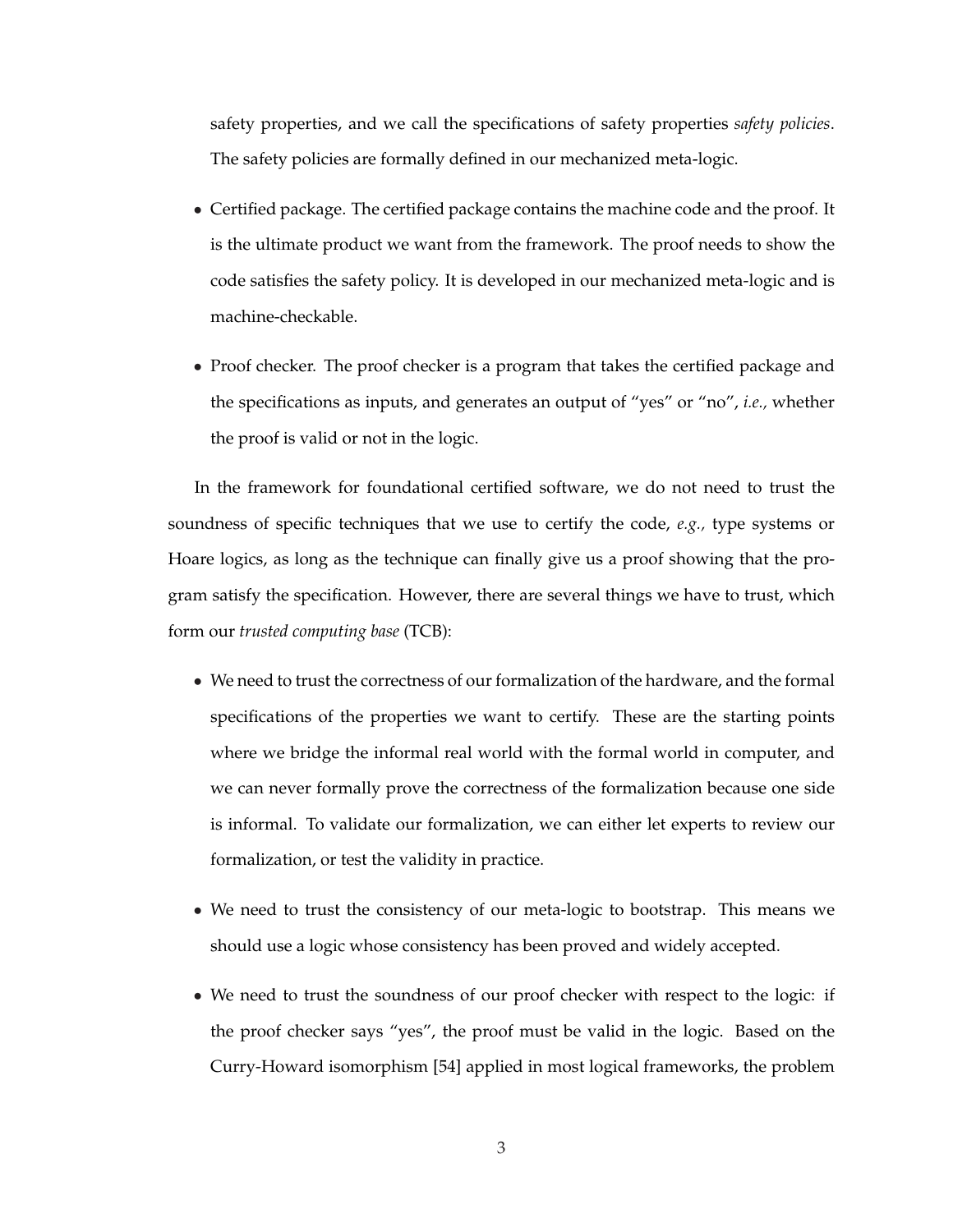safety properties, and we call the specifications of safety properties *safety policies*. The safety policies are formally defined in our mechanized meta-logic.

- Certified package. The certified package contains the machine code and the proof. It is the ultimate product we want from the framework. The proof needs to show the code satisfies the safety policy. It is developed in our mechanized meta-logic and is machine-checkable.
- Proof checker. The proof checker is a program that takes the certified package and the specifications as inputs, and generates an output of "yes" or "no", *i.e.,* whether the proof is valid or not in the logic.

In the framework for foundational certified software, we do not need to trust the soundness of specific techniques that we use to certify the code, *e.g.,* type systems or Hoare logics, as long as the technique can finally give us a proof showing that the program satisfy the specification. However, there are several things we have to trust, which form our *trusted computing base* (TCB):

- We need to trust the correctness of our formalization of the hardware, and the formal specifications of the properties we want to certify. These are the starting points where we bridge the informal real world with the formal world in computer, and we can never formally prove the correctness of the formalization because one side is informal. To validate our formalization, we can either let experts to review our formalization, or test the validity in practice.
- We need to trust the consistency of our meta-logic to bootstrap. This means we should use a logic whose consistency has been proved and widely accepted.
- We need to trust the soundness of our proof checker with respect to the logic: if the proof checker says "yes", the proof must be valid in the logic. Based on the Curry-Howard isomorphism [54] applied in most logical frameworks, the problem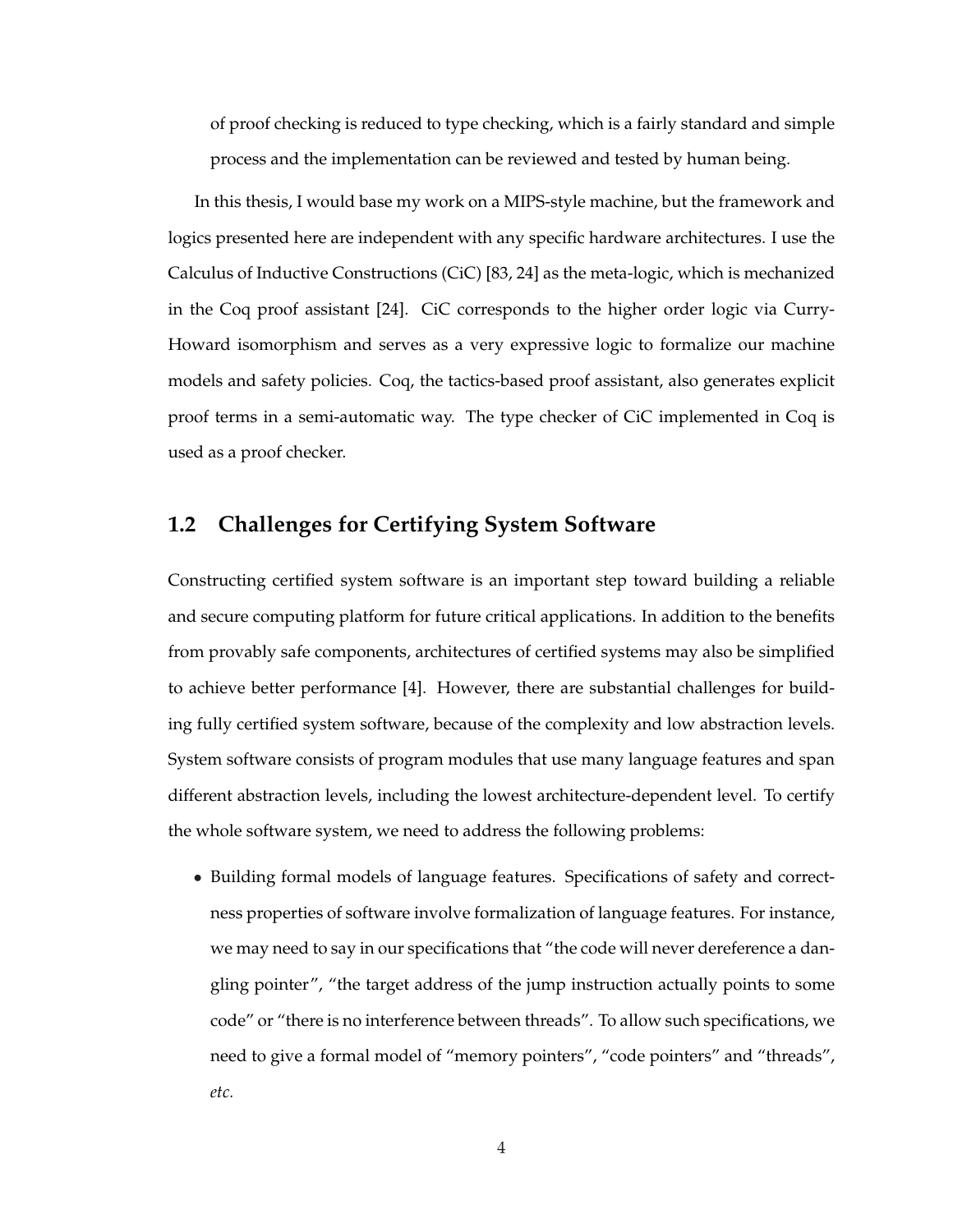of proof checking is reduced to type checking, which is a fairly standard and simple process and the implementation can be reviewed and tested by human being.

In this thesis, I would base my work on a MIPS-style machine, but the framework and logics presented here are independent with any specific hardware architectures. I use the Calculus of Inductive Constructions (CiC) [83, 24] as the meta-logic, which is mechanized in the Coq proof assistant [24]. CiC corresponds to the higher order logic via Curry-Howard isomorphism and serves as a very expressive logic to formalize our machine models and safety policies. Coq, the tactics-based proof assistant, also generates explicit proof terms in a semi-automatic way. The type checker of CiC implemented in Coq is used as a proof checker.

### **1.2 Challenges for Certifying System Software**

Constructing certified system software is an important step toward building a reliable and secure computing platform for future critical applications. In addition to the benefits from provably safe components, architectures of certified systems may also be simplified to achieve better performance [4]. However, there are substantial challenges for building fully certified system software, because of the complexity and low abstraction levels. System software consists of program modules that use many language features and span different abstraction levels, including the lowest architecture-dependent level. To certify the whole software system, we need to address the following problems:

• Building formal models of language features. Specifications of safety and correctness properties of software involve formalization of language features. For instance, we may need to say in our specifications that "the code will never dereference a dangling pointer", "the target address of the jump instruction actually points to some code" or "there is no interference between threads". To allow such specifications, we need to give a formal model of "memory pointers", "code pointers" and "threads", *etc.*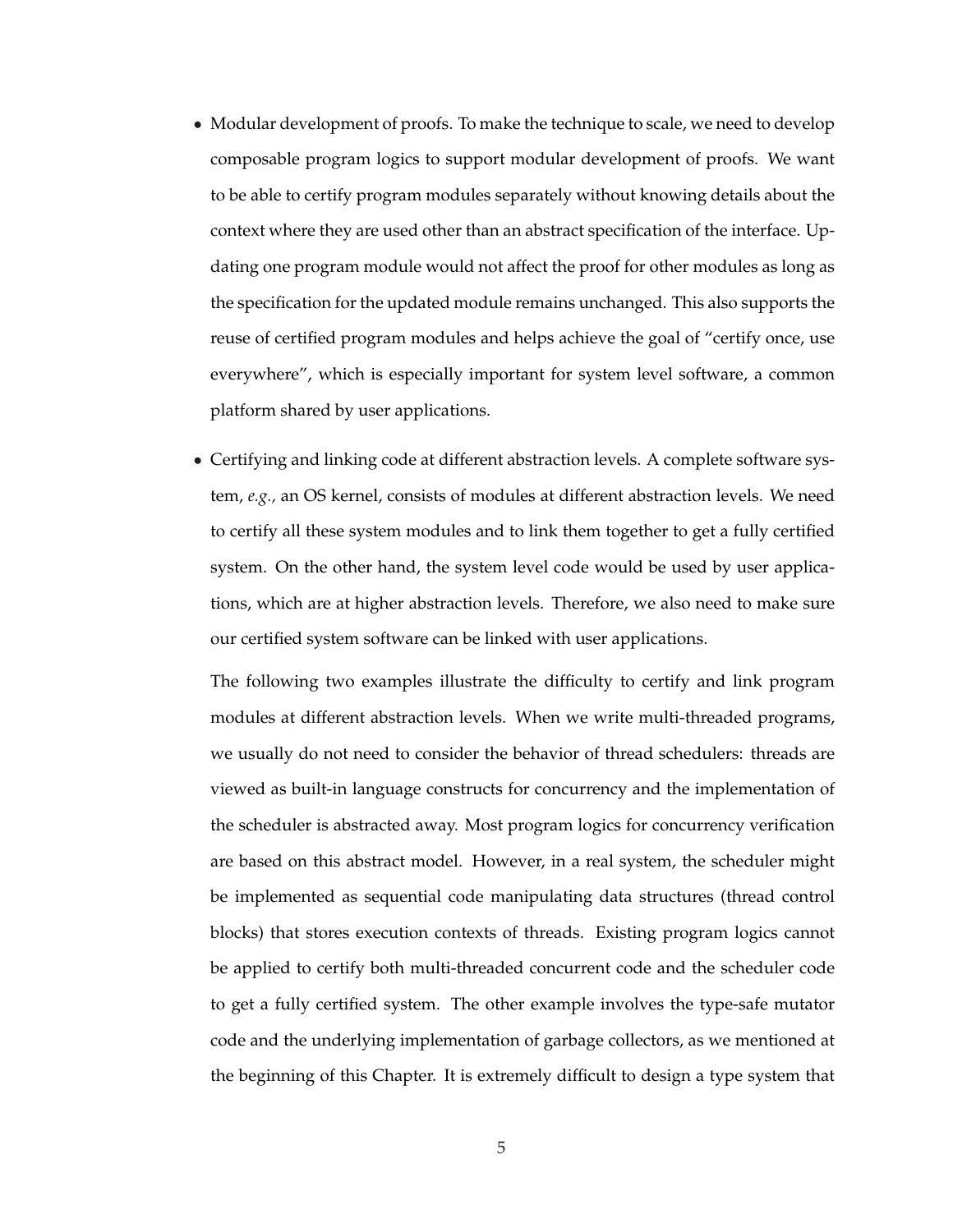- Modular development of proofs. To make the technique to scale, we need to develop composable program logics to support modular development of proofs. We want to be able to certify program modules separately without knowing details about the context where they are used other than an abstract specification of the interface. Updating one program module would not affect the proof for other modules as long as the specification for the updated module remains unchanged. This also supports the reuse of certified program modules and helps achieve the goal of "certify once, use everywhere", which is especially important for system level software, a common platform shared by user applications.
- Certifying and linking code at different abstraction levels. A complete software system, *e.g.,* an OS kernel, consists of modules at different abstraction levels. We need to certify all these system modules and to link them together to get a fully certified system. On the other hand, the system level code would be used by user applications, which are at higher abstraction levels. Therefore, we also need to make sure our certified system software can be linked with user applications.

The following two examples illustrate the difficulty to certify and link program modules at different abstraction levels. When we write multi-threaded programs, we usually do not need to consider the behavior of thread schedulers: threads are viewed as built-in language constructs for concurrency and the implementation of the scheduler is abstracted away. Most program logics for concurrency verification are based on this abstract model. However, in a real system, the scheduler might be implemented as sequential code manipulating data structures (thread control blocks) that stores execution contexts of threads. Existing program logics cannot be applied to certify both multi-threaded concurrent code and the scheduler code to get a fully certified system. The other example involves the type-safe mutator code and the underlying implementation of garbage collectors, as we mentioned at the beginning of this Chapter. It is extremely difficult to design a type system that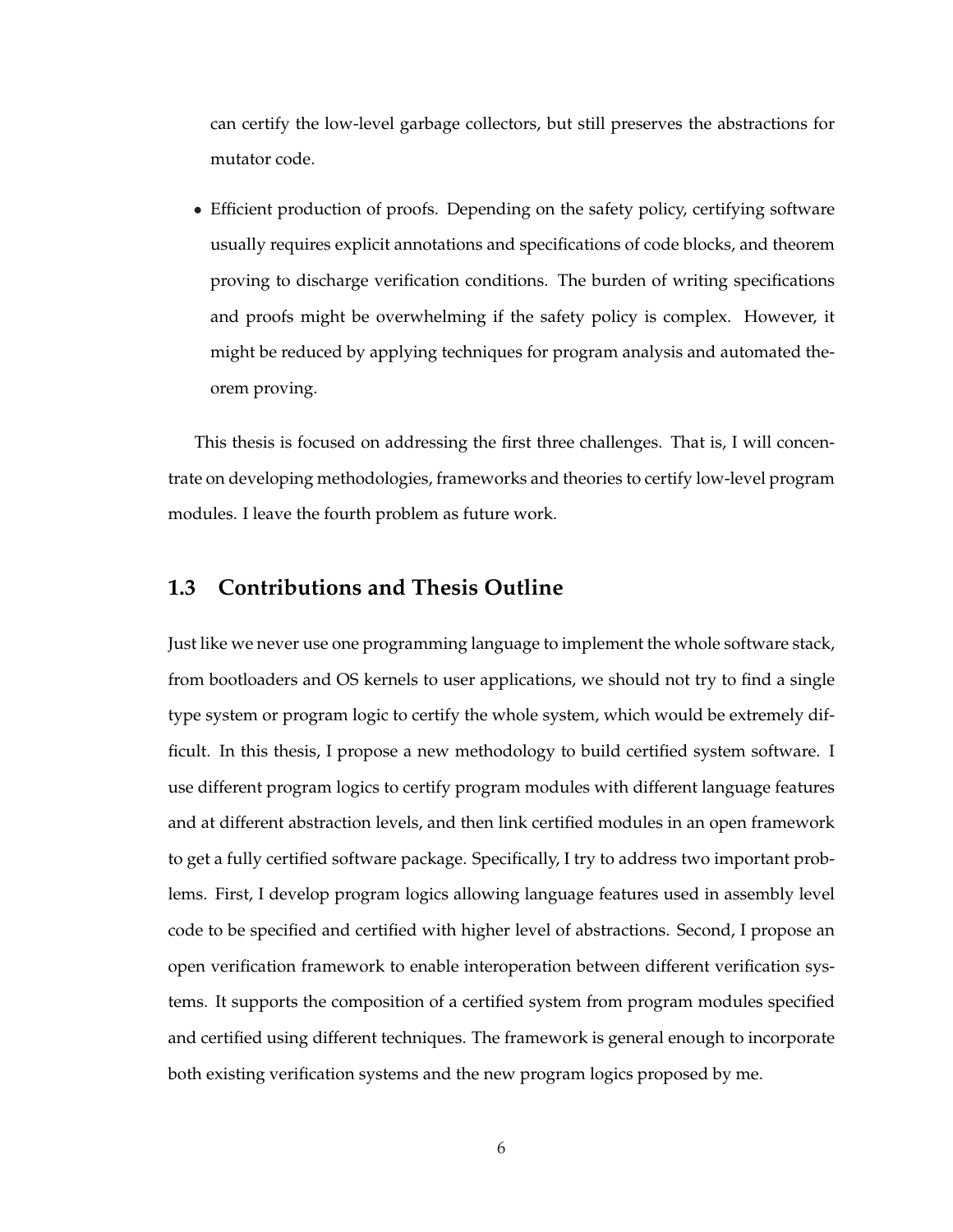can certify the low-level garbage collectors, but still preserves the abstractions for mutator code.

• Efficient production of proofs. Depending on the safety policy, certifying software usually requires explicit annotations and specifications of code blocks, and theorem proving to discharge verification conditions. The burden of writing specifications and proofs might be overwhelming if the safety policy is complex. However, it might be reduced by applying techniques for program analysis and automated theorem proving.

This thesis is focused on addressing the first three challenges. That is, I will concentrate on developing methodologies, frameworks and theories to certify low-level program modules. I leave the fourth problem as future work.

#### **1.3 Contributions and Thesis Outline**

Just like we never use one programming language to implement the whole software stack, from bootloaders and OS kernels to user applications, we should not try to find a single type system or program logic to certify the whole system, which would be extremely difficult. In this thesis, I propose a new methodology to build certified system software. I use different program logics to certify program modules with different language features and at different abstraction levels, and then link certified modules in an open framework to get a fully certified software package. Specifically, I try to address two important problems. First, I develop program logics allowing language features used in assembly level code to be specified and certified with higher level of abstractions. Second, I propose an open verification framework to enable interoperation between different verification systems. It supports the composition of a certified system from program modules specified and certified using different techniques. The framework is general enough to incorporate both existing verification systems and the new program logics proposed by me.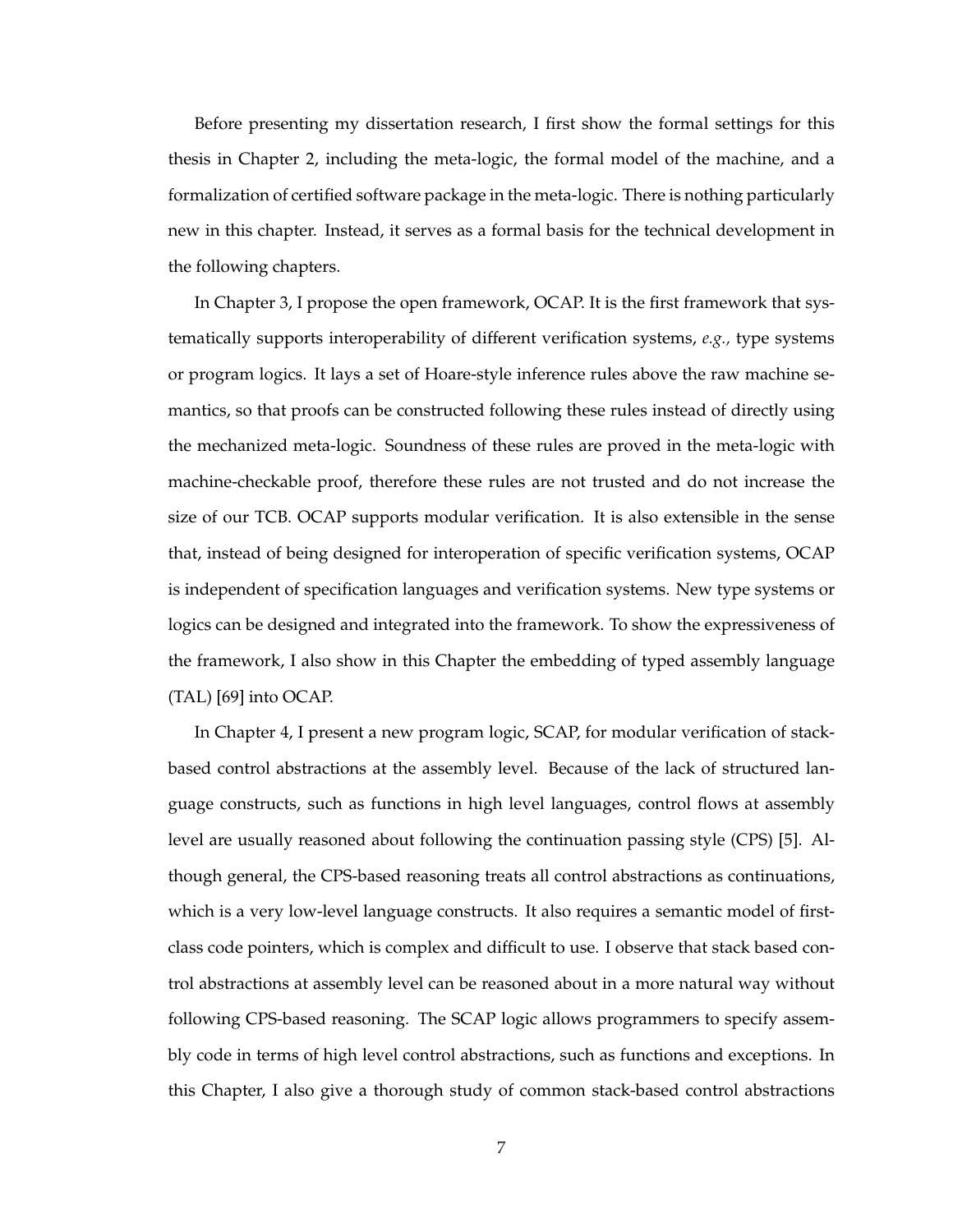Before presenting my dissertation research, I first show the formal settings for this thesis in Chapter 2, including the meta-logic, the formal model of the machine, and a formalization of certified software package in the meta-logic. There is nothing particularly new in this chapter. Instead, it serves as a formal basis for the technical development in the following chapters.

In Chapter 3, I propose the open framework, OCAP. It is the first framework that systematically supports interoperability of different verification systems, *e.g.,* type systems or program logics. It lays a set of Hoare-style inference rules above the raw machine semantics, so that proofs can be constructed following these rules instead of directly using the mechanized meta-logic. Soundness of these rules are proved in the meta-logic with machine-checkable proof, therefore these rules are not trusted and do not increase the size of our TCB. OCAP supports modular verification. It is also extensible in the sense that, instead of being designed for interoperation of specific verification systems, OCAP is independent of specification languages and verification systems. New type systems or logics can be designed and integrated into the framework. To show the expressiveness of the framework, I also show in this Chapter the embedding of typed assembly language (TAL) [69] into OCAP.

In Chapter 4, I present a new program logic, SCAP, for modular verification of stackbased control abstractions at the assembly level. Because of the lack of structured language constructs, such as functions in high level languages, control flows at assembly level are usually reasoned about following the continuation passing style (CPS) [5]. Although general, the CPS-based reasoning treats all control abstractions as continuations, which is a very low-level language constructs. It also requires a semantic model of firstclass code pointers, which is complex and difficult to use. I observe that stack based control abstractions at assembly level can be reasoned about in a more natural way without following CPS-based reasoning. The SCAP logic allows programmers to specify assembly code in terms of high level control abstractions, such as functions and exceptions. In this Chapter, I also give a thorough study of common stack-based control abstractions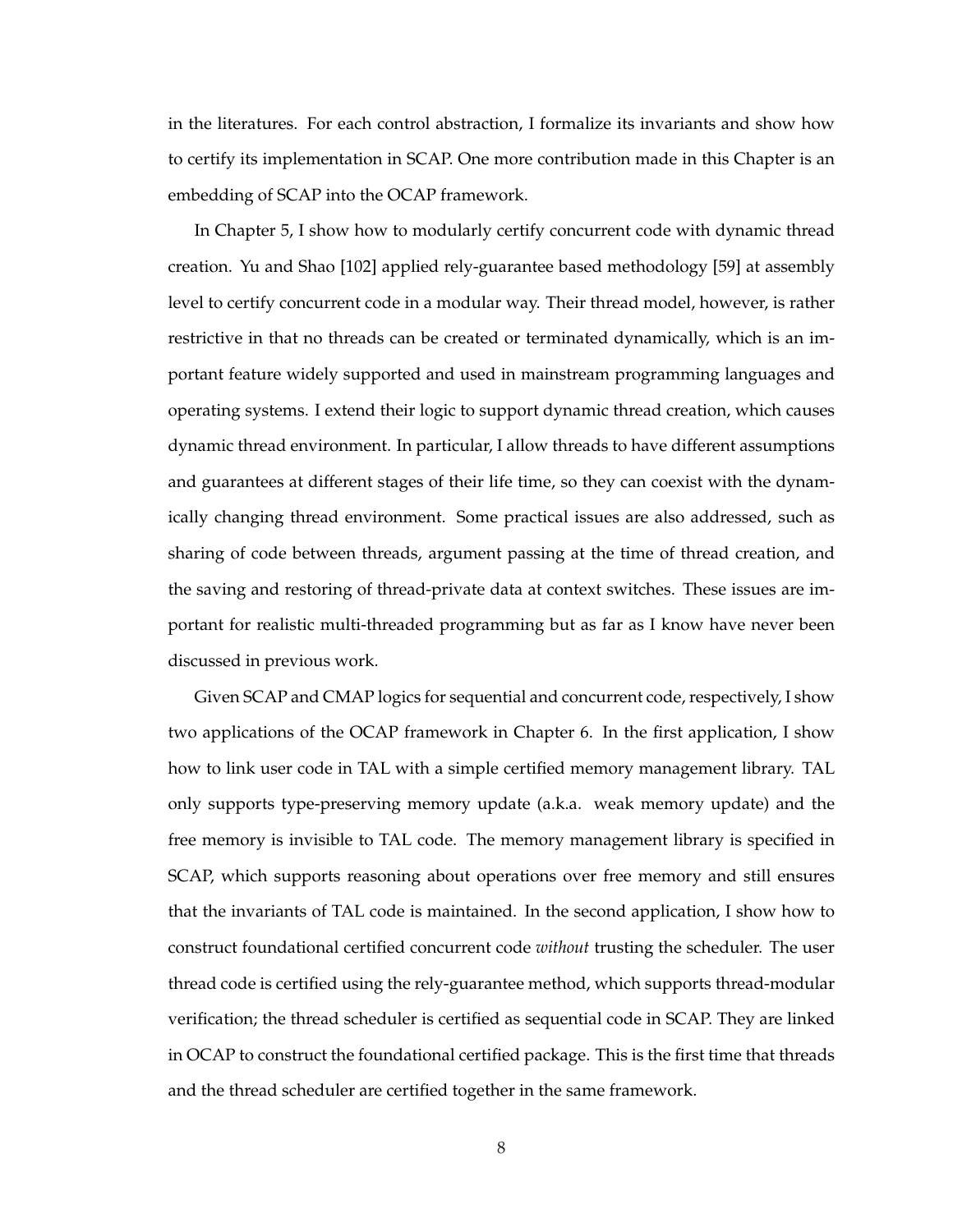in the literatures. For each control abstraction, I formalize its invariants and show how to certify its implementation in SCAP. One more contribution made in this Chapter is an embedding of SCAP into the OCAP framework.

In Chapter 5, I show how to modularly certify concurrent code with dynamic thread creation. Yu and Shao [102] applied rely-guarantee based methodology [59] at assembly level to certify concurrent code in a modular way. Their thread model, however, is rather restrictive in that no threads can be created or terminated dynamically, which is an important feature widely supported and used in mainstream programming languages and operating systems. I extend their logic to support dynamic thread creation, which causes dynamic thread environment. In particular, I allow threads to have different assumptions and guarantees at different stages of their life time, so they can coexist with the dynamically changing thread environment. Some practical issues are also addressed, such as sharing of code between threads, argument passing at the time of thread creation, and the saving and restoring of thread-private data at context switches. These issues are important for realistic multi-threaded programming but as far as I know have never been discussed in previous work.

Given SCAP and CMAP logics for sequential and concurrent code, respectively, I show two applications of the OCAP framework in Chapter 6. In the first application, I show how to link user code in TAL with a simple certified memory management library. TAL only supports type-preserving memory update (a.k.a. weak memory update) and the free memory is invisible to TAL code. The memory management library is specified in SCAP, which supports reasoning about operations over free memory and still ensures that the invariants of TAL code is maintained. In the second application, I show how to construct foundational certified concurrent code *without* trusting the scheduler. The user thread code is certified using the rely-guarantee method, which supports thread-modular verification; the thread scheduler is certified as sequential code in SCAP. They are linked in OCAP to construct the foundational certified package. This is the first time that threads and the thread scheduler are certified together in the same framework.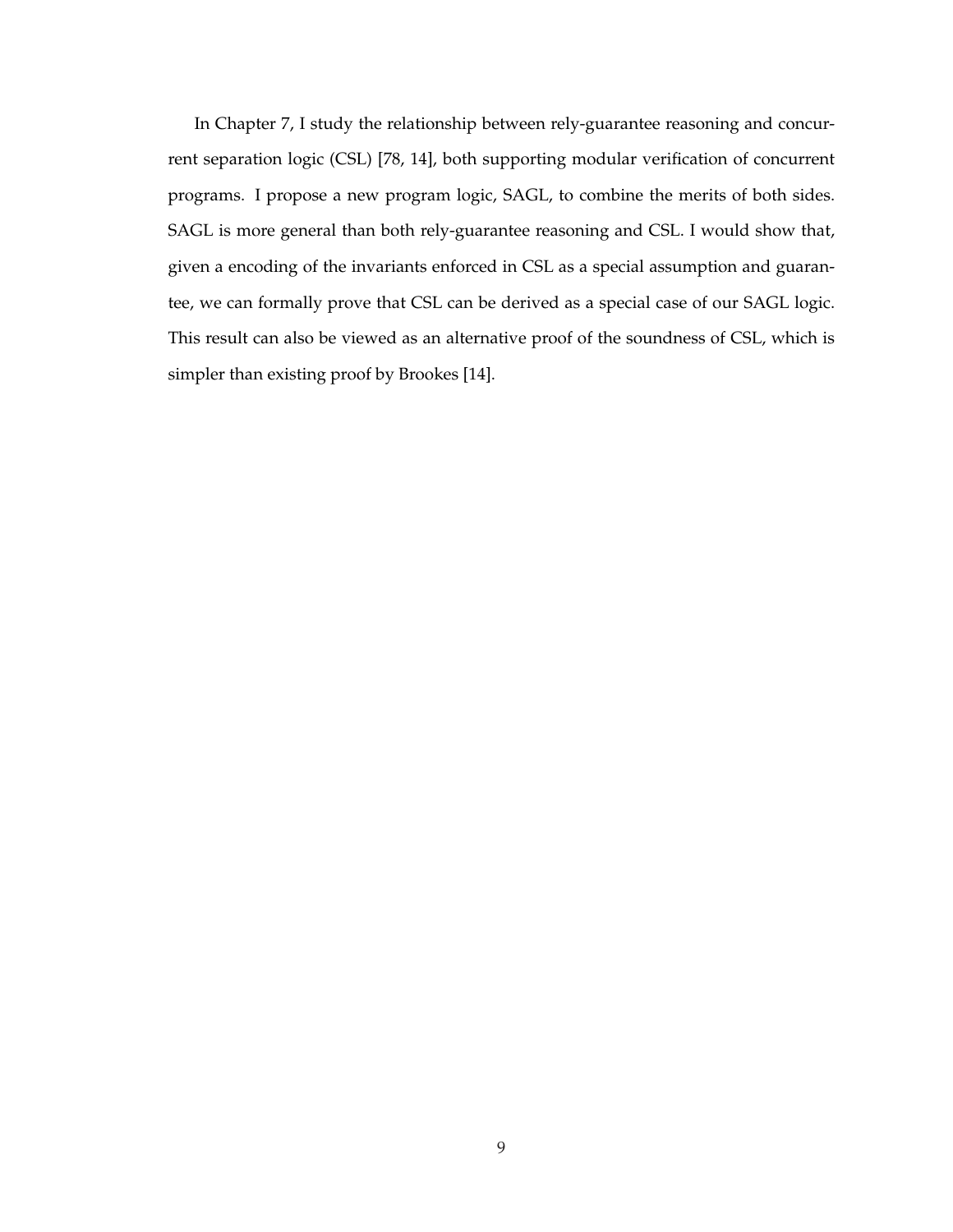In Chapter 7, I study the relationship between rely-guarantee reasoning and concurrent separation logic (CSL) [78, 14], both supporting modular verification of concurrent programs. I propose a new program logic, SAGL, to combine the merits of both sides. SAGL is more general than both rely-guarantee reasoning and CSL. I would show that, given a encoding of the invariants enforced in CSL as a special assumption and guarantee, we can formally prove that CSL can be derived as a special case of our SAGL logic. This result can also be viewed as an alternative proof of the soundness of CSL, which is simpler than existing proof by Brookes [14].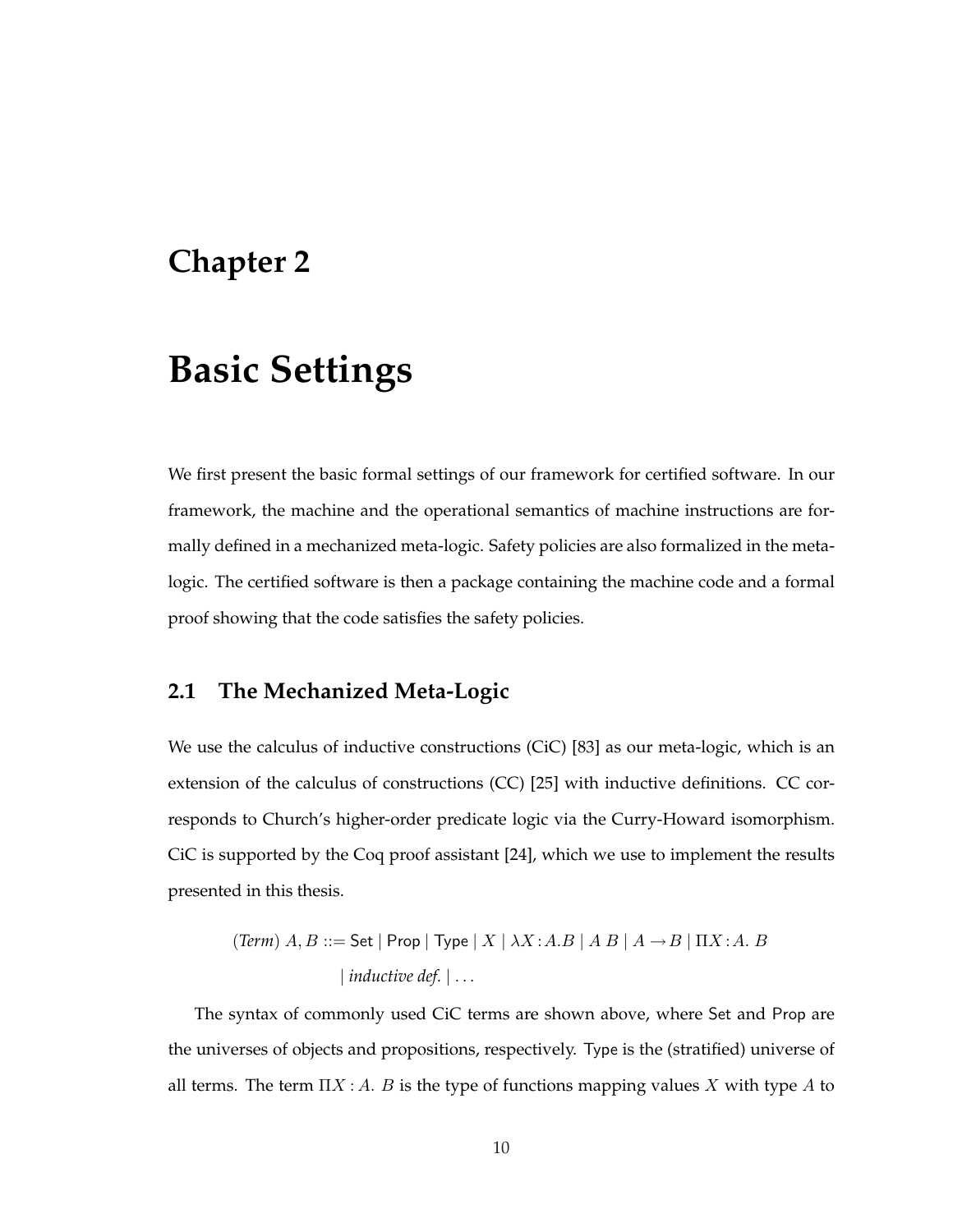### **Chapter 2**

# **Basic Settings**

We first present the basic formal settings of our framework for certified software. In our framework, the machine and the operational semantics of machine instructions are formally defined in a mechanized meta-logic. Safety policies are also formalized in the metalogic. The certified software is then a package containing the machine code and a formal proof showing that the code satisfies the safety policies.

### **2.1 The Mechanized Meta-Logic**

We use the calculus of inductive constructions (CiC) [83] as our meta-logic, which is an extension of the calculus of constructions (CC) [25] with inductive definitions. CC corresponds to Church's higher-order predicate logic via the Curry-Howard isomorphism. CiC is supported by the Coq proof assistant [24], which we use to implement the results presented in this thesis.

$$
(\text{Term}) \ A, B ::= \mathsf{Set} \ | \ \mathsf{Prop} \ | \ \mathsf{Type} \ | \ X \ | \ \lambda X : A.B \ | \ A \ B \ | \ A \rightarrow B \ | \ \Pi X : A. \ B
$$
\n
$$
| \ \text{inductive def.} \ | \ \dots
$$

The syntax of commonly used CiC terms are shown above, where Set and Prop are the universes of objects and propositions, respectively. Type is the (stratified) universe of all terms. The term  $\Pi X : A$ . B is the type of functions mapping values X with type A to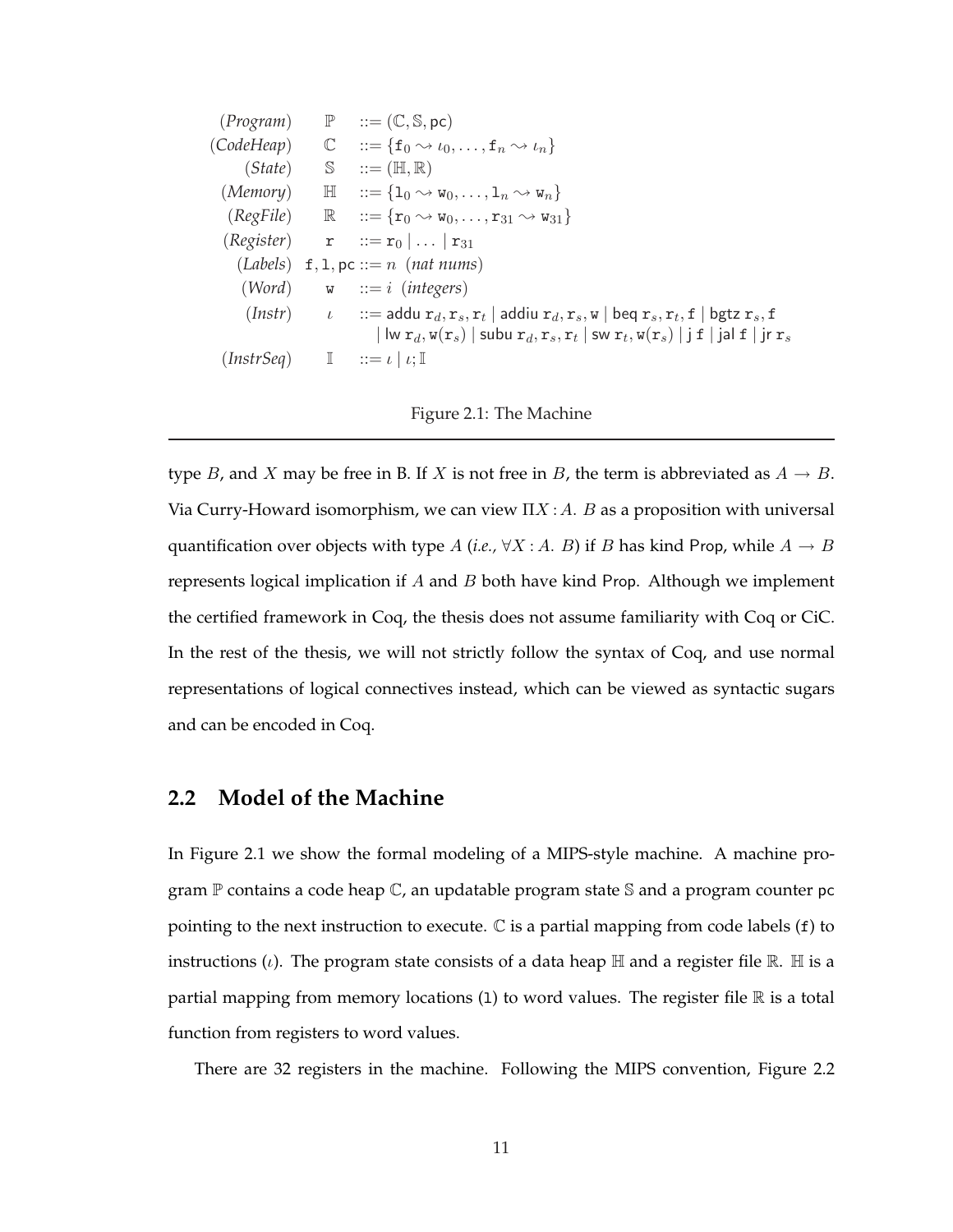$(Program) \qquad P \qquad ::= (\mathbb{C}, \mathbb{S}, \text{pc})$  $(CodeHeap) \quad \mathbb{C} \quad ::= \{\mathbf{f}_0 \leadsto \iota_0, \ldots, \mathbf{f}_n \leadsto \iota_n\}$  $(State)$   $\mathbb{S}$   $::=(\mathbb{H},\mathbb{R})$ (*Memory*)  $\mathbb{H}$   $::=\{1_0 \rightsquigarrow w_0, \ldots, 1_n \rightsquigarrow w_n\}$  $(RegFile)$   $\mathbb{R}$   $::=\{r_0 \rightsquigarrow w_0, \ldots, r_{31} \rightsquigarrow w_{31}\}$  $(Register)$  **r**  $:= \mathbf{r}_0 | \dots | \mathbf{r}_{31}$  $(Labels)$  f, 1, pc ::= n (nat nums) (*Word*) w ::= i (*integers*)  $(Insert)$   $\iota$   $::=$  addu  $r_d, r_s, r_t$  | addiu  $r_d, r_s, w$  | beq  $r_s, r_t, f$  | bgtz  $r_s, f$  $\vert\,\vert$  lw  $\mathtt{r}_d,$   $\mathtt{w}(\mathtt{r}_s)\mid$  subu  $\mathtt{r}_d,$   $\mathtt{r}_s,$   $\mathtt{r}_t\mid$  sw  $\mathtt{r}_t,$   $\mathtt{w}(\mathtt{r}_s)\mid$   $\texttt{j}$   $\mathtt{f}\mid$   $\texttt{j}$ al  $\mathtt{f}\mid$   $\texttt{j}$ r  $\mathtt{r}_s$  $(InstrSeq)$   $\mathbb{I}$   $::= \iota | \iota; \mathbb{I}$ 

#### Figure 2.1: The Machine

type B, and X may be free in B. If X is not free in B, the term is abbreviated as  $A \rightarrow B$ . Via Curry-Howard isomorphism, we can view  $\Pi X : A \cdot B$  as a proposition with universal quantification over objects with type A (*i.e.*,  $\forall X : A$ . B) if B has kind Prop, while  $A \rightarrow B$ represents logical implication if  $A$  and  $B$  both have kind Prop. Although we implement the certified framework in Coq, the thesis does not assume familiarity with Coq or CiC. In the rest of the thesis, we will not strictly follow the syntax of Coq, and use normal representations of logical connectives instead, which can be viewed as syntactic sugars and can be encoded in Coq.

#### **2.2 Model of the Machine**

In Figure 2.1 we show the formal modeling of a MIPS-style machine. A machine program  $\mathbb P$  contains a code heap  $\mathbb C$ , an updatable program state S and a program counter pc pointing to the next instruction to execute.  $\mathbb C$  is a partial mapping from code labels (f) to instructions (*i*). The program state consists of a data heap  $\mathbb H$  and a register file  $\mathbb R$ .  $\mathbb H$  is a partial mapping from memory locations  $(1)$  to word values. The register file  $\mathbb R$  is a total function from registers to word values.

There are 32 registers in the machine. Following the MIPS convention, Figure 2.2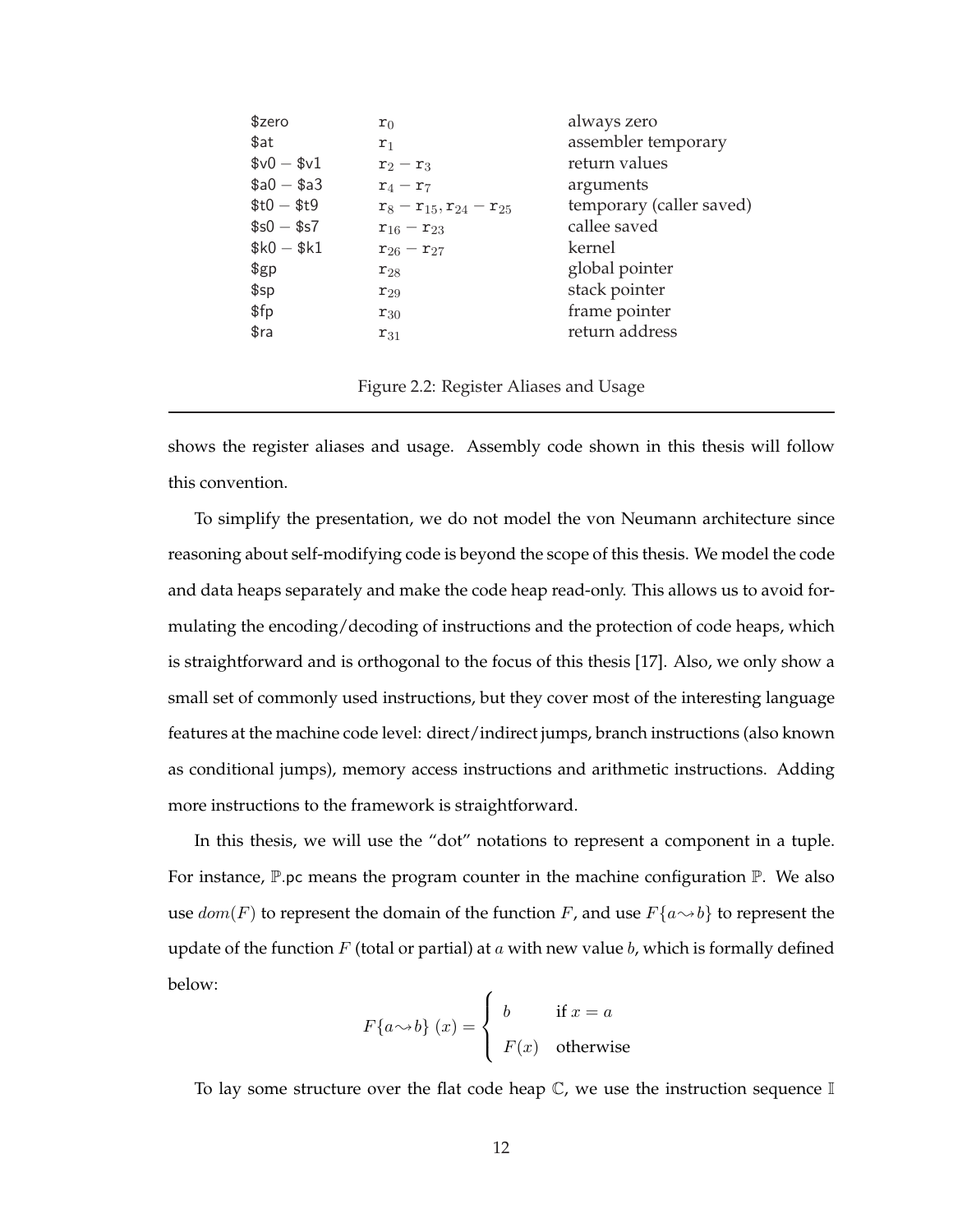| \$zero        | $r_0$                              | always zero              |
|---------------|------------------------------------|--------------------------|
| \$at          | $r_1$                              | assembler temporary      |
| $$v0 - $v1$   | $r_2 - r_3$                        | return values            |
| $$a0 - $a3$   | $r_4-r_7$                          | arguments                |
| $$t0 - $t9$   | $r_8 - r_{15}$ , $r_{24} - r_{25}$ | temporary (caller saved) |
| $$s0 - $s7$   | $r_{16} - r_{23}$                  | callee saved             |
| $$k0 - $k1$   | $r_{26} - r_{27}$                  | kernel                   |
| $\frac{6}{2}$ | $r_{28}$                           | global pointer           |
| \$sp          | $r_{29}$                           | stack pointer            |
| \$fp          | $r_{30}$                           | frame pointer            |
| \$ra          | $r_{31}$                           | return address           |
|               |                                    |                          |

Figure 2.2: Register Aliases and Usage

shows the register aliases and usage. Assembly code shown in this thesis will follow this convention.

To simplify the presentation, we do not model the von Neumann architecture since reasoning about self-modifying code is beyond the scope of this thesis. We model the code and data heaps separately and make the code heap read-only. This allows us to avoid formulating the encoding/decoding of instructions and the protection of code heaps, which is straightforward and is orthogonal to the focus of this thesis [17]. Also, we only show a small set of commonly used instructions, but they cover most of the interesting language features at the machine code level: direct/indirect jumps, branch instructions (also known as conditional jumps), memory access instructions and arithmetic instructions. Adding more instructions to the framework is straightforward.

In this thesis, we will use the "dot" notations to represent a component in a tuple. For instance,  $\mathbb{P}$ .pc means the program counter in the machine configuration  $\mathbb{P}$ . We also use  $dom(F)$  to represent the domain of the function  $F$ , and use  $F\{a \rightarrow b\}$  to represent the update of the function  $F$  (total or partial) at  $a$  with new value  $b$ , which is formally defined below:  $\overline{a}$ 

$$
F\{a \rightarrow b\} (x) = \begin{cases} b & \text{if } x = a \\ F(x) & \text{otherwise} \end{cases}
$$

To lay some structure over the flat code heap  $\mathbb C$ , we use the instruction sequence  $\mathbb I$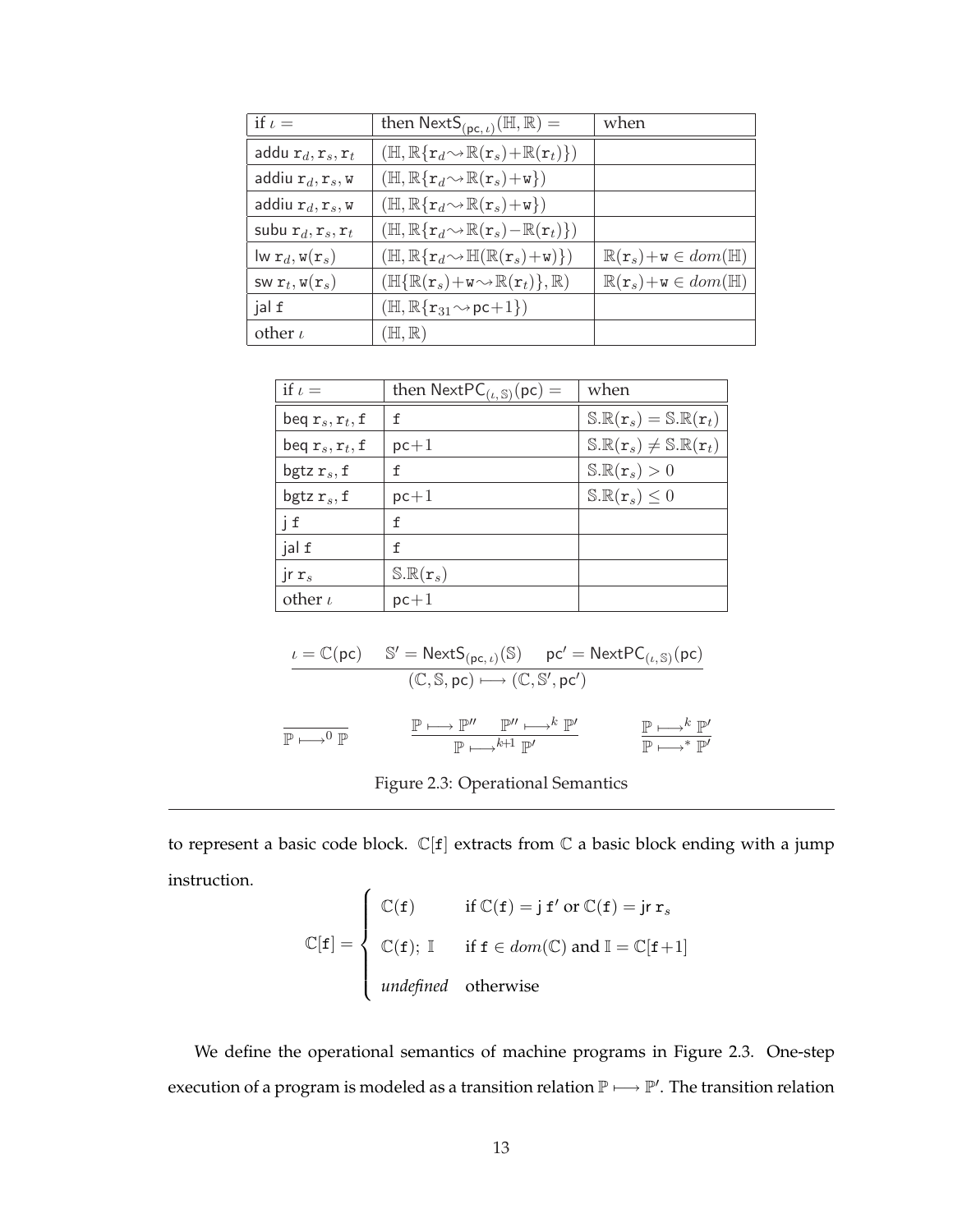| if $\iota$ =                                          | then $NextS_{(pc, t)}(\mathbb{H}, \mathbb{R}) =$                                                        | when                                                     |
|-------------------------------------------------------|---------------------------------------------------------------------------------------------------------|----------------------------------------------------------|
| addu $r_d, r_s, r_t$                                  | $(\mathbb{H}, \mathbb{R}\{\mathbf{r}_d \sim \mathbb{R}(\mathbf{r}_s) + \mathbb{R}(\mathbf{r}_t)\})$     |                                                          |
| addiu $r_d, r_s, w$                                   | $(\mathbb{H}, \mathbb{R}\{\mathbf{r}_d \sim \mathbb{R}(\mathbf{r}_s) + \mathbf{w}\})$                   |                                                          |
| addiu $r_d, r_s, w$                                   | $(\mathbb{H}, \mathbb{R}\{\mathbf{r}_d \sim \mathbb{R}(\mathbf{r}_s) + \mathbf{w}\})$                   |                                                          |
| subu $r_d, r_s, r_t$                                  | $(\mathbb{H}, \mathbb{R}\{\mathbf{r}_d\!\sim\!\mathbb{R}(\mathbf{r}_s)\!-\!\mathbb{R}(\mathbf{r}_t)\})$ |                                                          |
| $\mathsf{lw}\ \mathtt{r}_d, \mathtt{w}(\mathtt{r}_s)$ | $(\mathbb{H}, \mathbb{R}\{\mathbf{r}_d \sim \mathbb{H}(\mathbb{R}(\mathbf{r}_s)+\mathbf{w})\})$         | $\mathbb{R}(\mathbf{r}_s)+\mathbf{w}\in dom(\mathbb{H})$ |
| SW $r_t$ , $\mathbf{w}(\mathbf{r}_s)$                 | $(\mathbb{H}{\rm \{R}(\mathbf{r}_s)+\mathtt{w}\mathord{\sim}\mathbb{R}(\mathbf{r}_t)\},\mathbb{R})$     | $\mathbb{R}(\mathbf{r}_s)+\mathbf{w}\in dom(\mathbb{H})$ |
| jal f                                                 | $(\mathbb{H}, \mathbb{R}\{r_{31} \sim pc+1\})$                                                          |                                                          |
| other $\iota$                                         | $(H, \mathbb{R})$                                                                                       |                                                          |

| if $\iota$ =      | then $NextPC_{(\iota, \mathbb{S})}(pc) =$ | when                                                         |
|-------------------|-------------------------------------------|--------------------------------------------------------------|
| beq $r_s, r_t, f$ | f                                         | $\mathbb{S.R}(\mathbf{r}_s) = \mathbb{S.R}(\mathbf{r}_t)$    |
| beq $r_s, r_t, f$ | $pc+1$                                    | $\mathbb{S.R}(\mathbf{r}_s) \neq \mathbb{S.R}(\mathbf{r}_t)$ |
| bgtz $r_s$ , f    | f                                         | $\mathbb{S.R}(\mathbf{r}_s)>0$                               |
| bgtz $r_s$ , f    | $pc+1$                                    | $\mathbb{S.R}(\mathbf{r}_s) \leq 0$                          |
| j f               | f                                         |                                                              |
| jal f             | f                                         |                                                              |
| $\int r s$        | $\mathbb{S.R}(\mathbf{r}_s)$              |                                                              |
| other $\iota$     | $pc+1$                                    |                                                              |

$$
\begin{array}{lll} \displaystyle \iota = \mathbb{C}(\mathsf{pc}) & \mathbb{S}' = \mathsf{NextS}_{(\mathsf{pc}, \iota)}(\mathbb{S}) & \mathsf{pc}' = \mathsf{NextPC}_{(\iota, \mathbb{S})}(\mathsf{pc}) \\ & (\mathbb{C}, \mathbb{S}, \mathsf{pc}) \longmapsto (\mathbb{C}, \mathbb{S}', \mathsf{pc}') \\ \\ \end{array}
$$

 $\mathbb{P} \longmapsto^{k+1} \mathbb{P}'$ 

| Figure 2.3: Operational Semantics |  |
|-----------------------------------|--|
|                                   |  |

to represent a basic code block.  $\mathbb{C}[f]$  extracts from  $\mathbb C$  a basic block ending with a jump instruction.  $\overline{ }$ 

$$
\mathbb{C}[\mathbf{f}] = \begin{cases} \mathbb{C}(\mathbf{f}) & \text{if } \mathbb{C}(\mathbf{f}) = \mathbf{j} \mathbf{f}' \text{ or } \mathbb{C}(\mathbf{f}) = \mathbf{j} \mathbf{r} \mathbf{r}_s \\ \mathbb{C}(\mathbf{f}); \mathbb{I} & \text{if } \mathbf{f} \in dom(\mathbb{C}) \text{ and } \mathbb{I} = \mathbb{C}[\mathbf{f} + 1] \\ \text{undefined} & \text{otherwise} \end{cases}
$$

We define the operational semantics of machine programs in Figure 2.3. One-step execution of a program is modeled as a transition relation  $\mathbb{P} \longmapsto \mathbb{P}'$ . The transition relation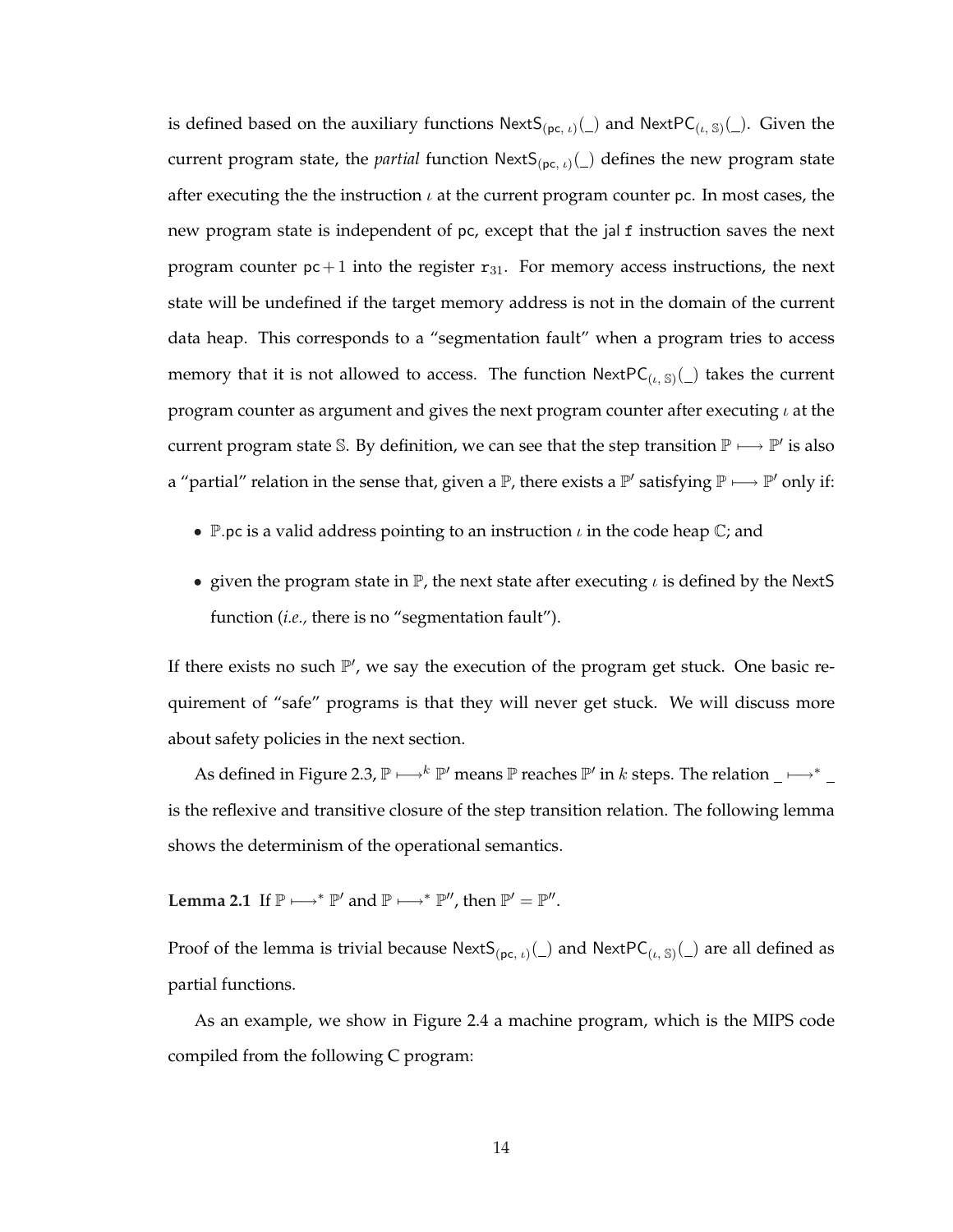is defined based on the auxiliary functions  $NextS_{(pc, t)}(\_)$  and  $NextPC_{(t, S)}(\_)$ . Given the current program state, the *partial* function  ${\sf NextS}_{(pc, t)}(\_)$  defines the new program state after executing the the instruction  $\iota$  at the current program counter pc. In most cases, the new program state is independent of pc, except that the jal f instruction saves the next program counter  $pc + 1$  into the register  $r_{31}$ . For memory access instructions, the next state will be undefined if the target memory address is not in the domain of the current data heap. This corresponds to a "segmentation fault" when a program tries to access memory that it is not allowed to access. The function  ${\sf NextPC}_{(\iota,\, \mathbb S)}(\_)$  takes the current program counter as argument and gives the next program counter after executing  $\iota$  at the current program state S. By definition, we can see that the step transition  $\mathbb{P} \longmapsto \mathbb{P}'$  is also a "partial" relation in the sense that, given a  $\mathbb P$ , there exists a  $\mathbb P'$  satisfying  $\mathbb P \longmapsto \mathbb P'$  only if:

- P.pc is a valid address pointing to an instruction  $\iota$  in the code heap  $\mathbb{C}$ ; and
- given the program state in  $\mathbb{P}$ , the next state after executing  $\iota$  is defined by the NextS function (*i.e.,* there is no "segmentation fault").

If there exists no such  $\mathbb{P}'$ , we say the execution of the program get stuck. One basic requirement of "safe" programs is that they will never get stuck. We will discuss more about safety policies in the next section.

As defined in Figure 2.3,  $\mathbb{P} \longmapsto k \mathbb{P}'$  means  $\mathbb P$  reaches  $\mathbb{P}'$  in k steps. The relation \_ $\longmapsto^*$ is the reflexive and transitive closure of the step transition relation. The following lemma shows the determinism of the operational semantics.

**Lemma 2.1** If  $\mathbb{P} \longrightarrow^* \mathbb{P}'$  and  $\mathbb{P} \longmapsto^* \mathbb{P}''$ , then  $\mathbb{P}' = \mathbb{P}''$ .

Proof of the lemma is trivial because NextS<sub>(pc, *i*)(\_)</sub> and NextPC<sub>(*i*, S)</sub>(\_) are all defined as partial functions.

As an example, we show in Figure 2.4 a machine program, which is the MIPS code compiled from the following C program: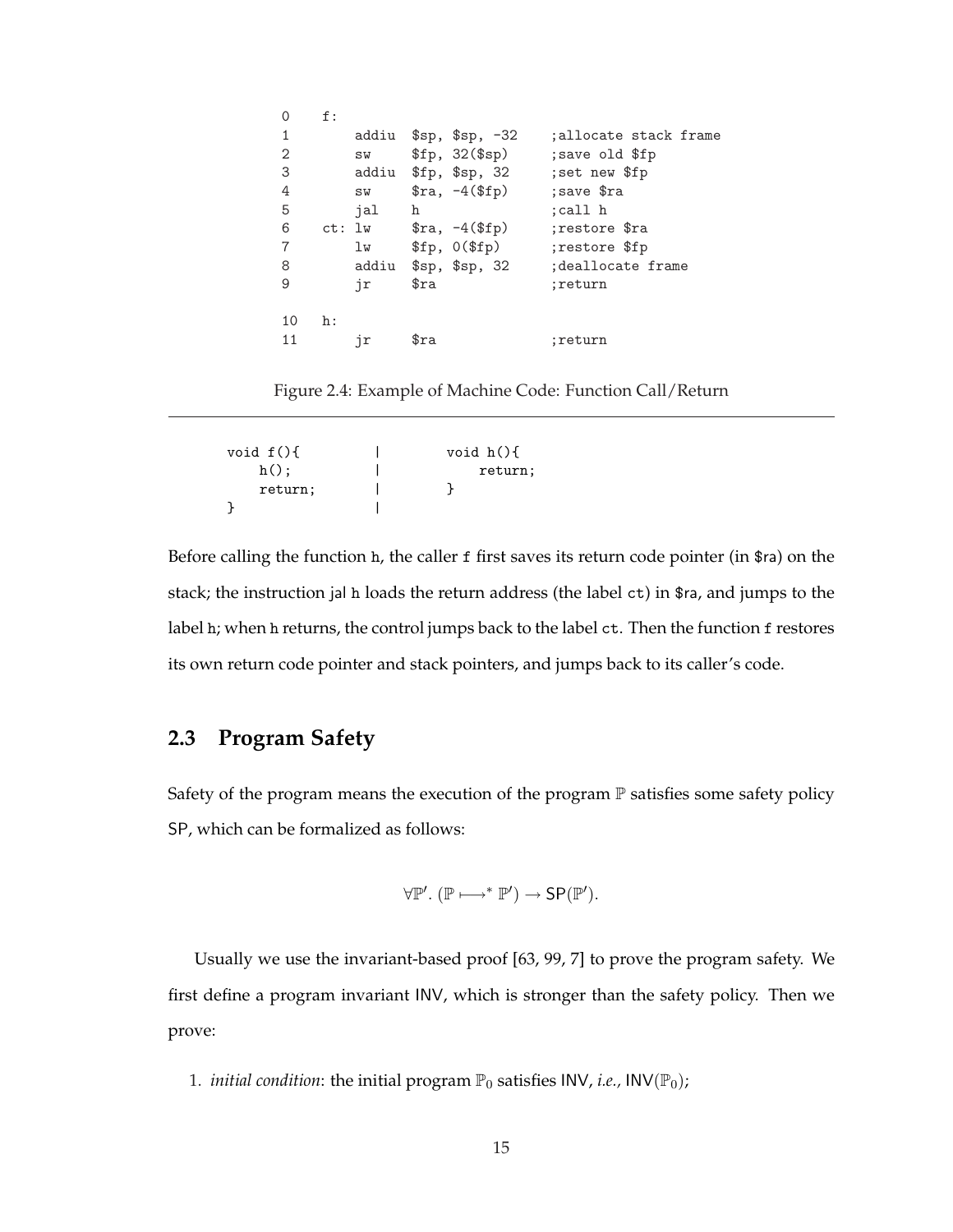| $\Omega$       | f: |        |                         |                       |
|----------------|----|--------|-------------------------|-----------------------|
| $\mathbf{1}$   |    | addiu  | $$sp, $sp, -32$         | ;allocate stack frame |
| 2              |    | SW     | \$fp, 32 (\$sp)         | save old \$fp;        |
| 3              |    | addiu  | \$fp, \$sp, 32\$        | ; set new \$fp        |
| 4              |    | SW     | $\text{$ra, -4 ($fp)$}$ | ; save \$ra           |
| 5              |    | ial    | h                       | :call h               |
| 6              |    | ct: 1w | $\text{$ra, -4 ($fp)$}$ | :restore \$ra         |
| $\overline{7}$ |    | lw     | \$fp, 0 (\$fp\$)        | restore \$fp:         |
| 8              |    | addiu  | $s_p, s_p, 32$          | deallocate frame;     |
| 9              |    | jr     | $\texttt{Sra}$          | :return               |
|                |    |        |                         |                       |
| 10             | h: |        |                         |                       |
| 11             |    | ήr     | $\texttt{Sra}$          | :return               |
|                |    |        |                         |                       |

Figure 2.4: Example of Machine Code: Function Call/Return

| void $f()$ | void $h()$ { |
|------------|--------------|
| $h()$ :    | return;      |
| return;    |              |
|            |              |

Before calling the function h, the caller f first saves its return code pointer (in \$ra) on the stack; the instruction jal h loads the return address (the label ct) in \$ra, and jumps to the label h; when h returns, the control jumps back to the label ct. Then the function f restores its own return code pointer and stack pointers, and jumps back to its caller's code.

### **2.3 Program Safety**

Safety of the program means the execution of the program  $\mathbb P$  satisfies some safety policy SP, which can be formalized as follows:

$$
\forall \mathbb{P}'. (\mathbb{P} \longmapsto^* \mathbb{P}') \rightarrow SP(\mathbb{P}').
$$

Usually we use the invariant-based proof [63, 99, 7] to prove the program safety. We first define a program invariant INV, which is stronger than the safety policy. Then we prove:

1. *initial condition*: the initial program  $\mathbb{P}_0$  satisfies INV, *i.e.*, INV( $\mathbb{P}_0$ );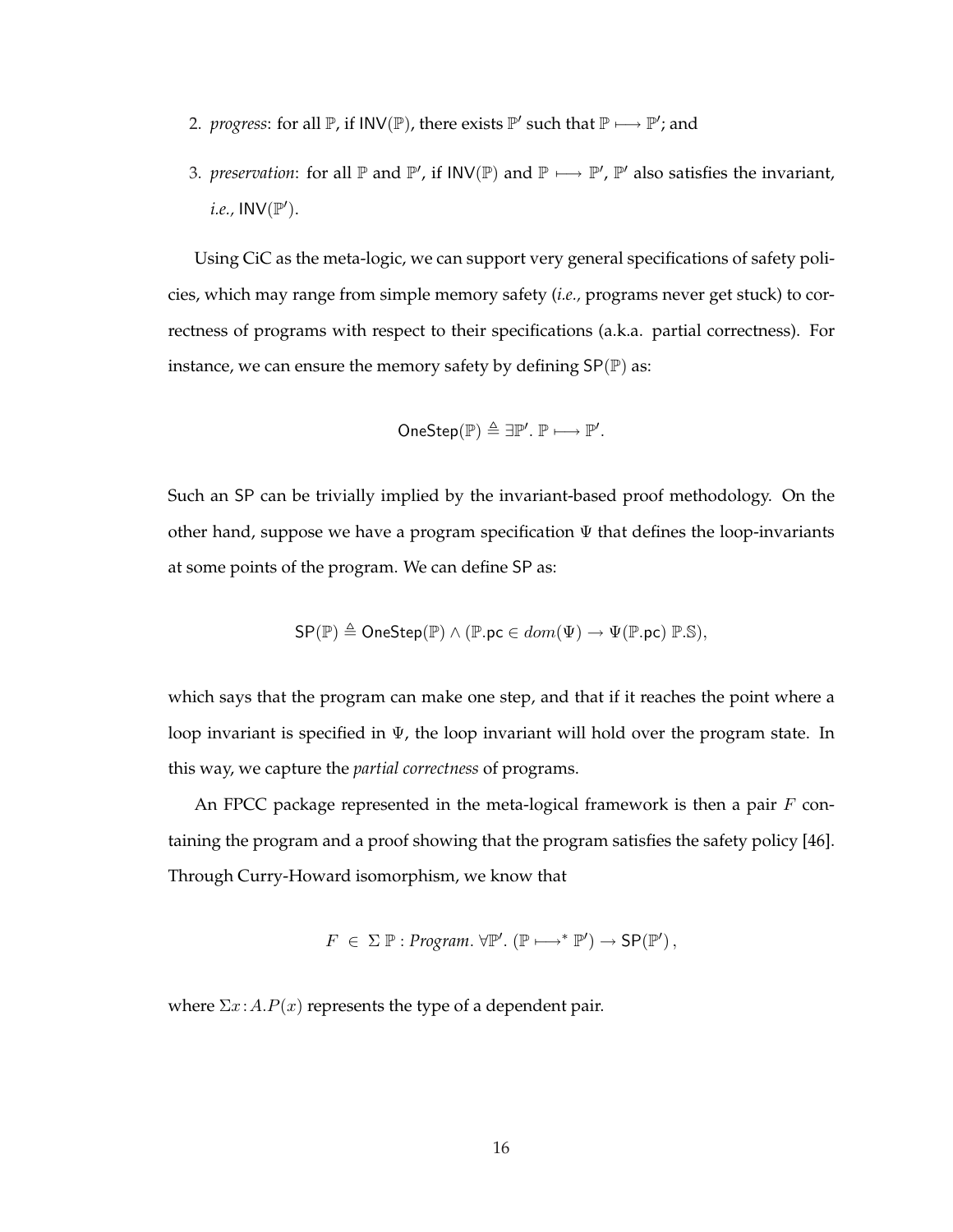- 2. *progress*: for all  $\mathbb{P}$ , if  $INV(\mathbb{P})$ , there exists  $\mathbb{P}'$  such that  $\mathbb{P} \longmapsto \mathbb{P}'$ ; and
- 3. *preservation*: for all  $\mathbb P$  and  $\mathbb P'$ , if  $INV(\mathbb P)$  and  $\mathbb P \longmapsto \mathbb P'$ ,  $\mathbb P'$  also satisfies the invariant, *i.e.*,  $INV(\mathbb{P}^{\prime}).$

Using CiC as the meta-logic, we can support very general specifications of safety policies, which may range from simple memory safety (*i.e.,* programs never get stuck) to correctness of programs with respect to their specifications (a.k.a. partial correctness). For instance, we can ensure the memory safety by defining  $SP(\mathbb{P})$  as:

$$
\mathsf{OneStep}(\mathbb{P}) \triangleq \exists \mathbb{P}'. \mathbb{P} \longmapsto \mathbb{P}'.
$$

Such an SP can be trivially implied by the invariant-based proof methodology. On the other hand, suppose we have a program specification  $\Psi$  that defines the loop-invariants at some points of the program. We can define SP as:

$$
\mathsf{SP}(\mathbb{P}) \triangleq \mathsf{OneStep}(\mathbb{P}) \land (\mathbb{P}.\mathsf{pc} \in dom(\Psi) \rightarrow \Psi(\mathbb{P}.\mathsf{pc}) \mathbb{P}.\mathbb{S}),
$$

which says that the program can make one step, and that if it reaches the point where a loop invariant is specified in  $\Psi$ , the loop invariant will hold over the program state. In this way, we capture the *partial correctness* of programs.

An FPCC package represented in the meta-logical framework is then a pair  $F$  containing the program and a proof showing that the program satisfies the safety policy [46]. Through Curry-Howard isomorphism, we know that

$$
F \in \Sigma \mathbb{P} : Program. \forall \mathbb{P}'. (\mathbb{P} \mapsto^* \mathbb{P}') \rightarrow SP(\mathbb{P}'),
$$

where  $\Sigma x$ :  $A.P(x)$  represents the type of a dependent pair.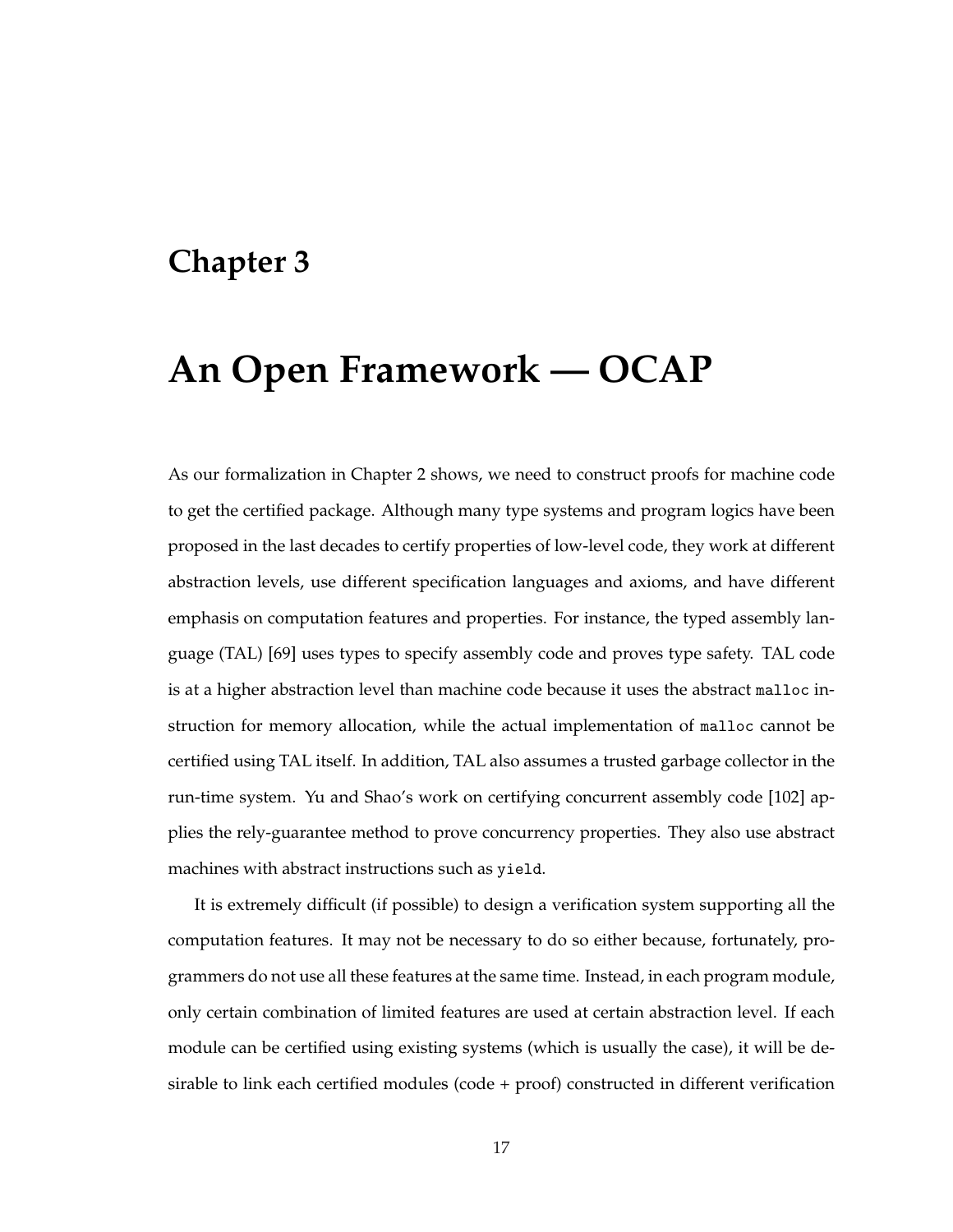### **Chapter 3**

# **An Open Framework — OCAP**

As our formalization in Chapter 2 shows, we need to construct proofs for machine code to get the certified package. Although many type systems and program logics have been proposed in the last decades to certify properties of low-level code, they work at different abstraction levels, use different specification languages and axioms, and have different emphasis on computation features and properties. For instance, the typed assembly language (TAL) [69] uses types to specify assembly code and proves type safety. TAL code is at a higher abstraction level than machine code because it uses the abstract malloc instruction for memory allocation, while the actual implementation of malloc cannot be certified using TAL itself. In addition, TAL also assumes a trusted garbage collector in the run-time system. Yu and Shao's work on certifying concurrent assembly code [102] applies the rely-guarantee method to prove concurrency properties. They also use abstract machines with abstract instructions such as yield.

It is extremely difficult (if possible) to design a verification system supporting all the computation features. It may not be necessary to do so either because, fortunately, programmers do not use all these features at the same time. Instead, in each program module, only certain combination of limited features are used at certain abstraction level. If each module can be certified using existing systems (which is usually the case), it will be desirable to link each certified modules (code + proof) constructed in different verification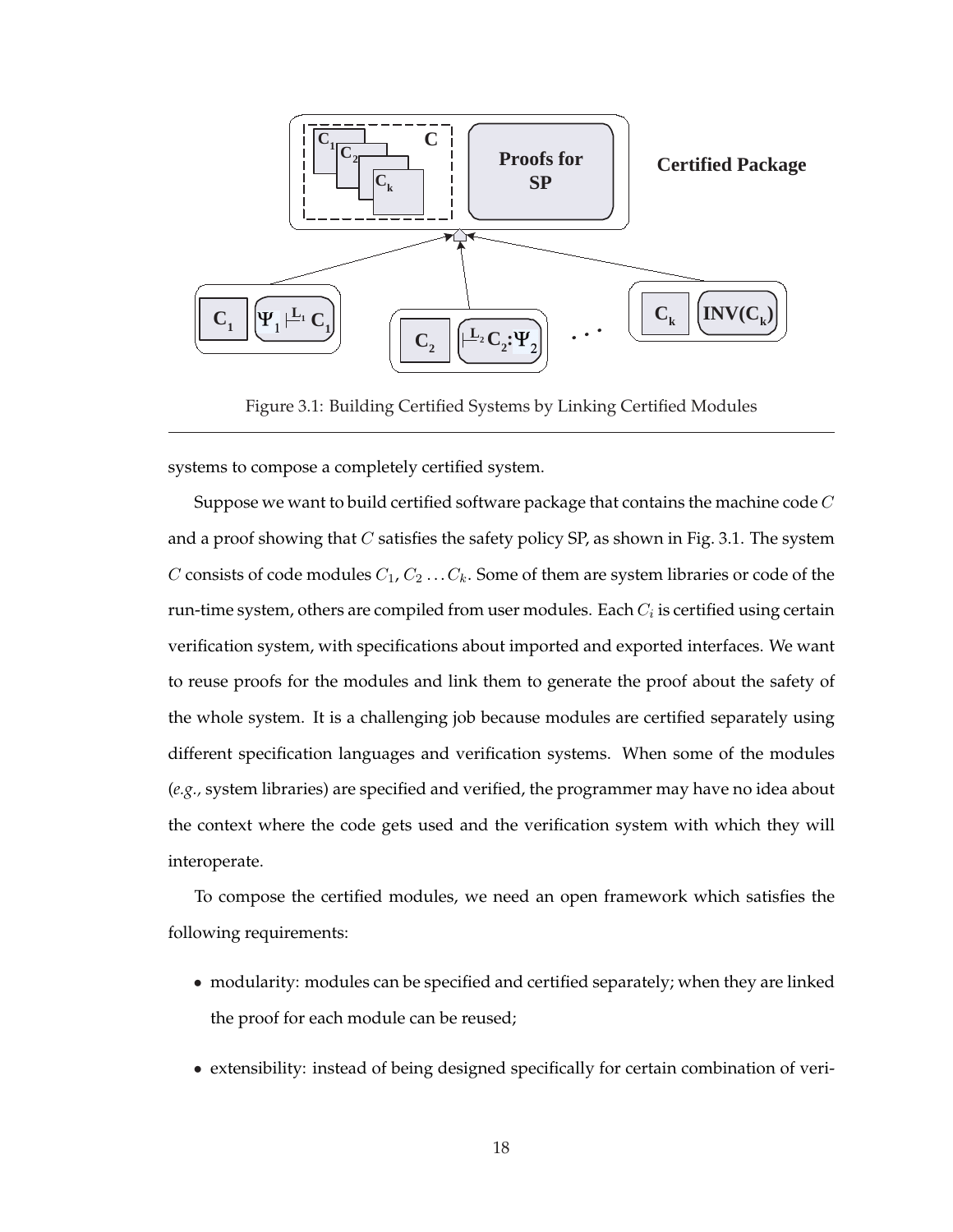

Figure 3.1: Building Certified Systems by Linking Certified Modules

systems to compose a completely certified system.

Suppose we want to build certified software package that contains the machine code  $C$ and a proof showing that  $C$  satisfies the safety policy SP, as shown in Fig. 3.1. The system C consists of code modules  $C_1, C_2 \ldots C_k$ . Some of them are system libraries or code of the run-time system, others are compiled from user modules. Each  $C_i$  is certified using certain verification system, with specifications about imported and exported interfaces. We want to reuse proofs for the modules and link them to generate the proof about the safety of the whole system. It is a challenging job because modules are certified separately using different specification languages and verification systems. When some of the modules (*e.g.,* system libraries) are specified and verified, the programmer may have no idea about the context where the code gets used and the verification system with which they will interoperate.

To compose the certified modules, we need an open framework which satisfies the following requirements:

- modularity: modules can be specified and certified separately; when they are linked the proof for each module can be reused;
- extensibility: instead of being designed specifically for certain combination of veri-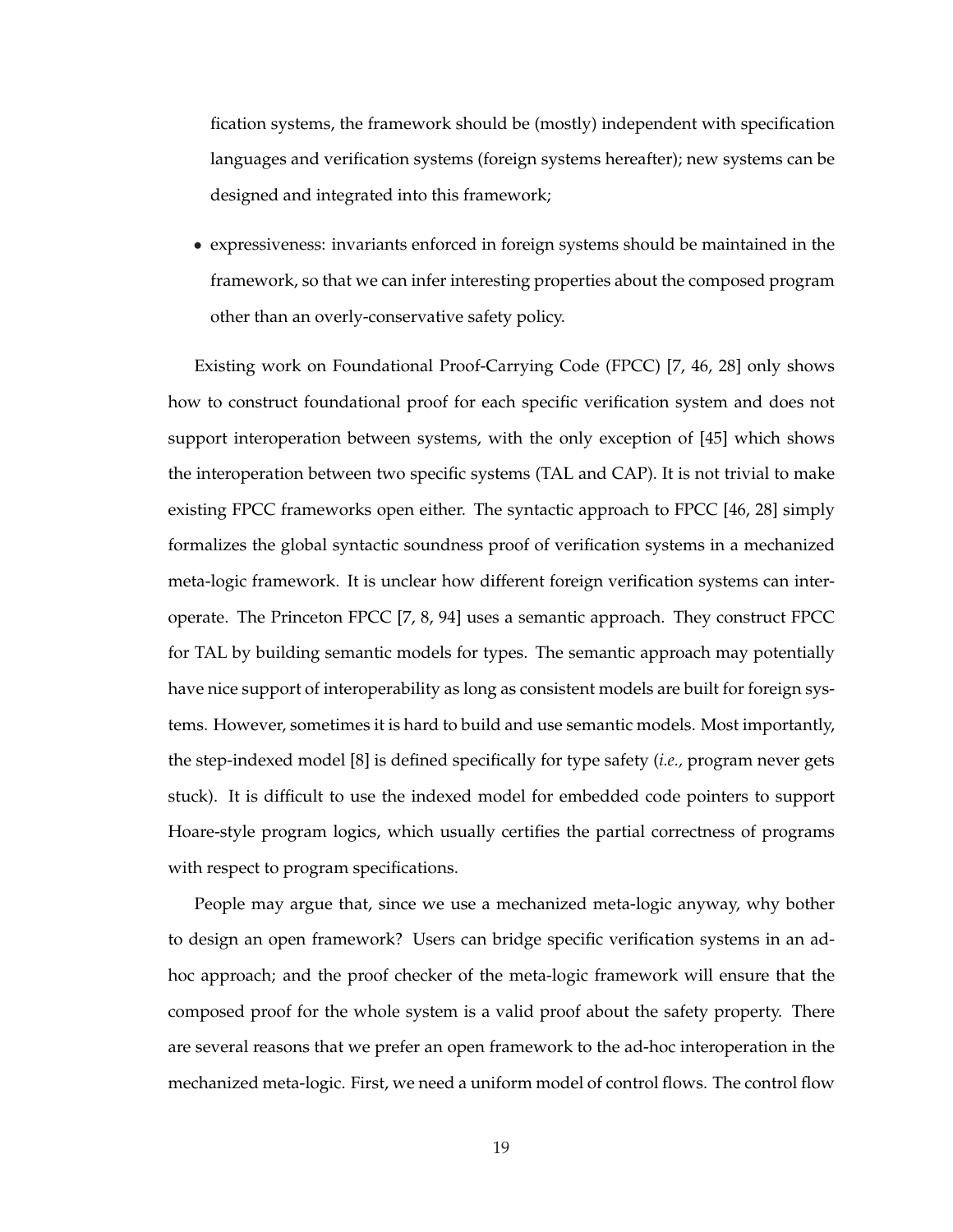fication systems, the framework should be (mostly) independent with specification languages and verification systems (foreign systems hereafter); new systems can be designed and integrated into this framework;

• expressiveness: invariants enforced in foreign systems should be maintained in the framework, so that we can infer interesting properties about the composed program other than an overly-conservative safety policy.

Existing work on Foundational Proof-Carrying Code (FPCC) [7, 46, 28] only shows how to construct foundational proof for each specific verification system and does not support interoperation between systems, with the only exception of [45] which shows the interoperation between two specific systems (TAL and CAP). It is not trivial to make existing FPCC frameworks open either. The syntactic approach to FPCC [46, 28] simply formalizes the global syntactic soundness proof of verification systems in a mechanized meta-logic framework. It is unclear how different foreign verification systems can interoperate. The Princeton FPCC [7, 8, 94] uses a semantic approach. They construct FPCC for TAL by building semantic models for types. The semantic approach may potentially have nice support of interoperability as long as consistent models are built for foreign systems. However, sometimes it is hard to build and use semantic models. Most importantly, the step-indexed model [8] is defined specifically for type safety (*i.e.,* program never gets stuck). It is difficult to use the indexed model for embedded code pointers to support Hoare-style program logics, which usually certifies the partial correctness of programs with respect to program specifications.

People may argue that, since we use a mechanized meta-logic anyway, why bother to design an open framework? Users can bridge specific verification systems in an adhoc approach; and the proof checker of the meta-logic framework will ensure that the composed proof for the whole system is a valid proof about the safety property. There are several reasons that we prefer an open framework to the ad-hoc interoperation in the mechanized meta-logic. First, we need a uniform model of control flows. The control flow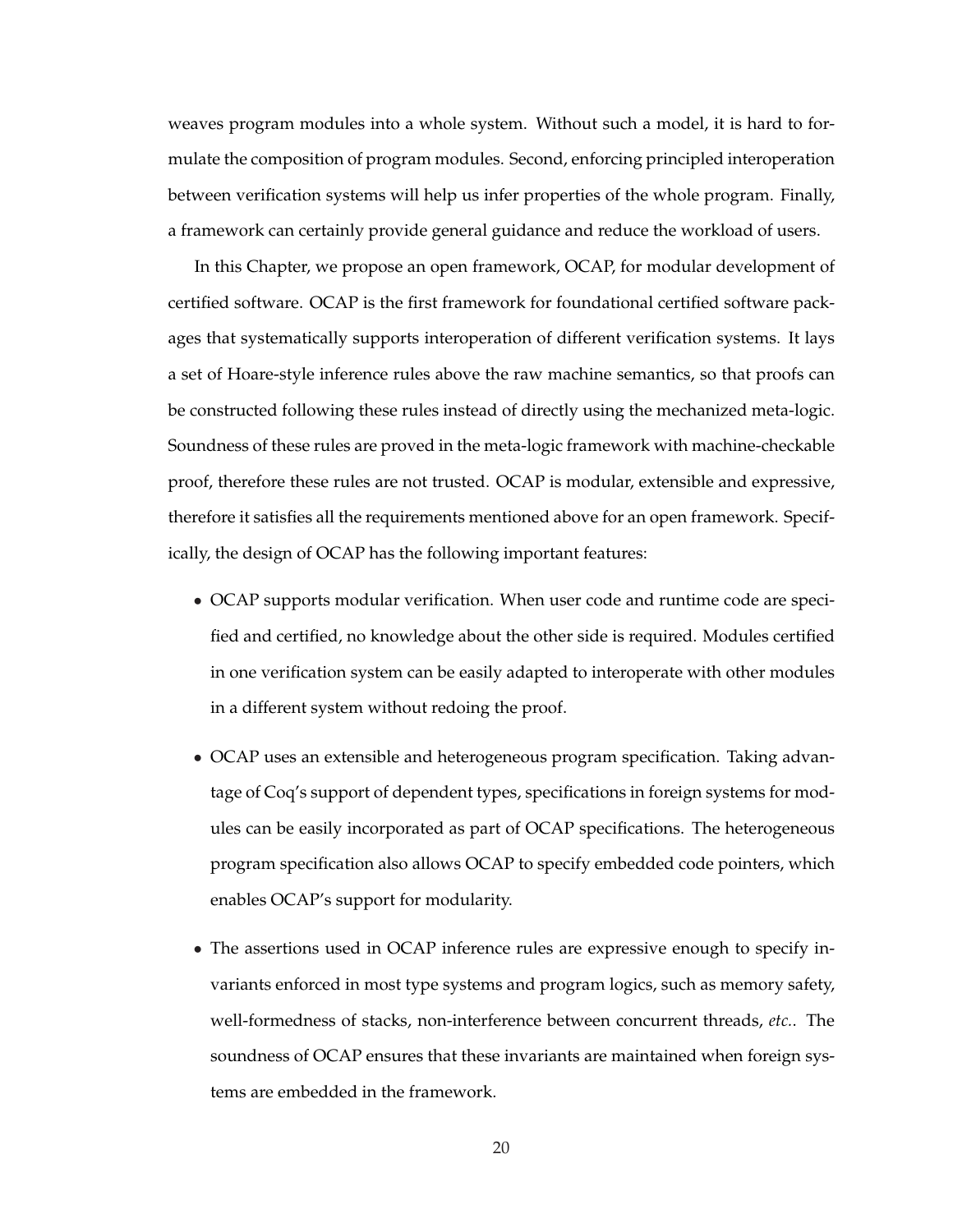weaves program modules into a whole system. Without such a model, it is hard to formulate the composition of program modules. Second, enforcing principled interoperation between verification systems will help us infer properties of the whole program. Finally, a framework can certainly provide general guidance and reduce the workload of users.

In this Chapter, we propose an open framework, OCAP, for modular development of certified software. OCAP is the first framework for foundational certified software packages that systematically supports interoperation of different verification systems. It lays a set of Hoare-style inference rules above the raw machine semantics, so that proofs can be constructed following these rules instead of directly using the mechanized meta-logic. Soundness of these rules are proved in the meta-logic framework with machine-checkable proof, therefore these rules are not trusted. OCAP is modular, extensible and expressive, therefore it satisfies all the requirements mentioned above for an open framework. Specifically, the design of OCAP has the following important features:

- OCAP supports modular verification. When user code and runtime code are specified and certified, no knowledge about the other side is required. Modules certified in one verification system can be easily adapted to interoperate with other modules in a different system without redoing the proof.
- OCAP uses an extensible and heterogeneous program specification. Taking advantage of Coq's support of dependent types, specifications in foreign systems for modules can be easily incorporated as part of OCAP specifications. The heterogeneous program specification also allows OCAP to specify embedded code pointers, which enables OCAP's support for modularity.
- The assertions used in OCAP inference rules are expressive enough to specify invariants enforced in most type systems and program logics, such as memory safety, well-formedness of stacks, non-interference between concurrent threads, *etc.*. The soundness of OCAP ensures that these invariants are maintained when foreign systems are embedded in the framework.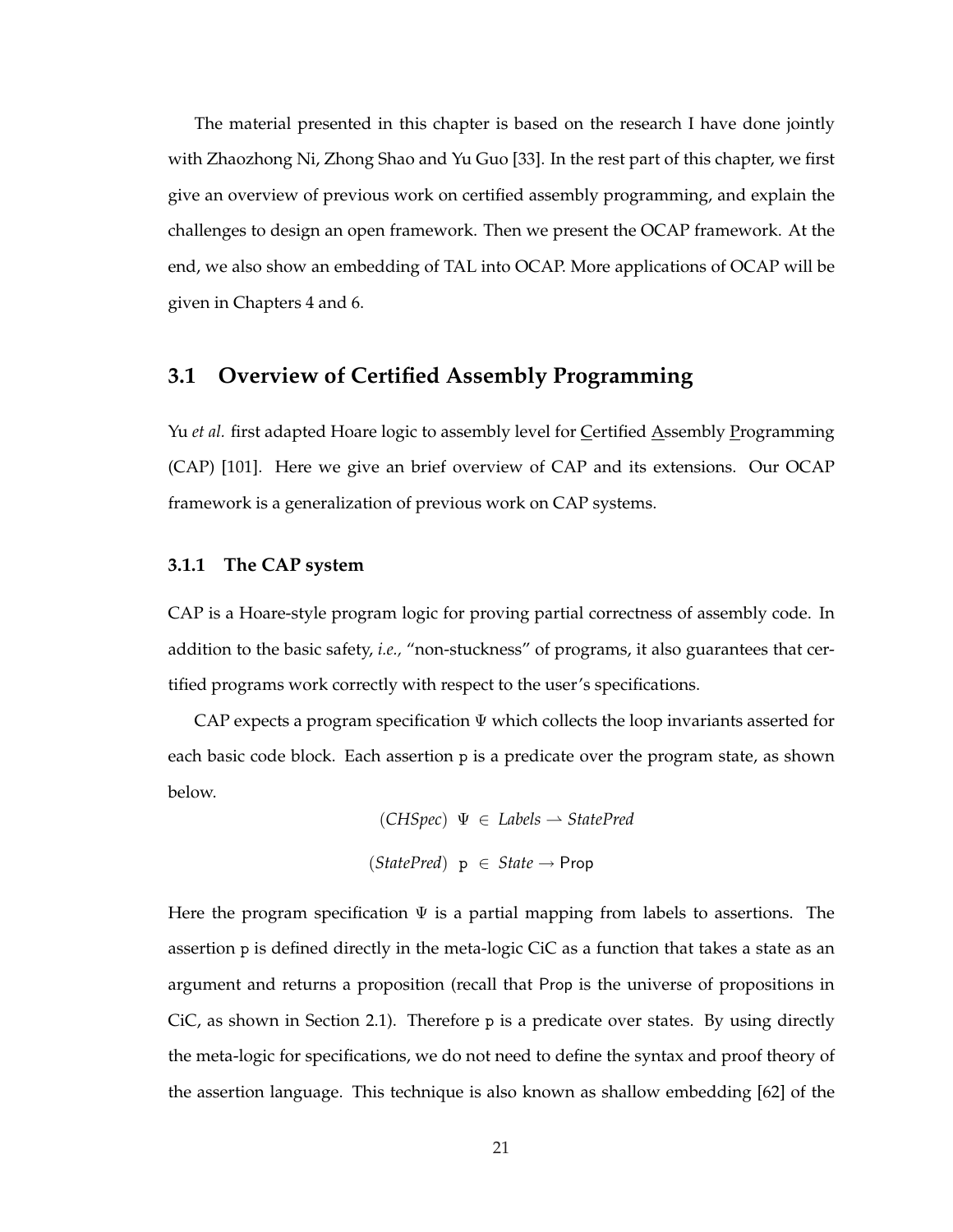The material presented in this chapter is based on the research I have done jointly with Zhaozhong Ni, Zhong Shao and Yu Guo [33]. In the rest part of this chapter, we first give an overview of previous work on certified assembly programming, and explain the challenges to design an open framework. Then we present the OCAP framework. At the end, we also show an embedding of TAL into OCAP. More applications of OCAP will be given in Chapters 4 and 6.

### **3.1 Overview of Certified Assembly Programming**

Yu *et al.* first adapted Hoare logic to assembly level for Certified Assembly Programming (CAP) [101]. Here we give an brief overview of CAP and its extensions. Our OCAP framework is a generalization of previous work on CAP systems.

#### **3.1.1 The CAP system**

CAP is a Hoare-style program logic for proving partial correctness of assembly code. In addition to the basic safety, *i.e.,* "non-stuckness" of programs, it also guarantees that certified programs work correctly with respect to the user's specifications.

CAP expects a program specification  $\Psi$  which collects the loop invariants asserted for each basic code block. Each assertion p is a predicate over the program state, as shown below.

> $(CHSpec) \Psi \in \text{Labels} \rightarrow \text{StatePred}$ (*StatePred*) p ∈ *State* → Prop

Here the program specification  $\Psi$  is a partial mapping from labels to assertions. The assertion p is defined directly in the meta-logic CiC as a function that takes a state as an argument and returns a proposition (recall that Prop is the universe of propositions in CiC, as shown in Section 2.1). Therefore  $p$  is a predicate over states. By using directly the meta-logic for specifications, we do not need to define the syntax and proof theory of the assertion language. This technique is also known as shallow embedding [62] of the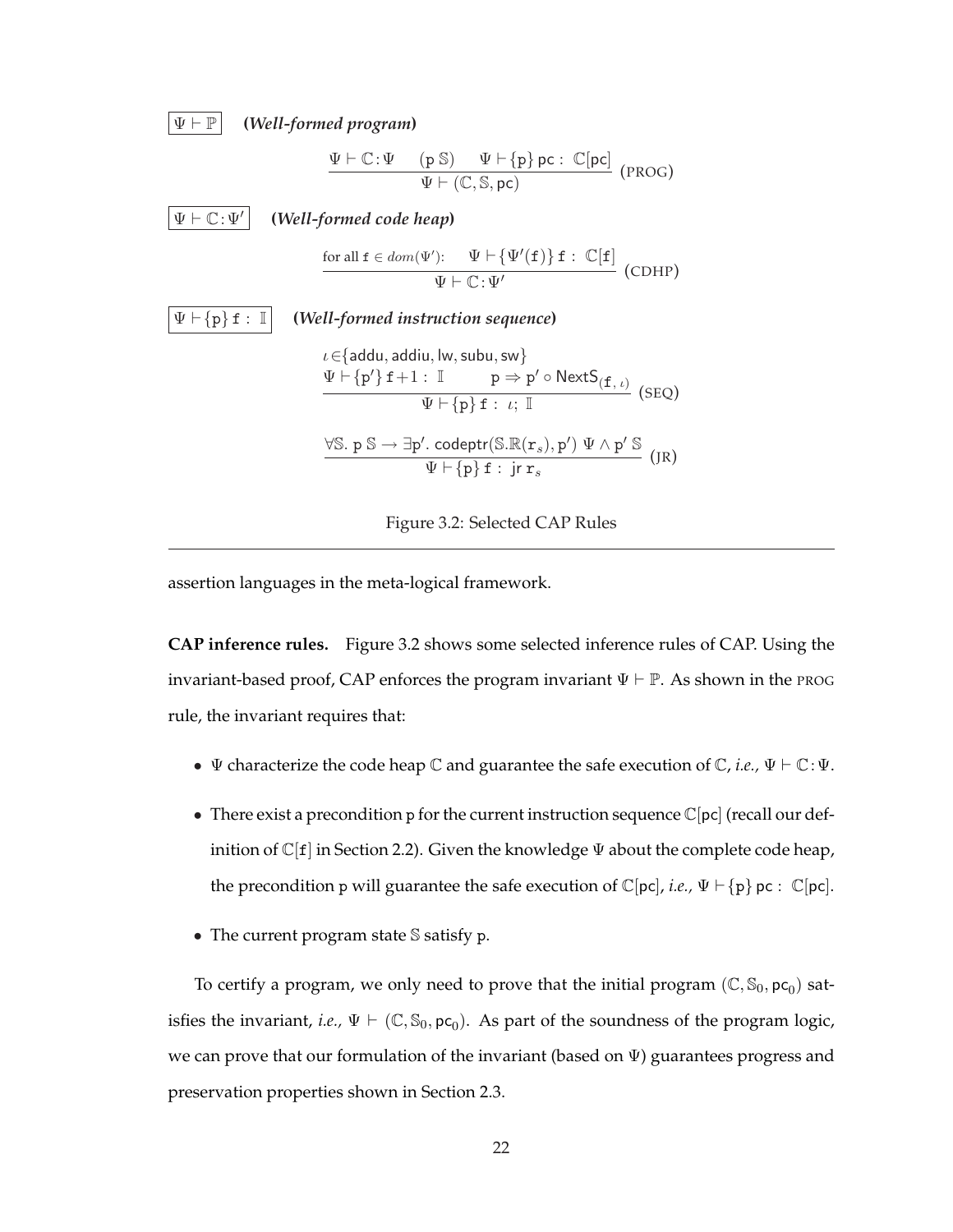



assertion languages in the meta-logical framework.

**CAP inference rules.** Figure 3.2 shows some selected inference rules of CAP. Using the invariant-based proof, CAP enforces the program invariant  $\Psi \vdash \mathbb{P}$ . As shown in the PROG rule, the invariant requires that:

- $\Psi$  characterize the code heap  $\mathbb C$  and guarantee the safe execution of  $\mathbb C$ *, i.e.*,  $\Psi \vdash \mathbb C$ :  $\Psi$ .
- There exist a precondition p for the current instruction sequence  $\mathbb{C}[\text{pc}]$  (recall our definition of  $\mathbb{C}[f]$  in Section 2.2). Given the knowledge  $\Psi$  about the complete code heap, the precondition p will guarantee the safe execution of  $\mathbb{C}[pc]$ , *i.e.*,  $\Psi \vdash \{p\}$  pc :  $\mathbb{C}[pc]$ .
- The current program state S satisfy p.

To certify a program, we only need to prove that the initial program  $(\mathbb{C}, \mathbb{S}_0, \mathsf{pc}_0)$  satisfies the invariant, *i.e.*,  $\Psi \vdash (\mathbb{C}, \mathbb{S}_0, \mathsf{pc}_0)$ . As part of the soundness of the program logic, we can prove that our formulation of the invariant (based on  $\Psi$ ) guarantees progress and preservation properties shown in Section 2.3.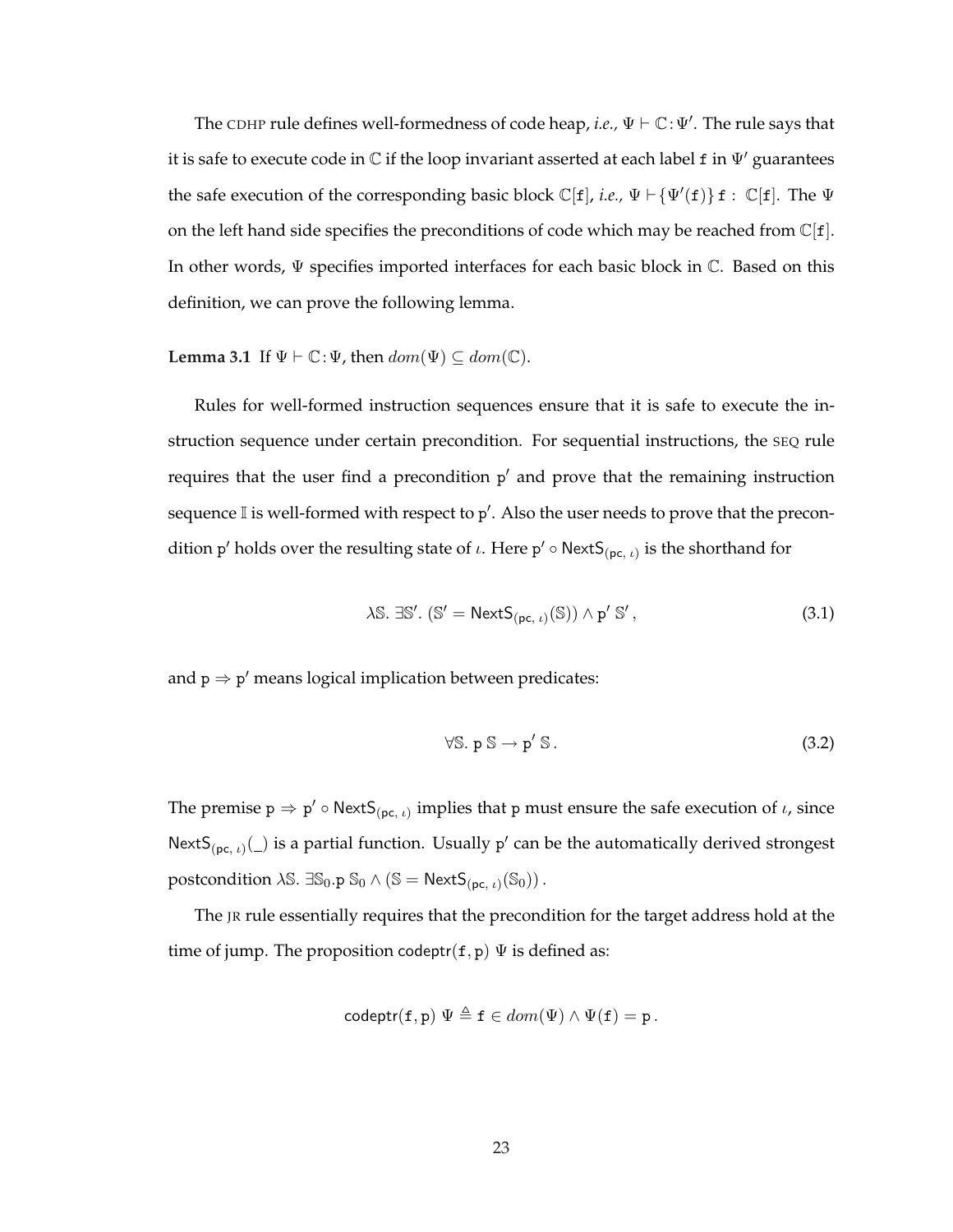The CDHP rule defines well-formedness of code heap, *i.e.*,  $\Psi \vdash \mathbb{C} \colon \Psi'$ . The rule says that it is safe to execute code in  $\mathbb C$  if the loop invariant asserted at each label f in  $\Psi'$  guarantees the safe execution of the corresponding basic block  $\mathbb{C}[f]$ , *i.e.*,  $\Psi \vdash {\Psi'(f)} f : \mathbb{C}[f]$ . The  $\Psi$ on the left hand side specifies the preconditions of code which may be reached from  $\mathbb{C}[f]$ . In other words, Ψ specifies imported interfaces for each basic block in C. Based on this definition, we can prove the following lemma.

**Lemma 3.1** If  $\Psi \vdash \mathbb{C} : \Psi$ , then  $dom(\Psi) \subseteq dom(\mathbb{C})$ .

Rules for well-formed instruction sequences ensure that it is safe to execute the instruction sequence under certain precondition. For sequential instructions, the SEQ rule requires that the user find a precondition p' and prove that the remaining instruction sequence I is well-formed with respect to  $p'$ . Also the user needs to prove that the precondition p' holds over the resulting state of  $\iota$ . Here p'  $\circ$  NextS<sub>(pc,  $\iota$ )</sub> is the shorthand for

$$
\lambda \mathbb{S}. \exists \mathbb{S}'. (\mathbb{S}' = \mathsf{NextS}_{(\mathsf{pc}, \iota)}(\mathbb{S})) \wedge \mathsf{p}' \mathbb{S}', \tag{3.1}
$$

and  $p \Rightarrow p'$  means logical implication between predicates:

$$
\forall \mathbb{S}. \ \mathsf{p} \ \mathbb{S} \to \mathsf{p}' \ \mathbb{S}. \tag{3.2}
$$

The premise  $p \Rightarrow p' \circ \text{NextS}_{(pc, t)}$  implies that p must ensure the safe execution of  $t$ , since NextS<sub>(pc, *i*)</sub>( $\Box$ ) is a partial function. Usually p' can be the automatically derived strongest postcondition  $\lambda \mathbb{S}$ .  $\exists \mathbb{S}_0 \cdot \mathbb{p} \; \mathbb{S}_0 \wedge (\mathbb{S} = \mathsf{NextS}_{(\mathsf{pc},\,\iota)}(\mathbb{S}_0))$ .

The JR rule essentially requires that the precondition for the target address hold at the time of jump. The proposition codeptr( $f, p$ )  $\Psi$  is defined as:

$$
\mathsf{codeptr}(\mathtt{f},\mathtt{p}) \Psi \triangleq \mathtt{f} \in dom(\Psi) \wedge \Psi(\mathtt{f}) = \mathtt{p}.
$$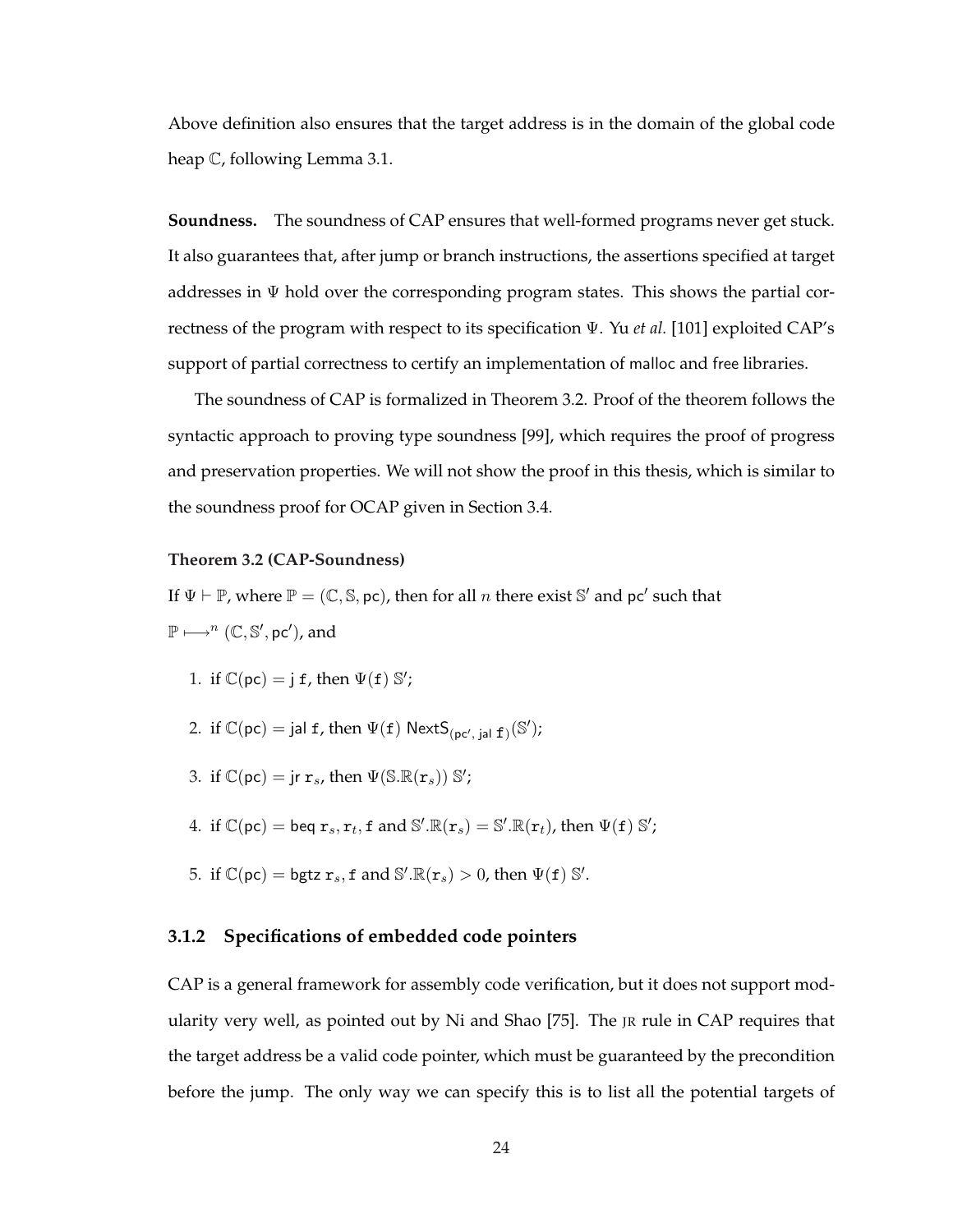Above definition also ensures that the target address is in the domain of the global code heap C, following Lemma 3.1.

**Soundness.** The soundness of CAP ensures that well-formed programs never get stuck. It also guarantees that, after jump or branch instructions, the assertions specified at target addresses in  $\Psi$  hold over the corresponding program states. This shows the partial correctness of the program with respect to its specification Ψ. Yu *et al.* [101] exploited CAP's support of partial correctness to certify an implementation of malloc and free libraries.

The soundness of CAP is formalized in Theorem 3.2. Proof of the theorem follows the syntactic approach to proving type soundness [99], which requires the proof of progress and preservation properties. We will not show the proof in this thesis, which is similar to the soundness proof for OCAP given in Section 3.4.

#### **Theorem 3.2 (CAP-Soundness)**

If  $\Psi \vdash \mathbb{P}$ , where  $\mathbb{P} = (\mathbb{C}, \mathbb{S}, \text{pc})$ , then for all n there exist S' and pc' such that  $\mathbb{P} \longmapsto^{n} (\mathbb{C}, \mathbb{S}', \text{pc}')$ , and

- 1. if  $\mathbb{C}(\mathsf{pc}) = \mathsf{j} \mathsf{f}$ , then  $\Psi(\mathsf{f}) \mathbb{S}'$ ;
- 2. if  $\mathbb{C}(\mathsf{pc}) = \mathsf{jal}\; \mathbf{f}$ , then  $\Psi(\mathbf{f})$   $\mathsf{NextS}_{(\mathsf{pc}', \; \mathsf{jal}\; \mathbf{f})}(\mathbb{S}');$
- 3. if  $\mathbb{C}(\mathsf{pc}) = \mathsf{jr} \, \mathsf{r}_s$ , then  $\Psi(\mathbb{S}.\mathbb{R}(\mathsf{r}_s)) \, \mathbb{S}'$ ;
- 4. if  $\mathbb{C}(\mathsf{pc}) = \mathsf{beq}\ r_s, r_t, \mathsf{f} \text{ and } \mathbb{S}'.\mathbb{R}(r_s) = \mathbb{S}'.\mathbb{R}(r_t)$ , then  $\Psi(\mathsf{f})\ \mathbb{S}'$ ;
- 5. if  $\mathbb{C}(\text{pc}) = \text{bgtz } r_s$ , f and  $\mathbb{S}'$ .  $\mathbb{R}(r_s) > 0$ , then  $\Psi(f)$   $\mathbb{S}'$ .

#### **3.1.2 Specifications of embedded code pointers**

CAP is a general framework for assembly code verification, but it does not support modularity very well, as pointed out by Ni and Shao [75]. The JR rule in CAP requires that the target address be a valid code pointer, which must be guaranteed by the precondition before the jump. The only way we can specify this is to list all the potential targets of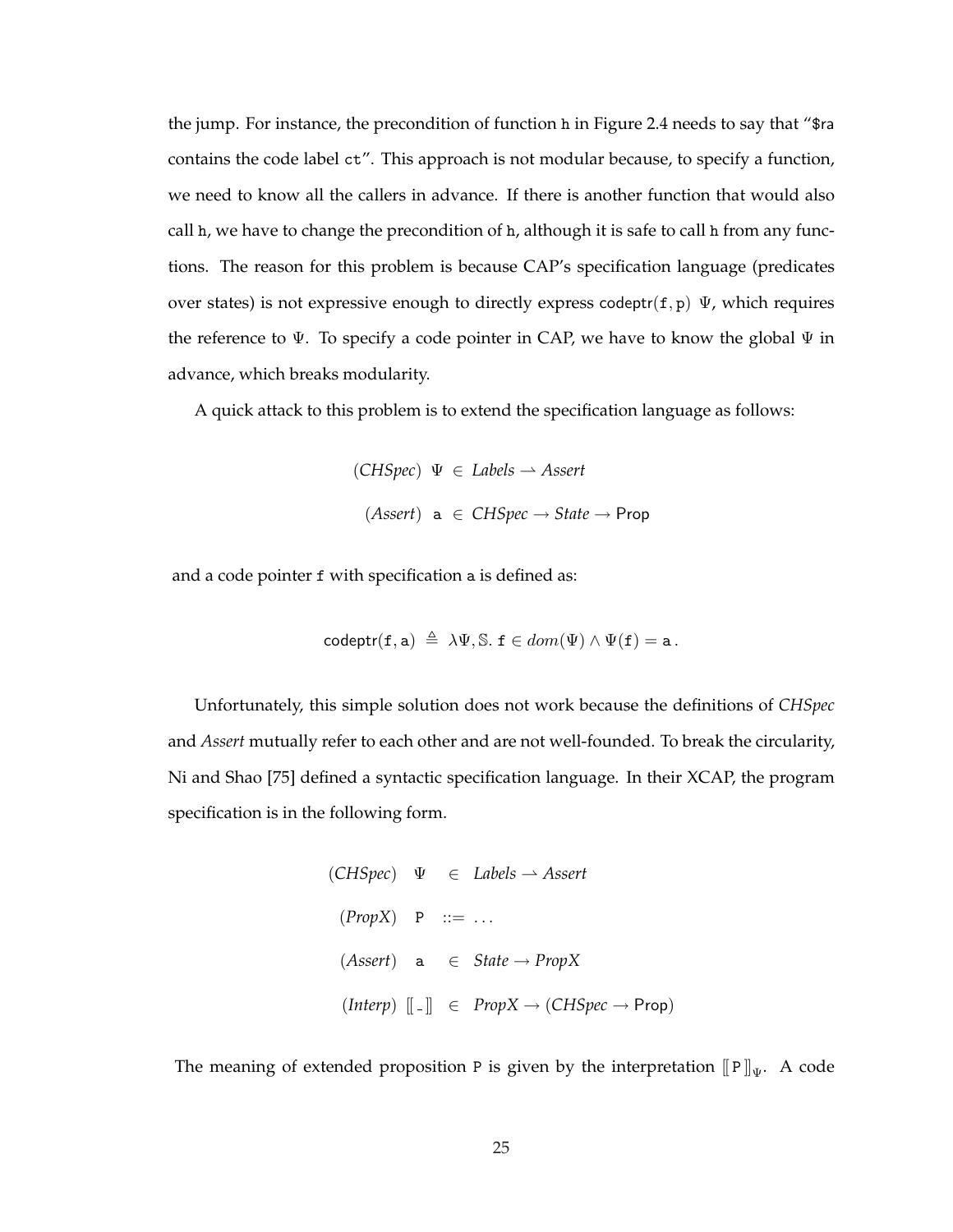the jump. For instance, the precondition of function h in Figure 2.4 needs to say that "\$ra contains the code label ct". This approach is not modular because, to specify a function, we need to know all the callers in advance. If there is another function that would also call h, we have to change the precondition of h, although it is safe to call h from any functions. The reason for this problem is because CAP's specification language (predicates over states) is not expressive enough to directly express codeptr(f, p)  $\Psi$ , which requires the reference to  $\Psi$ . To specify a code pointer in CAP, we have to know the global  $\Psi$  in advance, which breaks modularity.

A quick attack to this problem is to extend the specification language as follows:

$$
(CHSpec) \Psi ∈ \textit{Labels} \rightarrow \textit{As}ert
$$
  

$$
(\textit{As}ert) \mathbf{a} \in \textit{CHSpec} \rightarrow \textit{State} \rightarrow \textit{Prop}
$$

and a code pointer f with specification a is defined as:

$$
\mathsf{codeptr}(\mathtt{f},\mathtt{a}) \triangleq \lambda \Psi, \mathbb{S}. \ \mathtt{f} \in dom(\Psi) \land \Psi(\mathtt{f}) = \mathtt{a}.
$$

Unfortunately, this simple solution does not work because the definitions of *CHSpec* and *Assert* mutually refer to each other and are not well-founded. To break the circularity, Ni and Shao [75] defined a syntactic specification language. In their XCAP, the program specification is in the following form.

```
(CHSpec) \quad \Psi \quad \in \text{ \textit{Labels} } \rightarrow \textit{Assert}(Prop X) P ::= ...
  (Assert) a ∈ State → PropX
   (Interp) \begin{bmatrix} \end{bmatrix} \in PropX \rightarrow (CHSpec \rightarrow Prop)
```
The meaning of extended proposition P is given by the interpretation  $[$ [P] $]_$ Ψ. A code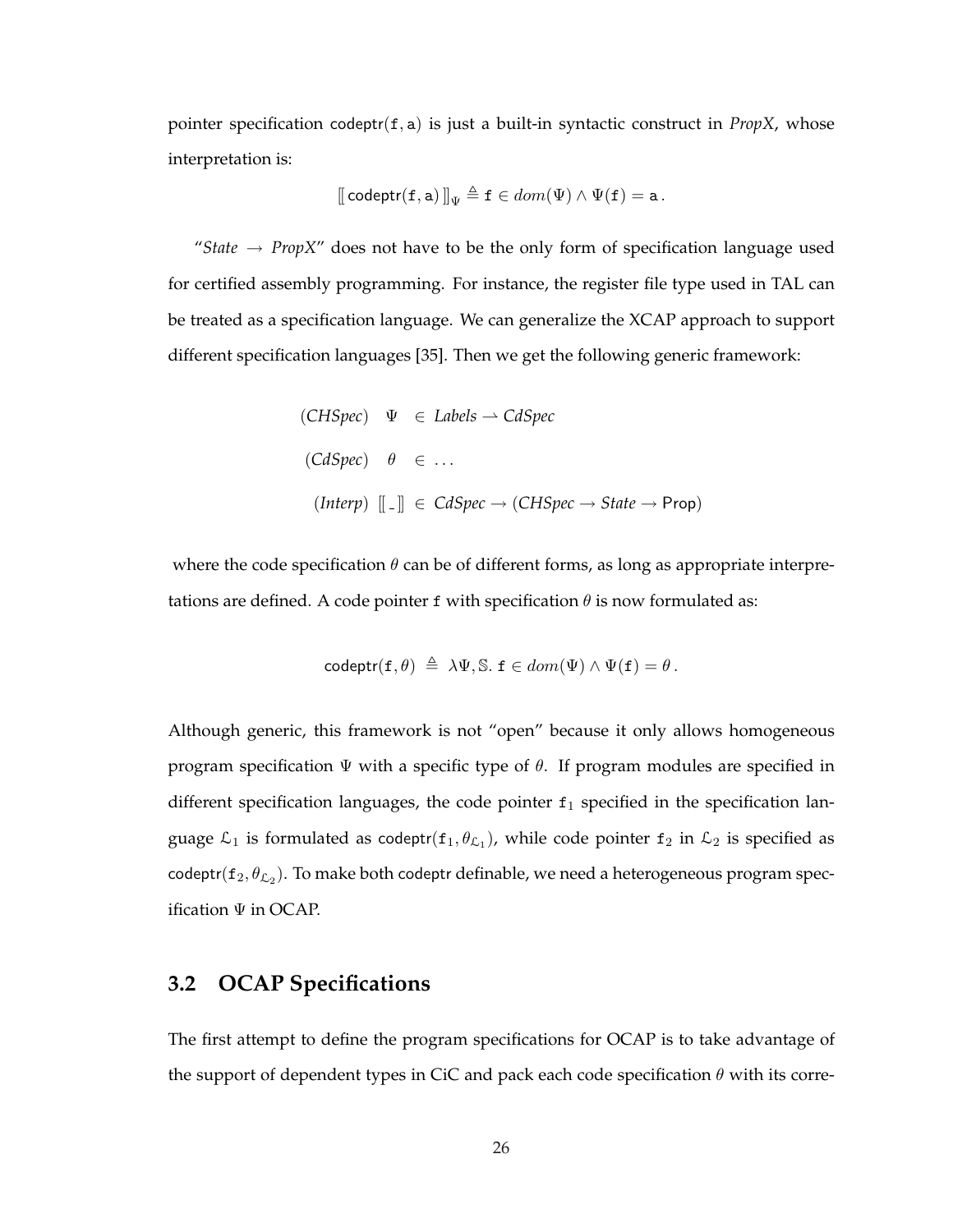pointer specification codeptr(f, a) is just a built-in syntactic construct in *PropX*, whose interpretation is:

$$
[\![\text{codeptr}(\mathtt{f},\mathtt{a})\,]\!]_{\Psi}\triangleq \mathtt{f}\in dom(\Psi)\wedge\Psi(\mathtt{f})=\mathtt{a}\,.
$$

"*State*  $\rightarrow$  *PropX*" does not have to be the only form of specification language used for certified assembly programming. For instance, the register file type used in TAL can be treated as a specification language. We can generalize the XCAP approach to support different specification languages [35]. Then we get the following generic framework:

\n- (CHSpec) 
$$
\Psi \in \text{Labels} \rightarrow \text{CdSpec}
$$
\n- (CdSpec)  $\theta \in \dots$
\n- (Interp)  $[[\ ]] \in \text{CdSpec} \rightarrow (\text{CHSpec} \rightarrow \text{State} \rightarrow \text{Prop})$
\n

where the code specification  $\theta$  can be of different forms, as long as appropriate interpretations are defined. A code pointer f with specification  $\theta$  is now formulated as:

$$
\mathsf{codeptr}(\mathtt{f},\theta) \triangleq \lambda \Psi, \mathbb{S}. \ \mathtt{f} \in dom(\Psi) \land \Psi(\mathtt{f}) = \theta.
$$

Although generic, this framework is not "open" because it only allows homogeneous program specification  $\Psi$  with a specific type of  $\theta$ . If program modules are specified in different specification languages, the code pointer  $f_1$  specified in the specification language  $\mathcal{L}_1$  is formulated as codeptr $(\mathtt{f}_1, \theta_{\mathcal{L}_1})$ , while code pointer  $\mathtt{f}_2$  in  $\mathcal{L}_2$  is specified as codeptr $(\mathtt{f}_2,\theta_{\mathcal{L}_2}).$  To make both codeptr definable, we need a heterogeneous program specification Ψ in OCAP.

# **3.2 OCAP Specifications**

The first attempt to define the program specifications for OCAP is to take advantage of the support of dependent types in CiC and pack each code specification  $\theta$  with its corre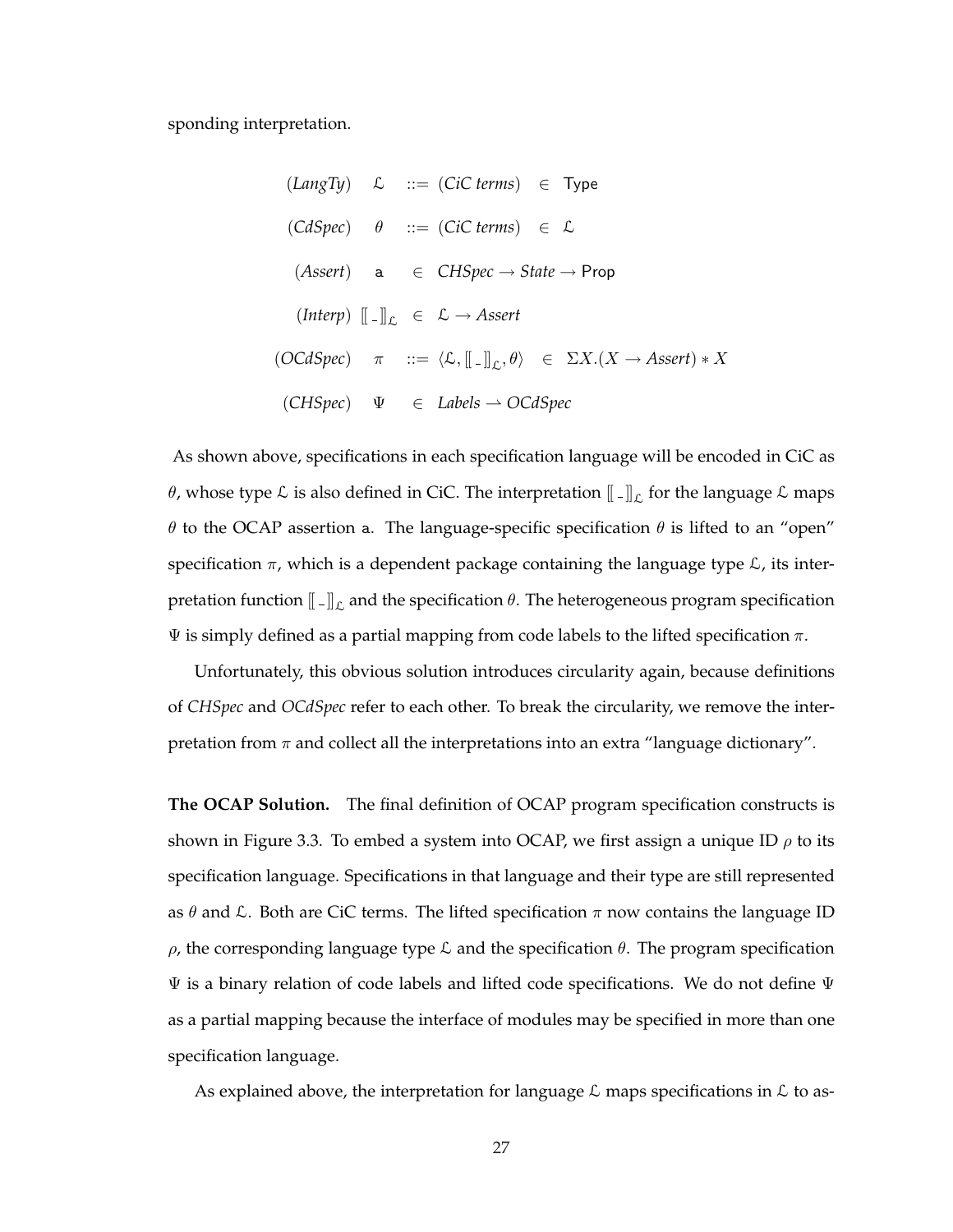sponding interpretation.

$$
(LangTy) \quad \mathcal{L} \quad ::= (Cic terms) \in Type
$$
\n
$$
(CdSpec) \quad \theta \quad ::= (Cic terms) \in \mathcal{L}
$$
\n
$$
(Asert) \quad \mathbf{a} \quad \in CHSpec \rightarrow State \rightarrow Prop
$$
\n
$$
(Interp) \quad [\![\;.\!] \!]_{\mathcal{L}} \in \mathcal{L} \rightarrow Assert
$$
\n
$$
(OCdSpec) \quad \pi \quad ::= \langle \mathcal{L}, [\![\;.\!] \!]_{\mathcal{L}}, \theta \rangle \in \Sigma X. (X \rightarrow Assert) * X
$$
\n
$$
(CHSpec) \quad \Psi \quad \in \text{ Labels} \rightarrow OCdSpec
$$

As shown above, specifications in each specification language will be encoded in CiC as  $\theta$ , whose type  ${\mathcal{L}}$  is also defined in CiC. The interpretation  $[\![\,.\,]\!]_{\mathcal{L}}$  for the language  ${\mathcal{L}}$  maps θ to the OCAP assertion a. The language-specific specification  $θ$  is lifted to an "open" specification  $\pi$ , which is a dependent package containing the language type  $\mathcal{L}$ , its interpretation function  $\llbracket \,.\,\rrbracket_\mathcal{L}$  and the specification  $\theta.$  The heterogeneous program specification  $\Psi$  is simply defined as a partial mapping from code labels to the lifted specification π.

Unfortunately, this obvious solution introduces circularity again, because definitions of *CHSpec* and *OCdSpec* refer to each other. To break the circularity, we remove the interpretation from  $\pi$  and collect all the interpretations into an extra "language dictionary".

**The OCAP Solution.** The final definition of OCAP program specification constructs is shown in Figure 3.3. To embed a system into OCAP, we first assign a unique ID  $\rho$  to its specification language. Specifications in that language and their type are still represented as  $\theta$  and  $\mathcal{L}$ . Both are CiC terms. The lifted specification  $\pi$  now contains the language ID  $\rho$ , the corresponding language type  $\mathcal L$  and the specification  $\theta$ . The program specification  $\Psi$  is a binary relation of code labels and lifted code specifications. We do not define  $\Psi$ as a partial mapping because the interface of modules may be specified in more than one specification language.

As explained above, the interpretation for language  $\mathcal L$  maps specifications in  $\mathcal L$  to as-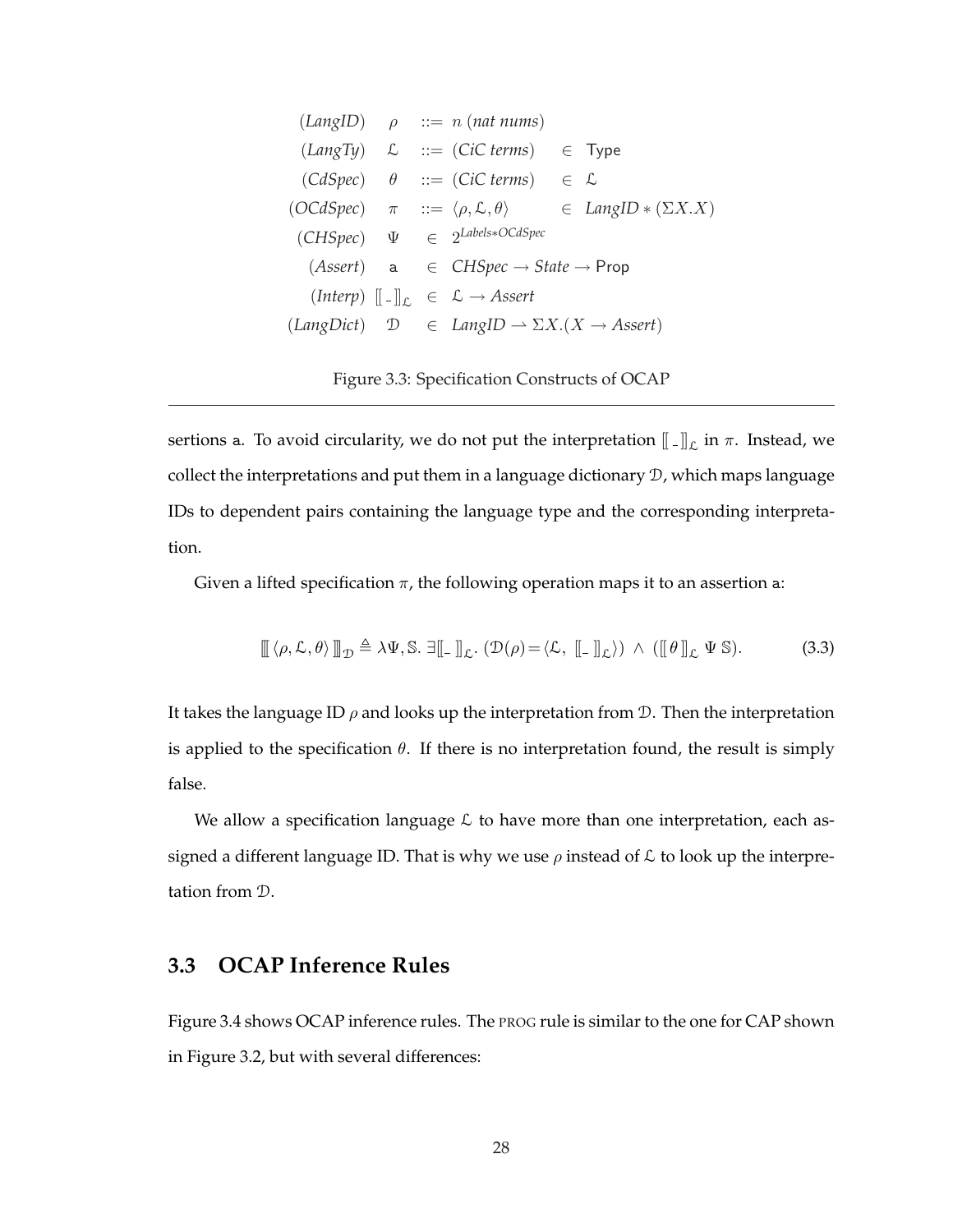|  | $(LangID)$ $\rho$ ::= n (nat nums)                                                   |                                                                                                |
|--|--------------------------------------------------------------------------------------|------------------------------------------------------------------------------------------------|
|  | $(LangTy)$ $\mathcal{L}$ ::= (CiC terms) $\in$ Type                                  |                                                                                                |
|  | $(CdSpec)$ $\theta$ ::= (CiC terms) $\in \mathcal{L}$                                |                                                                                                |
|  |                                                                                      | $(OCdSpec)$ $\pi$ ::= $\langle \rho, \mathcal{L}, \theta \rangle$ $\in$ LangID $*(\Sigma X.X)$ |
|  | $(CHSpec)$ $\Psi \in 2^{Labels * OCdSpec}$                                           |                                                                                                |
|  | $(Assert)$ a $\in$ CHSpec $\rightarrow$ State $\rightarrow$ Prop                     |                                                                                                |
|  | $(Interp)$ $\ \cdot\ _{\mathcal{L}} \in \mathcal{L} \rightarrow \mathit{Assert}$     |                                                                                                |
|  | $(LangDict)$ $\mathcal{D}$ $\in$ $LangID \rightarrow \Sigma X.(X \rightarrow Asset)$ |                                                                                                |

Figure 3.3: Specification Constructs of OCAP

sertions a. To avoid circularity, we do not put the interpretation  $[\![\,.\,]\!]_{\mathcal{L}}$  in  $\pi.$  Instead, we collect the interpretations and put them in a language dictionary D, which maps language IDs to dependent pairs containing the language type and the corresponding interpretation.

Given a lifted specification  $\pi$ , the following operation maps it to an assertion a:

$$
\llbracket \langle \rho, \mathcal{L}, \theta \rangle \rrbracket_{\mathcal{D}} \triangleq \lambda \Psi, \mathbb{S}. \; \exists \llbracket \_\rrbracket_{\mathcal{L}}. \; (\mathcal{D}(\rho) = \langle \mathcal{L}, \llbracket \_\rrbracket_{\mathcal{L}}) \; \wedge \; (\llbracket \theta \rrbracket_{\mathcal{L}} \; \Psi \; \mathbb{S}). \tag{3.3}
$$

It takes the language ID  $\rho$  and looks up the interpretation from D. Then the interpretation is applied to the specification  $\theta$ . If there is no interpretation found, the result is simply false.

We allow a specification language  $\mathcal L$  to have more than one interpretation, each assigned a different language ID. That is why we use  $\rho$  instead of  $\mathcal L$  to look up the interpretation from D.

# **3.3 OCAP Inference Rules**

Figure 3.4 shows OCAP inference rules. The PROG rule is similar to the one for CAP shown in Figure 3.2, but with several differences: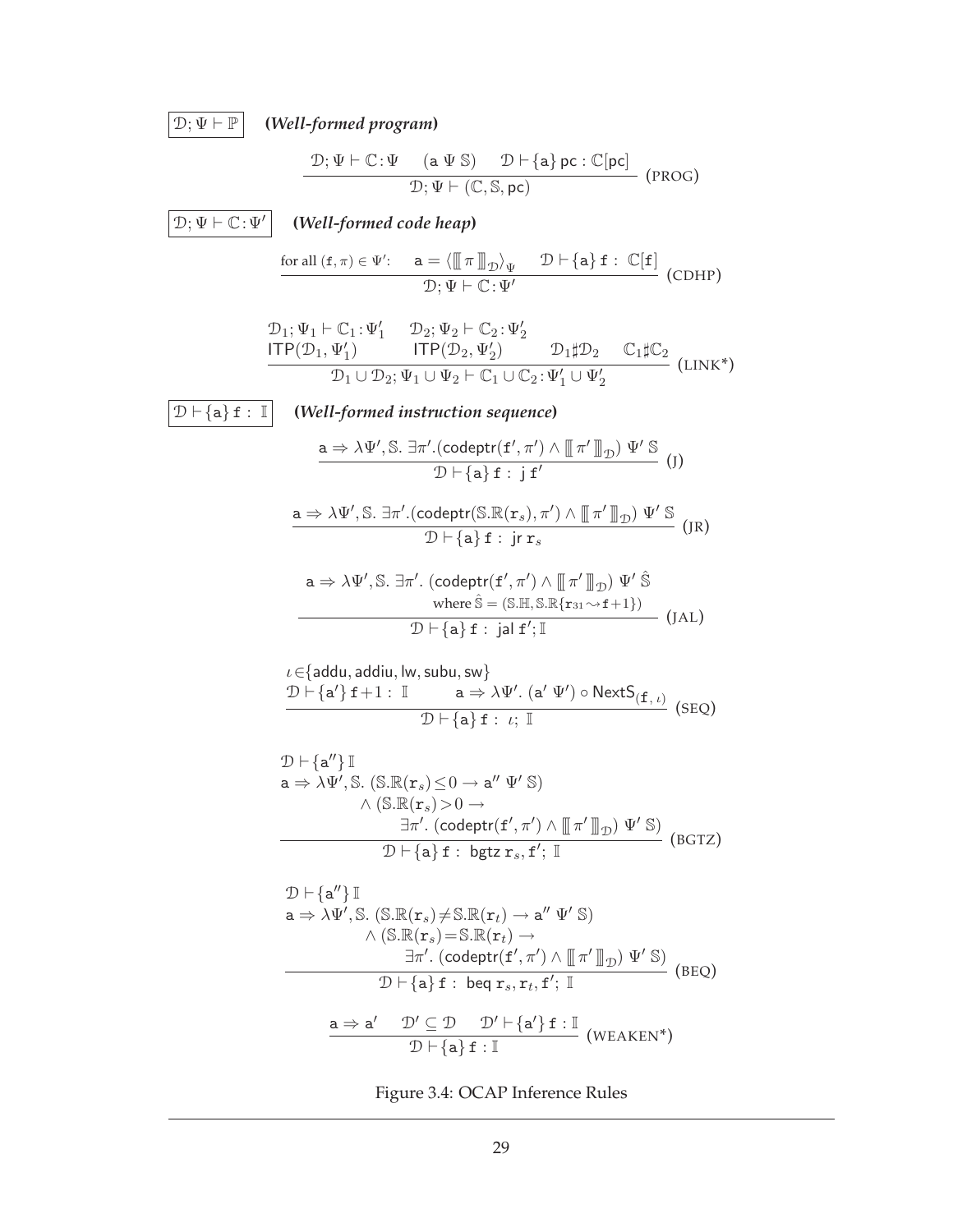$\boxed{\mathcal{D}; \Psi \vdash \mathbb{P}}$  (Well-formed program)

$$
\frac{\mathcal{D};\Psi \vdash \mathbb{C}:\Psi \quad (\text{a }\Psi \text{ }\mathbb{S}) \quad \mathcal{D} \vdash \{\text{a}\} \text{ } \text{pc}:\mathbb{C}[\text{pc}]}{\mathcal{D};\Psi \vdash (\mathbb{C},\mathbb{S},\text{pc})} \quad (\text{PROG})
$$

 $\boxed{\mathcal{D}; \Psi \vdash \mathbb{C}:\Psi'}$ 

**(***Well-formed code heap***)**

$$
\frac{\text{for all } (\mathbf{f}, \pi) \in \Psi': \quad \mathbf{a} = \langle \llbracket \pi \rrbracket_{\mathcal{D}} \rangle_{\Psi} \quad \mathcal{D} \vdash \{\mathbf{a}\} \mathbf{f} : \mathbb{C}[\mathbf{f}] \quad \text{(CDHP)}}{\mathcal{D}; \Psi \vdash \mathbb{C} : \Psi'}
$$

$$
\begin{array}{ll}\mathcal{D}_1; \Psi_1\vdash \mathbb{C}_1\!:\!\Psi'_1 & \mathcal{D}_2; \Psi_2\vdash \mathbb{C}_2\!:\!\Psi'_2 \\ \hline \text{ITP}(\mathcal{D}_1, \Psi'_1) & \text{ITP}(\mathcal{D}_2, \Psi'_2) & \mathcal{D}_1\sharp \mathcal{D}_2 & \mathbb{C}_1\sharp \mathbb{C}_2 \\ \hline \mathcal{D}_1\cup \mathcal{D}_2; \Psi_1\cup \Psi_2\vdash \mathbb{C}_1\cup \mathbb{C}_2\!:\!\Psi'_1\cup \Psi'_2 & & \text{(LINK*)} \end{array}
$$

 $\boxed{\mathcal{D} \vdash \{\mathtt{a}\} \mathtt{f} : \mathbb{I}}$  (Well-formed instruction sequence)

$$
\frac{\mathsf{a} \Rightarrow \lambda \Psi', \mathbb{S}. \exists \pi'.( \mathsf{codeptr}(\mathbf{f}', \pi') \land \llbracket \pi' \rrbracket_{\mathcal{D}}) \Psi' \mathbb{S} }{\mathcal{D} \vdash \{\mathsf{a}\} \mathbf{f} : \mathsf{j} \mathbf{f}'} \qquad \qquad (J)
$$

$$
\frac{\mathsf{a} \Rightarrow \lambda \Psi', \mathbb{S}. \; \exists \pi'.(\mathsf{codeptr}(\mathbb{S}.\mathbb{R}(\mathbf{r}_s), \pi') \land \left[ \!\!\left[ \pi' \right] \!\!\right] \!\!\left] \mathbb{V}' \mathbb{S} \right. }{\mathcal{D} \vdash \{\mathsf{a}\} \; \mathbf{f}: \; \mathsf{jr} \, \mathbf{r}_s} \qquad \qquad \qquad \text{(JR)}
$$

$$
\mathsf{a} \Rightarrow \lambda \Psi', \mathbb{S}. \exists \pi'. \; (\mathsf{codeptr}(\mathbf{f}', \pi') \land \left[ \!\!\left[ \begin{array}{c} \pi' \right] \!\!\right]_{\mathcal{D}}) \Psi' \hat{\mathbb{S}} \\ \text{where} \; \hat{\mathbb{S}} = (\mathbb{S}.\mathbb{H}, \mathbb{S}.\mathbb{R}\{\mathbf{r}_{31} \leadsto \mathbf{f} + 1\}) \\ \mathcal{D} \vdash \{\mathbf{a}\} \; \mathbf{f} \, : \; \mathsf{jal} \; \mathbf{f}'; \mathbb{I} \end{array} \qquad \qquad (\text{JAL})
$$

$$
\frac{\mathit{L} \in \{ \mathsf{addu}, \mathsf{addu}, \mathsf{lw}, \mathsf{subu}, \mathsf{sw} \}}{\mathit{D} \vdash \{ \mathbf{a'} \} \mathbf{f} + 1 : \mathbb{I} \qquad \mathbf{a} \Rightarrow \lambda \Psi'. (\mathbf{a'} \Psi') \circ \mathsf{NextS}_{(\mathbf{f}, \iota)}} \quad (\mathsf{SEQ})
$$

$$
\mathcal{D} \vdash \{a''\} \mathbb{I}
$$
\n
$$
a \Rightarrow \lambda \Psi', \mathbb{S}. (\mathbb{S}.\mathbb{R}(\mathbf{r}_s) \le 0 \to a'' \Psi' \mathbb{S})
$$
\n
$$
\wedge (\mathbb{S}.\mathbb{R}(\mathbf{r}_s) > 0 \to \exists \pi'. (\text{codeptr}(\mathbf{f}', \pi') \land \mathbb{I} \pi' \mathbb{I}_{\mathcal{D}}) \Psi' \mathbb{S})
$$
\n
$$
\mathcal{D} \vdash \{a\} \mathbf{f}: \text{bgtz } \mathbf{r}_s, \mathbf{f}'; \mathbb{I}
$$
\n(BGTZ)

$$
\mathcal{D} \vdash \{a''\} \mathbb{I}
$$
\n
$$
a \Rightarrow \lambda \Psi', \mathbb{S}. (\mathbb{S}.\mathbb{R}(\mathbf{r}_s) \neq \mathbb{S}.\mathbb{R}(\mathbf{r}_t) \rightarrow a'' \Psi' \mathbb{S})
$$
\n
$$
\wedge (\mathbb{S}.\mathbb{R}(\mathbf{r}_s) = \mathbb{S}.\mathbb{R}(\mathbf{r}_t) \rightarrow \exists \pi'. (\text{codeptr}(\mathbf{f}', \pi') \land \mathbb{I} \pi' \mathbb{I}_{\mathcal{D}}) \Psi' \mathbb{S})
$$
\n
$$
\mathcal{D} \vdash \{a\} \mathbf{f} : \text{beg } \mathbf{r}_s, \mathbf{r}_t, \mathbf{f}'; \mathbb{I}
$$
\n
$$
\mathbf{a} \Rightarrow \mathbf{a}' \quad \mathcal{D}' \subseteq \mathcal{D} \quad \mathcal{D}' \vdash \{\mathbf{a}'\} \mathbf{f} : \mathbb{I} \quad (\text{WEAKEN*})
$$

Figure 3.4: OCAP Inference Rules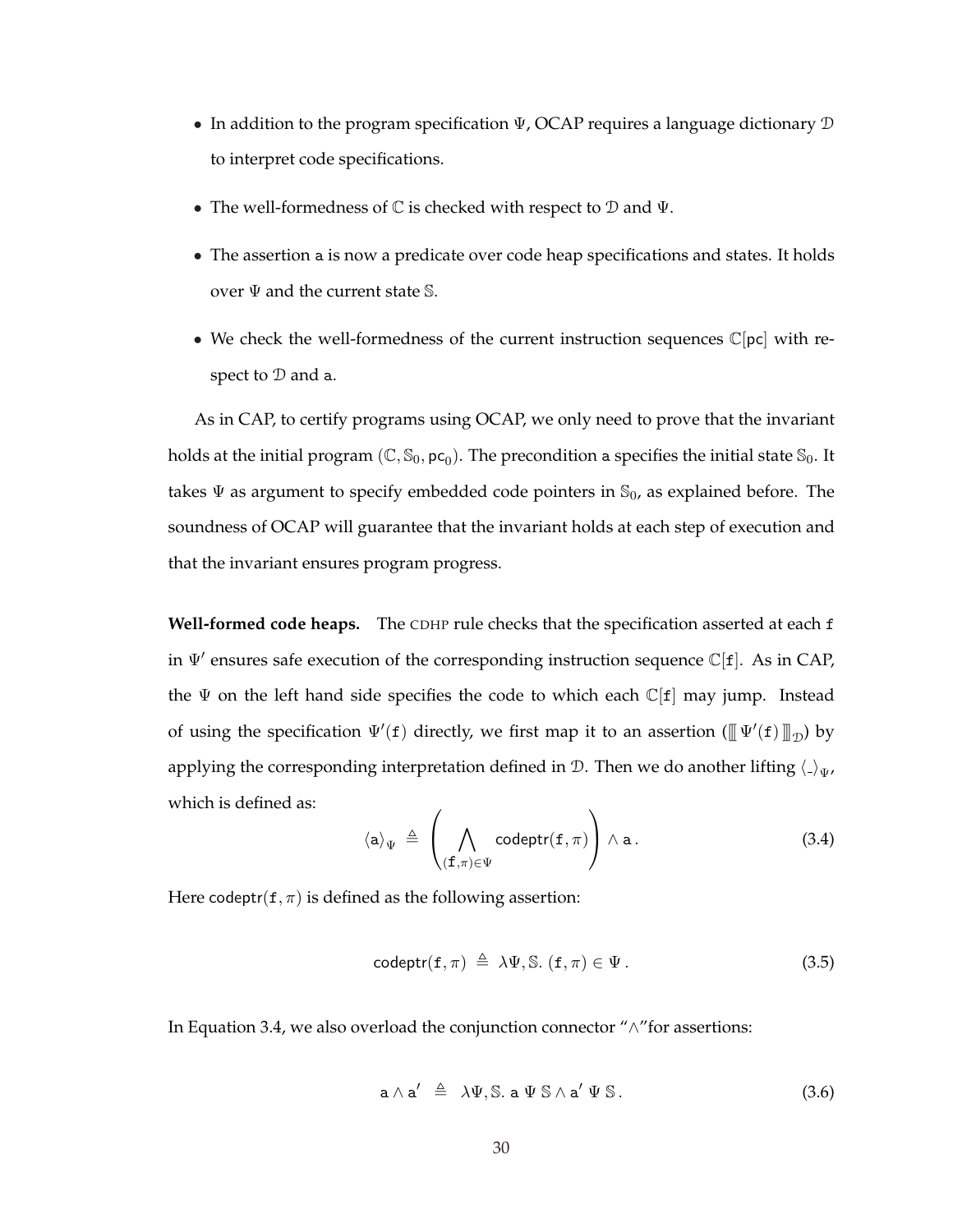- In addition to the program specification  $\Psi$ , OCAP requires a language dictionary  $\mathcal D$ to interpret code specifications.
- The well-formedness of  $\mathbb C$  is checked with respect to  $\mathbb D$  and  $\Psi$ .
- The assertion a is now a predicate over code heap specifications and states. It holds over  $\Psi$  and the current state S.
- We check the well-formedness of the current instruction sequences  $\mathbb{C}[pc]$  with respect to  $D$  and a.

As in CAP, to certify programs using OCAP, we only need to prove that the invariant holds at the initial program  $(\mathbb{C},\mathbb{S}_0,\mathsf{pc}_0).$  The precondition a specifies the initial state  $\mathbb{S}_0.$  It takes  $\Psi$  as argument to specify embedded code pointers in  $\mathcal{S}_0$ , as explained before. The soundness of OCAP will guarantee that the invariant holds at each step of execution and that the invariant ensures program progress.

**Well-formed code heaps.** The CDHP rule checks that the specification asserted at each f in  $\Psi'$  ensures safe execution of the corresponding instruction sequence  $\mathbb{C}[f]$ . As in CAP, the  $\Psi$  on the left hand side specifies the code to which each  $\mathbb{C}[f]$  may jump. Instead of using the specification  $\Psi'(f)$  directly, we first map it to an assertion  $(\llbracket \Psi'(f) \rrbracket_{\mathcal{D}})$  by applying the corresponding interpretation defined in D. Then we do another lifting  $\langle \cdot \rangle_{\Psi}$ , which is defined as:  $\overline{\phantom{a}}$  $\mathbf{r}$ 

$$
\langle \mathsf{a} \rangle_{\Psi} \triangleq \left( \bigwedge_{(\mathbf{f}, \pi) \in \Psi} \mathrm{codeptr}(\mathbf{f}, \pi) \right) \wedge \mathsf{a} \,.
$$
 (3.4)

Here codeptr( $f, \pi$ ) is defined as the following assertion:

$$
codeptr(f,\pi) \triangleq \lambda\Psi, \mathbb{S}. (f,\pi) \in \Psi.
$$
\n(3.5)

In Equation 3.4, we also overload the conjunction connector "∧"for assertions:

$$
\mathsf{a} \wedge \mathsf{a}' \triangleq \lambda \Psi, \mathbb{S}. \mathsf{a} \Psi \mathbb{S} \wedge \mathsf{a}' \Psi \mathbb{S}. \tag{3.6}
$$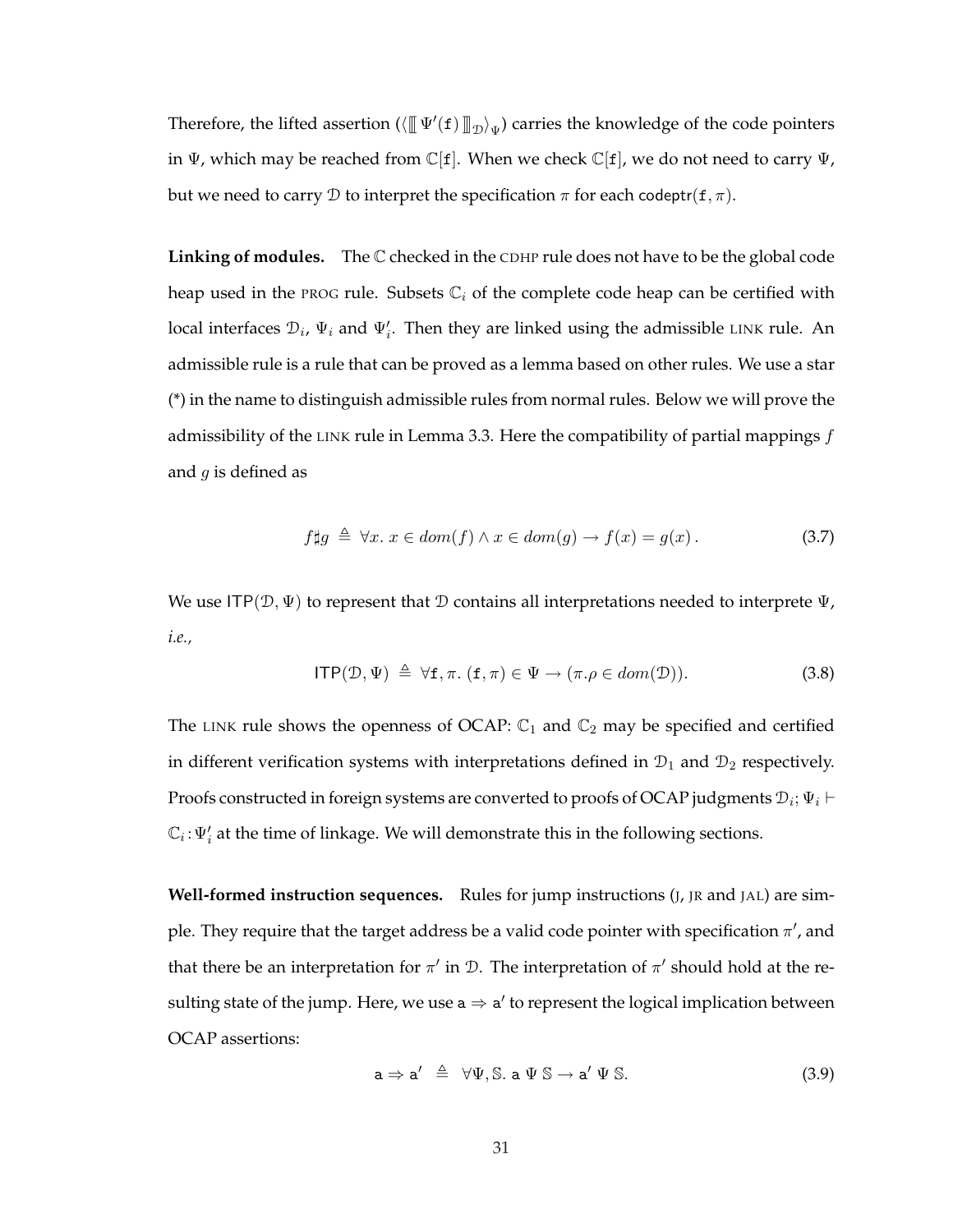Therefore, the lifted assertion  $(\langle [\![\Psi'({\tt f})]\!]_{\mathcal{D}}\rangle_\Psi)$  carries the knowledge of the code pointers in  $\Psi$ , which may be reached from  $\mathbb{C}[f]$ . When we check  $\mathbb{C}[f]$ , we do not need to carry  $\Psi$ , but we need to carry D to interpret the specification  $\pi$  for each codeptr( $f, \pi$ ).

**Linking of modules.** The  $\mathbb C$  checked in the CDHP rule does not have to be the global code heap used in the PROG rule. Subsets  $\mathbb{C}_i$  of the complete code heap can be certified with local interfaces  $\mathcal{D}_i$ ,  $\Psi_i$  and  $\Psi'_i$ . Then they are linked using the admissible LINK rule. An admissible rule is a rule that can be proved as a lemma based on other rules. We use a star (\*) in the name to distinguish admissible rules from normal rules. Below we will prove the admissibility of the LINK rule in Lemma 3.3. Here the compatibility of partial mappings  $f$ and  $g$  is defined as

$$
f \sharp g \triangleq \forall x. \ x \in dom(f) \land x \in dom(g) \to f(x) = g(x). \tag{3.7}
$$

We use ITP( $\mathcal{D}, \Psi$ ) to represent that D contains all interpretations needed to interprete  $\Psi$ , *i.e.,*

$$
ITP(\mathcal{D}, \Psi) \triangleq \forall f, \pi. (f, \pi) \in \Psi \to (\pi. \rho \in dom(\mathcal{D})). \tag{3.8}
$$

The LINK rule shows the openness of OCAP:  $\mathbb{C}_1$  and  $\mathbb{C}_2$  may be specified and certified in different verification systems with interpretations defined in  $\mathcal{D}_1$  and  $\mathcal{D}_2$  respectively. Proofs constructed in foreign systems are converted to proofs of OCAP judgments  $\mathcal{D}_i; \Psi_i \vdash$  $\mathbb{C}_i$ :  $\Psi_i'$  at the time of linkage. We will demonstrate this in the following sections.

**Well-formed instruction sequences.** Rules for jump instructions (J, JR and JAL) are simple. They require that the target address be a valid code pointer with specification  $\pi'$ , and that there be an interpretation for  $\pi'$  in  $\mathcal{D}$ . The interpretation of  $\pi'$  should hold at the resulting state of the jump. Here, we use  $a \Rightarrow a'$  to represent the logical implication between OCAP assertions:

$$
\mathsf{a} \Rightarrow \mathsf{a}' \triangleq \forall \Psi, \mathbb{S}. \ \mathsf{a} \Psi \mathbb{S} \to \mathsf{a}' \Psi \mathbb{S}. \tag{3.9}
$$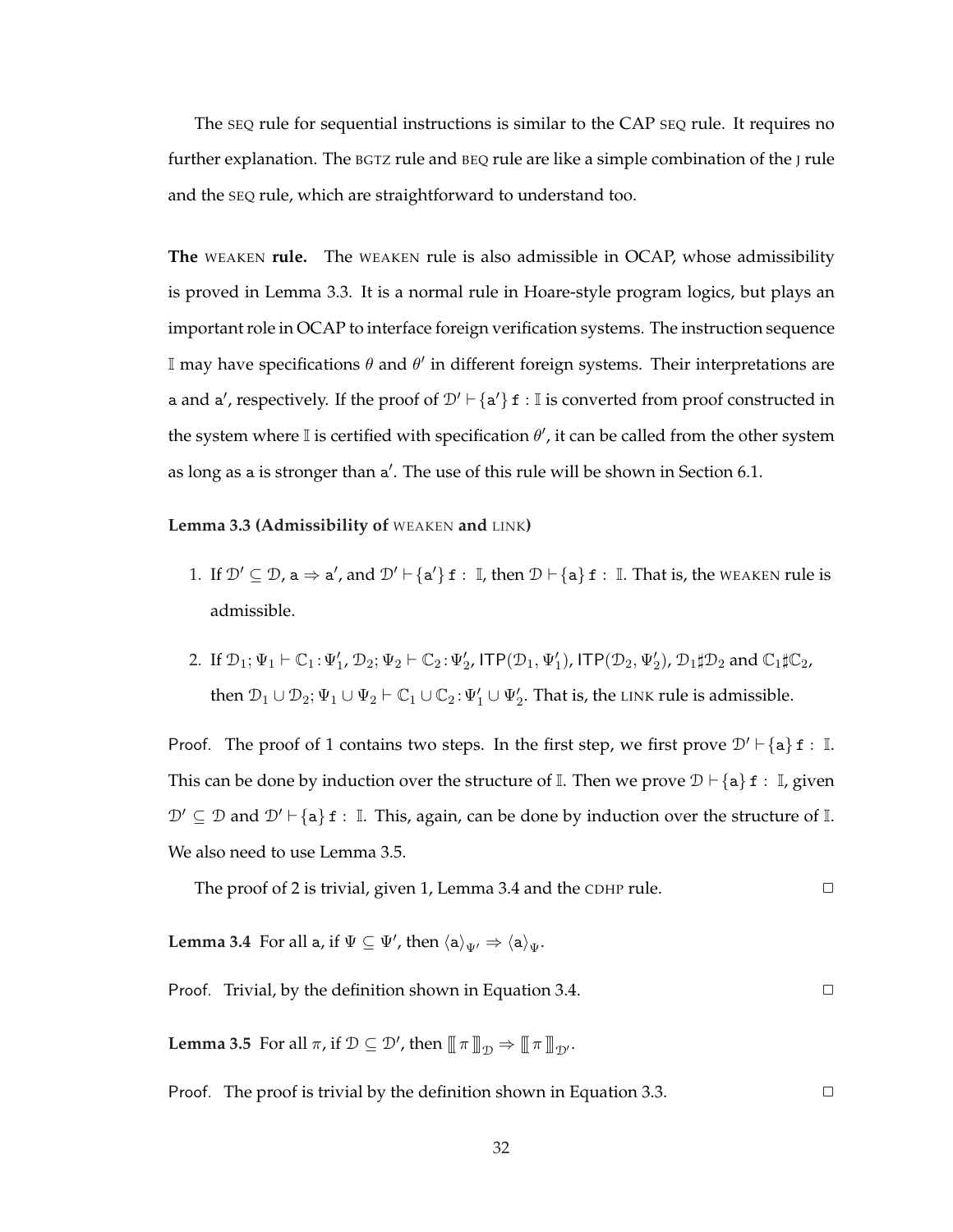The SEQ rule for sequential instructions is similar to the CAP SEQ rule. It requires no further explanation. The BGTZ rule and BEQ rule are like a simple combination of the J rule and the SEQ rule, which are straightforward to understand too.

**The** WEAKEN **rule.** The WEAKEN rule is also admissible in OCAP, whose admissibility is proved in Lemma 3.3. It is a normal rule in Hoare-style program logics, but plays an important role in OCAP to interface foreign verification systems. The instruction sequence I may have specifications  $\theta$  and  $\theta'$  in different foreign systems. Their interpretations are a and a', respectively. If the proof of  $\mathcal{D}' \vdash {\{\mathsf{a'}\}\ } {\mathsf{f}} : \mathbb{I}$  is converted from proof constructed in the system where I is certified with specification  $\theta'$ , it can be called from the other system as long as a is stronger than a'. The use of this rule will be shown in Section 6.1.

**Lemma 3.3 (Admissibility of** WEAKEN **and** LINK**)**

- 1. If  $\mathcal{D}' \subseteq \mathcal{D}$ ,  $a \Rightarrow a'$ , and  $\mathcal{D}' \vdash \{a'\}$  f :  $\mathbb{I}$ , then  $\mathcal{D} \vdash \{a\}$  f :  $\mathbb{I}$ . That is, the WEAKEN rule is admissible.
- 2. If  $\mathcal{D}_1$ ;  $\Psi_1 \vdash \mathbb{C}_1$ :  $\Psi_1'$ ,  $\mathcal{D}_2$ ;  $\Psi_2 \vdash \mathbb{C}_2$ :  $\Psi_2'$ ,  $\mathsf{ITP}(\mathcal{D}_1, \Psi_1')$ ,  $\mathsf{ITP}(\mathcal{D}_2, \Psi_2')$ ,  $\mathcal{D}_1 \sharp \mathcal{D}_2$  and  $\mathbb{C}_1 \sharp \mathbb{C}_2$ , then  $\mathcal{D}_1 \cup \mathcal{D}_2$ ;  $\Psi_1 \cup \Psi_2 \vdash \mathbb{C}_1 \cup \mathbb{C}_2$ :  $\Psi_1' \cup \Psi_2'$ . That is, the LINK rule is admissible.

Proof. The proof of 1 contains two steps. In the first step, we first prove  $\mathcal{D}' \vdash \{\mathtt{a}\} \mathtt{f} : \mathbb{I}.$ This can be done by induction over the structure of I. Then we prove  $\mathcal{D} \vdash \{\mathsf{a}\}\$  f : I, given  $\mathcal{D}' \subseteq \mathcal{D}$  and  $\mathcal{D}' \vdash$  {a} f : I. This, again, can be done by induction over the structure of I. We also need to use Lemma 3.5.

The proof of 2 is trivial, given 1, Lemma 3.4 and the CDHP rule.  $\Box$ 

**Lemma 3.4** For all a, if  $\Psi \subseteq \Psi'$ , then  $\langle a \rangle_{\Psi'} \Rightarrow \langle a \rangle_{\Psi}$ .

#### Proof. Trivial, by the definition shown in Equation 3.4.  $\Box$

**Lemma 3.5** For all  $\pi$ , if  $\mathcal{D} \subseteq \mathcal{D}'$ , then  $[\![\pi]\!]_{\mathcal{D}} \Rightarrow [\![\pi]\!]_{\mathcal{D}'}$ .

Proof. The proof is trivial by the definition shown in Equation 3.3.  $\Box$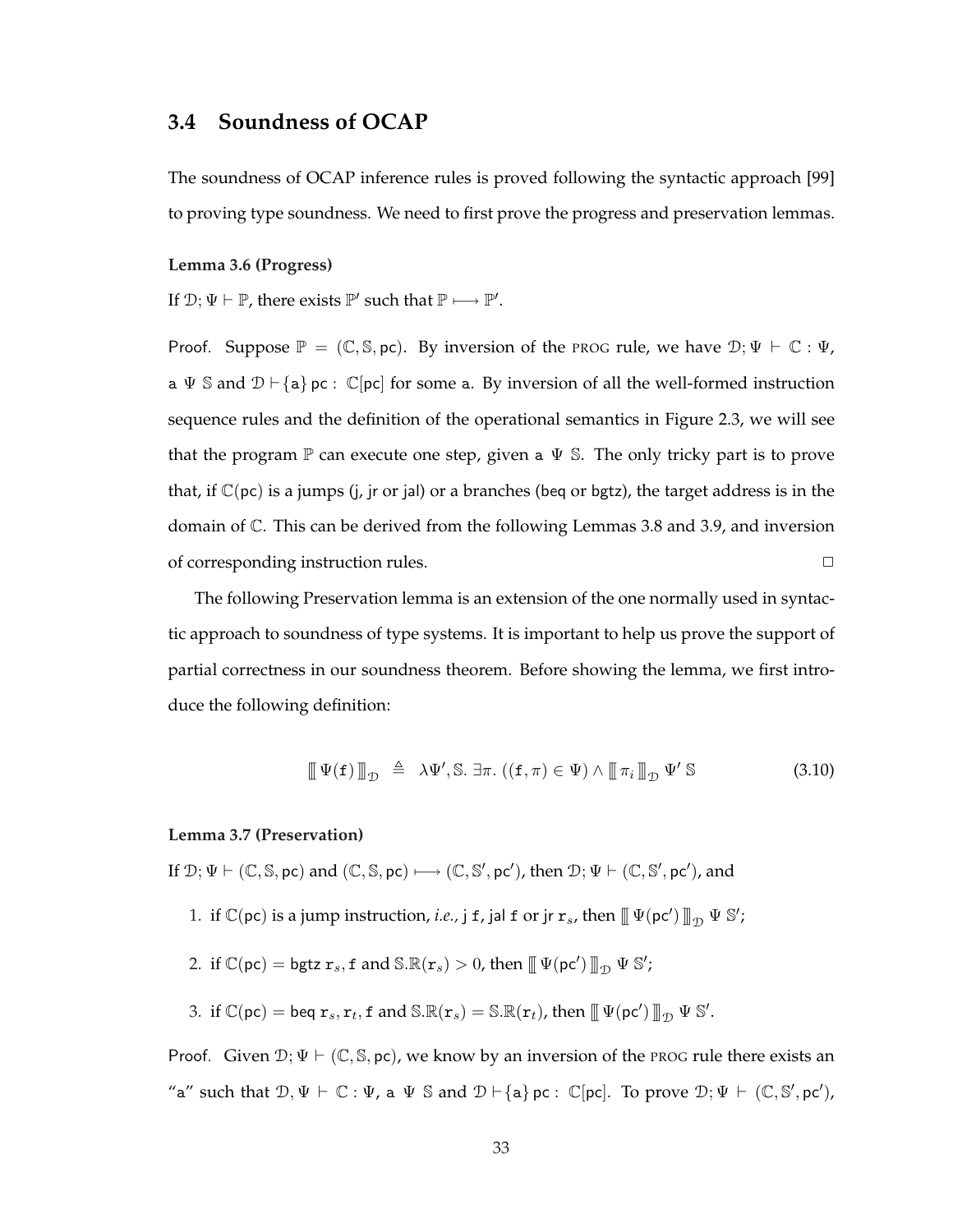# **3.4 Soundness of OCAP**

The soundness of OCAP inference rules is proved following the syntactic approach [99] to proving type soundness. We need to first prove the progress and preservation lemmas.

#### **Lemma 3.6 (Progress)**

If  $\mathcal{D}; \Psi \vdash \mathbb{P}$ , there exists  $\mathbb{P}'$  such that  $\mathbb{P} \longmapsto \mathbb{P}'$ .

Proof. Suppose  $\mathbb{P} = (\mathbb{C}, \mathbb{S}, \mathsf{pc})$ . By inversion of the PROG rule, we have  $\mathcal{D}; \Psi \vdash \mathbb{C} : \Psi$ , a  $\Psi$  S and  $\mathcal{D} \vdash \{\mathbf{a}\}\$ pc :  $\mathbb{C}[\text{pc}]$  for some a. By inversion of all the well-formed instruction sequence rules and the definition of the operational semantics in Figure 2.3, we will see that the program  $\mathbb P$  can execute one step, given a  $\Psi$  S. The only tricky part is to prove that, if  $\mathbb{C}(\text{pc})$  is a jumps (j, jr or jal) or a branches (beg or bgtz), the target address is in the domain of C. This can be derived from the following Lemmas 3.8 and 3.9, and inversion of corresponding instruction rules. <br>
□

The following Preservation lemma is an extension of the one normally used in syntactic approach to soundness of type systems. It is important to help us prove the support of partial correctness in our soundness theorem. Before showing the lemma, we first introduce the following definition:

$$
\left[\!\left[\!\left[\Psi(\mathbf{f})\right]\!\right]\!\right]_{\mathcal{D}} \triangleq \lambda \Psi', \mathbb{S}. \exists \pi. ((\mathbf{f}, \pi) \in \Psi) \land \left[\!\left[\!\left[\pi_i\right]\!\right]\!\right]_{\mathcal{D}} \Psi' \mathbb{S} \tag{3.10}
$$

#### **Lemma 3.7 (Preservation)**

If  $\mathcal{D}; \Psi \vdash (\mathbb{C}, \mathbb{S}, \text{pc})$  and  $(\mathbb{C}, \mathbb{S}, \text{pc}) \longmapsto (\mathbb{C}, \mathbb{S}', \text{pc}')$ , then  $\mathcal{D}; \Psi \vdash (\mathbb{C}, \mathbb{S}', \text{pc}')$ , and

1. if  $\mathbb{C}(\mathsf{pc})$  is a jump instruction, *i.e.*, j f, jal f or jr  $\mathbf{r}_s$ , then  $\mathbb{L}(\mathsf{pc}') \mathbb{L}_{\mathcal{D}} \Psi \mathbb{S}'$ ;

2. if 
$$
\mathbb{C}(\mathsf{pc}) = \mathsf{bgtz} \; \mathbf{r}_s
$$
, f and  $\mathbb{S} \cdot \mathbb{R}(\mathbf{r}_s) > 0$ , then  $\mathbb{I} \mathbb{I}(\mathsf{pc}') \mathbb{I}^{\mathsf{D}} \mathbb{I} \mathbb{S}'$ ;

3. if  $\mathbb{C}(\mathsf{pc}) = \mathsf{beq}\; \mathsf{r}_s, \mathsf{r}_t, \mathsf{f} \text{ and } \mathbb{S}.\mathbb{R}(\mathsf{r}_s) = \mathbb{S}.\mathbb{R}(\mathsf{r}_t)$ , then  $\mathbb{I} \mathbb{V}(\mathsf{pc}') \mathbb{I}_{\mathcal{D}} \mathbb{V} \mathbb{S}'.$ 

Proof. Given  $\mathcal{D}$ ;  $\Psi \vdash (\mathbb{C}, \mathbb{S}, \text{pc})$ , we know by an inversion of the PROG rule there exists an "a" such that  $\mathcal{D}, \Psi \vdash \mathbb{C} : \Psi$ , a  $\Psi$  S and  $\mathcal{D} \vdash \{\mathsf{a}\}\$ pc:  $\mathbb{C}[\text{pc}]$ . To prove  $\mathcal{D}; \Psi \vdash (\mathbb{C}, \mathbb{S}', \text{pc}')$ ,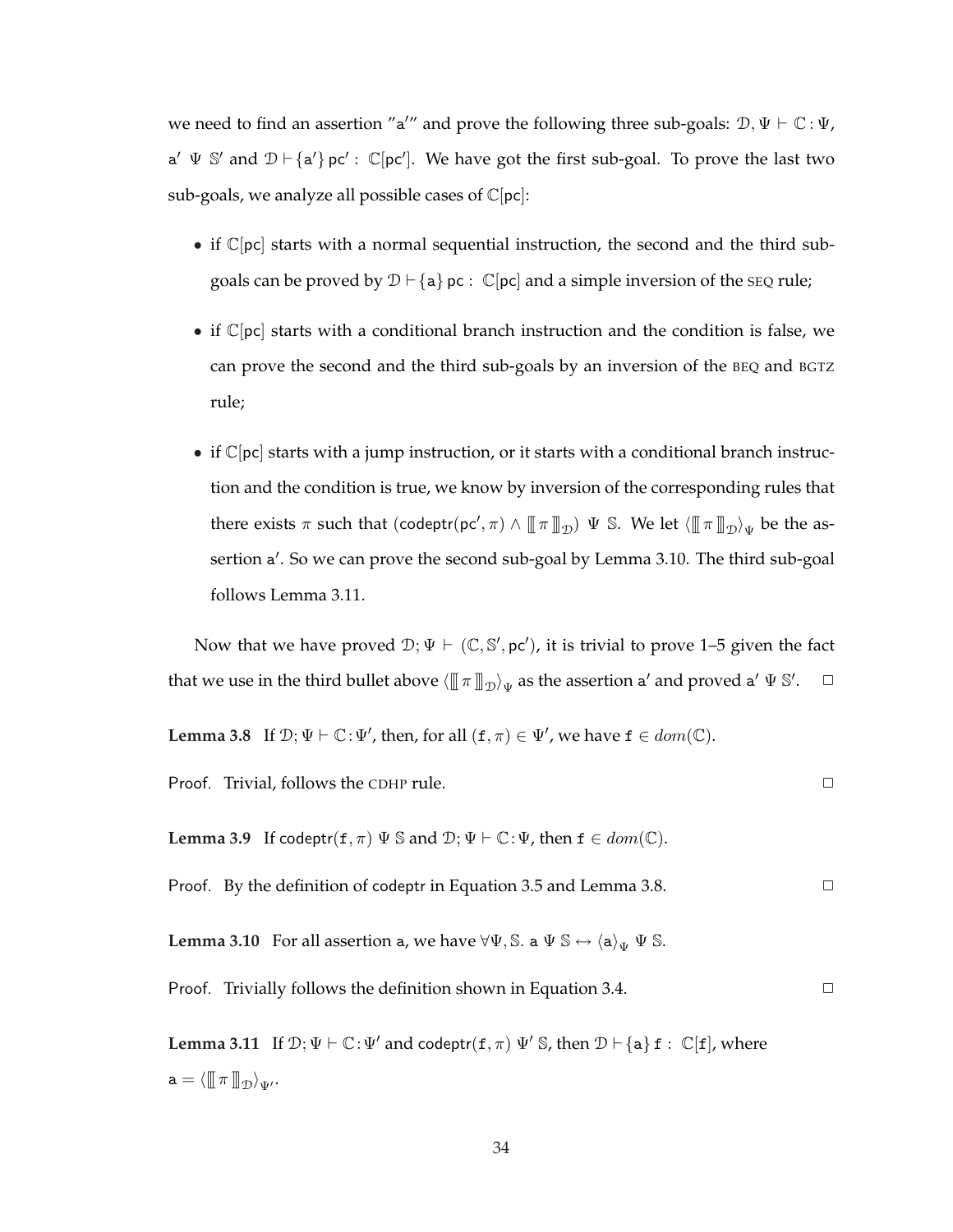we need to find an assertion "a'" and prove the following three sub-goals:  $\mathcal{D}, \Psi \vdash \mathbb{C} : \Psi$ ,  $a' \Psi S'$  and  $D \vdash \{a'\}$  pc':  $\mathbb{C}[\text{pc}']$ . We have got the first sub-goal. To prove the last two sub-goals, we analyze all possible cases of  $\mathbb{C}[pc]$ :

- if  $\mathbb{C}[pc]$  starts with a normal sequential instruction, the second and the third subgoals can be proved by  $\mathcal{D} \vdash \{a\}$  pc :  $\mathbb{C}$  [pc] and a simple inversion of the SEQ rule;
- if  $\mathbb{C}[pc]$  starts with a conditional branch instruction and the condition is false, we can prove the second and the third sub-goals by an inversion of the BEQ and BGTZ rule;
- if  $\mathbb{C}[\text{pc}]$  starts with a jump instruction, or it starts with a conditional branch instruction and the condition is true, we know by inversion of the corresponding rules that there exists  $\pi$  such that  $(\text{codeptr}(pc', \pi) \land (\llbracket \pi \rrbracket_D) \Psi \mathbb{S}$ . We let  $\langle (\llbracket \pi \rrbracket_D \rangle_{\Psi}$  be the assertion a'. So we can prove the second sub-goal by Lemma 3.10. The third sub-goal follows Lemma 3.11.

Now that we have proved  $\mathcal{D}$ ;  $\Psi \vdash (\mathbb{C}, \mathbb{S}', \text{pc}')$ , it is trivial to prove 1–5 given the fact that we use in the third bullet above  $\langle\rbrack\llbracket\,\pi\,\rrbracket_{\,\mathcal{D}}\rangle_\Psi$  as the assertion a $'$  and proved a $'\,\Psi$   $\mathbb{S}'.\quad \, \Box$ 

**Lemma 3.8** If 
$$
\mathcal{D}; \Psi \vdash \mathbb{C}: \Psi'
$$
, then, for all  $(f, \pi) \in \Psi'$ , we have  $f \in dom(\mathbb{C})$ .

Proof. Trivial, follows the CDHP rule. ✷

**Lemma 3.9** If codeptr( $f, \pi$ )  $\Psi$  S and  $\mathcal{D}$ ;  $\Psi \vdash \mathbb{C}$ :  $\Psi$ , then  $f \in dom(\mathbb{C})$ .

Proof. By the definition of codeptr in Equation 3.5 and Lemma 3.8.  $\Box$ 

**Lemma 3.10** For all assertion a, we have  $\forall \Psi$ , S. a  $\Psi$  S  $\leftrightarrow$   $\langle a \rangle_{\Psi}$   $\Psi$  S.

Proof. Trivially follows the definition shown in Equation 3.4.  $\Box$ 

**Lemma 3.11** If  $\mathcal{D}; \Psi \vdash \mathbb{C}: \Psi'$  and codeptr( $f, \pi$ )  $\Psi'$  S, then  $\mathcal{D} \vdash \{\mathbf{a}\}\$  $f : \mathbb{C}[f]$ , where  $\mathtt{a} = \langle \hspace{-0.2em} [ \! [ \pi \, ] \! ] \! ]_{\mathcal{D}} \rangle_{\Psi'}.$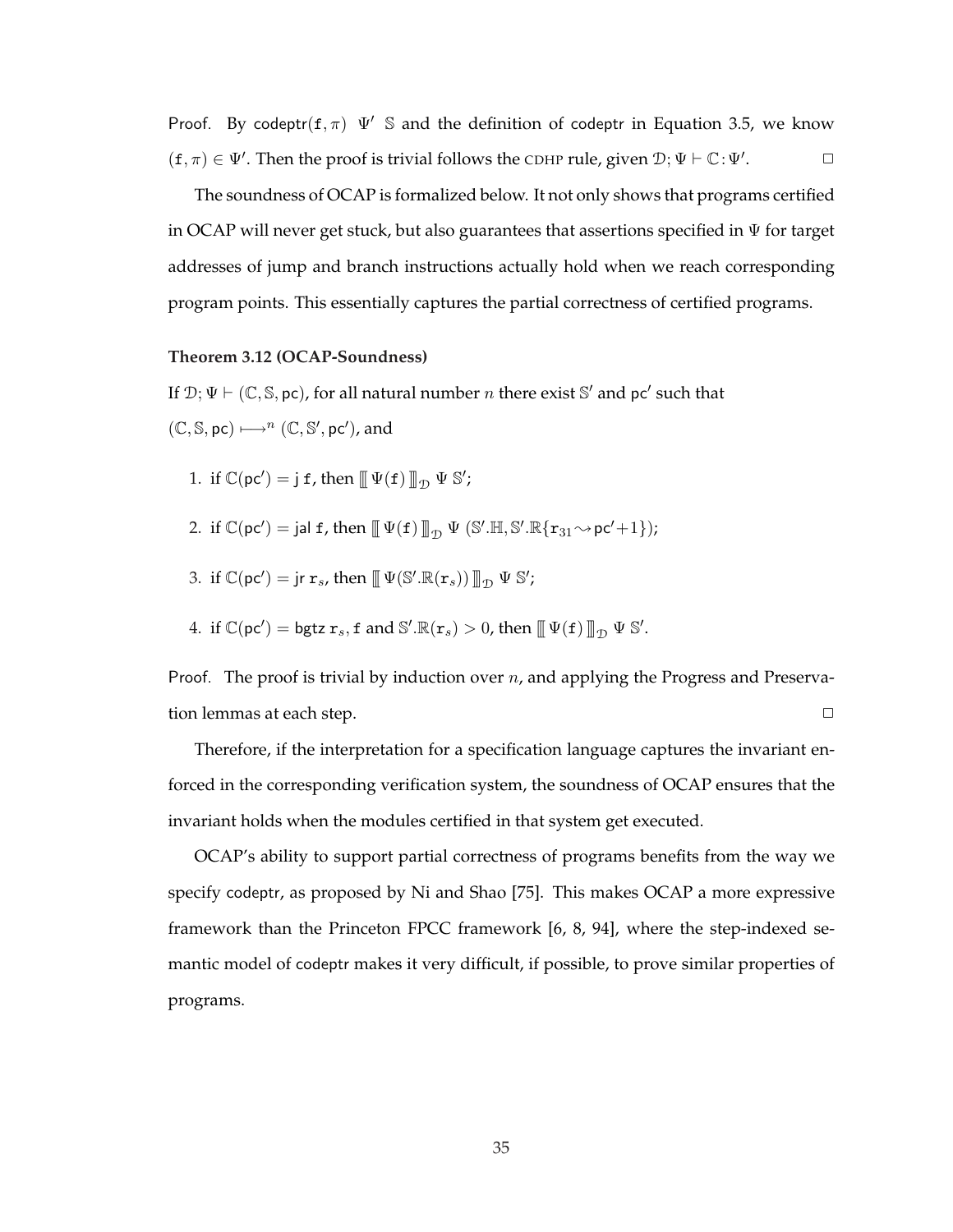Proof. By codeptr( $f, \pi$ )  $\Psi'$  S and the definition of codeptr in Equation 3.5, we know  $(f, \pi) \in \Psi'$ . Then the proof is trivial follows the CDHP rule, given  $\mathcal{D}; \Psi \vdash \mathbb{C}: \Psi'$  $\Box$ 

The soundness of OCAP is formalized below. It not only shows that programs certified in OCAP will never get stuck, but also guarantees that assertions specified in Ψ for target addresses of jump and branch instructions actually hold when we reach corresponding program points. This essentially captures the partial correctness of certified programs.

#### **Theorem 3.12 (OCAP-Soundness)**

If  $\mathcal{D}; \Psi \vdash (\mathbb{C}, \mathbb{S}, \text{pc})$ , for all natural number n there exist  $\mathbb{S}'$  and pc' such that  $(\mathbb{C}, \mathbb{S}, \text{pc}) \longmapsto^{n} (\mathbb{C}, \mathbb{S}', \text{pc}')$ , and

- 1. if  $\mathbb{C}(\mathsf{pc}') = \mathsf{j} \mathsf{f}$ , then  $\mathbb{I} \Psi(\mathsf{f}) \mathbb{I}_{\mathcal{D}} \Psi \mathbb{S}'$ ;
- 2. if  $\mathbb{C}(\mathsf{pc}') = \mathsf{jal}\; \mathsf{f}$ , then  $\mathbb{L} \Psi(\mathsf{f}) \mathbb{L}_D \Psi (\mathbb{S}'. \mathbb{H}, \mathbb{S}'. \mathbb{R} \{ \mathbf{r}_{31} \sim \mathsf{pc}' + 1 \})$ ;
- 3. if  $\mathbb{C}(\mathsf{pc}') = \mathsf{jr} \ \mathbf{r}_s$ , then  $\mathbb{I}[\Psi(\mathbb{S}'.\mathbb{R}(\mathbf{r}_s)) \mathbb{I}_{\mathcal{D}} \ \Psi \ \mathbb{S}';$
- 4. if  $\mathbb{C}(\mathsf{pc}') = \mathsf{bgtz} \; \mathbf{r}_s, \mathbf{f} \text{ and } \mathbb{S}'.\mathbb{R}(\mathbf{r}_s) > 0$ , then  $\mathbb{I}(\Psi(\mathbf{f})) \mathbb{I}_{\mathcal{D}} \Psi \mathbb{S}'.$

Proof. The proof is trivial by induction over  $n$ , and applying the Progress and Preservation lemmas at each step.  $\Box$ 

Therefore, if the interpretation for a specification language captures the invariant enforced in the corresponding verification system, the soundness of OCAP ensures that the invariant holds when the modules certified in that system get executed.

OCAP's ability to support partial correctness of programs benefits from the way we specify codeptr, as proposed by Ni and Shao [75]. This makes OCAP a more expressive framework than the Princeton FPCC framework [6, 8, 94], where the step-indexed semantic model of codeptr makes it very difficult, if possible, to prove similar properties of programs.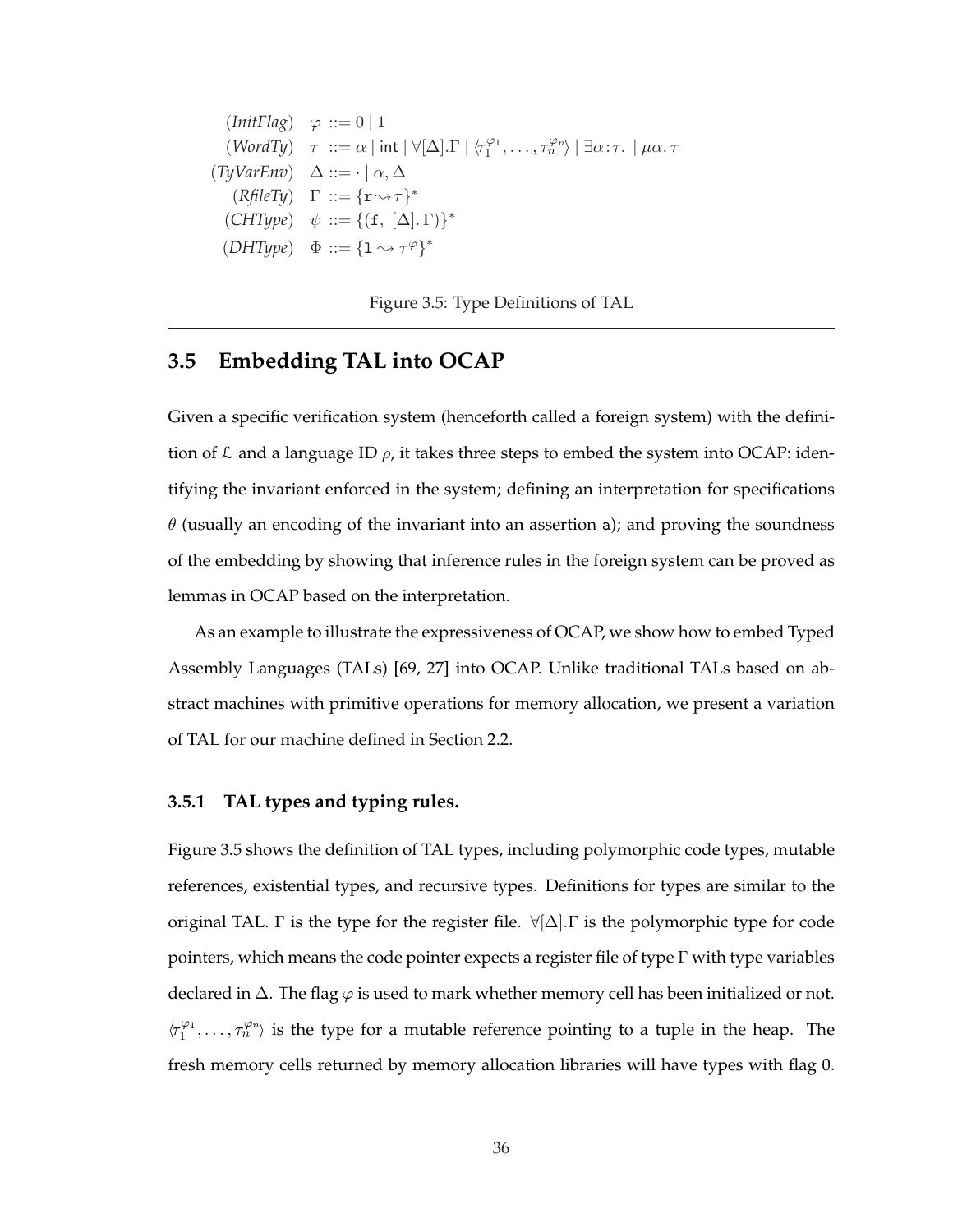$$
(InitFlag) \varphi ::= 0 | 1
$$
  
\n
$$
(WordTy) \tau ::= \alpha | int | \forall [\Delta]. \Gamma | \langle \tau_1^{\varphi_1}, \dots, \tau_n^{\varphi_n} \rangle | \exists \alpha : \tau. | \mu \alpha. \tau
$$
  
\n
$$
(TyVarEnv) \Delta ::= \{\alpha, \Delta
$$
  
\n
$$
(RfileTy) \Gamma ::= \{\tau \leadsto \tau\}^*
$$
  
\n
$$
(CHType) \psi ::= \{(\mathbf{f}, [\Delta]. \Gamma)\}^*
$$
  
\n
$$
(DHType) \Phi ::= \{1 \leadsto \tau^{\varphi}\}^*
$$

Figure 3.5: Type Definitions of TAL

# **3.5 Embedding TAL into OCAP**

Given a specific verification system (henceforth called a foreign system) with the definition of  $\mathcal L$  and a language ID  $\rho$ , it takes three steps to embed the system into OCAP: identifying the invariant enforced in the system; defining an interpretation for specifications  $\theta$  (usually an encoding of the invariant into an assertion a); and proving the soundness of the embedding by showing that inference rules in the foreign system can be proved as lemmas in OCAP based on the interpretation.

As an example to illustrate the expressiveness of OCAP, we show how to embed Typed Assembly Languages (TALs) [69, 27] into OCAP. Unlike traditional TALs based on abstract machines with primitive operations for memory allocation, we present a variation of TAL for our machine defined in Section 2.2.

#### **3.5.1 TAL types and typing rules.**

Figure 3.5 shows the definition of TAL types, including polymorphic code types, mutable references, existential types, and recursive types. Definitions for types are similar to the original TAL. Γ is the type for the register file.  $\forall [\Delta]$ . Γ is the polymorphic type for code pointers, which means the code pointer expects a register file of type  $\Gamma$  with type variables declared in  $\Delta$ . The flag  $\varphi$  is used to mark whether memory cell has been initialized or not.  $\langle \tau_1^{\varphi_1}, \ldots, \tau_n^{\varphi_n} \rangle$  is the type for a mutable reference pointing to a tuple in the heap. The fresh memory cells returned by memory allocation libraries will have types with flag 0.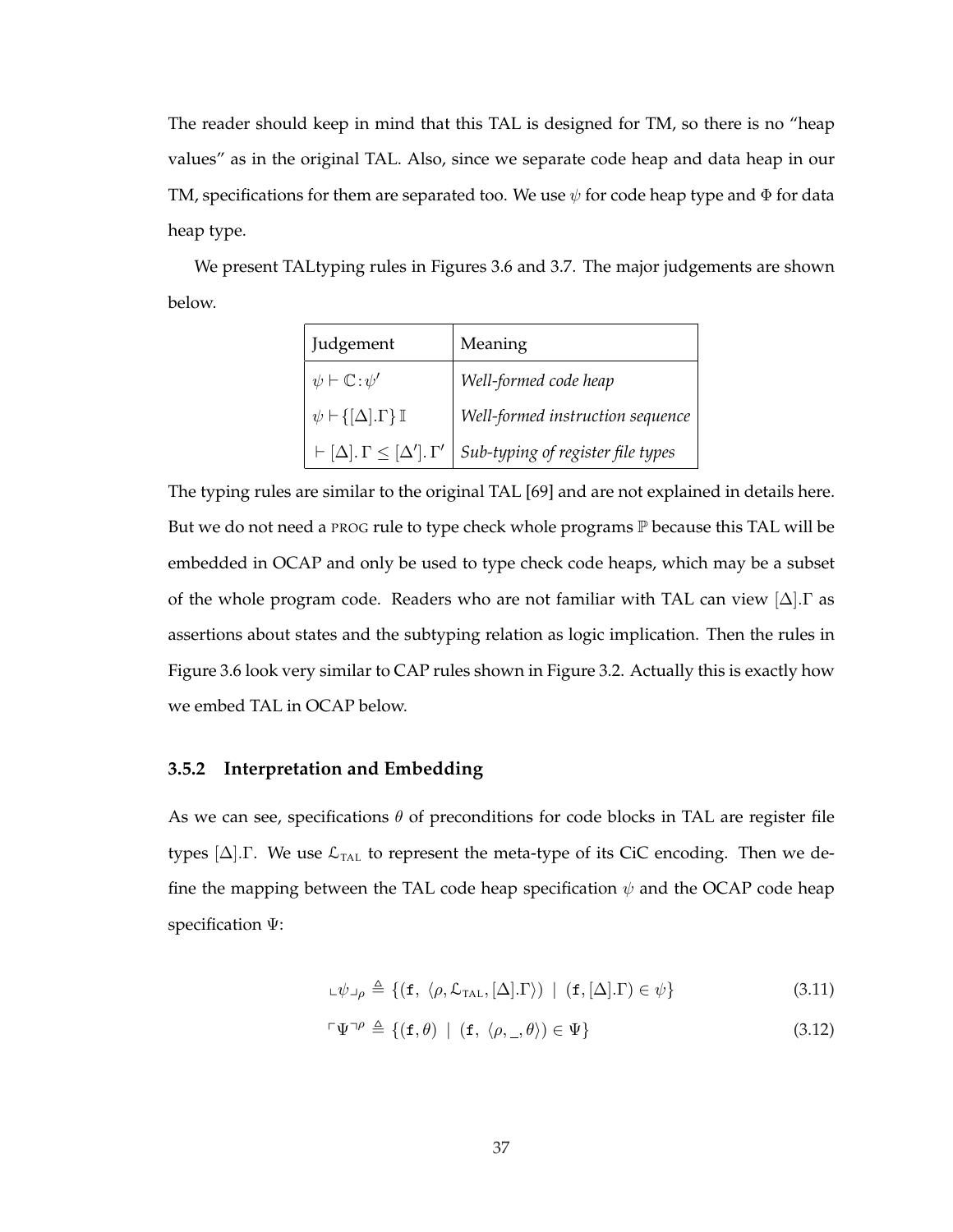The reader should keep in mind that this TAL is designed for TM, so there is no "heap values" as in the original TAL. Also, since we separate code heap and data heap in our TM, specifications for them are separated too. We use  $\psi$  for code heap type and  $\Phi$  for data heap type.

We present TALtyping rules in Figures 3.6 and 3.7. The major judgements are shown below.

| Judgement                                               | Meaning                           |  |  |
|---------------------------------------------------------|-----------------------------------|--|--|
| $\psi \vdash \mathbb{C} : \psi'$                        | Well-formed code heap             |  |  |
| $\psi \vdash \{[\Delta] \cdot \Gamma\} \mathbb{I}$      | Well-formed instruction sequence  |  |  |
| $\vdash [\Delta]$ . $\Gamma \leq [\Delta']$ . $\Gamma'$ | Sub-typing of register file types |  |  |

The typing rules are similar to the original TAL [69] and are not explained in details here. But we do not need a PROG rule to type check whole programs  $\mathbb P$  because this TAL will be embedded in OCAP and only be used to type check code heaps, which may be a subset of the whole program code. Readers who are not familiar with TAL can view  $[\Delta]$ . T as assertions about states and the subtyping relation as logic implication. Then the rules in Figure 3.6 look very similar to CAP rules shown in Figure 3.2. Actually this is exactly how we embed TAL in OCAP below.

#### **3.5.2 Interpretation and Embedding**

As we can see, specifications  $\theta$  of preconditions for code blocks in TAL are register file types  $[\Delta]$ . We use  $\mathcal{L}_{\text{TAL}}$  to represent the meta-type of its CiC encoding. Then we define the mapping between the TAL code heap specification  $\psi$  and the OCAP code heap specification Ψ:

$$
\mathsf{L}\psi\mathsf{L}\rho \triangleq \{(\mathbf{f}, \langle \rho, \mathcal{L}_{\text{TAL}}, [\Delta] \cdot \Gamma \rangle) \mid (\mathbf{f}, [\Delta] \cdot \Gamma) \in \psi\} \tag{3.11}
$$

$$
\ulcorner \Psi \urcorner^{\rho} \triangleq \{ (\mathbf{f}, \theta) \mid (\mathbf{f}, \langle \rho, \_, \theta \rangle) \in \Psi \} \tag{3.12}
$$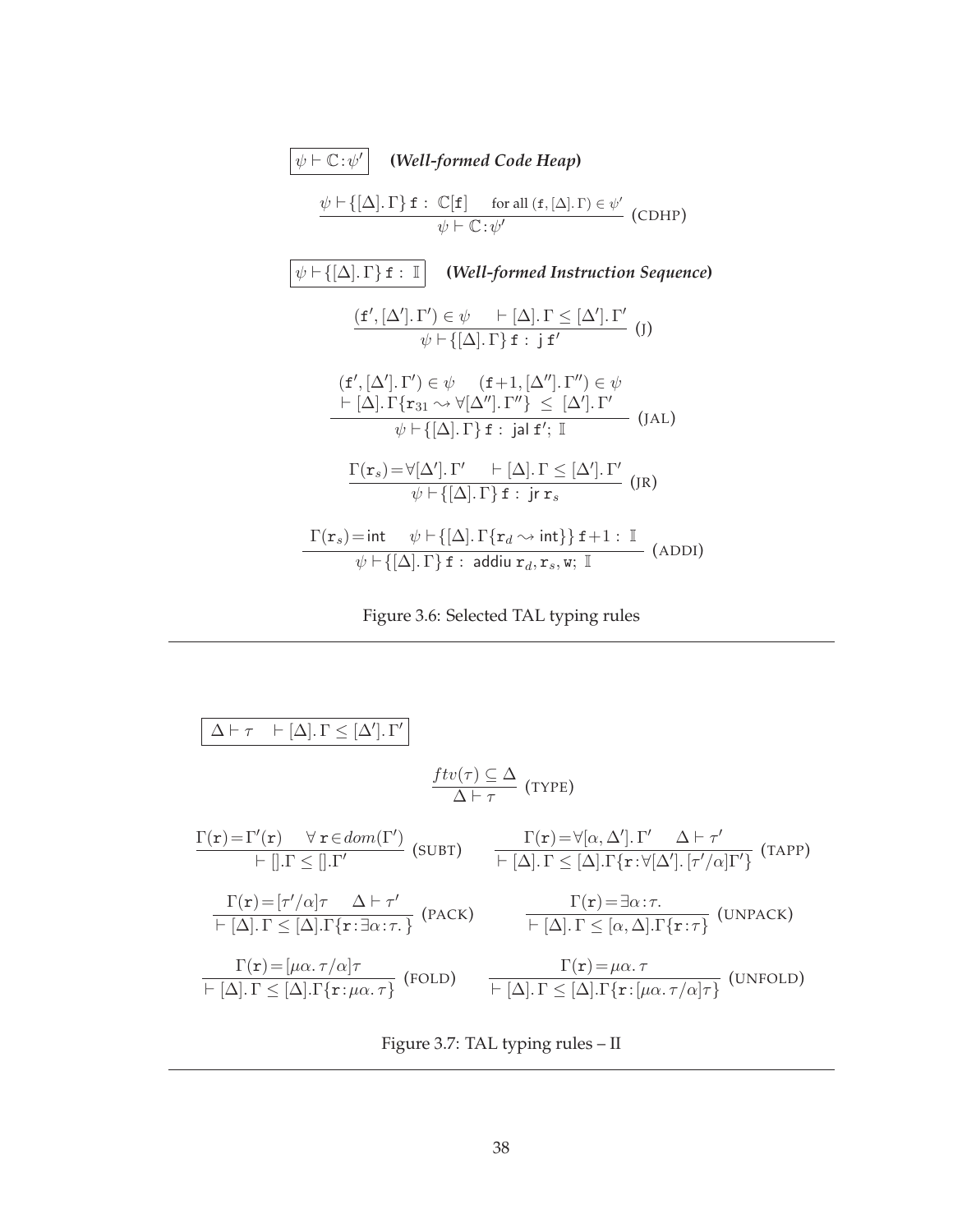$$
\boxed{\psi \vdash \mathbb{C} : \psi' \quad \text{(Well-formed CodeHeap)}
$$
\n
$$
\frac{\psi \vdash \{[\Delta] \cdot \Gamma\} \mathbf{f} : \mathbb{C}[\mathbf{f}] \quad \text{for all } (\mathbf{f}, [\Delta] \cdot \Gamma) \in \psi' \quad (\text{CDHP})}{\psi \vdash \mathbb{C} : \psi' \quad \text{(ODHP)}}
$$
\n
$$
\boxed{\psi \vdash \{[\Delta] \cdot \Gamma\} \mathbf{f} : \mathbb{I} \quad (\text{Well-formed Instruction Sequence})}
$$
\n
$$
\frac{(\mathbf{f}', [\Delta'], \Gamma') \in \psi \quad \vdash [\Delta] \cdot \Gamma \leq [\Delta']. \Gamma'}{\psi \vdash \{[\Delta] \cdot \Gamma\} \mathbf{f} : \mathbf{j} \mathbf{f}' \quad (\text{J})}
$$
\n
$$
\frac{(\mathbf{f}', [\Delta'], \Gamma') \in \psi \quad (\mathbf{f} + 1, [\Delta''], \Gamma'') \in \psi}{\psi \vdash [\Delta]. \Gamma \{r_{31} \rightarrow \forall [\Delta''], \Gamma''\} \leq [\Delta']. \Gamma'} \quad (\text{JAL})
$$
\n
$$
\frac{\Gamma(\mathbf{r}_s) = \forall [\Delta'], \Gamma' \quad \vdash [\Delta]. \Gamma \} \mathbf{f} : \mathbf{j} \mathbf{a} \mathbf{f}'; \mathbb{I} \quad (\text{JAL})}
$$
\n
$$
\frac{\Gamma(\mathbf{r}_s) = \forall [\Delta'], \Gamma' \quad \vdash [\Delta]. \Gamma \} \mathbf{f} : \mathbf{j} \mathbf{r}_s}{\psi \vdash \{[\Delta]. \Gamma\} \mathbf{f} : \mathbf{j} \mathbf{r}_s} \quad (\text{IPDID})
$$

Figure 3.6: Selected TAL typing rules

$$
\begin{array}{lll}\n\boxed{\Delta\vdash\tau\quad \vdash [\Delta].\Gamma\leq [\Delta'].\Gamma']} & \\\n\underline{f\,tr}(\tau)\subseteq\Delta & (\text{Type}) \\
\frac{\Gamma(\mathbf{r})=\Gamma'(\mathbf{r})\quad \forall\ \mathbf{r}\in dom(\Gamma')}{\vdash [].\Gamma\leq [].\Gamma'} & (\text{SUBT})\quad \frac{\Gamma(\mathbf{r})=\forall[\alpha,\Delta'].\Gamma'\quad \Delta\vdash\tau'}{\vdash [\Delta].\Gamma\leq [\Delta].\Gamma\{\mathbf{r}:\forall[\Delta'].[\tau'/\alpha]\Gamma'\}} & (\text{TAPP}) \\
\frac{\Gamma(\mathbf{r})=[\tau'/\alpha]\tau\quad \Delta\vdash\tau'}{\vdash [\Delta].\Gamma\leq [\Delta].\Gamma\{\mathbf{r}:\exists\alpha:\tau.\}} & (\text{PACK})\quad \frac{\Gamma(\mathbf{r})=\exists\alpha:\tau}{\vdash [\Delta].\Gamma\leq [\alpha,\Delta].\Gamma\{\mathbf{r}:\tau\}} & (\text{UNPACK}) \\
\frac{\Gamma(\mathbf{r})=[\mu\alpha.\tau/\alpha]\tau}{\vdash [\Delta].\Gamma\leq [\Delta].\Gamma\{\mathbf{r}:\mu\alpha.\tau\}} & (\text{FOLD})\quad \frac{\Gamma(\mathbf{r})=\mu\alpha.\tau}{\vdash [\Delta].\Gamma\leq [\Delta].\Gamma\{\mathbf{r}:\mu\alpha.\tau/\alpha]\tau} & (\text{UNFOLD})\n\end{array}
$$

Figure 3.7: TAL typing rules – II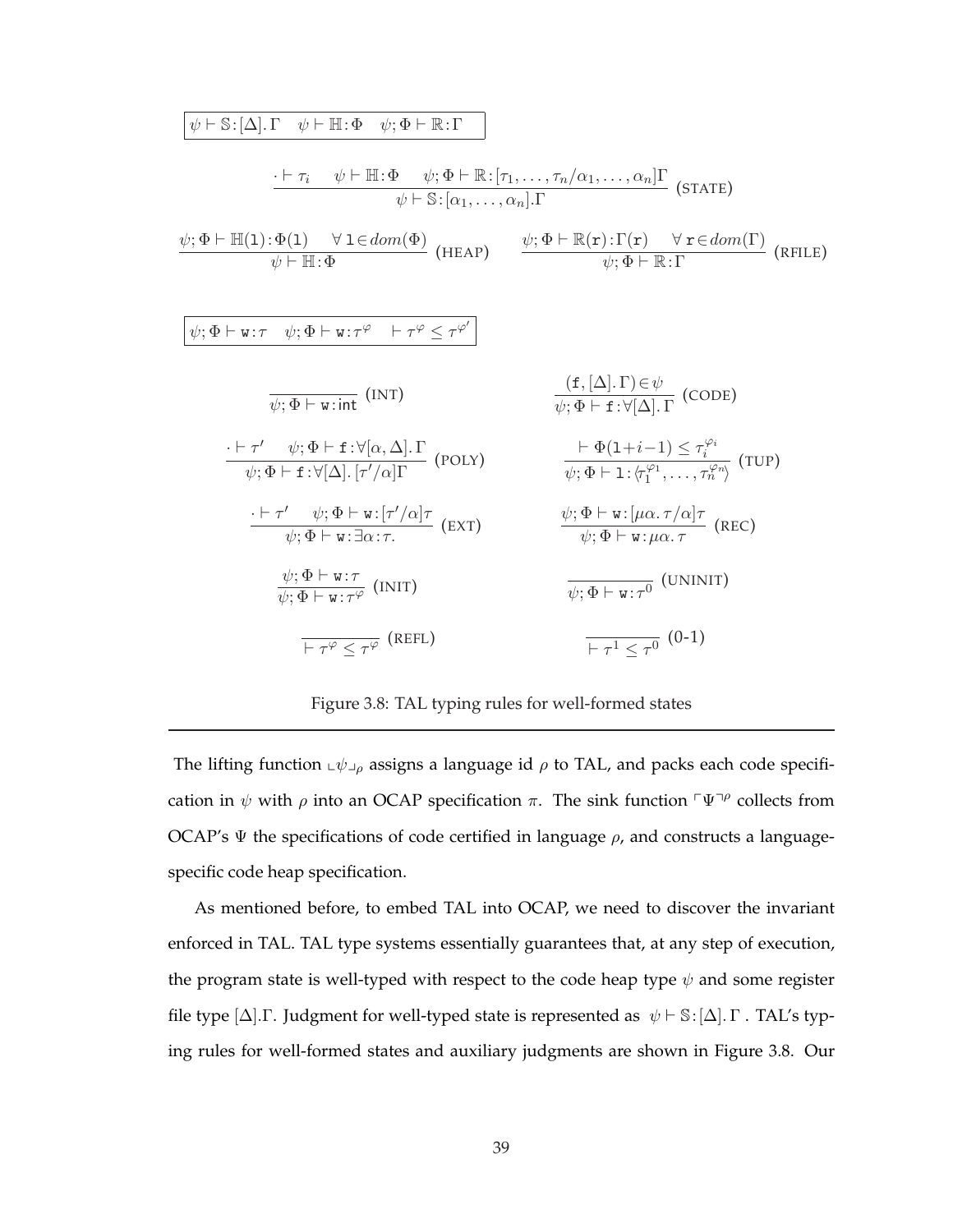$$
\begin{array}{ll}\n\psi \vdash S:[\Delta].\Gamma & \psi \vdash \mathbb{H}:\Phi & \psi; \Phi \vdash \mathbb{R}:\Gamma \\
& \cdot \vdash \tau_{i} & \psi \vdash \mathbb{H}:\Phi & \psi; \Phi \vdash \mathbb{R}:\left[\tau_{1},\ldots,\tau_{n}/\alpha_{1},\ldots,\alpha_{n}\right]\Gamma \\
& \psi; \Phi \vdash \mathbb{H}(1):\Phi(1) & \forall 1 \in dom(\Phi) & \psi; \Phi \vdash \mathbb{R}(\mathbf{r}): \Gamma(\mathbf{r}) & \forall \mathbf{r} \in dom(\Gamma) \\
\psi \vdash \mathbb{H}:\Phi & \psi; \Phi \vdash \mathbb{R}:\Gamma\n\end{array}\n\quad\n\begin{array}{ll}\n\psi; \Phi \vdash \mathbb{R}(\mathbf{r}): \Gamma(\mathbf{r}) & \forall \mathbf{r} \in dom(\Gamma) \\
\psi; \Phi \vdash \mathbb{W}:\tau & \psi; \Phi \vdash \mathbb{W}:\tau^{\varphi} & \psi; \Phi \vdash \mathbb{R}:\Gamma\n\end{array}\n\quad\n\begin{array}{ll}\n\psi; \Phi \vdash \mathbb{R}:\Gamma & \psi \in \mathbb{R}(\mathbb{R}) \\
\psi; \Phi \vdash \mathbb{W}:\tau & \psi \in \mathbb{R}:\mathbb{W}(\mathbb{R}) \\
\hline\n\psi; \Phi \vdash \mathbb{W}:\tau^{*} & \psi; \Phi \vdash \mathbf{r}:\forall[\alpha, \Delta] \cdot \Gamma & (\mathbb{R}(\mathbb{R} \times \mathbb{R})) & \psi; \Phi \vdash \mathbf{r}:\forall[\Delta] \cdot \Gamma & (\mathbb{C} \mathbb{O} \mathbb{B}) \\
\hline\n\psi; \Phi \vdash \mathbf{r}:\forall[\Delta] \cdot \lceil r'/\alpha \rceil \Gamma & (\mathbb{P} \mathbb{O} \mathbb{L} \mathbb{V}) & \psi; \Phi \vdash \mathbf{r}:\forall[\Delta] \cdot \lceil r'/\alpha \rceil \cdot \psi; \Phi \vdash \mathbb{W}:\tau^{*} \otimes \mathbb{W}:\mathbb{V}:\mathbb{R}:\mathbb{R}:\mathbb{R}:\mathbb{R}:\mathbb{R}:\mathbb{R}:\mathbb{R}:\mathbb{R}:\mathbb{R}:\mathbb{R}:\mathbb{R}:\mathbb{R}:\mathbb
$$

Figure 3.8: TAL typing rules for well-formed states

The lifting function  $\psi \psi$ <sub>ρ</sub> assigns a language id  $\rho$  to TAL, and packs each code specification in  $\psi$  with  $\rho$  into an OCAP specification π. The sink function  $\nabla \Psi$ <sup> $\nu$ </sup> collects from OCAP's  $\Psi$  the specifications of code certified in language  $\rho$ , and constructs a languagespecific code heap specification.

As mentioned before, to embed TAL into OCAP, we need to discover the invariant enforced in TAL. TAL type systems essentially guarantees that, at any step of execution, the program state is well-typed with respect to the code heap type  $\psi$  and some register file type [ $\Delta$ ]. Γ. Judgment for well-typed state is represented as  $\psi \vdash \mathbb{S} : [\Delta]$ . Γ. TAL's typing rules for well-formed states and auxiliary judgments are shown in Figure 3.8. Our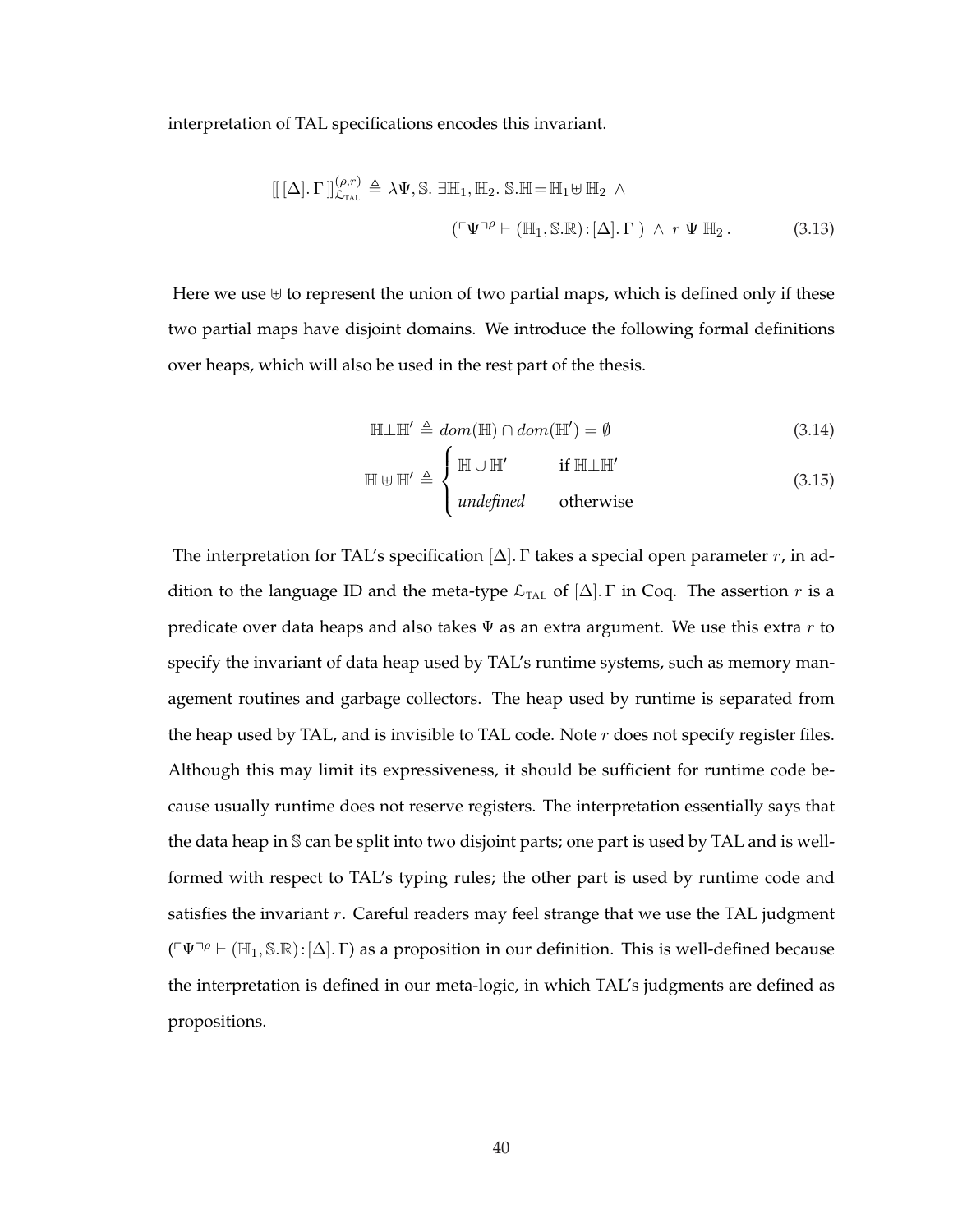interpretation of TAL specifications encodes this invariant.

$$
[[ [\Delta] \cdot \Gamma]]_{\mathcal{L}_{\text{TL}}}^{(\rho, r)} \triangleq \lambda \Psi, \mathbb{S}. \exists \mathbb{H}_1, \mathbb{H}_2. \mathbb{S}. \mathbb{H} = \mathbb{H}_1 \uplus \mathbb{H}_2 \wedge
$$
  

$$
(\ulcorner \Psi \urcorner^{\rho} \vdash (\mathbb{H}_1, \mathbb{S}. \mathbb{R}) : [\Delta]. \Gamma) \wedge r \Psi \mathbb{H}_2. \tag{3.13}
$$

Here we use  $\uplus$  to represent the union of two partial maps, which is defined only if these two partial maps have disjoint domains. We introduce the following formal definitions over heaps, which will also be used in the rest part of the thesis.

$$
\mathbb{H}\perp\mathbb{H}' \triangleq dom(\mathbb{H}) \cap dom(\mathbb{H}') = \emptyset \tag{3.14}
$$

$$
\mathbb{H} \uplus \mathbb{H}' \triangleq \begin{cases} \mathbb{H} \cup \mathbb{H}' & \text{if } \mathbb{H} \perp \mathbb{H}' \\ \text{undefined} & \text{otherwise} \end{cases}
$$
 (3.15)

The interpretation for TAL's specification  $[\Delta]$ . Γ takes a special open parameter r, in addition to the language ID and the meta-type  $\mathcal{L}_{\text{TAL}}$  of  $[\Delta]$ .  $\Gamma$  in Coq. The assertion  $r$  is a predicate over data heaps and also takes  $\Psi$  as an extra argument. We use this extra  $r$  to specify the invariant of data heap used by TAL's runtime systems, such as memory management routines and garbage collectors. The heap used by runtime is separated from the heap used by TAL, and is invisible to TAL code. Note  $r$  does not specify register files. Although this may limit its expressiveness, it should be sufficient for runtime code because usually runtime does not reserve registers. The interpretation essentially says that the data heap in S can be split into two disjoint parts; one part is used by TAL and is wellformed with respect to TAL's typing rules; the other part is used by runtime code and satisfies the invariant  $r$ . Careful readers may feel strange that we use the TAL judgment  $(\lceil \Psi \rceil^{\rho} \vdash (\mathbb{H}_1, \mathbb{S}.\mathbb{R}) : [\Delta] \cdot \Gamma)$  as a proposition in our definition. This is well-defined because the interpretation is defined in our meta-logic, in which TAL's judgments are defined as propositions.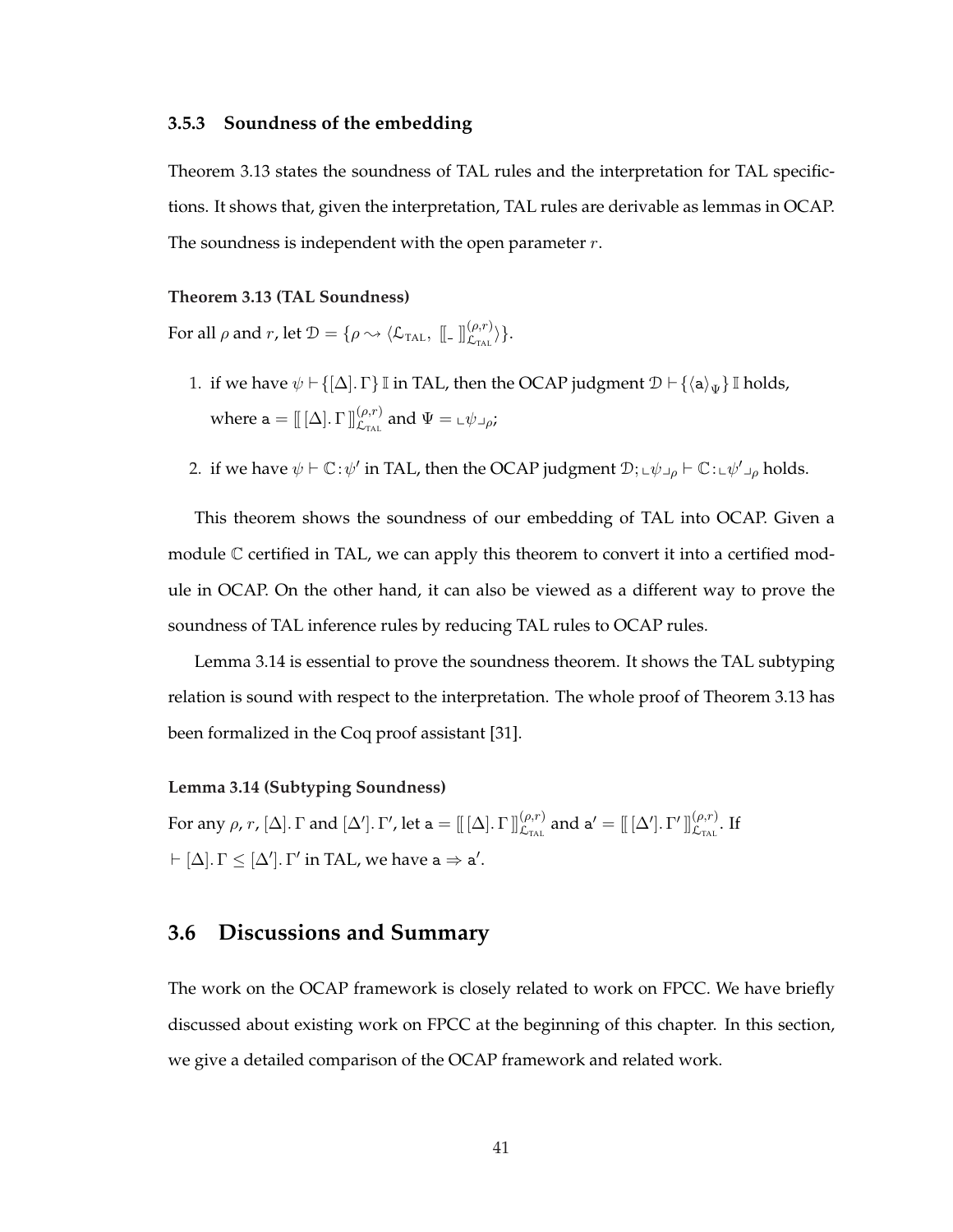#### **3.5.3 Soundness of the embedding**

Theorem 3.13 states the soundness of TAL rules and the interpretation for TAL specifictions. It shows that, given the interpretation, TAL rules are derivable as lemmas in OCAP. The soundness is independent with the open parameter  $r$ .

#### **Theorem 3.13 (TAL Soundness)**

For all  $\rho$  and  $r$ , let  $\mathcal{D} = \{ \rho \leadsto \langle \mathcal{L}_{\text{TAL}}, \; [\![ . \; ]\!]_{\mathcal{L}_{\text{TAL}}}^{(\rho,r)} \rangle \}.$ 

- 1. if we have  $\psi \vdash \{[\Delta] \ldotp \Gamma\} \mathbb{I}$  in TAL, then the OCAP judgment  $\mathcal{D} \vdash \{\langle a \rangle_{\Psi}\} \mathbb{I}$  holds, where  $\mathtt{a}=[\![\ [\Delta]\]\Gamma\ ]\!]_{\mathcal{L}_{\text{TAL}}}^{(\rho,r)}$  and  $\Psi=\llcorner\psi\lrcorner_{\rho};$
- 2. if we have  $\psi \vdash \mathbb{C} : \psi'$  in TAL, then the OCAP judgment  $\mathcal{D}; \psi \vdash \psi \vdash \mathbb{C}: \psi' \vdash \phi$  holds.

This theorem shows the soundness of our embedding of TAL into OCAP. Given a module  $\mathbb C$  certified in TAL, we can apply this theorem to convert it into a certified module in OCAP. On the other hand, it can also be viewed as a different way to prove the soundness of TAL inference rules by reducing TAL rules to OCAP rules.

Lemma 3.14 is essential to prove the soundness theorem. It shows the TAL subtyping relation is sound with respect to the interpretation. The whole proof of Theorem 3.13 has been formalized in the Coq proof assistant [31].

#### **Lemma 3.14 (Subtyping Soundness)**

For any ρ,  $r$ ,  $[\Delta]$ . Γ and  $[\Delta']$ . Γ', let a =  $[\![ [\Delta ]\!]$ . Γ' $]\!]_{\mathcal{L}_{\text{TAL}}}^{(\rho,r)}$  and a' =  $[\![ [\Delta']\!]$ . Γ' $]\!]_{\mathcal{L}_{\text{TAL}}}^{(\rho,r)}$ . If  $\vdash [\Delta]$ .  $\Gamma \leq [\Delta']$ .  $\Gamma'$  in TAL, we have  $a \Rightarrow a'$ .

# **3.6 Discussions and Summary**

The work on the OCAP framework is closely related to work on FPCC. We have briefly discussed about existing work on FPCC at the beginning of this chapter. In this section, we give a detailed comparison of the OCAP framework and related work.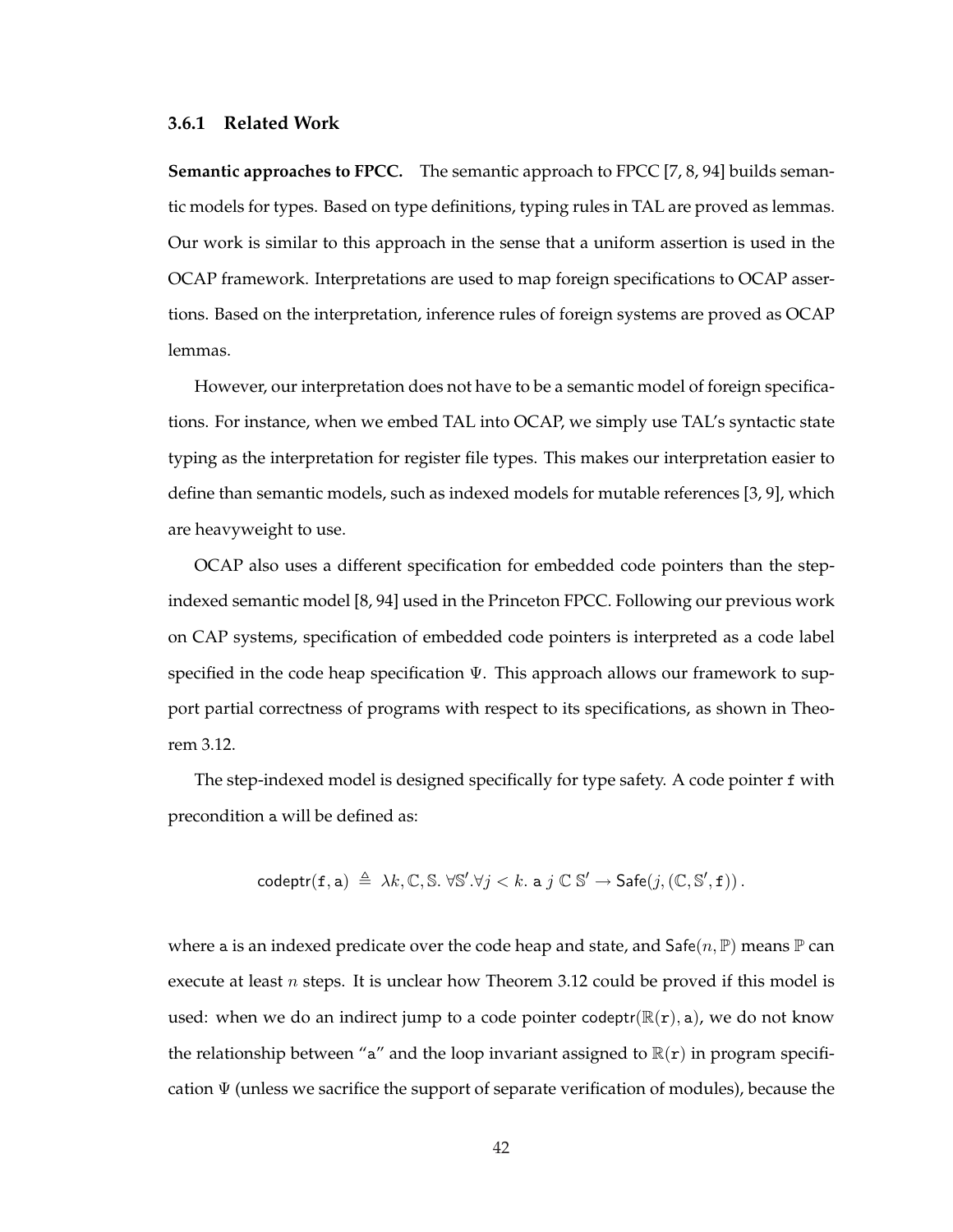#### **3.6.1 Related Work**

**Semantic approaches to FPCC.** The semantic approach to FPCC [7, 8, 94] builds semantic models for types. Based on type definitions, typing rules in TAL are proved as lemmas. Our work is similar to this approach in the sense that a uniform assertion is used in the OCAP framework. Interpretations are used to map foreign specifications to OCAP assertions. Based on the interpretation, inference rules of foreign systems are proved as OCAP lemmas.

However, our interpretation does not have to be a semantic model of foreign specifications. For instance, when we embed TAL into OCAP, we simply use TAL's syntactic state typing as the interpretation for register file types. This makes our interpretation easier to define than semantic models, such as indexed models for mutable references [3, 9], which are heavyweight to use.

OCAP also uses a different specification for embedded code pointers than the stepindexed semantic model [8, 94] used in the Princeton FPCC. Following our previous work on CAP systems, specification of embedded code pointers is interpreted as a code label specified in the code heap specification  $\Psi$ . This approach allows our framework to support partial correctness of programs with respect to its specifications, as shown in Theorem 3.12.

The step-indexed model is designed specifically for type safety. A code pointer f with precondition a will be defined as:

$$
\mathsf{codeptr}(\mathtt{f},\mathtt{a}) \triangleq \lambda k,\mathbb{C},\mathbb{S}.\ \forall \mathbb{S}'.\forall j < k.\ \mathtt{a}\ j\ \mathbb{C}\ \mathbb{S}' \to \mathsf{Safe}(j,(\mathbb{C},\mathbb{S}',\mathtt{f})).
$$

where a is an indexed predicate over the code heap and state, and Safe $(n, \mathbb{P})$  means  $\mathbb P$  can execute at least  $n$  steps. It is unclear how Theorem 3.12 could be proved if this model is used: when we do an indirect jump to a code pointer codeptr( $\mathbb{R}(\mathbf{r})$ , a), we do not know the relationship between "a" and the loop invariant assigned to  $\mathbb{R}(\mathbf{r})$  in program specification  $\Psi$  (unless we sacrifice the support of separate verification of modules), because the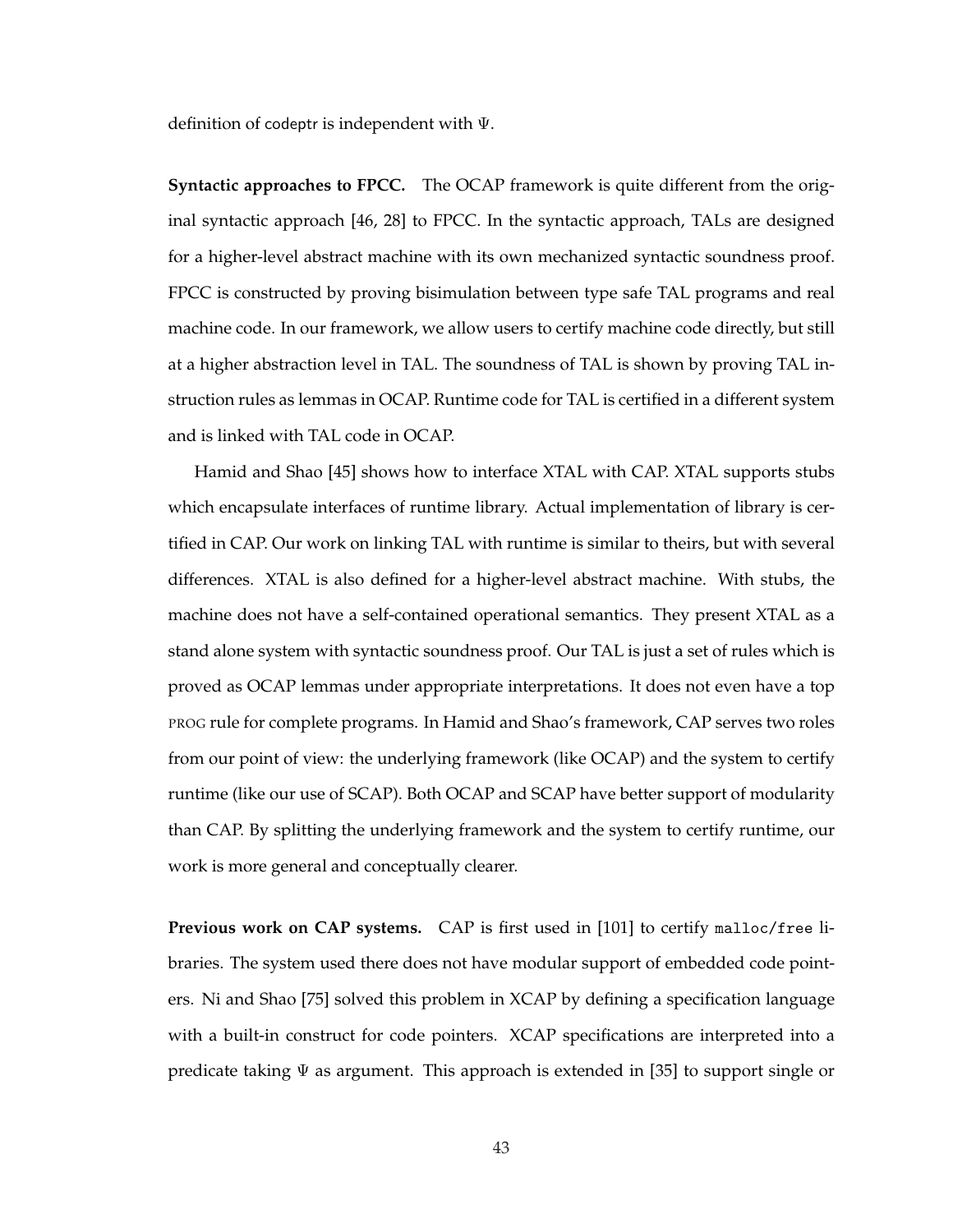definition of codeptr is independent with Ψ.

**Syntactic approaches to FPCC.** The OCAP framework is quite different from the original syntactic approach [46, 28] to FPCC. In the syntactic approach, TALs are designed for a higher-level abstract machine with its own mechanized syntactic soundness proof. FPCC is constructed by proving bisimulation between type safe TAL programs and real machine code. In our framework, we allow users to certify machine code directly, but still at a higher abstraction level in TAL. The soundness of TAL is shown by proving TAL instruction rules as lemmas in OCAP. Runtime code for TAL is certified in a different system and is linked with TAL code in OCAP.

Hamid and Shao [45] shows how to interface XTAL with CAP. XTAL supports stubs which encapsulate interfaces of runtime library. Actual implementation of library is certified in CAP. Our work on linking TAL with runtime is similar to theirs, but with several differences. XTAL is also defined for a higher-level abstract machine. With stubs, the machine does not have a self-contained operational semantics. They present XTAL as a stand alone system with syntactic soundness proof. Our TAL is just a set of rules which is proved as OCAP lemmas under appropriate interpretations. It does not even have a top PROG rule for complete programs. In Hamid and Shao's framework, CAP serves two roles from our point of view: the underlying framework (like OCAP) and the system to certify runtime (like our use of SCAP). Both OCAP and SCAP have better support of modularity than CAP. By splitting the underlying framework and the system to certify runtime, our work is more general and conceptually clearer.

**Previous work on CAP systems.** CAP is first used in [101] to certify malloc/free libraries. The system used there does not have modular support of embedded code pointers. Ni and Shao [75] solved this problem in XCAP by defining a specification language with a built-in construct for code pointers. XCAP specifications are interpreted into a predicate taking  $\Psi$  as argument. This approach is extended in [35] to support single or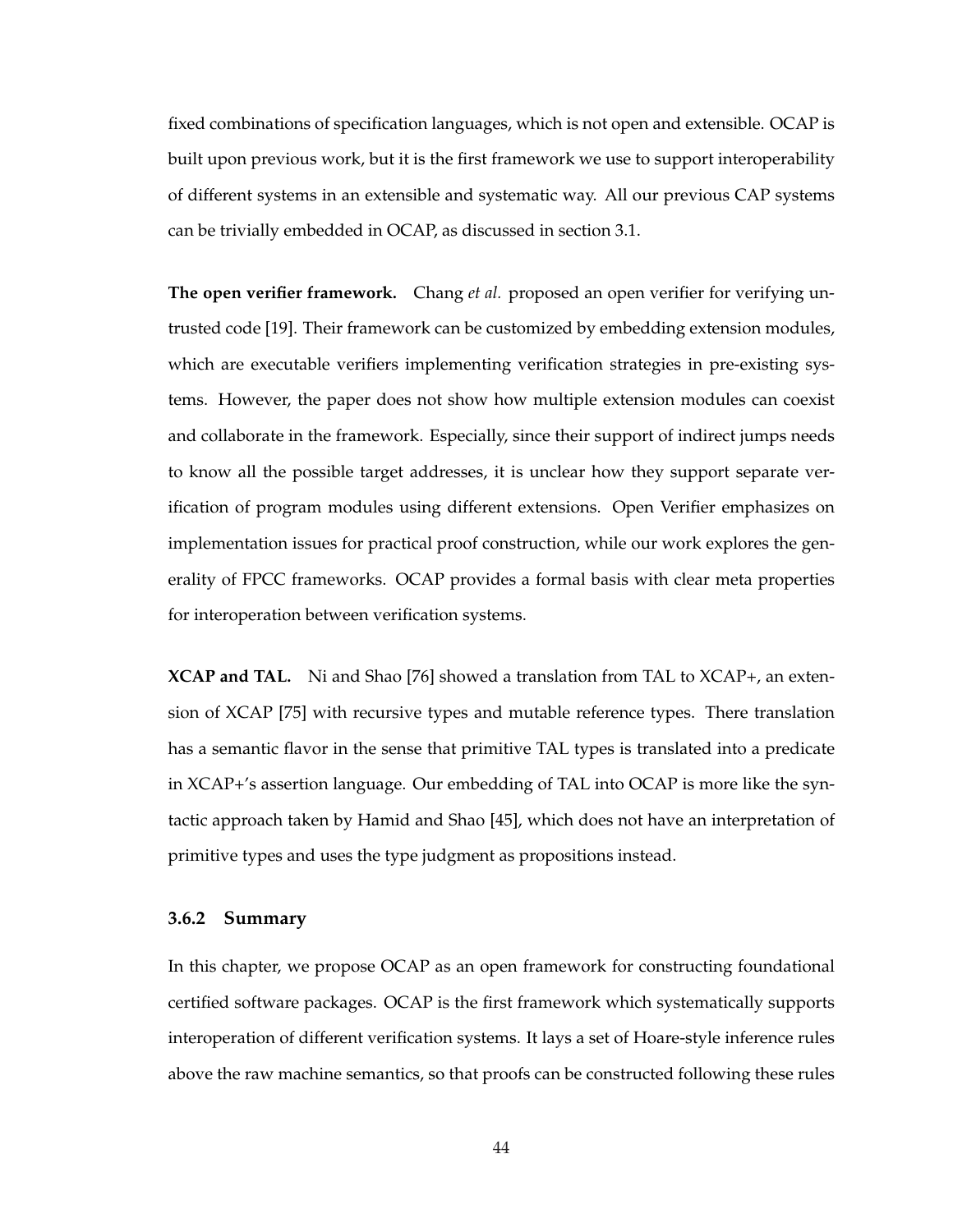fixed combinations of specification languages, which is not open and extensible. OCAP is built upon previous work, but it is the first framework we use to support interoperability of different systems in an extensible and systematic way. All our previous CAP systems can be trivially embedded in OCAP, as discussed in section 3.1.

**The open verifier framework.** Chang *et al.* proposed an open verifier for verifying untrusted code [19]. Their framework can be customized by embedding extension modules, which are executable verifiers implementing verification strategies in pre-existing systems. However, the paper does not show how multiple extension modules can coexist and collaborate in the framework. Especially, since their support of indirect jumps needs to know all the possible target addresses, it is unclear how they support separate verification of program modules using different extensions. Open Verifier emphasizes on implementation issues for practical proof construction, while our work explores the generality of FPCC frameworks. OCAP provides a formal basis with clear meta properties for interoperation between verification systems.

**XCAP and TAL.** Ni and Shao [76] showed a translation from TAL to XCAP+, an extension of XCAP [75] with recursive types and mutable reference types. There translation has a semantic flavor in the sense that primitive TAL types is translated into a predicate in XCAP+'s assertion language. Our embedding of TAL into OCAP is more like the syntactic approach taken by Hamid and Shao [45], which does not have an interpretation of primitive types and uses the type judgment as propositions instead.

#### **3.6.2 Summary**

In this chapter, we propose OCAP as an open framework for constructing foundational certified software packages. OCAP is the first framework which systematically supports interoperation of different verification systems. It lays a set of Hoare-style inference rules above the raw machine semantics, so that proofs can be constructed following these rules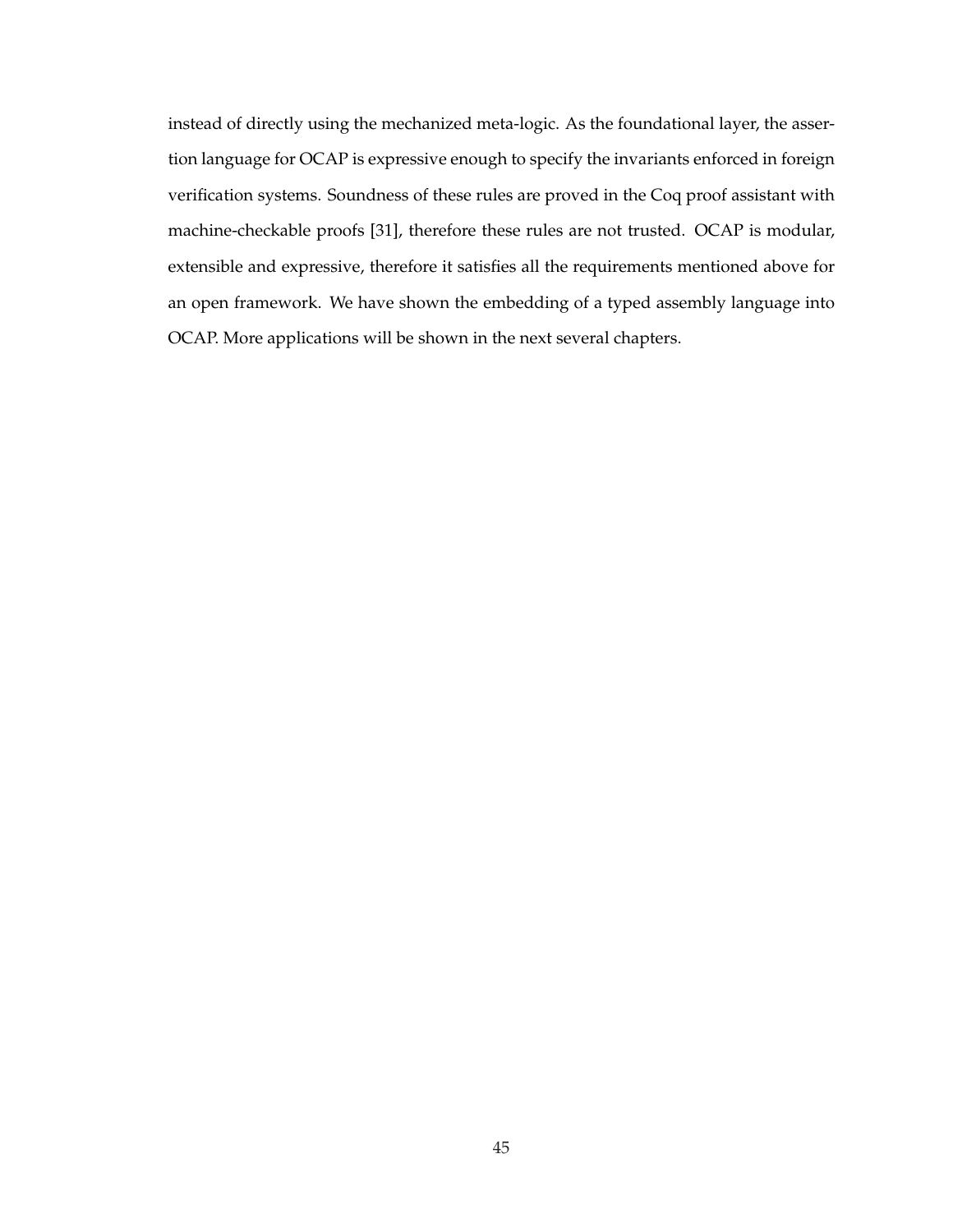instead of directly using the mechanized meta-logic. As the foundational layer, the assertion language for OCAP is expressive enough to specify the invariants enforced in foreign verification systems. Soundness of these rules are proved in the Coq proof assistant with machine-checkable proofs [31], therefore these rules are not trusted. OCAP is modular, extensible and expressive, therefore it satisfies all the requirements mentioned above for an open framework. We have shown the embedding of a typed assembly language into OCAP. More applications will be shown in the next several chapters.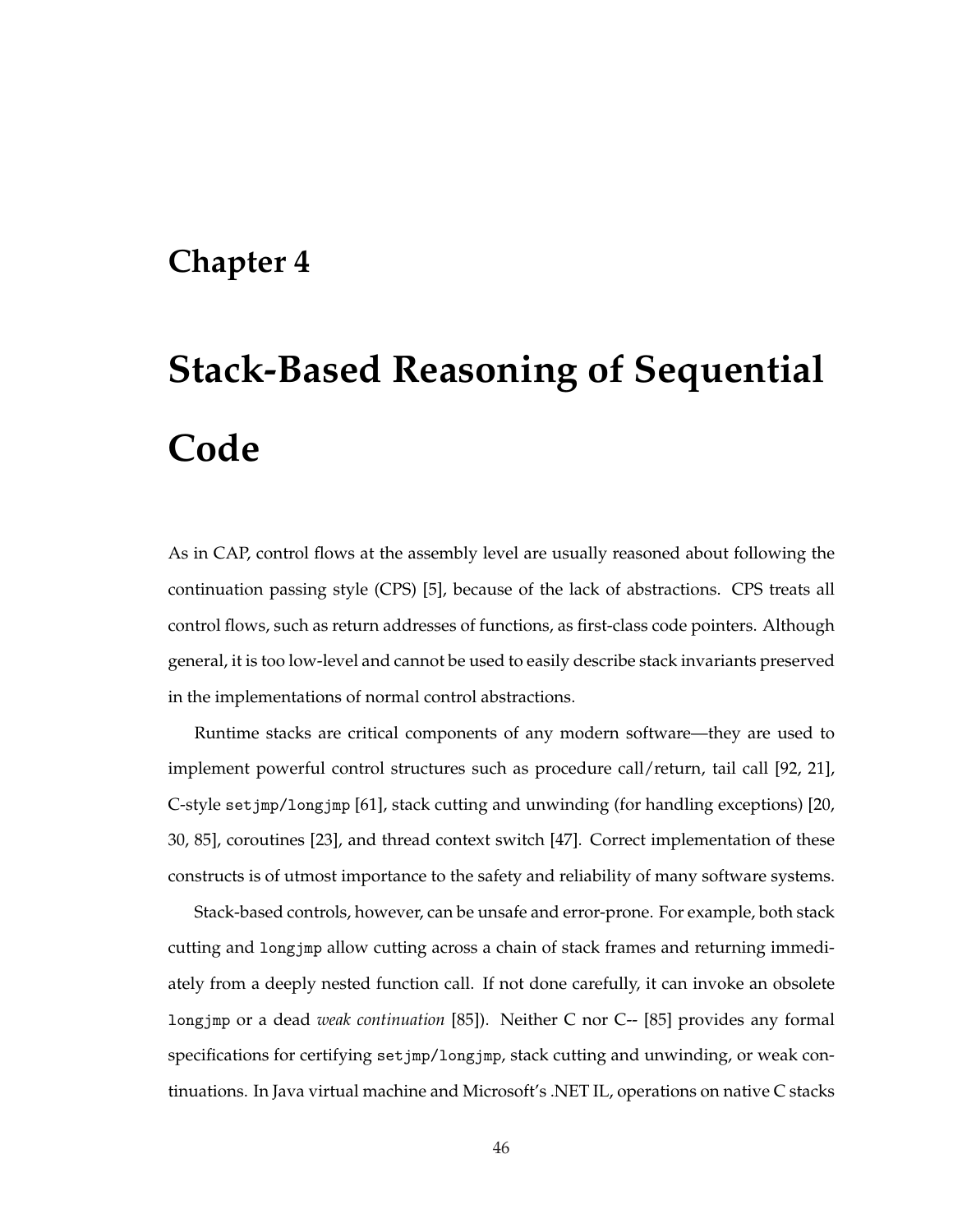# **Chapter 4**

# **Stack-Based Reasoning of Sequential Code**

As in CAP, control flows at the assembly level are usually reasoned about following the continuation passing style (CPS) [5], because of the lack of abstractions. CPS treats all control flows, such as return addresses of functions, as first-class code pointers. Although general, it is too low-level and cannot be used to easily describe stack invariants preserved in the implementations of normal control abstractions.

Runtime stacks are critical components of any modern software—they are used to implement powerful control structures such as procedure call/return, tail call [92, 21], C-style setjmp/longjmp [61], stack cutting and unwinding (for handling exceptions) [20, 30, 85], coroutines [23], and thread context switch [47]. Correct implementation of these constructs is of utmost importance to the safety and reliability of many software systems.

Stack-based controls, however, can be unsafe and error-prone. For example, both stack cutting and longjmp allow cutting across a chain of stack frames and returning immediately from a deeply nested function call. If not done carefully, it can invoke an obsolete longjmp or a dead *weak continuation* [85]). Neither C nor C-- [85] provides any formal specifications for certifying set  $\text{imp}/\text{long}$  mp, stack cutting and unwinding, or weak continuations. In Java virtual machine and Microsoft's .NET IL, operations on native C stacks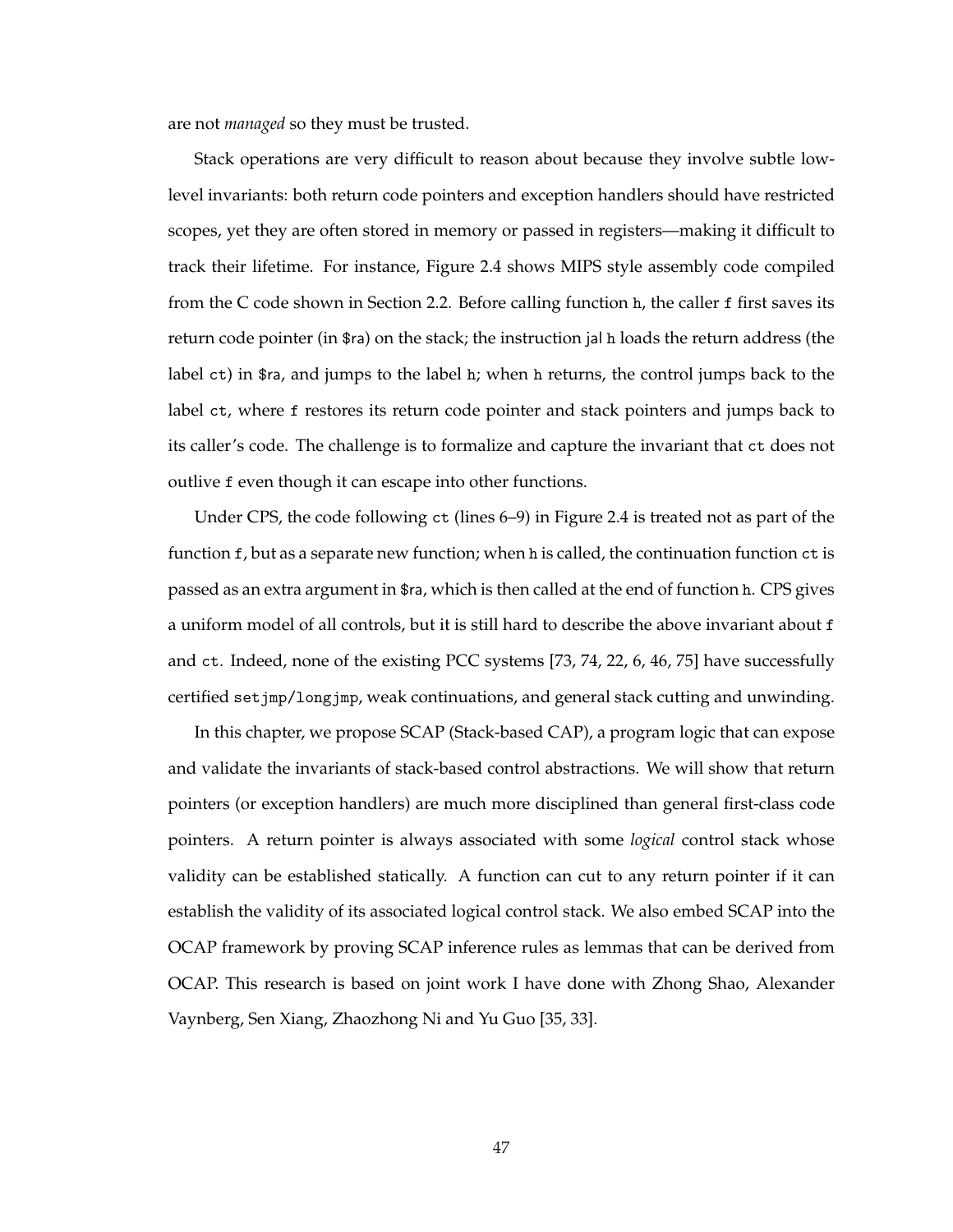are not *managed* so they must be trusted.

Stack operations are very difficult to reason about because they involve subtle lowlevel invariants: both return code pointers and exception handlers should have restricted scopes, yet they are often stored in memory or passed in registers—making it difficult to track their lifetime. For instance, Figure 2.4 shows MIPS style assembly code compiled from the C code shown in Section 2.2. Before calling function h, the caller f first saves its return code pointer (in \$ra) on the stack; the instruction jal h loads the return address (the label ct) in \$ra, and jumps to the label h; when h returns, the control jumps back to the label ct, where f restores its return code pointer and stack pointers and jumps back to its caller's code. The challenge is to formalize and capture the invariant that ct does not outlive f even though it can escape into other functions.

Under CPS, the code following ct (lines 6–9) in Figure 2.4 is treated not as part of the function f, but as a separate new function; when h is called, the continuation function ct is passed as an extra argument in \$ra, which is then called at the end of function h. CPS gives a uniform model of all controls, but it is still hard to describe the above invariant about f and ct. Indeed, none of the existing PCC systems [73, 74, 22, 6, 46, 75] have successfully certified setjmp/longjmp, weak continuations, and general stack cutting and unwinding.

In this chapter, we propose SCAP (Stack-based CAP), a program logic that can expose and validate the invariants of stack-based control abstractions. We will show that return pointers (or exception handlers) are much more disciplined than general first-class code pointers. A return pointer is always associated with some *logical* control stack whose validity can be established statically. A function can cut to any return pointer if it can establish the validity of its associated logical control stack. We also embed SCAP into the OCAP framework by proving SCAP inference rules as lemmas that can be derived from OCAP. This research is based on joint work I have done with Zhong Shao, Alexander Vaynberg, Sen Xiang, Zhaozhong Ni and Yu Guo [35, 33].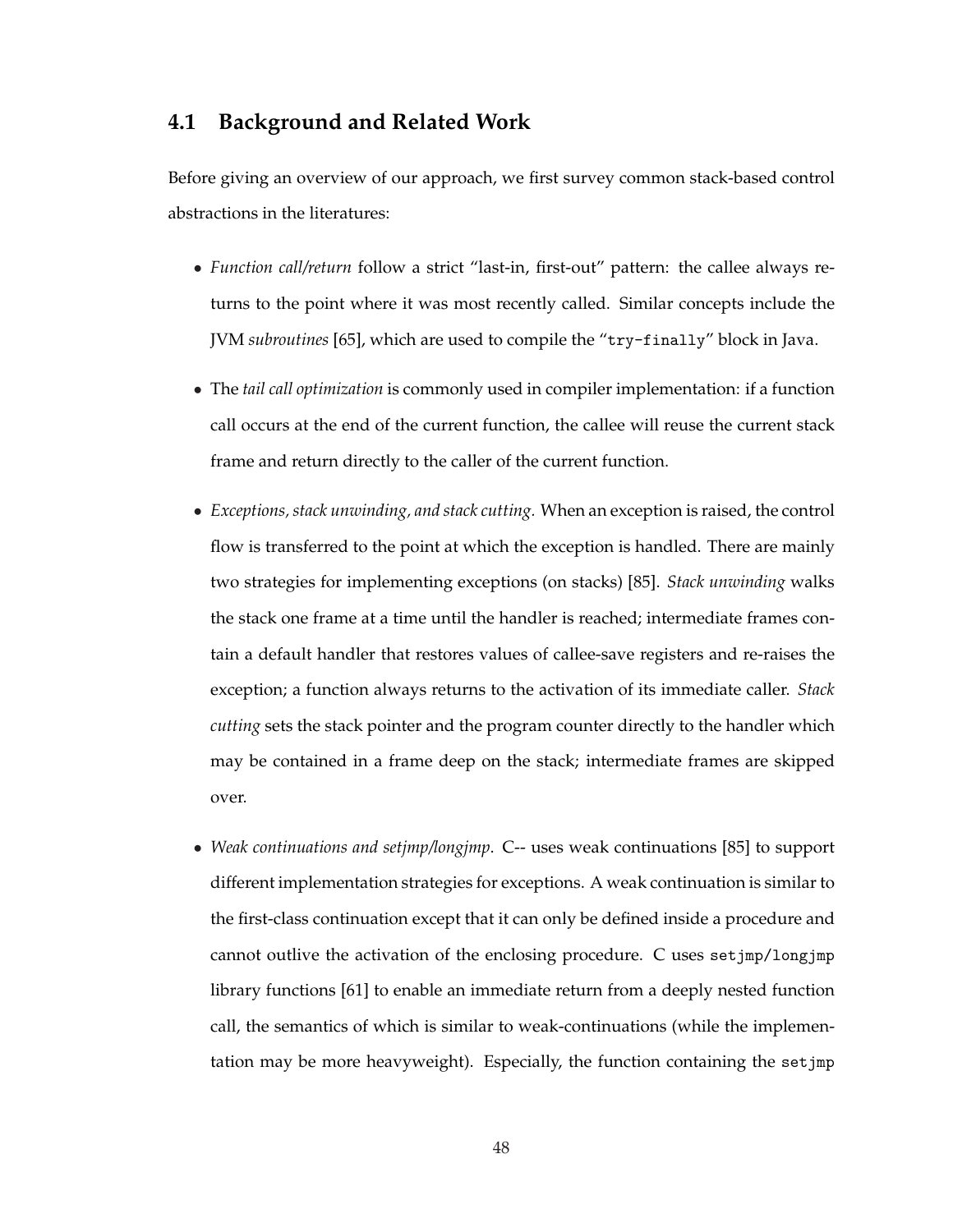# **4.1 Background and Related Work**

Before giving an overview of our approach, we first survey common stack-based control abstractions in the literatures:

- *Function call/return* follow a strict "last-in, first-out" pattern: the callee always returns to the point where it was most recently called. Similar concepts include the JVM *subroutines* [65], which are used to compile the "try-finally" block in Java.
- The *tail call optimization* is commonly used in compiler implementation: if a function call occurs at the end of the current function, the callee will reuse the current stack frame and return directly to the caller of the current function.
- *Exceptions, stack unwinding, and stack cutting.* When an exception is raised, the control flow is transferred to the point at which the exception is handled. There are mainly two strategies for implementing exceptions (on stacks) [85]. *Stack unwinding* walks the stack one frame at a time until the handler is reached; intermediate frames contain a default handler that restores values of callee-save registers and re-raises the exception; a function always returns to the activation of its immediate caller. *Stack cutting* sets the stack pointer and the program counter directly to the handler which may be contained in a frame deep on the stack; intermediate frames are skipped over.
- *Weak continuations and setjmp/longjmp*. C-- uses weak continuations [85] to support different implementation strategies for exceptions. A weak continuation is similar to the first-class continuation except that it can only be defined inside a procedure and cannot outlive the activation of the enclosing procedure. C uses setjmp/longjmp library functions [61] to enable an immediate return from a deeply nested function call, the semantics of which is similar to weak-continuations (while the implementation may be more heavyweight). Especially, the function containing the setjmp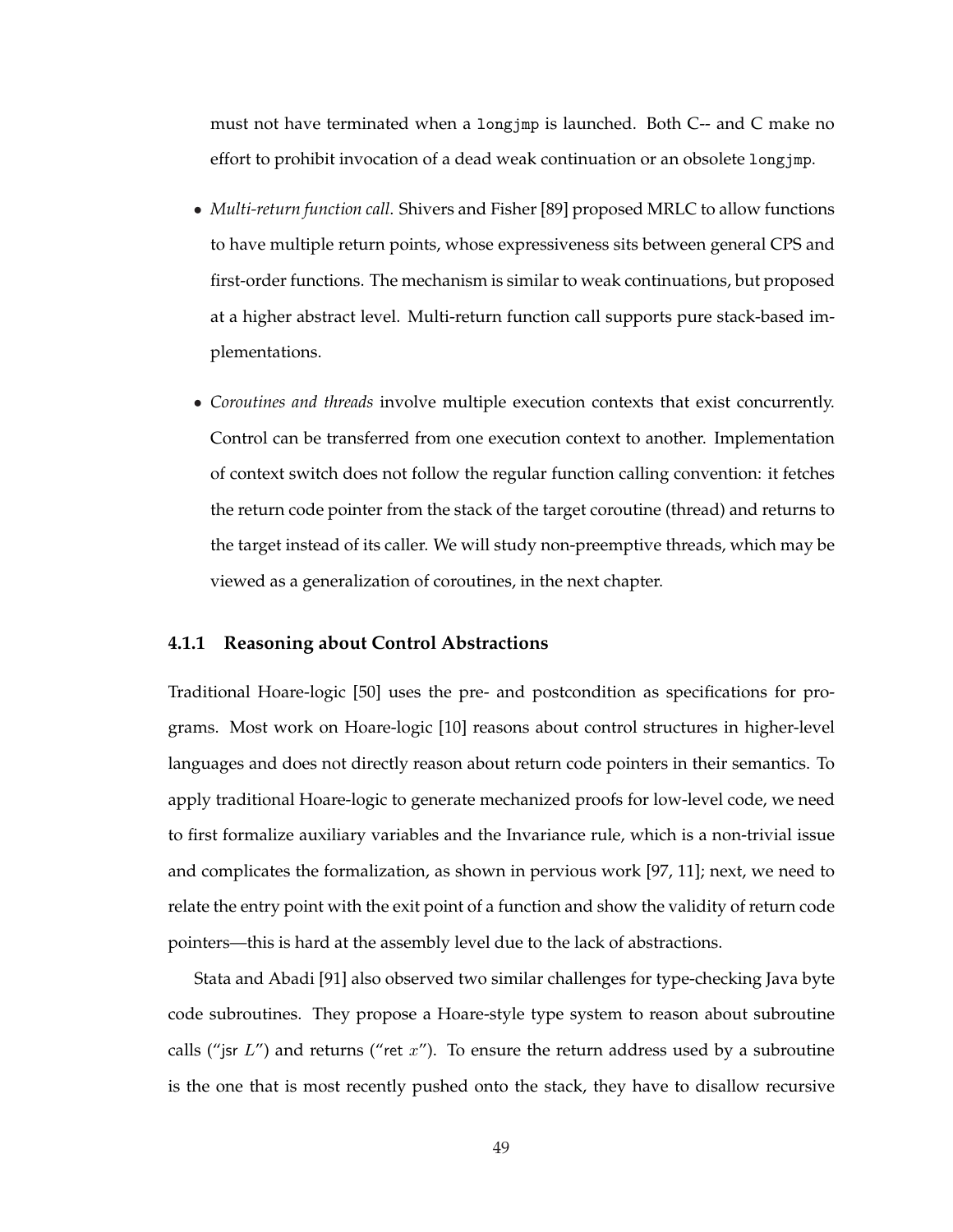must not have terminated when a longjmp is launched. Both C-- and C make no effort to prohibit invocation of a dead weak continuation or an obsolete longjmp.

- *Multi-return function call*. Shivers and Fisher [89] proposed MRLC to allow functions to have multiple return points, whose expressiveness sits between general CPS and first-order functions. The mechanism is similar to weak continuations, but proposed at a higher abstract level. Multi-return function call supports pure stack-based implementations.
- *Coroutines and threads* involve multiple execution contexts that exist concurrently. Control can be transferred from one execution context to another. Implementation of context switch does not follow the regular function calling convention: it fetches the return code pointer from the stack of the target coroutine (thread) and returns to the target instead of its caller. We will study non-preemptive threads, which may be viewed as a generalization of coroutines, in the next chapter.

#### **4.1.1 Reasoning about Control Abstractions**

Traditional Hoare-logic [50] uses the pre- and postcondition as specifications for programs. Most work on Hoare-logic [10] reasons about control structures in higher-level languages and does not directly reason about return code pointers in their semantics. To apply traditional Hoare-logic to generate mechanized proofs for low-level code, we need to first formalize auxiliary variables and the Invariance rule, which is a non-trivial issue and complicates the formalization, as shown in pervious work [97, 11]; next, we need to relate the entry point with the exit point of a function and show the validity of return code pointers—this is hard at the assembly level due to the lack of abstractions.

Stata and Abadi [91] also observed two similar challenges for type-checking Java byte code subroutines. They propose a Hoare-style type system to reason about subroutine calls ("jsr  $L$ ") and returns ("ret  $x$ "). To ensure the return address used by a subroutine is the one that is most recently pushed onto the stack, they have to disallow recursive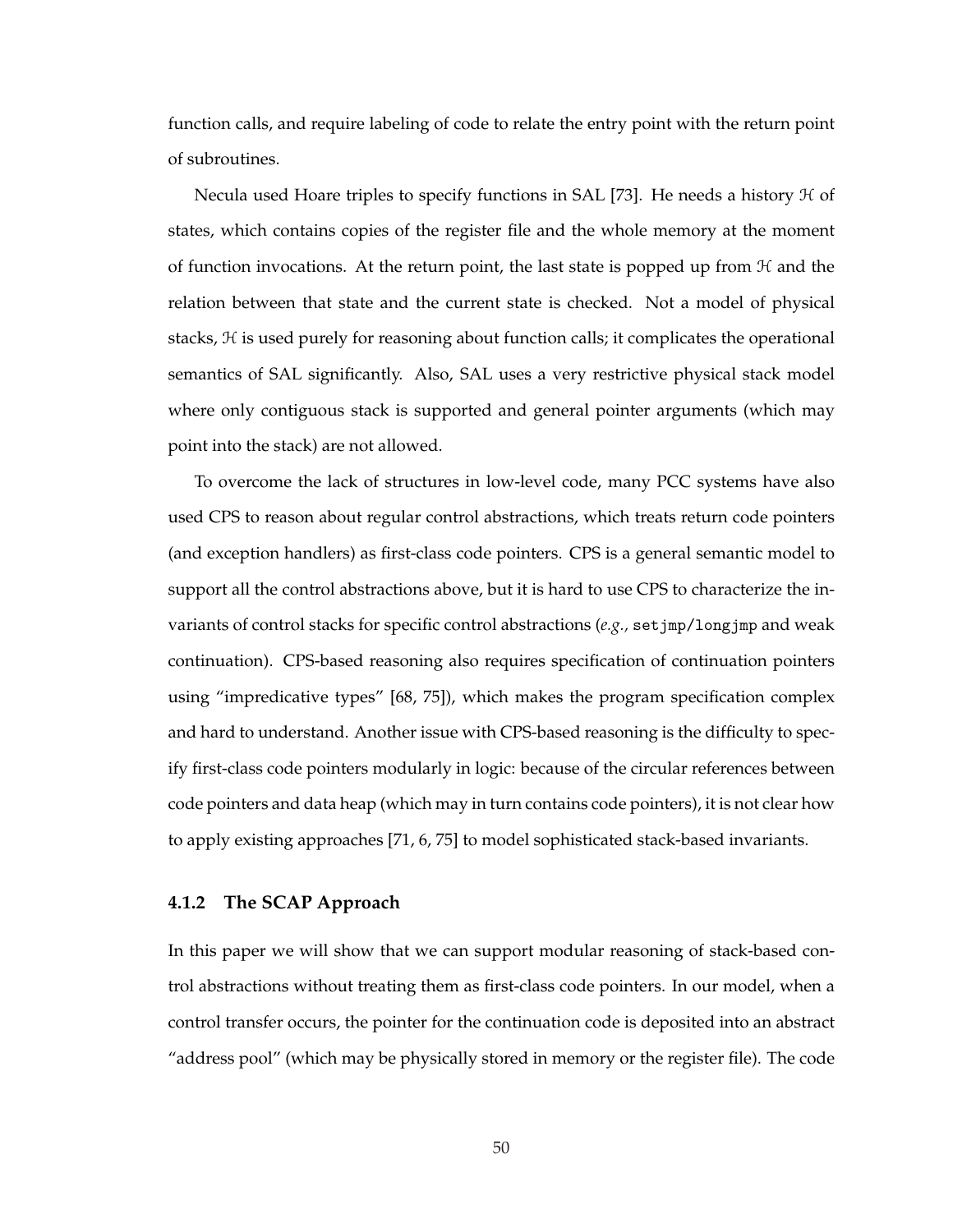function calls, and require labeling of code to relate the entry point with the return point of subroutines.

Necula used Hoare triples to specify functions in SAL [73]. He needs a history  $H$  of states, which contains copies of the register file and the whole memory at the moment of function invocations. At the return point, the last state is popped up from  $H$  and the relation between that state and the current state is checked. Not a model of physical stacks,  $H$  is used purely for reasoning about function calls; it complicates the operational semantics of SAL significantly. Also, SAL uses a very restrictive physical stack model where only contiguous stack is supported and general pointer arguments (which may point into the stack) are not allowed.

To overcome the lack of structures in low-level code, many PCC systems have also used CPS to reason about regular control abstractions, which treats return code pointers (and exception handlers) as first-class code pointers. CPS is a general semantic model to support all the control abstractions above, but it is hard to use CPS to characterize the invariants of control stacks for specific control abstractions (*e.g.,* setjmp/longjmp and weak continuation). CPS-based reasoning also requires specification of continuation pointers using "impredicative types" [68, 75]), which makes the program specification complex and hard to understand. Another issue with CPS-based reasoning is the difficulty to specify first-class code pointers modularly in logic: because of the circular references between code pointers and data heap (which may in turn contains code pointers), it is not clear how to apply existing approaches [71, 6, 75] to model sophisticated stack-based invariants.

#### **4.1.2 The SCAP Approach**

In this paper we will show that we can support modular reasoning of stack-based control abstractions without treating them as first-class code pointers. In our model, when a control transfer occurs, the pointer for the continuation code is deposited into an abstract "address pool" (which may be physically stored in memory or the register file). The code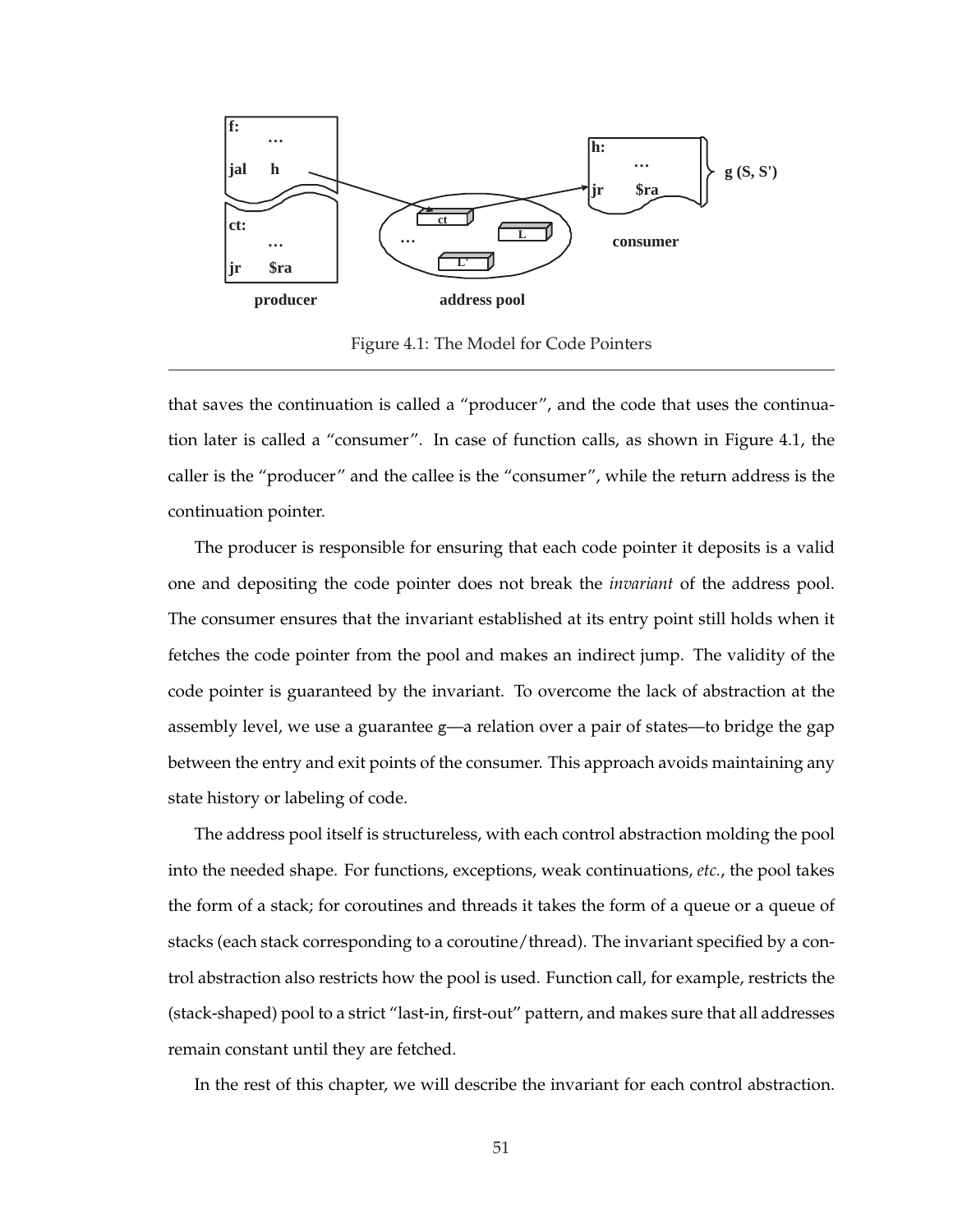

Figure 4.1: The Model for Code Pointers

that saves the continuation is called a "producer", and the code that uses the continuation later is called a "consumer". In case of function calls, as shown in Figure 4.1, the caller is the "producer" and the callee is the "consumer", while the return address is the continuation pointer.

The producer is responsible for ensuring that each code pointer it deposits is a valid one and depositing the code pointer does not break the *invariant* of the address pool. The consumer ensures that the invariant established at its entry point still holds when it fetches the code pointer from the pool and makes an indirect jump. The validity of the code pointer is guaranteed by the invariant. To overcome the lack of abstraction at the assembly level, we use a guarantee g—a relation over a pair of states—to bridge the gap between the entry and exit points of the consumer. This approach avoids maintaining any state history or labeling of code.

The address pool itself is structureless, with each control abstraction molding the pool into the needed shape. For functions, exceptions, weak continuations, *etc.*, the pool takes the form of a stack; for coroutines and threads it takes the form of a queue or a queue of stacks (each stack corresponding to a coroutine/thread). The invariant specified by a control abstraction also restricts how the pool is used. Function call, for example, restricts the (stack-shaped) pool to a strict "last-in, first-out" pattern, and makes sure that all addresses remain constant until they are fetched.

In the rest of this chapter, we will describe the invariant for each control abstraction.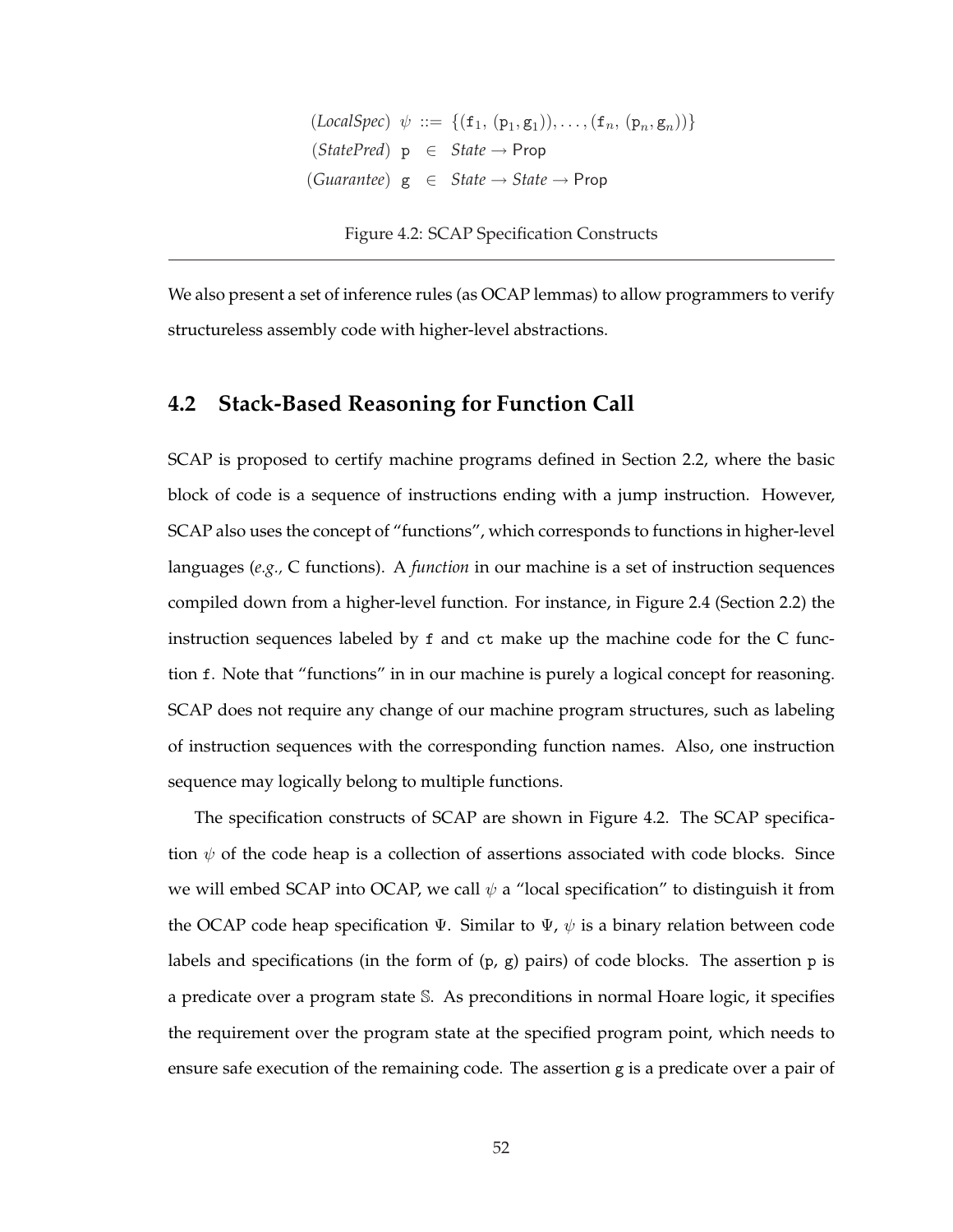$(LocalSpec) \psi ::= \{ (f_1, (p_1, g_1)), \ldots, (f_n, (p_n, g_n)) \}$  $(StatePred)$   $p \in State \rightarrow Prop$ (*Guarantee*) g ∈ *State* → *State* → Prop

Figure 4.2: SCAP Specification Constructs

We also present a set of inference rules (as OCAP lemmas) to allow programmers to verify structureless assembly code with higher-level abstractions.

### **4.2 Stack-Based Reasoning for Function Call**

SCAP is proposed to certify machine programs defined in Section 2.2, where the basic block of code is a sequence of instructions ending with a jump instruction. However, SCAP also uses the concept of "functions", which corresponds to functions in higher-level languages (*e.g.,* C functions). A *function* in our machine is a set of instruction sequences compiled down from a higher-level function. For instance, in Figure 2.4 (Section 2.2) the instruction sequences labeled by f and ct make up the machine code for the C function f. Note that "functions" in in our machine is purely a logical concept for reasoning. SCAP does not require any change of our machine program structures, such as labeling of instruction sequences with the corresponding function names. Also, one instruction sequence may logically belong to multiple functions.

The specification constructs of SCAP are shown in Figure 4.2. The SCAP specification  $\psi$  of the code heap is a collection of assertions associated with code blocks. Since we will embed SCAP into OCAP, we call  $\psi$  a "local specification" to distinguish it from the OCAP code heap specification  $\Psi$ . Similar to  $\Psi$ ,  $\psi$  is a binary relation between code labels and specifications (in the form of (p, g) pairs) of code blocks. The assertion p is a predicate over a program state S. As preconditions in normal Hoare logic, it specifies the requirement over the program state at the specified program point, which needs to ensure safe execution of the remaining code. The assertion g is a predicate over a pair of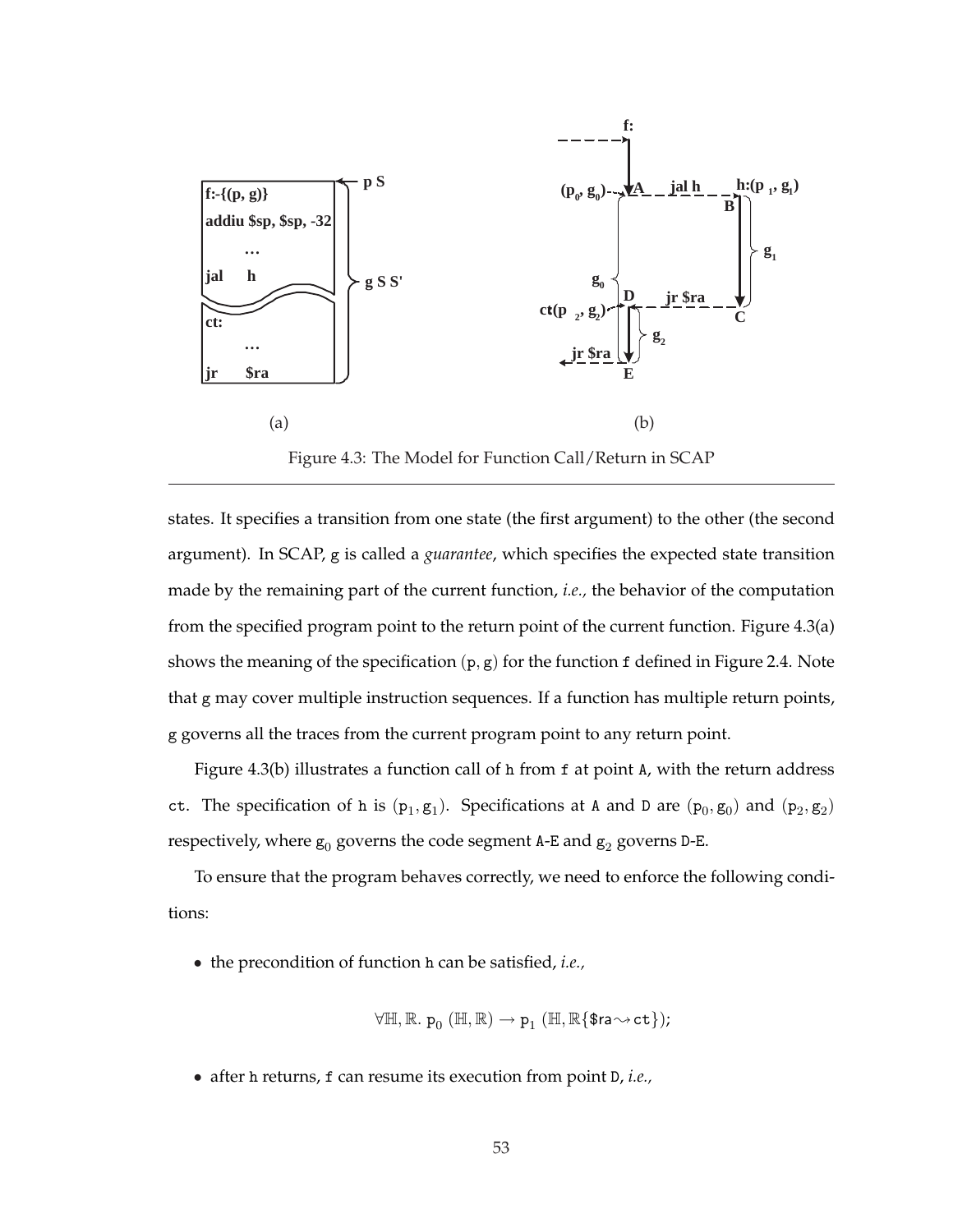

Figure 4.3: The Model for Function Call/Return in SCAP

states. It specifies a transition from one state (the first argument) to the other (the second argument). In SCAP, g is called a *guarantee*, which specifies the expected state transition made by the remaining part of the current function, *i.e.,* the behavior of the computation from the specified program point to the return point of the current function. Figure 4.3(a) shows the meaning of the specification  $(p, g)$  for the function f defined in Figure 2.4. Note that g may cover multiple instruction sequences. If a function has multiple return points, g governs all the traces from the current program point to any return point.

Figure 4.3(b) illustrates a function call of h from f at point A, with the return address ct. The specification of h is  $(p_1, g_1)$ . Specifications at A and D are  $(p_0, g_0)$  and  $(p_2, g_2)$ respectively, where  $g_0$  governs the code segment A-E and  $g_2$  governs D-E.

To ensure that the program behaves correctly, we need to enforce the following conditions:

• the precondition of function h can be satisfied, *i.e.,*

$$
\forall \mathbb{H}, \mathbb{R}.\; \mathtt{p}_0\ (\mathbb{H},\mathbb{R}) \rightarrow \mathtt{p}_1\ (\mathbb{H},\mathbb{R}\{\texttt{\$ra}{\sim}{\texttt{ct}}\});
$$

• after h returns, f can resume its execution from point D, *i.e.,*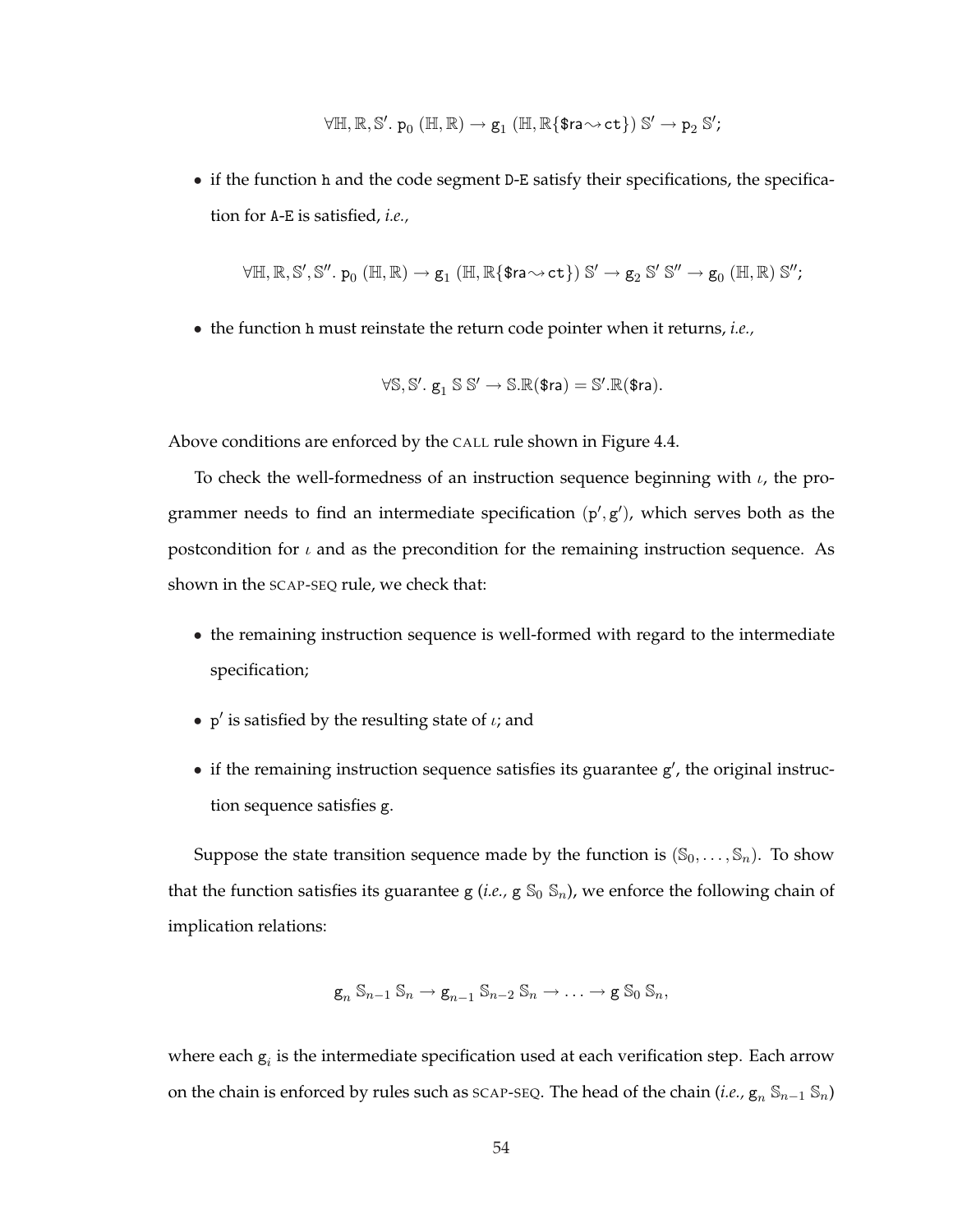$$
\forall \mathbb{H}, \mathbb{R}, \mathbb{S}'.~ p_0~(\mathbb{H}, \mathbb{R}) \rightarrow g_1~(\mathbb{H}, \mathbb{R}\{\text{\$ra}{\sim} \text{ct}\}) ~\mathbb{S}' \rightarrow p_2~\mathbb{S}';
$$

• if the function h and the code segment D-E satisfy their specifications, the specification for A-E is satisfied, *i.e.,*

$$
\forall \mathbb{H}, \mathbb{R}, \mathbb{S}', \mathbb{S}''.~p_0~(\mathbb{H},\mathbb{R}) \rightarrow g_1~(\mathbb{H},\mathbb{R}\{\text{\$ra}{\sim} \text{ct}\})~\mathbb{S}' \rightarrow g_2~\mathbb{S}'~\mathbb{S}'' \rightarrow g_0~(\mathbb{H},\mathbb{R})~\mathbb{S}'';
$$

• the function h must reinstate the return code pointer when it returns, *i.e.,*

$$
\forall \mathbb{S}, \mathbb{S}', \, g_1 \; \mathbb{S} \; \mathbb{S}' \to \mathbb{S}. \mathbb{R}(\text{\$ra}) = \mathbb{S}'. \mathbb{R}(\text{\$ra}).
$$

Above conditions are enforced by the CALL rule shown in Figure 4.4.

To check the well-formedness of an instruction sequence beginning with  $\iota$ , the programmer needs to find an intermediate specification  $(p', g')$ , which serves both as the postcondition for  $\iota$  and as the precondition for the remaining instruction sequence. As shown in the SCAP-SEQ rule, we check that:

- the remaining instruction sequence is well-formed with regard to the intermediate specification;
- p' is satisfied by the resulting state of  $\iota$ ; and
- $\bullet$  if the remaining instruction sequence satisfies its guarantee g', the original instruction sequence satisfies g.

Suppose the state transition sequence made by the function is  $(\mathbb{S}_0, \ldots, \mathbb{S}_n)$ . To show that the function satisfies its guarantee  $g(i.e., g S_0 S_n)$ , we enforce the following chain of implication relations:

$$
\mathbf{g}_n \mathbb{S}_{n-1} \mathbb{S}_n \to \mathbf{g}_{n-1} \mathbb{S}_{n-2} \mathbb{S}_n \to \ldots \to \mathbf{g} \mathbb{S}_0 \mathbb{S}_n,
$$

where each  $g_i$  is the intermediate specification used at each verification step. Each arrow on the chain is enforced by rules such as sCAP-SEQ. The head of the chain (*i.e.,*  $g_n S_{n-1} S_n$ )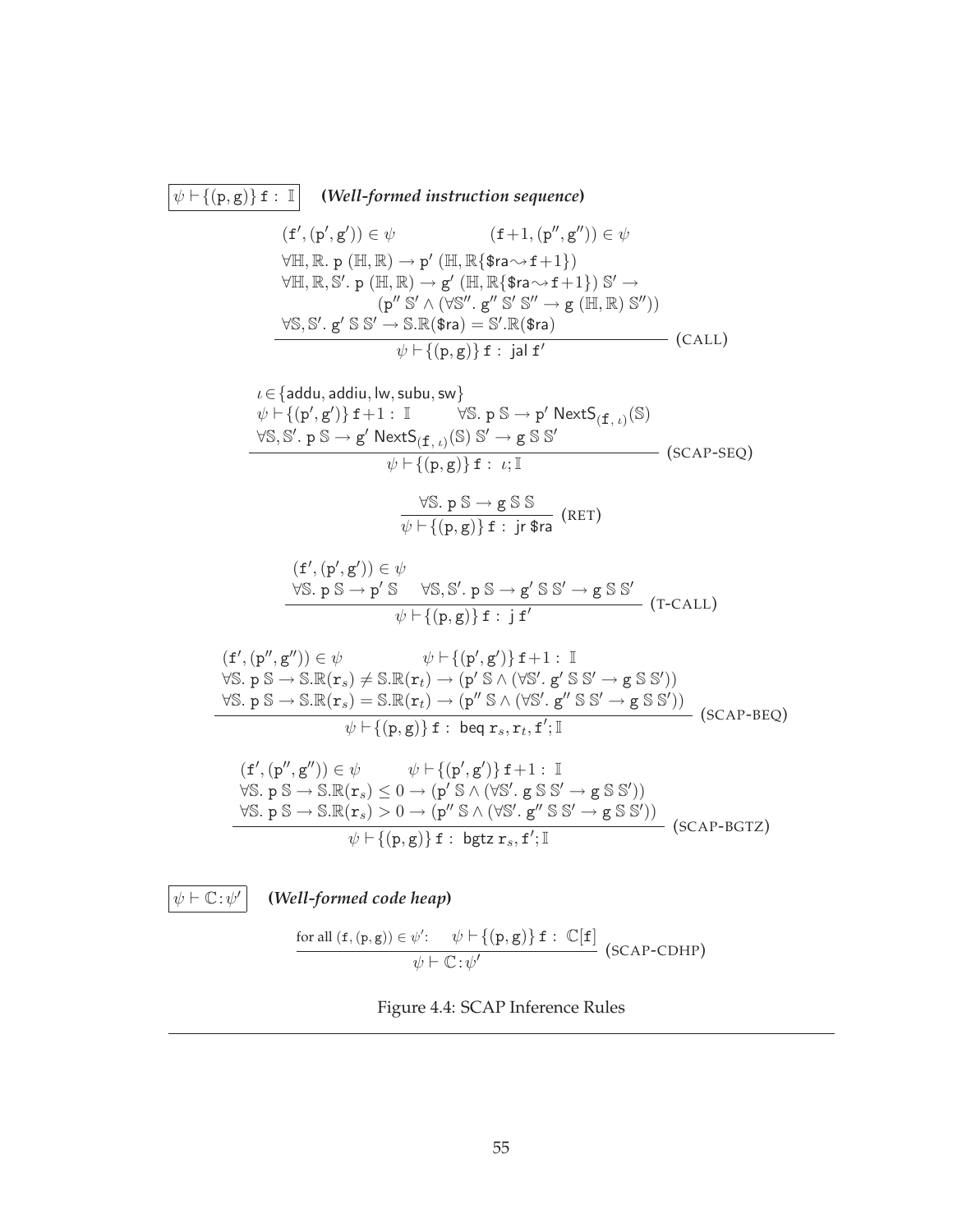$$
\overline{\psi} \vdash \{(\mathbf{p}, \mathbf{g})\} \mathbf{f} : \mathbb{I} \qquad (\text{Well-formed instruction sequence})
$$
\n
$$
(\mathbf{f}', (\mathbf{p}', \mathbf{g})) \in \psi \qquad (\mathbf{f} + 1, (\mathbf{p}'', \mathbf{g}'')) \in \psi
$$
\n
$$
\forall \mathbb{H}, \mathbb{R}, \mathbf{p} (\mathbb{H}, \mathbb{R}) \rightarrow \mathbf{p}' (\mathbb{H}, \mathbb{R}\{\mathbf{s} \mathbf{r} \rightarrow \mathbf{f} + 1\})
$$
\n
$$
\forall \mathbb{H}, \mathbb{R}, \mathbf{S}', \mathbf{p} (\mathbb{H}, \mathbb{R}) \rightarrow \mathbf{g}' (\mathbb{H}, \mathbb{R}\{\mathbf{s} \mathbf{r} \rightarrow \mathbf{f} + 1\}) \mathbf{S}' \rightarrow
$$
\n
$$
(\mathbf{p}'' \mathbf{S}' \land (\forall \mathbf{S}''', \mathbf{g''} \mathbf{S}' \mathbf{S}' \rightarrow \mathbf{g} (\mathbb{H}, \mathbb{R}) \mathbf{S}''))
$$
\n
$$
\forall \mathbf{S}, \mathbf{S}', \mathbf{g}' \mathbf{S} \mathbf{S}' \rightarrow \mathbf{S} \mathbb{R}(\mathbf{s} \mathbf{r}) = \mathbf{S}' \mathbb{R}(\mathbf{s} \mathbf{r}) \qquad (\text{CALL})
$$
\n
$$
\psi \vdash \{(\mathbf{p}, \mathbf{g})\} \mathbf{f} : \mathbf{j} \mathbf{a} \mathbf{f}' \qquad (\text{CALL})
$$
\n
$$
\psi \vdash \{(\mathbf{p}', \mathbf{g}') \mathbf{f} + 1 : \mathbb{I} \qquad \forall \mathbf{S}, \mathbf{p} \mathbf{S} \rightarrow \mathbf{p}' \mathbb{N} \mathbf{ext} \mathbf{S}_{(\mathbf{f}, \iota)}(\mathbf{S})
$$
\n
$$
\forall \mathbf{S}, \mathbf{S}', \mathbf{p} \mathbf{S} \rightarrow \mathbf{g}' \mathbb{N} \mathbf{ext} \mathbf{S}_{(\mathbf{f}, \iota)}(\mathbf{S})
$$
\n
$$
\forall \mathbf{S}, \mathbf{p}' \mathbf{S} \rightarrow \mathbf
$$

 $\psi \vdash \mathbb{C} : \psi'$ 

**(***Well-formed code heap***)**

$$
\frac{\text{for all } (f, (p, g)) \in \psi': \quad \psi \vdash \{ (p, g) \} f : \mathbb{C}[f]}{\psi \vdash \mathbb{C} : \psi'} \text{ (SCAP-CDHP)}
$$

Figure 4.4: SCAP Inference Rules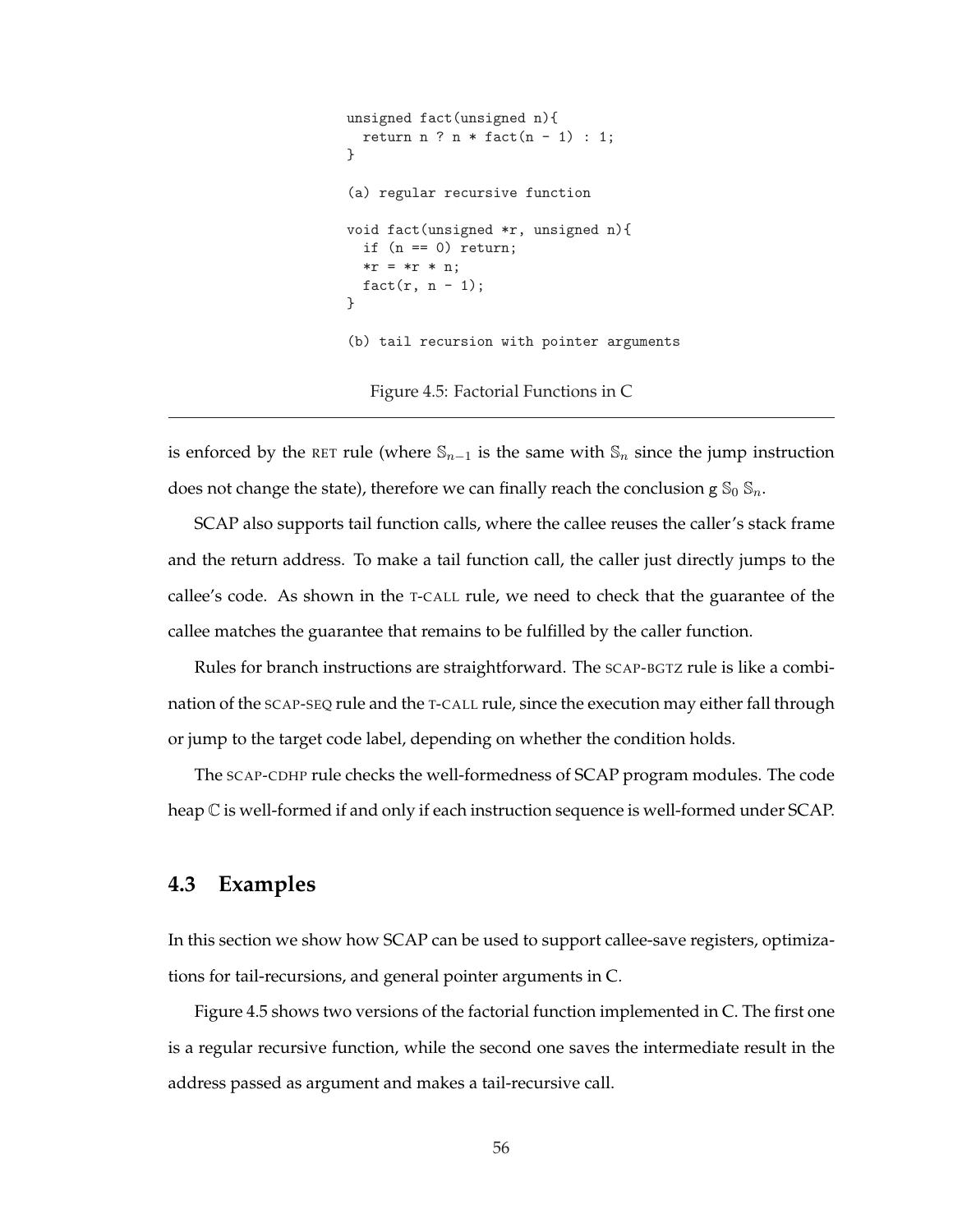```
unsigned fact(unsigned n){
 return n ? n * fact(n - 1): 1;
}
(a) regular recursive function
void fact(unsigned *r, unsigned n){
  if (n == 0) return;
  *r = *r * n;fact(r, n - 1);}
(b) tail recursion with pointer arguments
  Figure 4.5: Factorial Functions in C
```
is enforced by the RET rule (where  $\mathbb{S}_{n-1}$  is the same with  $\mathbb{S}_n$  since the jump instruction does not change the state), therefore we can finally reach the conclusion g  $\mathcal{S}_0$   $\mathcal{S}_n$ .

SCAP also supports tail function calls, where the callee reuses the caller's stack frame and the return address. To make a tail function call, the caller just directly jumps to the callee's code. As shown in the T-CALL rule, we need to check that the guarantee of the callee matches the guarantee that remains to be fulfilled by the caller function.

Rules for branch instructions are straightforward. The SCAP-BGTZ rule is like a combination of the SCAP-SEQ rule and the T-CALL rule, since the execution may either fall through or jump to the target code label, depending on whether the condition holds.

The SCAP-CDHP rule checks the well-formedness of SCAP program modules. The code heap C is well-formed if and only if each instruction sequence is well-formed under SCAP.

# **4.3 Examples**

In this section we show how SCAP can be used to support callee-save registers, optimizations for tail-recursions, and general pointer arguments in C.

Figure 4.5 shows two versions of the factorial function implemented in C. The first one is a regular recursive function, while the second one saves the intermediate result in the address passed as argument and makes a tail-recursive call.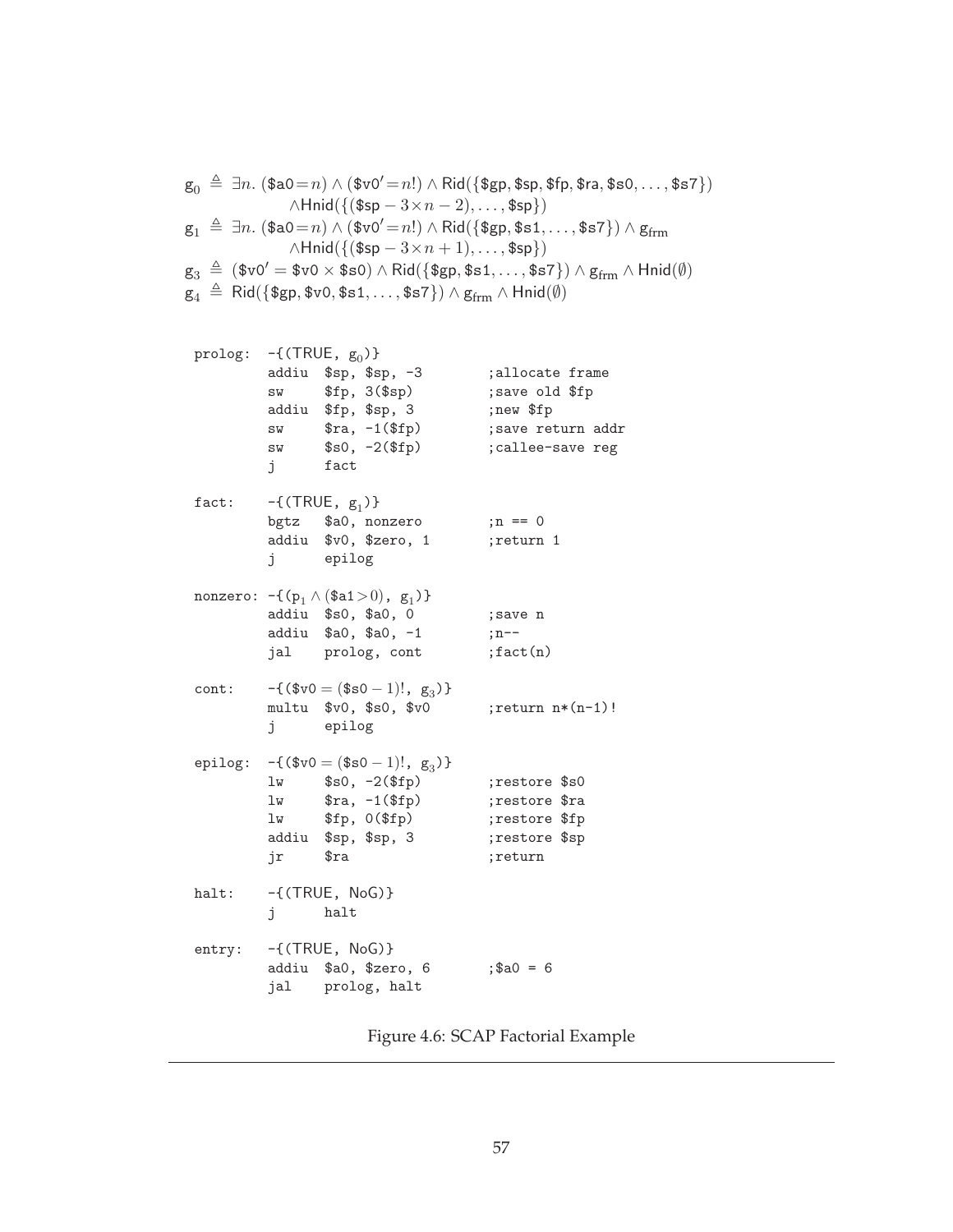$g_0 \triangleq \exists n.$  (\$a0 = n) ∧ (\$v0' = n!) ∧ Rid({\$gp, \$sp, \$fp, \$ra, \$s0, ..., \$s7})  $\wedge$ Hnid({(\$sp –  $3 \times n - 2$ ), ..., \$sp})  $\mathsf{g}_1 \triangleq \exists n. (\$a0\!=\!n) \land (\$v0'\!=\!n!) \land \mathsf{Rid}(\{\${\sf gp},\${\sf s1},\dots,{\${\sf s7}\}) \land {\sf g}_{\mathsf{frm}}$  $\wedge$ Hnid({(\$sp  $-3\times n+1$ ), ..., \$sp})  $\mathsf{g}_3 \triangleq (\$v0' = \$v0 \times \$\mathsf{s0}) \land \mathsf{Rid}(\{\$ \mathsf{gp}, \$\mathsf{s1}, \dots, \$\mathsf{s7}\}) \land \mathsf{g}_{\mathsf{frm}} \land \mathsf{Hnid}(\emptyset)$  $\bm{\mathsf{g}}_4 \mathop{\,{\scriptstyle\stackrel{\triangle}{=}}}\,$  Rid $(\{\bm{\mathsf{\$gp}}, \bm{\mathsf{\$v0}}, \bm{\mathsf{\$s1}}, \ldots, \bm{\mathsf{\$s7}}\}) \land \bm{\mathsf{g}}_{\mathsf{frm}} \land \mathsf{Hrid}(\emptyset)$ 

| prolog: $-\{(TRUE, g_0)\}$ | j fact  | addiu \$sp, \$sp, -3<br>$sw$ \$fp, $3$ (\$sp)<br>addiu \$fp, \$sp, 3<br>sw $\text{stra}, -1(\text{ffp})$<br>$sw$ $$s0, -2 ($fp)$       | ;allocate frame<br>; save old \$fp<br>;new \$fp<br>; save return addr<br>; callee-save reg |
|----------------------------|---------|----------------------------------------------------------------------------------------------------------------------------------------|--------------------------------------------------------------------------------------------|
| $\mathtt{fact} \colon$     |         | $-\{$ (TRUE, $g_1$ )}<br>bgtz \$a0, nonzero<br>addiu \$v0, \$zero, 1<br>j epilog                                                       | $;n == 0$<br>return 1;                                                                     |
|                            |         | nonzero: $-\{(p_1 \wedge (\$a1>0), g_1)\}\$<br>addiu \$s0, \$a0, 0<br>addiu \$a0, \$a0, -1<br>jal prolog, cont                         | ;save n<br>$;n--$<br>; fact(n)                                                             |
| $\text{cont}$ :            |         | $-\{(\$v0 = (\$s0 - 1)!, g_3)\}\$<br>$multu$ $$v0, $s0, $v0$<br>j epilog                                                               | ; return $n*(n-1)!$                                                                        |
|                            | jr \$ra | epilog: $-\{(\$v0 = (\$s0 - 1)!, g_3)\}\$<br>$lw$ $$s0, -2($fp)$<br>$1w$ $$ra, -1 ($fp)$<br>$lw$ $$fp, 0 ($fp)$<br>addiu \$sp, \$sp, 3 | ;restore \$s0<br>; restore \$ra<br>;restore \$fp<br>;restore \$sp<br>;return               |
| halt:                      | j halt  | $-\{$ (TRUE, NoG) }                                                                                                                    |                                                                                            |
| entry:                     |         | $-\{$ (TRUE, NoG) }<br>addiu \$a0, \$zero, 6<br>jal prolog, halt                                                                       | $;$ \$a0 = 6                                                                               |

Figure 4.6: SCAP Factorial Example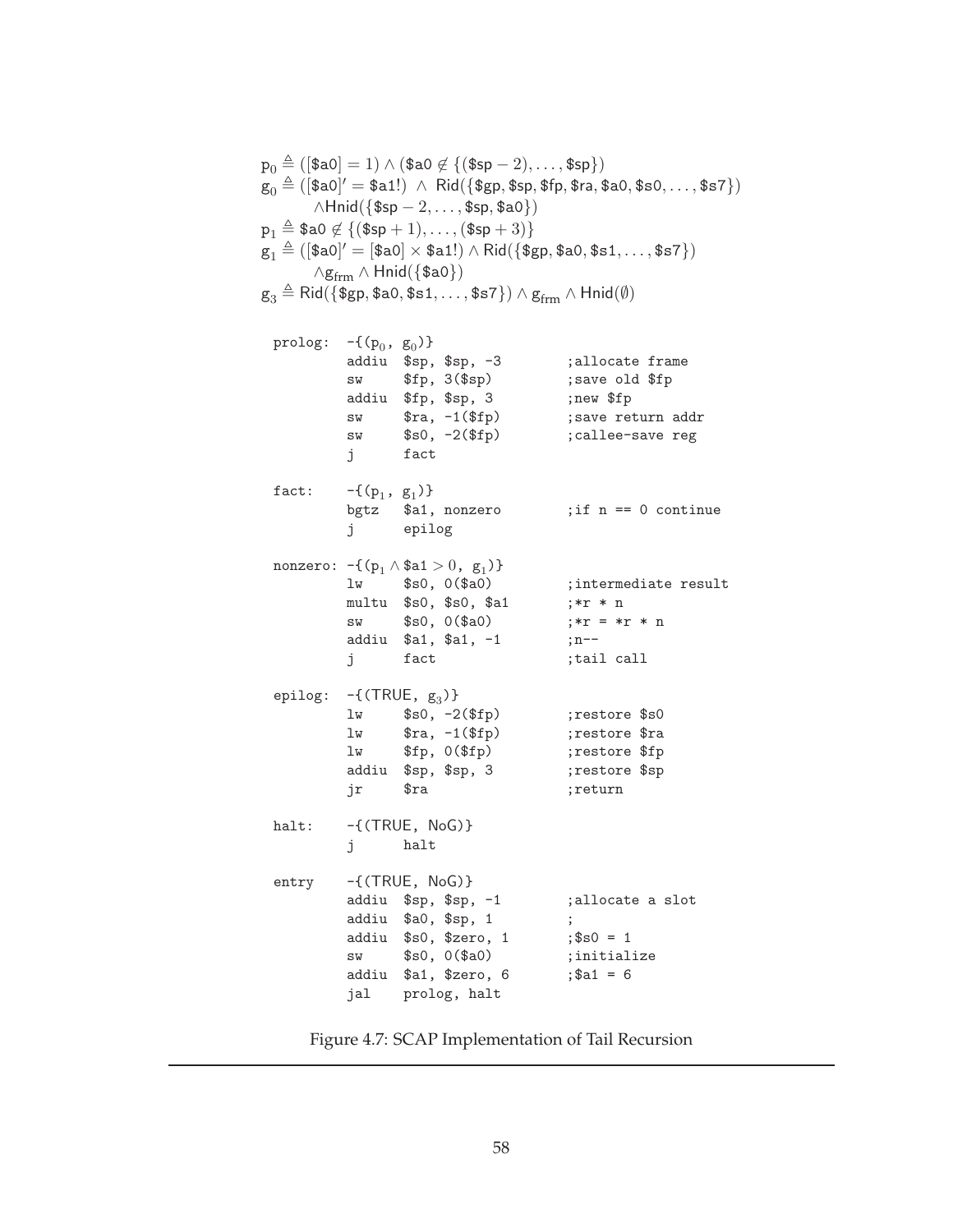$p_0 \triangleq ($ [\$a0] = 1)  $\wedge$  (\$a0  $\notin$  {(\$sp - 2),..., \$sp})  $\mathrm{g}_0 \triangleq ([\${\tt a}0]' = \${\tt a}1!) ~\wedge~ \mathsf{Rid}(\{\${\tt gp},\${\tt sp},\${\tt fp},\${\tt ra},\${\tt a}0,\${\tt s}0,\dots,\${\tt s}7\})$  $\wedge$ Hnid({\$sp – 2, ..., \$sp, \$a0})  $p_1 \triangleq $a0 \not\in \{($ \$sp + 1), . . . , (\$sp + 3)}  $\mathrm{g}_1 \triangleq ([\${\tt a}0]' = [\${\tt a}0] \times \${\tt a}1!) \wedge \mathsf{Rid}(\{\${\tt gp}, \${\tt a}0, \${\tt s}1, \dots, \${\tt s}7\})$  $\land$ g<sub>frm</sub>  $\land$  Hnid({\$a0})  $g_3 \triangleq$  Rid({\$gp, \$a0, \$s1, . . . , \$s7})  $\wedge$   $g_{\text{frm}} \wedge$  Hnid( $\emptyset$ ) prolog:  $-\{(p_0, g_0)\}\$ addiu \$sp, \$sp, -3 ;allocate frame sw \$fp, 3(\$sp) ; save old \$fp addiu \$fp, \$sp, 3 ;new \$fp sw \$ra, -1(\$fp) ; save return addr sw \$s0, -2(\$fp) ;callee-save reg j fact fact:  $-\{(p_1, g_1)\}\$ bgtz \$a1, nonzero ;if n == 0 continue j epilog nonzero: -{ $(p_1 \wedge $a1 > 0, g_1)$ } lw \$s0, 0(\$a0) ; intermediate result multu  $$s0, $s0, $a1$  ;\*r \* n sw  $$s0, 0 ($a0)$  ;\*r = \*r \* n addiu \$a1, \$a1, -1 ;n-j fact ;tail call epilog:  $-\{$ (TRUE,  $g_3$ )} lw \$s0, -2(\$fp) ; ; ; ; ; ; ; store \$s0 lw \$ra, -1(\$fp) ; restore \$ra lw \$fp, 0(\$fp) ; restore \$fp addiu \$sp, \$sp, 3 ; ; ; ; ; ; ; ; store \$sp jr \$ra ;return halt:  $-\{(TRUE, NoG)\}$ j halt entry -{(TRUE, NoG)} addiu \$sp, \$sp, -1 ;allocate a slot addiu \$a0, \$sp, 1 ; addiu  $$s0, $zero, 1$  ;  $$s0 = 1$ sw \$s0, 0(\$a0) ; initialize addiu  $$a1, $zero, 6$  ;  $$a1 = 6$ jal prolog, halt

Figure 4.7: SCAP Implementation of Tail Recursion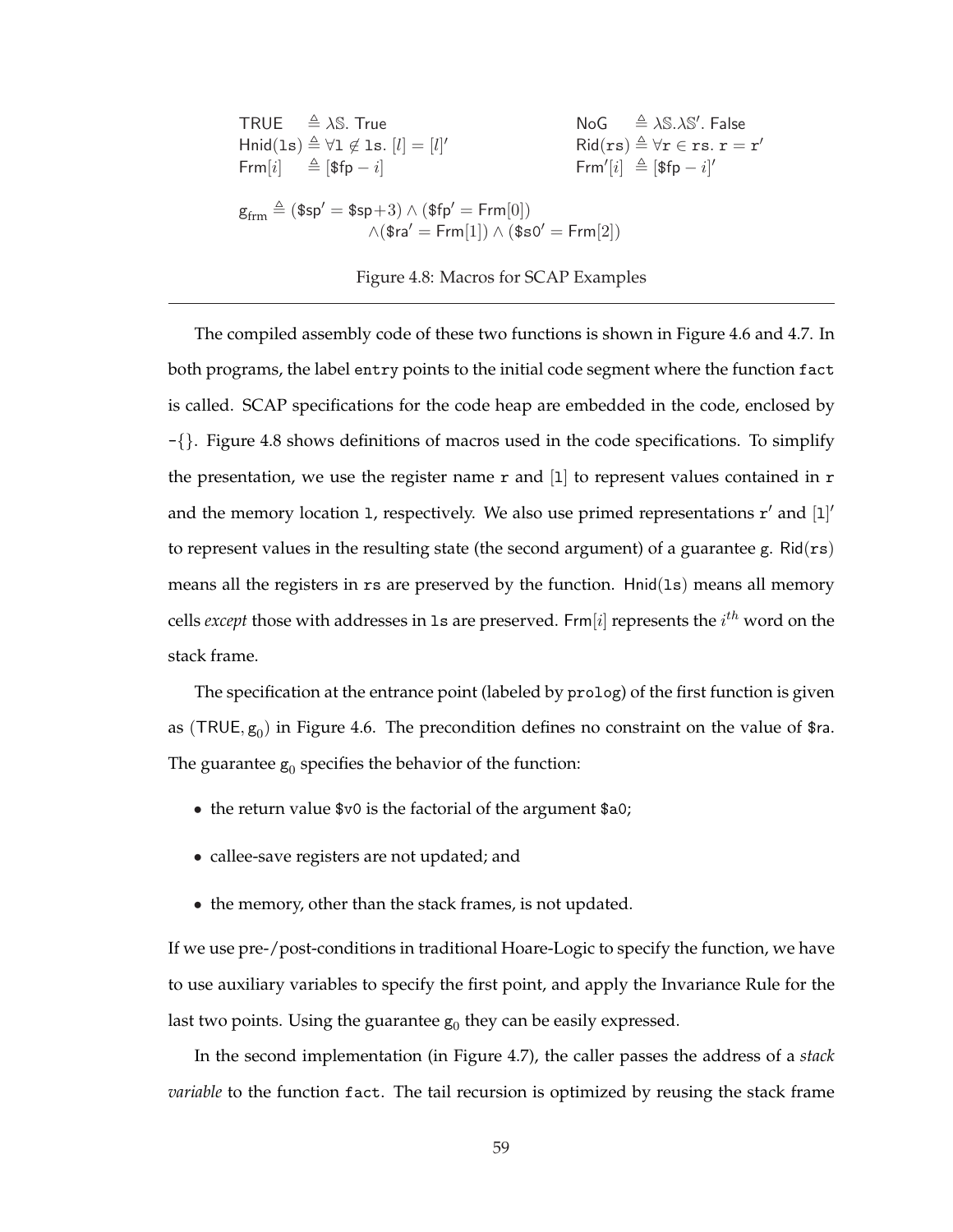TRUE  $\triangleq \lambda$ S. True  $N_o$ '. False Hnid(1s)  $\triangleq \forall 1 \notin 1$ s.  $[l] = [l]'$  $\mathsf{Rid}(\mathtt{rs}) \triangleq \forall \mathtt{r} \in \mathtt{rs}\ldotp \mathtt{r} = \mathtt{r}'$  $Frm[i] \triangleq [$ \$fp – i]  $[i] \triangleq [\$fp - i]'$  $\mathsf{g}_{\mathrm{frm}} \triangleq (\$ \mathsf{sp}' = \$ \mathsf{sp}{+}3) \wedge (\$ \mathsf{fp}' = \mathsf{Frm}[0])$  $\wedge$ (\$ra<sup> $\prime$ </sup> = Frm[1])  $\wedge$  (\$s0<sup> $\prime$ </sup> = Frm[2])

Figure 4.8: Macros for SCAP Examples

The compiled assembly code of these two functions is shown in Figure 4.6 and 4.7. In both programs, the label entry points to the initial code segment where the function fact is called. SCAP specifications for the code heap are embedded in the code, enclosed by -{}. Figure 4.8 shows definitions of macros used in the code specifications. To simplify the presentation, we use the register name  $r$  and  $[1]$  to represent values contained in  $r$ and the memory location 1, respectively. We also use primed representations  $r'$  and  $[1]'$ to represent values in the resulting state (the second argument) of a guarantee g.  $\text{Rid}(\text{rs})$ means all the registers in rs are preserved by the function. Hnid(ls) means all memory cells *except* those with addresses in 1s are preserved. Frm $[i]$  represents the  $i^{th}$  word on the stack frame.

The specification at the entrance point (labeled by prolog) of the first function is given as  $(\text{TRUE}, \text{g}_0)$  in Figure 4.6. The precondition defines no constraint on the value of \$ra. The guarantee  $g_0$  specifies the behavior of the function:

- the return value \$v0 is the factorial of the argument \$a0;
- callee-save registers are not updated; and
- the memory, other than the stack frames, is not updated.

If we use pre-/post-conditions in traditional Hoare-Logic to specify the function, we have to use auxiliary variables to specify the first point, and apply the Invariance Rule for the last two points. Using the guarantee  $g_0$  they can be easily expressed.

In the second implementation (in Figure 4.7), the caller passes the address of a *stack variable* to the function fact. The tail recursion is optimized by reusing the stack frame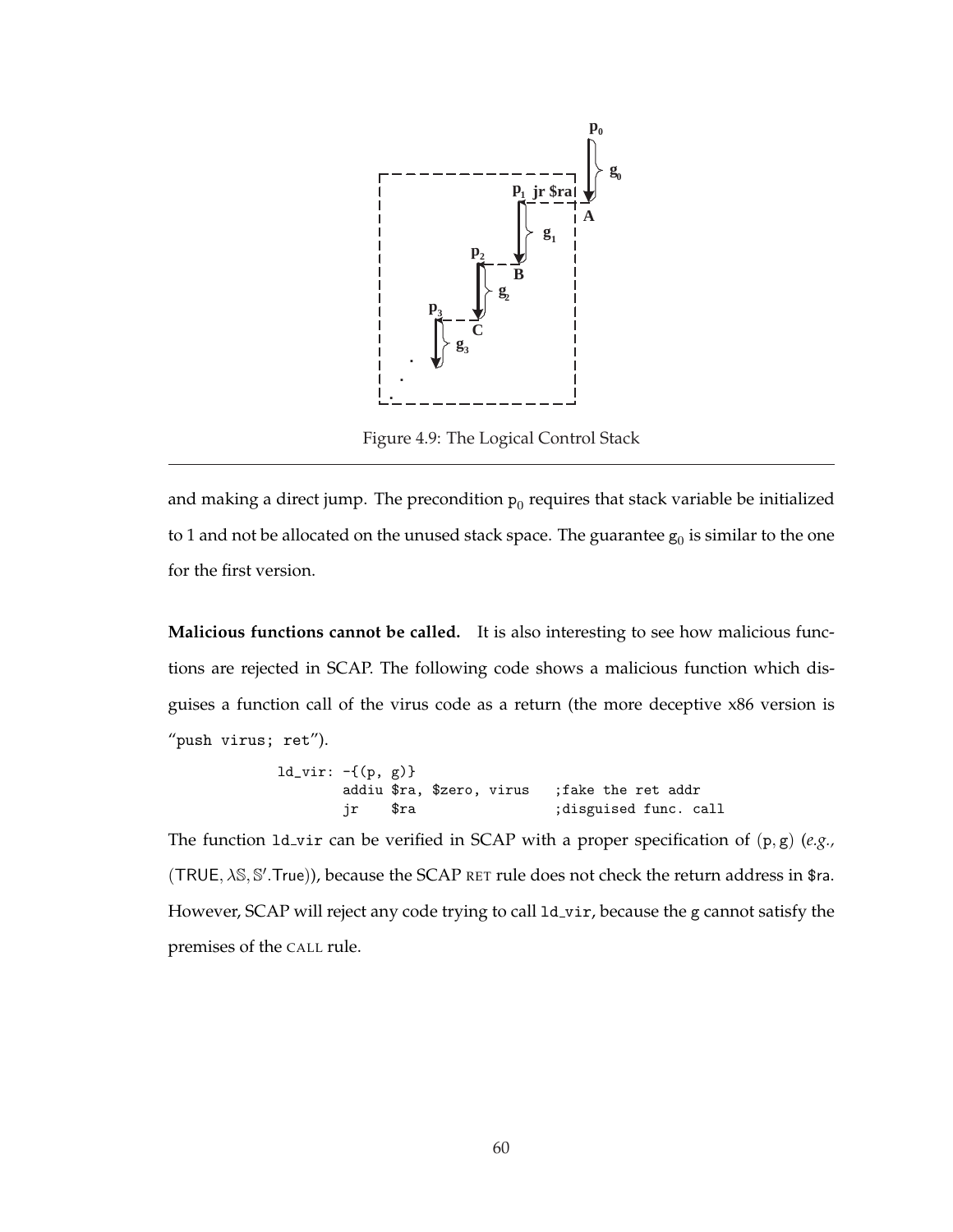

Figure 4.9: The Logical Control Stack

and making a direct jump. The precondition  $p_0$  requires that stack variable be initialized to 1 and not be allocated on the unused stack space. The guarantee  $\mathsf{g}_0$  is similar to the one for the first version.

**Malicious functions cannot be called.** It is also interesting to see how malicious functions are rejected in SCAP. The following code shows a malicious function which disguises a function call of the virus code as a return (the more deceptive x86 version is "push virus; ret").

> ld\_vir: -{(p, g)} addiu \$ra, \$zero, virus ;fake the ret addr jr \$ra ;disguised func. call

The function ld vir can be verified in SCAP with a proper specification of (p, g) (*e.g.,* (TRUE,  $\lambda$ S, S'.True)), because the SCAP RET rule does not check the return address in \$ra. However, SCAP will reject any code trying to call 1d\_vir, because the g cannot satisfy the premises of the CALL rule.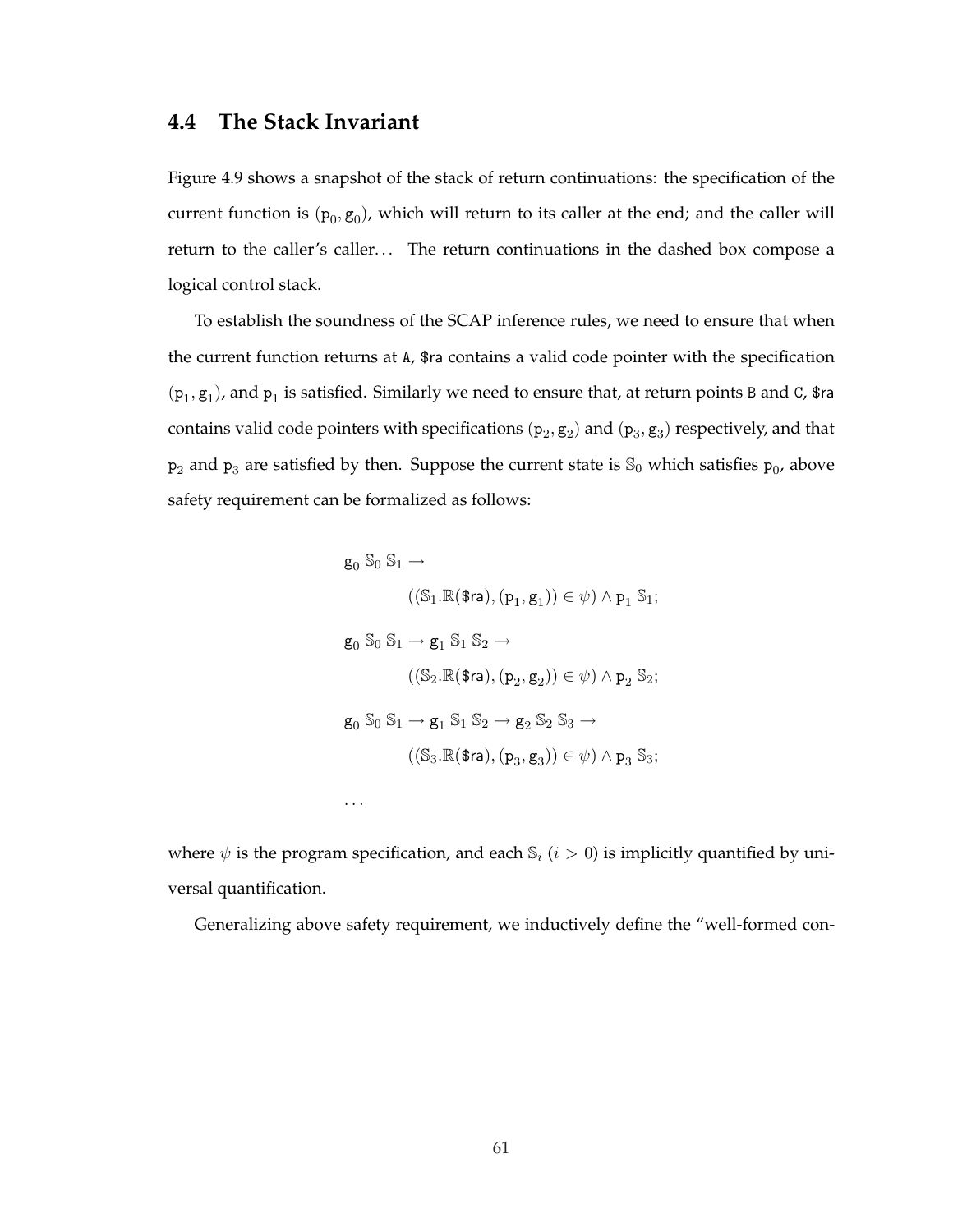## **4.4 The Stack Invariant**

Figure 4.9 shows a snapshot of the stack of return continuations: the specification of the current function is  $(p_0, g_0)$ , which will return to its caller at the end; and the caller will return to the caller's caller... The return continuations in the dashed box compose a logical control stack.

To establish the soundness of the SCAP inference rules, we need to ensure that when the current function returns at A, \$ra contains a valid code pointer with the specification  $(p_1, g_1)$ , and  $p_1$  is satisfied. Similarly we need to ensure that, at return points B and C, \$ra contains valid code pointers with specifications  $(p_2, g_2)$  and  $(p_3, g_3)$  respectively, and that  $\mathsf{p}_2$  and  $\mathsf{p}_3$  are satisfied by then. Suppose the current state is  $\mathbb{S}_0$  which satisfies  $\mathsf{p}_0$ , above safety requirement can be formalized as follows:

$$
g_0 S_0 S_1 \rightarrow
$$
  
\n
$$
((S_1 \mathbb{R}(\mathsf{\$ra}), (p_1, g_1)) \in \psi) \land p_1 S_1;
$$
  
\n
$$
g_0 S_0 S_1 \rightarrow g_1 S_1 S_2 \rightarrow
$$
  
\n
$$
((S_2 \mathbb{R}(\mathsf{\$ra}), (p_2, g_2)) \in \psi) \land p_2 S_2;
$$
  
\n
$$
g_0 S_0 S_1 \rightarrow g_1 S_1 S_2 \rightarrow g_2 S_2 S_3 \rightarrow
$$
  
\n
$$
((S_3 \mathbb{R}(\mathsf{\$ra}), (p_3, g_3)) \in \psi) \land p_3 S_3;
$$
  
\n...

where  $\psi$  is the program specification, and each  $\mathbb{S}_i$  ( $i > 0$ ) is implicitly quantified by universal quantification.

Generalizing above safety requirement, we inductively define the "well-formed con-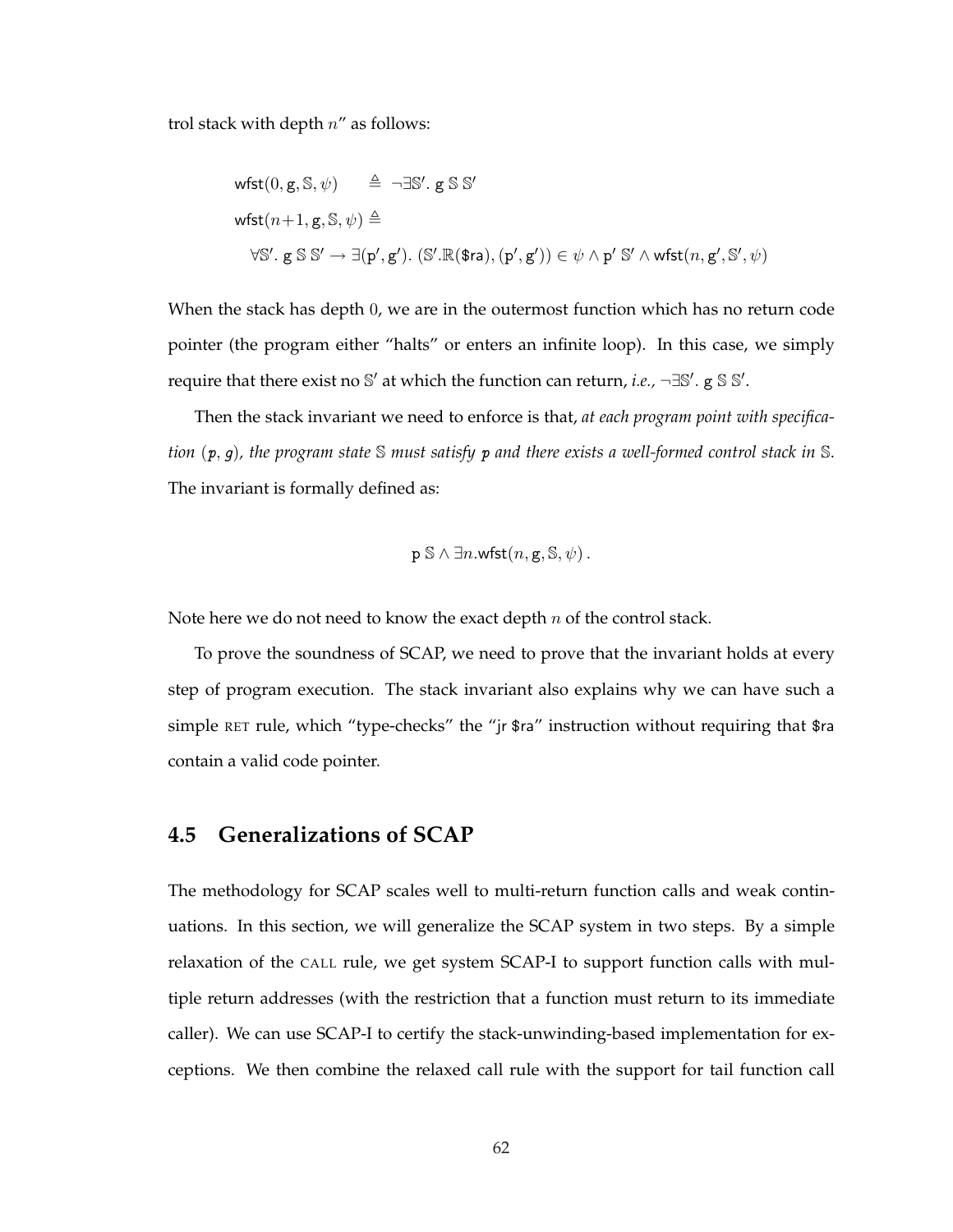trol stack with depth  $n''$  as follows:

wfst(0, g, S, 
$$
\psi
$$
)  $\triangleq \neg \exists S'. g S S'$   
wfst(n+1, g, S,  $\psi$ )  $\triangleq$   
\n $\forall S'. g S S' \rightarrow \exists (p', g'). (S'.R($ra), (p', g')) \in \psi \land p' S' \land wfst(n, g', S', \psi)$ 

When the stack has depth 0, we are in the outermost function which has no return code pointer (the program either "halts" or enters an infinite loop). In this case, we simply require that there exist no S' at which the function can return, *i.e.*,  $\neg \exists \mathbb{S}'$ .  $g \mathbb{S} \mathbb{S}'$ .

Then the stack invariant we need to enforce is that, *at each program point with specification* (p, g)*, the program state* S *must satisfy* p *and there exists a well-formed control stack in* S. The invariant is formally defined as:

$$
p \mathbb{S} \wedge \exists n.\mathsf{wfst}(n,\mathsf{g},\mathbb{S},\psi).
$$

Note here we do not need to know the exact depth  $n$  of the control stack.

To prove the soundness of SCAP, we need to prove that the invariant holds at every step of program execution. The stack invariant also explains why we can have such a simple RET rule, which "type-checks" the "jr \$ra" instruction without requiring that \$ra contain a valid code pointer.

### **4.5 Generalizations of SCAP**

The methodology for SCAP scales well to multi-return function calls and weak continuations. In this section, we will generalize the SCAP system in two steps. By a simple relaxation of the CALL rule, we get system SCAP-I to support function calls with multiple return addresses (with the restriction that a function must return to its immediate caller). We can use SCAP-I to certify the stack-unwinding-based implementation for exceptions. We then combine the relaxed call rule with the support for tail function call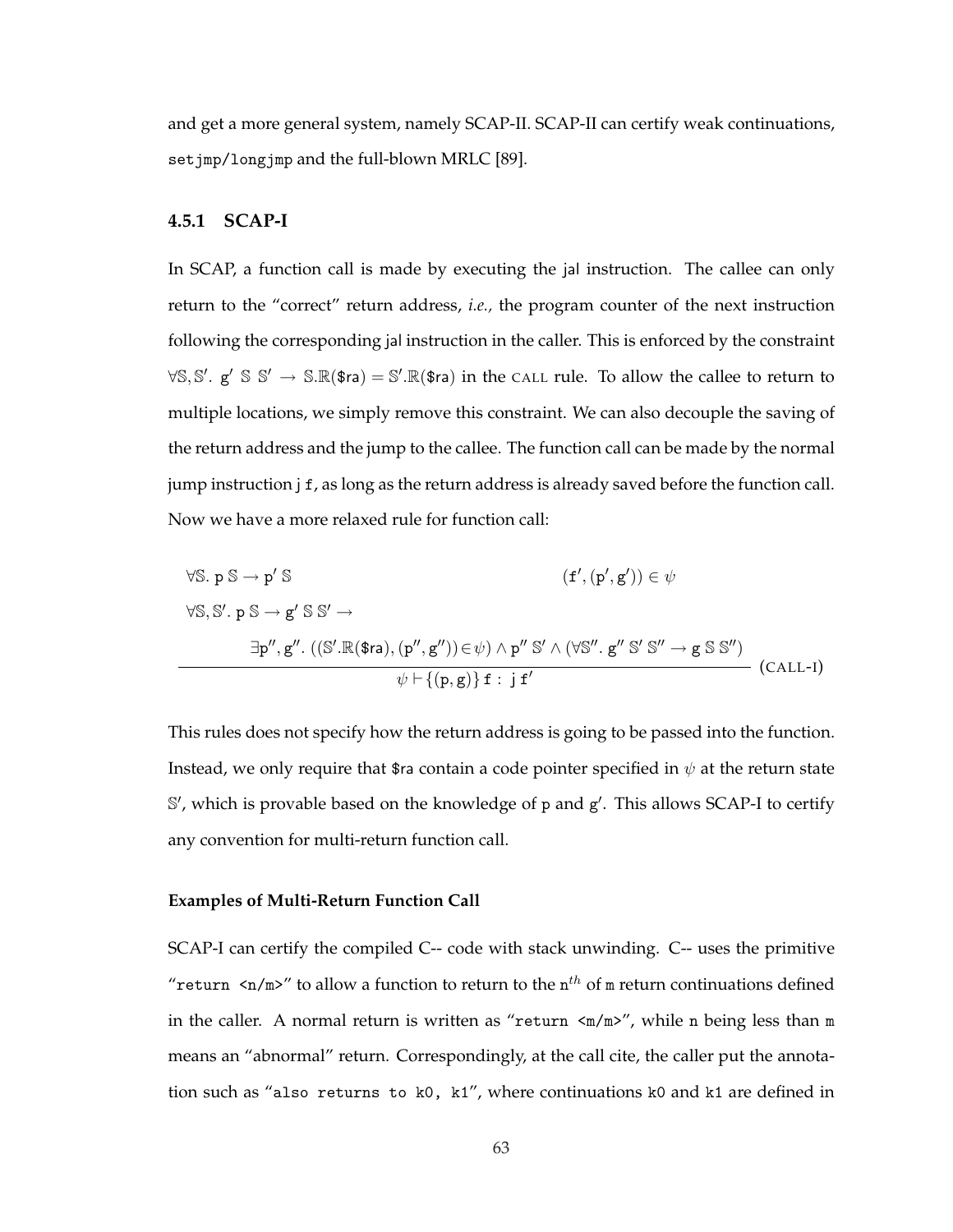and get a more general system, namely SCAP-II. SCAP-II can certify weak continuations, set jmp/longjmp and the full-blown MRLC [89].

#### **4.5.1 SCAP-I**

In SCAP, a function call is made by executing the jal instruction. The callee can only return to the "correct" return address, *i.e.,* the program counter of the next instruction following the corresponding jal instruction in the caller. This is enforced by the constraint  $\forall \mathbb{S}, \mathbb{S}'$ . g'  $\mathbb{S} \mathbb{S}' \to \mathbb{S}. \mathbb{R}(\$$ ra)  $= \mathbb{S}'. \mathbb{R}(\$$ ra) in the CALL rule. To allow the callee to return to multiple locations, we simply remove this constraint. We can also decouple the saving of the return address and the jump to the callee. The function call can be made by the normal jump instruction j f, as long as the return address is already saved before the function call. Now we have a more relaxed rule for function call:

$$
\forall \mathbb{S}. p \mathbb{S} \rightarrow p' \mathbb{S}
$$
\n
$$
\forall \mathbb{S}, \mathbb{S}'. p \mathbb{S} \rightarrow g' \mathbb{S} \mathbb{S}' \rightarrow
$$
\n
$$
\exists p'', g''. ((\mathbb{S}'.\mathbb{R}(\$ra), (p'', g'')) \in \psi) \land p'' \mathbb{S}' \land (\forall \mathbb{S}''. g'' \mathbb{S}' \mathbb{S}'' \rightarrow g \mathbb{S} \mathbb{S}'')
$$
\n
$$
\psi \vdash \{(p, g)\} f : j f'
$$
\n(CALL-I)

This rules does not specify how the return address is going to be passed into the function. Instead, we only require that \$ra contain a code pointer specified in  $\psi$  at the return state S', which is provable based on the knowledge of p and g'. This allows SCAP-I to certify any convention for multi-return function call.

#### **Examples of Multi-Return Function Call**

SCAP-I can certify the compiled C-- code with stack unwinding. C-- uses the primitive "return  $\langle n/m \rangle$ " to allow a function to return to the  $n^{th}$  of m return continuations defined in the caller. A normal return is written as "return  $\langle m/m \rangle$ ", while n being less than m means an "abnormal" return. Correspondingly, at the call cite, the caller put the annotation such as "also returns to k0, k1", where continuations k0 and k1 are defined in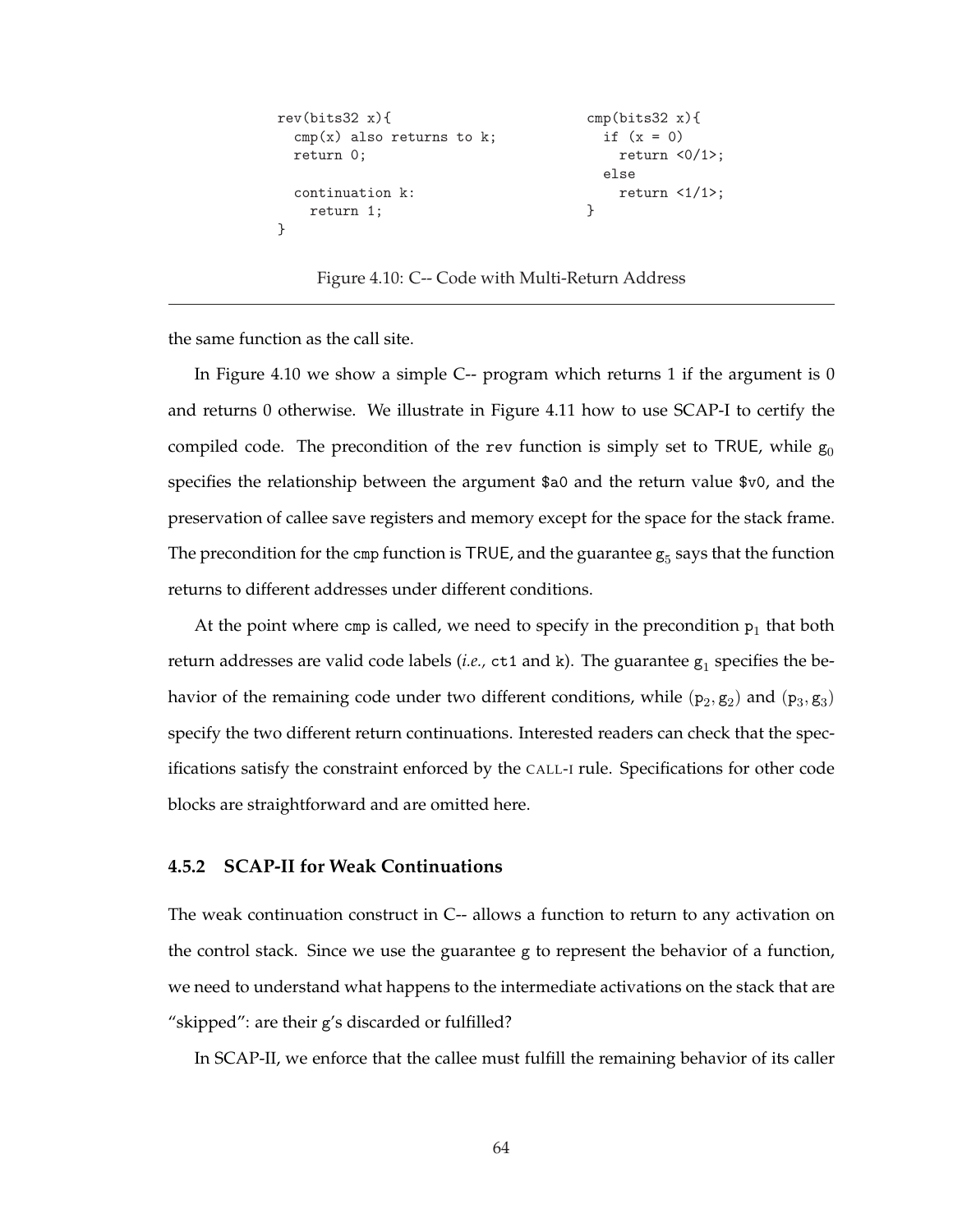```
rev(bits32 x){ cmp(bits32 x){
 cmp(x) also returns to k; if (x = 0)return 0; r return \langle 0/1 \rangle;
                             else
 \text{continuation k:} \text{return } \langle 1/1 \rangle;return 1; \}}
```
Figure 4.10: C-- Code with Multi-Return Address

the same function as the call site.

In Figure 4.10 we show a simple  $C$ -- program which returns 1 if the argument is 0 and returns 0 otherwise. We illustrate in Figure 4.11 how to use SCAP-I to certify the compiled code. The precondition of the rev function is simply set to TRUE, while  $g_0$ specifies the relationship between the argument \$a0 and the return value \$v0, and the preservation of callee save registers and memory except for the space for the stack frame. The precondition for the cmp function is TRUE, and the guarantee  $g_5$  says that the function returns to different addresses under different conditions.

At the point where cmp is called, we need to specify in the precondition  $p_1$  that both return addresses are valid code labels (*i.e.,*  $ct1$  and k). The guarantee  $g_1$  specifies the behavior of the remaining code under two different conditions, while  $(p_2, g_2)$  and  $(p_3, g_3)$ specify the two different return continuations. Interested readers can check that the specifications satisfy the constraint enforced by the CALL-I rule. Specifications for other code blocks are straightforward and are omitted here.

#### **4.5.2 SCAP-II for Weak Continuations**

The weak continuation construct in C-- allows a function to return to any activation on the control stack. Since we use the guarantee  $g$  to represent the behavior of a function, we need to understand what happens to the intermediate activations on the stack that are "skipped": are their g's discarded or fulfilled?

In SCAP-II, we enforce that the callee must fulfill the remaining behavior of its caller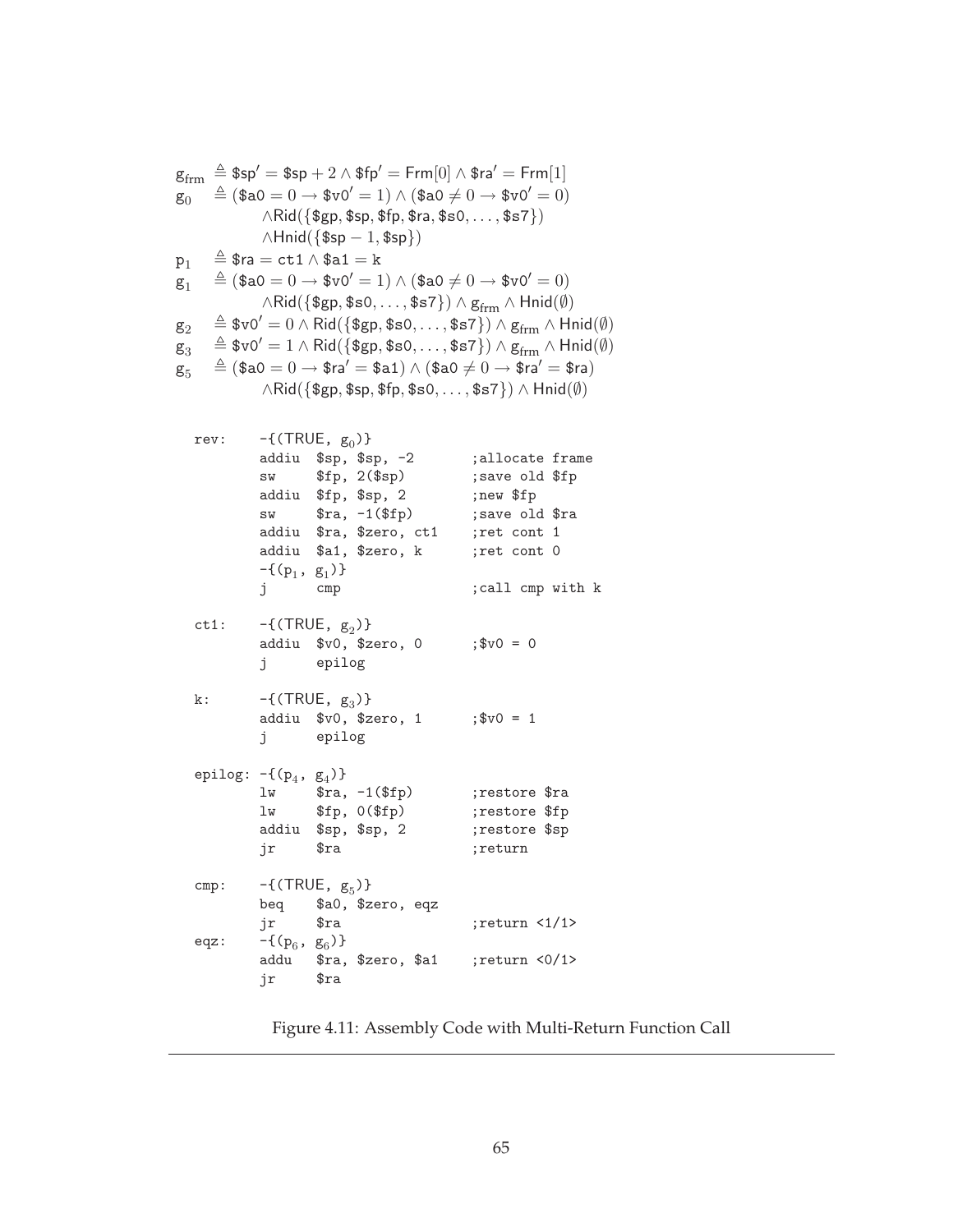| $g_{\rm{frm}}$<br>$g_0$<br>$p_1$<br>$g_1$<br>$g_2$<br>$g_3$ |  | $\triangleq$ \$ra $=$ ct1 $\wedge$ \$a1 $=$ k                                       |                  | $\wedge$ Hnid({\$sp - 1, \$sp})                                                                           |                         | $\triangleq$ \$sp $' =$ \$sp $+$ $2 \wedge$ \$fp $' =$ Frm $[0] \wedge$ \$ra $' =$ Frm $[1]$<br>$\triangleq$ (\$a0 = 0 $\rightarrow$ \$v0' = 1) $\wedge$ (\$a0 $\neq$ 0 $\rightarrow$ \$v0' = 0)<br>$\land$ Rid({\$gp, \$sp, \$fp, \$ra, \$s0, , \$s7})<br>$\triangleq$ (\$a0 = 0 $\rightarrow$ \$v0' = 1) $\wedge$ (\$a0 $\neq$ 0 $\rightarrow$ \$v0' = 0)<br>$\wedge$ Rid({\$gp, \$s0, , \$s7}) $\wedge$ g <sub>frm</sub> $\wedge$ Hnid( $\emptyset$ )<br>$\hat{z} \triangleq$ \$v0' = 0 $\wedge$ Rid({\$gp, \$s0, , \$s7}) $\wedge$ g <sub>frm</sub> $\wedge$ Hnid( $\emptyset$ )<br>$\triangleq$ \$v0' = 1 $\land$ Rid({\$gp, \$s0, , \$s7}) $\land$ g <sub>frm</sub> $\land$ Hnid( $\emptyset$ ) |  |
|-------------------------------------------------------------|--|-------------------------------------------------------------------------------------|------------------|-----------------------------------------------------------------------------------------------------------|-------------------------|-------------------------------------------------------------------------------------------------------------------------------------------------------------------------------------------------------------------------------------------------------------------------------------------------------------------------------------------------------------------------------------------------------------------------------------------------------------------------------------------------------------------------------------------------------------------------------------------------------------------------------------------------------------------------------------------------------|--|
| $g_5$                                                       |  |                                                                                     |                  |                                                                                                           |                         | $\triangleq$ $(\$$ a $0=0\rightarrow$ $\$$ ra $'=\$$ a $1)\wedge$ $(\$$ a $0\neq 0\rightarrow$ $\$$ ra $'=\$$ ra $)$                                                                                                                                                                                                                                                                                                                                                                                                                                                                                                                                                                                  |  |
|                                                             |  |                                                                                     |                  |                                                                                                           |                         | $\land$ Rid({\$gp, \$sp, \$fp, \$s0, , \$s7}) $\land$ Hnid( $\emptyset$ )                                                                                                                                                                                                                                                                                                                                                                                                                                                                                                                                                                                                                             |  |
| rev:                                                        |  | $-\{$ (TRUE, $g_0$ )}<br>addiu \$fp, \$sp, 2<br>$-\{(p_1, g_1)\}\$<br>j cmp         |                  | addiu \$sp, \$sp, -2<br>$sw$ \$fp, $2(\$sp)$<br>sw $\text{stra}, -1(\text{ffp})$<br>addiu \$a1, \$zero, k | addiu \$ra, \$zero, ct1 | ;allocate frame<br>; save old \$fp<br>;new \$fp<br>; save old \$ra<br>;ret cont 1<br>;ret cont 0<br>; call cmp with k                                                                                                                                                                                                                                                                                                                                                                                                                                                                                                                                                                                 |  |
| ct1:                                                        |  | $-\{$ (TRUE, $g_2$ )}<br>j epilog                                                   |                  | addiu \$v0, \$zero, 0                                                                                     |                         | $;$ \$v0 = 0                                                                                                                                                                                                                                                                                                                                                                                                                                                                                                                                                                                                                                                                                          |  |
| k:                                                          |  | $-\{$ (TRUE, $g_3$ )}<br>j epilog                                                   |                  | addiu \$v0, \$zero, 1                                                                                     |                         | $;$ \$v0 = 1                                                                                                                                                                                                                                                                                                                                                                                                                                                                                                                                                                                                                                                                                          |  |
|                                                             |  | epilog: $-\{(p_4, g_4)\}\$<br>$lw$ $$fp, 0 ($fp)$<br>addiu \$sp, \$sp, 2<br>jr \$ra |                  | $1w$ $$ra, -1 ($fp)$                                                                                      |                         | ;restore \$ra<br>;restore \$fp<br>;restore \$sp<br>;return                                                                                                                                                                                                                                                                                                                                                                                                                                                                                                                                                                                                                                            |  |
| cmp:<br>eqz:                                                |  | $-\{$ (TRUE, $g_5$ )}<br>beq<br>jr<br>$-\{(p_6, g_6)\}\$                            | \$ra             | \$a0, \$zero, eqz                                                                                         |                         | ; return < $1/1$ >                                                                                                                                                                                                                                                                                                                                                                                                                                                                                                                                                                                                                                                                                    |  |
|                                                             |  | addu<br>jr                                                                          | $\frac{2}{3}$ ra |                                                                                                           | \$ra, \$zero, \$a1      | ;return <0/1>                                                                                                                                                                                                                                                                                                                                                                                                                                                                                                                                                                                                                                                                                         |  |

Figure 4.11: Assembly Code with Multi-Return Function Call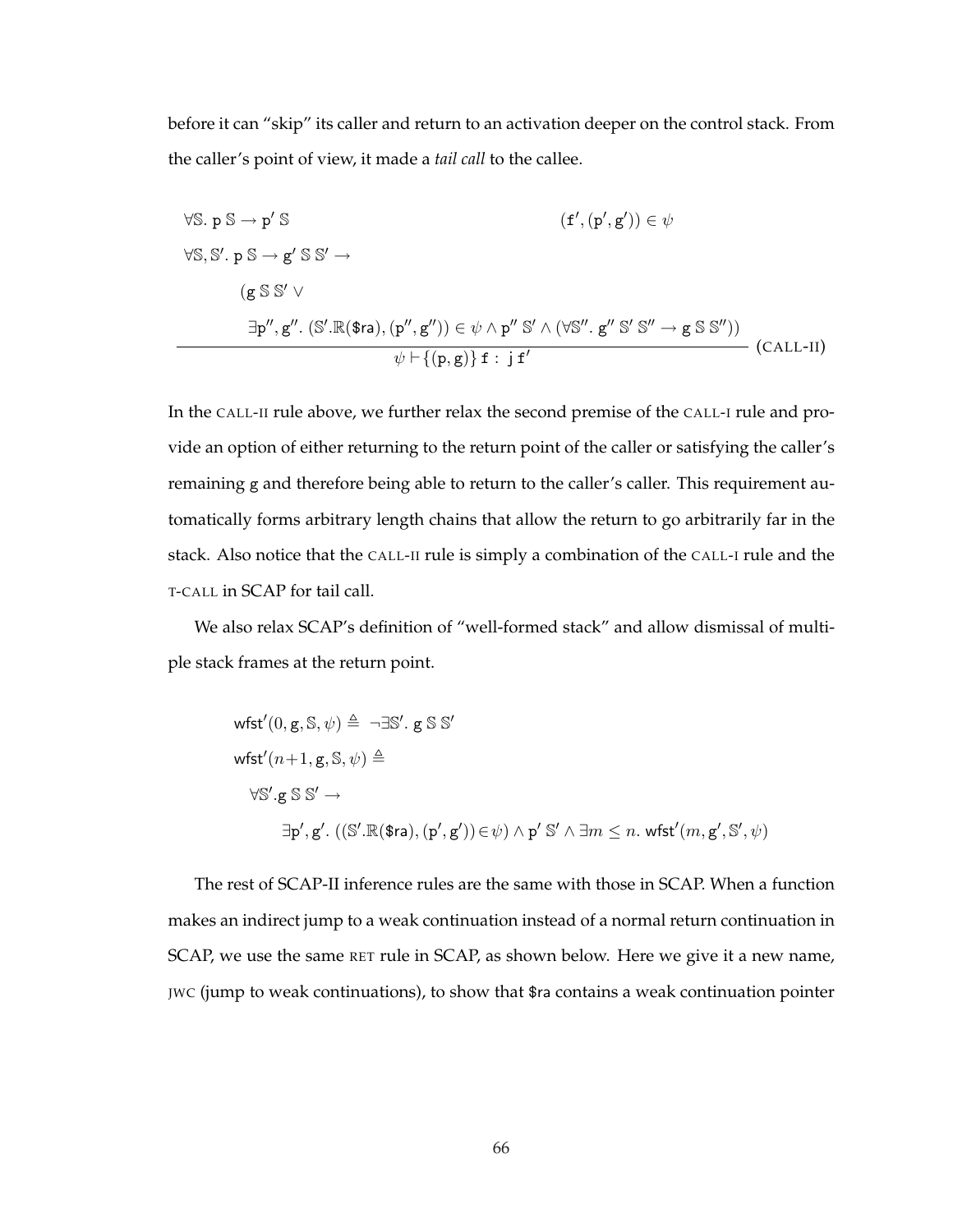before it can "skip" its caller and return to an activation deeper on the control stack. From the caller's point of view, it made a *tail call* to the callee.

$$
\forall S. p S \rightarrow p' S
$$
  
\n
$$
\forall S, S', p S \rightarrow g' S S' \rightarrow
$$
  
\n
$$
(g S S' \vee
$$
  
\n
$$
\exists p'', g'' \colon (S'.\mathbb{R}(\$ra), (p'', g'')) \in \psi \land p'' S' \land (\forall S'', g'' S' S'' \rightarrow g S S''))
$$
  
\n
$$
\psi \vdash \{(p, g)\} f : j f'
$$
\n(CALL-II)

In the CALL-II rule above, we further relax the second premise of the CALL-I rule and provide an option of either returning to the return point of the caller or satisfying the caller's remaining g and therefore being able to return to the caller's caller. This requirement automatically forms arbitrary length chains that allow the return to go arbitrarily far in the stack. Also notice that the CALL-II rule is simply a combination of the CALL-I rule and the T-CALL in SCAP for tail call.

We also relax SCAP's definition of "well-formed stack" and allow dismissal of multiple stack frames at the return point.

wfst'(0, g, S, 
$$
\psi
$$
)  $\triangleq \neg \exists S'$ . g S S'  
\nwfst'(n+1, g, S,  $\psi$ )  $\triangleq$   
\n $\forall S'. g S S' \rightarrow$   
\n $\exists p', g' . ((S'.\mathbb{R}(\$ra), (p', g')) \in \psi) \land p' S' \land \exists m \leq n. wfst'(m, g', S', \psi)$ 

The rest of SCAP-II inference rules are the same with those in SCAP. When a function makes an indirect jump to a weak continuation instead of a normal return continuation in SCAP, we use the same RET rule in SCAP, as shown below. Here we give it a new name, JWC (jump to weak continuations), to show that \$ra contains a weak continuation pointer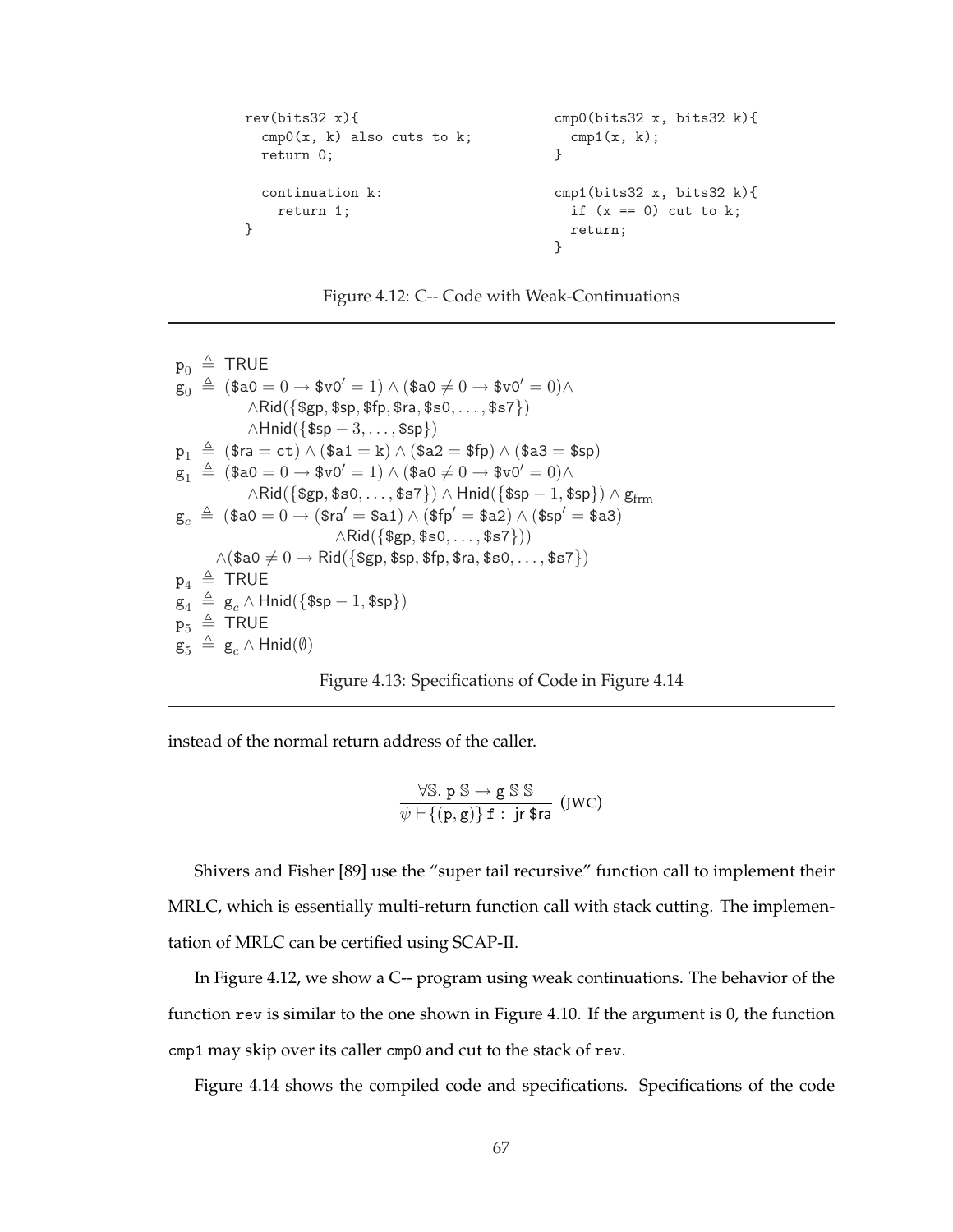```
rev(bits32 x){ cmp0(bits32 x, bits32 k){
 cmp0(x, k) also cuts to k; cmp1(x, k);return 0; }
 continuation k: \text{cmp1}(bits32 x, bits32 k){
  return 1; if (x == 0) cut to k;} return;
                     }
```


 $p_0 \triangleq$  TRUE  $g_0 \triangleq (\$a0 = 0 \rightarrow \$v0' = 1) \wedge (\$a0 \neq 0 \rightarrow \$v0' = 0) \wedge$  $\wedge$ Rid $({\{\$gp, \$sp, \$fp, \$ra, \$s0, ..., \$s7\}})$  $\wedge$ Hnid({\$sp – 3, ..., \$sp})  $p_1 \triangleq$  (\$ra = ct)  $\wedge$  (\$a1 = k)  $\wedge$  (\$a2 = \$fp)  $\wedge$  (\$a3 = \$sp)  $g_1 \triangleq (\$a0 = 0 \rightarrow \$\text{v0}' = 1) \wedge (\$a0 \neq 0 \rightarrow \$\text{v0}' = 0) \wedge$  $\wedge$ Rid $(\{\$gp,$  \$s0,  $\dots$ , \$s7 $\}) \wedge$  Hnid $(\{\$sp - 1, \$sp\}) \wedge g_{\text{frm}}$  $g_c \triangleq$  (\$a0 = 0 → (\$ra' = \$a1)  $\wedge$  (\$fp' = \$a2)  $\wedge$  (\$sp' = \$a3)  $\wedge$ Rid $({\{ \text{sgp}, \text{ss0}, \ldots, \text{ss7}\})})$  $\wedge$ (\$a0  $\neq 0 \rightarrow$  Rid({\$gp, \$sp, \$fp, \$ra, \$s0,  $\dots$ , \$s7})  $p_4 \triangleq$  TRUE  $g_4 \triangleq g_c \wedge \text{Hnid}(\{\text{\$sp} - 1, \text{\$sp}\})$  $p_5 \triangleq TRUE$  $g_5 \triangleq g_c \wedge \text{Hnid}(\emptyset)$ 



instead of the normal return address of the caller.

$$
\frac{\forall \mathbb{S}. p \mathbb{S} \rightarrow g \mathbb{S} \mathbb{S}}{\psi \vdash \{(p,g)\} f : jr \$ra} \text{ (JWC)}
$$

Shivers and Fisher [89] use the "super tail recursive" function call to implement their MRLC, which is essentially multi-return function call with stack cutting. The implementation of MRLC can be certified using SCAP-II.

In Figure 4.12, we show a C-- program using weak continuations. The behavior of the function rev is similar to the one shown in Figure 4.10. If the argument is 0, the function cmp1 may skip over its caller cmp0 and cut to the stack of rev.

Figure 4.14 shows the compiled code and specifications. Specifications of the code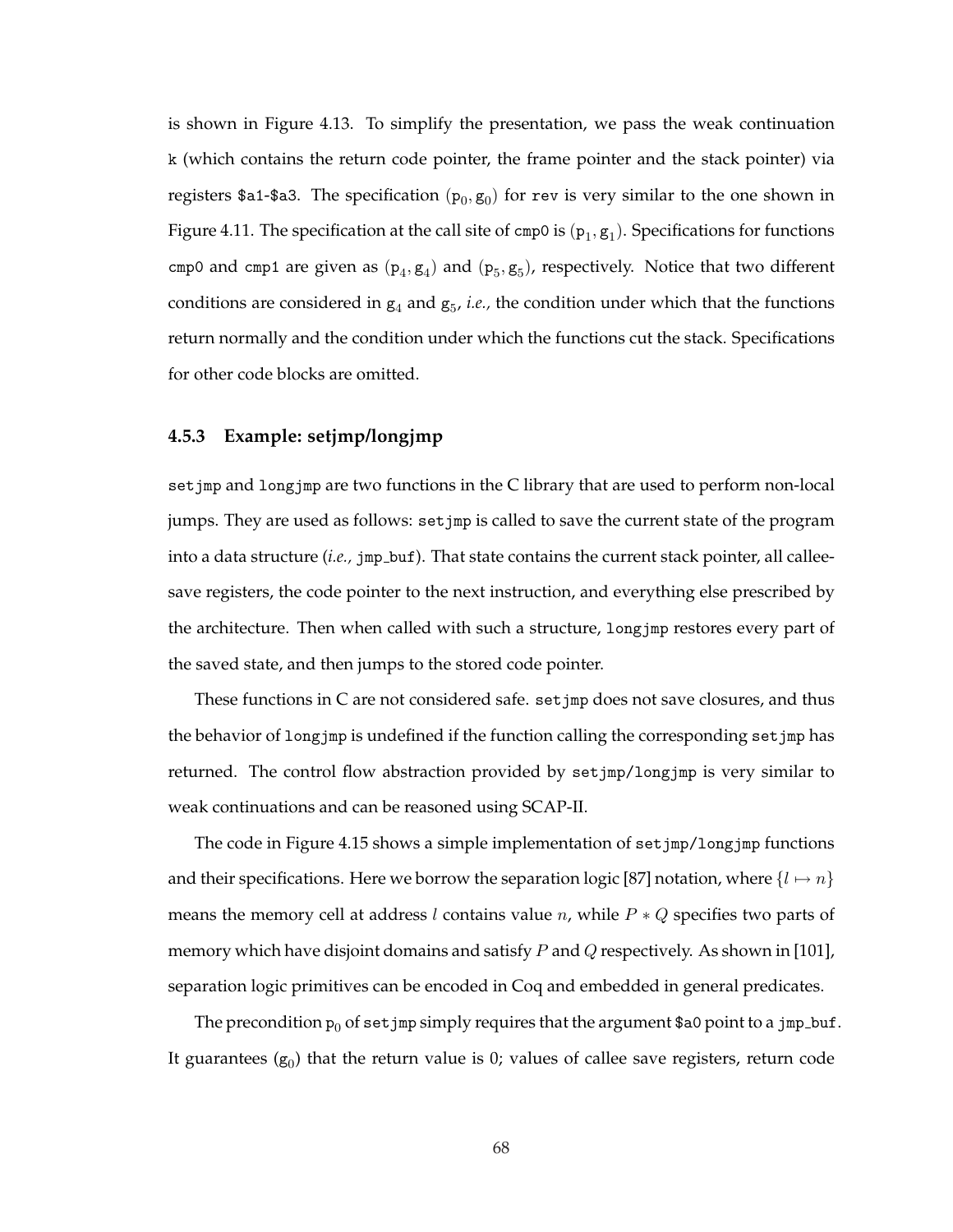is shown in Figure 4.13. To simplify the presentation, we pass the weak continuation k (which contains the return code pointer, the frame pointer and the stack pointer) via registers \$a1-\$a3. The specification  $(p_0, g_0)$  for rev is very similar to the one shown in Figure 4.11. The specification at the call site of cmp0 is  $(p_1, g_1)$ . Specifications for functions cmp0 and cmp1 are given as  $(p_4, g_4)$  and  $(p_5, g_5)$ , respectively. Notice that two different conditions are considered in  $g_4$  and  $g_5$ , *i.e.*, the condition under which that the functions return normally and the condition under which the functions cut the stack. Specifications for other code blocks are omitted.

#### **4.5.3 Example: setjmp/longjmp**

setjmp and longjmp are two functions in the C library that are used to perform non-local jumps. They are used as follows: setjmp is called to save the current state of the program into a data structure (*i.e.*, jmp\_buf). That state contains the current stack pointer, all calleesave registers, the code pointer to the next instruction, and everything else prescribed by the architecture. Then when called with such a structure, longjmp restores every part of the saved state, and then jumps to the stored code pointer.

These functions in C are not considered safe. setjmp does not save closures, and thus the behavior of longjmp is undefined if the function calling the corresponding setjmp has returned. The control flow abstraction provided by setjmp/longjmp is very similar to weak continuations and can be reasoned using SCAP-II.

The code in Figure 4.15 shows a simple implementation of setjmp/longjmp functions and their specifications. Here we borrow the separation logic [87] notation, where  $\{l \mapsto n\}$ means the memory cell at address *l* contains value *n*, while  $P * Q$  specifies two parts of memory which have disjoint domains and satisfy P and Q respectively. As shown in [101], separation logic primitives can be encoded in Coq and embedded in general predicates.

The precondition  $p_0$  of set jmp simply requires that the argument \$a0 point to a jmp buf. It guarantees  $(\mathbf{g}_0)$  that the return value is 0; values of callee save registers, return code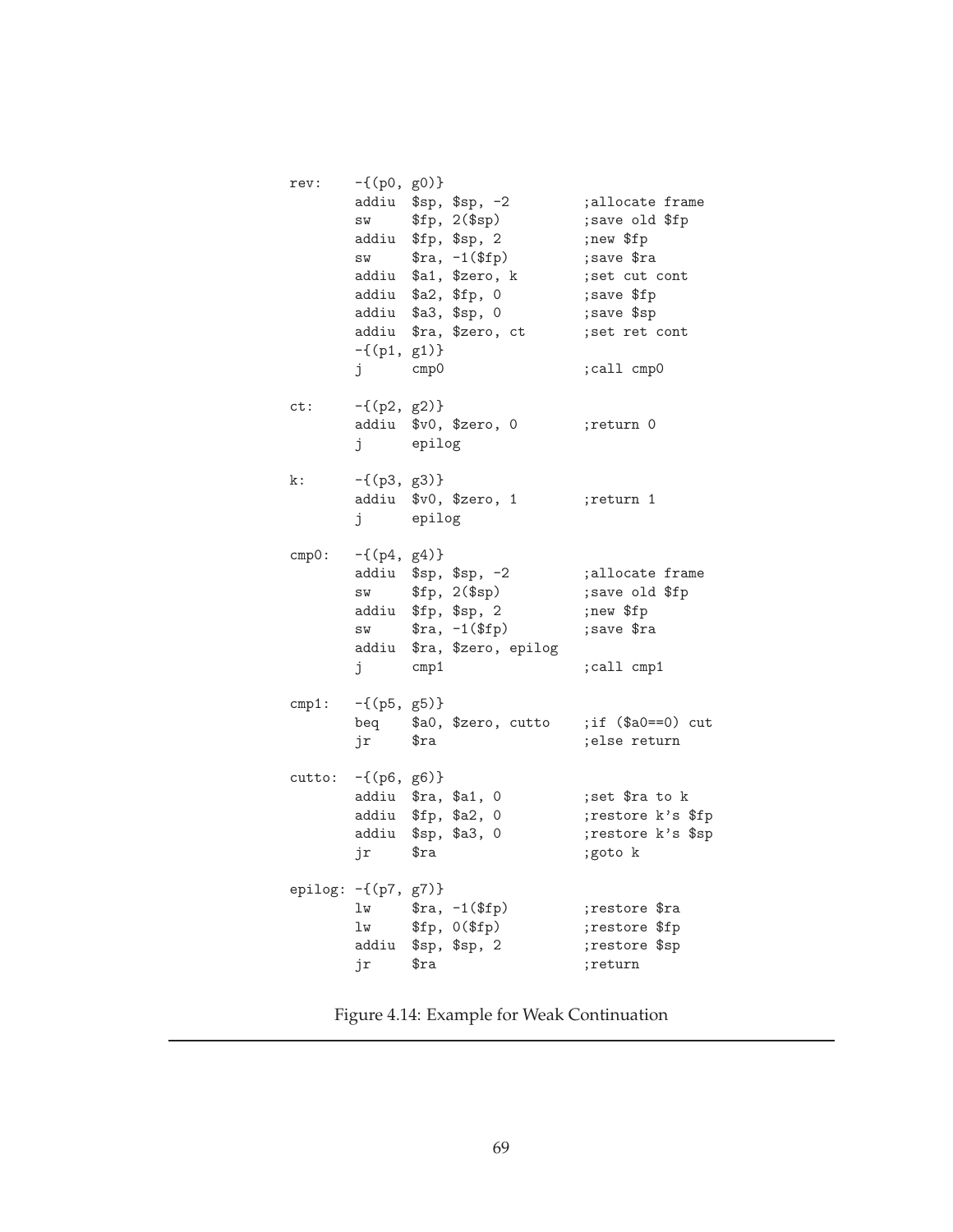| rev:                     | $-\{(p0, g0)\}\$<br>SW<br>SW<br>addiu<br>$-\{(p1, g1)\}\$<br>j | cmp0            | addiu \$sp, \$sp, -2<br>\$fp, 2 (\$sp)<br>addiu \$fp, \$sp, 2<br>$\text{$ra, -1 ($fp)$}$<br>addiu \$a1, \$zero, k<br>\$a2, \$fp, 0<br>addiu \$a3, \$sp, 0<br>addiu \$ra, \$zero, ct | allocate frame;<br>; save old \$fp<br>;new \$fp<br>; save \$ra<br>; set cut cont<br>; save \$fp<br>; save \$sp<br>; set ret cont<br>;call cmp0 |
|--------------------------|----------------------------------------------------------------|-----------------|-------------------------------------------------------------------------------------------------------------------------------------------------------------------------------------|------------------------------------------------------------------------------------------------------------------------------------------------|
| ct:                      | $-\{(p2, g2)\}\$<br>j                                          | epilog          | addiu \$v0, \$zero, 0                                                                                                                                                               | ;return 0                                                                                                                                      |
| k:                       | $-\{(p3, g3)\}\$<br>j                                          | epilog          | addiu \$v0, \$zero, 1                                                                                                                                                               | ;return 1                                                                                                                                      |
| cmp0:                    | $-\{(p4, g4)\}\$<br>SW<br>SW<br>j                              | $\mathsf{cmp1}$ | addiu \$sp, \$sp, -2<br>\$fp, 2 (\$sp)<br>addiu \$fp, \$sp, 2<br>$\text{$ra, -1 ($fp)$}$<br>addiu \$ra, \$zero, epilog                                                              | ;allocate frame<br>; save old \$fp<br>;new \$fp<br>; save \$ra<br>; call cmp1                                                                  |
| cmp1:                    | $-\{(p5, g5)\}\$<br>jr \$ra                                    |                 | beq \$a0, \$zero, cutto                                                                                                                                                             | ; if $($a0 == 0)$ cut<br>;else return                                                                                                          |
| cutto:                   | $-\{(p6, g6)\}\$<br>jr                                         | \$ra            | addiu \$ra, \$a1, 0<br>addiu \$fp, \$a2, 0<br>addiu \$sp, \$a3, 0                                                                                                                   | ; set \$ra to k<br>;restore k's \$fp<br>;restore k's \$sp<br>;goto k                                                                           |
| epilog: $-\{(p7, g7)\}\$ | lw<br>lw<br>jr                                                 | \$ra            | $\text{$ra, -1 ($fp)$}$<br>\$fp, 0 (\$fp\$)<br>addiu \$sp, \$sp, 2                                                                                                                  | ;restore \$ra<br>;restore \$fp<br>;restore \$sp<br>;return                                                                                     |

Figure 4.14: Example for Weak Continuation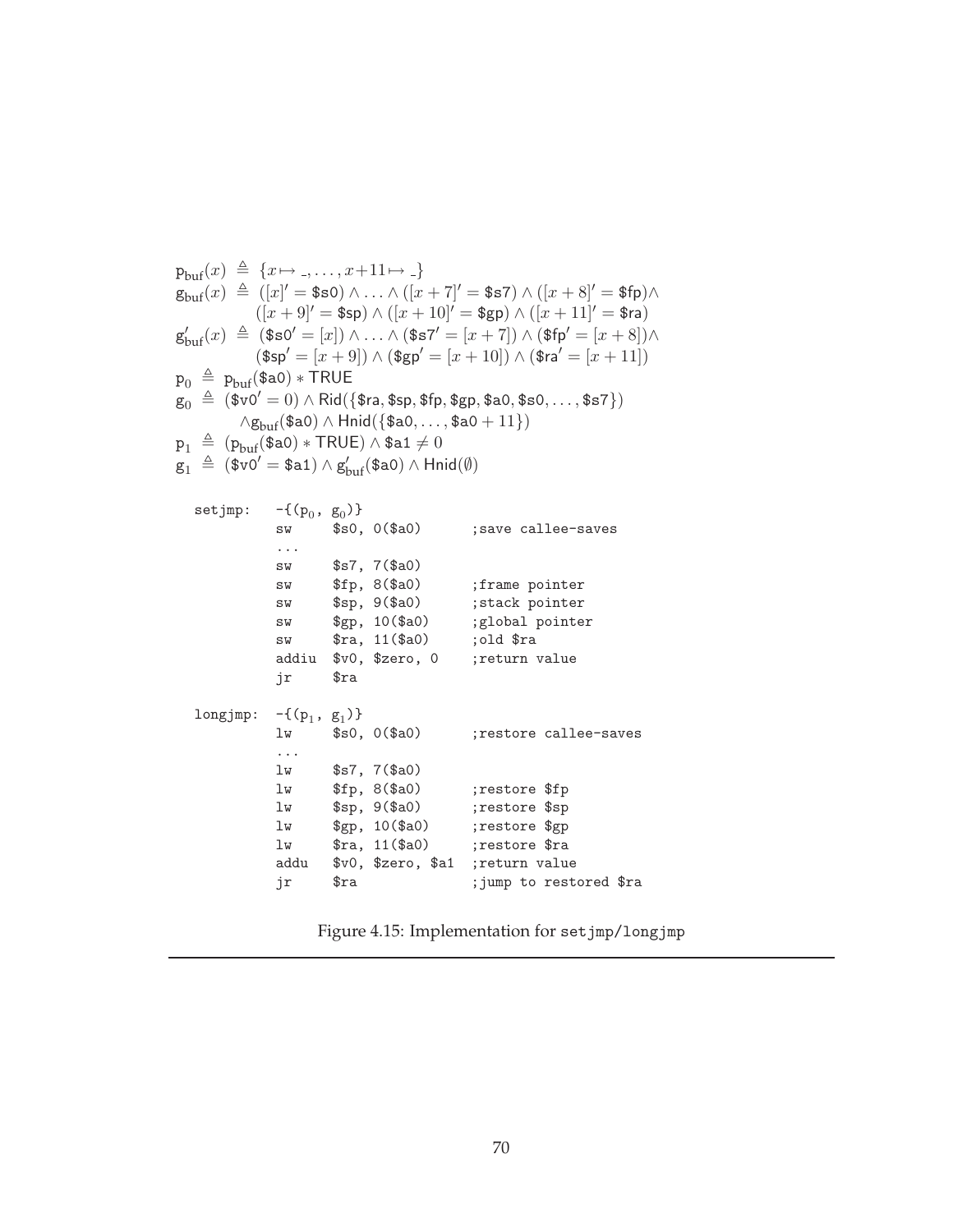$$
p_{buf}(x) \triangleq \{x \mapsto \ldots, x+11 \mapsto \}
$$
\n
$$
g_{buf}(x) \triangleq \left( [x]' = \$\$0 \right) \land \ldots \land \left( [x+1]' = \$\$5 \right) \land \left( [x+8]' = \$fp \right) \land \right.
$$
\n
$$
g'_{buf}(x) \triangleq \left( \$\$0' = [x] \right) \land \ldots \land \left( \$7' = [x+7] \right) \land \left( \$fp' = [x+8] \right) \land \left( \$fp' = [x+8] \right) \land \left( \$sp' = [x+9] \right) \land \left( \$gp' = [x+10] \right) \land \left( \$ra' = [x+11] \right)
$$
\n
$$
p_0 \triangleq p_{buf}(\$a0) * TRUE = x + 10) \land \left( \$gr' = [x+10] \right) \land \left( \$ra' = [x+11] \right)
$$
\n
$$
p_0 \triangleq p_{buf}(\$a0) * TRUE = x + 10) \land \left( \$gr' = [x+10] \right) \land \left( \$ra' = [x+11] \right)
$$
\n
$$
p_1 \triangleq (\$v0' = 0) \land \text{Rid}(\$a0, \ldots, \$a0 + 11})
$$
\n
$$
p_1 \triangleq (\$v0' = \$a1) \land g'_{buf}(\$a0) \land \text{Hnid}(\emptyset)
$$
\n
$$
setjmp: -\{(p_0, g_0)\}
$$
\n
$$
swp, 0 \land \$a0) ; save callee-saves
$$
\n
$$
\therefore \text{sw} \quad \$sp, 3 \land \$0, 0 \land \$0, 0 ; save callee-saves
$$
\n
$$
swp, 10 \land \$a0) ; sitack pointer
$$
\n
$$
swp, 10 \land \$a0) ; sitack pointer
$$
\n
$$
swp, 10 \land \$a0) ; sistack pointer
$$
\n
$$
swp, 10 \land \$2, 0 ; setilde calees.
$$
\n
$$
swp, 11 \land \$a0) ; sistack pointer
$$
\n
$$
swp, 11 \land \$a0) ; sistack pointer
$$
\n
$$
s
$$

Figure 4.15: Implementation for setjmp/longjmp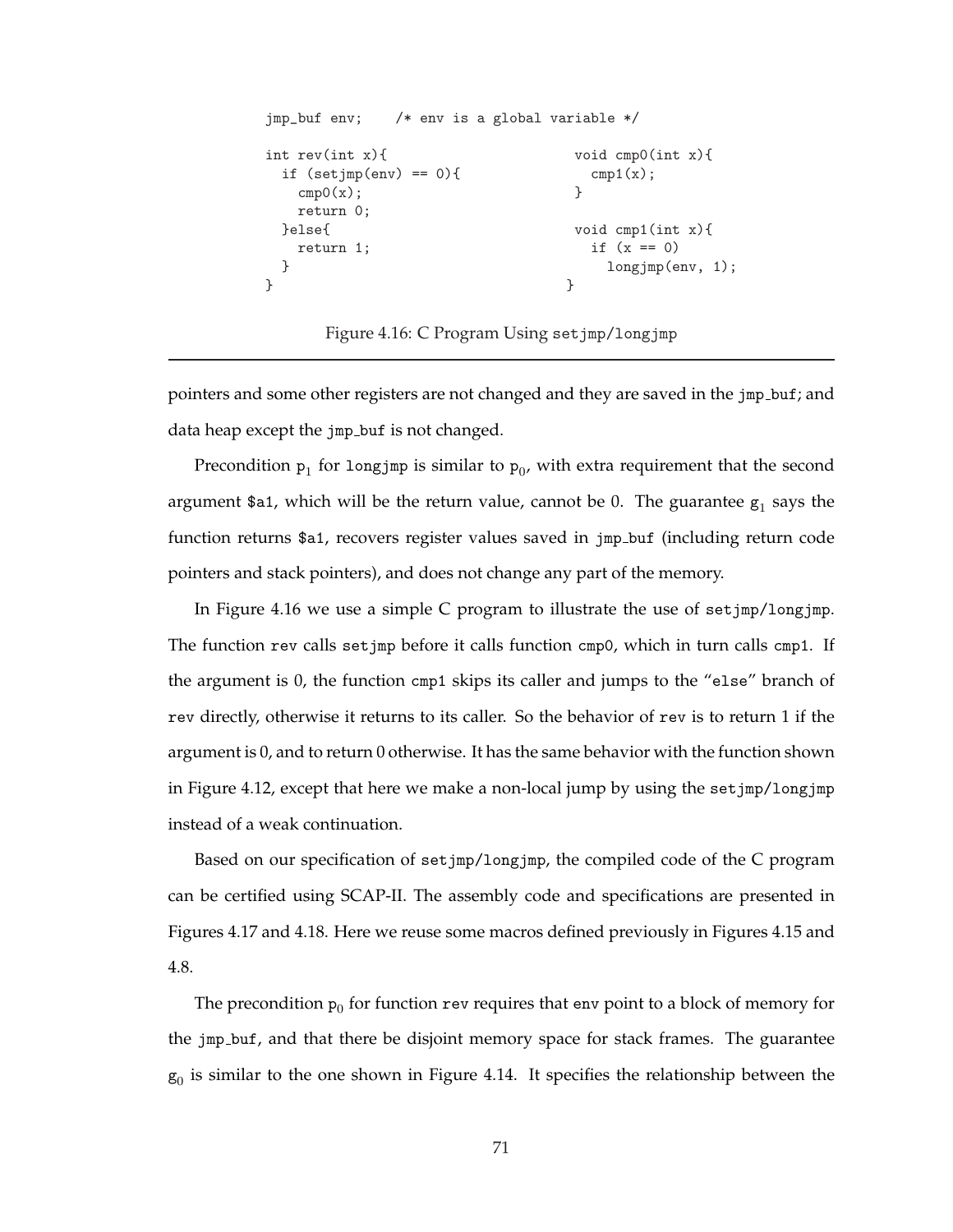```
jmp_buf env; /* env is a global variable */
int rev(int x){ void cmp0(int x){
if (setjump(env) == 0){ cmp1(x);
  cmp0(x); }
 return 0;
}else{ void cmp1(int x){
 return 1; if (x == 0)} longjmp(env, 1);
} }
```
Figure 4.16: C Program Using setjmp/longjmp

pointers and some other registers are not changed and they are saved in the  $jmp_b$ -buf; and data heap except the jmp buf is not changed.

Precondition  $p_1$  for longjmp is similar to  $p_0$ , with extra requirement that the second argument \$a1, which will be the return value, cannot be 0. The guarantee  $g_1$  says the function returns \$a1, recovers register values saved in jmp buf (including return code pointers and stack pointers), and does not change any part of the memory.

In Figure 4.16 we use a simple C program to illustrate the use of setjmp/longjmp. The function rev calls setjmp before it calls function cmp0, which in turn calls cmp1. If the argument is 0, the function cmp1 skips its caller and jumps to the "else" branch of rev directly, otherwise it returns to its caller. So the behavior of rev is to return 1 if the argument is 0, and to return 0 otherwise. It has the same behavior with the function shown in Figure 4.12, except that here we make a non-local jump by using the setjmp/longjmp instead of a weak continuation.

Based on our specification of setjmp/longjmp, the compiled code of the C program can be certified using SCAP-II. The assembly code and specifications are presented in Figures 4.17 and 4.18. Here we reuse some macros defined previously in Figures 4.15 and 4.8.

The precondition  $p_0$  for function rev requires that env point to a block of memory for the jmp buf, and that there be disjoint memory space for stack frames. The guarantee  $g_0$  is similar to the one shown in Figure 4.14. It specifies the relationship between the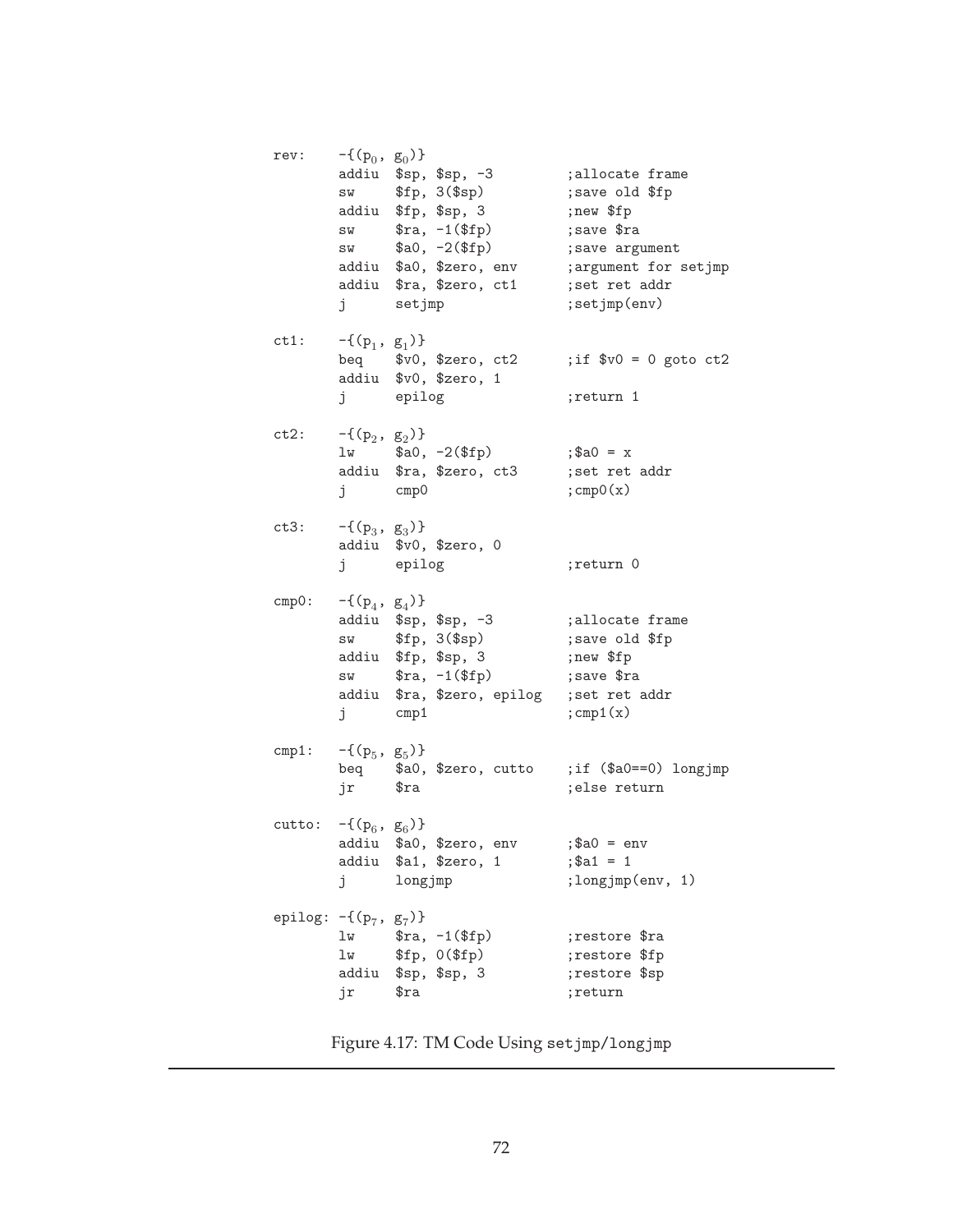| rev:                       | $-\{(p_0, g_0)\}\$<br>SW<br>SW<br>SW<br>j | addiu \$sp, \$sp, -3<br>\$fp, 3 (\$sp)<br>addiu \$fp, \$sp, 3<br>$\text{$ra, -1 ($fp)$}$<br>$a_0, -2$ (\$fp)<br>addiu \$a0, \$zero, env<br>addiu \$ra, \$zero, ct1<br>setjmp | ;allocate frame<br>; save old \$fp<br>;new \$fp<br>; save \$ra<br>; save argument<br>; argument for setjmp<br>; set ret addr<br>; set jmp(env) |
|----------------------------|-------------------------------------------|------------------------------------------------------------------------------------------------------------------------------------------------------------------------------|------------------------------------------------------------------------------------------------------------------------------------------------|
| ct1:                       | $-\{(p_1, g_1)\}\$                        | beq \$v0, \$zero, ct2<br>addiu \$v0, \$zero, 1<br>j epilog                                                                                                                   | ; if $$v0 = 0$ goto $ct2$<br>;return 1                                                                                                         |
| ct2:                       | $-\{(p_2, g_2)\}\$<br>j cmp0              | $lw$ $$a0, -2 ($fp)$<br>addiu \$ra, \$zero, ct3                                                                                                                              | $;$ \$a0 = x<br>; set ret addr<br>$;$ cmp0 $(x)$                                                                                               |
| ct3:                       | $-\{(p_3, g_3)\}\$                        | addiu \$v0, \$zero, 0<br>j epilog                                                                                                                                            | ;return 0                                                                                                                                      |
| cmp0:                      | $-\{(p_4, g_4)\}\$<br>SW<br>SW<br>j       | addiu \$sp, \$sp, -3<br>\$fp, 3 (\$sp)<br>addiu \$fp, \$sp, 3<br>$\text{$ra, -1 ($fp)$}$<br>addiu \$ra, \$zero, epilog<br>cmp1                                               | ;allocate frame<br>; save old \$fp<br>;new \$fp<br>; save \$ra<br>; set ret addr<br>$;$ cmp1 $(x)$                                             |
| cmp1:                      | $-\{(p_5, g_5)\}\$<br>jr \$ra             | beq \$a0, \$zero, cutto ;if (\$a0==0) longjmp                                                                                                                                | ; else return                                                                                                                                  |
| cutto: $-\{(p_6, g_6)\}\$  | j                                         | addiu \$a0, \$zero, env<br>addiu \$a1, \$zero, 1<br>longjmp                                                                                                                  | $;\$a0 = env$<br>$;$ \$a1 = 1<br>; longjmp(env, 1)                                                                                             |
| epilog: $-\{(p_7, g_7)\}\$ | lw<br>lw<br>jr                            | $\text{$ra, -1 ($fp)$}$<br>\$fp, 0(\$fp)<br>addiu \$sp, \$sp, 3<br>$\mathfrak{s}$ ra                                                                                         | ;restore \$ra<br>;restore \$fp<br>;restore \$sp<br>;return                                                                                     |

Figure 4.17: TM Code Using setjmp/longjmp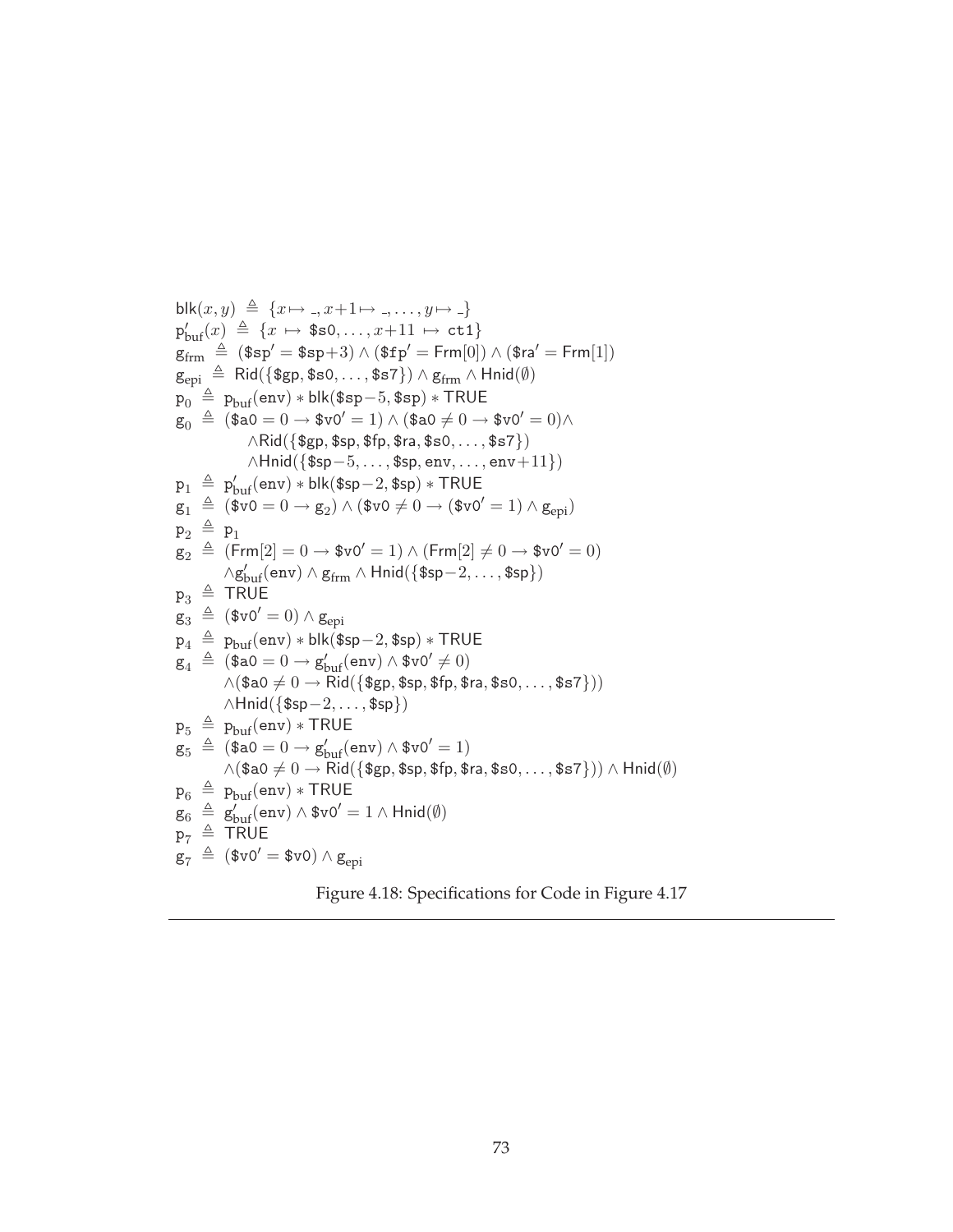blk(x,y) 
$$
\stackrel{\triangle}{=} \{x \mapsto ., x+1 \mapsto ., ..., y \mapsto .\}
$$
  
\n $p'_{buf}(x) \stackrel{\triangle}{=} \{x \mapsto \$s0, ..., x+11 \mapsto \text{ct1}\}$   
\n $g_{frm} \stackrel{\triangle}{=} \$sp' = \$sp+3) \land (\$fp' = Frm[0]) \land (\$ra' = Frm[1])$   
\n $g_{epi} \stackrel{\triangle}{=} \text{Rid}(\{\$gp, \$s0, ..., \$s7\}) \land g_{frm} \land \text{Hrid}(\emptyset)$   
\n $p_0 \stackrel{\triangle}{=} \text{Pbut}(\text{env}) * \text{blk}(\$sp-5, \$sp) * TRUE$   
\n $g_0 \stackrel{\triangle}{=} (\$ao = 0 \rightarrow \$v0' = 1) \land (\$ao \neq 0 \rightarrow \$v0' = 0) \land \land \text{Rid}(\{\$gp, \$sp, \$fp, \$ra, \$s0, ..., \$s7\})$   
\n $\land \text{Hrid}(\{\$sp-5, ..., \$sp, env, ..., env+11\})$   
\n $p_1 \stackrel{\triangle}{=} p'_{buf}(\text{env}) * \text{blk}(\$sp-2, \$sp) * TRUE$   
\n $g_1 \stackrel{\triangle}{=} (\$v0 = 0 \rightarrow g_2) \land (\$v0 \neq 0 \rightarrow (\$v0' = 1) \land g_{epi})$   
\n $p_2 \stackrel{\triangle}{=} p_1$   
\n $g_2 \stackrel{\triangle}{=} (\text{Frm}[2] = 0 \rightarrow \$v0' = 1) \land (\text{Frm}[2] \neq 0 \rightarrow \$v0' = 0)$   
\n $\land g'_{buf}(\text{env}) \land g_{frm} \land \text{Hnid}(\{\$sp-2, ..., \$sp\})$   
\n $p_3 \stackrel{\triangle}{=} \text{TRUE}$   
\n $g_4 \stackrel{\triangle}{=} (\$v0' = 0) \land g_{epi}$   
\n $p_4 \stackrel{\triangle}{=} p_{buf}(\text{env}) * \text{blk}(\$sp-2, \$sp) * TRUE$   
\n $g_4 \stackrel{\triangle}{=} (\$ao = 0 \rightarrow g'_{buf}(\text{env}) \land \$v0' \neq 0)$   
\n $\$ 

Figure 4.18: Specifications for Code in Figure 4.17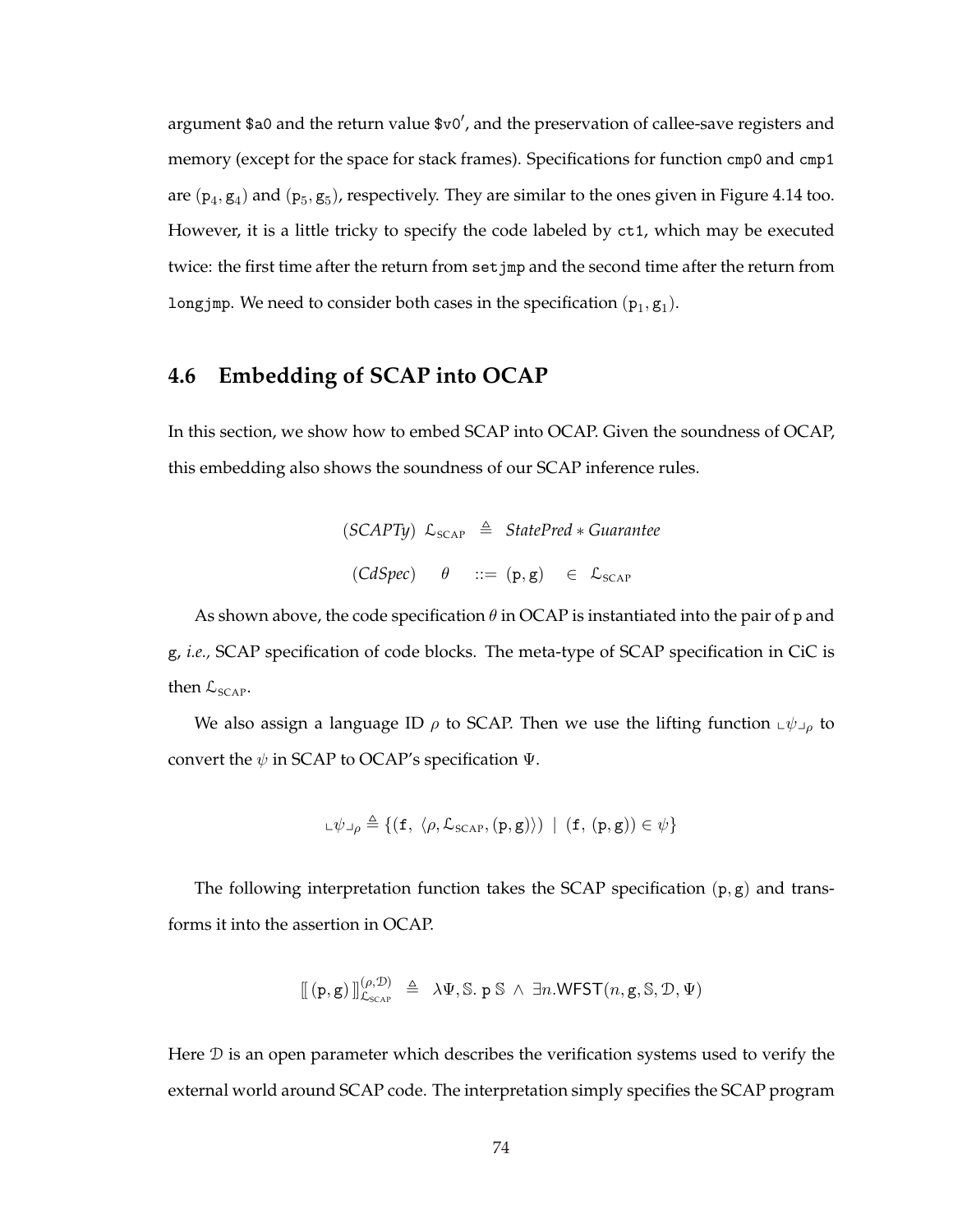argument \$a0 and the return value  $\text{$v0',}$  and the preservation of callee-save registers and memory (except for the space for stack frames). Specifications for function cmp0 and cmp1 are  $(p_4, g_4)$  and  $(p_5, g_5)$ , respectively. They are similar to the ones given in Figure 4.14 too. However, it is a little tricky to specify the code labeled by ct1, which may be executed twice: the first time after the return from set jmp and the second time after the return from longjmp. We need to consider both cases in the specification  $(p_1, g_1)$ .

# **4.6 Embedding of SCAP into OCAP**

In this section, we show how to embed SCAP into OCAP. Given the soundness of OCAP, this embedding also shows the soundness of our SCAP inference rules.

$$
(SCAPTy) \mathcal{L}_{SCAP} \triangleq StatePred * Guarantee
$$
  

$$
(CdSpec) \quad \theta \quad ::= (p, g) \quad \in \mathcal{L}_{SCAP}
$$

As shown above, the code specification  $\theta$  in OCAP is instantiated into the pair of p and g, *i.e.,* SCAP specification of code blocks. The meta-type of SCAP specification in CiC is then  $\mathcal{L}_{\text{SCAP}}$ .

We also assign a language ID  $\rho$  to SCAP. Then we use the lifting function  $\psi_{\mu}$  to convert the  $\psi$  in SCAP to OCAP's specification  $\Psi$ .

$$
\Box \psi \lrcorner_{\rho} \triangleq \{ (\texttt{f}, \langle \rho, \mathcal{L}_{\text{SCAP}}, (\texttt{p}, \texttt{g}) \rangle) \mid (\texttt{f}, (\texttt{p}, \texttt{g})) \in \psi \}
$$

The following interpretation function takes the SCAP specification  $(p, g)$  and transforms it into the assertion in OCAP.

$$
\llbracket (\mathbf{p}, \mathbf{g}) \rrbracket_{\mathcal{L}_{\mathsf{SCAP}}}^{(\rho, \mathcal{D})} \triangleq \lambda \Psi, \mathbb{S}. \mathbf{p} \mathbb{S} \wedge \exists n. \mathsf{WFST}(n, \mathbf{g}, \mathbb{S}, \mathcal{D}, \Psi)
$$

Here  $\mathcal D$  is an open parameter which describes the verification systems used to verify the external world around SCAP code. The interpretation simply specifies the SCAP program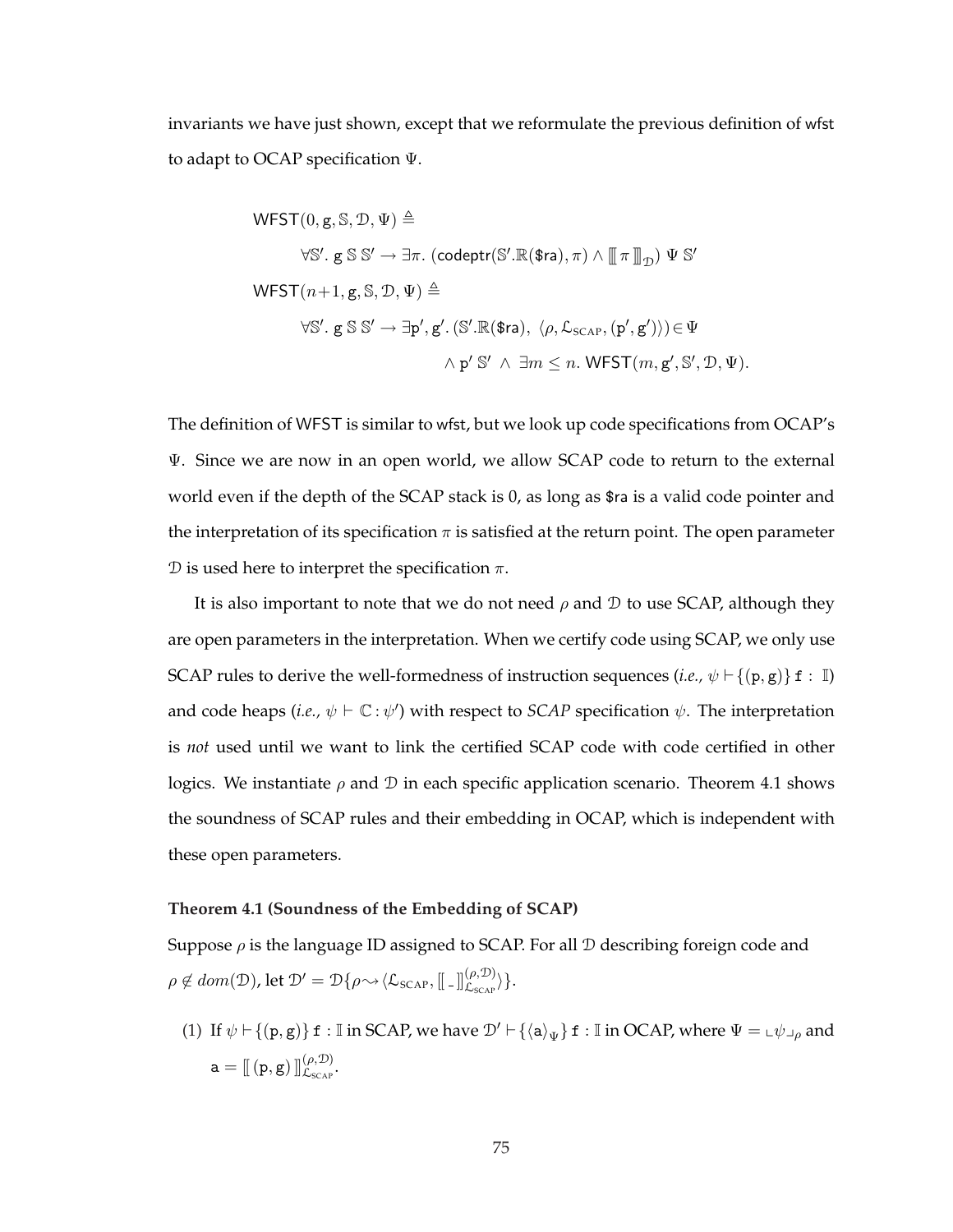invariants we have just shown, except that we reformulate the previous definition of wfst to adapt to OCAP specification Ψ.

$$
\begin{aligned}\n\text{WFST}(0, g, \mathbb{S}, \mathcal{D}, \Psi) &\triangleq \\
&\forall \mathbb{S}'. \, g \, \mathbb{S} \, \mathbb{S}' \to \exists \pi. \, (\text{codeptr}(\mathbb{S}'.\mathbb{R}(\text{\$ra}), \pi) \land \lbrack \lbrack \pi \rbrack \rbrack_{\mathcal{D}}) \, \Psi \, \mathbb{S}' \\
&\text{WFST}(n+1, g, \mathbb{S}, \mathcal{D}, \Psi) \triangleq \\
&\forall \mathbb{S}'. \, g \, \mathbb{S} \, \mathbb{S}' \to \exists p', g'. \, (\mathbb{S}'.\mathbb{R}(\text{\$ra}), \, \langle \rho, \mathcal{L}_{\text{SCAP}}, (p', g')) \in \Psi \\
&\land \, p' \, \mathbb{S}' \, \land \, \exists m \leq n. \, \text{WFST}(m, g', \mathbb{S}', \mathcal{D}, \Psi).\n\end{aligned}
$$

The definition of WFST is similar to wfst, but we look up code specifications from OCAP's Ψ. Since we are now in an open world, we allow SCAP code to return to the external world even if the depth of the SCAP stack is 0, as long as \$ra is a valid code pointer and the interpretation of its specification  $\pi$  is satisfied at the return point. The open parameter D is used here to interpret the specification  $\pi$ .

It is also important to note that we do not need  $\rho$  and  $\mathcal D$  to use SCAP, although they are open parameters in the interpretation. When we certify code using SCAP, we only use SCAP rules to derive the well-formedness of instruction sequences (*i.e.*,  $\psi \vdash \{(\mathbf{p}, \mathbf{g})\}$  f : I) and code heaps (*i.e.*,  $\psi \vdash \mathbb{C} : \psi'$ ) with respect to *SCAP* specification  $\psi$ . The interpretation is *not* used until we want to link the certified SCAP code with code certified in other logics. We instantiate  $\rho$  and  $\mathcal D$  in each specific application scenario. Theorem 4.1 shows the soundness of SCAP rules and their embedding in OCAP, which is independent with these open parameters.

#### **Theorem 4.1 (Soundness of the Embedding of SCAP)**

Suppose  $\rho$  is the language ID assigned to SCAP. For all  $\mathcal D$  describing foreign code and  $\rho \notin dom(\mathcal{D})$ , let  $\mathcal{D}' = \mathcal{D}\{\rho \sim \langle \mathcal{L}_{\text{SCAP}}, [\![. \;.\!]_{\mathcal{L}_{\text{SCAP}}}^{(\rho, \mathcal{D})} \rangle \}.$ 

(1) If  $\psi \vdash \{(\mathbf{p}, \mathbf{g})\}$  f : I in SCAP, we have  $\mathcal{D}' \vdash \{\langle \mathbf{a} \rangle_{\Psi}\}$  f : I in OCAP, where  $\Psi = \psi \bot_p$  and  $\mathtt{a} = \llbracket \left( \mathtt{p}, \mathtt{g} \right) \rrbracket_{\mathcal{L}_{\text{SCAP}}}^{(\rho, \mathcal{D})}.$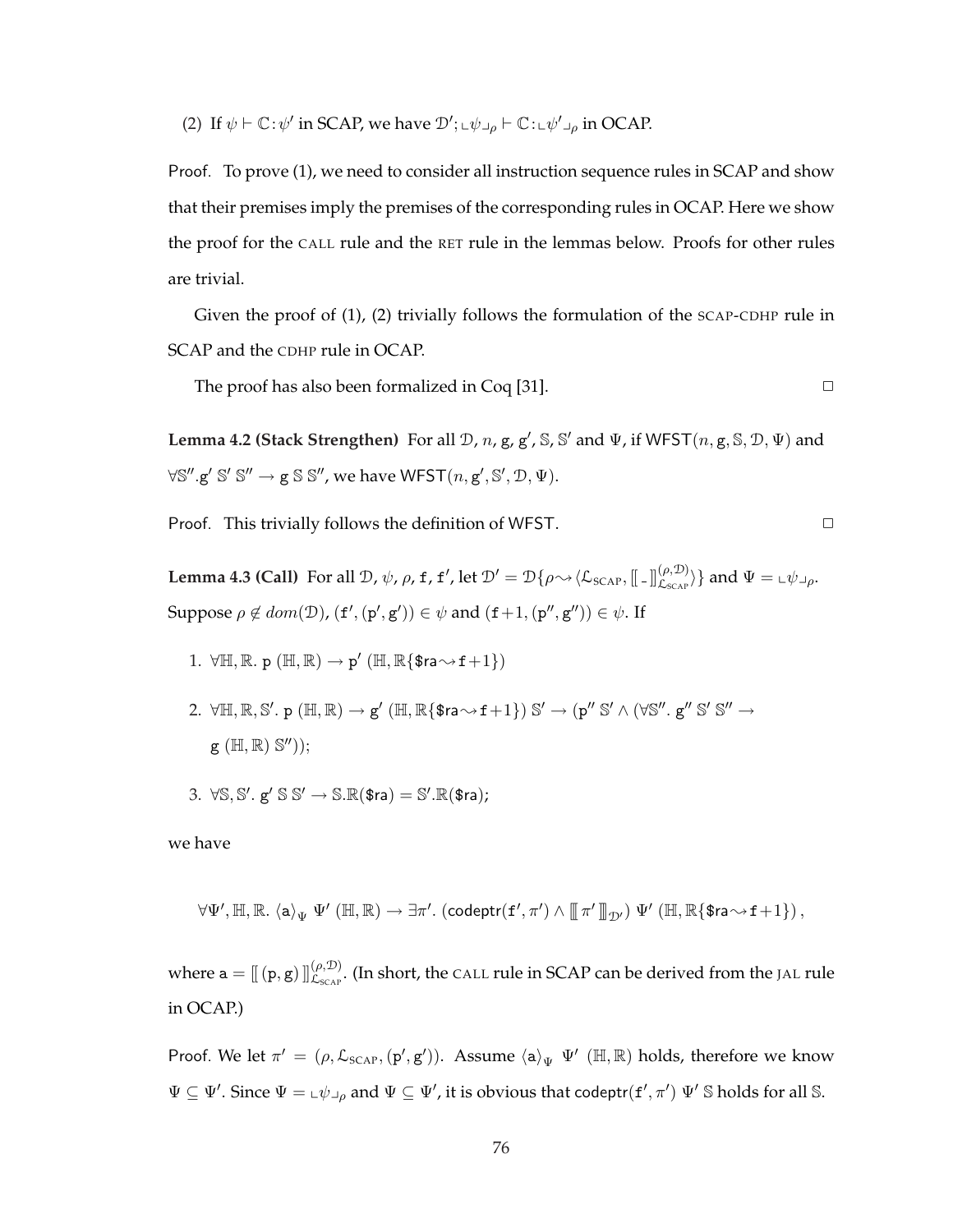(2) If  $\psi \vdash \mathbb{C} : \psi'$  in SCAP, we have  $\mathcal{D}'$ ;  $\psi \vdash \psi \vdash \mathbb{C} : \psi' \vdash \psi$  in OCAP.

Proof. To prove (1), we need to consider all instruction sequence rules in SCAP and show that their premises imply the premises of the corresponding rules in OCAP. Here we show the proof for the CALL rule and the RET rule in the lemmas below. Proofs for other rules are trivial.

Given the proof of (1), (2) trivially follows the formulation of the SCAP-CDHP rule in SCAP and the CDHP rule in OCAP.

The proof has also been formalized in  $Coq$  [31].  $\square$ 

**Lemma 4.2 (Stack Strengthen)** For all  $\mathcal{D}$ ,  $n$ ,  $g$ ,  $g'$ ,  $\mathcal{S}$ ,  $\mathcal{S}'$  and  $\Psi$ , if WFST $(n, g, \mathcal{S}, \mathcal{D}, \Psi)$  and  $\forall \mathbb{S}''$ .g'  $\mathbb{S}' \mathbb{S}'' \to \mathbb{g} \mathbb{S} \mathbb{S}''$ , we have  $\mathsf{WFST}(n, \mathsf{g}', \mathbb{S}', \mathcal{D}, \Psi)$ .

Proof. This trivially follows the definition of WFST.  $\Box$ 

**Lemma 4.3 (Call)** For all D,  $\psi$ ,  $\rho$ , f, f', let  $\mathcal{D}' = \mathcal{D}\{\rho \leadsto \langle \mathcal{L}_{\text{SCAP}}, [\![\;.\!] \!]_{\mathcal{L}_{\text{SCAP}}}^{(\rho, \mathcal{D})} \}$  and  $\Psi = \llcorner \psi \lrcorner_{\rho}$ . Suppose  $\rho \notin dom(\mathcal{D})$ ,  $(f', (p', g')) \in \psi$  and  $(f+1, (p'', g'')) \in \psi$ . If

- 1.  $\forall \mathbb{H}, \mathbb{R}$ . p  $(\mathbb{H}, \mathbb{R}) \to p'$   $(\mathbb{H}, \mathbb{R} \{$ \$ra $\rightsquigarrow$  f+1})
- 2.  $\forall \mathbb{H}, \mathbb{R}, \mathbb{S}'.$   $p(\mathbb{H}, \mathbb{R}) \rightarrow g'(\mathbb{H}, \mathbb{R} \{ \text{ $s$ra\rightsquigarrow$ f+1\}) \mathbb{S}' \rightarrow (p'' \mathbb{S}' \wedge (\forall \mathbb{S}''. g'' \mathbb{S}' \mathbb{S}' \rightarrow$  $g (\mathbb{H}, \mathbb{R}) \mathbb{S}''$ ));
- 3.  $\forall \mathbb{S}, \mathbb{S}', \mathbb{g}' \mathbb{S} \mathbb{S}' \rightarrow \mathbb{S}.\mathbb{R}(\text{$\mathfrak{S} \text{ra}$}) = \mathbb{S}'.\mathbb{R}(\text{$\mathfrak{S} \text{ra}$})$ ;

we have

$$
\forall\Psi', \mathbb{H}, \mathbb{R}.\ \langle a \rangle_\Psi\ \Psi' \ (\mathbb{H},\mathbb{R}) \rightarrow \exists \pi'.\ (\text{codeptr}(f',\pi') \wedge [\![\pi'\,]\!]_{\mathcal{D}'})\ \Psi' \ (\mathbb{H},\mathbb{R}\{\text{\$ra}{\sim}f+1\})\,,
$$

where  $a = [[(p, g)]]_{L_{SCR}}^{(\rho, \mathcal{D})}$ . (In short, the CALL rule in SCAP can be derived from the JAL rule in OCAP.)

Proof. We let  $\pi' = (\rho, \mathcal{L}_{SCAP}, (\mathbf{p}', \mathbf{g}'))$ . Assume  $\langle \mathbf{a} \rangle_{\Psi} \Psi'$  ( $\mathbb{H}, \mathbb{R}$ ) holds, therefore we know  $\Psi \subseteq \Psi'$ . Since  $\Psi = \pm \psi \Box \rho$  and  $\Psi \subseteq \Psi'$ , it is obvious that codeptr $(f', \pi') \Psi'$  S holds for all S.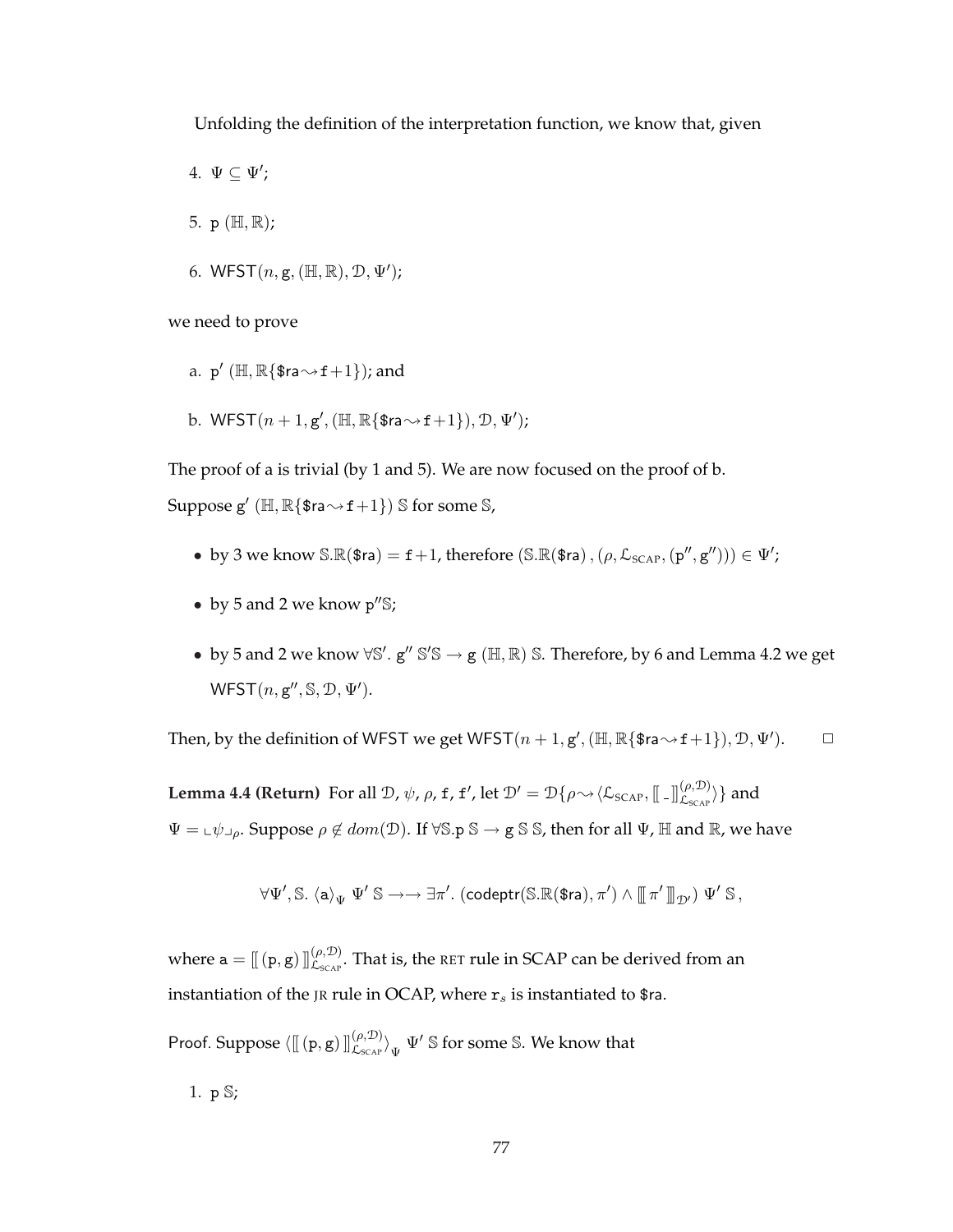Unfolding the definition of the interpretation function, we know that, given

- 4.  $\Psi \subseteq \Psi'$ ;
- 5. p (H, R);
- 6. WFST $(n, g, (\mathbb{H}, \mathbb{R}), \mathcal{D}, \Psi')$ ;

we need to prove

- a. p' ( $\mathbb{H}, \mathbb{R} \{$ \$ra $\sim$ f $+1$ }); and
- b.  $WFST(n+1, g', (\mathbb{H}, \mathbb{R} \{ \text{$ra} \rightarrow \text{f}+1 \}), \mathcal{D}, \Psi')$ ;

The proof of a is trivial (by 1 and 5). We are now focused on the proof of b.

Suppose  $g'$   $(\mathbb{H}, \mathbb{R} \{$  \$ra $\sim$  f  $+1\})$  S for some S,

- by 3 we know  $\mathbb{S} \mathbb{R}(\text{\$ra}) = \texttt{f} + 1$ , therefore  $(\mathbb{S} \mathbb{R}(\text{\$ra}), (\rho, \mathcal{L}_{SCAP}, (\mathbf{p}'', \mathbf{g}'')) \in \Psi';$
- by 5 and 2 we know  $p''\$
- by 5 and 2 we know  $\forall \mathbb{S}'$ .  $g'' \mathbb{S}' \mathbb{S} \to g (\mathbb{H}, \mathbb{R}) \mathbb{S}$ . Therefore, by 6 and Lemma 4.2 we get  $WFST(n, g'', \mathbb{S}, \mathcal{D}, \Psi').$

Then, by the definition of WFST we get WFST $(n + 1, g', (\mathbb{H}, \mathbb{R} \{ \text{$ra} \rightarrow \text{f} + 1 \}), \mathcal{D}, \Psi')$ .

**Lemma 4.4 (Return)** For all  $\mathcal{D}$ ,  $\psi$ ,  $\rho$ ,  $f$ ,  $f'$ , let  $\mathcal{D}' = \mathcal{D}\{\rho {\sim} \langle \mathcal{L}_{\text{SCAP}}, [\![...]\!]_{\mathcal{L}_{\text{SCAP}}}^{(\rho, \mathcal{D})} \}$  and  $\Psi = \pm \psi \pm \rho$ . Suppose  $\rho \notin dom(\mathcal{D})$ . If  $\forall \mathbb{S} \cdot \mathbb{S} \rightarrow \mathbb{S} \cdot \mathbb{S}$ , then for all  $\Psi$ ,  $\mathbb{H}$  and  $\mathbb{R}$ , we have

$$
\forall\Psi',\mathbb{S}.\ \langle \mathtt{a} \rangle_{\Psi}\ \Psi'\ \mathbb{S} \rightarrow \rightarrow \exists \pi'.\ (\mathsf{codeptr}(\mathbb{S}.\mathbb{R}(\texttt{\$ra}),\pi')\ \wedge\ \llbracket\, \pi' \rrbracket_{\,\mathcal{D}'} )\ \Psi'\ \mathbb{S}\,,
$$

where  $\mathtt{a}=[\![\, (\mathtt{p},\mathtt{g})\,]\!]_{\mathcal{L}_{\text{SCAP}}}^{(\rho,\mathcal{D})}.$  That is, the <code>RET</code> rule in SCAP can be derived from an instantiation of the JR rule in OCAP, where  $r_s$  is instantiated to \$ra.

Proof. Suppose  $\langle \llbracket (p,g) \rrbracket^{(\rho,\mathcal{D})} _{\mathcal{L}_{SCAP}} \rangle_\Psi \ \Psi' \mathbb{S}$  for some  $\mathbb{S}.$  We know that

1. p S;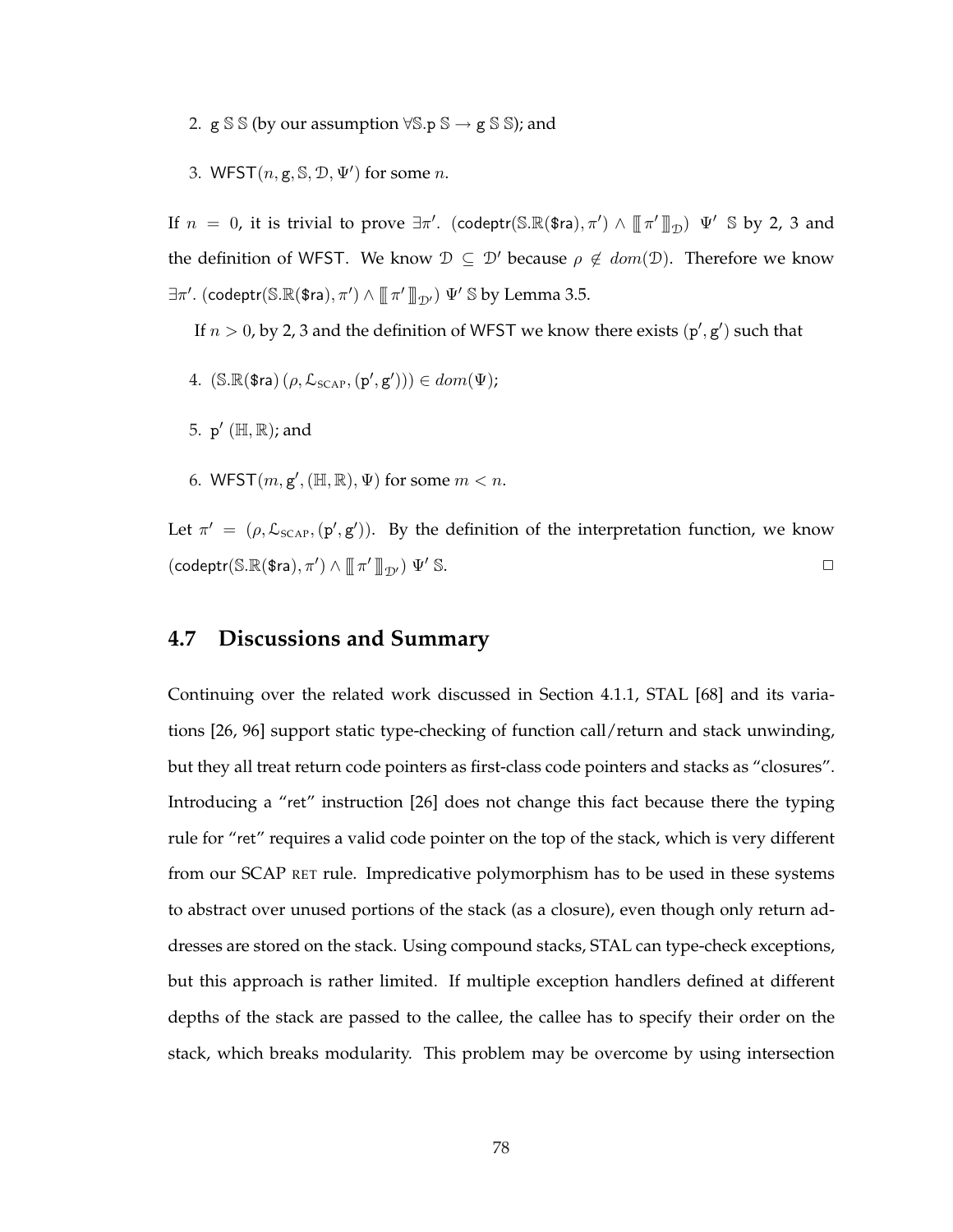2.  $g S S$  (by our assumption  $\forall S.p S \rightarrow g S S$ ); and

3. WFST $(n, g, \mathbb{S}, \mathcal{D}, \Psi')$  for some n.

If  $n~=~0$ , it is trivial to prove  $\exists \pi'.$  (codeptr(S.R(\$ra), $\pi') \wedge \llbracket \pi' \rrbracket_{\mathcal{D}}$ )  $\Psi'~\mathbb{S}$  by 2, 3 and the definition of WFST. We know  $\mathcal{D} \subseteq \mathcal{D}'$  because  $\rho \notin dom(\mathcal{D})$ . Therefore we know  $\exists \pi'.$  (codeptr $(\mathbb{S}.\mathbb{R}(\$$ ra), $\pi') \wedge \llbracket \pi' \rrbracket_{\mathcal{D}'}$ )  $\Psi' \mathbb{S}$  by Lemma 3.5.

If  $n > 0$ , by 2, 3 and the definition of WFST we know there exists  $(p', g')$  such that

- 4.  $(S.R(\text{\$ra}) (\rho, \mathcal{L}_{SCAP}, (\mathbf{p}', \mathbf{g}'))) \in dom(\Psi);$
- 5.  $p'$  ( $\mathbb{H}, \mathbb{R}$ ); and
- 6. WFST $(m, g', (\mathbb{H}, \mathbb{R}), \Psi)$  for some  $m < n$ .

Let  $\pi' = (\rho, \mathcal{L}_{SCAP}, (\mathbf{p}', \mathbf{g}'))$ . By the definition of the interpretation function, we know  $(\text{codeptr}(\mathbb{S}.\mathbb{R}(\text{\$ra}), \pi') \wedge [\![\pi' \ ]\!]_{\mathcal{D}'}) \Psi' \mathbb{S}.$ 

# **4.7 Discussions and Summary**

Continuing over the related work discussed in Section 4.1.1, STAL [68] and its variations [26, 96] support static type-checking of function call/return and stack unwinding, but they all treat return code pointers as first-class code pointers and stacks as "closures". Introducing a "ret" instruction [26] does not change this fact because there the typing rule for "ret" requires a valid code pointer on the top of the stack, which is very different from our SCAP RET rule. Impredicative polymorphism has to be used in these systems to abstract over unused portions of the stack (as a closure), even though only return addresses are stored on the stack. Using compound stacks, STAL can type-check exceptions, but this approach is rather limited. If multiple exception handlers defined at different depths of the stack are passed to the callee, the callee has to specify their order on the stack, which breaks modularity. This problem may be overcome by using intersection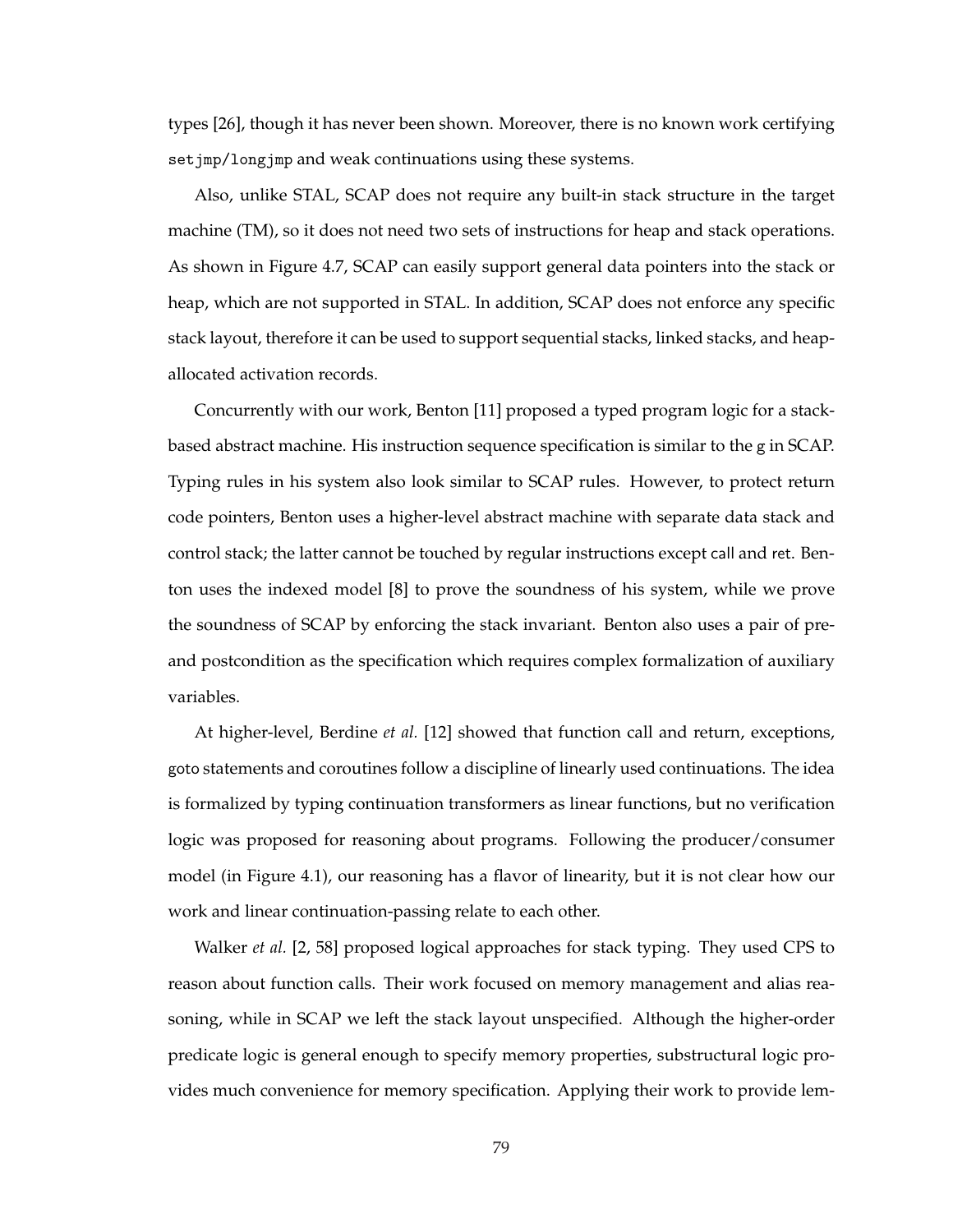types [26], though it has never been shown. Moreover, there is no known work certifying set jmp/longjmp and weak continuations using these systems.

Also, unlike STAL, SCAP does not require any built-in stack structure in the target machine (TM), so it does not need two sets of instructions for heap and stack operations. As shown in Figure 4.7, SCAP can easily support general data pointers into the stack or heap, which are not supported in STAL. In addition, SCAP does not enforce any specific stack layout, therefore it can be used to support sequential stacks, linked stacks, and heapallocated activation records.

Concurrently with our work, Benton [11] proposed a typed program logic for a stackbased abstract machine. His instruction sequence specification is similar to the g in SCAP. Typing rules in his system also look similar to SCAP rules. However, to protect return code pointers, Benton uses a higher-level abstract machine with separate data stack and control stack; the latter cannot be touched by regular instructions except call and ret. Benton uses the indexed model [8] to prove the soundness of his system, while we prove the soundness of SCAP by enforcing the stack invariant. Benton also uses a pair of preand postcondition as the specification which requires complex formalization of auxiliary variables.

At higher-level, Berdine *et al.* [12] showed that function call and return, exceptions, goto statements and coroutines follow a discipline of linearly used continuations. The idea is formalized by typing continuation transformers as linear functions, but no verification logic was proposed for reasoning about programs. Following the producer/consumer model (in Figure 4.1), our reasoning has a flavor of linearity, but it is not clear how our work and linear continuation-passing relate to each other.

Walker *et al.* [2, 58] proposed logical approaches for stack typing. They used CPS to reason about function calls. Their work focused on memory management and alias reasoning, while in SCAP we left the stack layout unspecified. Although the higher-order predicate logic is general enough to specify memory properties, substructural logic provides much convenience for memory specification. Applying their work to provide lem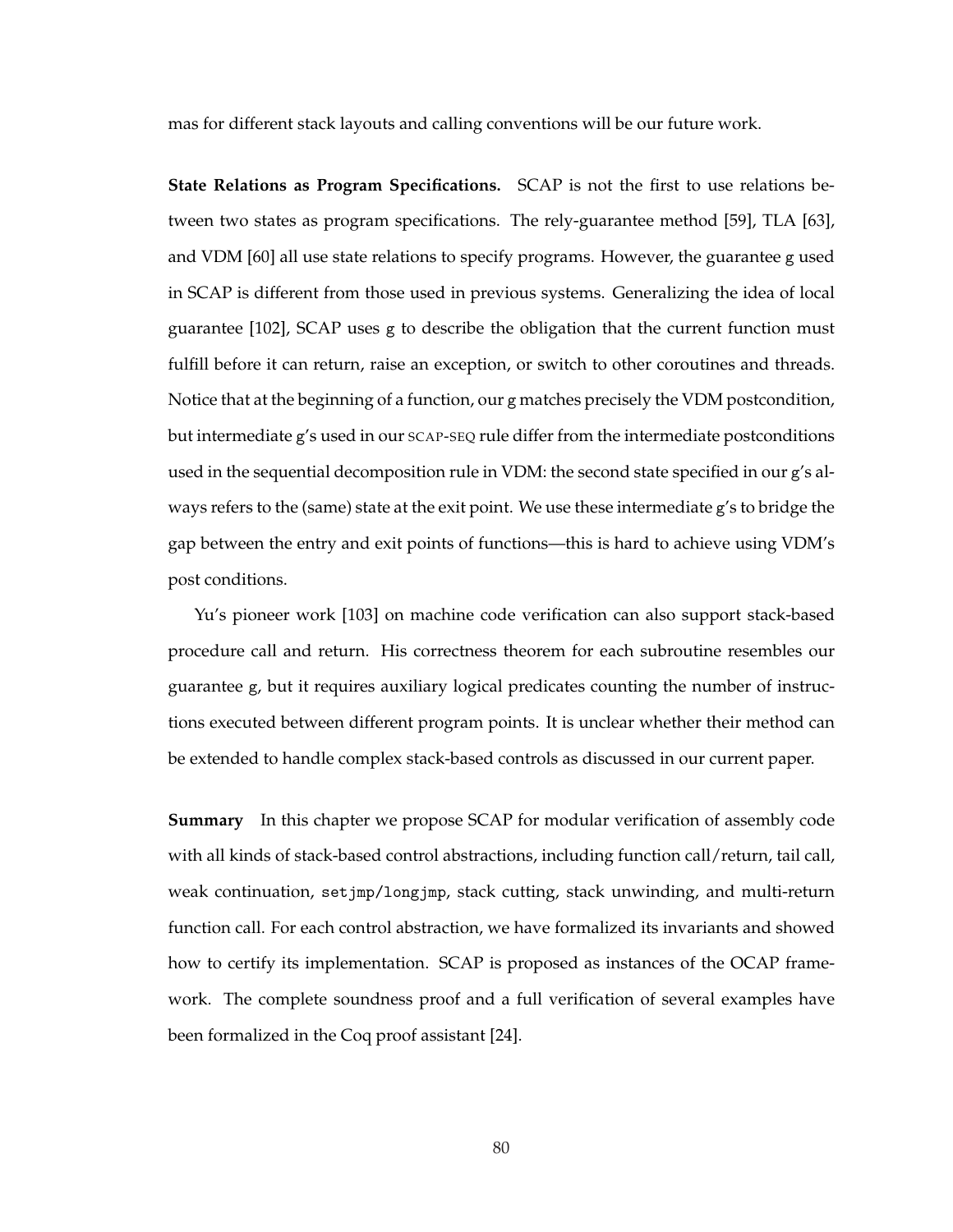mas for different stack layouts and calling conventions will be our future work.

**State Relations as Program Specifications.** SCAP is not the first to use relations between two states as program specifications. The rely-guarantee method [59], TLA [63], and VDM [60] all use state relations to specify programs. However, the guarantee g used in SCAP is different from those used in previous systems. Generalizing the idea of local guarantee [102], SCAP uses g to describe the obligation that the current function must fulfill before it can return, raise an exception, or switch to other coroutines and threads. Notice that at the beginning of a function, our g matches precisely the VDM postcondition, but intermediate g's used in our SCAP-SEQ rule differ from the intermediate postconditions used in the sequential decomposition rule in VDM: the second state specified in our g's always refers to the (same) state at the exit point. We use these intermediate g's to bridge the gap between the entry and exit points of functions—this is hard to achieve using VDM's post conditions.

Yu's pioneer work [103] on machine code verification can also support stack-based procedure call and return. His correctness theorem for each subroutine resembles our guarantee g, but it requires auxiliary logical predicates counting the number of instructions executed between different program points. It is unclear whether their method can be extended to handle complex stack-based controls as discussed in our current paper.

**Summary** In this chapter we propose SCAP for modular verification of assembly code with all kinds of stack-based control abstractions, including function call/return, tail call, weak continuation, setjmp/longjmp, stack cutting, stack unwinding, and multi-return function call. For each control abstraction, we have formalized its invariants and showed how to certify its implementation. SCAP is proposed as instances of the OCAP framework. The complete soundness proof and a full verification of several examples have been formalized in the Coq proof assistant [24].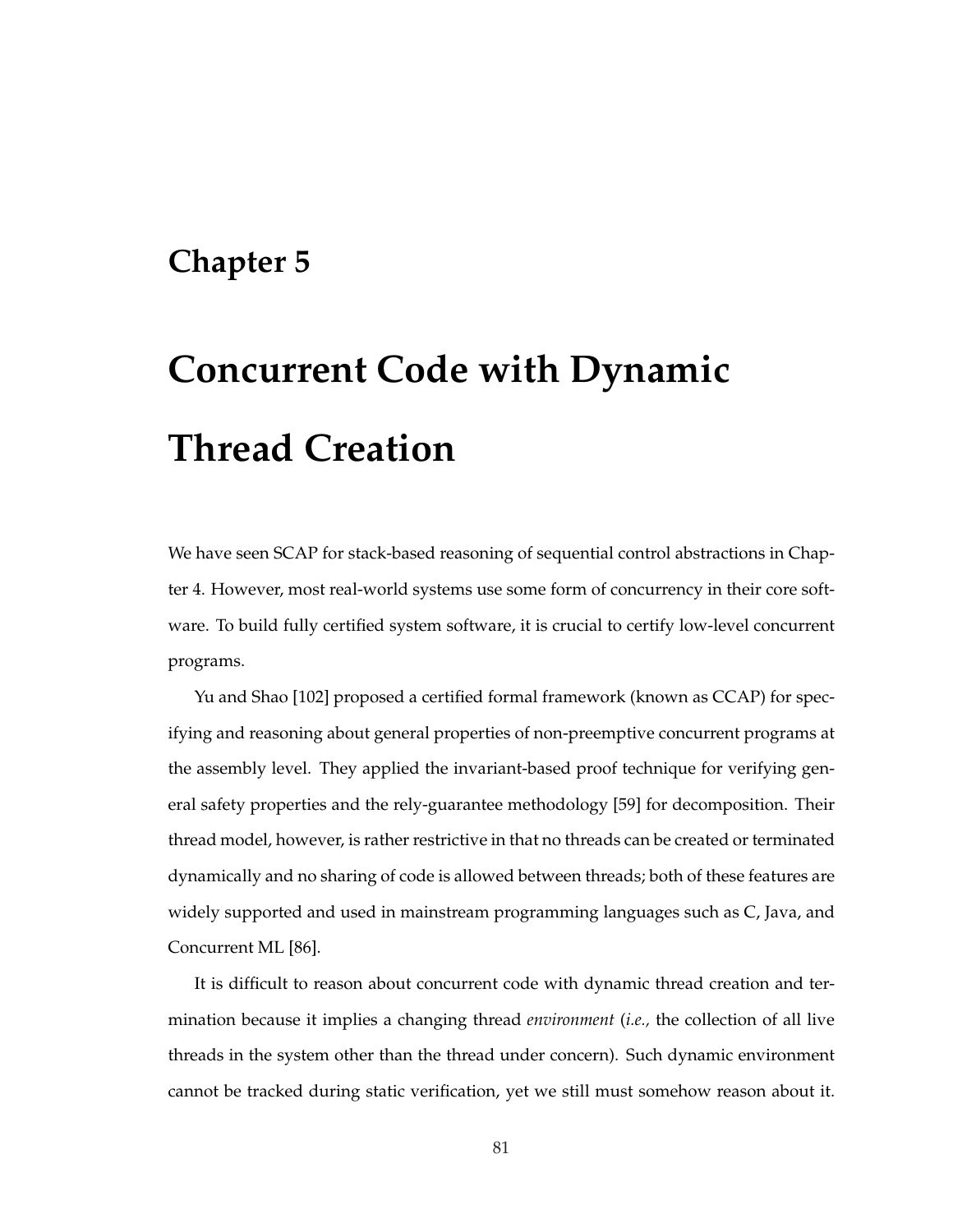# **Chapter 5**

# **Concurrent Code with Dynamic Thread Creation**

We have seen SCAP for stack-based reasoning of sequential control abstractions in Chapter 4. However, most real-world systems use some form of concurrency in their core software. To build fully certified system software, it is crucial to certify low-level concurrent programs.

Yu and Shao [102] proposed a certified formal framework (known as CCAP) for specifying and reasoning about general properties of non-preemptive concurrent programs at the assembly level. They applied the invariant-based proof technique for verifying general safety properties and the rely-guarantee methodology [59] for decomposition. Their thread model, however, is rather restrictive in that no threads can be created or terminated dynamically and no sharing of code is allowed between threads; both of these features are widely supported and used in mainstream programming languages such as C, Java, and Concurrent ML [86].

It is difficult to reason about concurrent code with dynamic thread creation and termination because it implies a changing thread *environment* (*i.e.,* the collection of all live threads in the system other than the thread under concern). Such dynamic environment cannot be tracked during static verification, yet we still must somehow reason about it.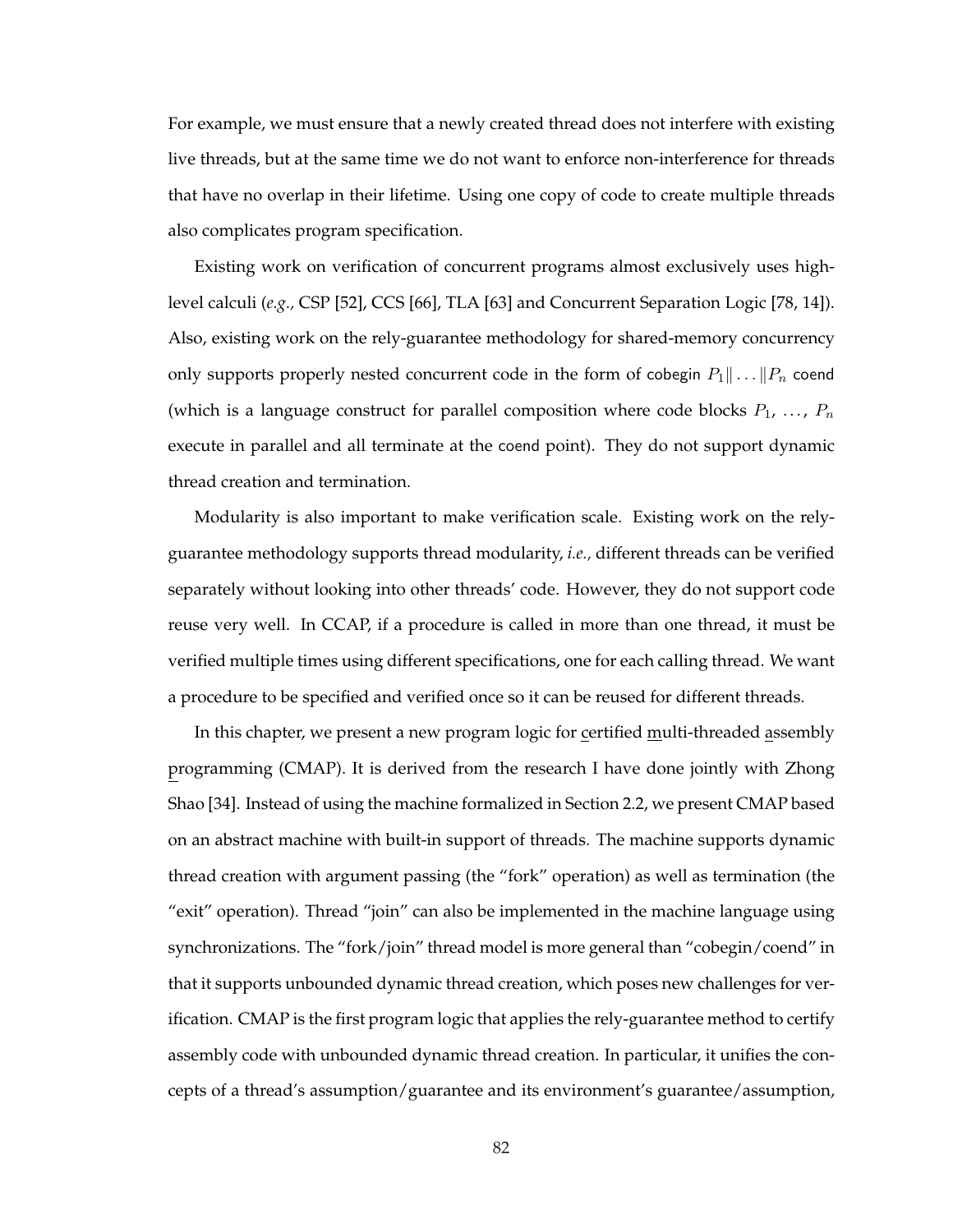For example, we must ensure that a newly created thread does not interfere with existing live threads, but at the same time we do not want to enforce non-interference for threads that have no overlap in their lifetime. Using one copy of code to create multiple threads also complicates program specification.

Existing work on verification of concurrent programs almost exclusively uses highlevel calculi (*e.g.,* CSP [52], CCS [66], TLA [63] and Concurrent Separation Logic [78, 14]). Also, existing work on the rely-guarantee methodology for shared-memory concurrency only supports properly nested concurrent code in the form of cobegin  $P_1 \| \dots \| P_n$  coend (which is a language construct for parallel composition where code blocks  $P_1, \ldots, P_n$ execute in parallel and all terminate at the coend point). They do not support dynamic thread creation and termination.

Modularity is also important to make verification scale. Existing work on the relyguarantee methodology supports thread modularity, *i.e.,* different threads can be verified separately without looking into other threads' code. However, they do not support code reuse very well. In CCAP, if a procedure is called in more than one thread, it must be verified multiple times using different specifications, one for each calling thread. We want a procedure to be specified and verified once so it can be reused for different threads.

In this chapter, we present a new program logic for certified multi-threaded assembly programming (CMAP). It is derived from the research I have done jointly with Zhong Shao [34]. Instead of using the machine formalized in Section 2.2, we present CMAP based on an abstract machine with built-in support of threads. The machine supports dynamic thread creation with argument passing (the "fork" operation) as well as termination (the "exit" operation). Thread "join" can also be implemented in the machine language using synchronizations. The "fork/join" thread model is more general than "cobegin/coend" in that it supports unbounded dynamic thread creation, which poses new challenges for verification. CMAP is the first program logic that applies the rely-guarantee method to certify assembly code with unbounded dynamic thread creation. In particular, it unifies the concepts of a thread's assumption/guarantee and its environment's guarantee/assumption,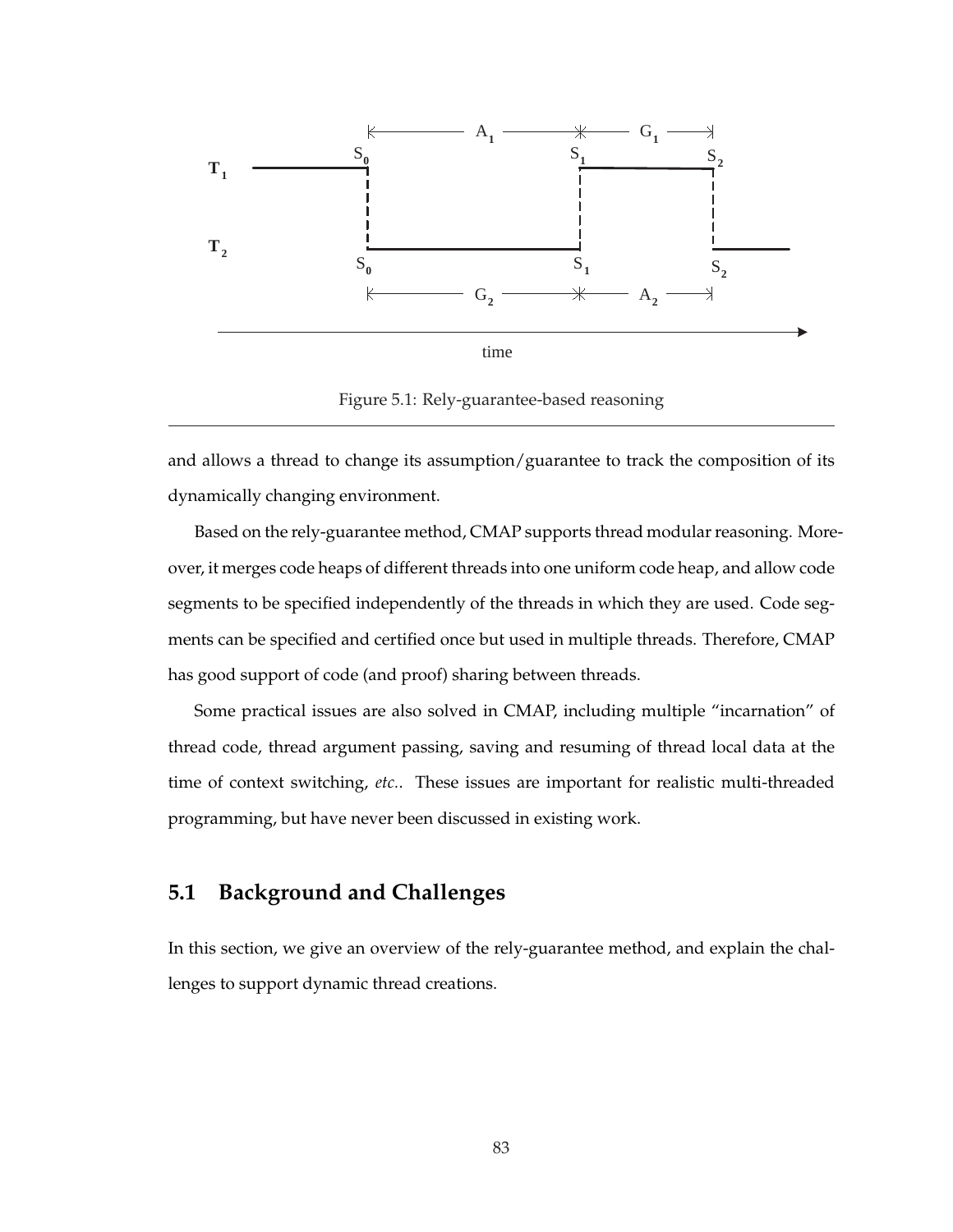

Figure 5.1: Rely-guarantee-based reasoning

and allows a thread to change its assumption/guarantee to track the composition of its dynamically changing environment.

Based on the rely-guarantee method, CMAP supports thread modular reasoning. Moreover, it merges code heaps of different threads into one uniform code heap, and allow code segments to be specified independently of the threads in which they are used. Code segments can be specified and certified once but used in multiple threads. Therefore, CMAP has good support of code (and proof) sharing between threads.

Some practical issues are also solved in CMAP, including multiple "incarnation" of thread code, thread argument passing, saving and resuming of thread local data at the time of context switching, *etc.*. These issues are important for realistic multi-threaded programming, but have never been discussed in existing work.

# **5.1 Background and Challenges**

In this section, we give an overview of the rely-guarantee method, and explain the challenges to support dynamic thread creations.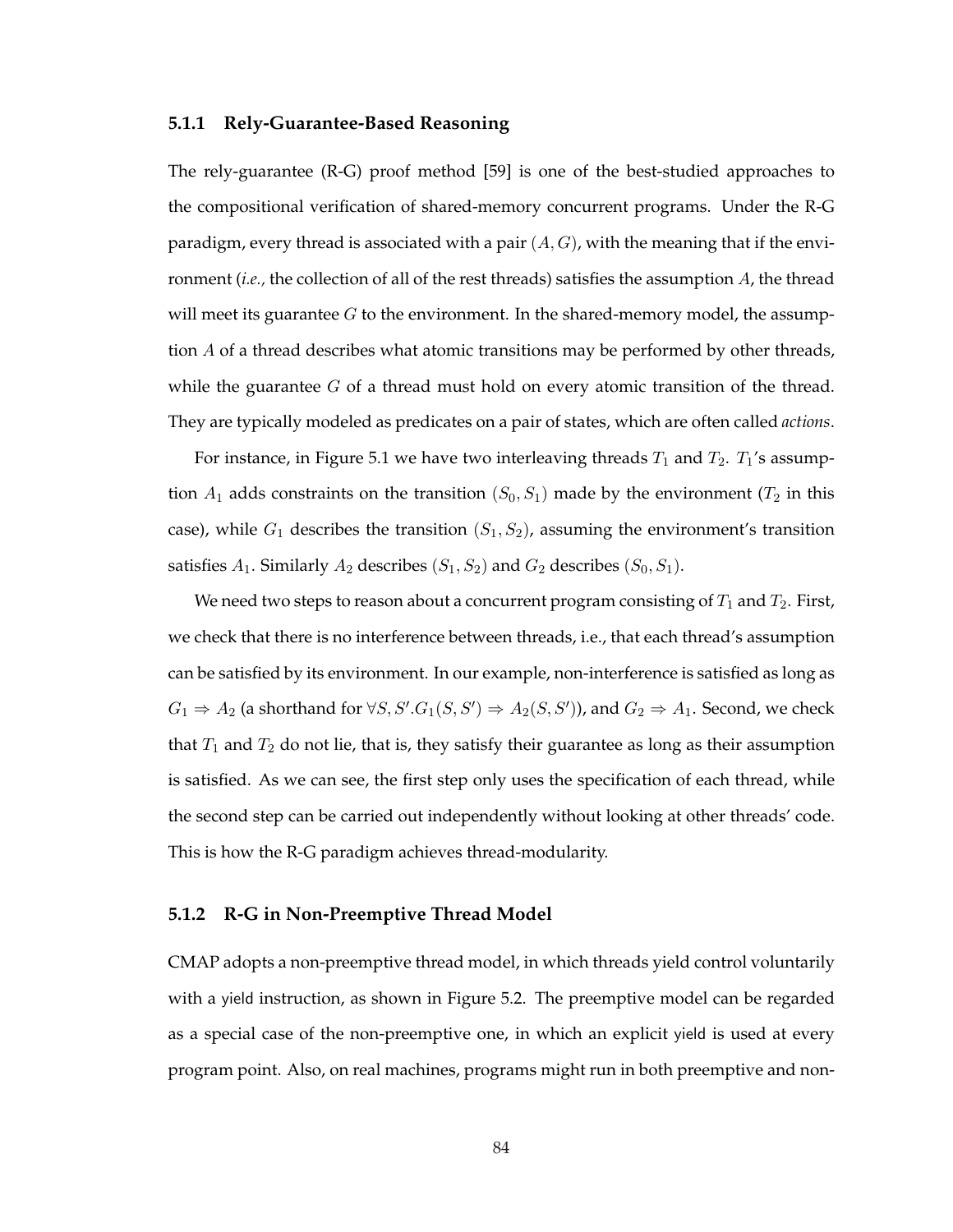#### **5.1.1 Rely-Guarantee-Based Reasoning**

The rely-guarantee (R-G) proof method [59] is one of the best-studied approaches to the compositional verification of shared-memory concurrent programs. Under the R-G paradigm, every thread is associated with a pair  $(A, G)$ , with the meaning that if the environment (*i.e.,* the collection of all of the rest threads) satisfies the assumption A, the thread will meet its guarantee  $G$  to the environment. In the shared-memory model, the assumption  $A$  of a thread describes what atomic transitions may be performed by other threads, while the guarantee  $G$  of a thread must hold on every atomic transition of the thread. They are typically modeled as predicates on a pair of states, which are often called *actions*.

For instance, in Figure 5.1 we have two interleaving threads  $T_1$  and  $T_2$ .  $T_1$ 's assumption  $A_1$  adds constraints on the transition  $(S_0, S_1)$  made by the environment  $(T_2$  in this case), while  $G_1$  describes the transition  $(S_1, S_2)$ , assuming the environment's transition satisfies  $A_1$ . Similarly  $A_2$  describes  $(S_1, S_2)$  and  $G_2$  describes  $(S_0, S_1)$ .

We need two steps to reason about a concurrent program consisting of  $T_1$  and  $T_2$ . First, we check that there is no interference between threads, i.e., that each thread's assumption can be satisfied by its environment. In our example, non-interference is satisfied as long as  $G_1 \Rightarrow A_2$  (a shorthand for  $\forall S, S'. G_1(S, S') \Rightarrow A_2(S, S')$ ), and  $G_2 \Rightarrow A_1$ . Second, we check that  $T_1$  and  $T_2$  do not lie, that is, they satisfy their guarantee as long as their assumption is satisfied. As we can see, the first step only uses the specification of each thread, while the second step can be carried out independently without looking at other threads' code. This is how the R-G paradigm achieves thread-modularity.

#### **5.1.2 R-G in Non-Preemptive Thread Model**

CMAP adopts a non-preemptive thread model, in which threads yield control voluntarily with a yield instruction, as shown in Figure 5.2. The preemptive model can be regarded as a special case of the non-preemptive one, in which an explicit yield is used at every program point. Also, on real machines, programs might run in both preemptive and non-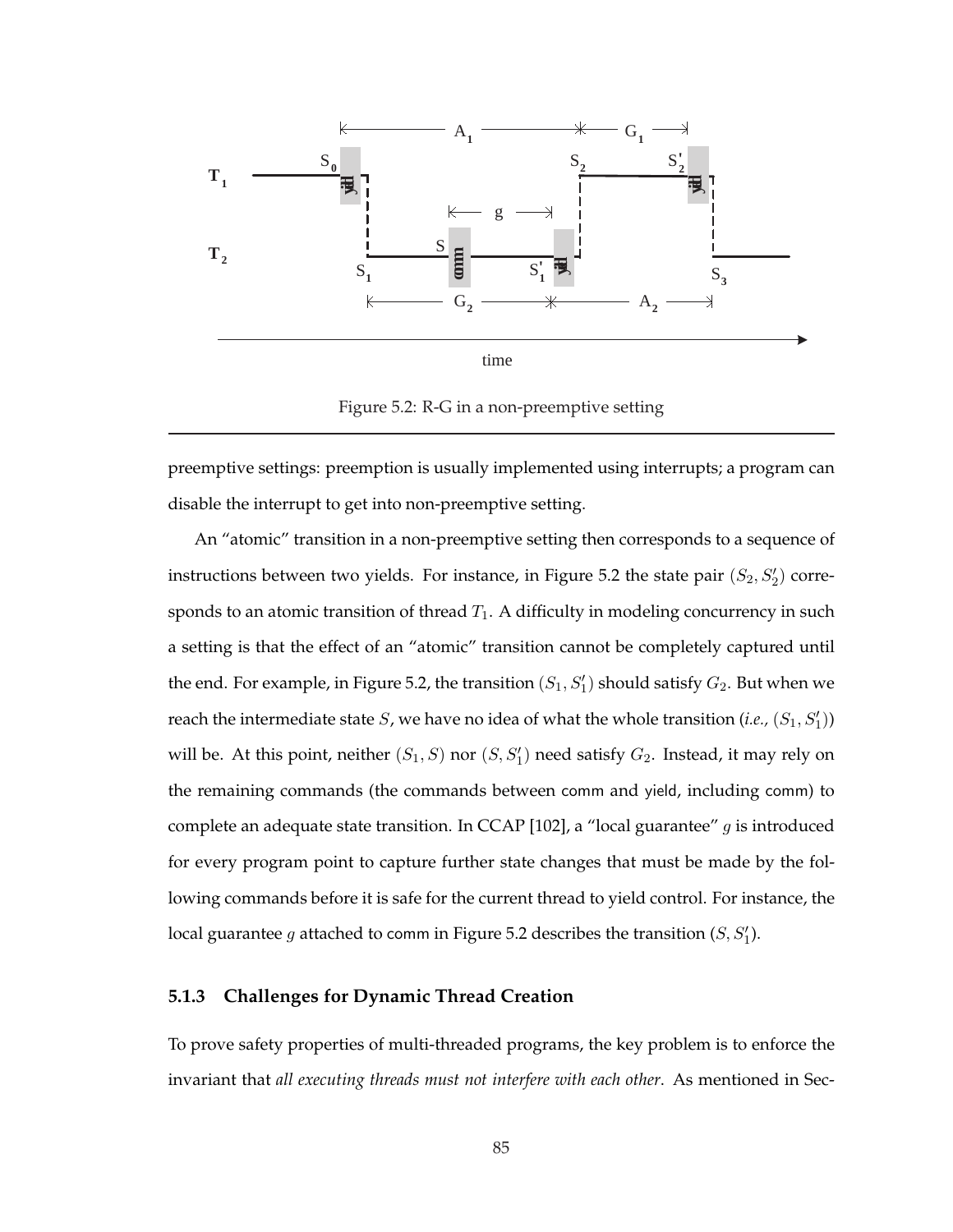

Figure 5.2: R-G in a non-preemptive setting

preemptive settings: preemption is usually implemented using interrupts; a program can disable the interrupt to get into non-preemptive setting.

An "atomic" transition in a non-preemptive setting then corresponds to a sequence of instructions between two yields. For instance, in Figure 5.2 the state pair  $(S_2, S_2')$  corresponds to an atomic transition of thread  $T_1$ . A difficulty in modeling concurrency in such a setting is that the effect of an "atomic" transition cannot be completely captured until the end. For example, in Figure 5.2, the transition  $(S_1, S_1')$  should satisfy  $G_2$ . But when we reach the intermediate state  $S$ , we have no idea of what the whole transition (*i.e.*,  $(S_1, S_1')$ ) will be. At this point, neither  $(S_1, S)$  nor  $(S, S'_1)$  need satisfy  $G_2$ . Instead, it may rely on the remaining commands (the commands between comm and yield, including comm) to complete an adequate state transition. In CCAP [102], a "local guarantee"  $g$  is introduced for every program point to capture further state changes that must be made by the following commands before it is safe for the current thread to yield control. For instance, the local guarantee  $g$  attached to comm in Figure 5.2 describes the transition  $(S, S_1')$ .

#### **5.1.3 Challenges for Dynamic Thread Creation**

To prove safety properties of multi-threaded programs, the key problem is to enforce the invariant that *all executing threads must not interfere with each other*. As mentioned in Sec-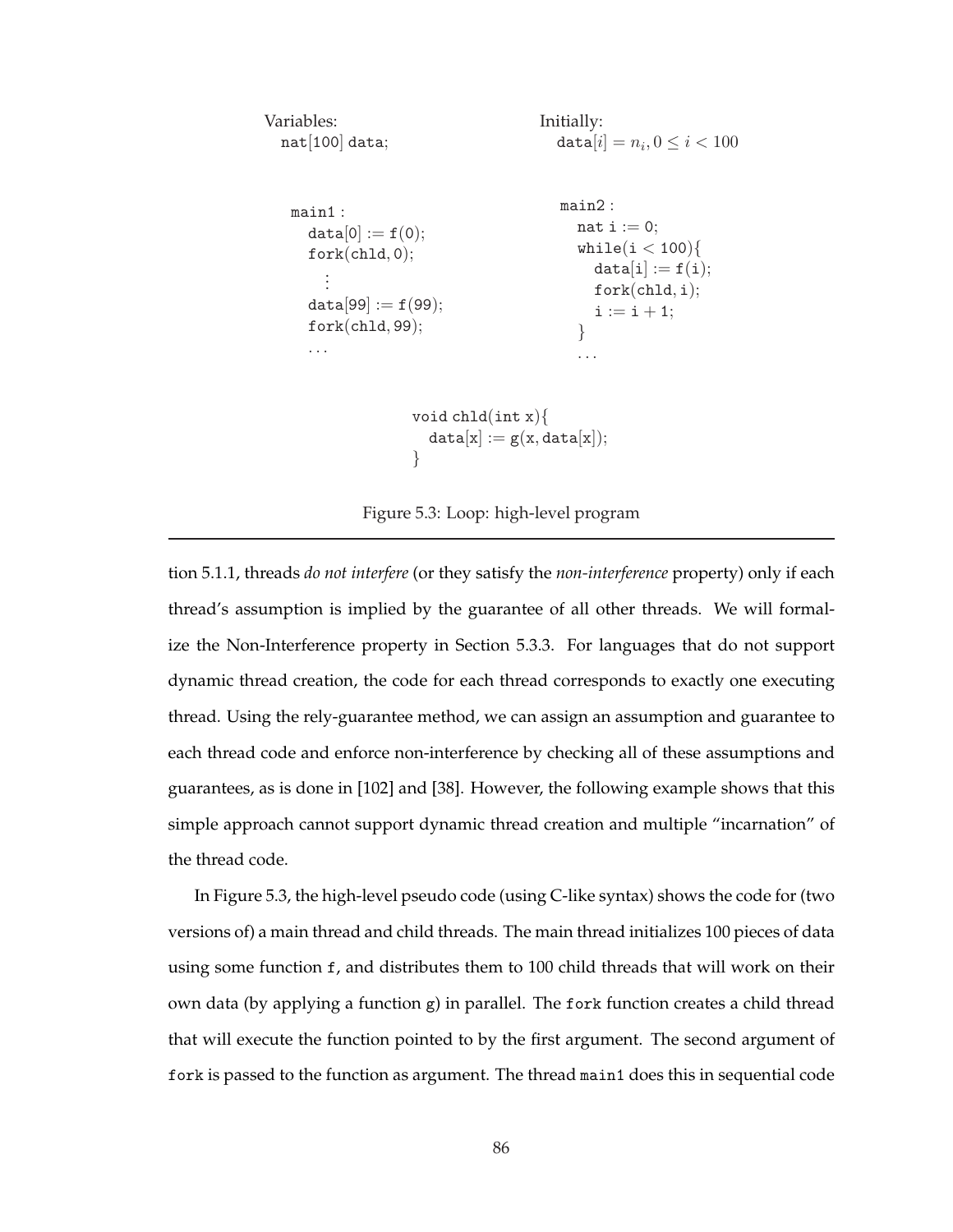```
Variables:
  nat[100] data;
                                        Initially:
                                           \mathtt{data}[i] = n_i, 0 \leq i < 100main1 :
      data[0] := f(0);fork(child, 0);.
         .
         .
      data[99] := f(99);fork(chld, 99);
      . . .
                                           main2 :
                                             nat i := 0;
                                             while(i < 100){
                                                data[i] := f(i);fork(chld, i);
                                                i := i + 1;}
                                             . . .
                     void chld(int x){
                       data[x] := g(x, data[x]);}
```
Figure 5.3: Loop: high-level program

tion 5.1.1, threads *do not interfere* (or they satisfy the *non-interference* property) only if each thread's assumption is implied by the guarantee of all other threads. We will formalize the Non-Interference property in Section 5.3.3. For languages that do not support dynamic thread creation, the code for each thread corresponds to exactly one executing thread. Using the rely-guarantee method, we can assign an assumption and guarantee to each thread code and enforce non-interference by checking all of these assumptions and guarantees, as is done in [102] and [38]. However, the following example shows that this simple approach cannot support dynamic thread creation and multiple "incarnation" of the thread code.

In Figure 5.3, the high-level pseudo code (using C-like syntax) shows the code for (two versions of) a main thread and child threads. The main thread initializes 100 pieces of data using some function f, and distributes them to 100 child threads that will work on their own data (by applying a function  $g$ ) in parallel. The fork function creates a child thread that will execute the function pointed to by the first argument. The second argument of fork is passed to the function as argument. The thread main1 does this in sequential code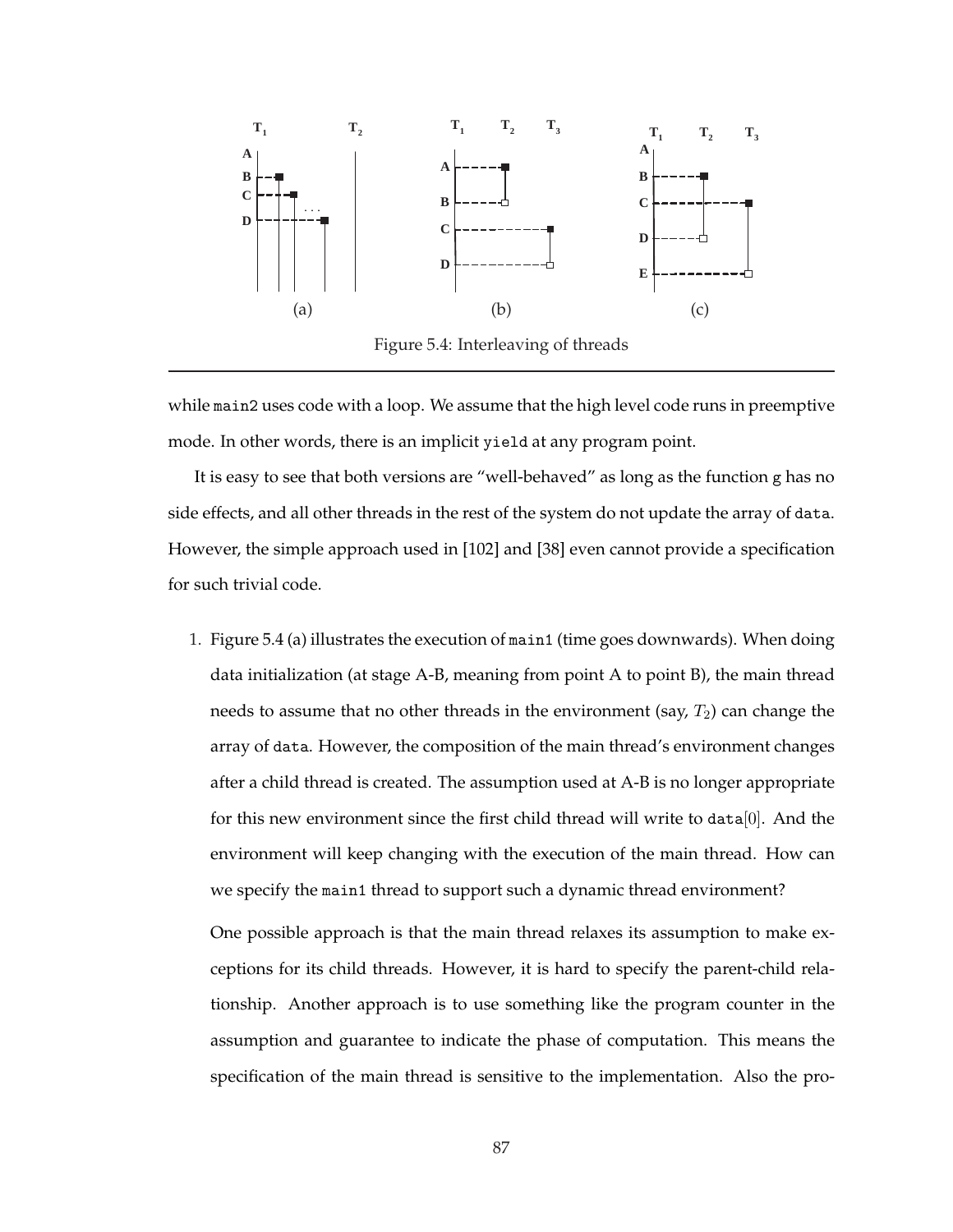

while main2 uses code with a loop. We assume that the high level code runs in preemptive mode. In other words, there is an implicit yield at any program point.

It is easy to see that both versions are "well-behaved" as long as the function g has no side effects, and all other threads in the rest of the system do not update the array of data. However, the simple approach used in [102] and [38] even cannot provide a specification for such trivial code.

1. Figure 5.4 (a) illustrates the execution of main1 (time goes downwards). When doing data initialization (at stage A-B, meaning from point A to point B), the main thread needs to assume that no other threads in the environment (say,  $T_2$ ) can change the array of data. However, the composition of the main thread's environment changes after a child thread is created. The assumption used at A-B is no longer appropriate for this new environment since the first child thread will write to data $[0]$ . And the environment will keep changing with the execution of the main thread. How can we specify the main1 thread to support such a dynamic thread environment?

One possible approach is that the main thread relaxes its assumption to make exceptions for its child threads. However, it is hard to specify the parent-child relationship. Another approach is to use something like the program counter in the assumption and guarantee to indicate the phase of computation. This means the specification of the main thread is sensitive to the implementation. Also the pro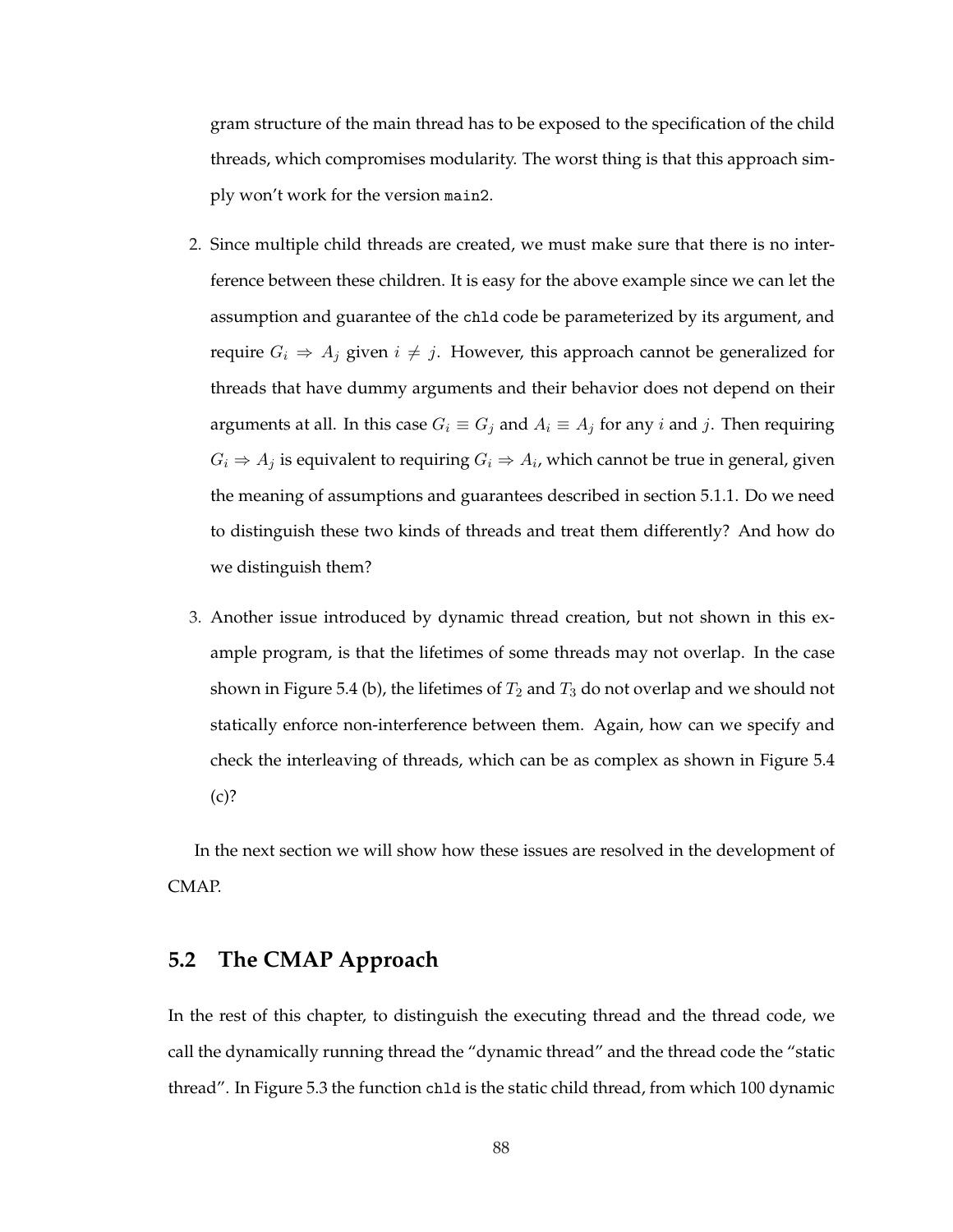gram structure of the main thread has to be exposed to the specification of the child threads, which compromises modularity. The worst thing is that this approach simply won't work for the version main2.

- 2. Since multiple child threads are created, we must make sure that there is no interference between these children. It is easy for the above example since we can let the assumption and guarantee of the chld code be parameterized by its argument, and require  $G_i \Rightarrow A_j$  given  $i \neq j$ . However, this approach cannot be generalized for threads that have dummy arguments and their behavior does not depend on their arguments at all. In this case  $G_i \equiv G_j$  and  $A_i \equiv A_j$  for any i and j. Then requiring  $G_i \Rightarrow A_j$  is equivalent to requiring  $G_i \Rightarrow A_i$ , which cannot be true in general, given the meaning of assumptions and guarantees described in section 5.1.1. Do we need to distinguish these two kinds of threads and treat them differently? And how do we distinguish them?
- 3. Another issue introduced by dynamic thread creation, but not shown in this example program, is that the lifetimes of some threads may not overlap. In the case shown in Figure 5.4 (b), the lifetimes of  $T_2$  and  $T_3$  do not overlap and we should not statically enforce non-interference between them. Again, how can we specify and check the interleaving of threads, which can be as complex as shown in Figure 5.4  $(c)?$

In the next section we will show how these issues are resolved in the development of CMAP.

# **5.2 The CMAP Approach**

In the rest of this chapter, to distinguish the executing thread and the thread code, we call the dynamically running thread the "dynamic thread" and the thread code the "static thread". In Figure 5.3 the function chld is the static child thread, from which 100 dynamic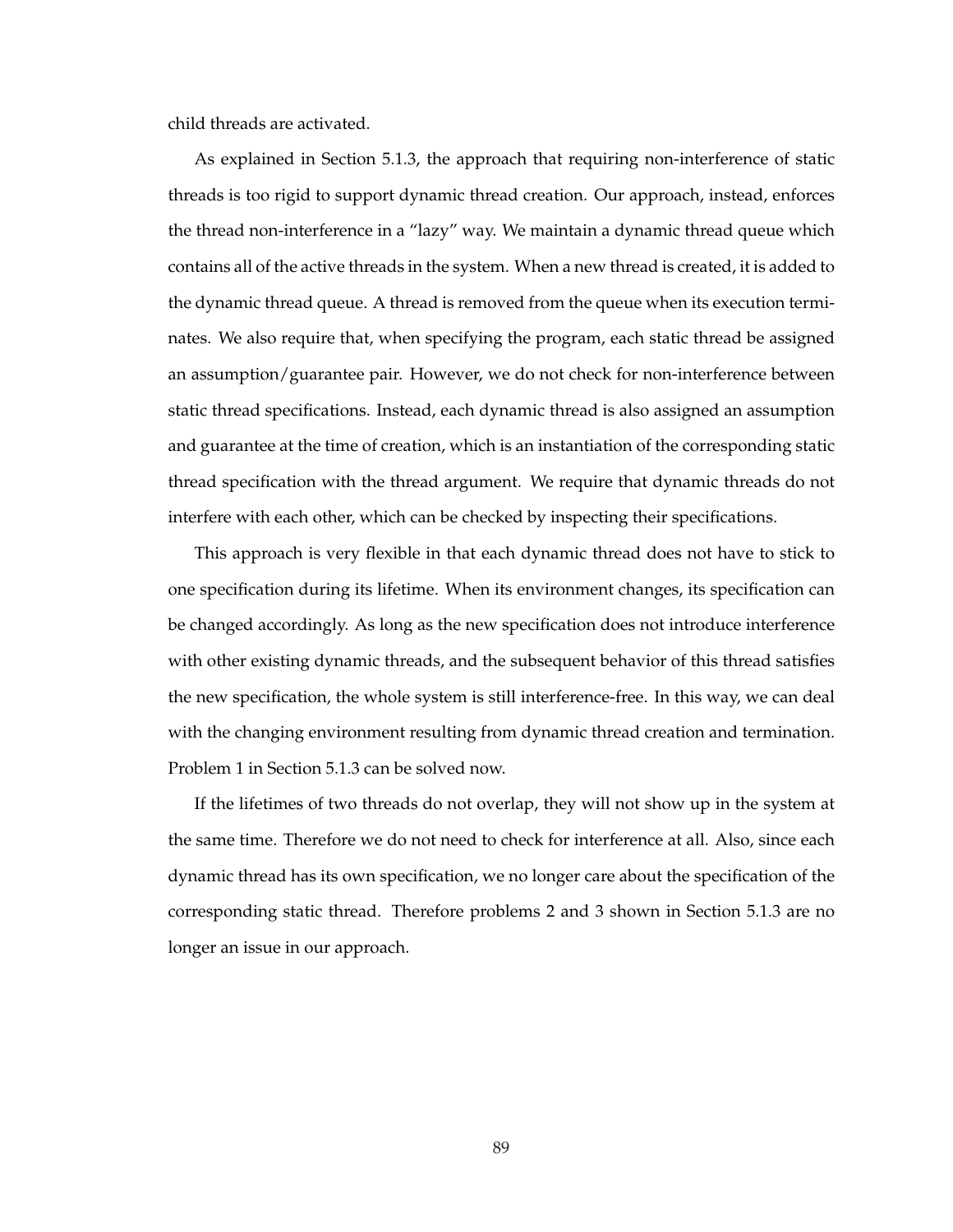child threads are activated.

As explained in Section 5.1.3, the approach that requiring non-interference of static threads is too rigid to support dynamic thread creation. Our approach, instead, enforces the thread non-interference in a "lazy" way. We maintain a dynamic thread queue which contains all of the active threads in the system. When a new thread is created, it is added to the dynamic thread queue. A thread is removed from the queue when its execution terminates. We also require that, when specifying the program, each static thread be assigned an assumption/guarantee pair. However, we do not check for non-interference between static thread specifications. Instead, each dynamic thread is also assigned an assumption and guarantee at the time of creation, which is an instantiation of the corresponding static thread specification with the thread argument. We require that dynamic threads do not interfere with each other, which can be checked by inspecting their specifications.

This approach is very flexible in that each dynamic thread does not have to stick to one specification during its lifetime. When its environment changes, its specification can be changed accordingly. As long as the new specification does not introduce interference with other existing dynamic threads, and the subsequent behavior of this thread satisfies the new specification, the whole system is still interference-free. In this way, we can deal with the changing environment resulting from dynamic thread creation and termination. Problem 1 in Section 5.1.3 can be solved now.

If the lifetimes of two threads do not overlap, they will not show up in the system at the same time. Therefore we do not need to check for interference at all. Also, since each dynamic thread has its own specification, we no longer care about the specification of the corresponding static thread. Therefore problems 2 and 3 shown in Section 5.1.3 are no longer an issue in our approach.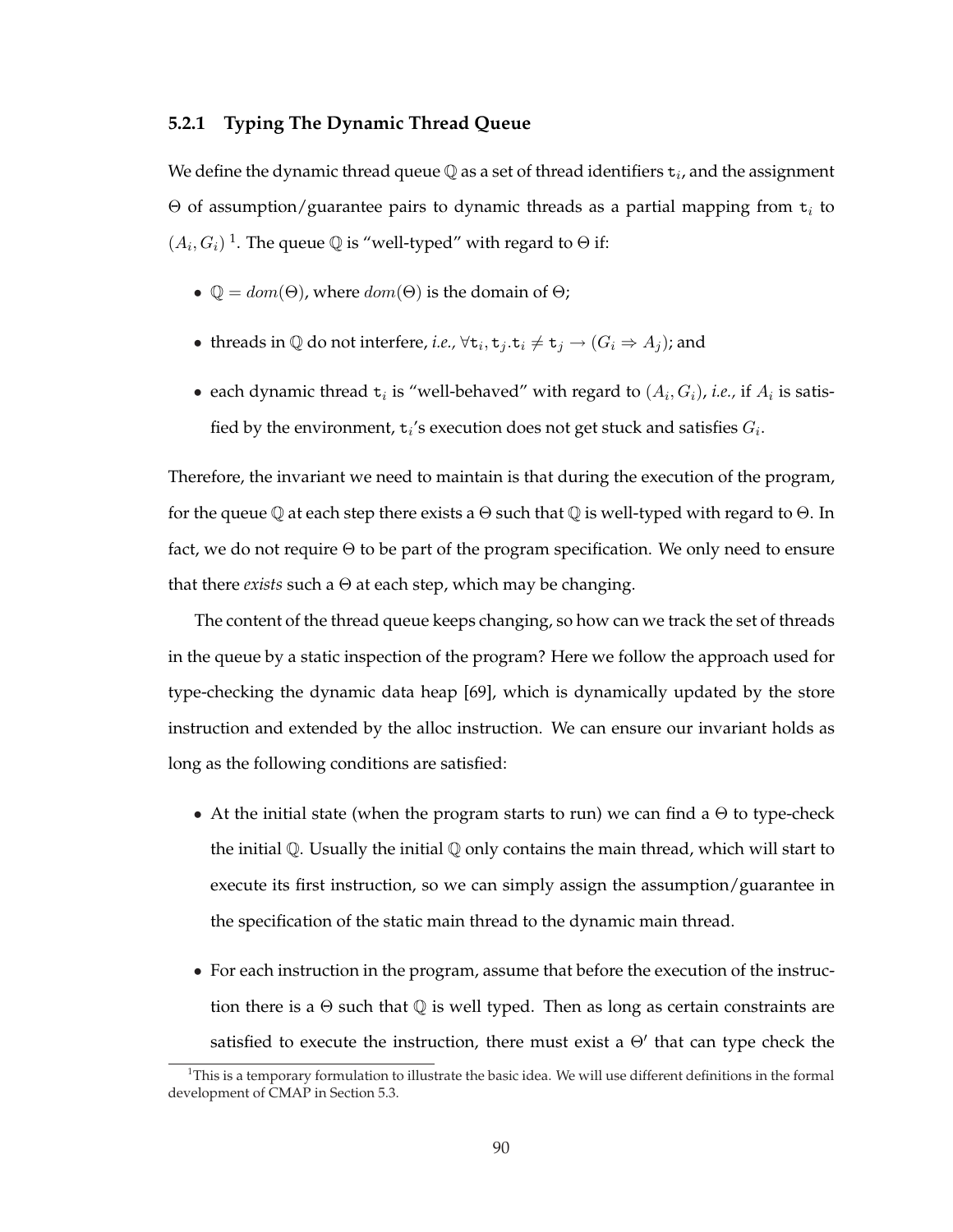#### **5.2.1 Typing The Dynamic Thread Queue**

We define the dynamic thread queue  $\mathbb Q$  as a set of thread identifiers  $\texttt{t}_i$ , and the assignment  $\Theta$  of assumption/guarantee pairs to dynamic threads as a partial mapping from  $t_i$  to  $(A_i, G_i)$ <sup>1</sup>. The queue  $\mathbb Q$  is "well-typed" with regard to  $\Theta$  if:

- $\mathbb{Q} = dom(\Theta)$ , where  $dom(\Theta)$  is the domain of  $\Theta$ ;
- threads in  $\mathbb Q$  do not interfere, *i.e.*,  $\forall$ **t**<sub>*i*</sub>, **t**<sub>*j*</sub>  $\div$  **t**<sub>*j*</sub>  $\rightarrow$   $(G_i \Rightarrow A_j)$ ; and
- each dynamic thread  $t_i$  is "well-behaved" with regard to  $(A_i, G_i)$ , *i.e.*, if  $A_i$  is satisfied by the environment,  $t_i$ 's execution does not get stuck and satisfies  $G_i$ .

Therefore, the invariant we need to maintain is that during the execution of the program, for the queue Q at each step there exists a  $\Theta$  such that Q is well-typed with regard to  $\Theta$ . In fact, we do not require  $\Theta$  to be part of the program specification. We only need to ensure that there *exists* such a Θ at each step, which may be changing.

The content of the thread queue keeps changing, so how can we track the set of threads in the queue by a static inspection of the program? Here we follow the approach used for type-checking the dynamic data heap [69], which is dynamically updated by the store instruction and extended by the alloc instruction. We can ensure our invariant holds as long as the following conditions are satisfied:

- At the initial state (when the program starts to run) we can find a  $\Theta$  to type-check the initial  $\mathbb Q$ . Usually the initial  $\mathbb Q$  only contains the main thread, which will start to execute its first instruction, so we can simply assign the assumption/guarantee in the specification of the static main thread to the dynamic main thread.
- For each instruction in the program, assume that before the execution of the instruction there is a  $\Theta$  such that  $\mathbb Q$  is well typed. Then as long as certain constraints are satisfied to execute the instruction, there must exist a  $\Theta'$  that can type check the

 $1$ This is a temporary formulation to illustrate the basic idea. We will use different definitions in the formal development of CMAP in Section 5.3.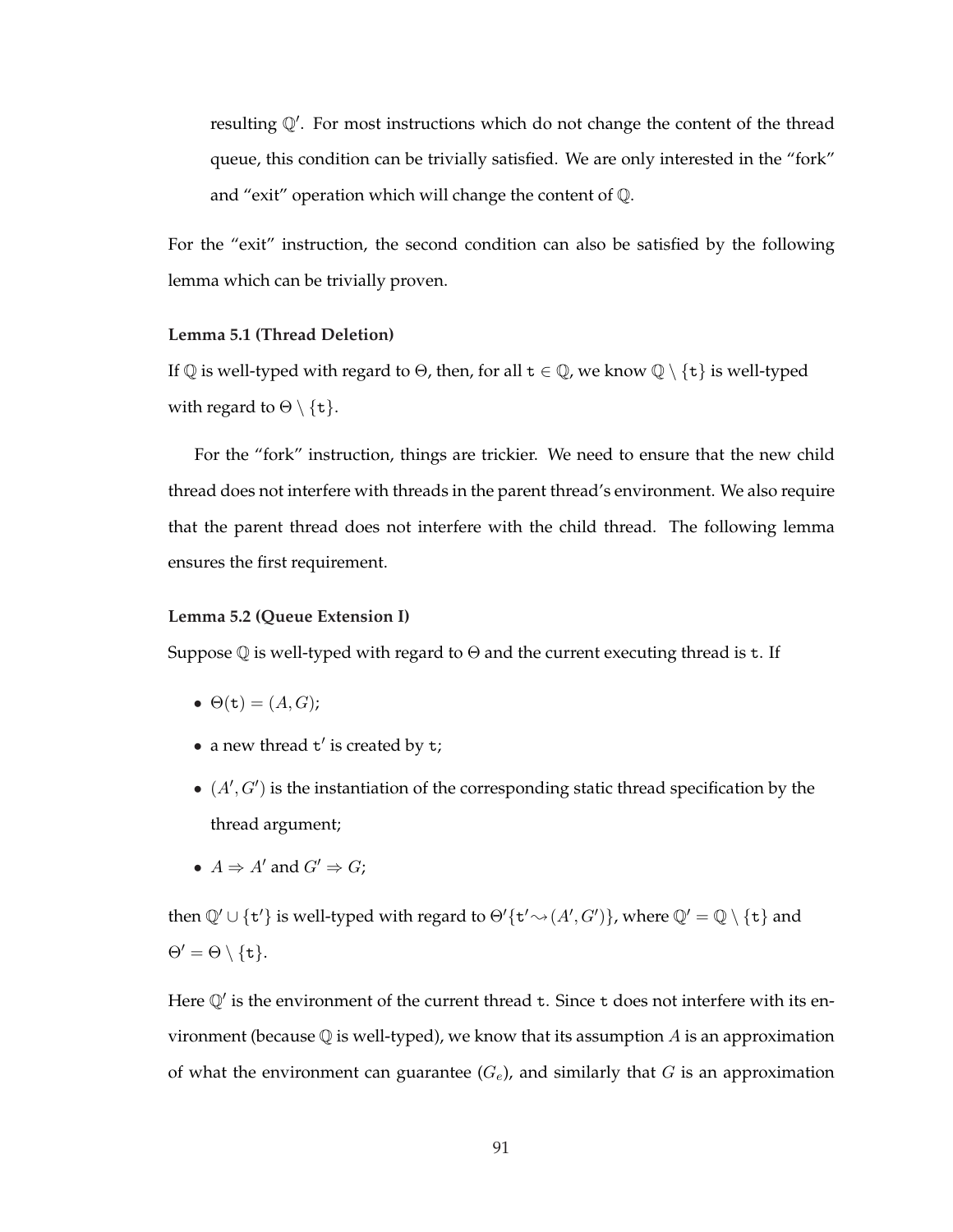resulting  $\mathbb{Q}'$ . For most instructions which do not change the content of the thread queue, this condition can be trivially satisfied. We are only interested in the "fork" and "exit" operation which will change the content of Q.

For the "exit" instruction, the second condition can also be satisfied by the following lemma which can be trivially proven.

#### **Lemma 5.1 (Thread Deletion)**

If  $\mathbb Q$  is well-typed with regard to  $\Theta$ , then, for all  $t \in \mathbb Q$ , we know  $\mathbb Q \setminus \{t\}$  is well-typed with regard to  $\Theta \setminus \{t\}$ .

For the "fork" instruction, things are trickier. We need to ensure that the new child thread does not interfere with threads in the parent thread's environment. We also require that the parent thread does not interfere with the child thread. The following lemma ensures the first requirement.

#### **Lemma 5.2 (Queue Extension I)**

Suppose  $\mathbb Q$  is well-typed with regard to  $\Theta$  and the current executing thread is t. If

- $\Theta(\mathbf{t}) = (A, G);$
- a new thread  $t'$  is created by  $t$ ;
- $\bullet$   $(A', G')$  is the instantiation of the corresponding static thread specification by the thread argument;
- $A \Rightarrow A'$  and  $G' \Rightarrow G$ :

then  $\mathbb{Q}' \cup \{t'\}$  is well-typed with regard to  $\Theta'\{t' \rightsquigarrow (A', G')\}$ , where  $\mathbb{Q}' = \mathbb{Q} \setminus \{t\}$  and  $\Theta' = \Theta \setminus \{t\}.$ 

Here  $\mathbb{Q}'$  is the environment of the current thread t. Since t does not interfere with its environment (because  $\mathbb Q$  is well-typed), we know that its assumption A is an approximation of what the environment can guarantee  $(G_e)$ , and similarly that G is an approximation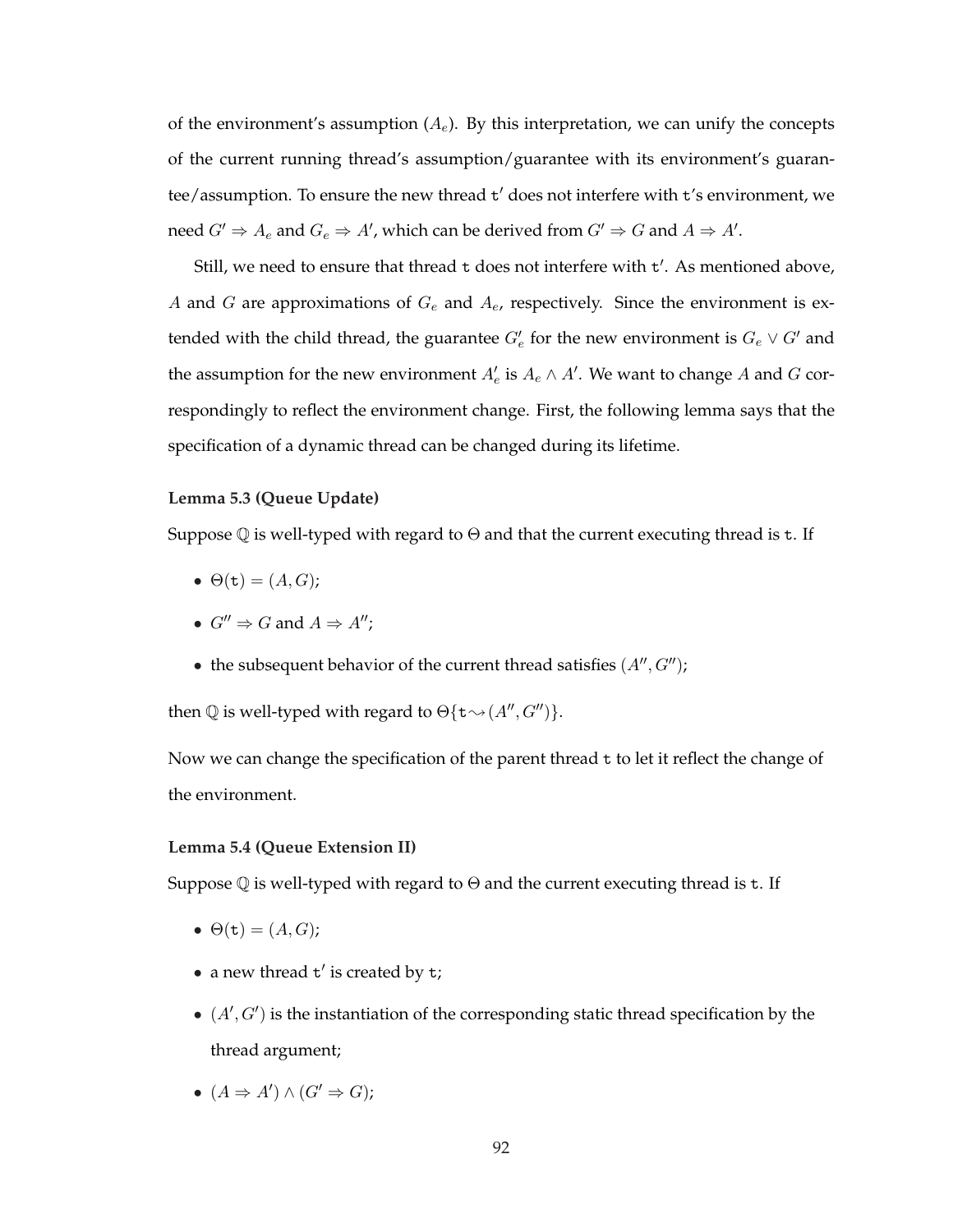of the environment's assumption  $(A_e)$ . By this interpretation, we can unify the concepts of the current running thread's assumption/guarantee with its environment's guarantee/assumption. To ensure the new thread t' does not interfere with t's environment, we need  $G' \Rightarrow A_e$  and  $G_e \Rightarrow A'$ , which can be derived from  $G' \Rightarrow G$  and  $A \Rightarrow A'$ .

Still, we need to ensure that thread t does not interfere with t'. As mentioned above, A and G are approximations of  $G_e$  and  $A_e$ , respectively. Since the environment is extended with the child thread, the guarantee  $G'_e$  for the new environment is  $G_e\vee G'$  and the assumption for the new environment  $A_e'$  is  $A_e \wedge A'$ . We want to change  $A$  and  $G$  correspondingly to reflect the environment change. First, the following lemma says that the specification of a dynamic thread can be changed during its lifetime.

#### **Lemma 5.3 (Queue Update)**

Suppose  $\mathbb Q$  is well-typed with regard to  $\Theta$  and that the current executing thread is t. If

- $\bullet$   $\Theta(\mathtt{t}) = (A, G);$
- $G'' \Rightarrow G$  and  $A \Rightarrow A''$ :
- the subsequent behavior of the current thread satisfies  $(A'', G'')$ ;

then  $\mathbb Q$  is well-typed with regard to  $\Theta\{\textbf{t}\leadsto(A'', G'')\}.$ 

Now we can change the specification of the parent thread  $t$  to let it reflect the change of the environment.

#### **Lemma 5.4 (Queue Extension II)**

Suppose  $\mathbb Q$  is well-typed with regard to  $\Theta$  and the current executing thread is t. If

- $\bullet \Theta(\mathtt{t}) = (A, G);$
- a new thread  $t'$  is created by  $t$ ;
- $\bullet$   $(A', G')$  is the instantiation of the corresponding static thread specification by the thread argument;
- $(A \Rightarrow A') \wedge (G' \Rightarrow G);$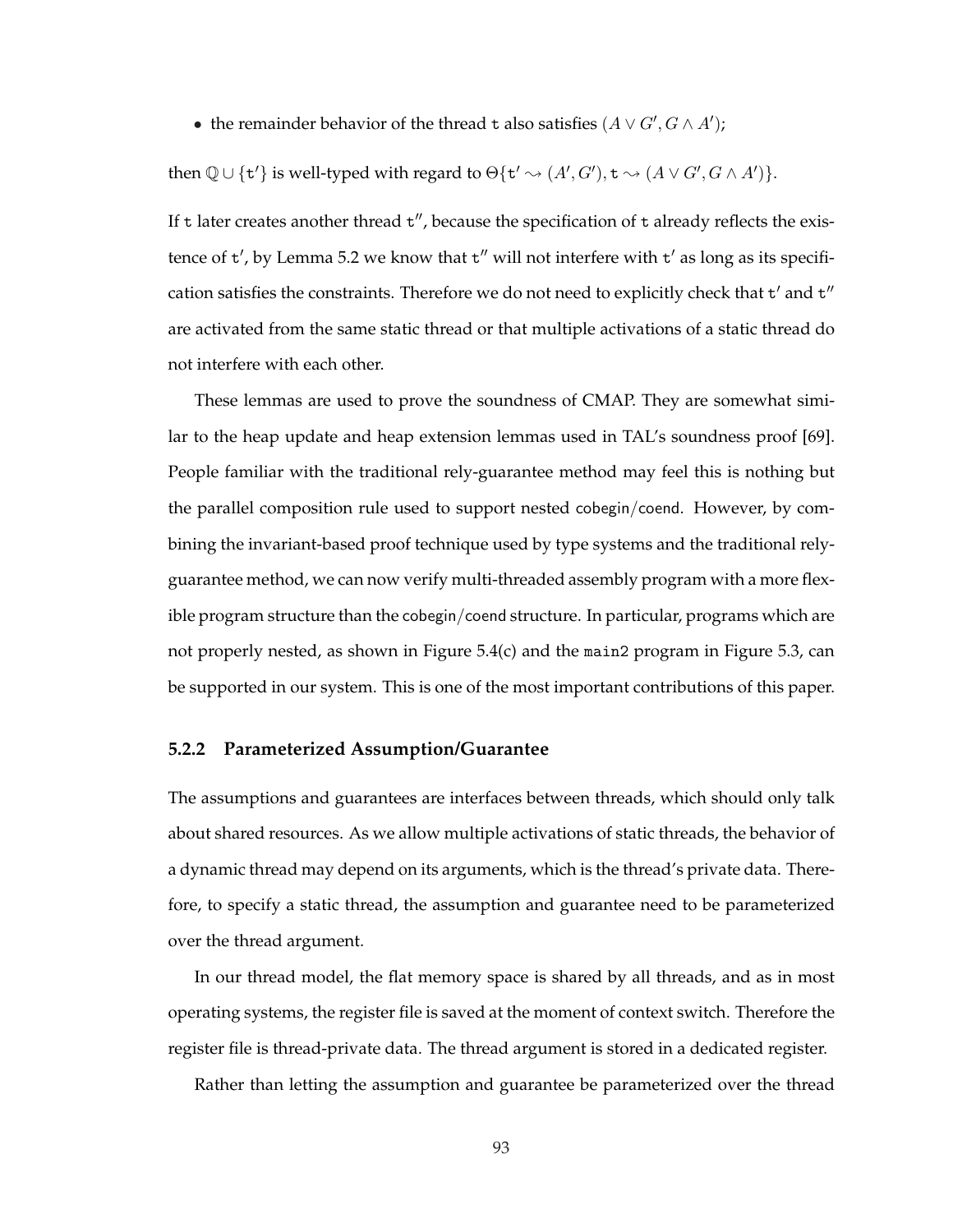• the remainder behavior of the thread t also satisfies  $(A \lor G', G \land A')$ ;

then  $\mathbb{Q} \cup \{t'\}$  is well-typed with regard to  $\Theta\{t' \leadsto (A', G'), t \leadsto (A \lor G', G \land A')\}.$ 

If t later creates another thread  $t''$ , because the specification of t already reflects the existence of  $t'$ , by Lemma 5.2 we know that  $t''$  will not interfere with  $t'$  as long as its specification satisfies the constraints. Therefore we do not need to explicitly check that  $t'$  and  $t''$ are activated from the same static thread or that multiple activations of a static thread do not interfere with each other.

These lemmas are used to prove the soundness of CMAP. They are somewhat similar to the heap update and heap extension lemmas used in TAL's soundness proof [69]. People familiar with the traditional rely-guarantee method may feel this is nothing but the parallel composition rule used to support nested cobegin/coend. However, by combining the invariant-based proof technique used by type systems and the traditional relyguarantee method, we can now verify multi-threaded assembly program with a more flexible program structure than the cobegin/coend structure. In particular, programs which are not properly nested, as shown in Figure 5.4(c) and the main2 program in Figure 5.3, can be supported in our system. This is one of the most important contributions of this paper.

#### **5.2.2 Parameterized Assumption/Guarantee**

The assumptions and guarantees are interfaces between threads, which should only talk about shared resources. As we allow multiple activations of static threads, the behavior of a dynamic thread may depend on its arguments, which is the thread's private data. Therefore, to specify a static thread, the assumption and guarantee need to be parameterized over the thread argument.

In our thread model, the flat memory space is shared by all threads, and as in most operating systems, the register file is saved at the moment of context switch. Therefore the register file is thread-private data. The thread argument is stored in a dedicated register.

Rather than letting the assumption and guarantee be parameterized over the thread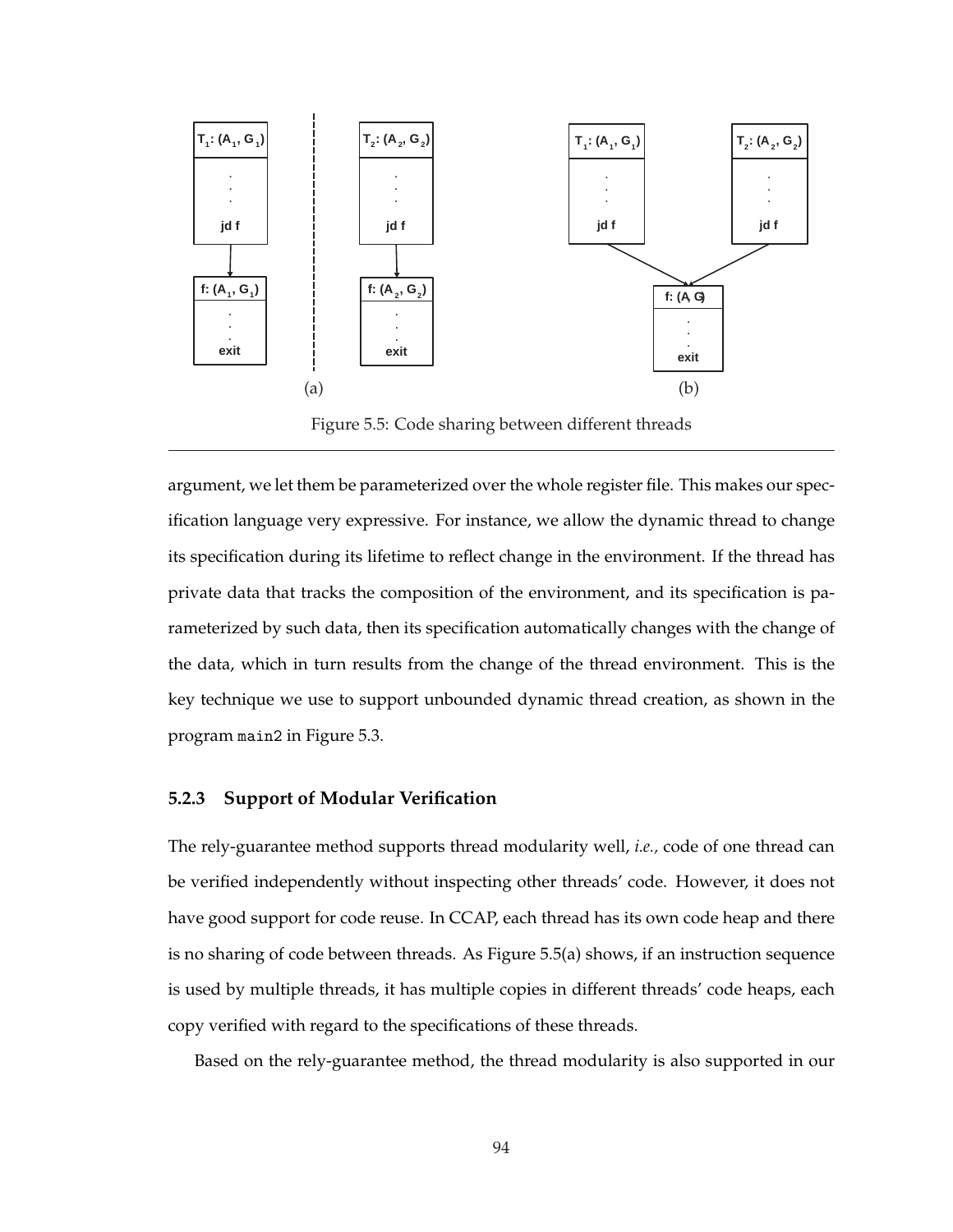

Figure 5.5: Code sharing between different threads

argument, we let them be parameterized over the whole register file. This makes our specification language very expressive. For instance, we allow the dynamic thread to change its specification during its lifetime to reflect change in the environment. If the thread has private data that tracks the composition of the environment, and its specification is parameterized by such data, then its specification automatically changes with the change of the data, which in turn results from the change of the thread environment. This is the key technique we use to support unbounded dynamic thread creation, as shown in the program main2 in Figure 5.3.

#### **5.2.3 Support of Modular Verification**

The rely-guarantee method supports thread modularity well, *i.e.,* code of one thread can be verified independently without inspecting other threads' code. However, it does not have good support for code reuse. In CCAP, each thread has its own code heap and there is no sharing of code between threads. As Figure 5.5(a) shows, if an instruction sequence is used by multiple threads, it has multiple copies in different threads' code heaps, each copy verified with regard to the specifications of these threads.

Based on the rely-guarantee method, the thread modularity is also supported in our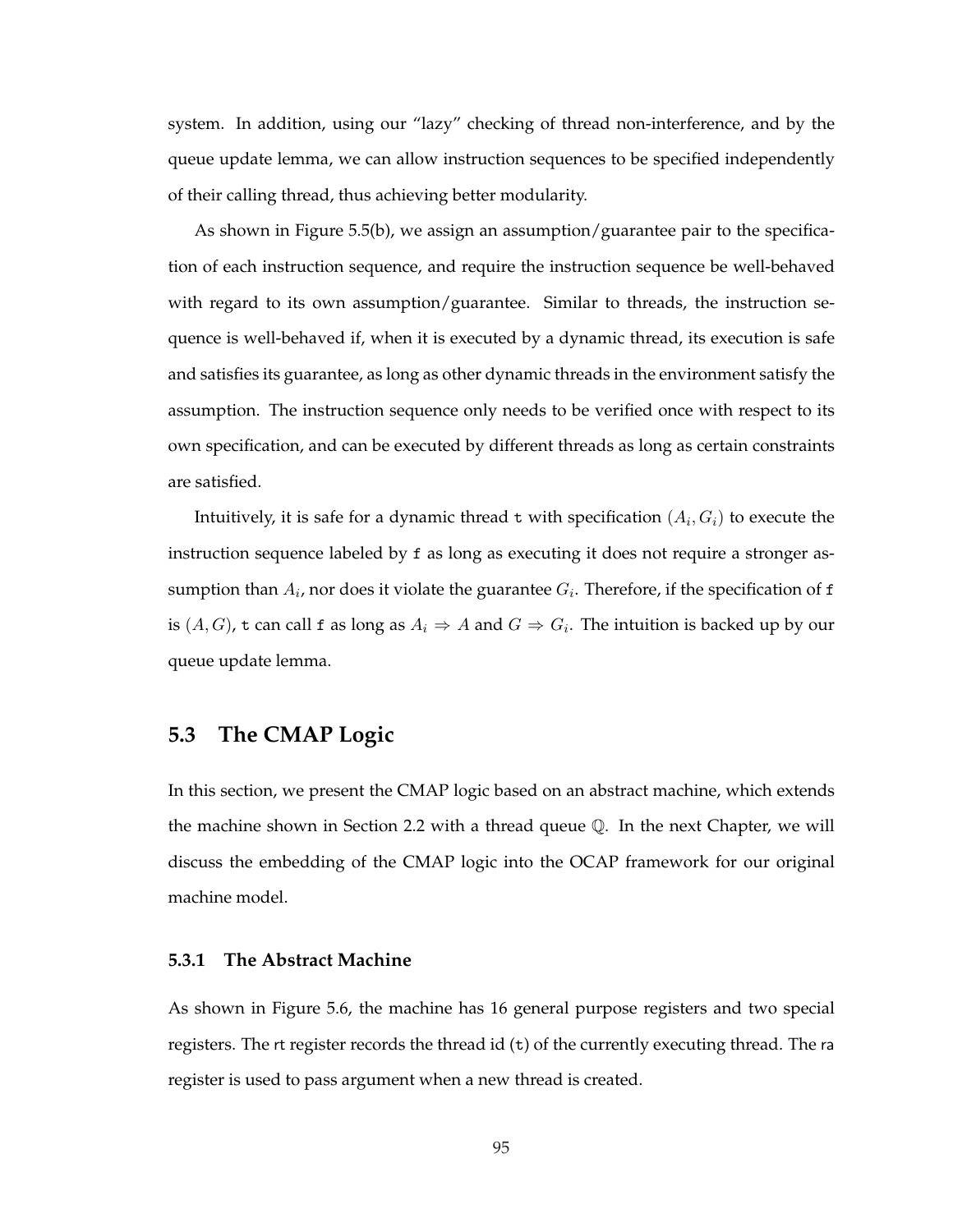system. In addition, using our "lazy" checking of thread non-interference, and by the queue update lemma, we can allow instruction sequences to be specified independently of their calling thread, thus achieving better modularity.

As shown in Figure 5.5(b), we assign an assumption/guarantee pair to the specification of each instruction sequence, and require the instruction sequence be well-behaved with regard to its own assumption/guarantee. Similar to threads, the instruction sequence is well-behaved if, when it is executed by a dynamic thread, its execution is safe and satisfies its guarantee, as long as other dynamic threads in the environment satisfy the assumption. The instruction sequence only needs to be verified once with respect to its own specification, and can be executed by different threads as long as certain constraints are satisfied.

Intuitively, it is safe for a dynamic thread t with specification  $(A_i,G_i)$  to execute the instruction sequence labeled by f as long as executing it does not require a stronger assumption than  $A_i$ , nor does it violate the guarantee  $G_i$ . Therefore, if the specification of  ${\tt f}$ is  $(A, G)$ , t can call f as long as  $A_i \Rightarrow A$  and  $G \Rightarrow G_i$ . The intuition is backed up by our queue update lemma.

# **5.3 The CMAP Logic**

In this section, we present the CMAP logic based on an abstract machine, which extends the machine shown in Section 2.2 with a thread queue  $\mathbb Q$ . In the next Chapter, we will discuss the embedding of the CMAP logic into the OCAP framework for our original machine model.

#### **5.3.1 The Abstract Machine**

As shown in Figure 5.6, the machine has 16 general purpose registers and two special registers. The rt register records the thread id (t) of the currently executing thread. The ra register is used to pass argument when a new thread is created.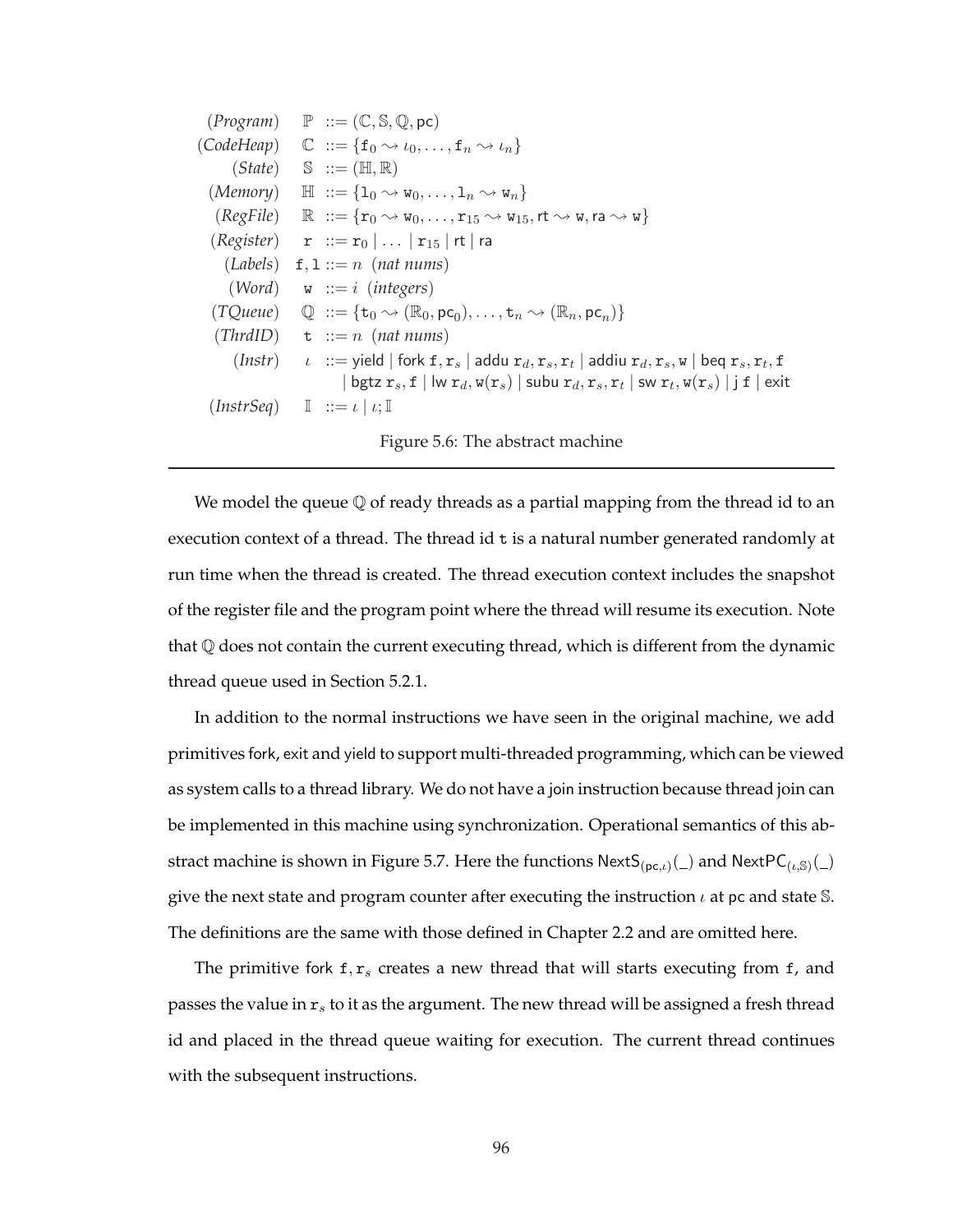| $(Program) \quad P ::= (\mathbb{C}, \mathbb{S}, \mathbb{Q}, \text{pc})$                                                                                                                           |
|---------------------------------------------------------------------------------------------------------------------------------------------------------------------------------------------------|
| $(CodeHeap) \quad \mathbb{C} \ ::= \{f_0 \rightsquigarrow \iota_0, \ldots, f_n \rightsquigarrow \iota_n\}$                                                                                        |
| $(State) \quad \mathbb{S} \ ::= (\mathbb{H}, \mathbb{R})$                                                                                                                                         |
| $(Memory) \quad \mathbb{H} \ ::= \{1_0 \leadsto w_0, \ldots, 1_n \leadsto w_n\}$                                                                                                                  |
| $(RegFile)$ $\mathbb{R}$ $ ::= \{r_0 \rightsquigarrow w_0, \ldots, r_{15} \rightsquigarrow w_{15}, rt \rightsquigarrow w, ra \rightsquigarrow w\}$                                                |
| $(Register)$ $\mathbf{r}$ $:=$ $\mathbf{r}_0$ $\vert \dots \vert$ $\mathbf{r}_{15}$ $\vert$ $\mathbf{r}$ $\vert$ $\mathbf{r}$ a                                                                   |
| $(Labels)$ $f, 1 ::= n$ (nat nums)                                                                                                                                                                |
| $(Word)$ w $:= i$ (integers)                                                                                                                                                                      |
| $(TQueue) \quad \mathbb{Q} ::= {\mathbf{t}_0 \sim (\mathbb{R}_0, \mathsf{pc}_0), \ldots, \mathbf{t}_n \sim (\mathbb{R}_n, \mathsf{pc}_n)}$                                                        |
| $(ThirdID)$ $t := n$ (nat nums)                                                                                                                                                                   |
| $(Instr)$ $\iota$ ::= yield   fork f, $r_s$   addu $r_d, r_s, r_t$   addiu $r_d, r_s, w$   beq $r_s, r_t, f$                                                                                      |
| $\vert$ bgtz $\mathbf{r}_s, \mathbf{f} \vert$ lw $\mathbf{r}_d, \mathbf{w}(\mathbf{r}_s)$ subu $\mathbf{r}_d, \mathbf{r}_s, \mathbf{r}_t$ sw $\mathbf{r}_t, \mathbf{w}(\mathbf{r}_s)$ is the exit |
| $(InstrSeq)$ $\mathbb{I} ::= \iota   \iota; \mathbb{I}$                                                                                                                                           |
|                                                                                                                                                                                                   |

Figure 5.6: The abstract machine

We model the queue  $\mathbb Q$  of ready threads as a partial mapping from the thread id to an execution context of a thread. The thread id t is a natural number generated randomly at run time when the thread is created. The thread execution context includes the snapshot of the register file and the program point where the thread will resume its execution. Note that Q does not contain the current executing thread, which is different from the dynamic thread queue used in Section 5.2.1.

In addition to the normal instructions we have seen in the original machine, we add primitives fork, exit and yield to support multi-threaded programming, which can be viewed as system calls to a thread library. We do not have a join instruction because thread join can be implemented in this machine using synchronization. Operational semantics of this abstract machine is shown in Figure 5.7. Here the functions  ${\sf NextS}_{({\sf pc},\iota)}(\_)$  and  ${\sf NextPC}_{(\iota, \mathbb S)}(\_)$ give the next state and program counter after executing the instruction  $\iota$  at pc and state S. The definitions are the same with those defined in Chapter 2.2 and are omitted here.

The primitive fork  $f, r_s$  creates a new thread that will starts executing from  $f$ , and passes the value in  $r_s$  to it as the argument. The new thread will be assigned a fresh thread id and placed in the thread queue waiting for execution. The current thread continues with the subsequent instructions.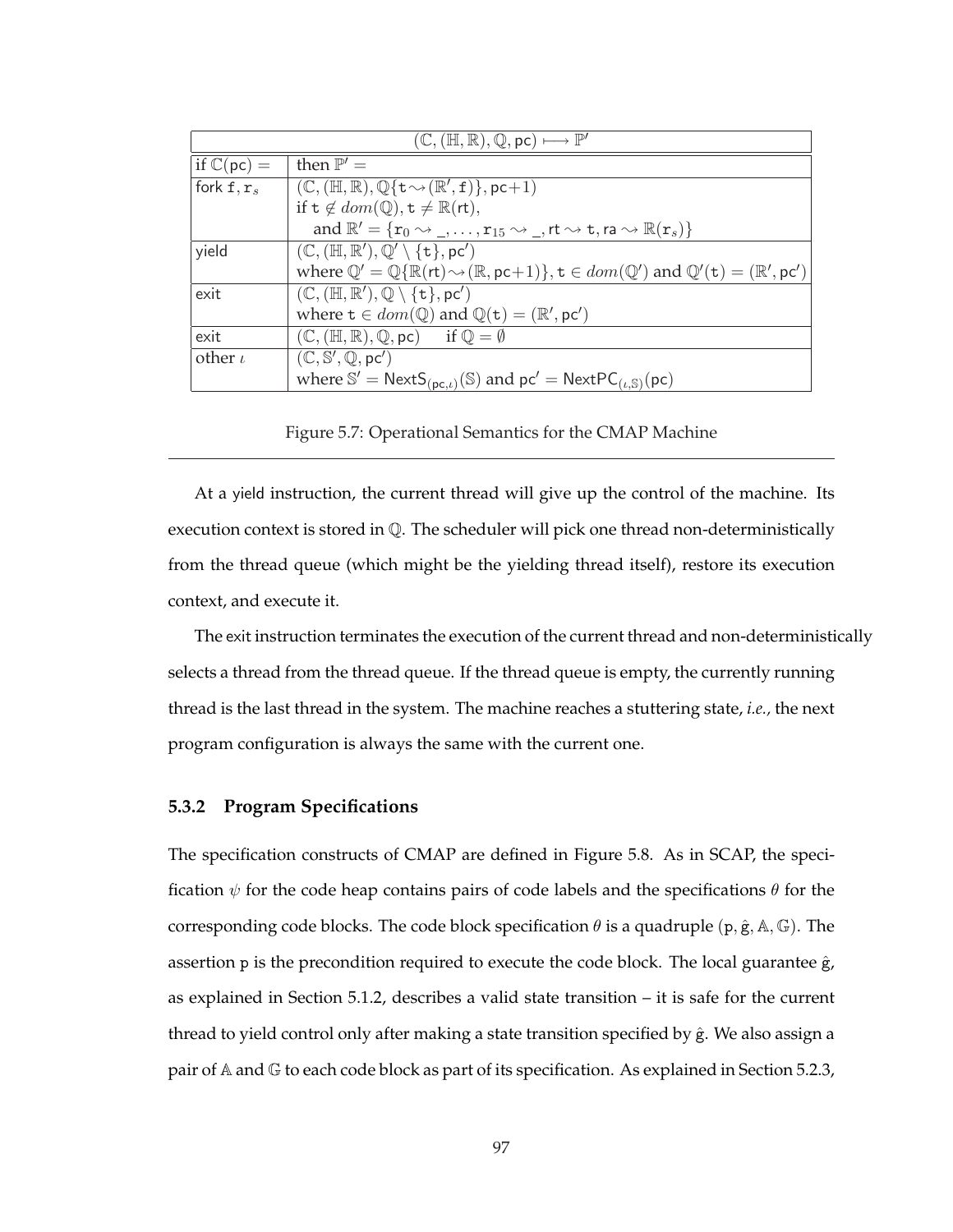| $(\mathbb{C}, (\mathbb{H}, \mathbb{R}), \mathbb{Q}, \mathsf{pc}) \longmapsto \mathbb{P}'$ |                                                                                                                                                                                                  |  |  |  |
|-------------------------------------------------------------------------------------------|--------------------------------------------------------------------------------------------------------------------------------------------------------------------------------------------------|--|--|--|
| if $\mathbb{C}(\mathsf{pc})=$                                                             | then $\mathbb{P}' =$                                                                                                                                                                             |  |  |  |
| fork $f, r_s$                                                                             | $ $ (C, (H, R), Q{t $\rightsquigarrow$ (R', f)}, pc+1)                                                                                                                                           |  |  |  |
|                                                                                           | if $t \notin dom(\mathbb{Q}), t \neq \mathbb{R}(\text{rt}),$                                                                                                                                     |  |  |  |
|                                                                                           | and $\mathbb{R}' = \{r_0 \rightsquigarrow \_, \ldots, r_{15} \rightsquigarrow \_, rt \rightsquigarrow t, ra \rightsquigarrow \mathbb{R}(r_s)\}\$                                                 |  |  |  |
| yield                                                                                     | $(\mathbb{C}, (\mathbb{H}, \mathbb{R}'), \mathbb{Q}' \setminus \{t\}, pc')$                                                                                                                      |  |  |  |
|                                                                                           | where $\mathbb{Q}' = \mathbb{Q}\{\mathbb{R}(\mathsf{rt}) \rightarrow (\mathbb{R}, \mathsf{pc}+1)\}, \mathsf{t} \in dom(\mathbb{Q}')$ and $\mathbb{Q}'(\mathsf{t}) = (\mathbb{R}', \mathsf{pc}')$ |  |  |  |
| exit                                                                                      | $(\mathbb{C}, (\mathbb{H}, \mathbb{R}'), \mathbb{Q} \setminus \{\mathsf{t}\}, \mathsf{pc}')$                                                                                                     |  |  |  |
|                                                                                           | where $t \in dom(\mathbb{Q})$ and $\mathbb{Q}(t) = (\mathbb{R}', pc')$                                                                                                                           |  |  |  |
| exit                                                                                      | $(\mathbb{C}, (\mathbb{H}, \mathbb{R}), \mathbb{Q}, \mathsf{pc})$ if $\mathbb{Q} = \emptyset$                                                                                                    |  |  |  |
| other $\iota$                                                                             | $(\mathbb{C}, \mathbb{S}', \mathbb{Q}, \text{pc}')$                                                                                                                                              |  |  |  |
|                                                                                           | where $\mathbb{S}' = \text{NextS}_{(\text{pc},\iota)}(\mathbb{S})$ and $\text{pc}' = \text{NextPC}_{(\iota,\mathbb{S})}(\text{pc})$                                                              |  |  |  |

Figure 5.7: Operational Semantics for the CMAP Machine

At a yield instruction, the current thread will give up the control of the machine. Its execution context is stored in Q. The scheduler will pick one thread non-deterministically from the thread queue (which might be the yielding thread itself), restore its execution context, and execute it.

The exit instruction terminates the execution of the current thread and non-deterministically selects a thread from the thread queue. If the thread queue is empty, the currently running thread is the last thread in the system. The machine reaches a stuttering state, *i.e.,* the next program configuration is always the same with the current one.

## **5.3.2 Program Specifications**

The specification constructs of CMAP are defined in Figure 5.8. As in SCAP, the specification  $\psi$  for the code heap contains pairs of code labels and the specifications  $\theta$  for the corresponding code blocks. The code block specification  $\theta$  is a quadruple (p,  $\hat{g}$ , A, G). The assertion  $p$  is the precondition required to execute the code block. The local guarantee  $\hat{g}$ , as explained in Section 5.1.2, describes a valid state transition – it is safe for the current thread to yield control only after making a state transition specified by  $\hat{g}$ . We also assign a pair of  $A$  and  $G$  to each code block as part of its specification. As explained in Section 5.2.3,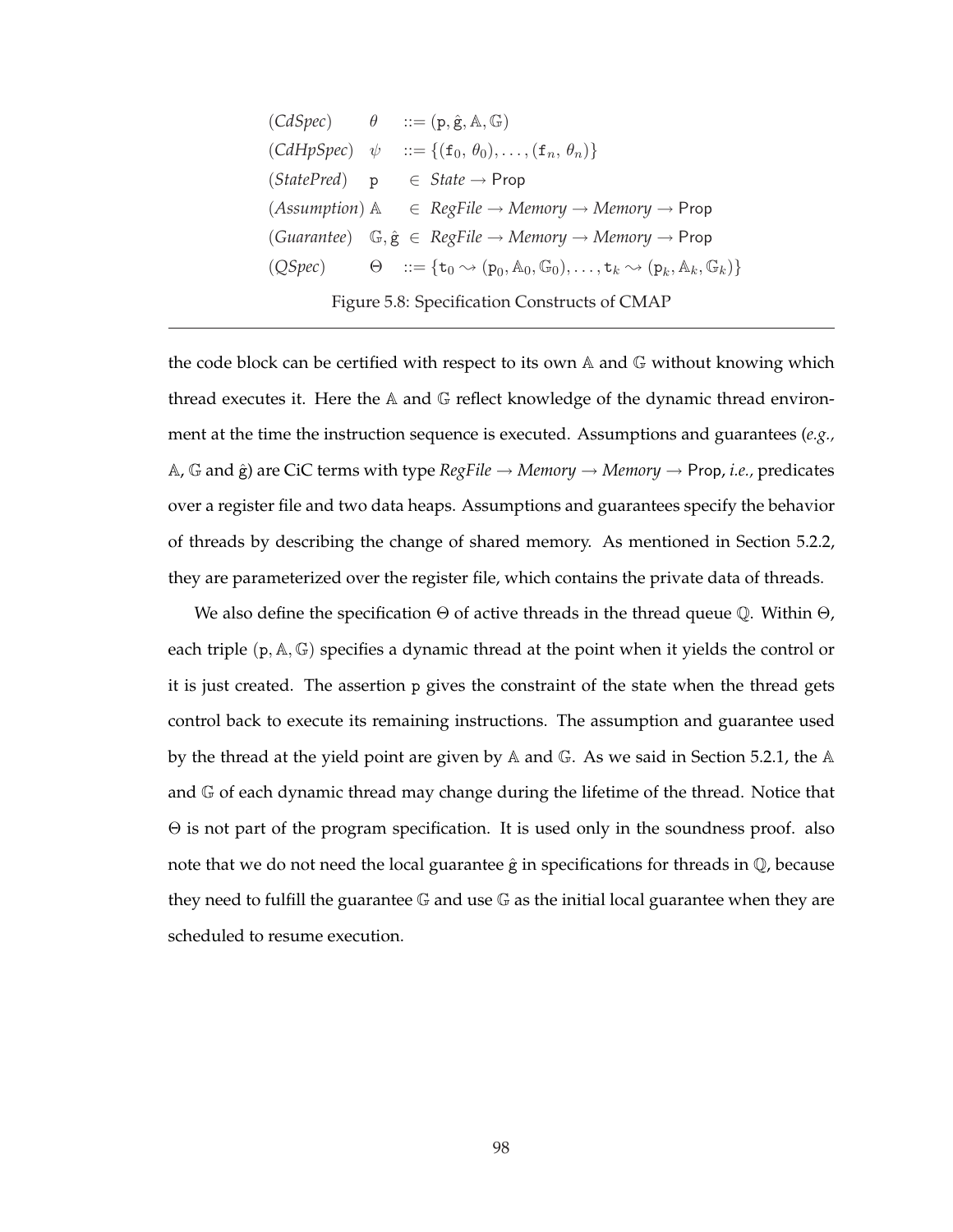| $(CdSpec)$ $\theta$ |  | $ ::= (p, \hat{g}, A, \mathbb{G})$                                                                                                        |
|---------------------|--|-------------------------------------------------------------------------------------------------------------------------------------------|
| $(CdHpSpec)$ $\psi$ |  | $ ::= \{ (f_0, \theta_0), \ldots, (f_n, \theta_n) \}$                                                                                     |
| $(StatePred)$ p     |  | $\in$ <i>State</i> $\rightarrow$ Prop                                                                                                     |
|                     |  | $(Assumption)$ $\mathbb{A}$ $\in$ RegFile $\rightarrow$ Memory $\rightarrow$ Memory $\rightarrow$ Prop                                    |
|                     |  | (Guarantee) $\mathbb{G}, \hat{\mathsf{g}} \in \text{RegFile} \rightarrow \text{Memory} \rightarrow \text{Memory} \rightarrow \text{Prop}$ |
| (QSpec)             |  | $\Theta$ ::= { $t_0 \rightsquigarrow (p_0, A_0, \mathbb{G}_0), \dots, t_k \rightsquigarrow (p_k, A_k, \mathbb{G}_k)$ }                    |

Figure 5.8: Specification Constructs of CMAP

the code block can be certified with respect to its own  $A$  and  $G$  without knowing which thread executes it. Here the  $A$  and  $G$  reflect knowledge of the dynamic thread environment at the time the instruction sequence is executed. Assumptions and guarantees (*e.g.,*  $A, G$  and  $\hat{g}$ ) are CiC terms with type  $RegFile \rightarrow Memory \rightarrow Memory \rightarrow Prop, i.e., predicates$ over a register file and two data heaps. Assumptions and guarantees specify the behavior of threads by describing the change of shared memory. As mentioned in Section 5.2.2, they are parameterized over the register file, which contains the private data of threads.

We also define the specification  $\Theta$  of active threads in the thread queue  $\mathbb Q$ . Within  $\Theta$ , each triple  $(p, A, \mathbb{G})$  specifies a dynamic thread at the point when it yields the control or it is just created. The assertion p gives the constraint of the state when the thread gets control back to execute its remaining instructions. The assumption and guarantee used by the thread at the yield point are given by A and G. As we said in Section 5.2.1, the A and G of each dynamic thread may change during the lifetime of the thread. Notice that Θ is not part of the program specification. It is used only in the soundness proof. also note that we do not need the local guarantee  $\hat{g}$  in specifications for threads in  $\mathbb{Q}$ , because they need to fulfill the guarantee  $\mathbb G$  and use  $\mathbb G$  as the initial local guarantee when they are scheduled to resume execution.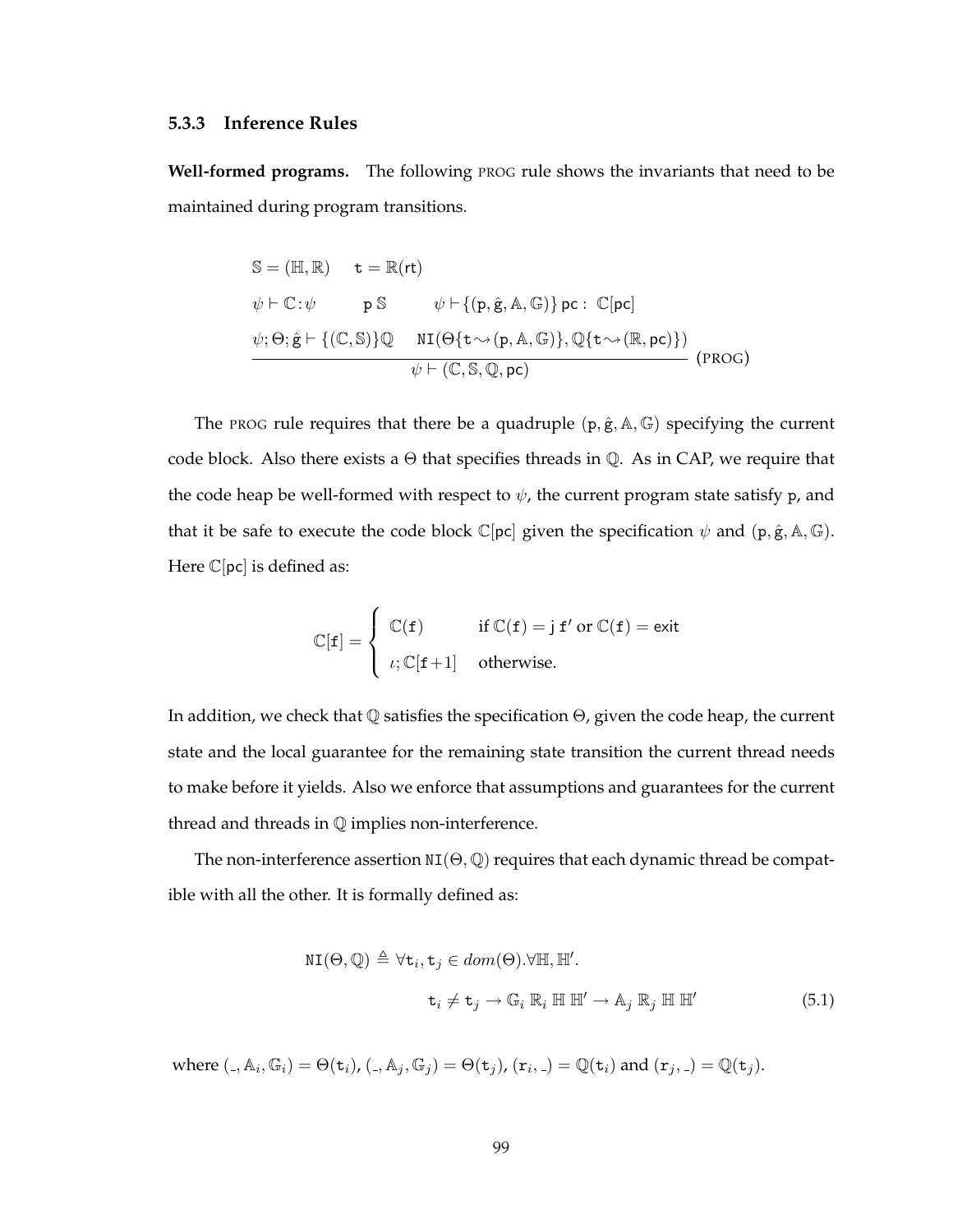### **5.3.3 Inference Rules**

**Well-formed programs.** The following PROG rule shows the invariants that need to be maintained during program transitions.

$$
S = (\mathbb{H}, \mathbb{R}) \t t = \mathbb{R}(\mathsf{rt})
$$
  
\n
$$
\psi \vdash \mathbb{C}: \psi \qquad \mathsf{p} \; S \qquad \psi \vdash \{(\mathsf{p}, \hat{\mathsf{g}}, \mathbb{A}, \mathbb{G})\} \mathsf{pc}: \; \mathbb{C}[\mathsf{pc}]
$$
  
\n
$$
\psi; \Theta; \hat{\mathsf{g}} \vdash \{(\mathbb{C}, \mathbb{S})\} \mathbb{Q} \qquad \texttt{NI}(\Theta\{\mathsf{t} \leadsto (\mathsf{p}, \mathbb{A}, \mathbb{G})\}, \mathbb{Q}\{\mathsf{t} \leadsto (\mathbb{R}, \mathsf{pc})\})
$$
  
\n
$$
\psi \vdash (\mathbb{C}, \mathbb{S}, \mathbb{Q}, \mathsf{pc}) \qquad \qquad (\text{PROG})
$$

The PROG rule requires that there be a quadruple  $(p, \hat{g}, A, \mathbb{G})$  specifying the current code block. Also there exists a  $\Theta$  that specifies threads in  $\mathbb{Q}$ . As in CAP, we require that the code heap be well-formed with respect to  $\psi$ , the current program state satisfy p, and that it be safe to execute the code block  $\mathbb{C}[\text{pc}]$  given the specification  $\psi$  and  $(\text{p}, \hat{\text{g}}, \mathbb{A}, \mathbb{G})$ . Here  $\mathbb{C}[\text{pc}]$  is defined as:

$$
\mathbb{C}[\mathbf{f}] = \begin{cases} \mathbb{C}(\mathbf{f}) & \text{if } \mathbb{C}(\mathbf{f}) = \mathbf{j} \mathbf{f}' \text{ or } \mathbb{C}(\mathbf{f}) = \text{exit} \\ \iota; \mathbb{C}[\mathbf{f} + 1] & \text{otherwise.} \end{cases}
$$

In addition, we check that Q satisfies the specification Θ, given the code heap, the current state and the local guarantee for the remaining state transition the current thread needs to make before it yields. Also we enforce that assumptions and guarantees for the current thread and threads in Q implies non-interference.

The non-interference assertion  $NI(\Theta, \mathbb{Q})$  requires that each dynamic thread be compatible with all the other. It is formally defined as:

$$
\text{NI}(\Theta, \mathbb{Q}) \triangleq \forall \mathbf{t}_i, \mathbf{t}_j \in dom(\Theta). \forall \mathbb{H}, \mathbb{H}'.
$$
\n
$$
\mathbf{t}_i \neq \mathbf{t}_j \rightarrow \mathbb{G}_i \mathbb{R}_i \mathbb{H} \mathbb{H}' \rightarrow \mathbb{A}_j \mathbb{R}_j \mathbb{H} \mathbb{H}'
$$
\n(5.1)

where  $(.,\mathbb{A}_i,\mathbb{G}_i)=\Theta(\mathtt{t}_i)$ ,  $(.,\mathbb{A}_j,\mathbb{G}_j)=\Theta(\mathtt{t}_j)$ ,  $(\mathtt{r}_i,.)=\mathbb{Q}(\mathtt{t}_i)$  and  $(\mathtt{r}_j,.)=\mathbb{Q}(\mathtt{t}_j).$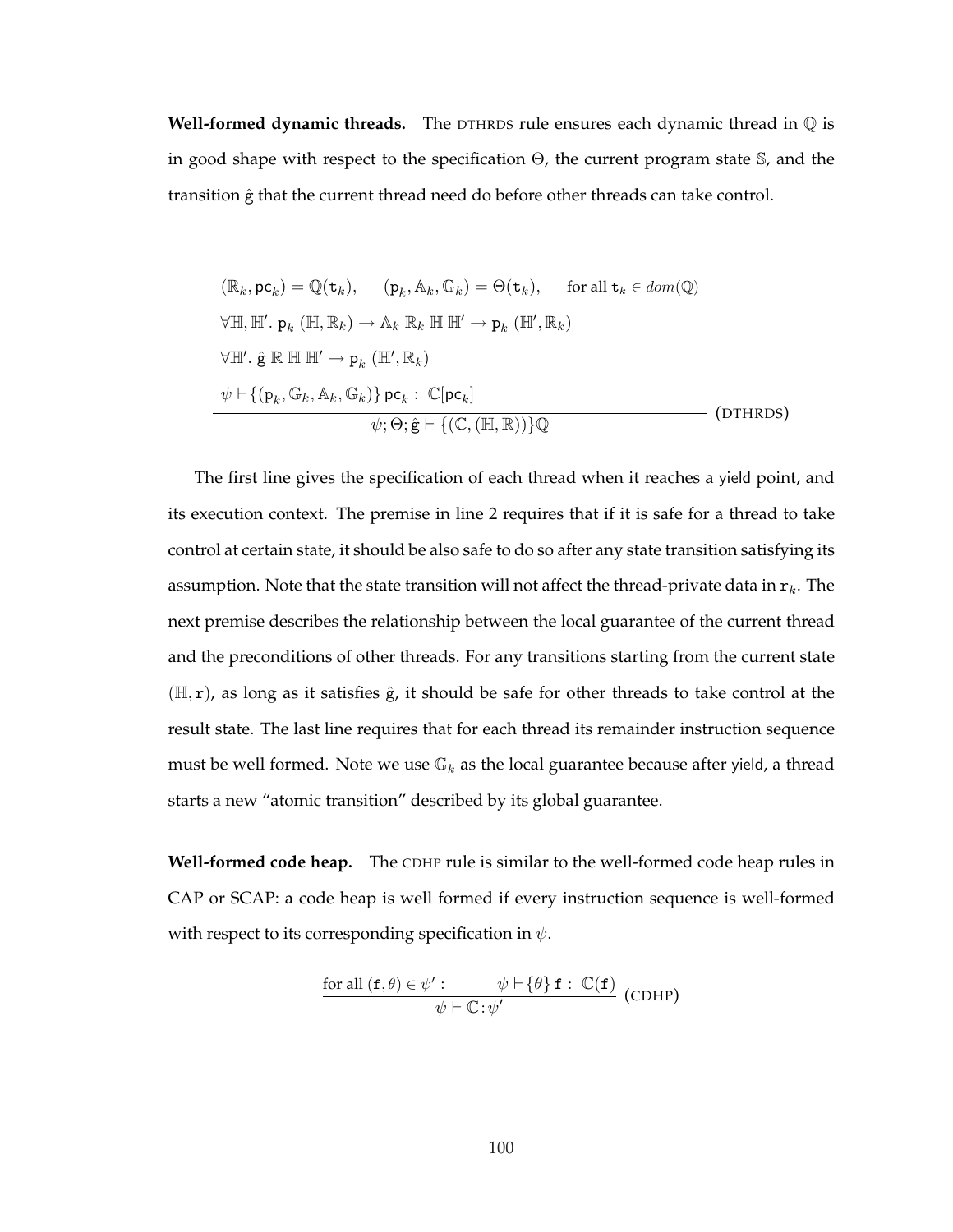**Well-formed dynamic threads.** The DTHRDS rule ensures each dynamic thread in Q is in good shape with respect to the specification Θ, the current program state S, and the transition  $\hat{g}$  that the current thread need do before other threads can take control.

$$
(\mathbb{R}_k, \mathbf{p} \mathbf{c}_k) = \mathbb{Q}(\mathbf{t}_k), \qquad (\mathbf{p}_k, \mathbb{A}_k, \mathbb{G}_k) = \Theta(\mathbf{t}_k), \qquad \text{for all } \mathbf{t}_k \in dom(\mathbb{Q})
$$
  
\n
$$
\forall \mathbb{H}, \mathbb{H}'. \mathbf{p}_k (\mathbb{H}, \mathbb{R}_k) \to \mathbb{A}_k \mathbb{R}_k \mathbb{H} \mathbb{H}' \to \mathbf{p}_k (\mathbb{H}', \mathbb{R}_k)
$$
  
\n
$$
\forall \mathbb{H}'. \hat{\mathbf{g}} \mathbb{R} \mathbb{H} \mathbb{H}' \to \mathbf{p}_k (\mathbb{H}', \mathbb{R}_k)
$$
  
\n
$$
\psi \vdash \{ (\mathbf{p}_k, \mathbb{G}_k, \mathbb{A}_k, \mathbb{G}_k) \} \mathbf{p} \mathbf{c}_k : \mathbb{C}[\mathbf{p} \mathbf{c}_k]
$$
  
\n
$$
\psi; \Theta; \hat{\mathbf{g}} \vdash \{ (\mathbb{C}, (\mathbb{H}, \mathbb{R})) \} \mathbb{Q}
$$
\n(DTHRDS)

The first line gives the specification of each thread when it reaches a yield point, and its execution context. The premise in line 2 requires that if it is safe for a thread to take control at certain state, it should be also safe to do so after any state transition satisfying its assumption. Note that the state transition will not affect the thread-private data in  $r_k$ . The next premise describes the relationship between the local guarantee of the current thread and the preconditions of other threads. For any transitions starting from the current state  $(H, r)$ , as long as it satisfies  $\hat{g}$ , it should be safe for other threads to take control at the result state. The last line requires that for each thread its remainder instruction sequence must be well formed. Note we use  $\mathbb{G}_k$  as the local guarantee because after yield, a thread starts a new "atomic transition" described by its global guarantee.

**Well-formed code heap.** The CDHP rule is similar to the well-formed code heap rules in CAP or SCAP: a code heap is well formed if every instruction sequence is well-formed with respect to its corresponding specification in  $\psi$ .

$$
\frac{\text{for all } (\mathbf{f}, \theta) \in \psi': \psi \vdash \{\theta\} \mathbf{f}: \mathbb{C}(\mathbf{f})}{\psi \vdash \mathbb{C} : \psi'} \text{ (CDHP)}
$$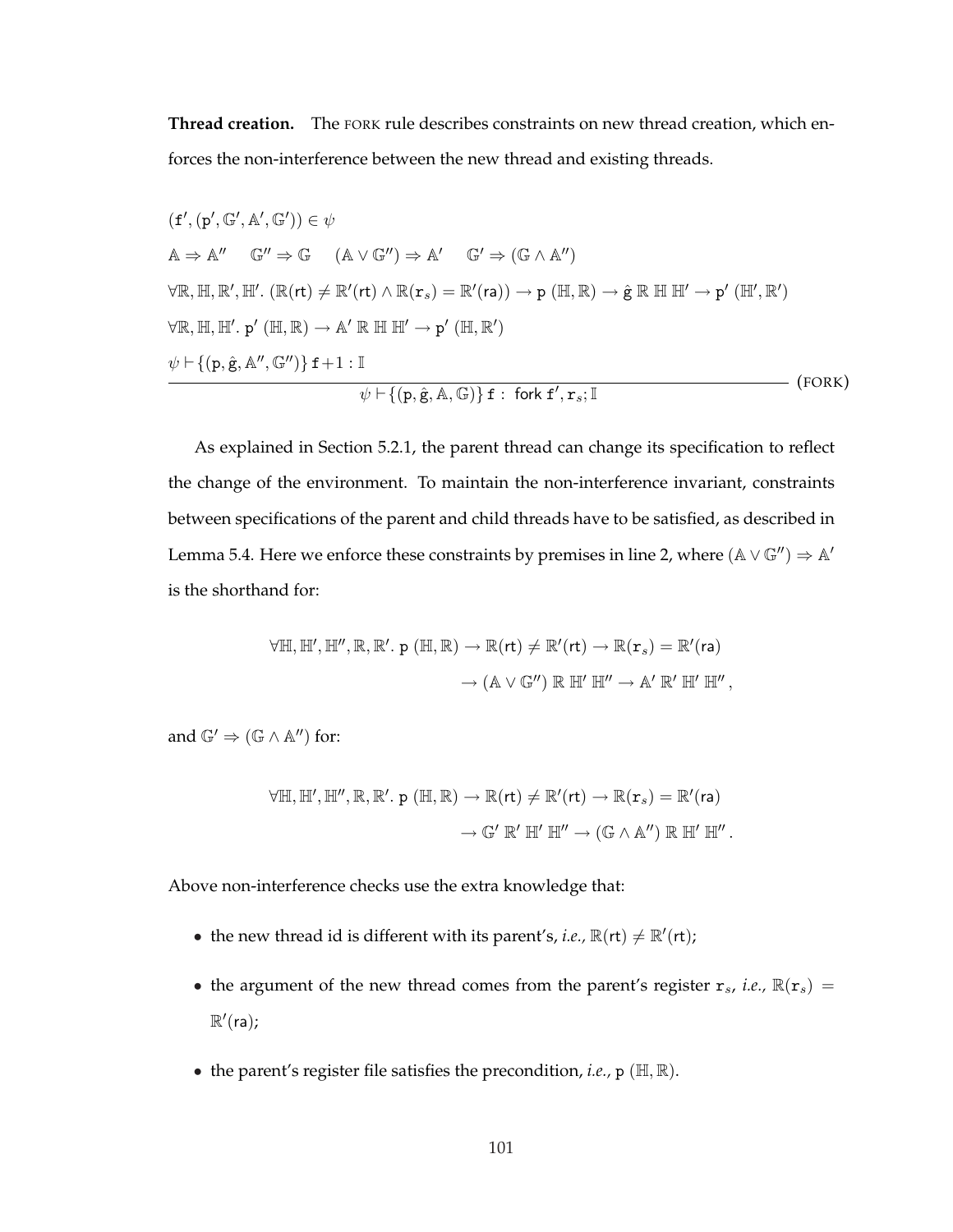**Thread creation.** The FORK rule describes constraints on new thread creation, which enforces the non-interference between the new thread and existing threads.

$$
(f', (p', \mathbb{G}', A', \mathbb{G}')) \in \psi
$$
  
\n
$$
A \Rightarrow A'' \quad \mathbb{G}'' \Rightarrow \mathbb{G} \quad (A \lor \mathbb{G}'') \Rightarrow A' \quad \mathbb{G}' \Rightarrow (\mathbb{G} \land A'')
$$
  
\n
$$
\forall \mathbb{R}, \mathbb{H}, \mathbb{R}', \mathbb{H}'. (\mathbb{R}(\mathsf{rt}) \neq \mathbb{R}'(\mathsf{rt}) \land \mathbb{R}(\mathsf{r}_s) = \mathbb{R}'(\mathsf{ra})) \rightarrow \mathsf{p} (\mathbb{H}, \mathbb{R}) \rightarrow \hat{\mathsf{g}} \mathbb{R} \mathbb{H} \mathbb{H}' \rightarrow \mathsf{p}' (\mathbb{H}', \mathbb{R}')
$$
  
\n
$$
\forall \mathbb{R}, \mathbb{H}, \mathbb{H}'. \mathsf{p}' (\mathbb{H}, \mathbb{R}) \rightarrow A' \mathbb{R} \mathbb{H} \mathbb{H}' \rightarrow \mathsf{p}' (\mathbb{H}, \mathbb{R}')
$$
  
\n
$$
\psi \vdash \{(\mathsf{p}, \hat{\mathsf{g}}, A'', \mathbb{G}'')\} \mathsf{f} + 1 : \mathbb{I}
$$
  
\n
$$
\psi \vdash \{(\mathsf{p}, \hat{\mathsf{g}}, A, \mathbb{G})\} \mathsf{f} : \text{fork } \mathsf{f}', \mathsf{r}_s; \mathbb{I}
$$
  
\n
$$
\tag{FORK}
$$

As explained in Section 5.2.1, the parent thread can change its specification to reflect the change of the environment. To maintain the non-interference invariant, constraints between specifications of the parent and child threads have to be satisfied, as described in Lemma 5.4. Here we enforce these constraints by premises in line 2, where  $(A \vee \mathbb{G}^{\prime\prime}) \Rightarrow A^{\prime}$ is the shorthand for:

$$
\forall \mathbb{H}, \mathbb{H}', \mathbb{H}'', \mathbb{R}, \mathbb{R}', p (\mathbb{H}, \mathbb{R}) \rightarrow \mathbb{R}(\mathsf{rt}) \neq \mathbb{R}'(\mathsf{rt}) \rightarrow \mathbb{R}(\mathsf{r}_s) = \mathbb{R}'(\mathsf{ra})
$$

$$
\rightarrow (\mathbb{A} \vee \mathbb{G}'') \mathbb{R} \mathbb{H}' \mathbb{H}'' \rightarrow \mathbb{A}' \mathbb{R}' \mathbb{H}' \mathbb{H}'',
$$

and  $\mathbb{G}' \Rightarrow (\mathbb{G} \wedge \mathbb{A}'')$  for:

$$
\forall \mathbb{H}, \mathbb{H}', \mathbb{H}'', \mathbb{R}, \mathbb{R}', p (\mathbb{H}, \mathbb{R}) \rightarrow \mathbb{R}(\mathsf{rt}) \neq \mathbb{R}'(\mathsf{rt}) \rightarrow \mathbb{R}(\mathsf{r}_s) = \mathbb{R}'(\mathsf{ra})
$$

$$
\rightarrow \mathbb{G}' \mathbb{R}' \mathbb{H}' \mathbb{H}'' \rightarrow (\mathbb{G} \wedge \mathbb{A}'') \mathbb{R} \mathbb{H}' \mathbb{H}''.
$$

Above non-interference checks use the extra knowledge that:

- the new thread id is different with its parent's, *i.e.*,  $\mathbb{R}(\mathsf{rt}) \neq \mathbb{R}'(\mathsf{rt})$ ;
- the argument of the new thread comes from the parent's register  $r_s$ , *i.e.*,  $\mathbb{R}(r_s)$  =  $\mathbb{R}'$ (ra);
- the parent's register file satisfies the precondition, *i.e.,* p (H, R).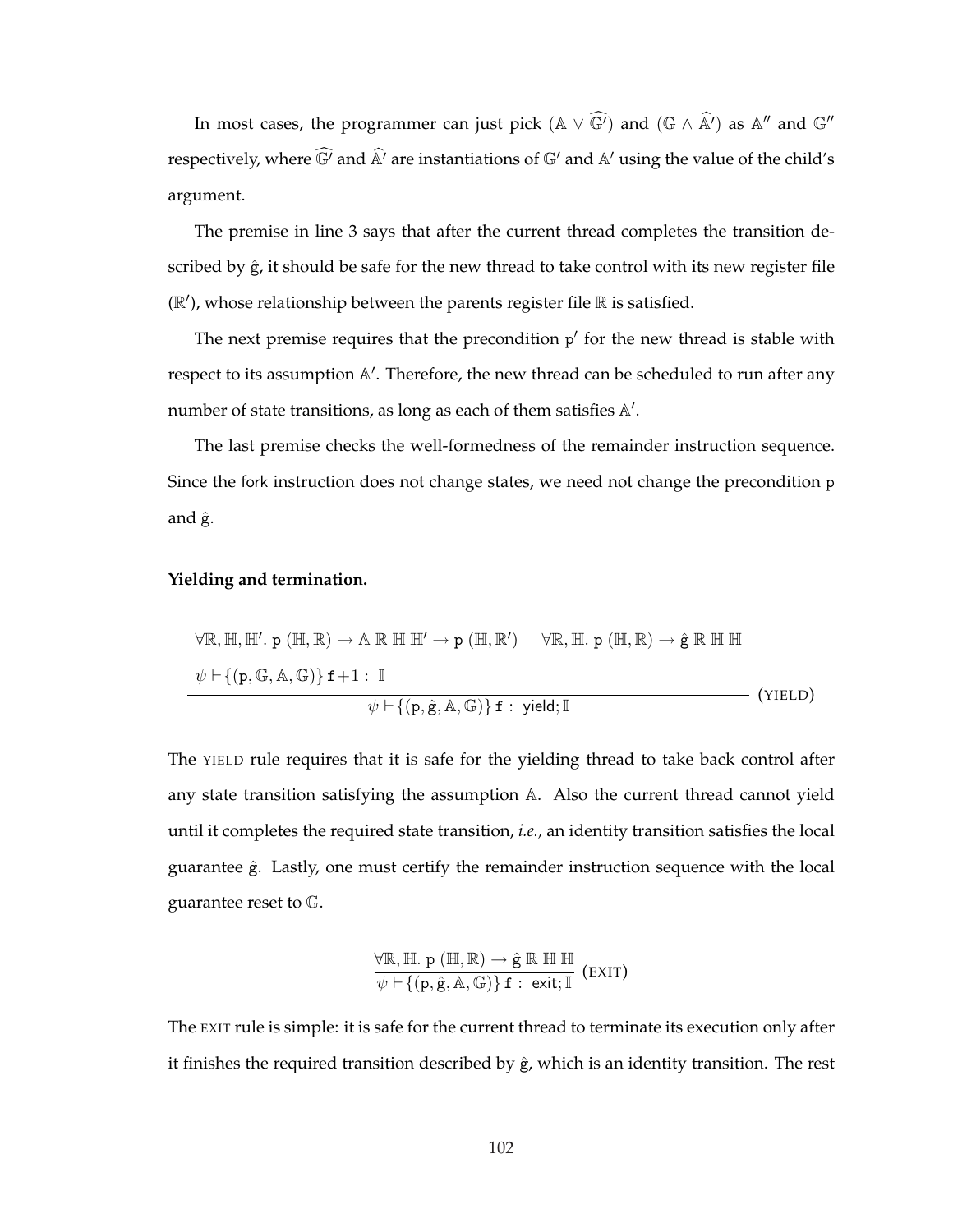In most cases, the programmer can just pick  $(\mathbb{A} \vee \widehat{\mathbb{G}'})$  and  $(\mathbb{G} \wedge \widehat{\mathbb{A}'})$  as  $\mathbb{A}''$  and  $\mathbb{G}''$ respectively, where  $\widehat{\mathbb{G}}'$  and  $\widehat{\mathbb{A}}'$  are instantiations of  $\mathbb{G}'$  and  $\mathbb{A}'$  using the value of the child's argument.

The premise in line 3 says that after the current thread completes the transition described by  $\hat{g}$ , it should be safe for the new thread to take control with its new register file  $(\mathbb{R}')$ , whose relationship between the parents register file  $\mathbb R$  is satisfied.

The next premise requires that the precondition  $p'$  for the new thread is stable with respect to its assumption A'. Therefore, the new thread can be scheduled to run after any number of state transitions, as long as each of them satisfies  $A'$ .

The last premise checks the well-formedness of the remainder instruction sequence. Since the fork instruction does not change states, we need not change the precondition p and ĝ.

#### **Yielding and termination.**

$$
\forall \mathbb{R}, \mathbb{H}, \mathbb{H}'. \mathbf{p} (\mathbb{H}, \mathbb{R}) \to \mathbb{A} \mathbb{R} \mathbb{H} \mathbb{H}' \to \mathbf{p} (\mathbb{H}, \mathbb{R}')
$$

$$
\forall \mathbb{R}, \mathbb{H}. \mathbf{p} (\mathbb{H}, \mathbb{R}) \to \hat{\mathbf{g}} \mathbb{R} \mathbb{H} \mathbb{H}
$$

$$
\psi \vdash \{(\mathbf{p}, \mathbb{G}, \mathbb{A}, \mathbb{G})\} \mathbf{f} + 1 : \mathbb{I}
$$

$$
\psi \vdash \{(\mathbf{p}, \hat{\mathbf{g}}, \mathbb{A}, \mathbb{G})\} \mathbf{f} : \mathbf{yield}; \mathbb{I}
$$
(YIELD)

The YIELD rule requires that it is safe for the yielding thread to take back control after any state transition satisfying the assumption A. Also the current thread cannot yield until it completes the required state transition, *i.e.,* an identity transition satisfies the local guarantee  $\hat{g}$ . Lastly, one must certify the remainder instruction sequence with the local guarantee reset to G.

$$
\frac{\forall \mathbb{R}, \mathbb{H}. p (\mathbb{H}, \mathbb{R}) \rightarrow \hat{g} \mathbb{R} \mathbb{H} \mathbb{H}}{\psi \vdash \{ (p, \hat{g}, A, \mathbb{G}) \} f : exit; \mathbb{I}} \text{ (EXT)}
$$

The EXIT rule is simple: it is safe for the current thread to terminate its execution only after it finishes the required transition described by  $\hat{g}$ , which is an identity transition. The rest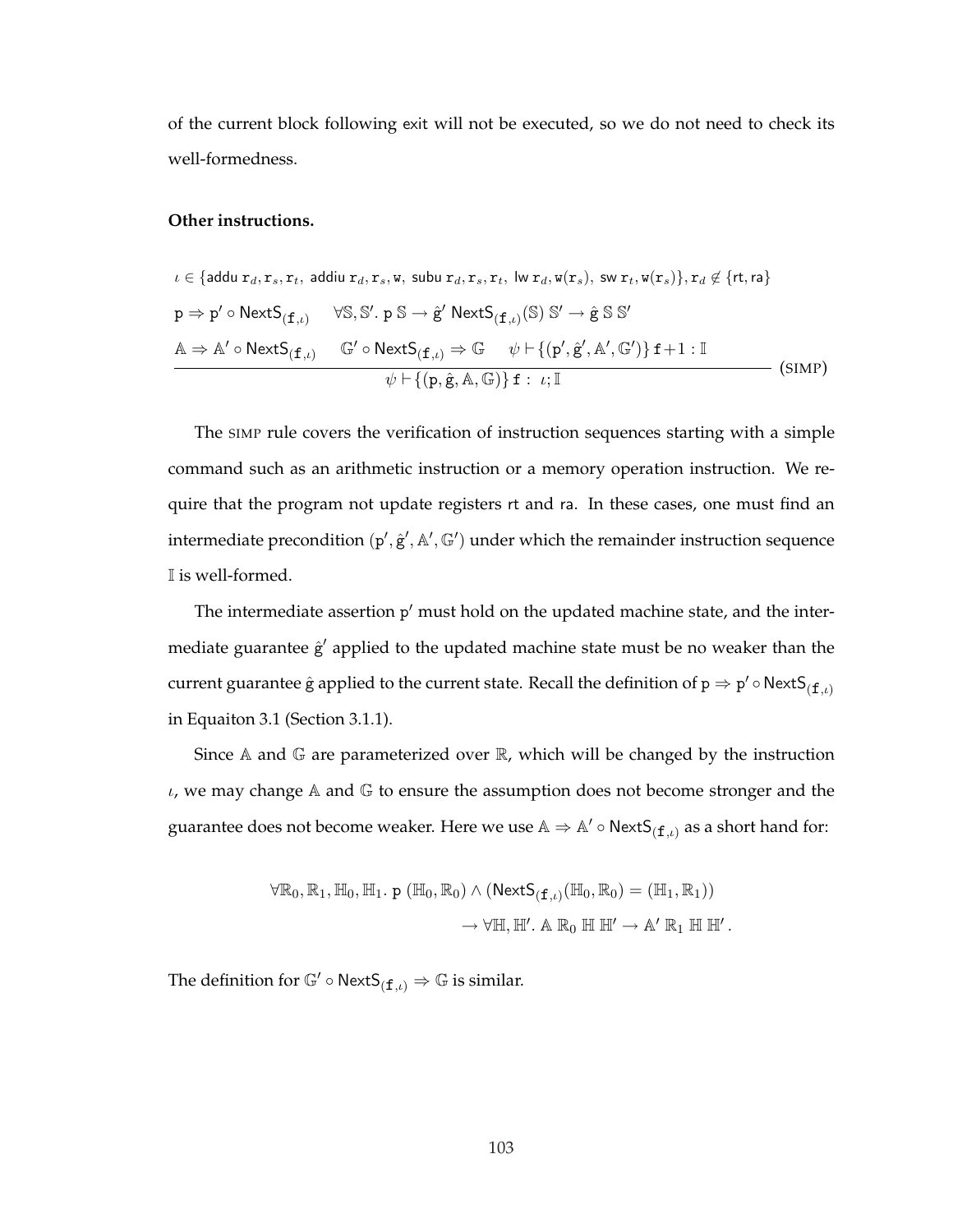of the current block following exit will not be executed, so we do not need to check its well-formedness.

### **Other instructions.**

$$
\iota \in \{\text{addu } \mathbf{r}_d, \mathbf{r}_s, \mathbf{r}_t, \text{ addiu } \mathbf{r}_d, \mathbf{r}_s, \mathbf{w}, \text{ subu } \mathbf{r}_d, \mathbf{r}_s, \mathbf{r}_t, \text{ lw } \mathbf{r}_d, \mathbf{w}(\mathbf{r}_s), \text{ sw } \mathbf{r}_t, \mathbf{w}(\mathbf{r}_s)\}, \mathbf{r}_d \notin \{\text{rt}, \text{ra}\}
$$
\n
$$
\mathbf{p} \Rightarrow \mathbf{p}' \circ \text{NextS}_{(\mathbf{f}, \iota)} \qquad \forall \mathbb{S}, \mathbb{S}', \mathbf{p} \mathbb{S} \to \hat{\mathbf{g}}' \text{ NextS}_{(\mathbf{f}, \iota)}(\mathbb{S}) \mathbb{S}' \to \hat{\mathbf{g}} \mathbb{S} \mathbb{S}'
$$
\n
$$
\mathbb{A} \Rightarrow \mathbb{A}' \circ \text{NextS}_{(\mathbf{f}, \iota)} \qquad \mathbb{G}' \circ \text{NextS}_{(\mathbf{f}, \iota)} \Rightarrow \mathbb{G} \qquad \psi \vdash \{(\mathbf{p}', \hat{\mathbf{g}}', \mathbb{A}', \mathbb{G}')\} \mathbf{f} + 1 : \mathbb{I}
$$
\n
$$
\psi \vdash \{(\mathbf{p}, \hat{\mathbf{g}}, \mathbb{A}, \mathbb{G})\} \mathbf{f} : \iota; \mathbb{I}
$$
\n(SIMP)

The SIMP rule covers the verification of instruction sequences starting with a simple command such as an arithmetic instruction or a memory operation instruction. We require that the program not update registers rt and ra. In these cases, one must find an intermediate precondition (p',  $\hat{g}'$ , A', G') under which the remainder instruction sequence I is well-formed.

The intermediate assertion p' must hold on the updated machine state, and the intermediate guarantee  $\hat{g}'$  applied to the updated machine state must be no weaker than the current guarantee  $\hat{\mathrm{g}}$  applied to the current state. Recall the definition of  $\mathrm{p}\Rightarrow \mathrm{p}'\circ{\sf NextS}_{(\mathtt{f},\iota)}$ in Equaiton 3.1 (Section 3.1.1).

Since  $A$  and  $G$  are parameterized over  $R$ , which will be changed by the instruction  $\iota$ , we may change A and G to ensure the assumption does not become stronger and the guarantee does not become weaker. Here we use  $\mathbb{A}\Rightarrow \mathbb{A}'\circ \mathsf{NextS}_{(\mathtt{f}, \iota)}$  as a short hand for:

$$
\forall \mathbb{R}_0, \mathbb{R}_1, \mathbb{H}_0, \mathbb{H}_1. p (\mathbb{H}_0, \mathbb{R}_0) \wedge (\text{NextS}_{(\mathbf{f}, \iota)}(\mathbb{H}_0, \mathbb{R}_0) = (\mathbb{H}_1, \mathbb{R}_1))
$$

$$
\rightarrow \forall \mathbb{H}, \mathbb{H}'. \mathbb{A} \mathbb{R}_0 \mathbb{H} \mathbb{H}' \rightarrow \mathbb{A}' \mathbb{R}_1 \mathbb{H} \mathbb{H}'.
$$

The definition for  $\mathbb{G}' \circ \text{NextS}_{(f,\iota)} \Rightarrow \mathbb{G}$  is similar.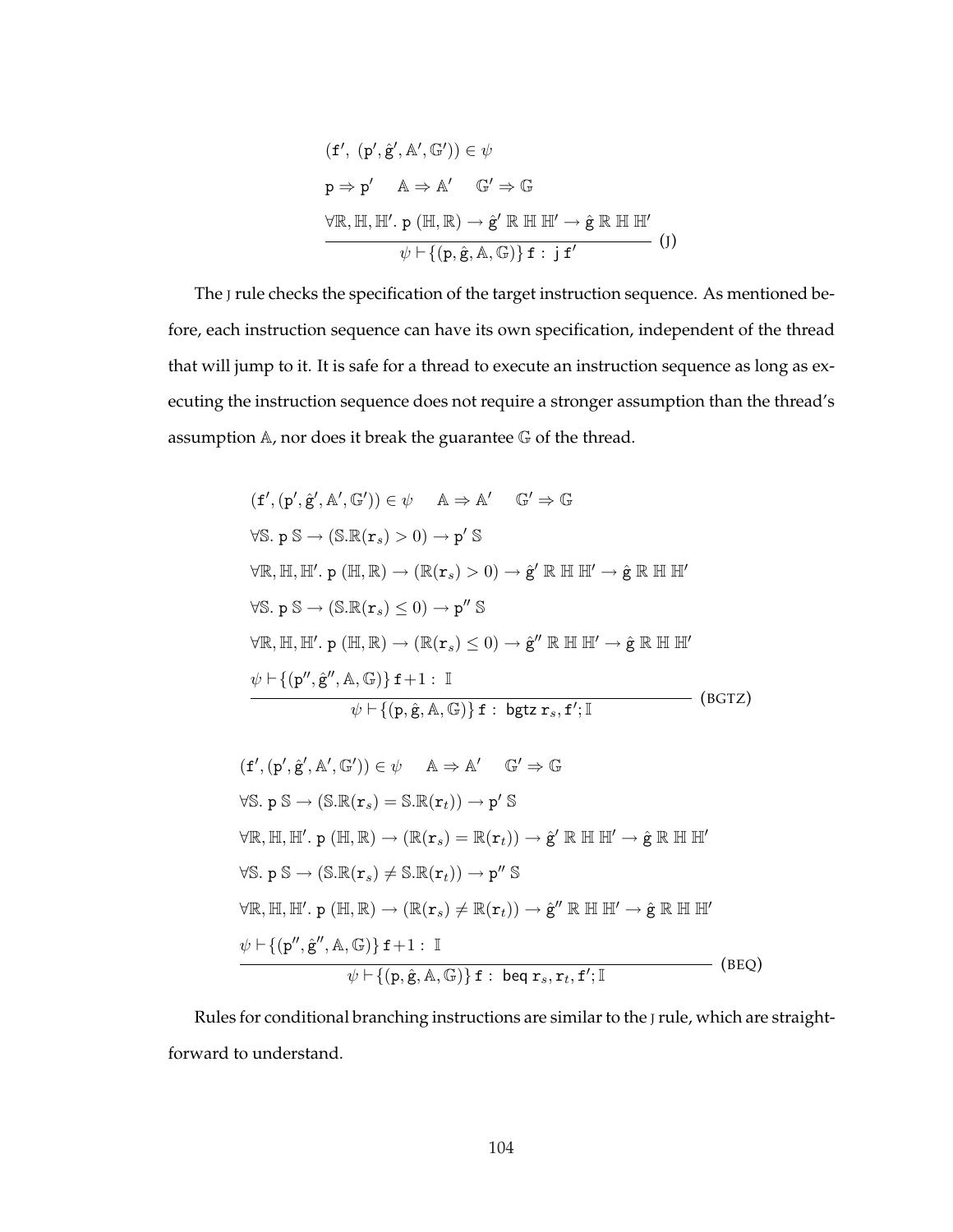$$
(\mathbf{f}', (\mathbf{p}', \hat{\mathbf{g}}', \mathbb{A}', \mathbb{G}')) \in \psi
$$
  
\n
$$
\mathbf{p} \Rightarrow \mathbf{p}' \quad \mathbb{A} \Rightarrow \mathbb{A}' \quad \mathbb{G}' \Rightarrow \mathbb{G}
$$
  
\n
$$
\forall \mathbb{R}, \mathbb{H}, \mathbb{H}'. \mathbf{p} (\mathbb{H}, \mathbb{R}) \rightarrow \hat{\mathbf{g}}' \mathbb{R} \mathbb{H} \mathbb{H}' \rightarrow \hat{\mathbf{g}} \mathbb{R} \mathbb{H} \mathbb{H}'
$$
  
\n
$$
\psi \vdash \{(\mathbf{p}, \hat{\mathbf{g}}, \mathbb{A}, \mathbb{G})\} \mathbf{f} : \mathbf{j} \mathbf{f}'
$$
 (J)

The J rule checks the specification of the target instruction sequence. As mentioned before, each instruction sequence can have its own specification, independent of the thread that will jump to it. It is safe for a thread to execute an instruction sequence as long as executing the instruction sequence does not require a stronger assumption than the thread's assumption A, nor does it break the guarantee G of the thread.

$$
(f', (p', \hat{g}', A', G')) \in \psi \quad A \Rightarrow A' \quad G' \Rightarrow G
$$
  
\n
$$
\forall S. p S \rightarrow (S.R(r_s) > 0) \rightarrow p'S
$$
  
\n
$$
\forall R, H, H'. p (H, R) \rightarrow (R(r_s) > 0) \rightarrow \hat{g}' R H H' \rightarrow \hat{g} R H H'
$$
  
\n
$$
\forall S. p S \rightarrow (S.R(r_s) \le 0) \rightarrow p'' S
$$
  
\n
$$
\forall R, H, H'. p (H, R) \rightarrow (R(r_s) \le 0) \rightarrow \hat{g}'' R H H' \rightarrow \hat{g} R H H'
$$
  
\n
$$
\psi \vdash \{(p'', \hat{g}'', A, G)\} f + 1 : I
$$
  
\n
$$
\psi \vdash \{(p, \hat{g}, A, G)\} f : bgtz r_s, f'; I
$$
  
\n
$$
(f', (p', \hat{g}', A', G')) \in \psi \quad A \Rightarrow A' \quad G' \Rightarrow G
$$
  
\n
$$
\forall S. p S \rightarrow (S.R(r_s) = S.R(r_t)) \rightarrow p'S
$$
  
\n
$$
\forall R, H, H'. p (H, R) \rightarrow (R(r_s) = R(r_t)) \rightarrow \hat{g}' R H H' \rightarrow \hat{g} R H H'
$$
  
\n
$$
\forall S. p S \rightarrow (S.R(r_s) \ne S.R(r_t)) \rightarrow p'' S
$$
  
\n
$$
\forall R, H, H'. p (H, R) \rightarrow (R(r_s) \ne R(r_t)) \rightarrow \hat{g}'' R H H' \rightarrow \hat{g} R H H'
$$
  
\n
$$
\psi \vdash \{(p'', \hat{g}'', A, G)\} f + 1 : I
$$
  
\n
$$
\psi \vdash \{(p, \hat{g}, A, G)\} f : beq r_s, r_t, f'; I
$$
  
\n
$$
(BEQ)
$$

Rules for conditional branching instructions are similar to the J rule, which are straightforward to understand.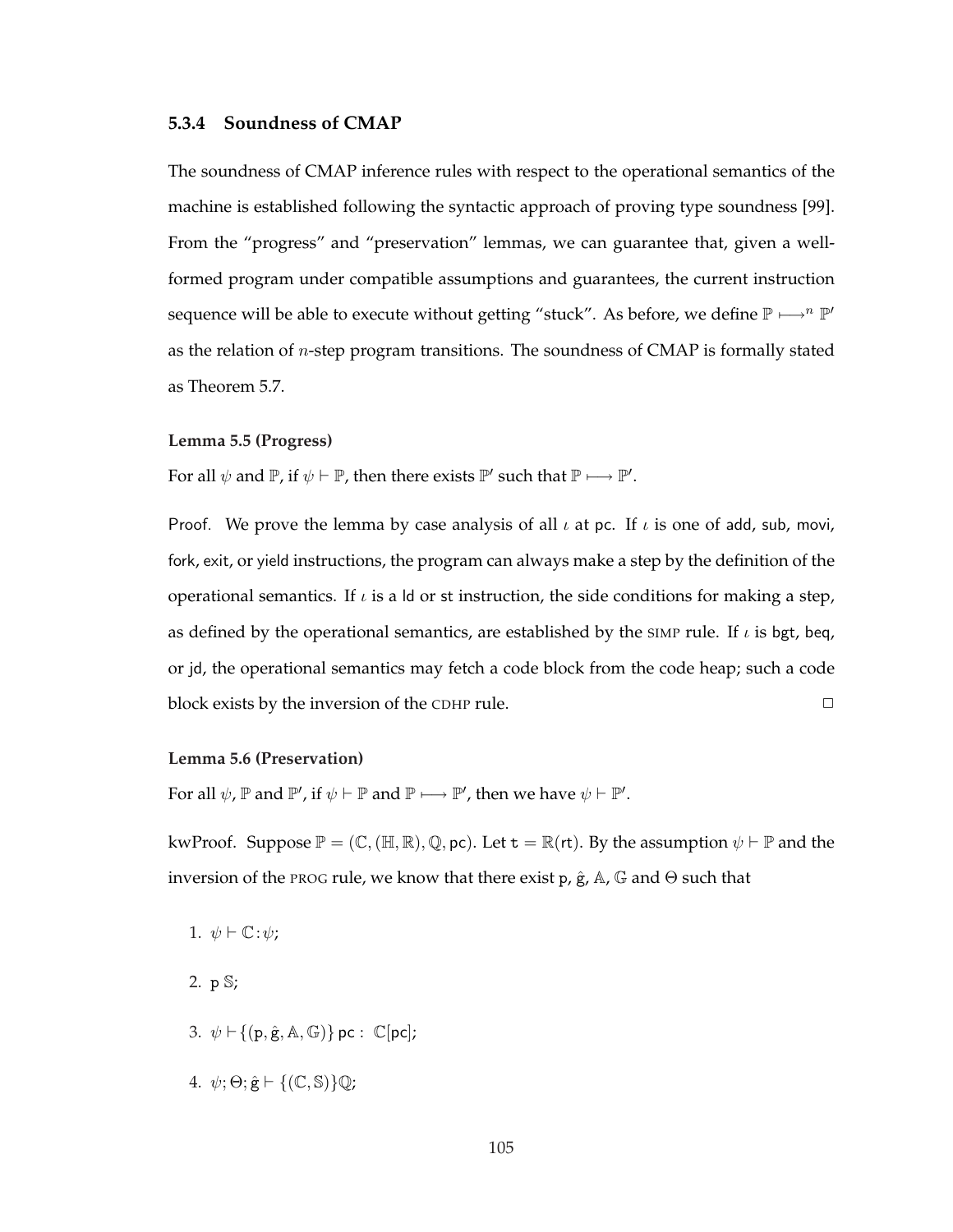### **5.3.4 Soundness of CMAP**

The soundness of CMAP inference rules with respect to the operational semantics of the machine is established following the syntactic approach of proving type soundness [99]. From the "progress" and "preservation" lemmas, we can guarantee that, given a wellformed program under compatible assumptions and guarantees, the current instruction sequence will be able to execute without getting "stuck". As before, we define  $\mathbb{P} \longmapsto \{n\}$ " as the relation of  $n$ -step program transitions. The soundness of CMAP is formally stated as Theorem 5.7.

### **Lemma 5.5 (Progress)**

For all  $\psi$  and  $\mathbb{P}$ , if  $\psi \vdash \mathbb{P}$ , then there exists  $\mathbb{P}'$  such that  $\mathbb{P} \longmapsto \mathbb{P}'$ .

Proof. We prove the lemma by case analysis of all  $\iota$  at pc. If  $\iota$  is one of add, sub, movi, fork, exit, or yield instructions, the program can always make a step by the definition of the operational semantics. If  $\iota$  is a ld or st instruction, the side conditions for making a step, as defined by the operational semantics, are established by the SIMP rule. If  $\iota$  is bgt, beq, or jd, the operational semantics may fetch a code block from the code heap; such a code block exists by the inversion of the CDHP rule.  $\Box$ 

#### **Lemma 5.6 (Preservation)**

For all  $\psi$ ,  $\mathbb P$  and  $\mathbb P'$ , if  $\psi \vdash \mathbb P$  and  $\mathbb P \longmapsto \mathbb P'$ , then we have  $\psi \vdash \mathbb P'.$ 

kwProof. Suppose  $\mathbb{P} = (\mathbb{C}, (\mathbb{H}, \mathbb{R}), \mathbb{Q}, \text{pc})$ . Let  $\mathbf{t} = \mathbb{R}(\mathsf{rt})$ . By the assumption  $\psi \vdash \mathbb{P}$  and the inversion of the PROG rule, we know that there exist p,  $\hat{g}$ , A, G and  $\Theta$  such that

- 1.  $\psi \vdash \mathbb{C} : \psi$ ;
- 2. p S;
- 3.  $\psi \vdash \{ (p, \hat{g}, A, \mathbb{G}) \}$  pc :  $\mathbb{C}[pc]$ ;
- 4.  $\psi$ ;  $\Theta$ ;  $\hat{\mathbf{g}}$   $\vdash$  {(C, S)}Q;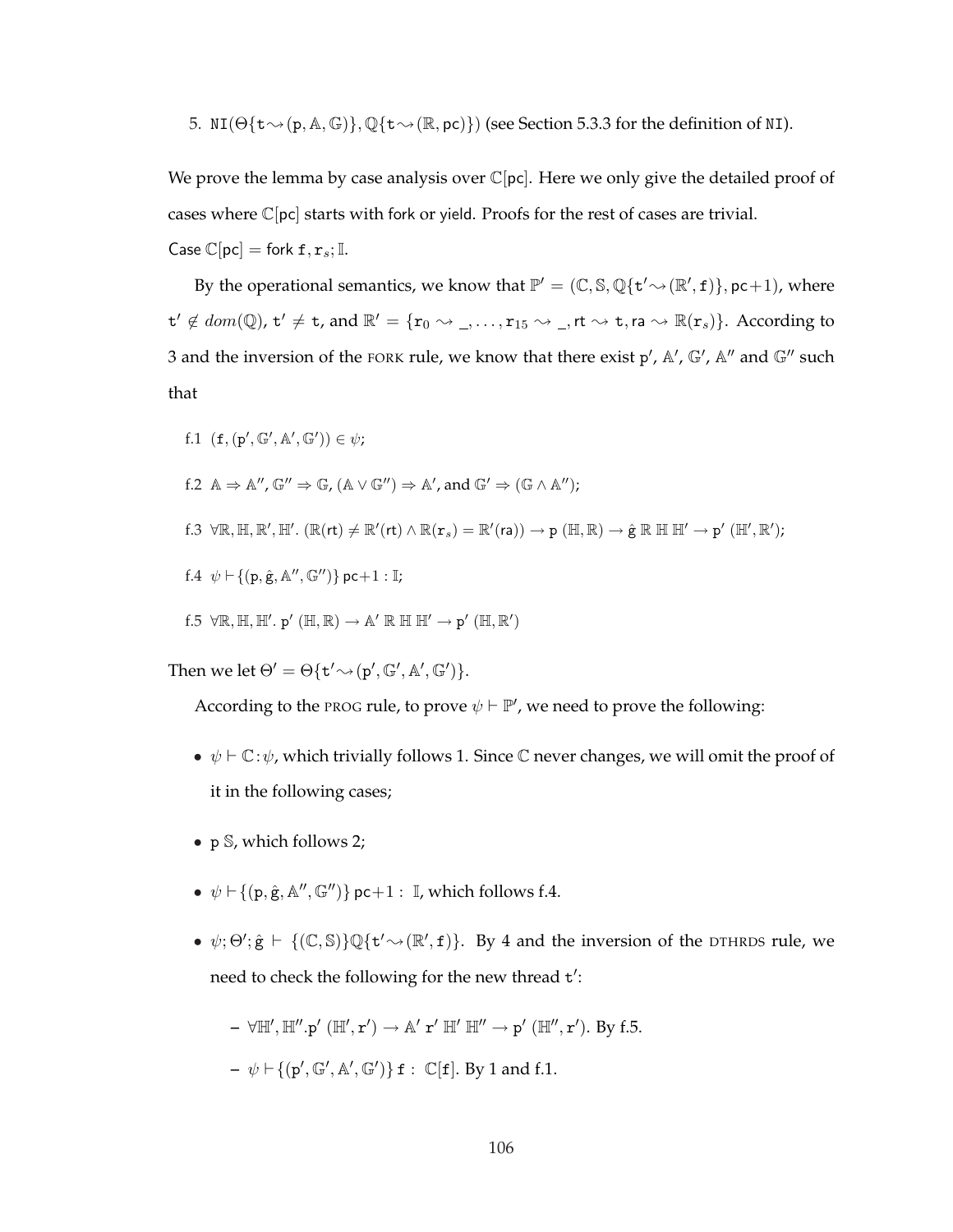5. NI( $\Theta\{\tau \sim (p, A, G)\}, \mathbb{Q}\{\tau \sim (\mathbb{R}, pc)\}\$ ) (see Section 5.3.3 for the definition of NI).

We prove the lemma by case analysis over  $\mathbb{C}[pc]$ . Here we only give the detailed proof of cases where  $\mathbb{C}[pc]$  starts with fork or yield. Proofs for the rest of cases are trivial.

Case  $\mathbb{C}[\text{pc}] = \text{fork } \texttt{f}, \texttt{r}_s; \mathbb{I}.$ 

By the operational semantics, we know that  $\mathbb{P}' = (\mathbb{C}, \mathbb{S}, \mathbb{Q}\{\mathbf{t}' \sim (\mathbb{R}', \mathbf{f})\}, \mathsf{pc}+1)$ , where  $\mathsf{t}' \notin dom(\mathbb{Q})$ ,  $\mathsf{t}' \neq \mathsf{t}$ , and  $\mathbb{R}' = \{ \mathsf{r}_0 \leadsto \_, \ldots, \mathsf{r}_{15} \leadsto \_, \mathsf{rt} \leadsto \mathsf{t}, \mathsf{ra} \leadsto \mathbb{R}(\mathsf{r}_s) \}.$  According to 3 and the inversion of the FORK rule, we know that there exist  $p'$ ,  $\mathbb{A}'$ ,  $\mathbb{G}'$ ,  $\mathbb{A}''$  and  $\mathbb{G}''$  such that

f.1  $(f, (p', \mathbb{G}', \mathbb{A}', \mathbb{G}')) \in \psi;$ 

f.2 
$$
\mathbb{A} \Rightarrow \mathbb{A}''
$$
,  $\mathbb{G}'' \Rightarrow \mathbb{G}$ ,  $(\mathbb{A} \vee \mathbb{G}'') \Rightarrow \mathbb{A}'$ , and  $\mathbb{G}' \Rightarrow (\mathbb{G} \wedge \mathbb{A}'')$ ;

$$
f.3 ~~\forall \mathbb{R}, \mathbb{H}, \mathbb{R}', \mathbb{H}'.~ (\mathbb{R}(\mathsf{rt}) \neq \mathbb{R}'(\mathsf{rt}) \wedge \mathbb{R}(\mathtt{r}_s) = \mathbb{R}'(\mathtt{ra})) \rightarrow p~ (\mathbb{H}, \mathbb{R}) \rightarrow \hat{g}~ \mathbb{R}~ \mathbb{H}~ \mathbb{H}' \rightarrow p'~ (\mathbb{H}', \mathbb{R}');
$$

f.4  $\psi \vdash \{ (p, \hat{g}, A'', \mathbb{G}'') \}$  pc+1 : I;

f.5 
$$
\forall \mathbb{R}, \mathbb{H}, \mathbb{H}'
$$
.  $\mathsf{p}'(\mathbb{H}, \mathbb{R}) \to \mathbb{A}' \mathbb{R} \mathbb{H} \mathbb{H}' \to \mathsf{p}'(\mathbb{H}, \mathbb{R}')$ 

Then we let  $\Theta' = \Theta\{\mathbf{t}' \sim (\mathbf{p}', \mathbb{G}', \mathbb{A}', \mathbb{G}')\}.$ 

According to the PROG rule, to prove  $\psi \vdash \mathbb{P}'$ , we need to prove the following:

- $\psi \vdash \mathbb{C}:\psi$ , which trivially follows 1. Since  $\mathbb{C}$  never changes, we will omit the proof of it in the following cases;
- p S, which follows 2;
- $\bullet \psi \vdash \{ (p, \hat{g}, \mathbb{A}'', \mathbb{G}'') \}$  pc+1 : I, which follows f.4.
- $\psi$ ;  $\Theta'$ ;  $\hat{g} \vdash \{(\mathbb{C}, \mathbb{S})\} \mathbb{Q}\{\mathbf{t}' \rightsquigarrow (\mathbb{R}', \mathbf{f})\}$ . By 4 and the inversion of the DTHRDS rule, we need to check the following for the new thread t':

$$
- \forall \mathbb{H}', \mathbb{H}'', p' (\mathbb{H}', r') \rightarrow \mathbb{A}' r' \mathbb{H}' \mathbb{H}'' \rightarrow p' (\mathbb{H}'', r').
$$
 By f.5.  

$$
- \psi \vdash \{ (p', \mathbb{G}', \mathbb{A}', \mathbb{G}') \} f : \mathbb{C}[f].
$$
 By 1 and f.1.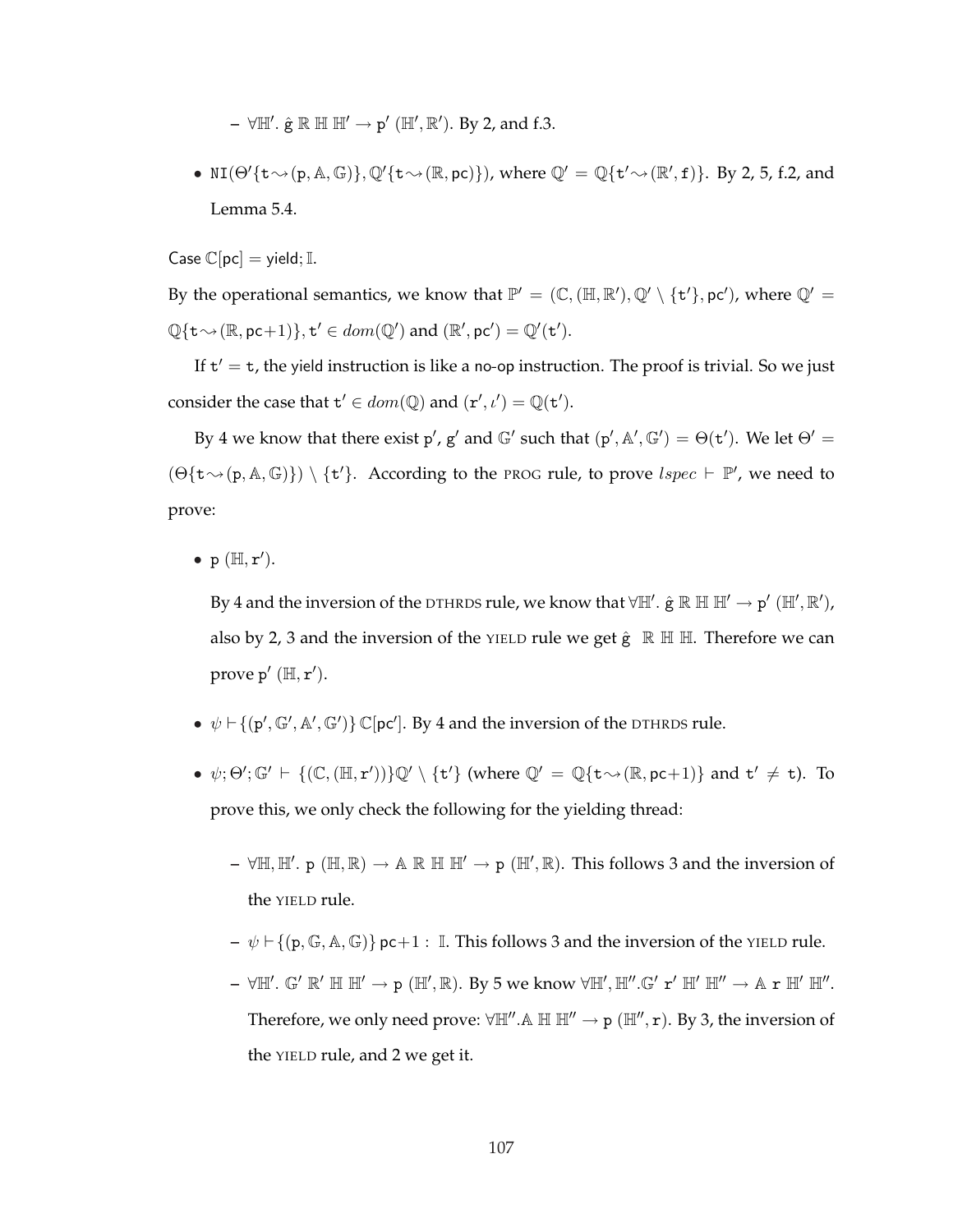- **–** ∀ $\mathbb{H}'$ .  $\hat{\mathbf{g}} \mathbb{R} \mathbb{H} \mathbb{H}' \to \mathbf{p}'$  ( $\mathbb{H}', \mathbb{R}'$ ). By 2, and f.3.
- NI( $\Theta'$ { $t \rightsquigarrow (p, A, \mathbb{G})$ },  $\mathbb{Q}'$ { $t \rightsquigarrow (\mathbb{R}, pc)$ }), where  $\mathbb{Q}' = \mathbb{Q}$ { $t' \rightsquigarrow (\mathbb{R}', f)$ }. By 2, 5, f.2, and Lemma 5.4.

Case  $\mathbb{C}[pc] =$  yield; I.

By the operational semantics, we know that  $\mathbb{P}' = (\mathbb{C}, (\mathbb{H}, \mathbb{R}'), \mathbb{Q}' \setminus \{t'\}, pc')$ , where  $\mathbb{Q}' =$  $\mathbb{Q}\{\mathbf{t} \sim (\mathbb{R}, \text{pc}+1)\}, \mathbf{t}' \in dom(\mathbb{Q}') \text{ and } (\mathbb{R}', \text{pc}') = \mathbb{Q}'(\mathbf{t}').$ 

If  $t' = t$ , the yield instruction is like a no-op instruction. The proof is trivial. So we just consider the case that  $\mathbf{t}' \in dom(\mathbb{Q})$  and  $(\mathbf{r}', \iota') = \mathbb{Q}(\mathbf{t}').$ 

By 4 we know that there exist p', g' and  $\mathbb{G}'$  such that  $(p', \mathbb{A}', \mathbb{G}') = \Theta(\mathsf{t}')$ . We let  $\Theta' =$  $(\Theta\{\mathtt{t}\leadsto(\mathtt{p},\mathbb{A},\mathbb{G})\}) \setminus \{\mathtt{t}'\}.$  According to the PROG rule, to prove  $\text{lspec} \vdash \mathbb{P}'$ , we need to prove:

•  $p(H, r').$ 

By 4 and the inversion of the DTHRDS rule, we know that  $\forall \mathbb{H}'$ .  $\hat{g} \mathbb{R} \mathbb{H} \mathbb{H}' \to p' (\mathbb{H}', \mathbb{R}'),$ also by 2, 3 and the inversion of the YIELD rule we get  $\hat{g} \mathbb{R} \mathbb{H}$  H. Therefore we can prove  $p'$  ( $\mathbb{H}, r'$ ).

- $\psi \vdash \{ (p', \mathbb{G}', \mathbb{A}', \mathbb{G}') \} \mathbb{C}[pc']$ . By 4 and the inversion of the DTHRDS rule.
- $\psi$ ; $\Theta'$ ;  $\mathbb{G}' \vdash \{(\mathbb{C}, (\mathbb{H}, r'))\} \mathbb{Q}' \setminus \{t'\}$  (where  $\mathbb{Q}' = \mathbb{Q}\{t \rightsquigarrow (\mathbb{R}, pc+1)\}$  and  $t' \neq t$ ). To prove this, we only check the following for the yielding thread:
	- $\forall \mathbb{H}, \mathbb{H}'$ . p ( $\mathbb{H}, \mathbb{R}$ )  $\rightarrow \mathbb{A} \mathbb{R} \mathbb{H} \mathbb{H}' \rightarrow p$  ( $\mathbb{H}', \mathbb{R}$ ). This follows 3 and the inversion of the YIELD rule.
	- $-\psi \vdash \{(\mathbf{p}, \mathbb{G}, \mathbb{A}, \mathbb{G})\}$  pc+1 : I. This follows 3 and the inversion of the YIELD rule.
	- **–** ∀H'. G' R' H H' → p (H', R). By 5 we know ∀H', H''.G' r' H' H'' → A r H' H''. Therefore, we only need prove:  $\forall \mathbb{H}^n \dots \mathbb{H} \mathbb{H}^n \to p (\mathbb{H}^n, r)$ . By 3, the inversion of the YIELD rule, and 2 we get it.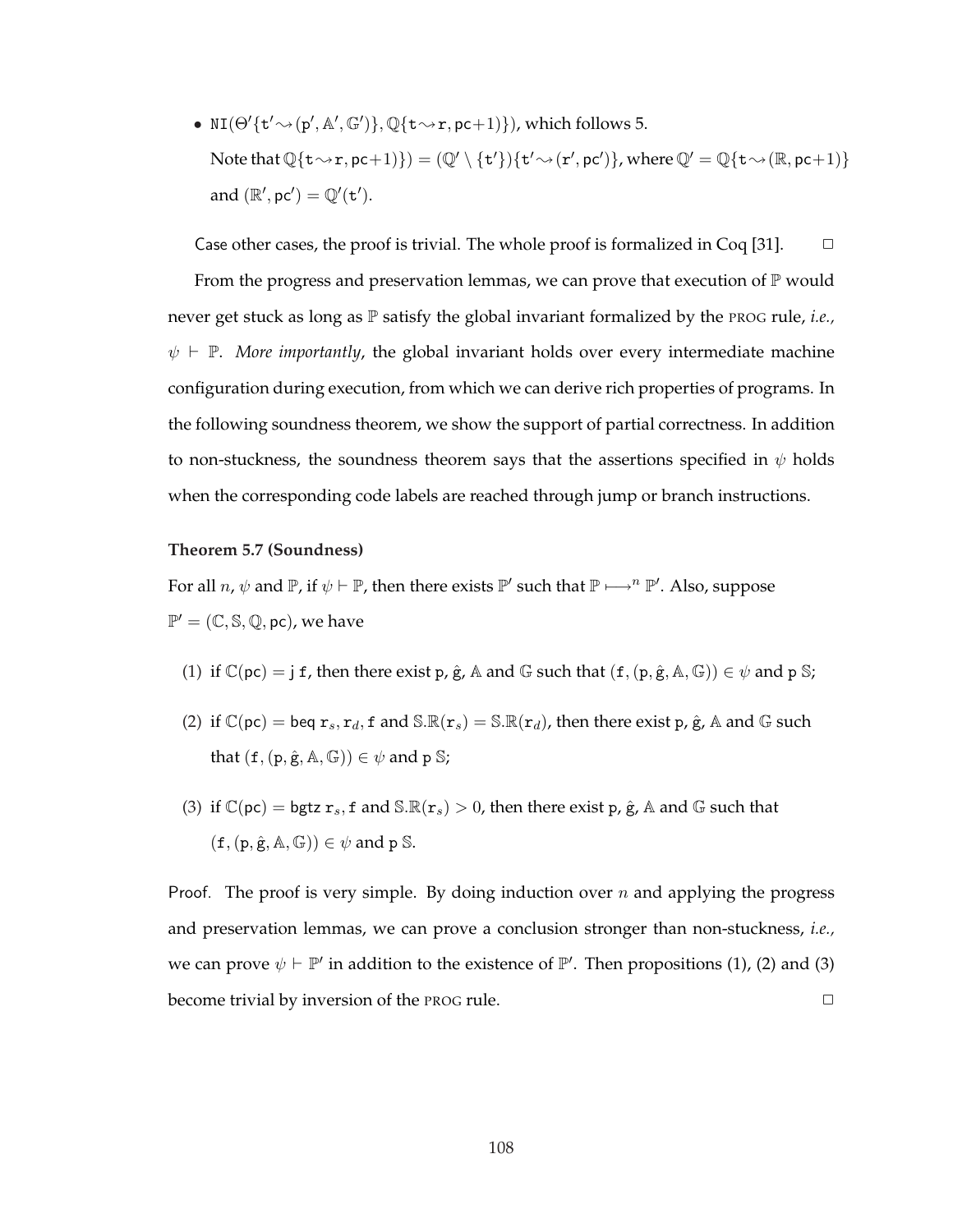•  $NI(\Theta'\{\mathbf{t}' \sim p', \mathbb{A}', \mathbb{G}')\}, \mathbb{Q}\{\mathbf{t} \sim r, \mathbf{pc}+1)\})$ , which follows 5. Note that  $\mathbb{Q}\{\texttt{t}\leadsto \texttt{r},\texttt{pc}+\texttt{1})\} = (\mathbb{Q}'\setminus \{\texttt{t}'\})\{\texttt{t}'\leadsto (\texttt{r}',\texttt{pc}')\}$ , where  $\mathbb{Q}'=\mathbb{Q}\{\texttt{t}\leadsto (\mathbb{R},\texttt{pc}+\texttt{1})\}$ and  $(\mathbb{R}', \text{pc}') = \mathbb{Q}'(\text{t}')$ .

Case other cases, the proof is trivial. The whole proof is formalized in Coq [31].  $\Box$ From the progress and preservation lemmas, we can prove that execution of  $\mathbb P$  would never get stuck as long as P satisfy the global invariant formalized by the PROG rule, *i.e.,*  $\psi \vdash \mathbb{P}$ . *More importantly*, the global invariant holds over every intermediate machine configuration during execution, from which we can derive rich properties of programs. In the following soundness theorem, we show the support of partial correctness. In addition to non-stuckness, the soundness theorem says that the assertions specified in  $\psi$  holds when the corresponding code labels are reached through jump or branch instructions.

### **Theorem 5.7 (Soundness)**

For all  $n, \psi$  and  $\mathbb{P}$ , if  $\psi \vdash \mathbb{P}$ , then there exists  $\mathbb{P}'$  such that  $\mathbb{P} \longmapsto^n \mathbb{P}'$ . Also, suppose  $\mathbb{P}' = (\mathbb{C}, \mathbb{S}, \mathbb{Q}, \text{pc})$ , we have

- (1) if  $\mathbb{C}(pc) = j f$ , then there exist p,  $\hat{g}$ , A and G such that  $(f,(p,\hat{g},A,\mathbb{G})) \in \psi$  and p S;
- (2) if  $\mathbb{C}(pc) = \text{beg } r_s, r_d, f \text{ and } \mathbb{S}.\mathbb{R}(r_s) = \mathbb{S}.\mathbb{R}(r_d)$ , then there exist p,  $\hat{g}$ , A and G such that  $(f,(p,\hat{g},\mathbb{A},\mathbb{G})) \in \psi$  and p S;
- (3) if  $\mathbb{C}(\text{pc}) = \text{bgtz } r_s$ , f and  $\mathbb{S} \mathbb{R}(r_s) > 0$ , then there exist p,  $\hat{g}$ , A and  $\mathbb{G}$  such that  $(f, (p, \hat{g}, A, \mathbb{G})) \in \psi$  and p S.

Proof. The proof is very simple. By doing induction over  $n$  and applying the progress and preservation lemmas, we can prove a conclusion stronger than non-stuckness, *i.e.,* we can prove  $\psi \vdash \mathbb{P}'$  in addition to the existence of  $\mathbb{P}'$ . Then propositions (1), (2) and (3) become trivial by inversion of the PROG rule.  $\Box$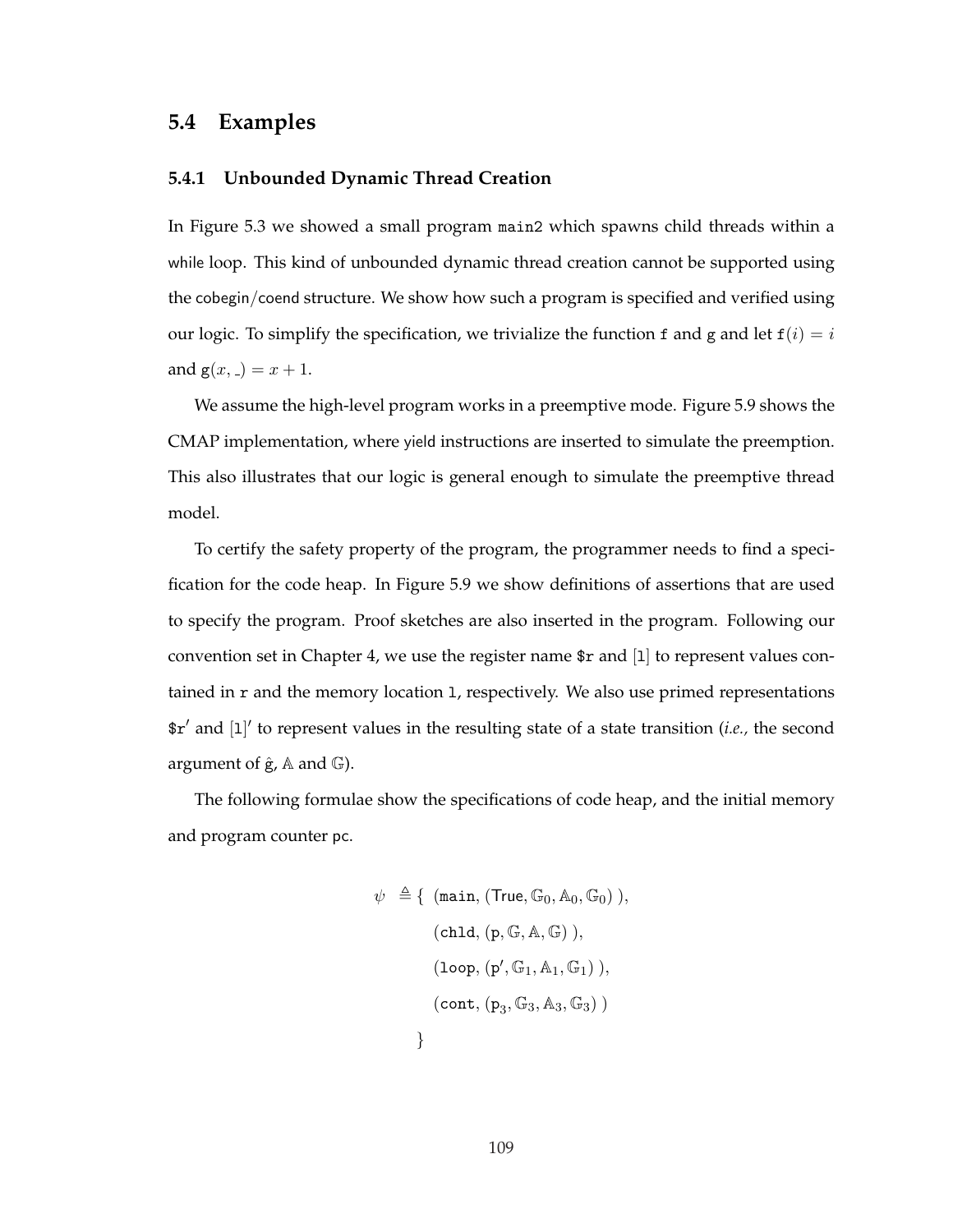# **5.4 Examples**

# **5.4.1 Unbounded Dynamic Thread Creation**

In Figure 5.3 we showed a small program main2 which spawns child threads within a while loop. This kind of unbounded dynamic thread creation cannot be supported using the cobegin/coend structure. We show how such a program is specified and verified using our logic. To simplify the specification, we trivialize the function f and g and let  $f(i) = i$ and  $g(x, ) = x + 1$ .

We assume the high-level program works in a preemptive mode. Figure 5.9 shows the CMAP implementation, where yield instructions are inserted to simulate the preemption. This also illustrates that our logic is general enough to simulate the preemptive thread model.

To certify the safety property of the program, the programmer needs to find a specification for the code heap. In Figure 5.9 we show definitions of assertions that are used to specify the program. Proof sketches are also inserted in the program. Following our convention set in Chapter 4, we use the register name  $r$  and [1] to represent values contained in r and the memory location 1, respectively. We also use primed representations  $\frac{e}{a}$  and [1]' to represent values in the resulting state of a state transition (*i.e.*, the second argument of  $\hat{g}$ ,  $\mathbb A$  and  $\mathbb G$ ).

The following formulae show the specifications of code heap, and the initial memory and program counter pc.

$$
\psi \triangleq \{ (\text{main}, (\text{True}, \mathbb{G}_0, \mathbb{A}_0, \mathbb{G}_0)), \\ (\text{chld}, (\text{p}, \mathbb{G}, \mathbb{A}, \mathbb{G})), \\ (\text{loop}, (\text{p}', \mathbb{G}_1, \mathbb{A}_1, \mathbb{G}_1)), \\ (\text{cont}, (\text{p}_3, \mathbb{G}_3, \mathbb{A}_3, \mathbb{G}_3)) \}
$$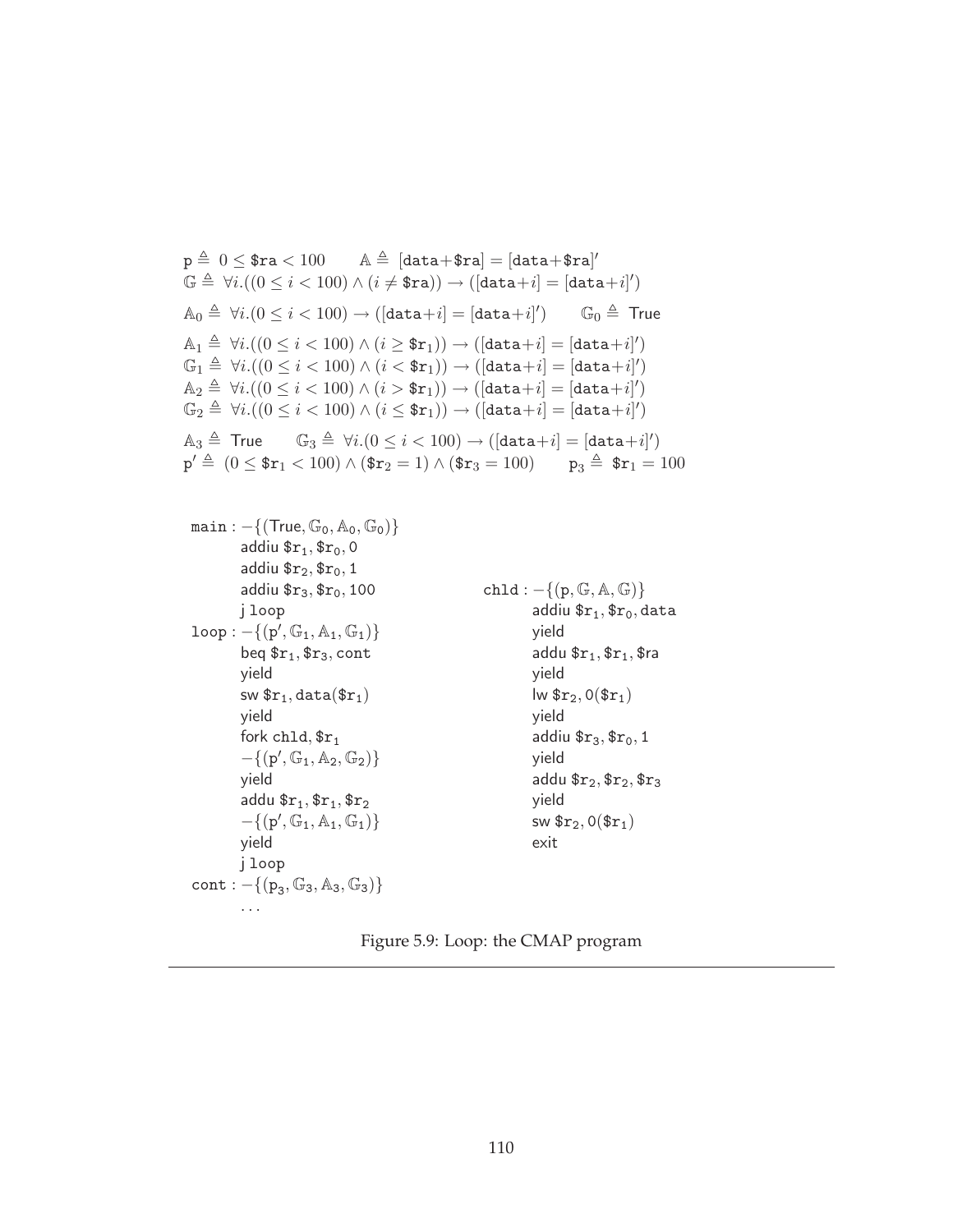$\mathtt{p}\triangleq\ 0\leq\$ \mathtt{ra}< 100 \qquad \mathtt{A}\triangleq\ [\mathtt{data}\!+\!\mathtt{\$ra}] = [\mathtt{data}\!+\!\mathtt{\$ra}]'$  $\mathbb{G} \triangleq \forall i. ((0 \leq i < 100) \land (i \neq \texttt{\$ra})) \rightarrow ([\texttt{data}+i] = [\texttt{data}+i]')$  $\mathbb{A}_0 \triangleq \forall i. (0 \leq i < 100) \rightarrow ([\texttt{data} {+} i] = [\texttt{data} {+} i]'$  $\mathbb{G}_0 \triangleq$  True  $\mathbb{A}_1 \triangleq \forall i. ((0 \leq i < 100) \land (i \geq \texttt{\$r}_1)) \rightarrow ([\texttt{data}+i] = [\texttt{data}+i]')$  $\mathbb{G}_1 \triangleq \forall i. ((0 \leq i < 100) \land (i < \texttt{\$r}_1)) \rightarrow ([\texttt{data}+i] = [\texttt{data}+i]')$  $\mathbb{A}_2 \triangleq \forall i. ((0 \leq i < 100) \land (i > \text{\$r}_1)) \rightarrow ([\texttt{data}+i] = [\texttt{data}+i]')$  $\mathbb{G}_2\triangleq \forall i. ((0\leq i <100) \land (i \leq \$\texttt{r}_1)) \rightarrow ([\texttt{data}+i]=[\texttt{data}+i]')$  $\mathbb{A}_3 \triangleq$  True  $\mathbb{G}_3 \triangleq \forall i. (0 \leq i < 100) \rightarrow ([\texttt{data}+i] = [\texttt{data}+i]')$ 

 $p' \triangleq (0 \leq$  \$ $r_1$  < 100)  $\wedge$  (\$ $r_2$  = 1)  $\wedge$  (\$ $r_3$  = 100) p<sub>3</sub>  $\triangleq$  \$ $r_1$  = 100

```
main: -\{(\text{True}, \mathbb{G}_0, \mathbb{A}_0, \mathbb{G}_0)\}\addiu r_1, r_0, 0addiu r_2,r_0, 1addiu r_3, r_0, 100j loop
\texttt{loop}: -\{(\texttt{p}', \mathbb{G}_1, \mathbb{A}_1, \mathbb{G}_1)\}beq r_1, r_3, cont
          yield
          sw \mathfrak{sr}_1, data(\mathfrak{sr}_1)yield
          fork chld, fr_1-{(p', G<sub>1</sub>, A<sub>2</sub>, G<sub>2</sub>)}
          yield
          addu r_1, r_1, r_2-{(p', G<sub>1</sub>, A<sub>1</sub>, G<sub>1</sub>)}
          yield
          j loop
cont: -\{(p_3, \mathbb{G}_3, \mathbb{A}_3, \mathbb{G}_3)\}chld: -\{(p, \mathbb{G}, \mathbb{A}, \mathbb{G})\}addiu r_1, r_0, data
                                                                           yield
                                                                           addu r_1, r_1, r_2yield
                                                                           lw r_2, 0(r_1)yield
                                                                           addiu r_3, r_0, 1
                                                                           yield
                                                                           addu r_2, r_2, r_3yield
                                                                           sw \frac{\pi}{2}, 0(\frac{\pi}{1})
                                                                           exit
```
. . .

## Figure 5.9: Loop: the CMAP program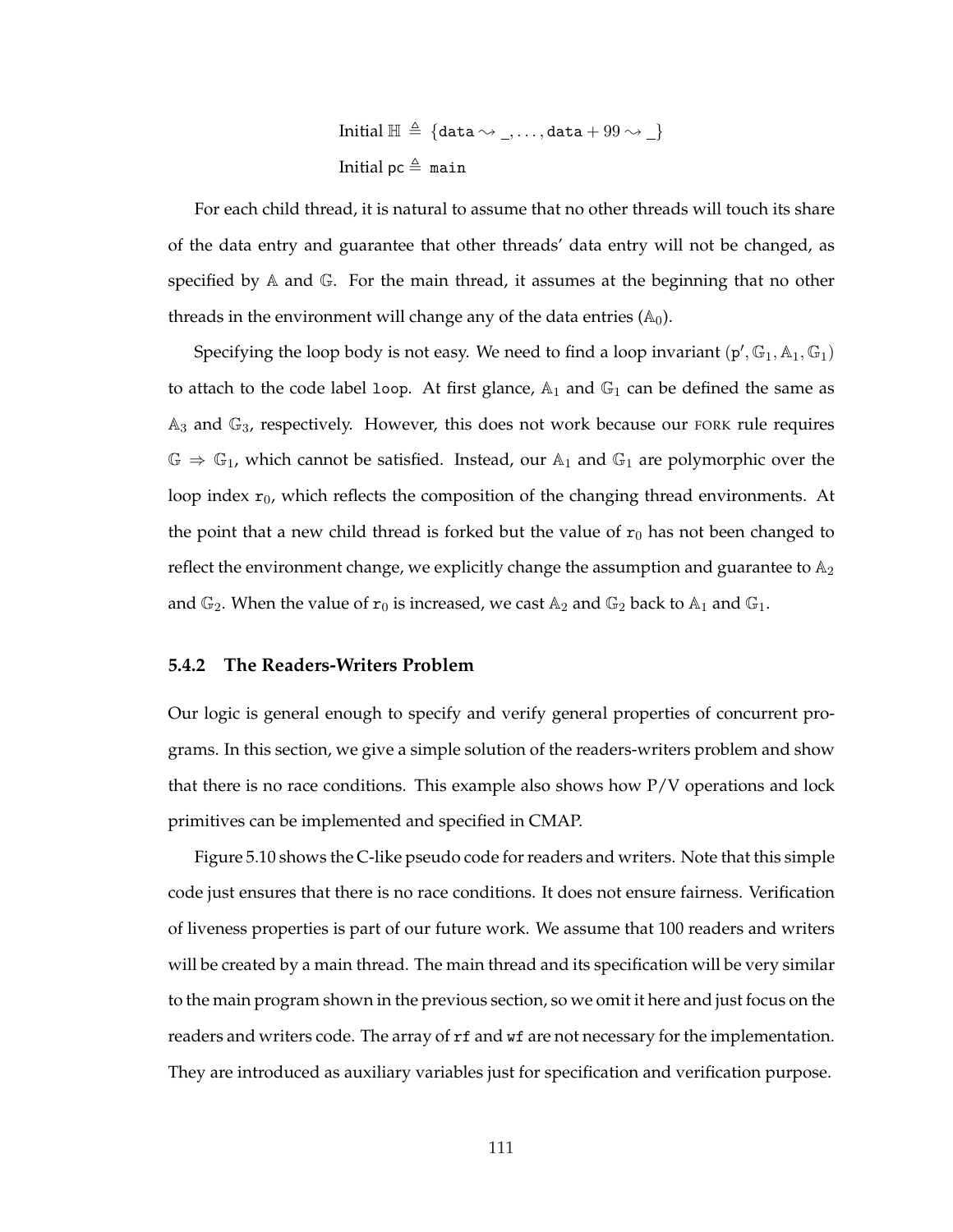Initial 
$$
\mathbb{H} \triangleq \{\text{data} \sim \_, \dots, \text{data} + 99 \sim \_\}
$$
  
Initial pc  $\triangleq$  main

For each child thread, it is natural to assume that no other threads will touch its share of the data entry and guarantee that other threads' data entry will not be changed, as specified by A and G. For the main thread, it assumes at the beginning that no other threads in the environment will change any of the data entries  $(A_0)$ .

Specifying the loop body is not easy. We need to find a loop invariant  $(p', \mathbb{G}_1, \mathbb{A}_1, \mathbb{G}_1)$ to attach to the code label loop. At first glance,  $\mathbb{A}_1$  and  $\mathbb{G}_1$  can be defined the same as  $A_3$  and  $G_3$ , respectively. However, this does not work because our FORK rule requires  $\mathbb{G} \Rightarrow \mathbb{G}_1$ , which cannot be satisfied. Instead, our  $\mathbb{A}_1$  and  $\mathbb{G}_1$  are polymorphic over the loop index  $r_0$ , which reflects the composition of the changing thread environments. At the point that a new child thread is forked but the value of  $r_0$  has not been changed to reflect the environment change, we explicitly change the assumption and guarantee to  $\mathbb{A}_2$ and  $\mathbb{G}_2$ . When the value of  $\mathbf{r}_0$  is increased, we cast  $\mathbb{A}_2$  and  $\mathbb{G}_2$  back to  $\mathbb{A}_1$  and  $\mathbb{G}_1$ .

### **5.4.2 The Readers-Writers Problem**

Our logic is general enough to specify and verify general properties of concurrent programs. In this section, we give a simple solution of the readers-writers problem and show that there is no race conditions. This example also shows how P/V operations and lock primitives can be implemented and specified in CMAP.

Figure 5.10 shows the C-like pseudo code for readers and writers. Note that this simple code just ensures that there is no race conditions. It does not ensure fairness. Verification of liveness properties is part of our future work. We assume that 100 readers and writers will be created by a main thread. The main thread and its specification will be very similar to the main program shown in the previous section, so we omit it here and just focus on the readers and writers code. The array of rf and wf are not necessary for the implementation. They are introduced as auxiliary variables just for specification and verification purpose.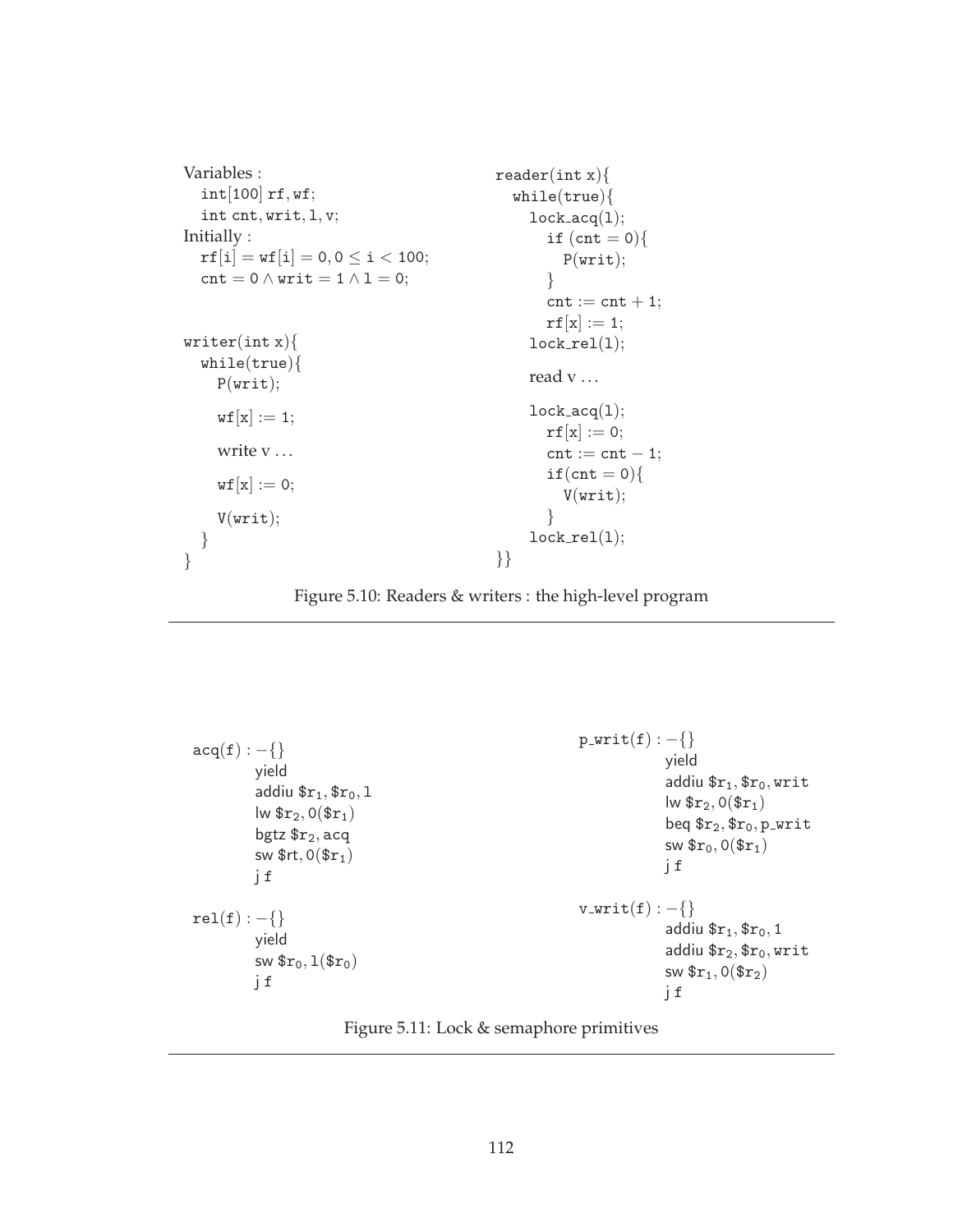```
Variables :
   int[100] rf, wf;int cnt, writ, l, v;
Initially :
   \text{rf}[i] = \text{wf}[i] = 0, 0 \le i < 100;\text{cnt} = 0 \land \text{write} = 1 \land 1 = 0;\text{writer(int x)}while(true){
     P(writ);wf[x] := 1;write v \dotswf[x] := 0;V(writ);}
}
                                                     \texttt{reader(int x)}while(true){
                                                           lock\_\text{acq}(1);if (\text{cnt} = 0){
                                                                 P(writ);}
                                                              \text{cnt} := \text{cnt} + 1;\mathbf{rf}[x] := 1;lock\_rel(1);read v ...
                                                           lock\_\text{acq}(1);\mathbf{rf}[x] := 0;\text{cnt} := \text{cnt} - 1;if(cnt = 0)V(writ);
                                                              }
                                                           lock\_rel(1);}}
```
Figure 5.10: Readers & writers : the high-level program

```
acq(f) : -\{\}yield
          addiu r_1, r_0, 1
          lw r_2, 0(r_1)bgtz fr_2, acq
          sw f(t, 0(f_1))j f
rel(f) : -{}}
          yield
          sw r_0, 1($r<sub>0</sub>)
          j f
                                                               p_writ(f) : -\{\}yield
                                                                             addiu r_1, r_0, writ
                                                                             lw r_2, 0(r_1)beq r_2, r_0, p_writ
                                                                             sw r_0, 0($r<sub>1</sub>)
                                                                             j f
                                                               v_writ(f): -\{\}addiu r_1, r_0, 1addiu r_2, r_0, writ
                                                                             sw \frac{\pi}{1}, 0(\frac{\pi}{2})
                                                                             j f
```
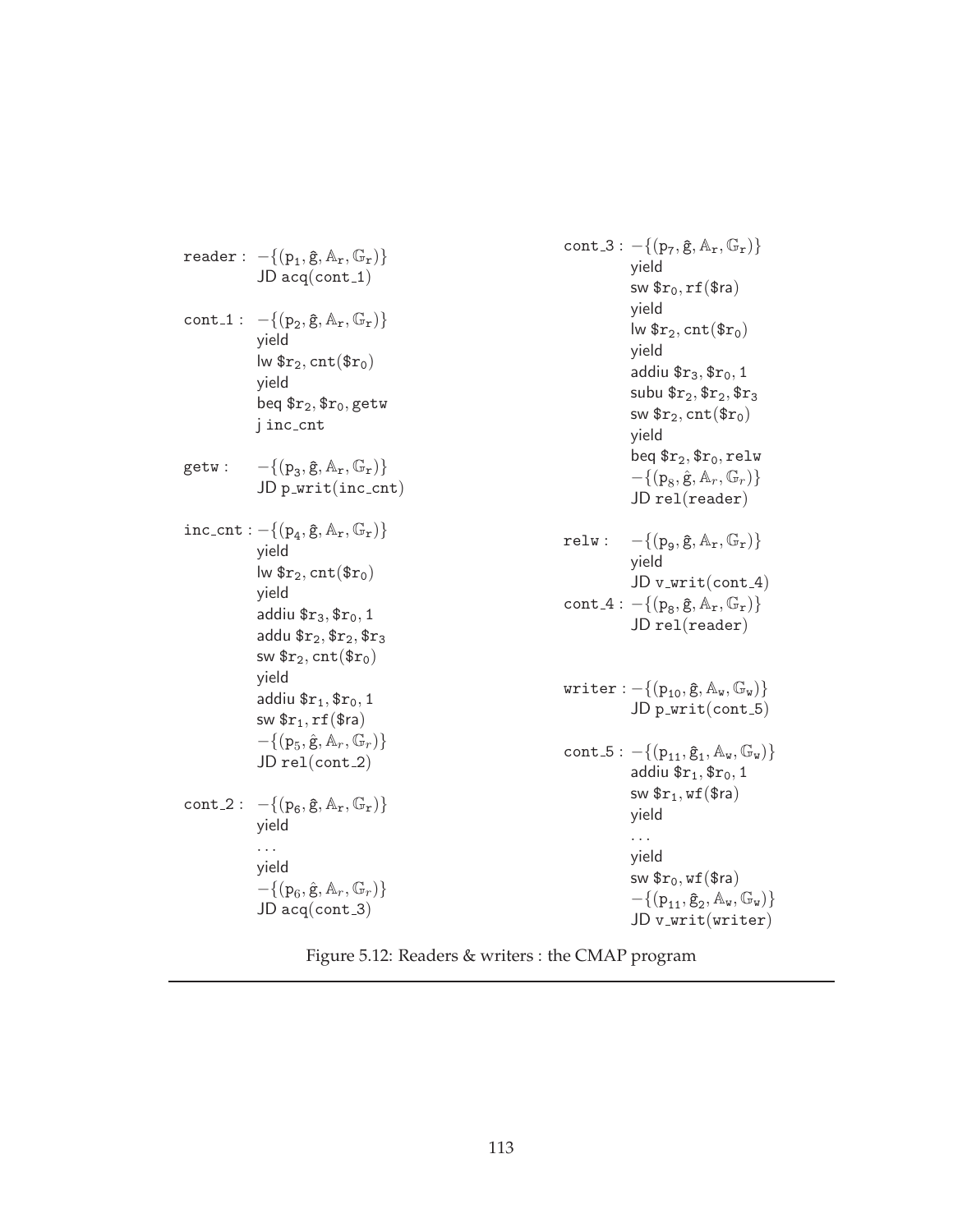|       | $\texttt{reader}:\ -\{(\texttt{p}_\texttt{1}, \mathbf{\hat{g}}, \mathbb{A}_\texttt{r}, \mathbb{G}_\texttt{r})\}$<br>$JD$ acq(cont_1)                                                                                                                                                                 |       | cont_3 : $- \{(p_7, \hat{g}, A_r, \mathbb{G}_r)\}\$<br>yield<br>sw $r_0, rf$ (\$ra)                                                                                                                                                                      |
|-------|------------------------------------------------------------------------------------------------------------------------------------------------------------------------------------------------------------------------------------------------------------------------------------------------------|-------|----------------------------------------------------------------------------------------------------------------------------------------------------------------------------------------------------------------------------------------------------------|
|       | cont_1 : $- \{(p_2, \hat{g}, A_r, \mathbb{G}_r)\}\$<br>yield<br>$lw$ $r_2$ , $cnt$ $(r_0)$<br>yield<br>beq $r_2,$ $r_0$ , getw<br>j inc_cnt                                                                                                                                                          |       | yield<br>$\mathsf{Iw}$ $\mathsf{sr}_2$ , $\text{cnt}(\mathsf{sr}_0)$<br>yield<br>addiu $r_3$ , $r_0$ , 1<br>subu $r_2, r_2, r_3$<br>sw $\mathfrak{sr}_2$ , cnt $(\mathfrak{sr}_0)$<br>yield                                                              |
| getw: | $-\{(p_3, \hat{g}, A_r, \mathbb{G}_r)\}\$<br>$JD$ p_writ(inc_cnt)                                                                                                                                                                                                                                    |       | beq $r_2$ , $r_0$ , relw<br>$-\{(p_8, \hat{g}, A_r, \mathbb{G}_r)\}\$<br>$JD$ rel(reader)                                                                                                                                                                |
|       | $inc\_cnt: -\{(p_4, \hat{g}, A_r, \mathbb{G}_r)\}\$<br>yield<br>$lw$ \$ $r_2$ , cnt $(\$r_0)$<br>yield<br>addiu $r_3,$ $r_0,$ 1<br>addu $r_2,$ $r_2,$ $r_3$<br>sw $r_2$ , cnt $(\text{fr}_0)$<br>yield<br>addiu $r_1,$ $r_0,$ 1<br>sw $r_1, rf$ $(r_2)$<br>$-\{(p_5, \hat{g}, A_r, \mathbb{G}_r)\}\$ | relu: | $-\{(p_{\alpha}, \hat{g}, \mathbb{A}_{r}, \mathbb{G}_{r})\}\$<br>yield<br>$JD v_writ(cont_4)$<br>cont_4 : $-\{(p_8, \hat{g}, A_r, \mathbb{G}_r)\}\$<br>$JD$ rel(reader)<br>writer: $- \{ (p_{10}, \hat{g}, A_w, \mathbb{G}_w) \}$<br>$JD$ p_writ(cont_5) |
|       | $JD$ rel(cont_2)<br>cont_2 : $-\{(p_{\epsilon}, \hat{g}, A_{r}, \mathbb{G}_{r})\}$<br>yield                                                                                                                                                                                                          |       | cont_5 : $- \{ (p_{11}, \hat{g}_1, A_w, \mathbb{G}_w) \}$<br>addiu $r_1$ , $r_0$ , 1<br>sw $\mathfrak{sr}_1$ , wf $(\mathfrak{Sra})$<br>yield                                                                                                            |
|       | $\cdots$<br>yield<br>$-\{(p_6, \hat{g}, A_r, \mathbb{G}_r)\}\$<br>$JD$ acq(cont_3)                                                                                                                                                                                                                   |       | .<br>yield<br>sw $r_0$ , wf $(\text{Sra})$<br>$-\{(p_{11}, \hat{g}_2, A_{w}, \mathbb{G}_{w})\}\$<br>$JD v_$ writ $(writer)$                                                                                                                              |

Figure 5.12: Readers & writers : the CMAP program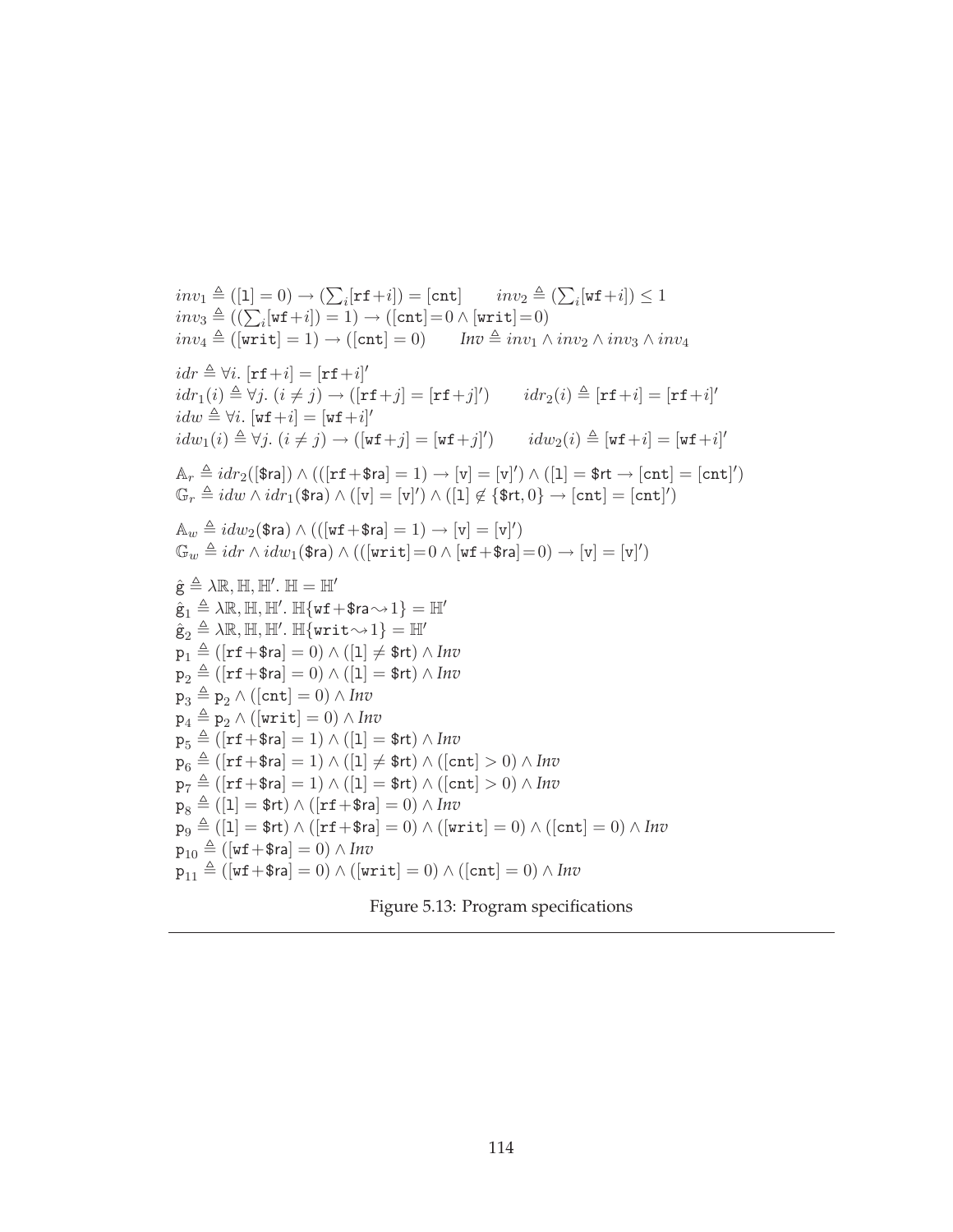$inv_1 \triangleq ([1] = 0) \rightarrow ($  $i_{i}$ [rf+i]) = [cnt]  $inv_{2} \triangleq ($  $_i[\mathtt{wf+}i]) \leq 1$  $inv_1 = (1 - 0) \rightarrow (\sum_i [1 + i] ) = [0 + i]$ <br>  $inv_3 \triangleq ((\sum_i [wf + i]) = 1) \rightarrow ([cnt] = 0 \wedge [writ] = 0)$  $inv_4 \triangleq ($ [writ] = 1)  $\rightarrow$  ([cnt] = 0) *Inv*  $\triangleq inv_1 \wedge inv_2 \wedge inv_3 \wedge inv_4$  $idr \triangleq \forall i.$   $[\texttt{rf}+i] = [\texttt{rf}+i]'$  $idr_1(i) \triangleq \forall j.$   $(i \neq j) \rightarrow ([\texttt{rf} + j] = [\texttt{rf} + j]')$   $idr_2(i) \triangleq [\texttt{rf} + i] = [\texttt{rf} + i]'$  $idw \triangleq \forall i. \; [\texttt{wf}+i] = [\texttt{wf}+i]'$  $idw_1(i) \triangleq \forall j. \ (i \neq j) \rightarrow ([\texttt{wf} + j] = [\texttt{wf} + j]') \qquad idw_2(i) \triangleq [\texttt{wf} + i] = [\texttt{wf} + i]'$  $\mathbb{A}_r \triangleq idr_2([\$$ ra])  $\wedge(([\texttt{rf} + \$ \texttt{ra}] = 1) \rightarrow [\texttt{v}] = [\texttt{v}]') \wedge ([1] = \$ \texttt{rt} \rightarrow [\texttt{cnt}] = [\texttt{cnt}]')$  $\mathbb{G}_r \triangleq idw \wedge idr_1(\text{\$ra}) \wedge ([\texttt{v}] = [\texttt{v}]') \wedge ([1] \not\in \{\text{\$rt}, 0\} \rightarrow [\texttt{cnt}] = [\texttt{cnt}]')$  $\mathbb{A}_w \triangleq idw_2(\text{\$ra}) \wedge (([\text{wf} + \text{\$ra}] = 1) \rightarrow [\text{v}] = [\text{v}]')$  $\mathbb{G}_w \triangleq idr \wedge idw_1(\text{\$ra}) \wedge (([\text{writ}] = 0 \wedge [\text{wf} + \text{\$ra}] = 0) \rightarrow [\text{v}] = [\text{v}]')$  $\hat{\mathbf{g}} \triangleq \lambda \mathbb{R}, \mathbb{H}, \mathbb{H}'. \mathbb{H} = \mathbb{H}'$  $\hat{\mathsf{g}}_1 \triangleq \lambda \mathbb{R}, \mathbb{H}, \mathbb{H}'.~ \mathbb{H} \{ \texttt{wf} \!+\! \texttt{\$ra} \!\sim\! 1 \} = \mathbb{H}'$  $\hat{\mathsf{g}}_2 \triangleq \lambda \mathbb{R}, \mathbb{H}, \mathbb{H}'.~\mathbb{H}\{\texttt{writ}{\sim}1\} = \mathbb{H}'$  $p_1 \triangleq ($ [rf+\$ra] = 0)  $\wedge$  ([1]  $\neq$  \$rt)  $\wedge$  *Inv*  $p_2 \triangleq ($ [**rf**+\$**r**a] = 0)  $\wedge$  ([**1**] = \$**rt**)  $\wedge$  *Inv*  $p_3 \triangleq p_2 \wedge ($ [cnt] = 0)  $\wedge$  *Inv*  $p_4 \triangleq p_2 \wedge ($ [writ] = 0)  $\wedge$  *Inv*  $p_5 \triangleq ($ [rf+\$ra] = 1)  $\wedge$  ([1] = \$rt)  $\wedge$  *Inv*  $p_6 \triangleq ($ [rf+\$ra] = 1)  $\wedge$  ([1]  $\neq$  \$rt)  $\wedge$  ([cnt] > 0)  $\wedge$  *Inv*  $p_7 \triangleq ($ [**rf**+\$**r**a] = 1)  $\wedge$  ([**1**] = \$**rt**)  $\wedge$  ([**cnt**] > 0)  $\wedge$  *Inv*  $p_8 \triangleq (1 = $rt) \wedge (r f + $ra] = 0) \wedge Inv$  $p_9 \triangleq (1 = $rt) \wedge (r + $ra] = 0) \wedge (writ = 0) \wedge (lcnt = 0) \wedge Inv$  $p_{10} \triangleq ($ [wf+\$ra] = 0)  $\wedge$  *Inv*  $p_{11} \triangleq ($ [wf+\$ra] = 0)  $\wedge$  ([writ] = 0)  $\wedge$  ([cnt] = 0)  $\wedge$  *Inv* 

 $\overline{ }$ 

 $\overline{ }$ 

|  | Figure 5.13: Program specifications |
|--|-------------------------------------|
|  |                                     |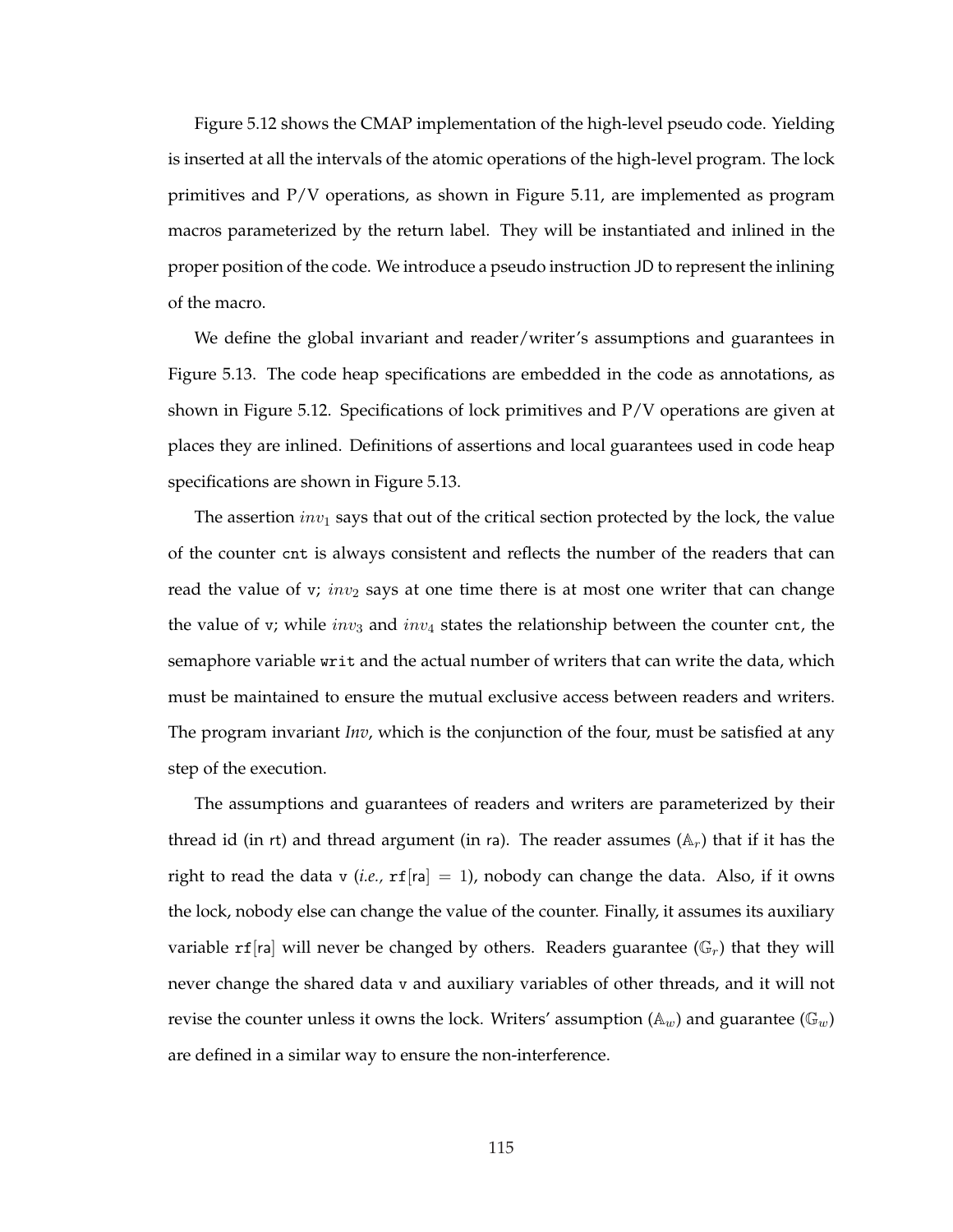Figure 5.12 shows the CMAP implementation of the high-level pseudo code. Yielding is inserted at all the intervals of the atomic operations of the high-level program. The lock primitives and P/V operations, as shown in Figure 5.11, are implemented as program macros parameterized by the return label. They will be instantiated and inlined in the proper position of the code. We introduce a pseudo instruction JD to represent the inlining of the macro.

We define the global invariant and reader/writer's assumptions and guarantees in Figure 5.13. The code heap specifications are embedded in the code as annotations, as shown in Figure 5.12. Specifications of lock primitives and P/V operations are given at places they are inlined. Definitions of assertions and local guarantees used in code heap specifications are shown in Figure 5.13.

The assertion  $inv_1$  says that out of the critical section protected by the lock, the value of the counter cnt is always consistent and reflects the number of the readers that can read the value of v;  $inv_2$  says at one time there is at most one writer that can change the value of v; while  $inv_3$  and  $inv_4$  states the relationship between the counter cnt, the semaphore variable writ and the actual number of writers that can write the data, which must be maintained to ensure the mutual exclusive access between readers and writers. The program invariant *Inv*, which is the conjunction of the four, must be satisfied at any step of the execution.

The assumptions and guarantees of readers and writers are parameterized by their thread id (in rt) and thread argument (in ra). The reader assumes ( $A_r$ ) that if it has the right to read the data v (*i.e.*,  $\text{rf}[r] = 1$ ), nobody can change the data. Also, if it owns the lock, nobody else can change the value of the counter. Finally, it assumes its auxiliary variable rf<sup>[ra]</sup> will never be changed by others. Readers guarantee  $(\mathbb{G}_r)$  that they will never change the shared data v and auxiliary variables of other threads, and it will not revise the counter unless it owns the lock. Writers' assumption ( $\mathbb{A}_w$ ) and guarantee ( $\mathbb{G}_w$ ) are defined in a similar way to ensure the non-interference.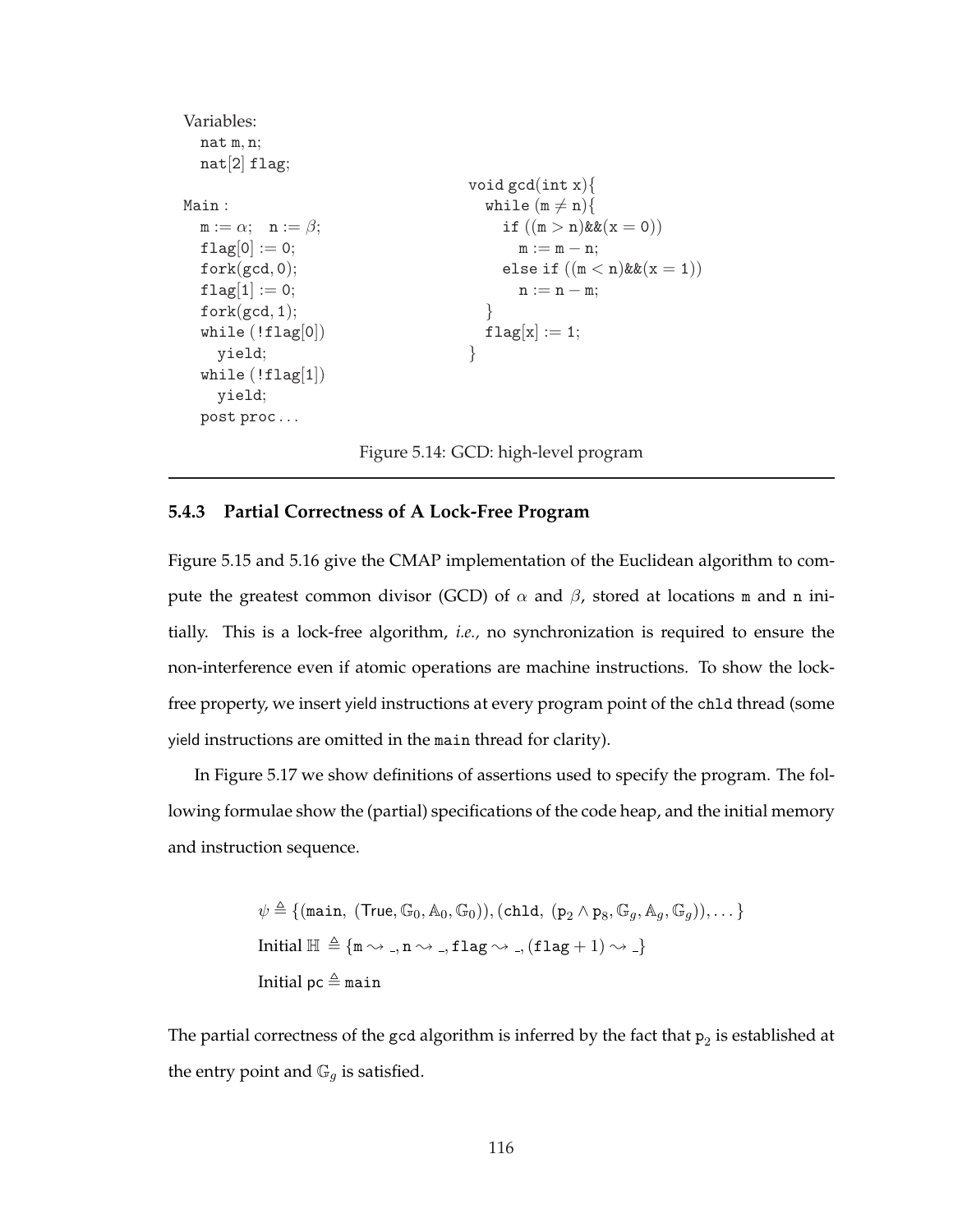```
Variables:
  nat m, n;
  nat[2] flag;
Main :
  m := \alpha; \quad n := \beta;flag[0] := 0;fork(gcd, 0);flag[1] := 0;fork(gcd, 1);while (!flag[0])yield;
  while (!flag[1])yield;
  post proc . . .
                                       void gcd(int x)while (m \neq n){
                                            if ((m > n)&(x = 0))m := m - n;else if ((m < n)&(x = 1))n := n - m;}
                                         flag[x] := 1;}
```
Figure 5.14: GCD: high-level program

# **5.4.3 Partial Correctness of A Lock-Free Program**

Figure 5.15 and 5.16 give the CMAP implementation of the Euclidean algorithm to compute the greatest common divisor (GCD) of  $\alpha$  and  $\beta$ , stored at locations m and n initially. This is a lock-free algorithm, *i.e.,* no synchronization is required to ensure the non-interference even if atomic operations are machine instructions. To show the lockfree property, we insert yield instructions at every program point of the chld thread (some yield instructions are omitted in the main thread for clarity).

In Figure 5.17 we show definitions of assertions used to specify the program. The following formulae show the (partial) specifications of the code heap, and the initial memory and instruction sequence.

> $\psi\triangleq\{(\texttt{main},\ (\mathsf{True},\mathbb{G}_0,\mathbb{A}_0,\mathbb{G}_0)),(\texttt{chld},\ (\mathtt{p}_2\land\mathtt{p}_8,\mathbb{G}_g,\mathbb{A}_g,\mathbb{G}_g)),\dots\}$ Initial  $\mathbb{H} \triangleq \{ \mathfrak{m} \leadsto \square, \mathfrak{n} \leadsto \square, \mathfrak{flag} \leadsto \square, (\mathtt{flag} + 1) \leadsto \square \}$ Initial pc  $\triangleq$  main

The partial correctness of the gcd algorithm is inferred by the fact that  $\mathtt{p}_2$  is established at the entry point and  $\mathbb{G}_q$  is satisfied.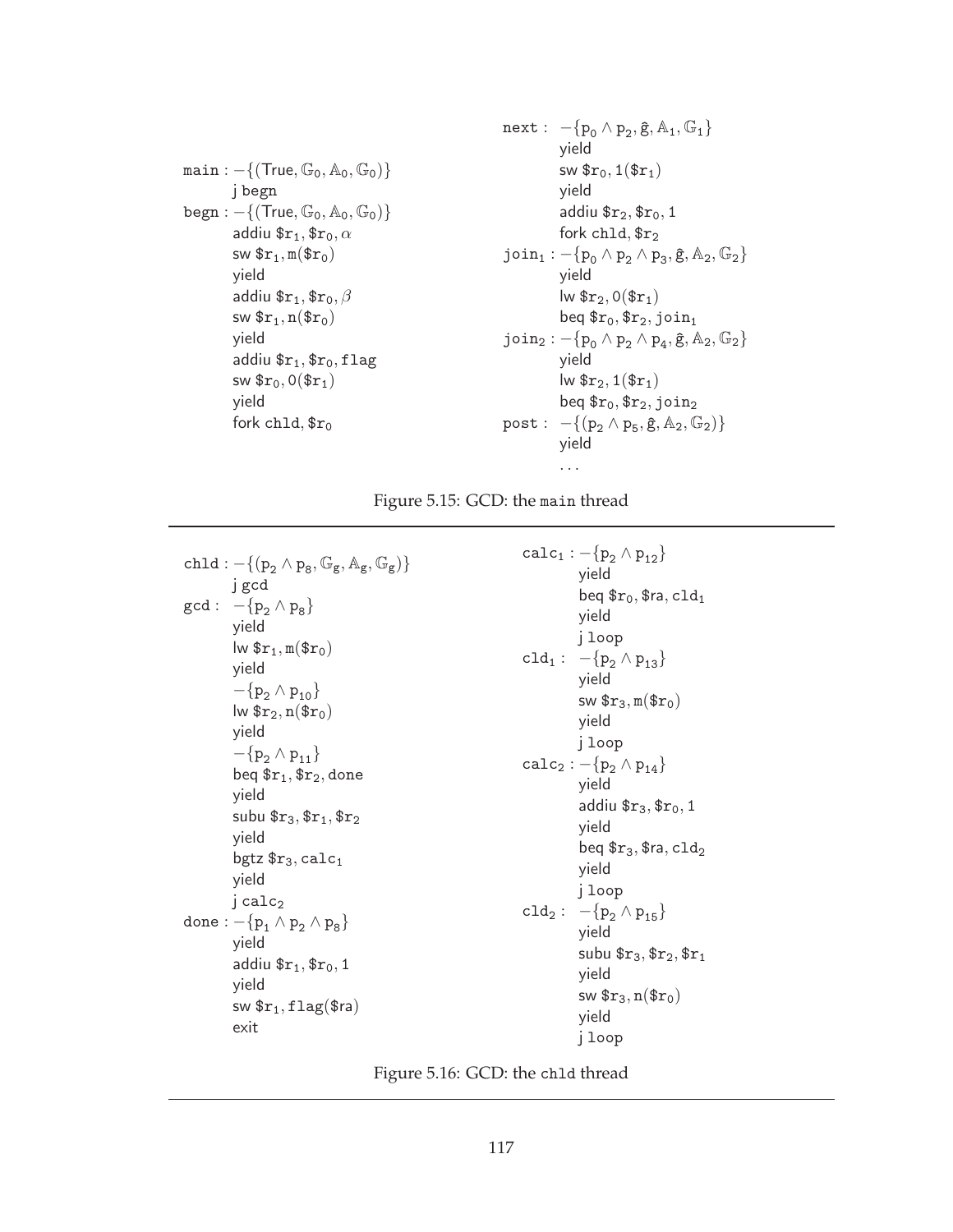$main:-\{(True, \mathbb{G}_0, \mathbb{A}_0, \mathbb{G}_0)\}$ j begn  $begn: -\{(\text{True}, \mathbb{G}_0, \mathbb{A}_0, \mathbb{G}_0)\}\$ addiu  $r_1$ ,  $r_0$ ,  $\alpha$ sw  $\text{$\mathfrak{s}r_1,\mathfrak{m}(\mathfrak{s}r_0)$}$ yield addiu  $r_1$ ,  $r_0$ ,  $\beta$ sw  $\mathfrak{sr}_1$ , n $(\mathfrak{sr}_0)$ yield addiu  $r_1$ ,  $r_0$ , flag sw  $\text{$\mathfrak{S}r_0,0$}(\text{$\mathfrak{S}r_1$})$ yield fork chld,  $fr_0$ 

next: 
$$
-\{p_0 \wedge p_2, \hat{g}, A_1, \mathbb{G}_1\}
$$
 yield  
\n $sw \$r_0, 1(\$r_1)$   
\nyield  
\naddiu  $\$r_2, \$r_0, 1$   
\nfork chld,  $\$r_2$   
\njoin $1 : -\{p_0 \wedge p_2 \wedge p_3, \hat{g}, A_2, \mathbb{G}_2\}$   
\nyield  
\n $lw \$r_2, 0(\$r_1)$   
\n $beq \$r_0, \$r_2, join_1$   
\njoin $2 : -\{p_0 \wedge p_2 \wedge p_4, \hat{g}, A_2, \mathbb{G}_2\}$   
\nyield  
\n $lw \$r_2, 1(\$r_1)$   
\n $beq \$r_0, \$r_2, join_2$   
\n $post : -\{(p_2 \wedge p_5, \hat{g}, A_2, \mathbb{G}_2)\}$   
\nyield  
\n...

Figure 5.15: GCD: the main thread

 $\texttt{chld} : -\{(\texttt{p}_2 \wedge \texttt{p}_8, \mathbb{G}_{\texttt{g}}, \mathbb{A}_{\texttt{g}}, \mathbb{G}_{\texttt{g}})\}$ j gcd  $gcd: -\{p_2 \wedge p_8\}$ yield  $\mathsf{lw}$   $\$ r<sub>1</sub>, m( $\mathsf{\$r}_0$ ) yield  $-\{p_2 \wedge p_{10}\}\$  $lw$   $r_2, n$  $(r_0)$ yield  $-\{p_2 \wedge p_{11}\}\$ beq  $r_1$ ,  $r_2$ , done yield subu  $r_3, r_1, r_2$ yield bgtz  $$r_3,$  calc<sub>1</sub> yield j calc<sub>2</sub> done :  $-\{p_1 \wedge p_2 \wedge p_8\}$ yield addiu  $r_1$ ,  $r_0$ , 1 yield sw  $r_1$ , flag(\$ra) exit

 $calc_1 : -\{p_2 \wedge p_{12}\}\$ yield beq  $r_0$ ,  $\text{fra}$ ,  $\text{cld}_1$ yield j loop cld<sub>1</sub> :  $-\{p_2 \wedge p_{13}\}$ yield sw  $\text{$\mathfrak{s}r_3,\mathfrak{m}(\mathfrak{s}r_0)$}$ yield j loop  $calc_2 : -\{p_2 \wedge p_{14}\}\$ yield addiu  $r_3$ ,  $r_0$ , 1 yield beq  $r_3$ ,  $r_3$ ,  $c1d_2$ yield j loop cld<sub>2</sub> :  $-\{p_2 \wedge p_{15}\}$ yield subu  $r_3$ ,  $r_2$ ,  $r_1$ yield sw  $\mathfrak{F}_{3}, n(\mathfrak{F}_{r_0})$ yield j loop

Figure 5.16: GCD: the chld thread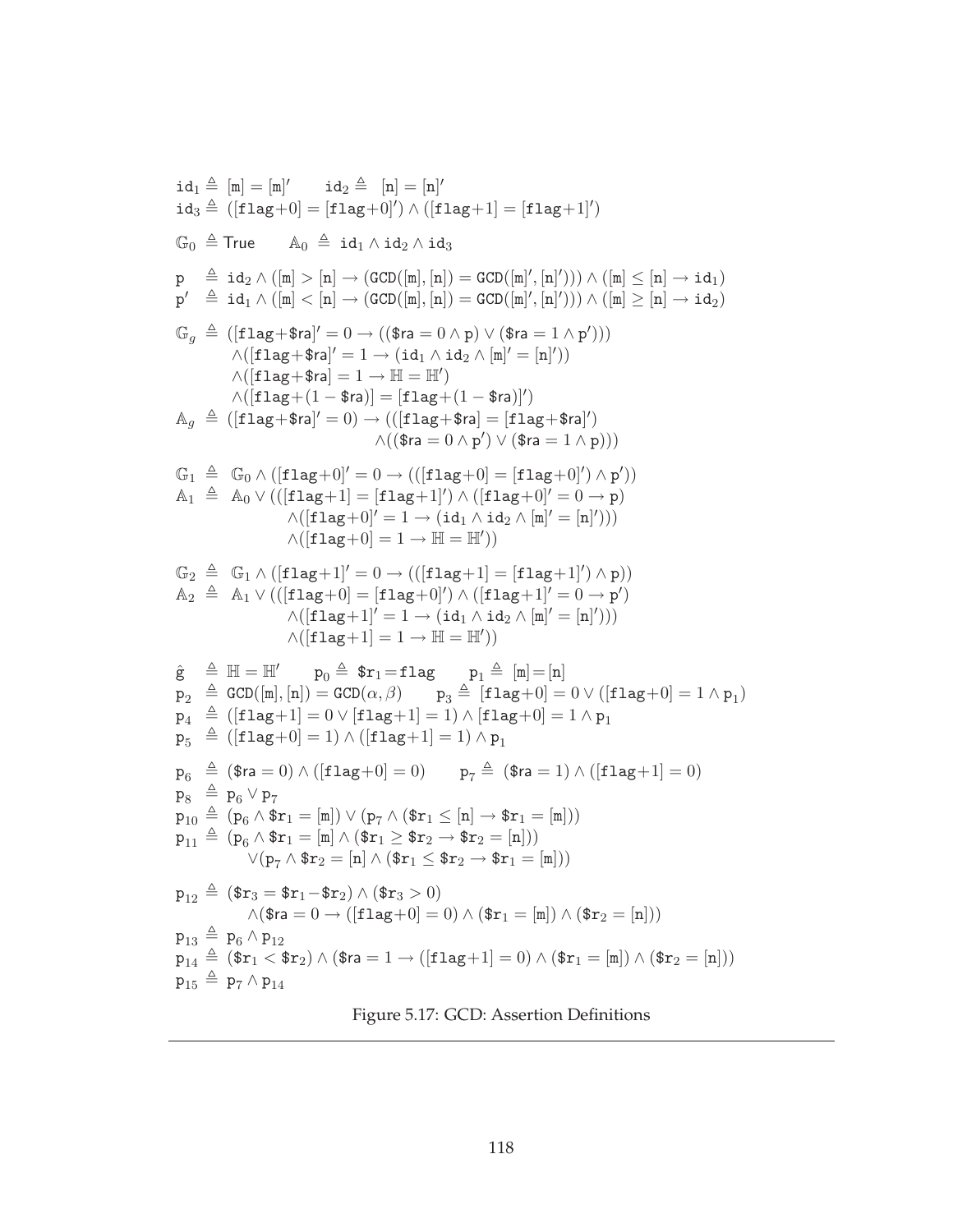$$
id_1 \triangleq [m] = [m]^\prime \qquad id_2 \triangleq [n] = [n]^\prime
$$
\n
$$
id_3 \triangleq ([flag+0] = [flag+0]^\prime) \land ([flag+1] = [flag+1]^\prime)
$$
\n
$$
G_0 \triangleq True \qquad A_0 \triangleq id_1 \land id_2 \land id_3
$$
\n
$$
p \triangleq id_2 \land ([m] > [n] \rightarrow (GCD([m], [n]) = GCD([m]^\prime, [n]^\prime))) \land ([m] \leq [n] \rightarrow id_1)
$$
\n
$$
p^\prime \triangleq id_1 \land ([m] < [n] \rightarrow (GCD([m], [n]) = GCD([m]^\prime, [n]^\prime))) \land ([m] \geq [n] \rightarrow id_2)
$$
\n
$$
G_g \triangleq ([flag+$ra]^\prime = 0 \rightarrow (($ra = 0 \land p) \lor ($ra = 1 \land p^\prime))))
$$
\n
$$
\land ([flag+$ra]^\prime = 1 \rightarrow [id_1 \land id_2 \land [m]^\prime = [n]^\prime))
$$
\n
$$
\land ([flag+$ra] = 1 \rightarrow [H = H^\prime)
$$
\n
$$
\land ([flag+$ra] = 1 \rightarrow [H = H^\prime])
$$
\n
$$
\land ([flag+0]^\prime = 0 \rightarrow (([flag+0] = [flag+3ra]^\prime])
$$
\n
$$
\land (($ra = 0 \land p^\prime) \lor ($ra = 1 \land p)))
$$
\n
$$
G_1 \triangleq G_0 \land ([flag+0]^\prime = 0 \rightarrow ([flag+0] = [flag+0]^\prime) \land p^\prime))
$$
\n
$$
A_1 \triangleq A_0 \lor (([flag+1] = [flag+1]^\prime) \land ([flag+0]^\prime = 0 \rightarrow p)
$$
\n
$$
\land ([flag+0]^\prime = 1 \rightarrow [id_1 \land id_2 \land [m]^\prime = [n]^\prime)))
$$
\n
$$
G_2 \triangleq G_1 \land ([flag+1]^\prime = 0 \rightarrow (([flag+1] = [flag+1]^\prime) \land p))
$$
\n
$$
\land ([flag+0] = 1 \rightarrow [id_1 \land id_2 \land [m]^\prime = [n]^\prime)))
$$
\n
$$
\land ([flag+0] = 1 \rightarrow [id_1 \land id_2
$$

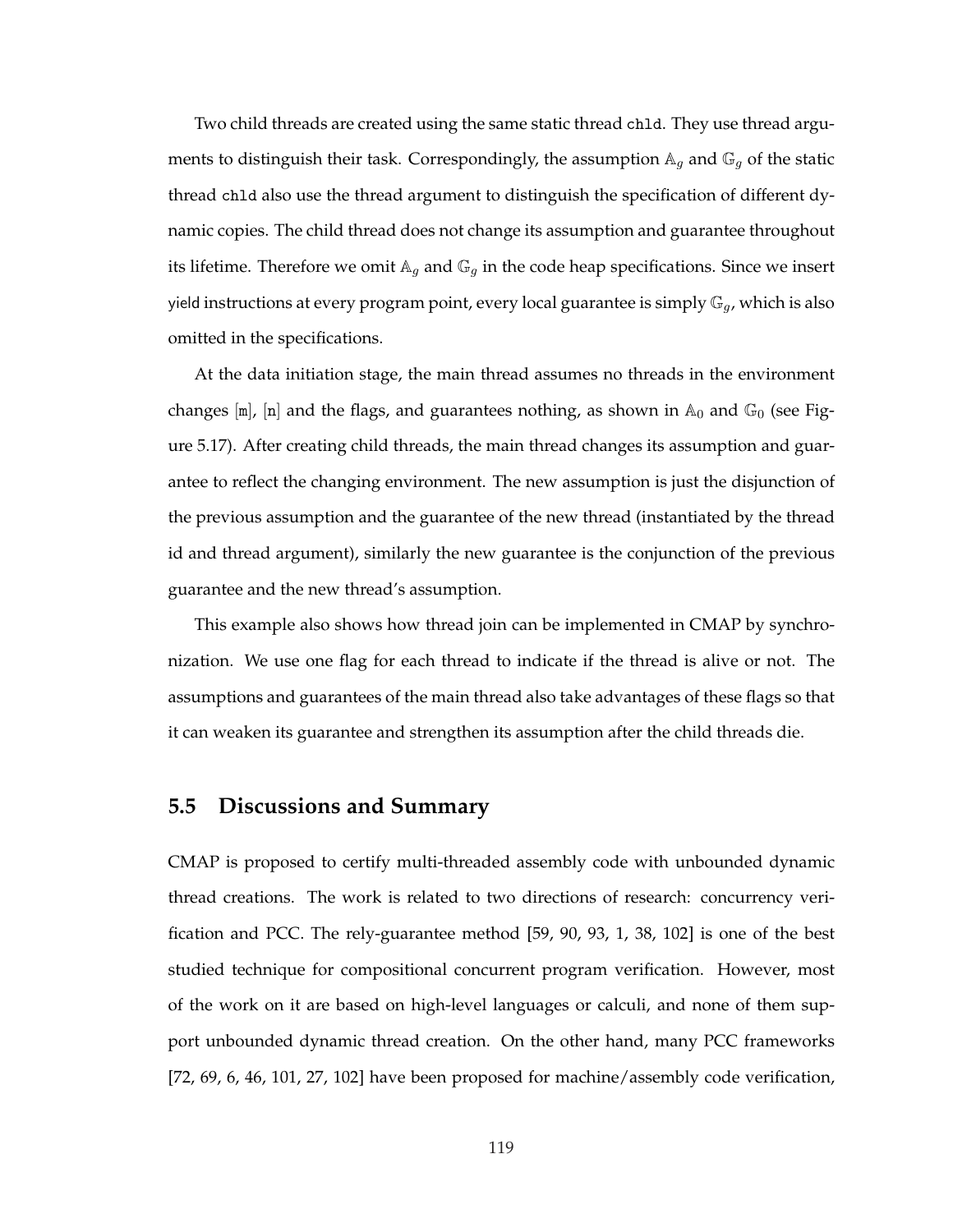Two child threads are created using the same static thread chld. They use thread arguments to distinguish their task. Correspondingly, the assumption  $A_g$  and  $G_g$  of the static thread chld also use the thread argument to distinguish the specification of different dynamic copies. The child thread does not change its assumption and guarantee throughout its lifetime. Therefore we omit  $A_g$  and  $\mathbb{G}_g$  in the code heap specifications. Since we insert yield instructions at every program point, every local guarantee is simply  $\mathbb{G}_q$ , which is also omitted in the specifications.

At the data initiation stage, the main thread assumes no threads in the environment changes  $[m]$ ,  $[n]$  and the flags, and guarantees nothing, as shown in  $\mathbb{A}_0$  and  $\mathbb{G}_0$  (see Figure 5.17). After creating child threads, the main thread changes its assumption and guarantee to reflect the changing environment. The new assumption is just the disjunction of the previous assumption and the guarantee of the new thread (instantiated by the thread id and thread argument), similarly the new guarantee is the conjunction of the previous guarantee and the new thread's assumption.

This example also shows how thread join can be implemented in CMAP by synchronization. We use one flag for each thread to indicate if the thread is alive or not. The assumptions and guarantees of the main thread also take advantages of these flags so that it can weaken its guarantee and strengthen its assumption after the child threads die.

# **5.5 Discussions and Summary**

CMAP is proposed to certify multi-threaded assembly code with unbounded dynamic thread creations. The work is related to two directions of research: concurrency verification and PCC. The rely-guarantee method [59, 90, 93, 1, 38, 102] is one of the best studied technique for compositional concurrent program verification. However, most of the work on it are based on high-level languages or calculi, and none of them support unbounded dynamic thread creation. On the other hand, many PCC frameworks [72, 69, 6, 46, 101, 27, 102] have been proposed for machine/assembly code verification,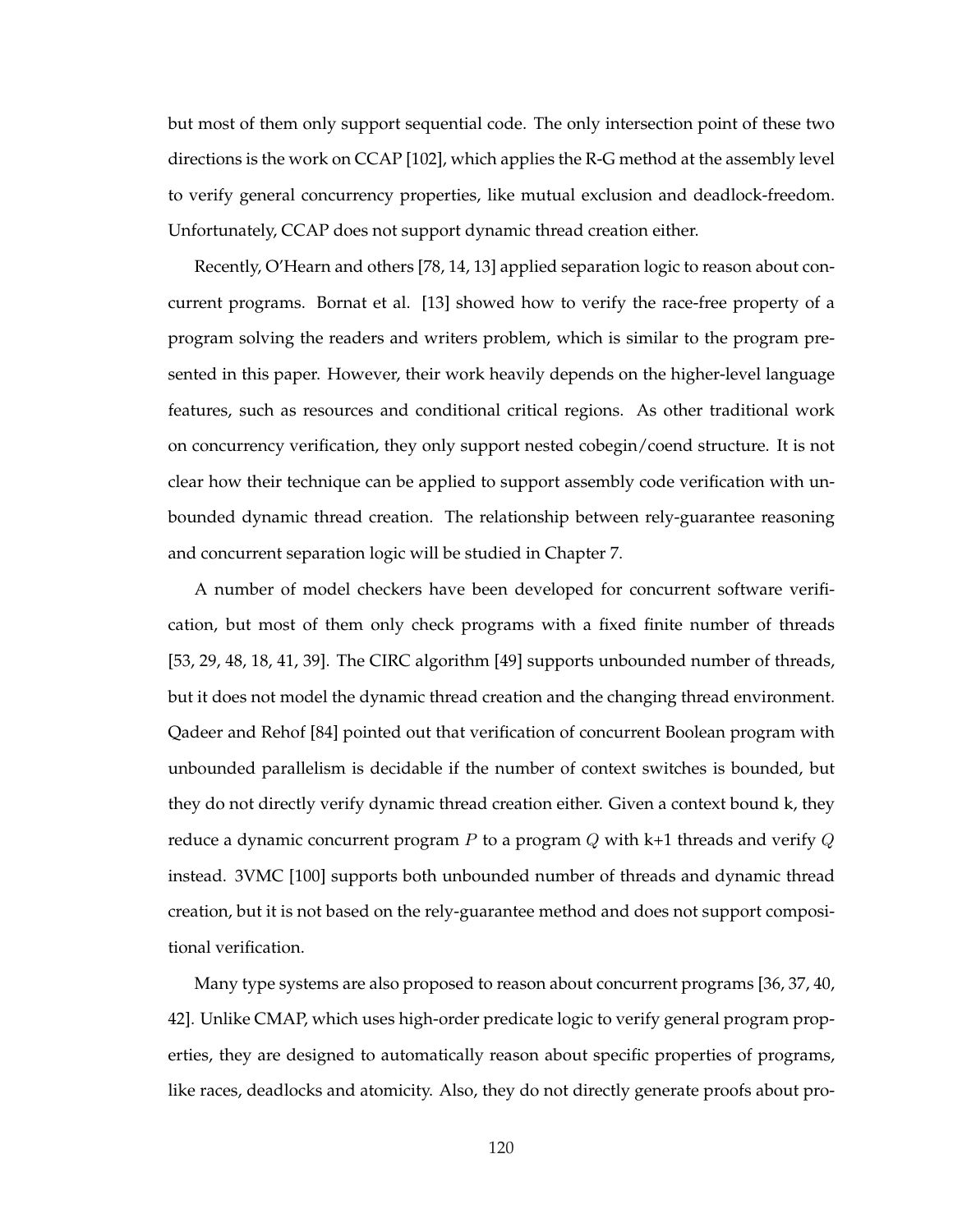but most of them only support sequential code. The only intersection point of these two directions is the work on CCAP [102], which applies the R-G method at the assembly level to verify general concurrency properties, like mutual exclusion and deadlock-freedom. Unfortunately, CCAP does not support dynamic thread creation either.

Recently, O'Hearn and others [78, 14, 13] applied separation logic to reason about concurrent programs. Bornat et al. [13] showed how to verify the race-free property of a program solving the readers and writers problem, which is similar to the program presented in this paper. However, their work heavily depends on the higher-level language features, such as resources and conditional critical regions. As other traditional work on concurrency verification, they only support nested cobegin/coend structure. It is not clear how their technique can be applied to support assembly code verification with unbounded dynamic thread creation. The relationship between rely-guarantee reasoning and concurrent separation logic will be studied in Chapter 7.

A number of model checkers have been developed for concurrent software verification, but most of them only check programs with a fixed finite number of threads [53, 29, 48, 18, 41, 39]. The CIRC algorithm [49] supports unbounded number of threads, but it does not model the dynamic thread creation and the changing thread environment. Qadeer and Rehof [84] pointed out that verification of concurrent Boolean program with unbounded parallelism is decidable if the number of context switches is bounded, but they do not directly verify dynamic thread creation either. Given a context bound k, they reduce a dynamic concurrent program P to a program  $Q$  with  $k+1$  threads and verify  $Q$ instead. 3VMC [100] supports both unbounded number of threads and dynamic thread creation, but it is not based on the rely-guarantee method and does not support compositional verification.

Many type systems are also proposed to reason about concurrent programs [36, 37, 40, 42]. Unlike CMAP, which uses high-order predicate logic to verify general program properties, they are designed to automatically reason about specific properties of programs, like races, deadlocks and atomicity. Also, they do not directly generate proofs about pro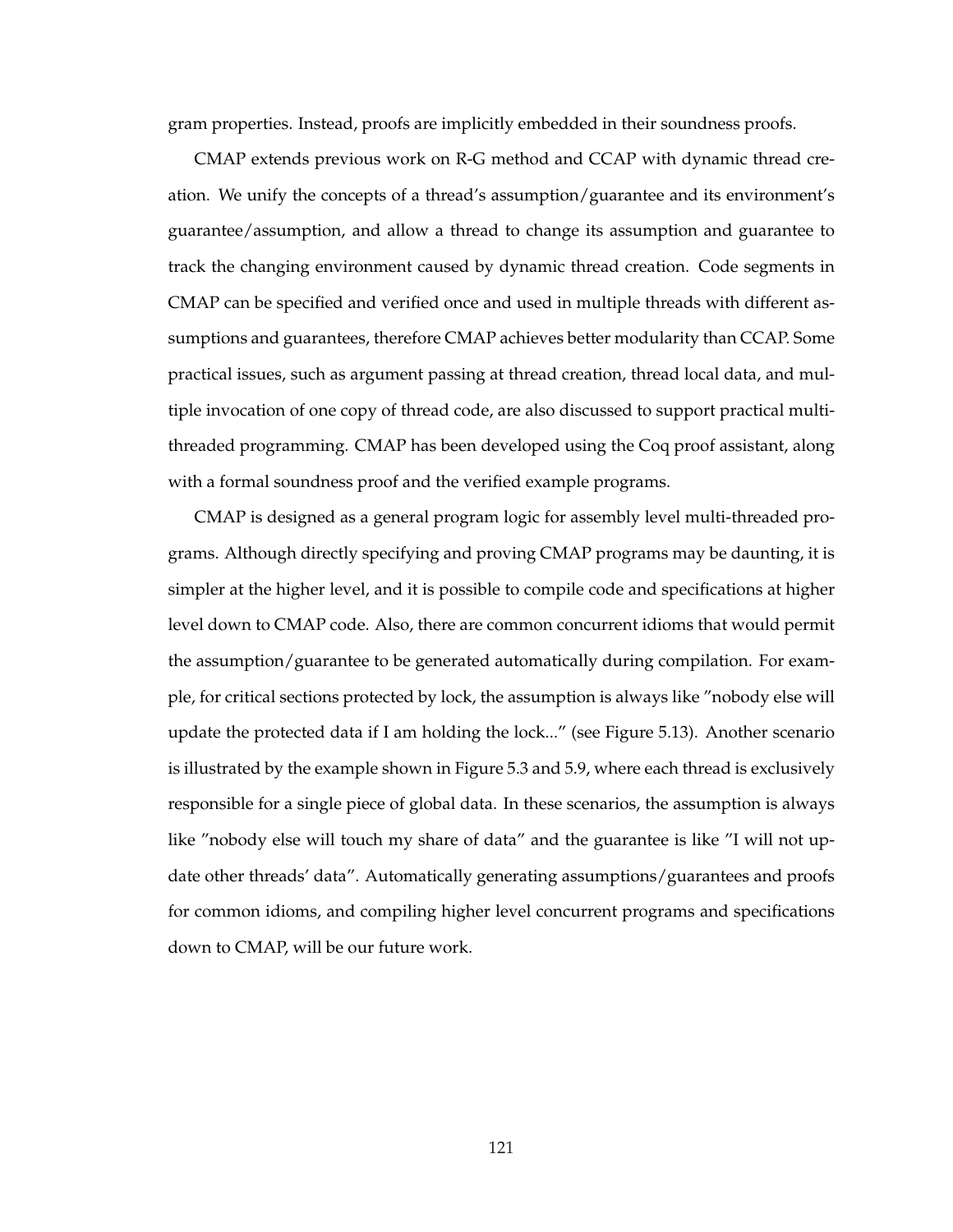gram properties. Instead, proofs are implicitly embedded in their soundness proofs.

CMAP extends previous work on R-G method and CCAP with dynamic thread creation. We unify the concepts of a thread's assumption/guarantee and its environment's guarantee/assumption, and allow a thread to change its assumption and guarantee to track the changing environment caused by dynamic thread creation. Code segments in CMAP can be specified and verified once and used in multiple threads with different assumptions and guarantees, therefore CMAP achieves better modularity than CCAP. Some practical issues, such as argument passing at thread creation, thread local data, and multiple invocation of one copy of thread code, are also discussed to support practical multithreaded programming. CMAP has been developed using the Coq proof assistant, along with a formal soundness proof and the verified example programs.

CMAP is designed as a general program logic for assembly level multi-threaded programs. Although directly specifying and proving CMAP programs may be daunting, it is simpler at the higher level, and it is possible to compile code and specifications at higher level down to CMAP code. Also, there are common concurrent idioms that would permit the assumption/guarantee to be generated automatically during compilation. For example, for critical sections protected by lock, the assumption is always like "nobody else will update the protected data if I am holding the lock..." (see Figure 5.13). Another scenario is illustrated by the example shown in Figure 5.3 and 5.9, where each thread is exclusively responsible for a single piece of global data. In these scenarios, the assumption is always like "nobody else will touch my share of data" and the guarantee is like "I will not update other threads' data". Automatically generating assumptions/guarantees and proofs for common idioms, and compiling higher level concurrent programs and specifications down to CMAP, will be our future work.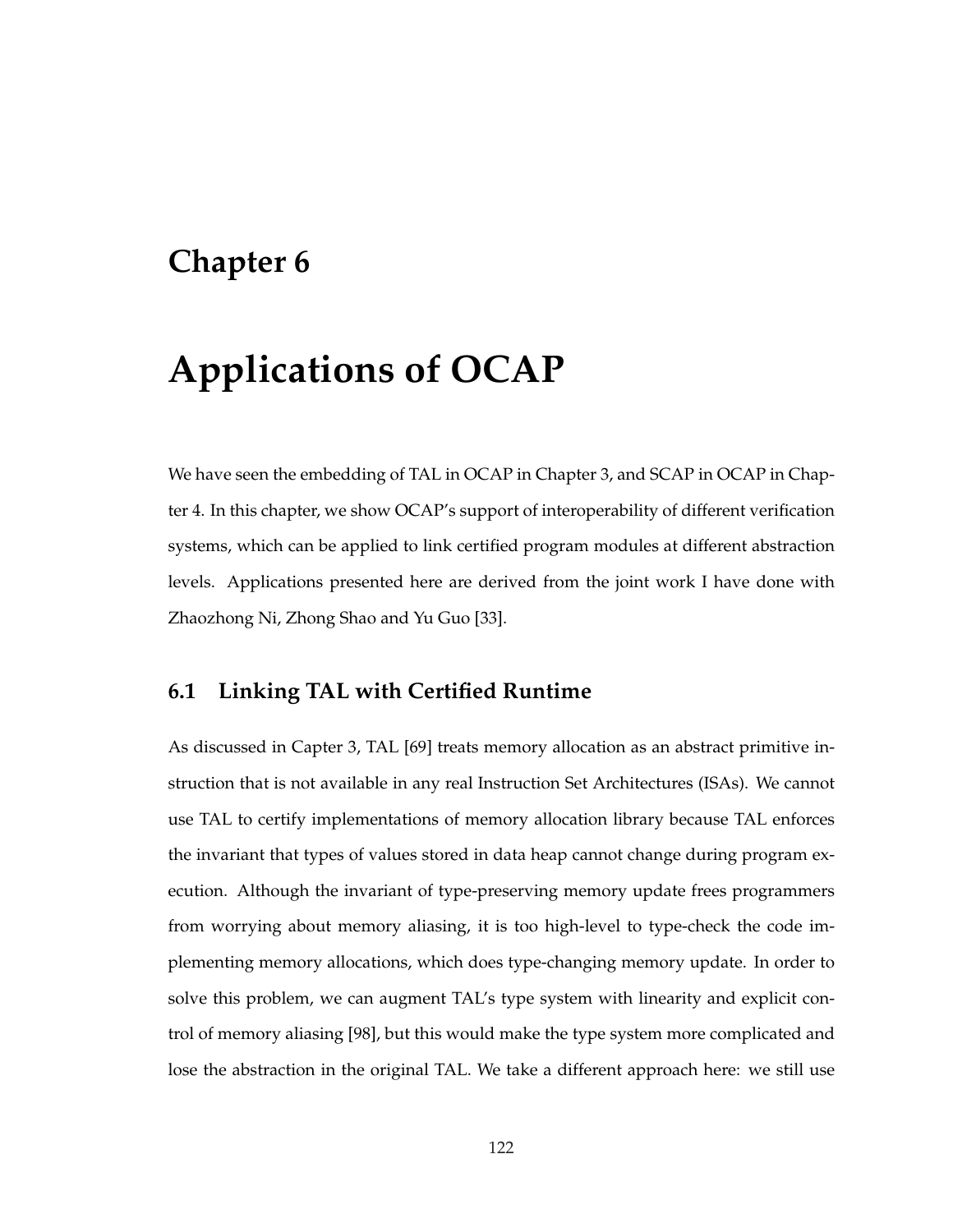# **Chapter 6**

# **Applications of OCAP**

We have seen the embedding of TAL in OCAP in Chapter 3, and SCAP in OCAP in Chapter 4. In this chapter, we show OCAP's support of interoperability of different verification systems, which can be applied to link certified program modules at different abstraction levels. Applications presented here are derived from the joint work I have done with Zhaozhong Ni, Zhong Shao and Yu Guo [33].

# **6.1 Linking TAL with Certified Runtime**

As discussed in Capter 3, TAL [69] treats memory allocation as an abstract primitive instruction that is not available in any real Instruction Set Architectures (ISAs). We cannot use TAL to certify implementations of memory allocation library because TAL enforces the invariant that types of values stored in data heap cannot change during program execution. Although the invariant of type-preserving memory update frees programmers from worrying about memory aliasing, it is too high-level to type-check the code implementing memory allocations, which does type-changing memory update. In order to solve this problem, we can augment TAL's type system with linearity and explicit control of memory aliasing [98], but this would make the type system more complicated and lose the abstraction in the original TAL. We take a different approach here: we still use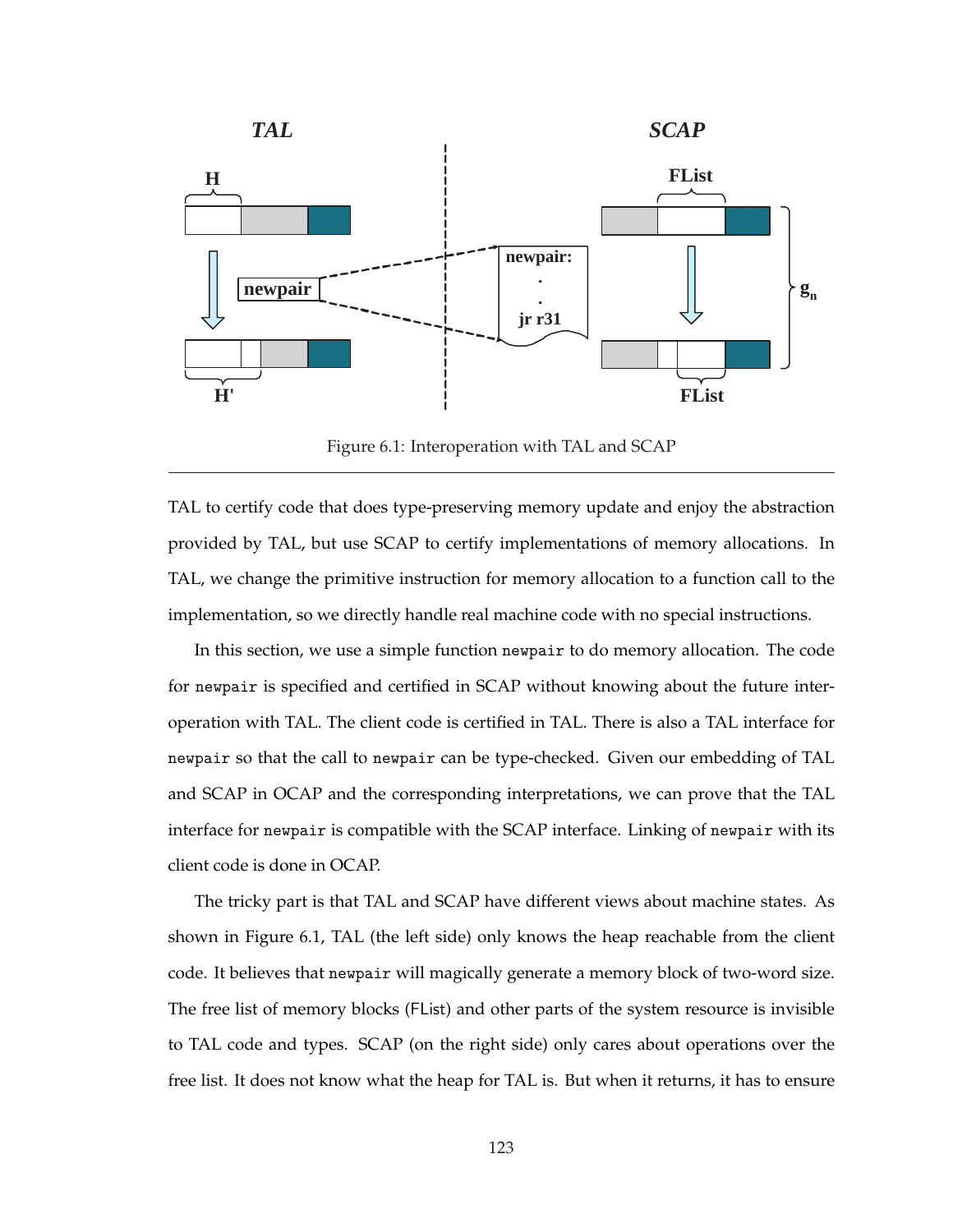

Figure 6.1: Interoperation with TAL and SCAP

TAL to certify code that does type-preserving memory update and enjoy the abstraction provided by TAL, but use SCAP to certify implementations of memory allocations. In TAL, we change the primitive instruction for memory allocation to a function call to the implementation, so we directly handle real machine code with no special instructions.

In this section, we use a simple function newpair to do memory allocation. The code for newpair is specified and certified in SCAP without knowing about the future interoperation with TAL. The client code is certified in TAL. There is also a TAL interface for newpair so that the call to newpair can be type-checked. Given our embedding of TAL and SCAP in OCAP and the corresponding interpretations, we can prove that the TAL interface for newpair is compatible with the SCAP interface. Linking of newpair with its client code is done in OCAP.

The tricky part is that TAL and SCAP have different views about machine states. As shown in Figure 6.1, TAL (the left side) only knows the heap reachable from the client code. It believes that newpair will magically generate a memory block of two-word size. The free list of memory blocks (FList) and other parts of the system resource is invisible to TAL code and types. SCAP (on the right side) only cares about operations over the free list. It does not know what the heap for TAL is. But when it returns, it has to ensure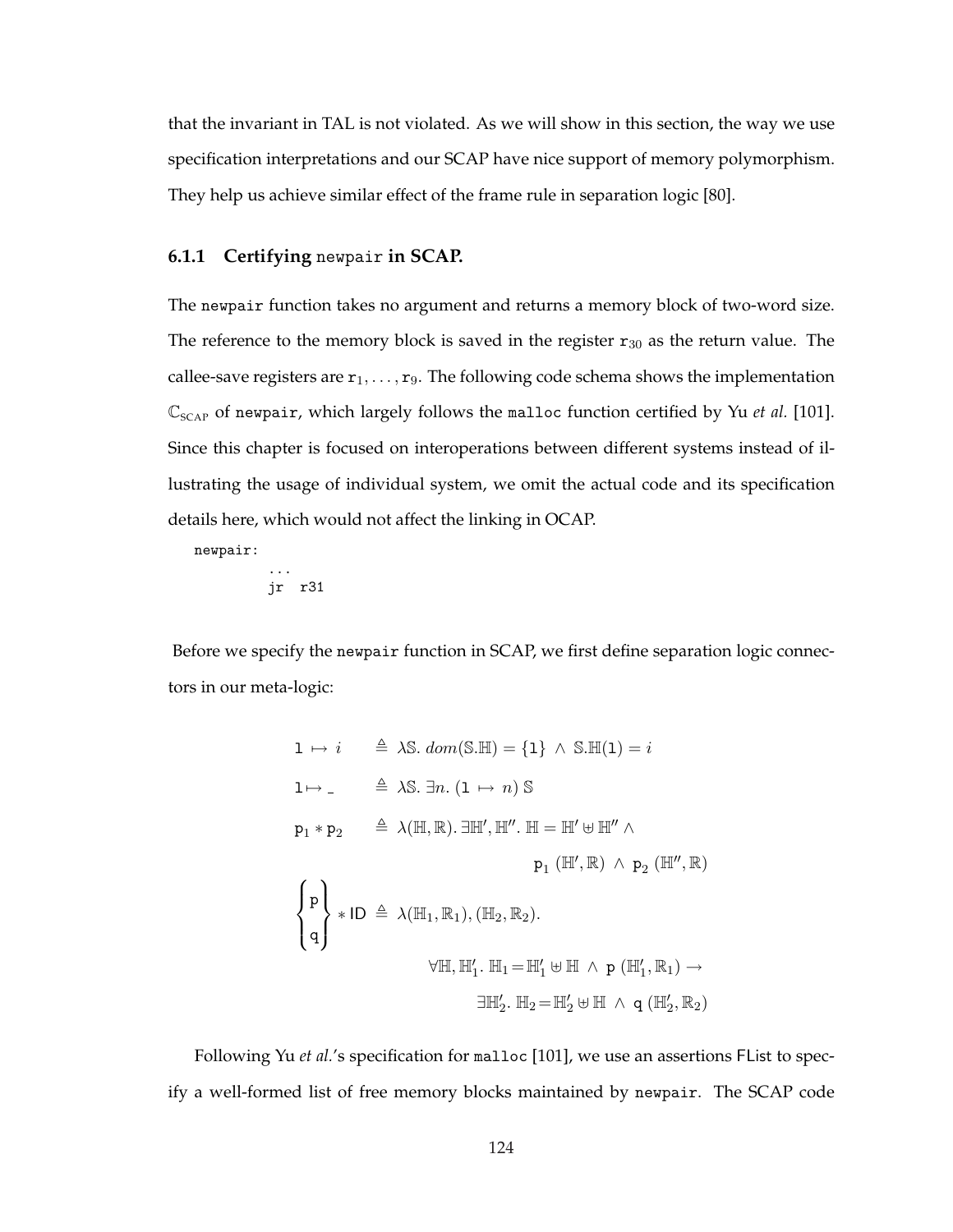that the invariant in TAL is not violated. As we will show in this section, the way we use specification interpretations and our SCAP have nice support of memory polymorphism. They help us achieve similar effect of the frame rule in separation logic [80].

## **6.1.1 Certifying** newpair **in SCAP.**

The newpair function takes no argument and returns a memory block of two-word size. The reference to the memory block is saved in the register  $r_{30}$  as the return value. The callee-save registers are  $r_1, \ldots, r_9$ . The following code schema shows the implementation  $\mathbb{C}_{SCAP}$  of newpair, which largely follows the malloc function certified by Yu *et al.* [101]. Since this chapter is focused on interoperations between different systems instead of illustrating the usage of individual system, we omit the actual code and its specification details here, which would not affect the linking in OCAP.

newpair:

$$
\begin{array}{c}\n\cdots \\
\text{jr } r31\n\end{array}
$$

Before we specify the newpair function in SCAP, we first define separation logic connectors in our meta-logic:

1 
$$
\mapsto i
$$
  $\triangleq$  AS. dom(S.HI) = {1}  $\wedge$  S.HI(1) =  $i$   
\n1 $\mapsto$   $\triangleq$  AS.  $\exists n. (1 \mapsto n)$  S  
\n $p_1 * p_2$   $\triangleq \lambda(H, \mathbb{R}). \exists \mathbb{H}', \mathbb{H}''.$   $\mathbb{H} = \mathbb{H}' \oplus \mathbb{H}'' \wedge$   
\n $p_1(H', \mathbb{R}) \wedge p_2(H'', \mathbb{R})$   
\n $\begin{Bmatrix} p \\ q \end{Bmatrix} * ID \triangleq \lambda(\mathbb{H}_1, \mathbb{R}_1), (\mathbb{H}_2, \mathbb{R}_2).$   
\n $\forall \mathbb{H}, \mathbb{H}'_1.$   $\mathbb{H}_1 = \mathbb{H}'_1 \oplus \mathbb{H} \wedge p(H'_1, \mathbb{R}_1) \rightarrow$   
\n $\exists \mathbb{H}'_2.$   $\mathbb{H}_2 = \mathbb{H}'_2 \oplus \mathbb{H} \wedge q(H'_2, \mathbb{R}_2)$ 

Following Yu *et al.*'s specification for malloc [101], we use an assertions FList to specify a well-formed list of free memory blocks maintained by newpair. The SCAP code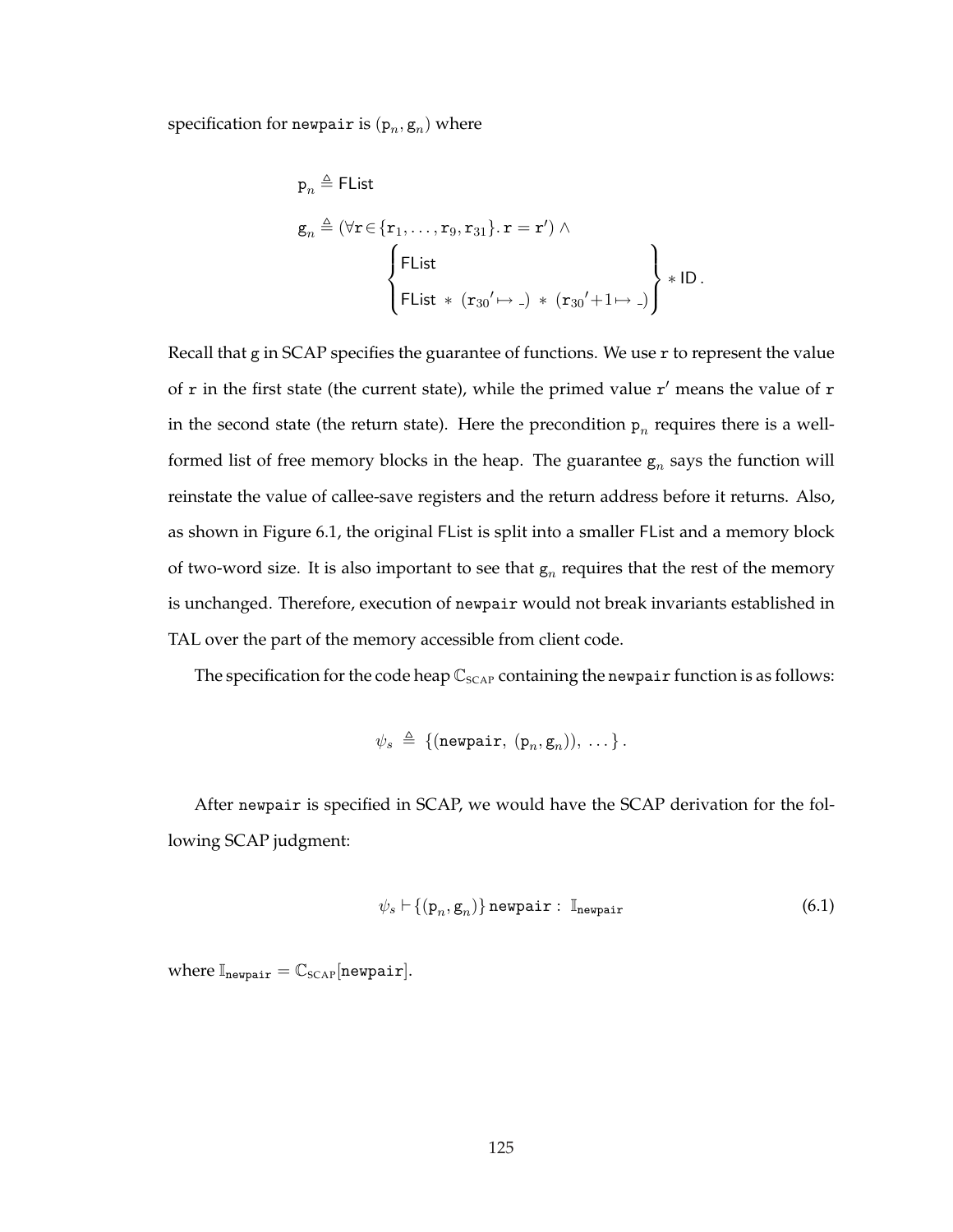specification for newpair is  $(\mathtt{p}_n,\mathtt{g}_n)$  where

$$
p_n \triangleq \text{Flist}
$$
\n
$$
g_n \triangleq (\forall r \in \{r_1, \ldots, r_9, r_{31}\} \cdot r = r') \wedge \left\{\n \begin{aligned}\n &\text{Flist} \\
 &\text{Flist} \\
 &\text{Flist} * (r_{30}' \mapsto \text{-}) * (r_{30}' + 1 \mapsto \text{-})\n \end{aligned}\n \right\} * ID.
$$

Recall that g in SCAP specifies the guarantee of functions. We use  $r$  to represent the value of  $r$  in the first state (the current state), while the primed value  $r'$  means the value of  $r$ in the second state (the return state). Here the precondition  $p_n$  requires there is a wellformed list of free memory blocks in the heap. The guarantee  $g_n$  says the function will reinstate the value of callee-save registers and the return address before it returns. Also, as shown in Figure 6.1, the original FList is split into a smaller FList and a memory block of two-word size. It is also important to see that  $g_n$  requires that the rest of the memory is unchanged. Therefore, execution of newpair would not break invariants established in TAL over the part of the memory accessible from client code.

The specification for the code heap  $\mathbb{C}_{SCAP}$  containing the newpair function is as follows:

$$
\psi_s \triangleq \{(\text{newpair}, (\mathbf{p}_n, \mathbf{g}_n)), \ldots\}.
$$

After newpair is specified in SCAP, we would have the SCAP derivation for the following SCAP judgment:

$$
\psi_s \vdash \{(\mathbf{p}_n, \mathbf{g}_n)\}\ \text{newpair} : \ \mathbb{I}_{\text{newpair}} \tag{6.1}
$$

where  $\mathbb{I}_{\text{newpair}} = \mathbb{C}_{\text{SCAP}}[\text{newpair}].$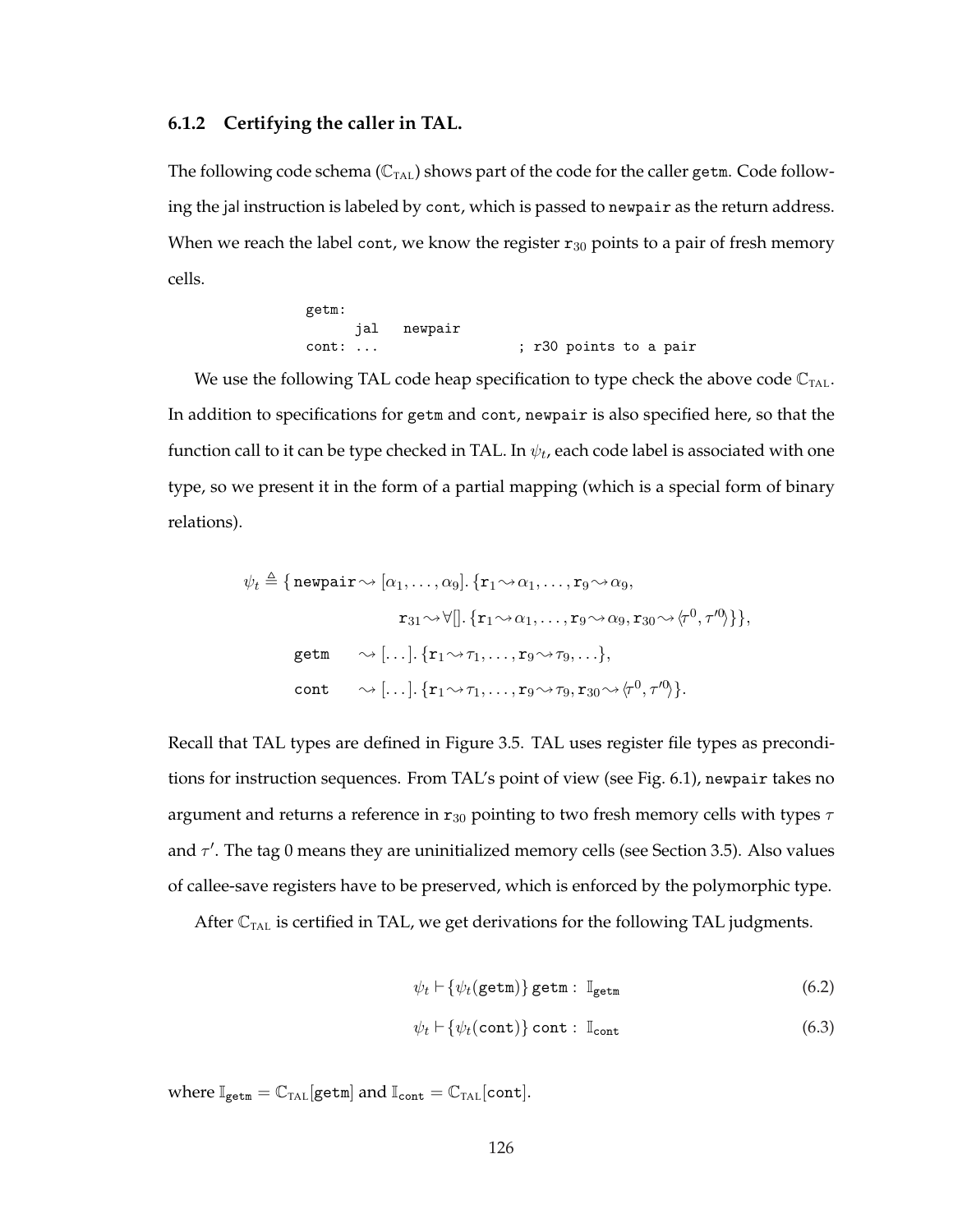### **6.1.2 Certifying the caller in TAL.**

The following code schema ( $\mathbb{C}_{\text{TAL}}$ ) shows part of the code for the caller getm. Code following the jal instruction is labeled by cont, which is passed to newpair as the return address. When we reach the label cont, we know the register  $r_{30}$  points to a pair of fresh memory cells.

```
getm:
    jal newpair
cont: ... <br>
; r30 points to a pair
```
We use the following TAL code heap specification to type check the above code  $\mathbb{C}_{\text{TAL}}$ . In addition to specifications for getm and cont, newpair is also specified here, so that the function call to it can be type checked in TAL. In  $\psi_t$ , each code label is associated with one type, so we present it in the form of a partial mapping (which is a special form of binary relations).

$$
\psi_t \triangleq \{ \text{newpair} \leadsto [\alpha_1, \ldots, \alpha_9] \cdot \{ \mathbf{r}_1 \leadsto \alpha_1, \ldots, \mathbf{r}_9 \leadsto \alpha_9, \\ \mathbf{r}_{31} \leadsto \forall [] \cdot \{ \mathbf{r}_1 \leadsto \alpha_1, \ldots, \mathbf{r}_9 \leadsto \alpha_9, \mathbf{r}_{30} \leadsto \langle \tau^0, \tau^0 \rangle \} \},
$$
\n
$$
\text{getm} \qquad \leadsto [\ldots] \cdot \{ \mathbf{r}_1 \leadsto \tau_1, \ldots, \mathbf{r}_9 \leadsto \tau_9, \ldots \},
$$
\n
$$
\text{cont} \qquad \leadsto [\ldots] \cdot \{ \mathbf{r}_1 \leadsto \tau_1, \ldots, \mathbf{r}_9 \leadsto \tau_9, \mathbf{r}_{30} \leadsto \langle \tau^0, \tau^0 \rangle \}.
$$

Recall that TAL types are defined in Figure 3.5. TAL uses register file types as preconditions for instruction sequences. From TAL's point of view (see Fig. 6.1), newpair takes no argument and returns a reference in  $r_{30}$  pointing to two fresh memory cells with types  $\tau$ and  $\tau'$ . The tag 0 means they are uninitialized memory cells (see Section 3.5). Also values of callee-save registers have to be preserved, which is enforced by the polymorphic type.

After  $\mathbb{C}_{\text{TAL}}$  is certified in TAL, we get derivations for the following TAL judgments.

$$
\psi_t \vdash \{\psi_t(\texttt{getm})\} \texttt{getm} : \mathbb{I}_{\texttt{getm}} \tag{6.2}
$$

$$
\psi_t \vdash \{\psi_t(\texttt{cont})\} \text{ cont} : \mathbb{I}_{\text{cont}} \tag{6.3}
$$

where  $\mathbb{I}_{\text{getm}} = \mathbb{C}_{\text{TAL}}[\text{getm}]$  and  $\mathbb{I}_{\text{cont}} = \mathbb{C}_{\text{TAL}}[\text{cont}]$ .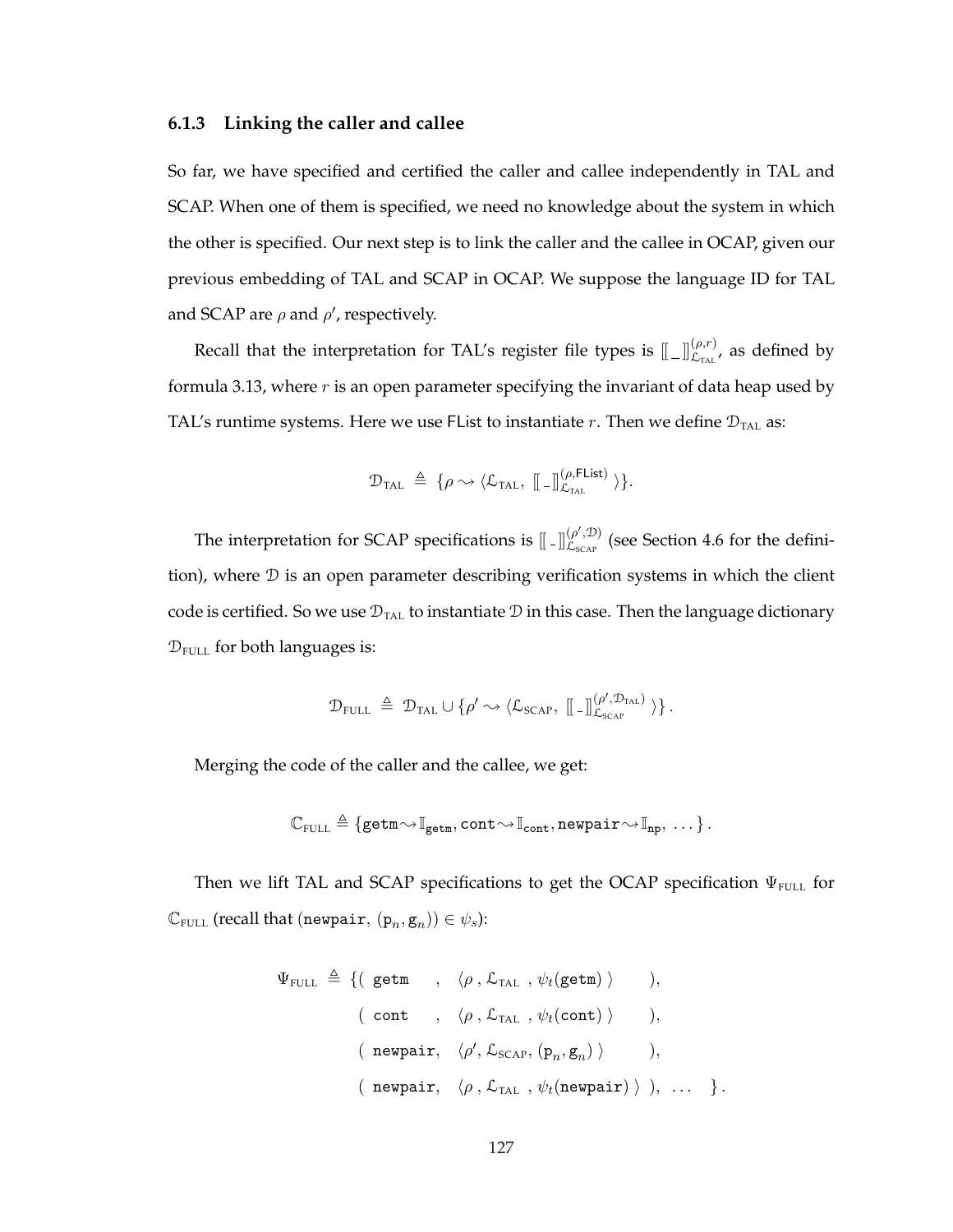### **6.1.3 Linking the caller and callee**

So far, we have specified and certified the caller and callee independently in TAL and SCAP. When one of them is specified, we need no knowledge about the system in which the other is specified. Our next step is to link the caller and the callee in OCAP, given our previous embedding of TAL and SCAP in OCAP. We suppose the language ID for TAL and SCAP are  $\rho$  and  $\rho'$ , respectively.

Recall that the interpretation for TAL's register file types is  $[\![\,\_\,]\!]_{\mathcal{L}_{\text{TAL}}}^{(\rho,r)},$  as defined by formula 3.13, where  $r$  is an open parameter specifying the invariant of data heap used by TAL's runtime systems. Here we use FList to instantiate r. Then we define  $\mathcal{D}_{\text{TAL}}$  as:

$$
\mathcal{D}_{\text{TAL}} \triangleq \{ \rho \rightsquigarrow \langle \mathcal{L}_{\text{TAL}}, [\![\;.\;]\!]_{\mathcal{L}_{\text{TAL}}}^{(\rho,\text{Flist})} \rangle \}.
$$

The interpretation for SCAP specifications is  $\lbrack \cdot \rbrack \rbrack_{C_{\text{max}}}^{(\rho', \mathcal{D})}$  $L_{S_{\text{CAP}}}^{(\rho, D)}$  (see Section 4.6 for the definition), where  $D$  is an open parameter describing verification systems in which the client code is certified. So we use  $\mathcal{D}_{\text{TAL}}$  to instantiate  $\mathcal D$  in this case. Then the language dictionary  $\mathcal{D}_{\text{FULL}}$  for both languages is:

$$
\mathcal{D}_{\text{FULL}} \ \triangleq \ \mathcal{D}_{\text{TAL}} \cup \{\rho' \leadsto \langle \mathcal{L}_{\text{SCAP}}, \ [\! [\;_- ] \! ] \! ]_{\mathcal{L}_{\text{SCAP}}}^{(\rho', \mathcal{D}_{\text{TAL}})} \, \rangle \} \, .
$$

Merging the code of the caller and the callee, we get:

$$
\mathbb{C}_{\texttt{FULL}}\triangleq\{\texttt{getm}\!\leadsto\!\mathbb{I}_{\texttt{getm}},\texttt{cont}\!\leadsto\!\mathbb{I}_{\texttt{cont}},\texttt{newpair}\!\leadsto\!\mathbb{I}_{\texttt{np}},\ \dots\}\,.
$$

Then we lift TAL and SCAP specifications to get the OCAP specification  $\Psi_{\text{FULL}}$  for  $\mathbb{C}_{\texttt{FULL}}$  (recall that (newpair,  $(\mathtt{p}_n, \mathtt{g}_n)) \in \psi_s$ ):

$$
\Psi_{\text{FULL}} \triangleq \{ (\text{getm} \quad , \langle \rho \,, \mathcal{L}_{\text{TAL}} \,, \psi_t(\text{getm}) \rangle \quad ),
$$
\n
$$
(\text{ cont} \quad , \langle \rho \,, \mathcal{L}_{\text{TAL}} \,, \psi_t(\text{cont}) \rangle \quad ),
$$
\n
$$
(\text{newpair}, \langle \rho', \mathcal{L}_{\text{SCAP}}, (\mathbf{p}_n, \mathbf{g}_n) \rangle \quad ),
$$
\n
$$
(\text{newpair}, \langle \rho \,, \mathcal{L}_{\text{TAL}} \,, \psi_t(\text{newpair}) \rangle ), \dots \}.
$$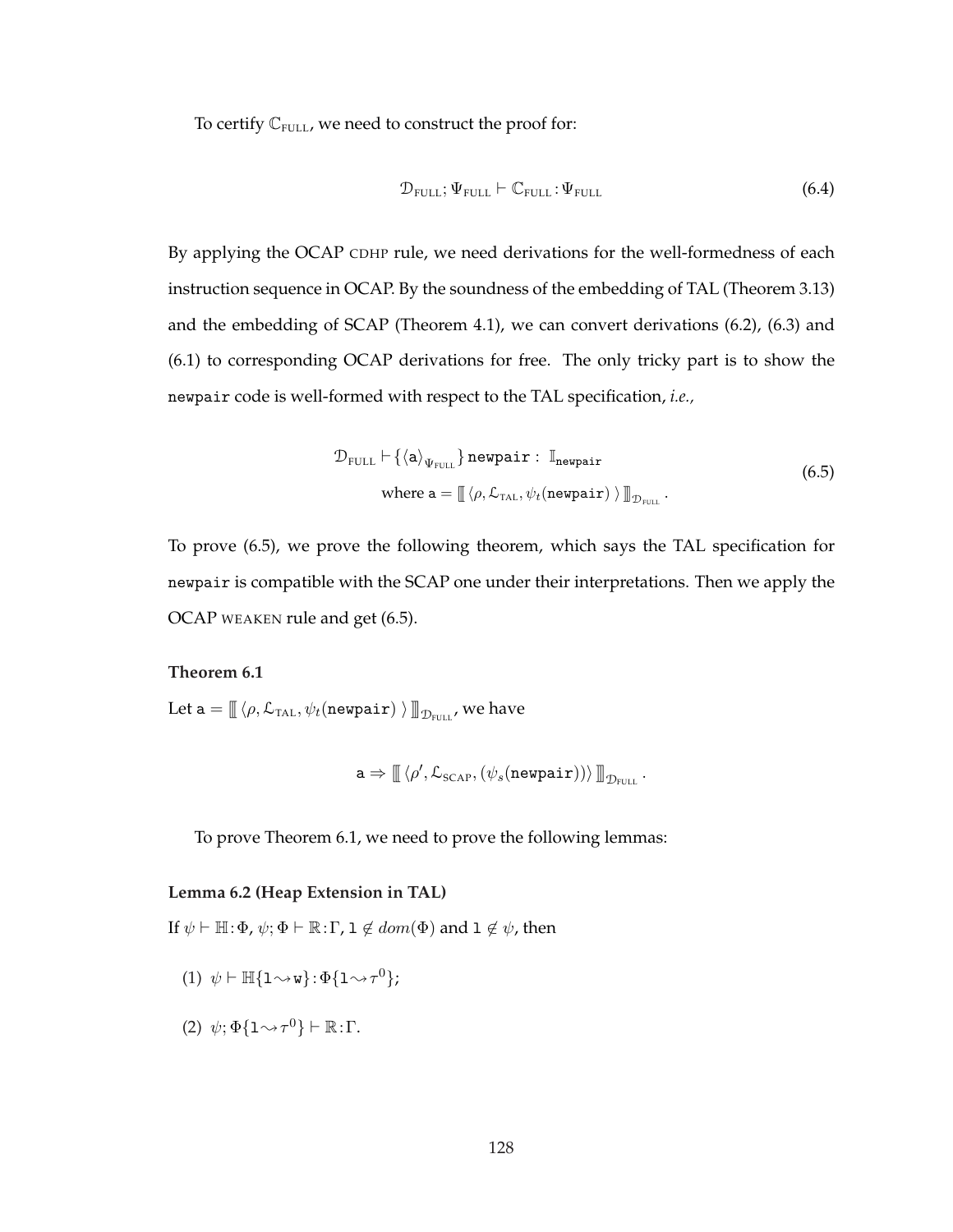To certify  $\mathbb{C}_{\text{FULL}}$ , we need to construct the proof for:

$$
\mathcal{D}_{\text{FULL}}; \Psi_{\text{FULL}} \vdash \mathbb{C}_{\text{FULL}}; \Psi_{\text{FULL}} \tag{6.4}
$$

By applying the OCAP CDHP rule, we need derivations for the well-formedness of each instruction sequence in OCAP. By the soundness of the embedding of TAL (Theorem 3.13) and the embedding of SCAP (Theorem 4.1), we can convert derivations (6.2), (6.3) and (6.1) to corresponding OCAP derivations for free. The only tricky part is to show the newpair code is well-formed with respect to the TAL specification, *i.e.,*

$$
\mathcal{D}_{\text{FULL}} \vdash \{\langle \mathbf{a} \rangle_{\Psi_{\text{FULL}}} \} \text{ newpair}: \mathbb{I}_{\text{newpair}}
$$
\nwhere  $\mathbf{a} = \mathbb{I} \langle \rho, \mathcal{L}_{\text{TAL}}, \psi_t(\text{newpair}) \rangle \mathbb{I}_{\mathcal{D}_{\text{FULL}}}.$  (6.5)

To prove (6.5), we prove the following theorem, which says the TAL specification for newpair is compatible with the SCAP one under their interpretations. Then we apply the OCAP WEAKEN rule and get (6.5).

### **Theorem 6.1**

Let a  $= \mathbb{I} \langle \rho, \mathcal{L}_{\text{TAL}}, \psi_t(\texttt{newpair}) \ \rangle \mathbb{I}_{\mathcal{D}_{\text{FULL}}}$ , we have

$$
\mathtt{a} \Rightarrow \mathop{\mathbb{I}} \left\langle \rho', \mathcal{L}_{\text{SCAP}}, \left( \psi_s(\texttt{newpair}) \right) \right\rangle \mathop{\mathbb{I}}_{\mathcal{D}_{\text{FUL}}}.
$$

To prove Theorem 6.1, we need to prove the following lemmas:

## **Lemma 6.2 (Heap Extension in TAL)**

If  $\psi \vdash \mathbb{H}:\Phi$ ,  $\psi$ ;  $\Phi \vdash \mathbb{R}:\Gamma$ ,  $1 \notin dom(\Phi)$  and  $1 \notin \psi$ , then

- (1)  $\psi \vdash \mathbb{H} \{ \mathbf{1} \rightsquigarrow \mathbf{w} \} : \Phi \{ \mathbf{1} \rightsquigarrow \tau^0 \};$
- (2)  $\psi; \Phi\{1 \rightsquigarrow \tau^0\} \vdash \mathbb{R} : \Gamma$ .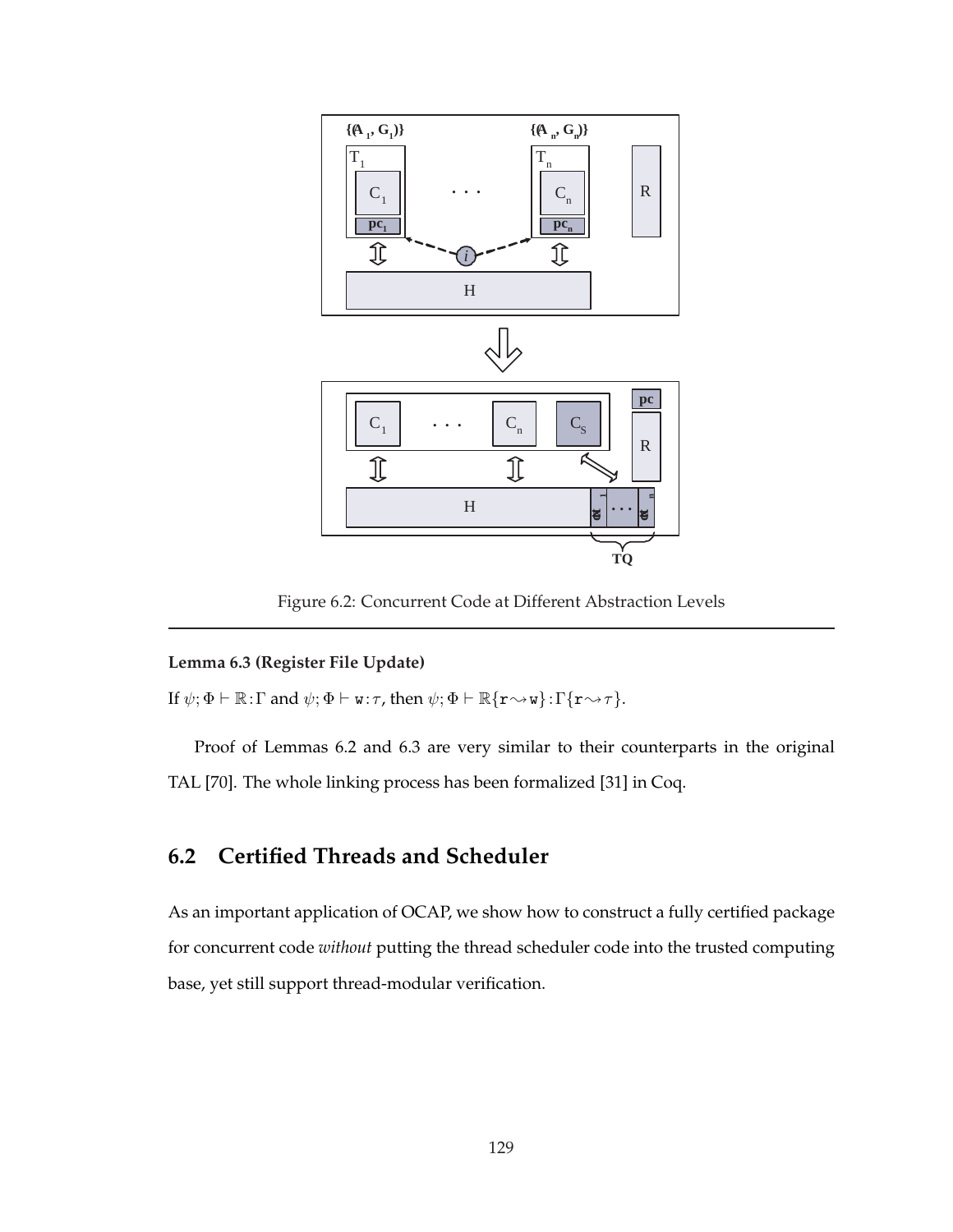

Figure 6.2: Concurrent Code at Different Abstraction Levels

## **Lemma 6.3 (Register File Update)**

If  $\psi; \Phi \vdash \mathbb{R} : \Gamma$  and  $\psi; \Phi \vdash \mathbf{w}: \tau$ , then  $\psi; \Phi \vdash \mathbb{R} \{ \mathbf{r} \leadsto \mathbf{w} \} : \Gamma \{ \mathbf{r} \leadsto \tau \}.$ 

Proof of Lemmas 6.2 and 6.3 are very similar to their counterparts in the original TAL [70]. The whole linking process has been formalized [31] in Coq.

# **6.2 Certified Threads and Scheduler**

As an important application of OCAP, we show how to construct a fully certified package for concurrent code *without* putting the thread scheduler code into the trusted computing base, yet still support thread-modular verification.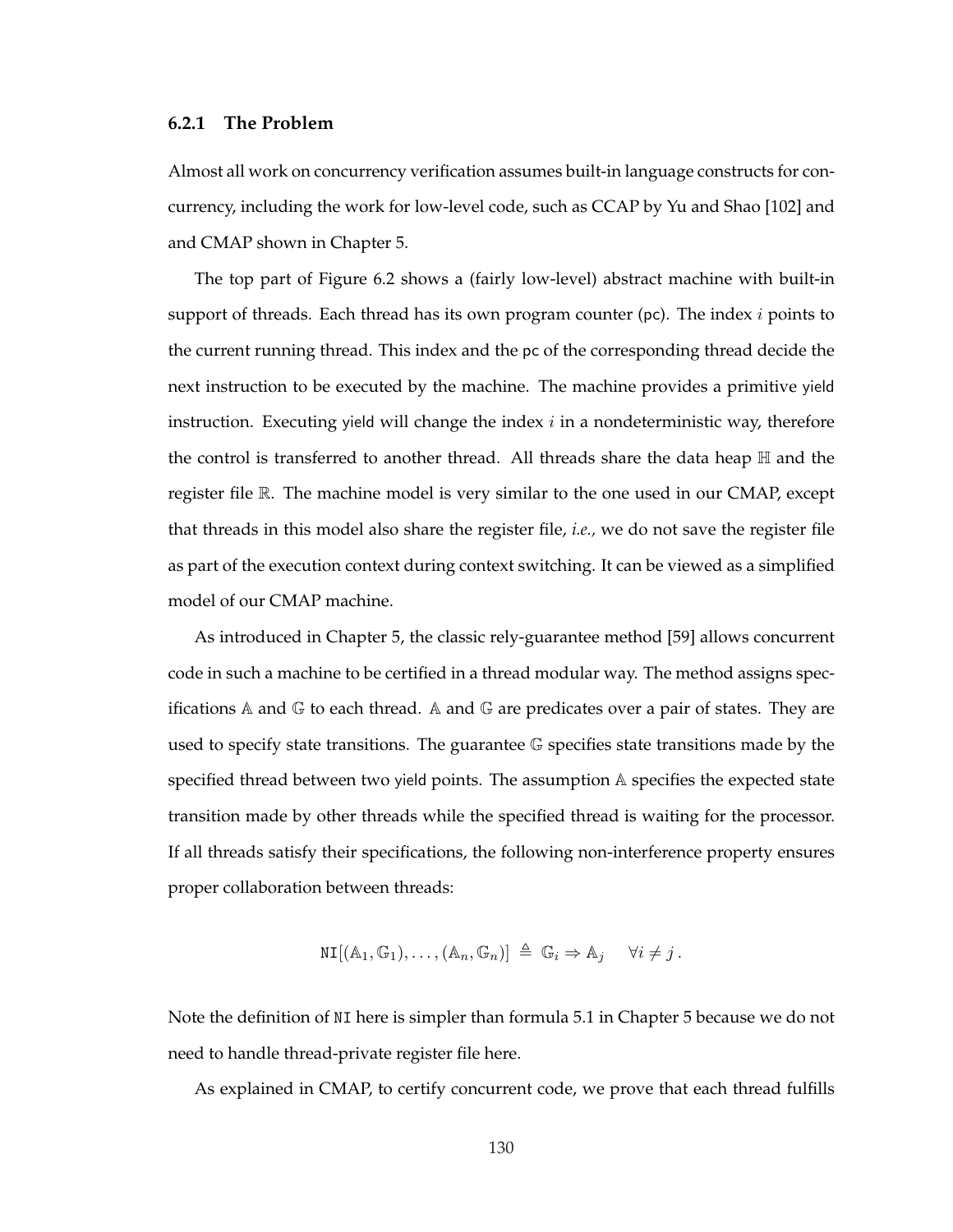### **6.2.1 The Problem**

Almost all work on concurrency verification assumes built-in language constructs for concurrency, including the work for low-level code, such as CCAP by Yu and Shao [102] and and CMAP shown in Chapter 5.

The top part of Figure 6.2 shows a (fairly low-level) abstract machine with built-in support of threads. Each thread has its own program counter ( $pc$ ). The index i points to the current running thread. This index and the pc of the corresponding thread decide the next instruction to be executed by the machine. The machine provides a primitive yield instruction. Executing yield will change the index  $i$  in a nondeterministic way, therefore the control is transferred to another thread. All threads share the data heap  $H$  and the register file R. The machine model is very similar to the one used in our CMAP, except that threads in this model also share the register file, *i.e.,* we do not save the register file as part of the execution context during context switching. It can be viewed as a simplified model of our CMAP machine.

As introduced in Chapter 5, the classic rely-guarantee method [59] allows concurrent code in such a machine to be certified in a thread modular way. The method assigns specifications A and  $\mathbb G$  to each thread. A and  $\mathbb G$  are predicates over a pair of states. They are used to specify state transitions. The guarantee G specifies state transitions made by the specified thread between two yield points. The assumption A specifies the expected state transition made by other threads while the specified thread is waiting for the processor. If all threads satisfy their specifications, the following non-interference property ensures proper collaboration between threads:

$$
\text{NI}[(\mathbb{A}_1, \mathbb{G}_1), \ldots, (\mathbb{A}_n, \mathbb{G}_n)] \triangleq \mathbb{G}_i \Rightarrow \mathbb{A}_j \quad \forall i \neq j.
$$

Note the definition of NI here is simpler than formula 5.1 in Chapter 5 because we do not need to handle thread-private register file here.

As explained in CMAP, to certify concurrent code, we prove that each thread fulfills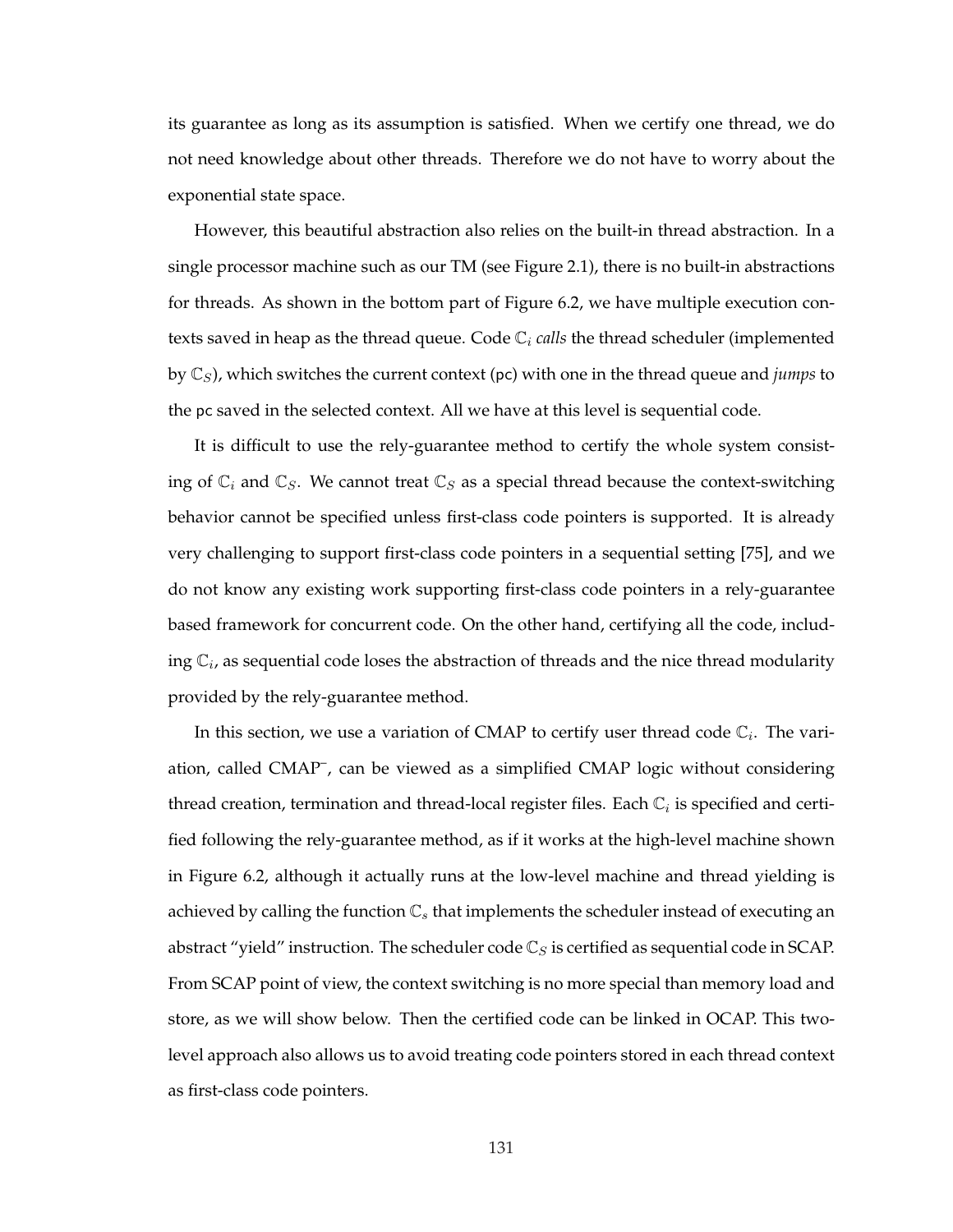its guarantee as long as its assumption is satisfied. When we certify one thread, we do not need knowledge about other threads. Therefore we do not have to worry about the exponential state space.

However, this beautiful abstraction also relies on the built-in thread abstraction. In a single processor machine such as our TM (see Figure 2.1), there is no built-in abstractions for threads. As shown in the bottom part of Figure 6.2, we have multiple execution contexts saved in heap as the thread queue. Code  $\mathbb{C}_i$  *calls* the thread scheduler (implemented by  $\mathbb{C}_S$ ), which switches the current context (pc) with one in the thread queue and *jumps* to the pc saved in the selected context. All we have at this level is sequential code.

It is difficult to use the rely-guarantee method to certify the whole system consisting of  $\mathbb{C}_i$  and  $\mathbb{C}_S$ . We cannot treat  $\mathbb{C}_S$  as a special thread because the context-switching behavior cannot be specified unless first-class code pointers is supported. It is already very challenging to support first-class code pointers in a sequential setting [75], and we do not know any existing work supporting first-class code pointers in a rely-guarantee based framework for concurrent code. On the other hand, certifying all the code, including  $\mathbb{C}_i$ , as sequential code loses the abstraction of threads and the nice thread modularity provided by the rely-guarantee method.

In this section, we use a variation of CMAP to certify user thread code  $\mathbb{C}_i$ . The variation, called CMAP<sup>-</sup>, can be viewed as a simplified CMAP logic without considering thread creation, termination and thread-local register files. Each  $\mathbb{C}_i$  is specified and certified following the rely-guarantee method, as if it works at the high-level machine shown in Figure 6.2, although it actually runs at the low-level machine and thread yielding is achieved by calling the function  $\mathbb{C}_s$  that implements the scheduler instead of executing an abstract "yield" instruction. The scheduler code  $\mathbb{C}_S$  is certified as sequential code in SCAP. From SCAP point of view, the context switching is no more special than memory load and store, as we will show below. Then the certified code can be linked in OCAP. This twolevel approach also allows us to avoid treating code pointers stored in each thread context as first-class code pointers.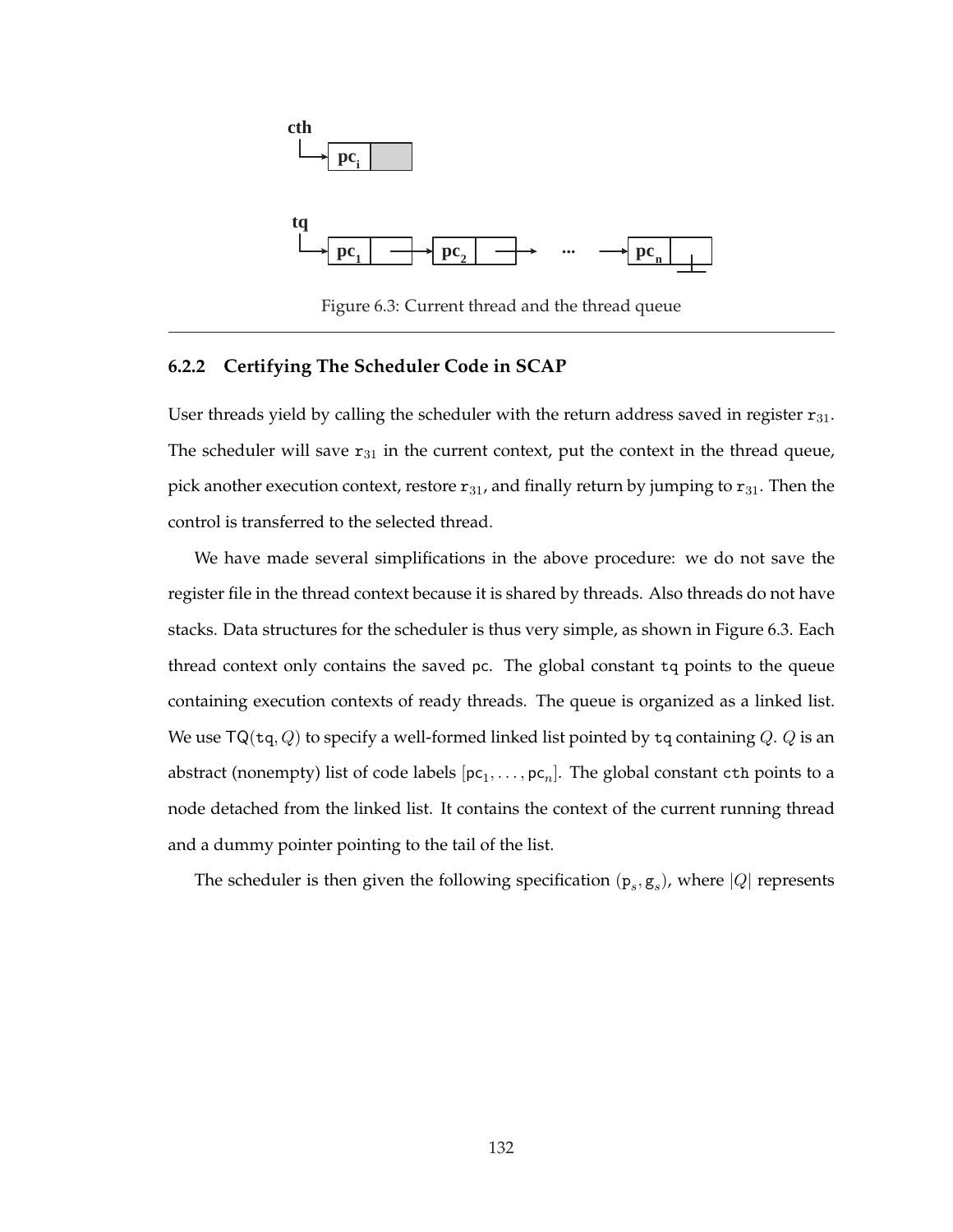

Figure 6.3: Current thread and the thread queue

### **6.2.2 Certifying The Scheduler Code in SCAP**

User threads yield by calling the scheduler with the return address saved in register  $r_{31}$ . The scheduler will save  $r_{31}$  in the current context, put the context in the thread queue, pick another execution context, restore  $r_{31}$ , and finally return by jumping to  $r_{31}$ . Then the control is transferred to the selected thread.

We have made several simplifications in the above procedure: we do not save the register file in the thread context because it is shared by threads. Also threads do not have stacks. Data structures for the scheduler is thus very simple, as shown in Figure 6.3. Each thread context only contains the saved pc. The global constant tq points to the queue containing execution contexts of ready threads. The queue is organized as a linked list. We use TQ(tq, Q) to specify a well-formed linked list pointed by tq containing Q. Q is an abstract (nonempty) list of code labels  $[\mathsf{pc}_1,\ldots,\mathsf{pc}_n].$  The global constant  $\mathtt{cth}$  points to a node detached from the linked list. It contains the context of the current running thread and a dummy pointer pointing to the tail of the list.

The scheduler is then given the following specification  $(p_s, g_s)$ , where  $|Q|$  represents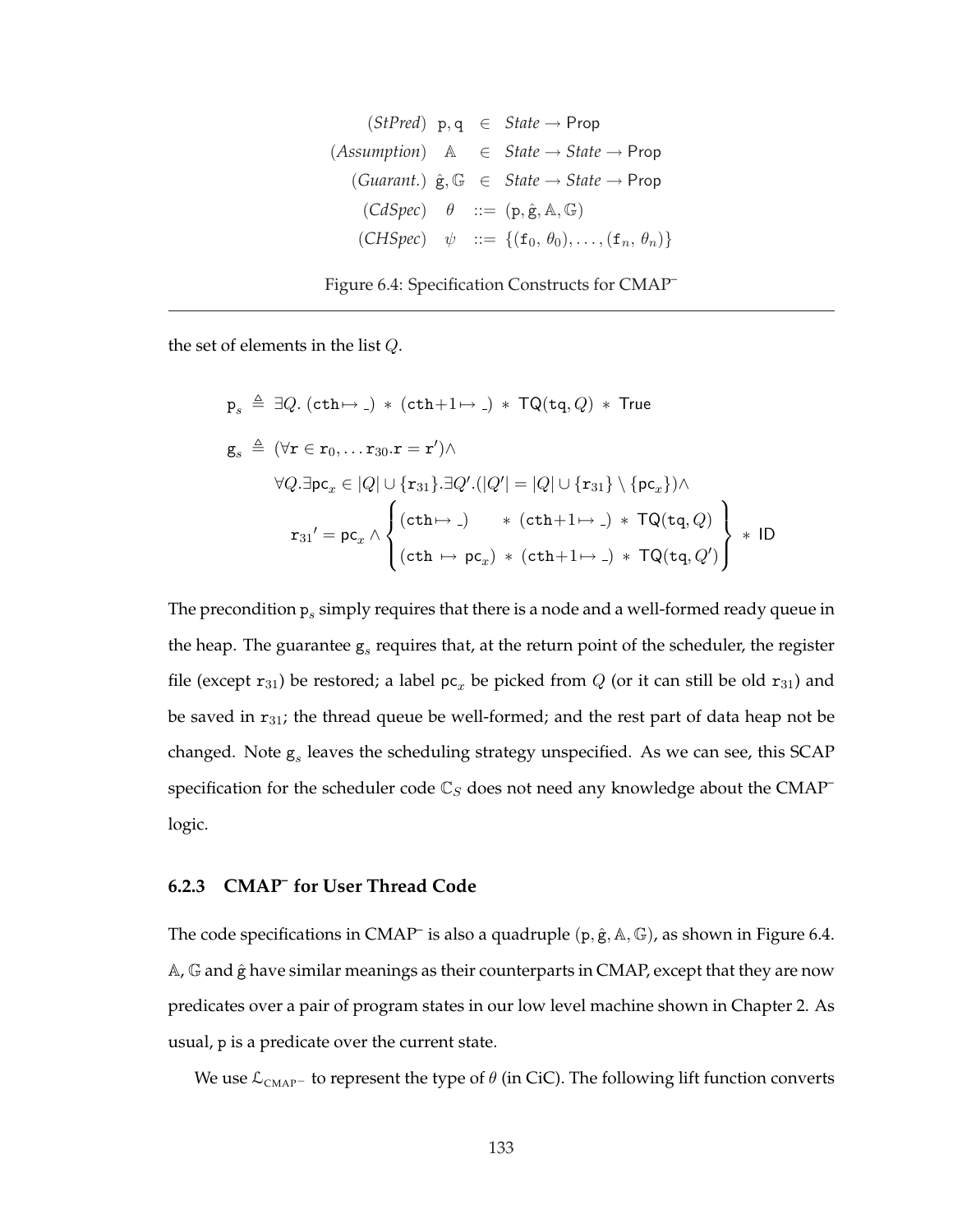| (StPred)     | p, q                                                                                     | ∈ | State → Prop         |
|--------------|------------------------------------------------------------------------------------------|---|----------------------|
| (Assumption) | A                                                                                        | ∈ | State → State → Prop |
| (Guarant.)   | ê, G                                                                                     | ∈ | State → State → Prop |
| (CdSpec)     | $\theta$ ::= (p, ê, A, G)                                                                |   |                      |
| (CHSpec)     | $\psi$ ::= {(f <sub>0</sub> , θ <sub>0</sub> ), ..., (f <sub>n</sub> , θ <sub>n</sub> )} |   |                      |



the set of elements in the list Q.

$$
p_s \triangleq \exists Q. (cth \mapsto .) * (cth + 1 \mapsto .) * TQ(tq, Q) * True
$$
\n
$$
g_s \triangleq (\forall r \in r_0, ... r_{30}.r = r') \wedge
$$
\n
$$
\forall Q. \exists pc_x \in |Q| \cup \{r_{31}\}. \exists Q'.(|Q'| = |Q| \cup \{r_{31}\} \setminus \{pc_x\}) \wedge
$$
\n
$$
r_{31}' = pc_x \wedge \left\{ (cth \mapsto .) * (cth + 1 \mapsto .) * TQ(tq, Q') \right\} * ID
$$
\n
$$
(cth \mapsto pc_x) * (cth + 1 \mapsto .) * TQ(tq, Q') \right\} * ID
$$

The precondition  $\mathbf{p}_s$  simply requires that there is a node and a well-formed ready queue in the heap. The guarantee  $g_s$  requires that, at the return point of the scheduler, the register file (except  $r_{31}$ ) be restored; a label  $pc_x$  be picked from  $Q$  (or it can still be old  $r_{31}$ ) and be saved in  $r_{31}$ ; the thread queue be well-formed; and the rest part of data heap not be changed. Note  $g_s$  leaves the scheduling strategy unspecified. As we can see, this SCAP specification for the scheduler code  $\mathbb{C}_S$  does not need any knowledge about the CMAP<sup>-</sup> logic.

## **6.2.3 CMAP– for User Thread Code**

The code specifications in CMAP<sup>-</sup> is also a quadruple  $(p, \hat{g}, A, \mathbb{G})$ , as shown in Figure 6.4. A, G and  $\hat{g}$  have similar meanings as their counterparts in CMAP, except that they are now predicates over a pair of program states in our low level machine shown in Chapter 2. As usual, p is a predicate over the current state.

We use  $\mathcal{L}_{\text{CMAP}^-}$  to represent the type of  $\theta$  (in CiC). The following lift function converts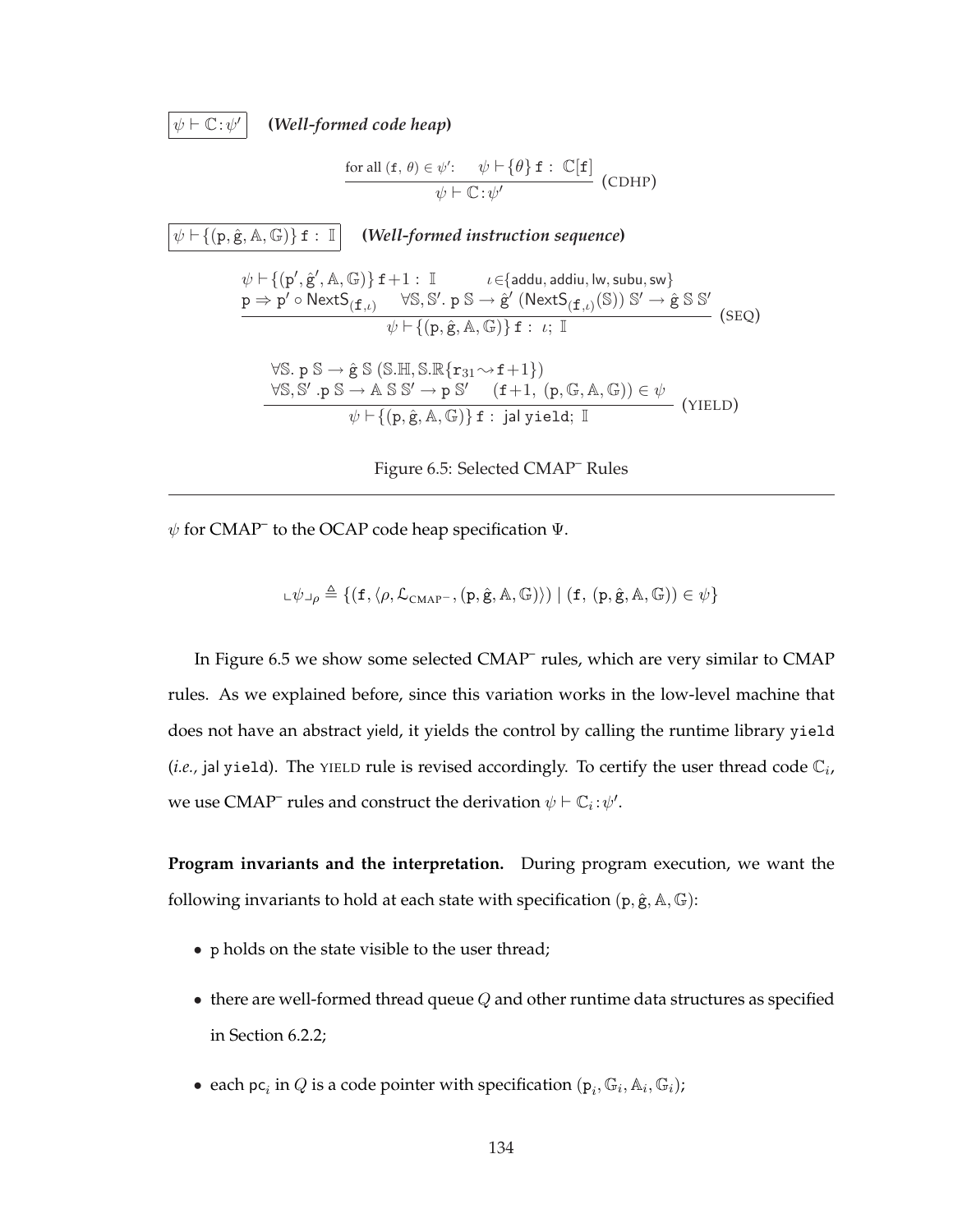$\psi \vdash \mathbb{C} : \psi'$ 

**(***Well-formed code heap***)**

$$
\frac{\text{for all } (\mathbf{f}, \theta) \in \psi': \quad \psi \vdash \{\theta\} \mathbf{f} : \mathbb{C}[\mathbf{f}]}{\psi \vdash \mathbb{C} : \psi'} \text{ (CDHP)}
$$

 $\psi \vdash \{(\mathbf{p}, \hat{\mathbf{g}}, \mathbb{A}, \mathbb{G})\}$  f :  $\mathbb{I}$  **(***Well-formed instruction sequence*)  $\psi \vdash \{(\mathsf{p}', \hat{\mathsf{g}}', \mathbb{A}, \mathbb{G})\} \, \mathtt{f} + 1 : \, \mathbb{I} \qquad \quad \iota \in \{\mathsf{addu}, \mathsf{addu}, \mathsf{lw}, \mathsf{subu}, \mathsf{sw}\}$  $p \Rightarrow p' \circ \mathsf{NextS}_{(\mathbf{f}, \iota)} \quad \forall \mathbb{S}, \mathbb{S}'.~p~\mathbb{S} \rightarrow \hat{g}' ~(\mathsf{NextS}_{(\mathbf{f}, \iota)}(\mathbb{S}))~\mathbb{S}' \rightarrow \hat{g}~\mathbb{S}~\mathbb{S}'$  $\frac{\psi \vdash \{p, \hat{g}, A, \mathbb{G}\}\} f : \iota; \mathbb{I}}{\psi \vdash \{p, \hat{g}, A, \mathbb{G}\}\} f : \iota; \mathbb{I}}$  (SEQ)  $\forall \mathbb{S}.\mathsf{p} \mathbb{S} \rightarrow \hat{\mathsf{g}} \mathbb{S} \left( \mathbb{S}.\mathbb{H}, \mathbb{S}.\mathbb{R}\{\mathsf{r}_{31} \sim \mathsf{f} + 1\} \right)$  $\forall \mathbb{S}, \mathbb{S}' : p \mathbb{S} \to \mathbb{A} \mathbb{S} \mathbb{S}' \to p \mathbb{S}' \quad (\mathbf{f}+1, (p, \mathbb{G}, \mathbb{A}, \mathbb{G})) \in \psi$  $\frac{1}{\psi \vdash \{(\mathbf{p}, \hat{\mathbf{g}}, \mathbf{A}, \mathbb{G})\} \mathbf{f} : \mathbf{j} \mathbf{a} \text{ yield; } \mathbb{I}}$  (YIELD)

Figure 6.5: Selected CMAP– Rules

 $\psi$  for CMAP<sup>–</sup> to the OCAP code heap specification  $\Psi$ .

$$
\mathbf{L}\psi\mathbf{L}_{\rho}\triangleq\{(\mathbf{f},\langle\rho,\mathcal{L}_{\mathrm{CMAP}^{-}},(\mathbf{p},\hat{\mathbf{g}},\mathbb{A},\mathbb{G})\rangle)\mid(\mathbf{f},\,(\mathbf{p},\hat{\mathbf{g}},\mathbb{A},\mathbb{G}))\in\psi\}
$$

In Figure 6.5 we show some selected CMAP<sup>-</sup> rules, which are very similar to CMAP rules. As we explained before, since this variation works in the low-level machine that does not have an abstract yield, it yields the control by calling the runtime library yield (*i.e.*, jal yield). The YIELD rule is revised accordingly. To certify the user thread code  $\mathbb{C}_i$ , we use CMAP<sup>–</sup> rules and construct the derivation  $\psi \vdash \mathbb{C}_i : \psi'.$ 

**Program invariants and the interpretation.** During program execution, we want the following invariants to hold at each state with specification  $(p, \hat{g}, A, \mathbb{G})$ :

- p holds on the state visible to the user thread;
- $\bullet$  there are well-formed thread queue  $Q$  and other runtime data structures as specified in Section 6.2.2;
- each  $\mathsf{pc}_i$  in  $Q$  is a code pointer with specification  $(\mathsf{p}_i, \mathbb{G}_i, \mathbb{A}_i, \mathbb{G}_i)$ ;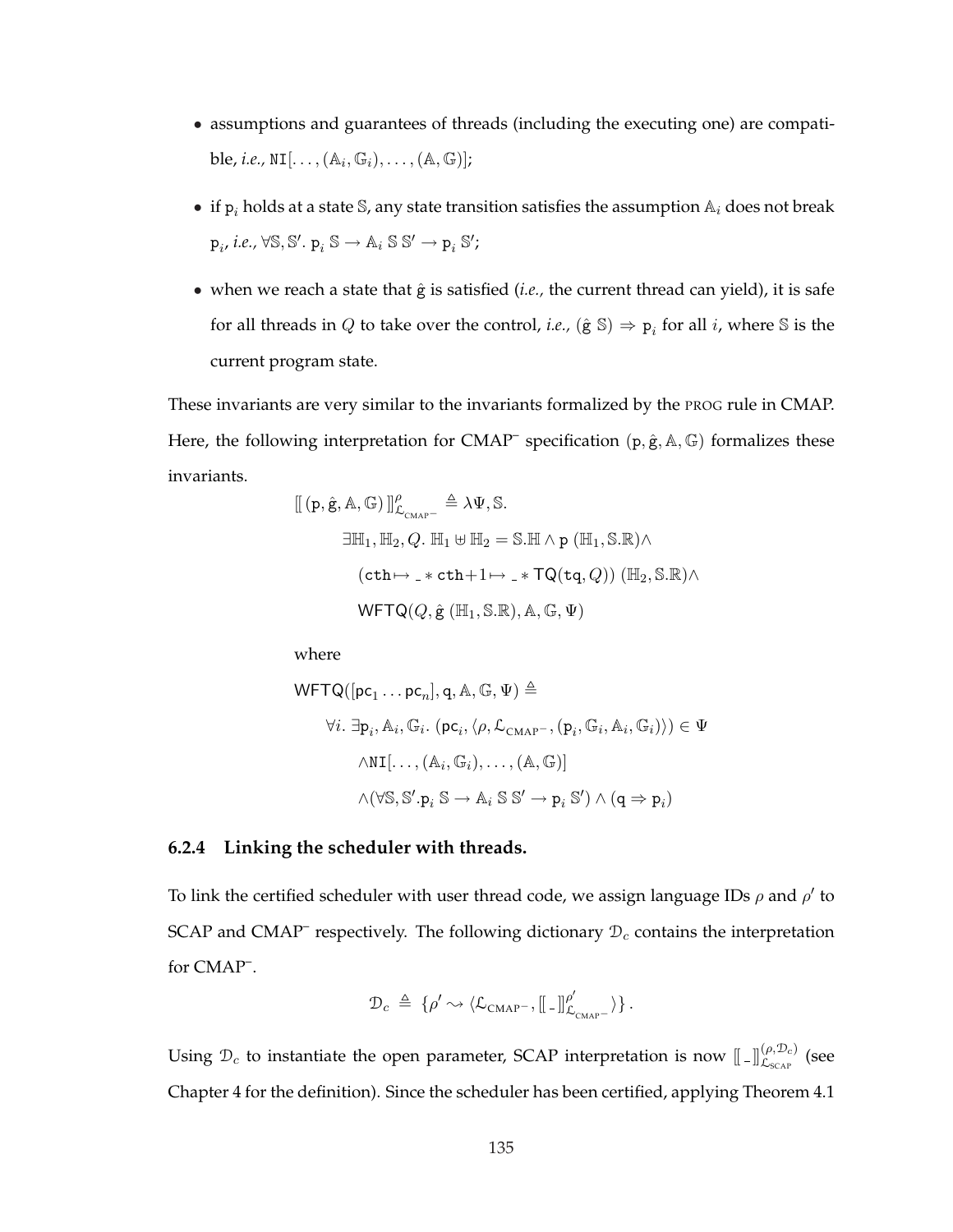- assumptions and guarantees of threads (including the executing one) are compatible*, i.e.,*  $\texttt{NI}[\ldots, (\mathbb{A}_i, \mathbb{G}_i), \ldots, (\mathbb{A}, \mathbb{G})];$
- if  $p_i$  holds at a state S, any state transition satisfies the assumption  $A_i$  does not break  $p_i$ , *i.e.*,  $\forall S, S'. p_i S \rightarrow A_i S S' \rightarrow p_i S'$ ;
- when we reach a state that  $\hat{g}$  is satisfied (*i.e.*, the current thread can yield), it is safe for all threads in  $Q$  to take over the control, *i.e.*,  $(\hat{\mathbf{g}} \mathbb{S}) \Rightarrow \mathbf{p}_i$  for all *i*, where  $\mathbb{S}$  is the current program state.

These invariants are very similar to the invariants formalized by the PROG rule in CMAP. Here, the following interpretation for CMAP<sup>-</sup> specification (p,  $\hat{g}$ , A, G) formalizes these invariants.

$$
\begin{aligned} [[ (p, \hat{g}, A, G)]]_{\mathcal{L}_{\text{CMAP}}}^{\rho} &\triangleq \lambda \Psi, \mathbb{S}. \\ \exists \mathbb{H}_1, \mathbb{H}_2, Q. \mathbb{H}_1 \uplus \mathbb{H}_2 &= \mathbb{S} . \mathbb{H} \wedge p (\mathbb{H}_1, \mathbb{S} . \mathbb{R}) \wedge \\ & ( \text{cth} \mapsto \_\ast \text{cth} + 1 \mapsto \_\ast \text{TQ}(\text{tq}, Q)) \ (\mathbb{H}_2, \mathbb{S} . \mathbb{R}) \wedge \\ \text{WFTQ}(Q, \hat{g} (\mathbb{H}_1, \mathbb{S} . \mathbb{R}), \mathbb{A}, \mathbb{G}, \Psi) \end{aligned}
$$

where

$$
\begin{aligned}\n\text{WFTQ}([\mathbf{p}\mathbf{c}_1 \dots \mathbf{p}\mathbf{c}_n], \mathbf{q}, \mathbb{A}, \mathbb{G}, \Psi) &\triangleq \\
&\forall i. \ \exists \mathbf{p}_i, \mathbb{A}_i, \mathbb{G}_i. \ (\mathbf{p}\mathbf{c}_i, \langle \rho, \mathcal{L}_{\text{CMAP}}, (\mathbf{p}_i, \mathbb{G}_i, \mathbb{A}_i, \mathbb{G}_i) \rangle) \in \Psi \\
&\wedge \text{NI}[\dots, (\mathbb{A}_i, \mathbb{G}_i), \dots, (\mathbb{A}, \mathbb{G})] \\
&\wedge (\forall \mathbb{S}, \mathbb{S}', \mathbf{p}_i \mathbb{S} \to \mathbb{A}_i \mathbb{S} \mathbb{S}' \to \mathbf{p}_i \mathbb{S}') \land (\mathbf{q} \Rightarrow \mathbf{p}_i)\n\end{aligned}
$$

### **6.2.4 Linking the scheduler with threads.**

To link the certified scheduler with user thread code, we assign language IDs  $\rho$  and  $\rho'$  to SCAP and CMAP<sup>-</sup> respectively. The following dictionary  $\mathcal{D}_c$  contains the interpretation for CMAP– .

$$
\mathcal{D}_c \ \triangleq \ \{\rho' \leadsto \langle \mathcal{L}_{\text{CMAP}^-}, \left[ \left[ \rule{0.3cm}{.0cm} \right] \hspace{0.5mm} \right]_{\mathcal{L}_{\text{CMAP}^-}}^{\rho'} \rangle \} \,.
$$

Using  $\mathcal{D}_c$  to instantiate the open parameter, SCAP interpretation is now  $[\![\,\,.\,]]_{\mathcal{L}_{SCAP}}^{(\rho,\mathcal{D}_c)}$  (see Chapter 4 for the definition). Since the scheduler has been certified, applying Theorem 4.1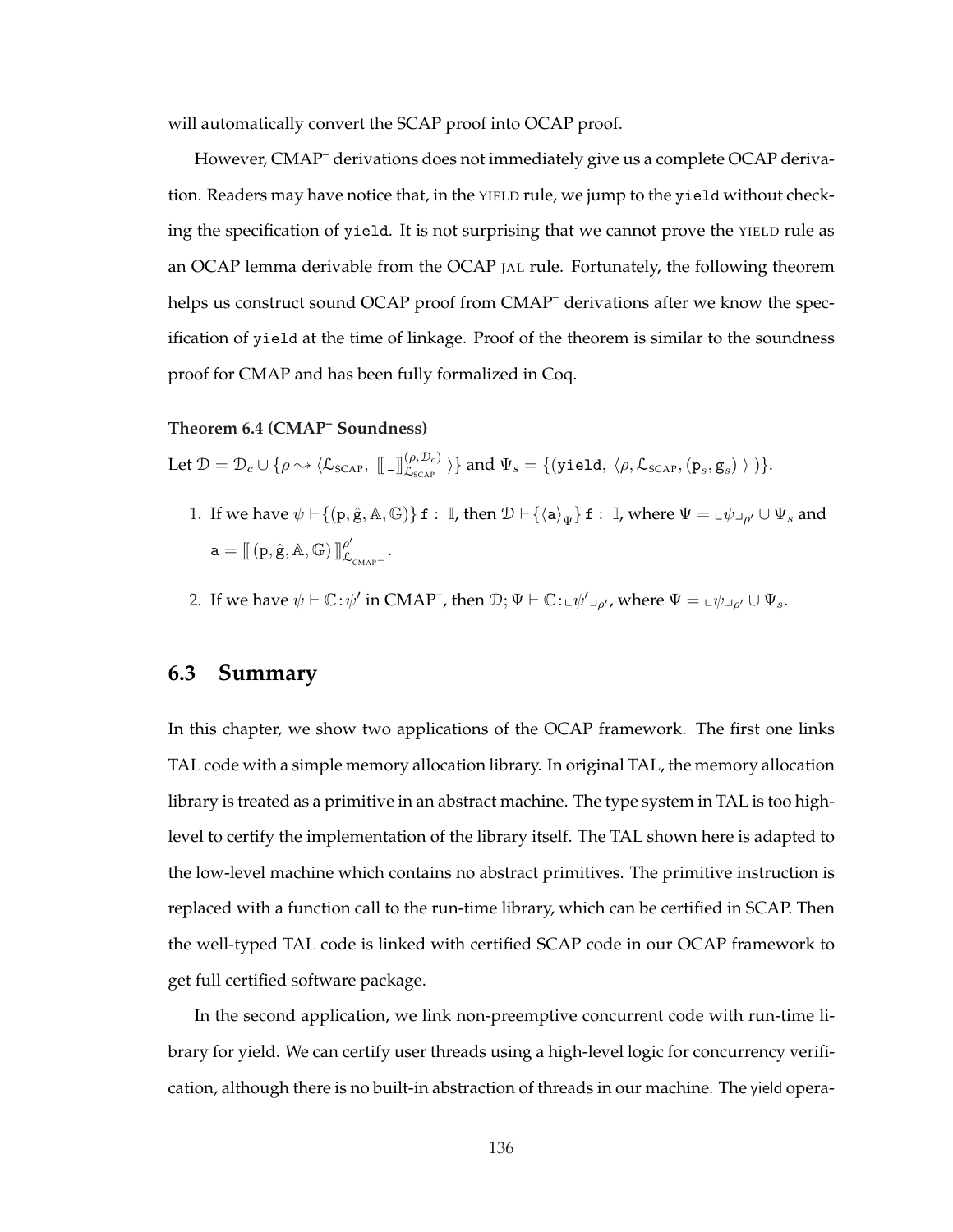will automatically convert the SCAP proof into OCAP proof.

However, CMAP– derivations does not immediately give us a complete OCAP derivation. Readers may have notice that, in the YIELD rule, we jump to the yield without checking the specification of yield. It is not surprising that we cannot prove the YIELD rule as an OCAP lemma derivable from the OCAP JAL rule. Fortunately, the following theorem helps us construct sound OCAP proof from CMAP<sup>-</sup> derivations after we know the specification of yield at the time of linkage. Proof of the theorem is similar to the soundness proof for CMAP and has been fully formalized in Coq.

#### **Theorem 6.4 (CMAP– Soundness)**

Let  $\mathcal{D} = \mathcal{D}_c \cup \{\rho \leadsto \langle \mathcal{L}_{\text{SCAP}}, \; [\![\;.\!] \! | \! \mathcal{L}_{\text{SCAP}}^{\rho, \mathcal{D}_c)} \;\rangle \}$  and  $\Psi_s = \{(\texttt{yield}, \; \langle \rho, \mathcal{L}_{\text{SCAP}}, (\mathtt{p}_s, \mathtt{g}_s) \;\rangle \;\) \}.$ 

- 1. If we have  $\psi \vdash \{(\mathsf{p},\hat{\mathsf{g}},\mathbb{A},\mathbb{G})\}$  f :  $\mathbb{I}$ , then  $\mathcal{D} \vdash \{\langle \mathtt{a} \rangle_{\Psi}\}$  f :  $\mathbb{I}$ , where  $\Psi = \llcorner \psi \lrcorner_{\rho'} \cup \Psi_s$  and  $\mathbf{a} = \left[ \right. \left[ \left. \left( \mathbf{p}, \hat{\mathbf{g}}, \mathbb{A}, \mathbb{G} \right) \right. \right] \left. \right] \left. \right. \right\rangle _{0}^{\rho'}$  ${}_{\mathcal{L}_{\text{CMAP}^-}}^{\rho}$  .
- 2. If we have  $\psi \vdash \mathbb{C} : \psi'$  in CMAP<sup>-</sup>, then  $\mathcal{D}; \Psi \vdash \mathbb{C} : \psi' \rightharpoonup \psi'$ , where  $\Psi = \psi \rightharpoonup \psi \vee \psi$ .

## **6.3 Summary**

In this chapter, we show two applications of the OCAP framework. The first one links TAL code with a simple memory allocation library. In original TAL, the memory allocation library is treated as a primitive in an abstract machine. The type system in TAL is too highlevel to certify the implementation of the library itself. The TAL shown here is adapted to the low-level machine which contains no abstract primitives. The primitive instruction is replaced with a function call to the run-time library, which can be certified in SCAP. Then the well-typed TAL code is linked with certified SCAP code in our OCAP framework to get full certified software package.

In the second application, we link non-preemptive concurrent code with run-time library for yield. We can certify user threads using a high-level logic for concurrency verification, although there is no built-in abstraction of threads in our machine. The yield opera-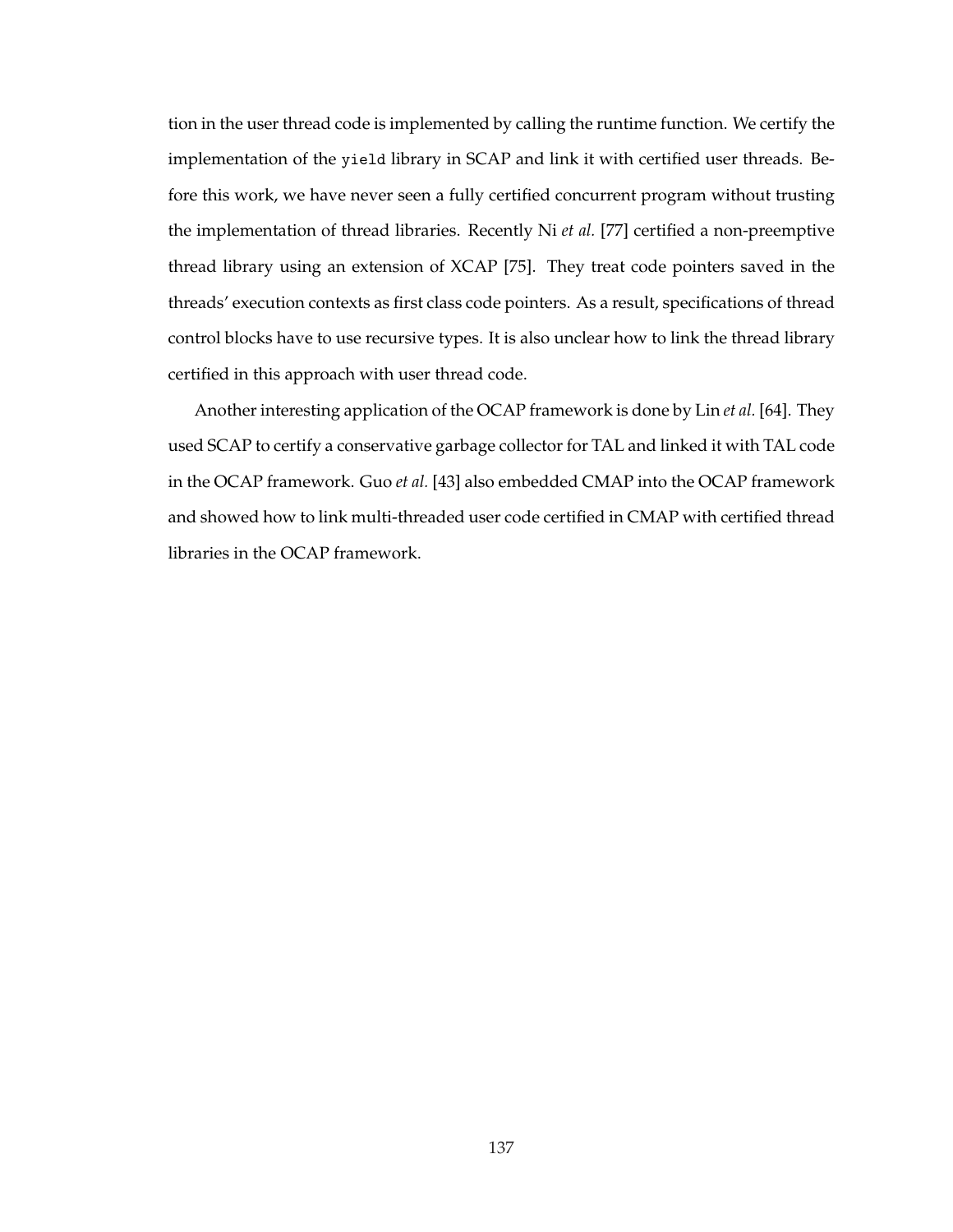tion in the user thread code is implemented by calling the runtime function. We certify the implementation of the yield library in SCAP and link it with certified user threads. Before this work, we have never seen a fully certified concurrent program without trusting the implementation of thread libraries. Recently Ni *et al.* [77] certified a non-preemptive thread library using an extension of XCAP [75]. They treat code pointers saved in the threads' execution contexts as first class code pointers. As a result, specifications of thread control blocks have to use recursive types. It is also unclear how to link the thread library certified in this approach with user thread code.

Another interesting application of the OCAP framework is done by Lin *et al.* [64]. They used SCAP to certify a conservative garbage collector for TAL and linked it with TAL code in the OCAP framework. Guo *et al.* [43] also embedded CMAP into the OCAP framework and showed how to link multi-threaded user code certified in CMAP with certified thread libraries in the OCAP framework.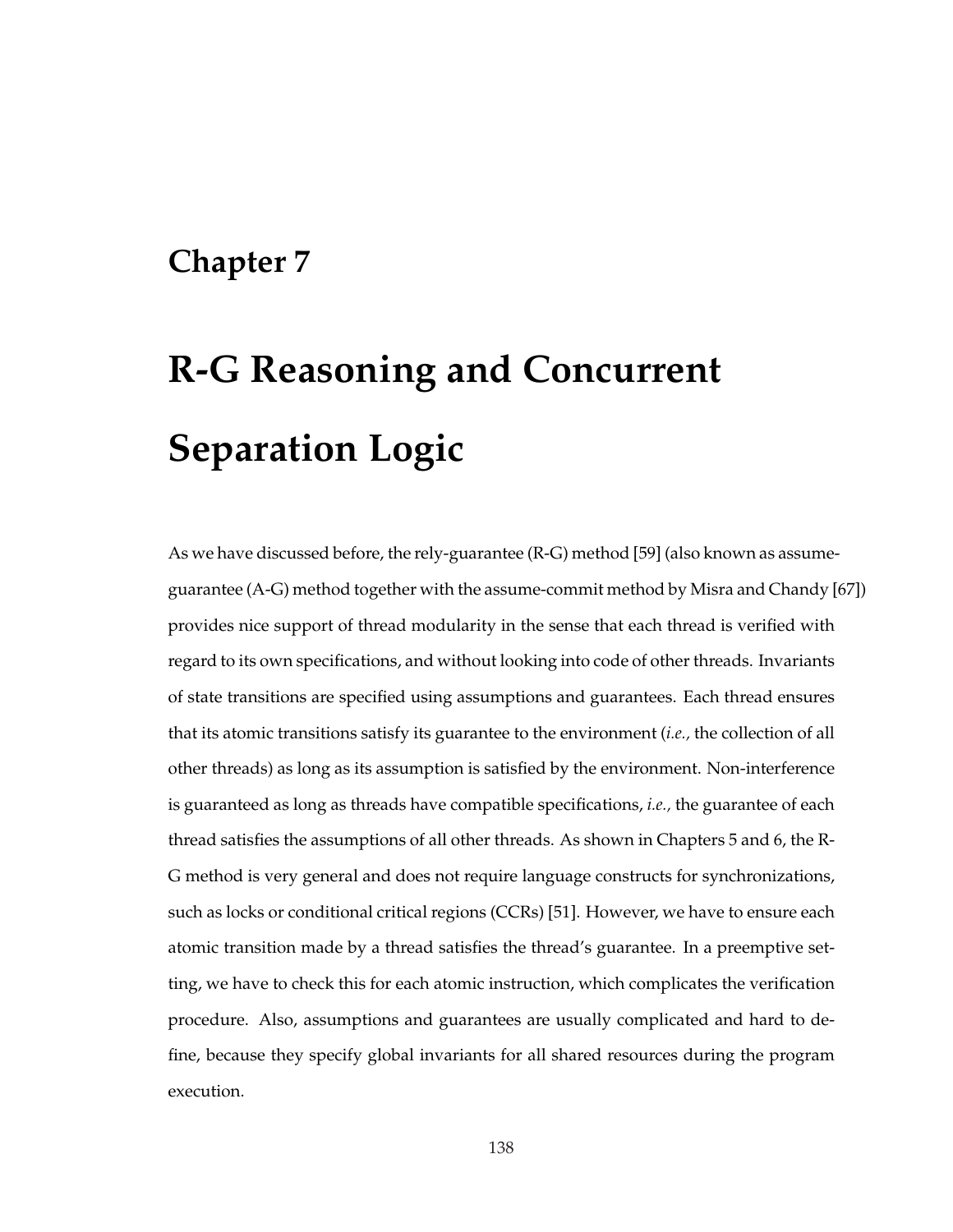# **Chapter 7**

# **R-G Reasoning and Concurrent Separation Logic**

As we have discussed before, the rely-guarantee (R-G) method [59] (also known as assumeguarantee (A-G) method together with the assume-commit method by Misra and Chandy [67]) provides nice support of thread modularity in the sense that each thread is verified with regard to its own specifications, and without looking into code of other threads. Invariants of state transitions are specified using assumptions and guarantees. Each thread ensures that its atomic transitions satisfy its guarantee to the environment (*i.e.,* the collection of all other threads) as long as its assumption is satisfied by the environment. Non-interference is guaranteed as long as threads have compatible specifications, *i.e.,* the guarantee of each thread satisfies the assumptions of all other threads. As shown in Chapters 5 and 6, the R-G method is very general and does not require language constructs for synchronizations, such as locks or conditional critical regions (CCRs) [51]. However, we have to ensure each atomic transition made by a thread satisfies the thread's guarantee. In a preemptive setting, we have to check this for each atomic instruction, which complicates the verification procedure. Also, assumptions and guarantees are usually complicated and hard to define, because they specify global invariants for all shared resources during the program execution.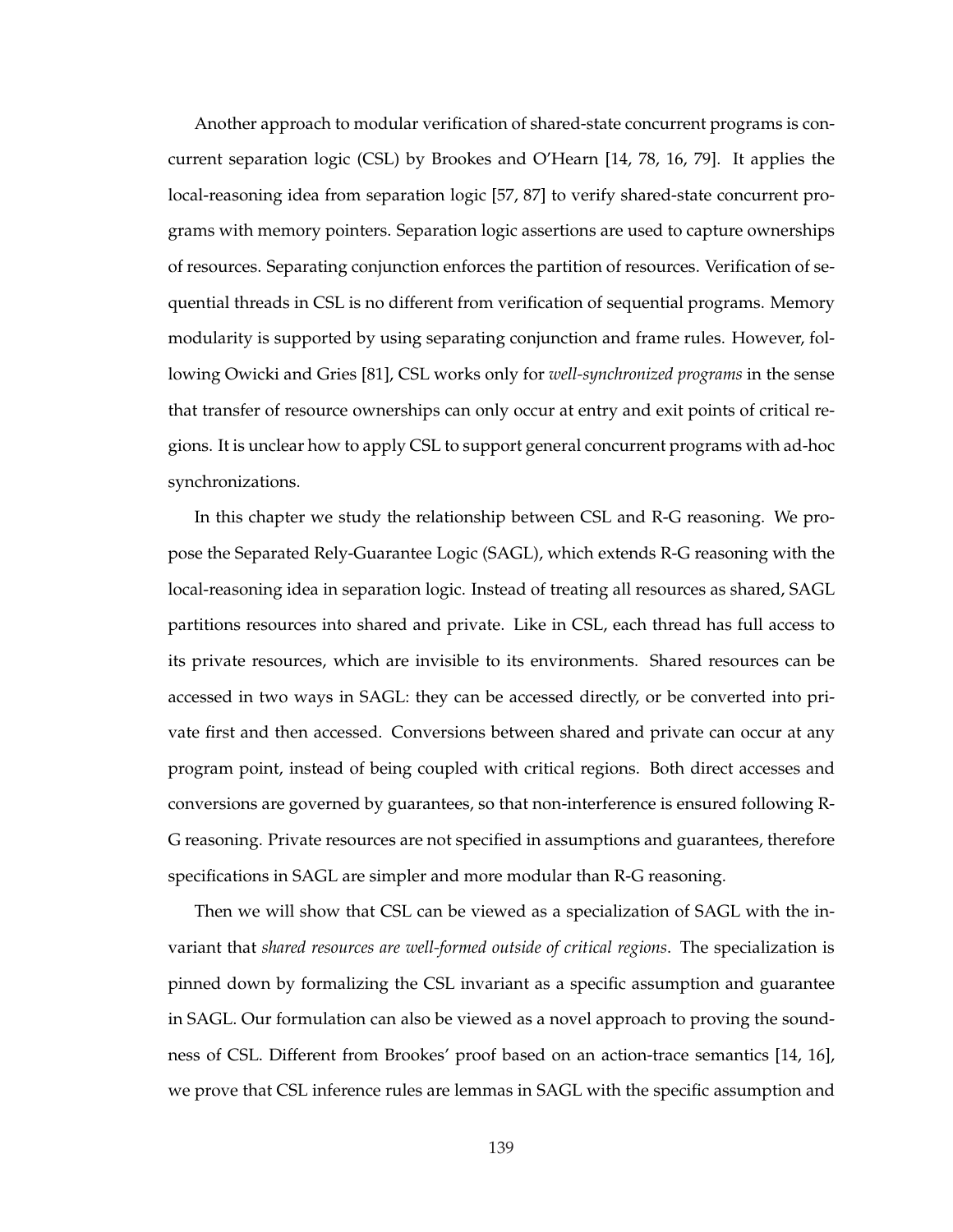Another approach to modular verification of shared-state concurrent programs is concurrent separation logic (CSL) by Brookes and O'Hearn [14, 78, 16, 79]. It applies the local-reasoning idea from separation logic [57, 87] to verify shared-state concurrent programs with memory pointers. Separation logic assertions are used to capture ownerships of resources. Separating conjunction enforces the partition of resources. Verification of sequential threads in CSL is no different from verification of sequential programs. Memory modularity is supported by using separating conjunction and frame rules. However, following Owicki and Gries [81], CSL works only for *well-synchronized programs* in the sense that transfer of resource ownerships can only occur at entry and exit points of critical regions. It is unclear how to apply CSL to support general concurrent programs with ad-hoc synchronizations.

In this chapter we study the relationship between CSL and R-G reasoning. We propose the Separated Rely-Guarantee Logic (SAGL), which extends R-G reasoning with the local-reasoning idea in separation logic. Instead of treating all resources as shared, SAGL partitions resources into shared and private. Like in CSL, each thread has full access to its private resources, which are invisible to its environments. Shared resources can be accessed in two ways in SAGL: they can be accessed directly, or be converted into private first and then accessed. Conversions between shared and private can occur at any program point, instead of being coupled with critical regions. Both direct accesses and conversions are governed by guarantees, so that non-interference is ensured following R-G reasoning. Private resources are not specified in assumptions and guarantees, therefore specifications in SAGL are simpler and more modular than R-G reasoning.

Then we will show that CSL can be viewed as a specialization of SAGL with the invariant that *shared resources are well-formed outside of critical regions*. The specialization is pinned down by formalizing the CSL invariant as a specific assumption and guarantee in SAGL. Our formulation can also be viewed as a novel approach to proving the soundness of CSL. Different from Brookes' proof based on an action-trace semantics [14, 16], we prove that CSL inference rules are lemmas in SAGL with the specific assumption and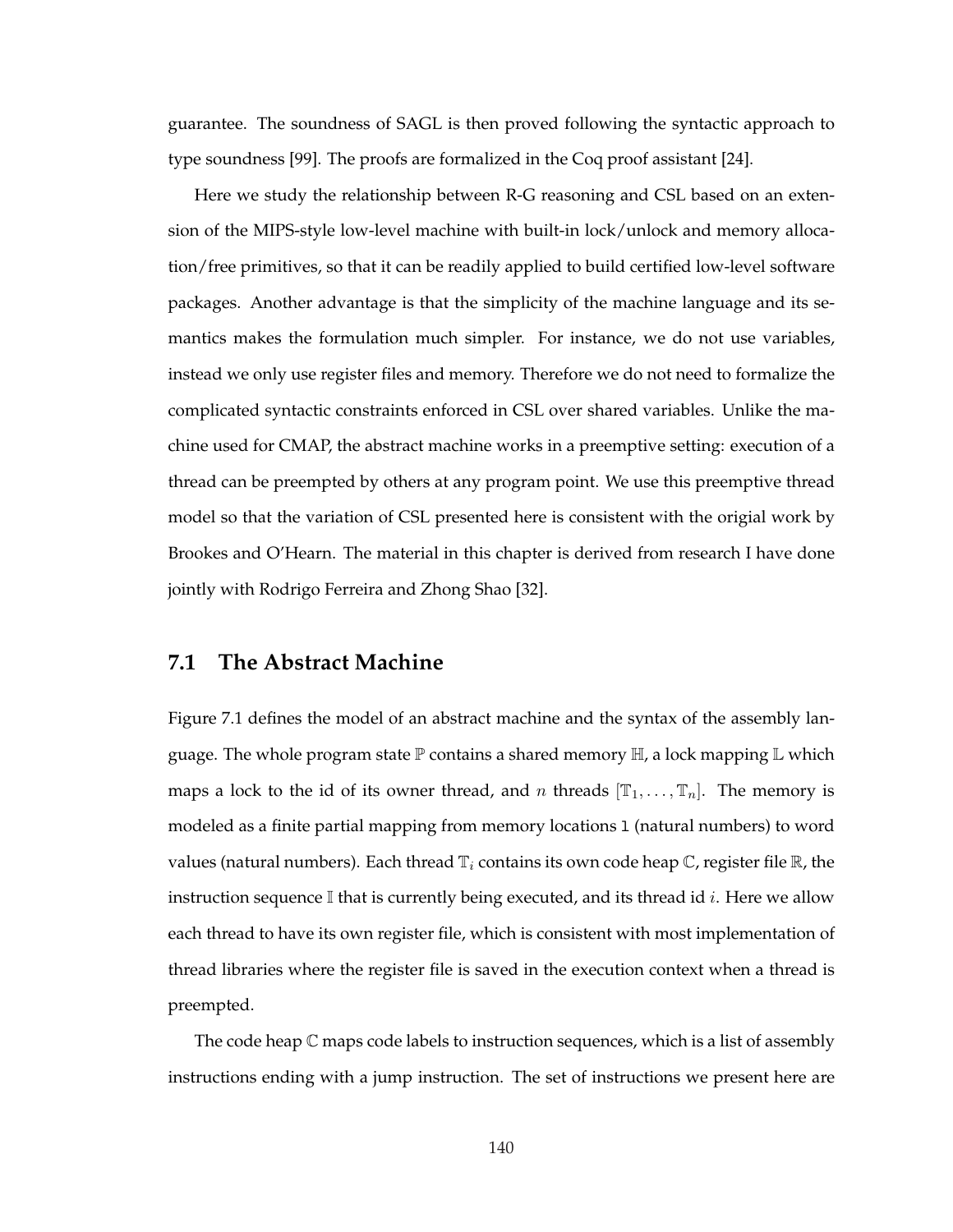guarantee. The soundness of SAGL is then proved following the syntactic approach to type soundness [99]. The proofs are formalized in the Coq proof assistant [24].

Here we study the relationship between R-G reasoning and CSL based on an extension of the MIPS-style low-level machine with built-in lock/unlock and memory allocation/free primitives, so that it can be readily applied to build certified low-level software packages. Another advantage is that the simplicity of the machine language and its semantics makes the formulation much simpler. For instance, we do not use variables, instead we only use register files and memory. Therefore we do not need to formalize the complicated syntactic constraints enforced in CSL over shared variables. Unlike the machine used for CMAP, the abstract machine works in a preemptive setting: execution of a thread can be preempted by others at any program point. We use this preemptive thread model so that the variation of CSL presented here is consistent with the origial work by Brookes and O'Hearn. The material in this chapter is derived from research I have done jointly with Rodrigo Ferreira and Zhong Shao [32].

## **7.1 The Abstract Machine**

Figure 7.1 defines the model of an abstract machine and the syntax of the assembly language. The whole program state  $\mathbb P$  contains a shared memory  $\mathbb H$ , a lock mapping  $\mathbb L$  which maps a lock to the id of its owner thread, and n threads  $[\mathbb{T}_1, \ldots, \mathbb{T}_n]$ . The memory is modeled as a finite partial mapping from memory locations l (natural numbers) to word values (natural numbers). Each thread  $\mathbb{T}_i$  contains its own code heap  $\mathbb{C}$ , register file  $\mathbb{R}$ , the instruction sequence  $\mathbb I$  that is currently being executed, and its thread id *i*. Here we allow each thread to have its own register file, which is consistent with most implementation of thread libraries where the register file is saved in the execution context when a thread is preempted.

The code heap C maps code labels to instruction sequences, which is a list of assembly instructions ending with a jump instruction. The set of instructions we present here are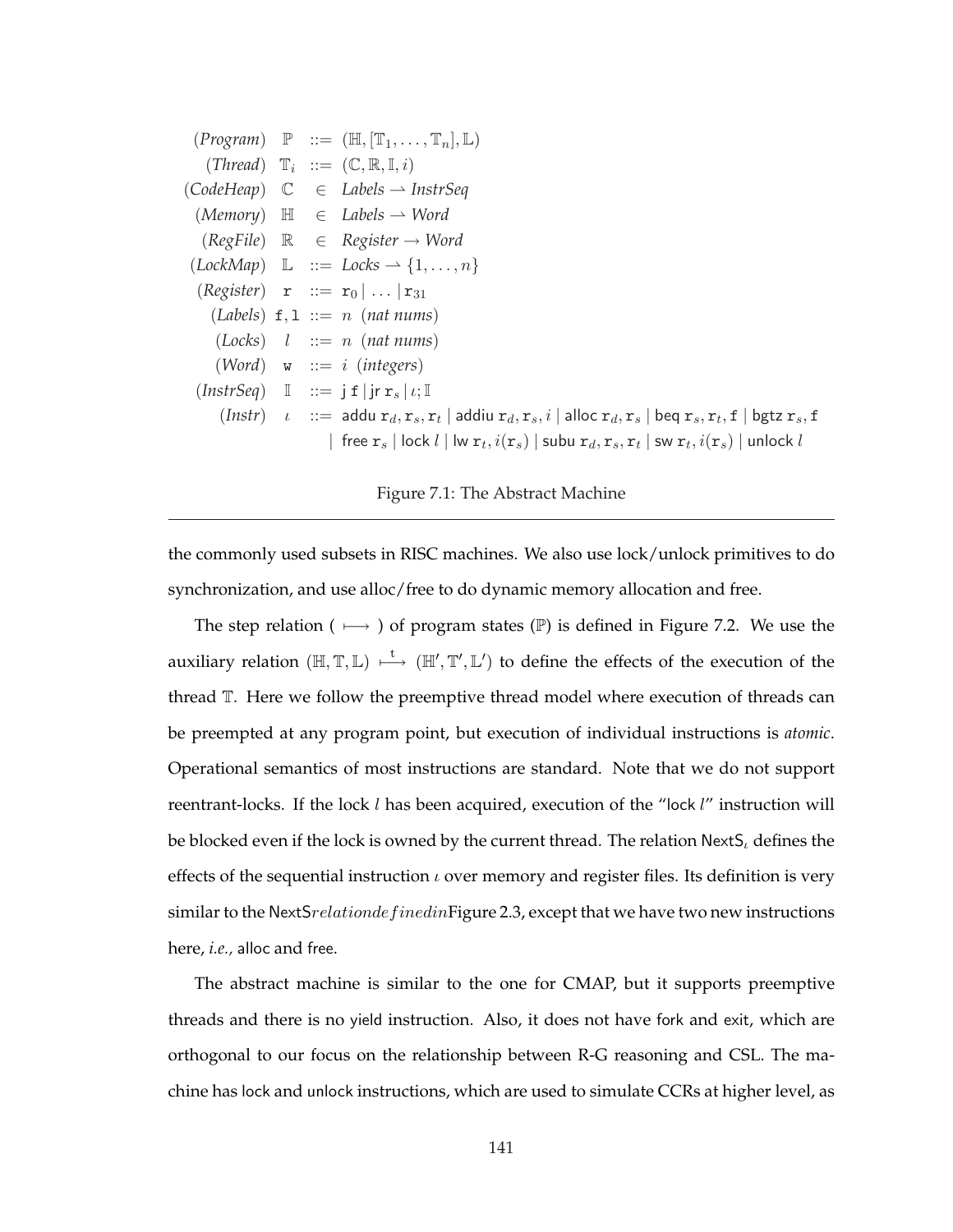$(Program) \mathbb{P} ::= (\mathbb{H}, [\mathbb{T}_1, \ldots, \mathbb{T}_n], \mathbb{L})$  $(Thread)$   $\mathbb{T}_i$   $::=$   $(\mathbb{C}, \mathbb{R}, \mathbb{I}, i)$  $(CodeHeap) \quad \mathbb{C} \quad \in \quad \text{Labels} \rightarrow \text{InstrSeq}$  $(Memory) \quad \mathbb{H} \quad \in \quad \mathit{Labels} \rightarrow \mathit{Word}$  $(RegFile) \quad \mathbb{R} \quad \in \quad \text{Register} \rightarrow \text{Word}$  $(LockMap) \quad \mathbb{L} \quad ::= \; Locks \rightarrow \{1, \ldots, n\}$  $(Register)$  **r**  $::=$  **r**<sub>0</sub>  $| \dots |$ **r**<sub>31</sub>  $(Labels)$  **f**, **l**  $::= n$  (*nat nums*)  $(Locks)$   $l$   $::= n$  (*nat nums*) (*Word*) w ::= i (*integers*)  $(InstrSeq) \quad \mathbb{I} \quad ::= \; \mathbf{i} \; \mathbf{f} \; | \; \mathbf{ir} \; \mathbf{r}_s \; | \; \iota; \mathbb{I}$  $(Insert)$   $\iota$   $::=$  addu  $r_d, r_s, r_t$  | addiu  $r_d, r_s, i$  | alloc  $r_d, r_s$  | beq  $r_s, r_t, f$  | bgtz  $r_s, f$  $\vert \;$  free  ${\tt r}_s \, \vert$  lock  $l \, \vert$  lw  ${\tt r}_t, i({\tt r}_s) \, \vert$  subu  ${\tt r}_d, {\tt r}_s, {\tt r}_t \, \vert$  sw  ${\tt r}_t, i({\tt r}_s) \, \vert$  unlock  $l$ 

Figure 7.1: The Abstract Machine

the commonly used subsets in RISC machines. We also use lock/unlock primitives to do synchronization, and use alloc/free to do dynamic memory allocation and free.

The step relation ( $\mapsto$ ) of program states (P) is defined in Figure 7.2. We use the auxiliary relation  $(\mathbb{H}, \mathbb{T}, \mathbb{L}) \stackrel{t}{\longmapsto} (\mathbb{H}', \mathbb{T}', \mathbb{L}')$  to define the effects of the execution of the thread T. Here we follow the preemptive thread model where execution of threads can be preempted at any program point, but execution of individual instructions is *atomic*. Operational semantics of most instructions are standard. Note that we do not support reentrant-locks. If the lock  $l$  has been acquired, execution of the "lock  $l$ " instruction will be blocked even if the lock is owned by the current thread. The relation  $NextS<sub>l</sub>$  defines the effects of the sequential instruction  $\iota$  over memory and register files. Its definition is very similar to the NextS $relation defined in Figure 2.3$ , except that we have two new instructions here, *i.e.,* alloc and free.

The abstract machine is similar to the one for CMAP, but it supports preemptive threads and there is no yield instruction. Also, it does not have fork and exit, which are orthogonal to our focus on the relationship between R-G reasoning and CSL. The machine has lock and unlock instructions, which are used to simulate CCRs at higher level, as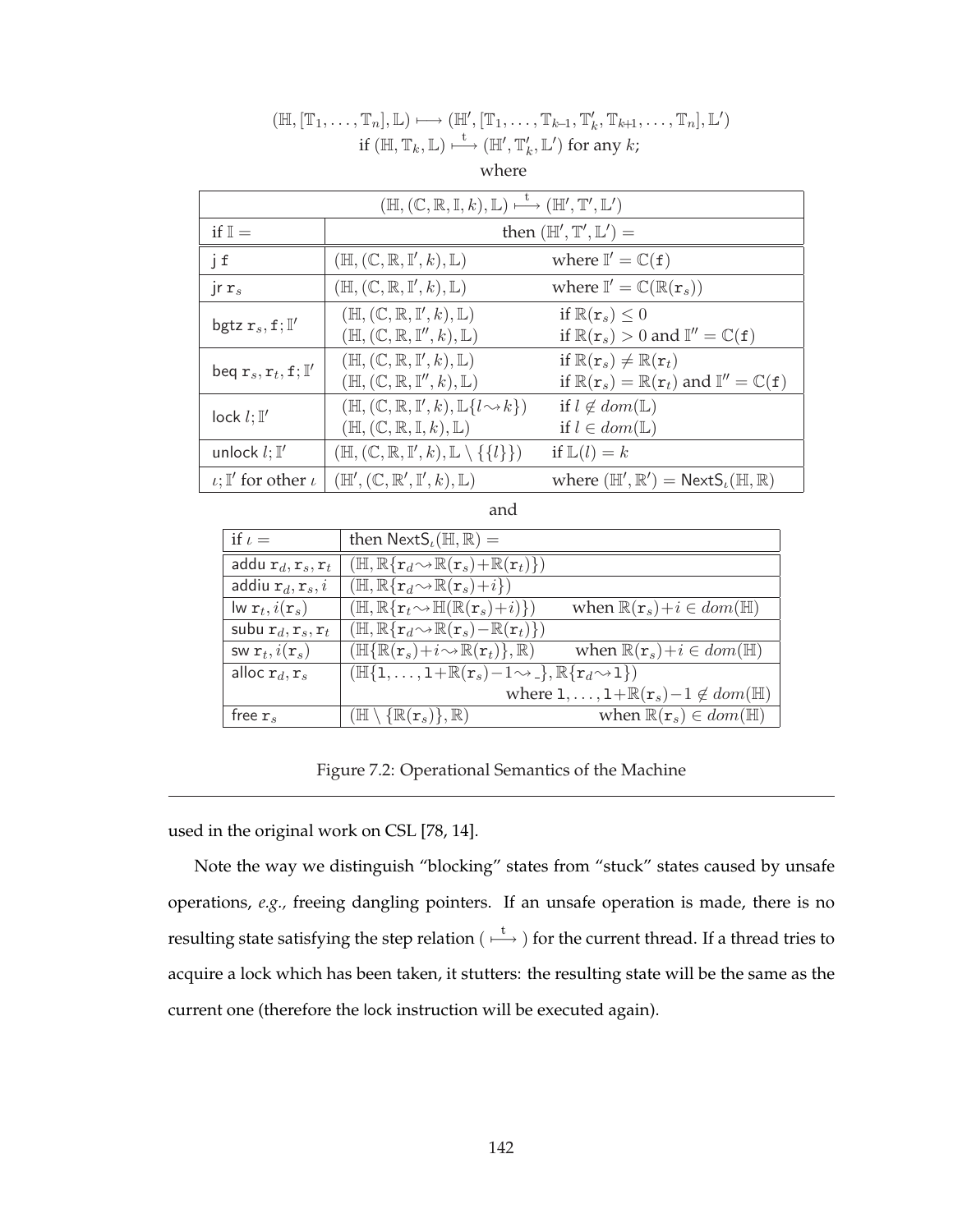| $(\mathbb{H}, (\mathbb{C}, \mathbb{R}, \mathbb{I}, k), \mathbb{L}) \mapsto (\mathbb{H}', \mathbb{T}', \mathbb{L}')$ |                                                                                                                                                                     |                                                                                                                                                                     |  |  |  |
|---------------------------------------------------------------------------------------------------------------------|---------------------------------------------------------------------------------------------------------------------------------------------------------------------|---------------------------------------------------------------------------------------------------------------------------------------------------------------------|--|--|--|
| if $\mathbb{I}$ =                                                                                                   | then $(\mathbb{H}', \mathbb{T}', \mathbb{L}')$ =                                                                                                                    |                                                                                                                                                                     |  |  |  |
| jf                                                                                                                  | $(\mathbb{H}, (\mathbb{C}, \mathbb{R}, \mathbb{I}', k), \mathbb{L})$                                                                                                | where $\mathbb{I}' = \mathbb{C}(\mathbf{f})$                                                                                                                        |  |  |  |
| $\int r s$                                                                                                          | $(\mathbb{H}, (\mathbb{C}, \mathbb{R}, \mathbb{I}', k), \mathbb{L})$                                                                                                | where $\mathbb{I}' = \mathbb{C}(\mathbb{R}(\mathbf{r}_s))$                                                                                                          |  |  |  |
| bgtz $r_s, f;$ $\mathbb{I}'$                                                                                        | $(\mathbb{H}, (\mathbb{C}, \mathbb{R}, \mathbb{I}', k), \mathbb{L})$<br>$(\mathbb{H}, (\mathbb{C}, \mathbb{R}, \mathbb{I}^{\prime\prime}, k), \mathbb{L})$          | if $\mathbb{R}(\mathbf{r}_s) \leq 0$<br>if $\mathbb{R}(\mathbf{r}_s) > 0$ and $\mathbb{I}'' = \mathbb{C}(\mathbf{f})$                                               |  |  |  |
| beq $r_s, r_t, f;$ $\mathbb{I}'$                                                                                    | $(\mathbb{H}, (\mathbb{C}, \mathbb{R}, \mathbb{I}', k), \mathbb{L})$<br>$(\mathbb{H}, (\mathbb{C}, \mathbb{R}, \mathbb{I}^{\prime\prime}, k), \mathbb{L})$          | if $\mathbb{R}(\mathbf{r}_s) \neq \mathbb{R}(\mathbf{r}_t)$<br>if $\mathbb{R}(\mathbf{r}_s) = \mathbb{R}(\mathbf{r}_t)$ and $\mathbb{I}'' = \mathbb{C}(\mathbf{f})$ |  |  |  |
| $lock$ $l$ ; $I'$                                                                                                   | $(\mathbb{H}, (\mathbb{C}, \mathbb{R}, \mathbb{I}', k), \mathbb{L}\{l \rightsquigarrow k\})$<br>$(\mathbb{H}, (\mathbb{C}, \mathbb{R}, \mathbb{I}, k), \mathbb{L})$ | if $l \notin dom(\mathbb{L})$<br>if $l \in dom(\mathbb{L})$                                                                                                         |  |  |  |
| unlock $l$ ; $\mathbb{I}'$                                                                                          | $(\mathbb{H}, (\mathbb{C}, \mathbb{R}, \mathbb{I}', k), \mathbb{L} \setminus \{\{l\}\})$                                                                            | if $\mathbb{L}(l) = k$                                                                                                                                              |  |  |  |
| $\iota$ ; I' for other $\iota$                                                                                      | $(\mathbb{H}', (\mathbb{C}, \mathbb{R}', \mathbb{I}', k), \mathbb{L})$                                                                                              | where $(\mathbb{H}', \mathbb{R}') = \text{NextS}_{\iota}(\mathbb{H}, \mathbb{R})$                                                                                   |  |  |  |

## $(\mathbb{H}, [\mathbb{T}_1, \ldots, \mathbb{T}_n], \mathbb{L}) \longmapsto (\mathbb{H}', [\mathbb{T}_1, \ldots, \mathbb{T}_{k-1}, \mathbb{T}'_k, \mathbb{T}_{k+1}, \ldots, \mathbb{T}_n], \mathbb{L}')$ if  $(\mathbb{H},\mathbb{T}_{k},\mathbb{L})\longmapsto (\mathbb{H}^{\prime},\mathbb{T}^{\prime}_{k},\mathbb{L}^{\prime})$  for any  $k$ ;

where

and

| if $\iota$ =                                    | then $\text{NextS}_{\iota}(\mathbb{H}, \mathbb{R}) =$                                                   |                                                                            |
|-------------------------------------------------|---------------------------------------------------------------------------------------------------------|----------------------------------------------------------------------------|
| addu $\mathbf{r}_d, \mathbf{r}_s, \mathbf{r}_t$ | $(\mathbb{H}, \mathbb{R}\{\mathbf{r}_d \sim \mathbb{R}(\mathbf{r}_s) + \mathbb{R}(\mathbf{r}_t)\})$     |                                                                            |
| addiu $r_d, r_s, i$                             | $(\mathbb{H}, \mathbb{R}\{\mathbf{r}_d \sim \mathbb{R}(\mathbf{r}_s) + i\})$                            |                                                                            |
| $\mathsf{lw}\,\mathbf{r}_t, i(\mathbf{r}_s)$    | $(\mathbb{H}, \mathbb{R}\{\mathbf{r}_t \sim \mathbb{H}(\mathbb{R}(\mathbf{r}_s)+i)\})$                  | when $\mathbb{R}(\mathbf{r}_s) + i \in dom(\mathbb{H})$                    |
| subu $r_d, r_s, r_t$                            | $(\mathbb{H}, \mathbb{R}\{\mathbf{r}_d\!\sim\!\mathbb{R}(\mathbf{r}_s)\!-\!\mathbb{R}(\mathbf{r}_t)\})$ |                                                                            |
| SW $\mathbf{r}_t$ , $i(\mathbf{r}_s)$           | $(\mathbb{H}{\rm R}(\mathbf{r}_s)+i\!\sim\!\mathbb{R}(\mathbf{r}_t),\mathbb{R})$                        | when $\mathbb{R}(\mathbf{r}_s)+i \in dom(\mathbb{H})$                      |
| alloc $r_d, r_s$                                | $(\mathbb{H}\{1,\ldots,1+\mathbb{R}(\mathbf{r}_s)-1\sim\ldots\},\mathbb{R}\{\mathbf{r}_d\sim1\})$       |                                                                            |
|                                                 |                                                                                                         | where $1, \ldots, 1 + \mathbb{R}(\mathbf{r}_s) - 1 \notin dom(\mathbb{H})$ |
| free $r_s$                                      | $(\mathbb{H}\setminus\{\mathbb{R}(\mathtt{r}_{s})\},\mathbb{R})$                                        | when $\mathbb{R}(\mathbf{r}_s) \in dom(\mathbb{H})$                        |

Figure 7.2: Operational Semantics of the Machine

used in the original work on CSL [78, 14].

Note the way we distinguish "blocking" states from "stuck" states caused by unsafe operations, *e.g.,* freeing dangling pointers. If an unsafe operation is made, there is no resulting state satisfying the step relation ( $\stackrel{\text{t}}{\longmapsto}$  ) for the current thread. If a thread tries to acquire a lock which has been taken, it stutters: the resulting state will be the same as the current one (therefore the lock instruction will be executed again).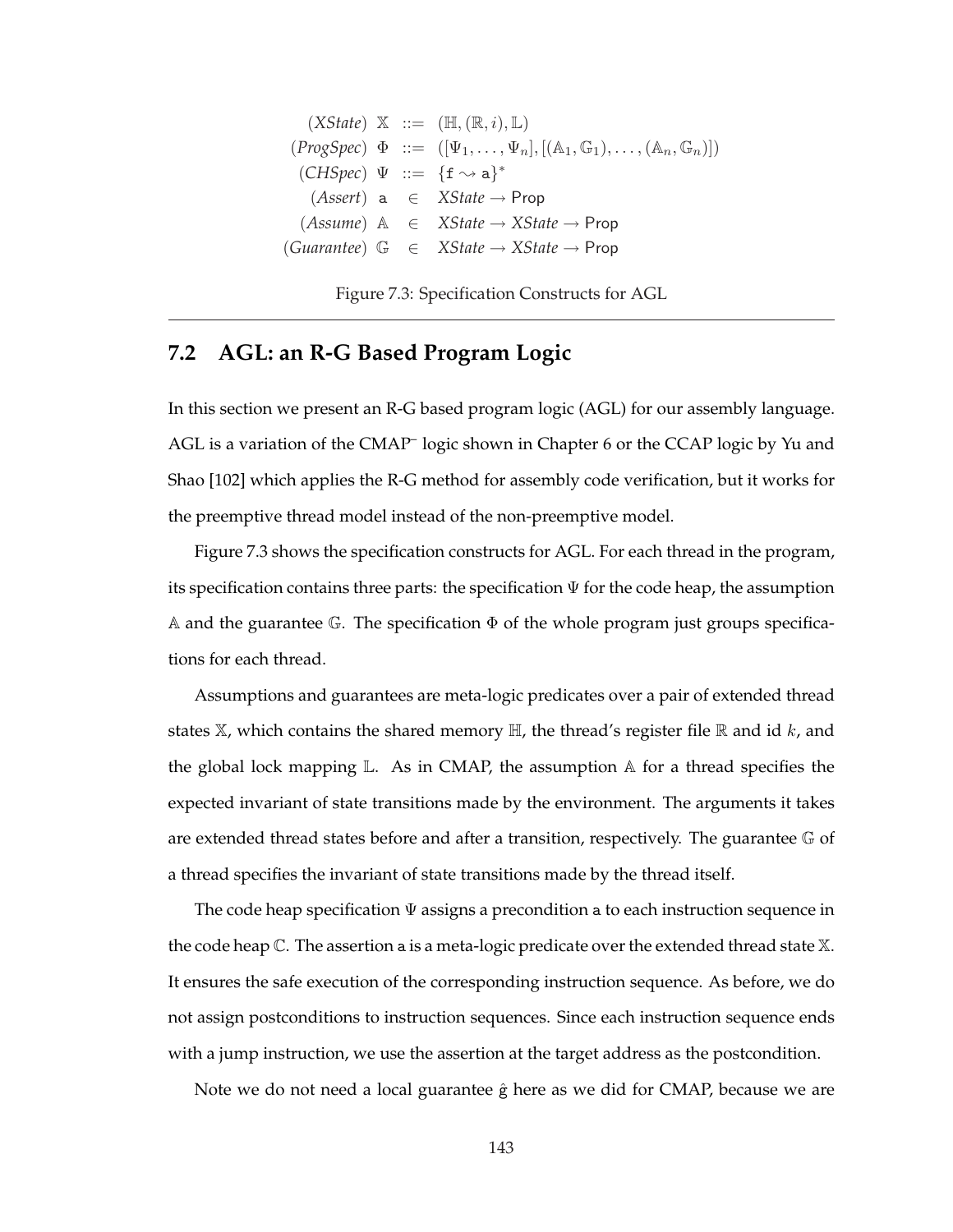$(XState) \mathbb{X} ::= (\mathbb{H}, (\mathbb{R}, i), \mathbb{L})$  $(\text{ProgSpec}) \Phi ::= ([\Psi_1, \ldots, \Psi_n], [(\mathbb{A}_1, \mathbb{G}_1), \ldots, (\mathbb{A}_n, \mathbb{G}_n)])$  $(CHSpec) \Psi ::= \{f \rightsquigarrow a\}^*$ (*Assert*) a ∈ *XState* → Prop (*Assume*) A ∈ *XState* → *XState* → Prop (*Guarantee*) G ∈ *XState* → *XState* → Prop

Figure 7.3: Specification Constructs for AGL

## **7.2 AGL: an R-G Based Program Logic**

In this section we present an R-G based program logic (AGL) for our assembly language. AGL is a variation of the CMAP<sup>-</sup> logic shown in Chapter 6 or the CCAP logic by Yu and Shao [102] which applies the R-G method for assembly code verification, but it works for the preemptive thread model instead of the non-preemptive model.

Figure 7.3 shows the specification constructs for AGL. For each thread in the program, its specification contains three parts: the specification  $\Psi$  for the code heap, the assumption A and the guarantee G. The specification  $\Phi$  of the whole program just groups specifications for each thread.

Assumptions and guarantees are meta-logic predicates over a pair of extended thread states  $\mathbb{X}$ , which contains the shared memory  $\mathbb{H}$ , the thread's register file  $\mathbb{R}$  and id k, and the global lock mapping  $\mathbb{L}$ . As in CMAP, the assumption  $\mathbb A$  for a thread specifies the expected invariant of state transitions made by the environment. The arguments it takes are extended thread states before and after a transition, respectively. The guarantee  $\mathbb G$  of a thread specifies the invariant of state transitions made by the thread itself.

The code heap specification  $\Psi$  assigns a precondition a to each instruction sequence in the code heap  $\mathbb{C}$ . The assertion a is a meta-logic predicate over the extended thread state  $\mathbb{X}$ . It ensures the safe execution of the corresponding instruction sequence. As before, we do not assign postconditions to instruction sequences. Since each instruction sequence ends with a jump instruction, we use the assertion at the target address as the postcondition.

Note we do not need a local guarantee  $\hat{g}$  here as we did for CMAP, because we are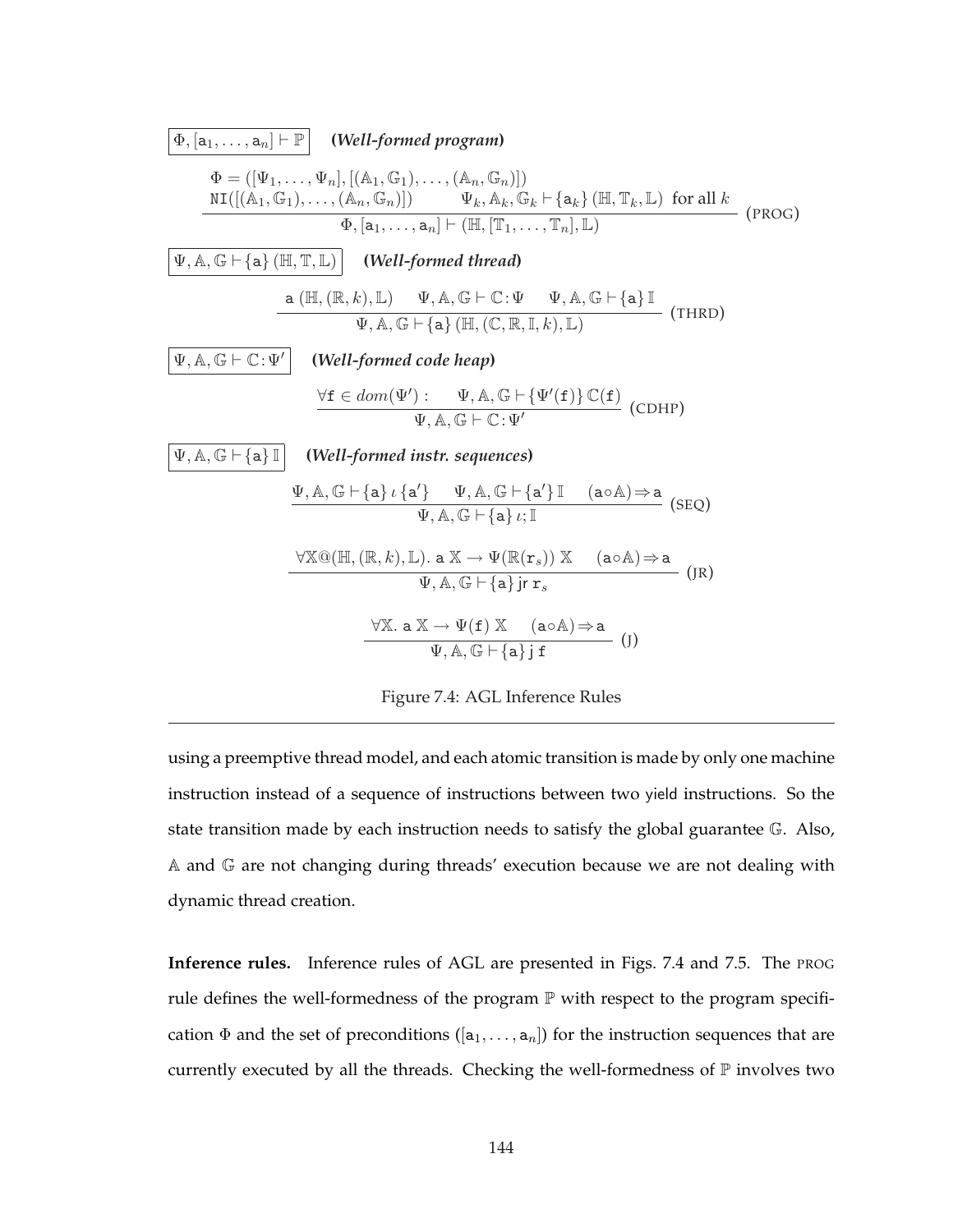

Figure 7.4: AGL Inference Rules

using a preemptive thread model, and each atomic transition is made by only one machine instruction instead of a sequence of instructions between two yield instructions. So the state transition made by each instruction needs to satisfy the global guarantee G. Also, A and G are not changing during threads' execution because we are not dealing with dynamic thread creation.

**Inference rules.** Inference rules of AGL are presented in Figs. 7.4 and 7.5. The PROG rule defines the well-formedness of the program  $\mathbb P$  with respect to the program specification  $\Phi$  and the set of preconditions ([a<sub>1</sub>, ..., a<sub>n</sub>]) for the instruction sequences that are currently executed by all the threads. Checking the well-formedness of  $\mathbb P$  involves two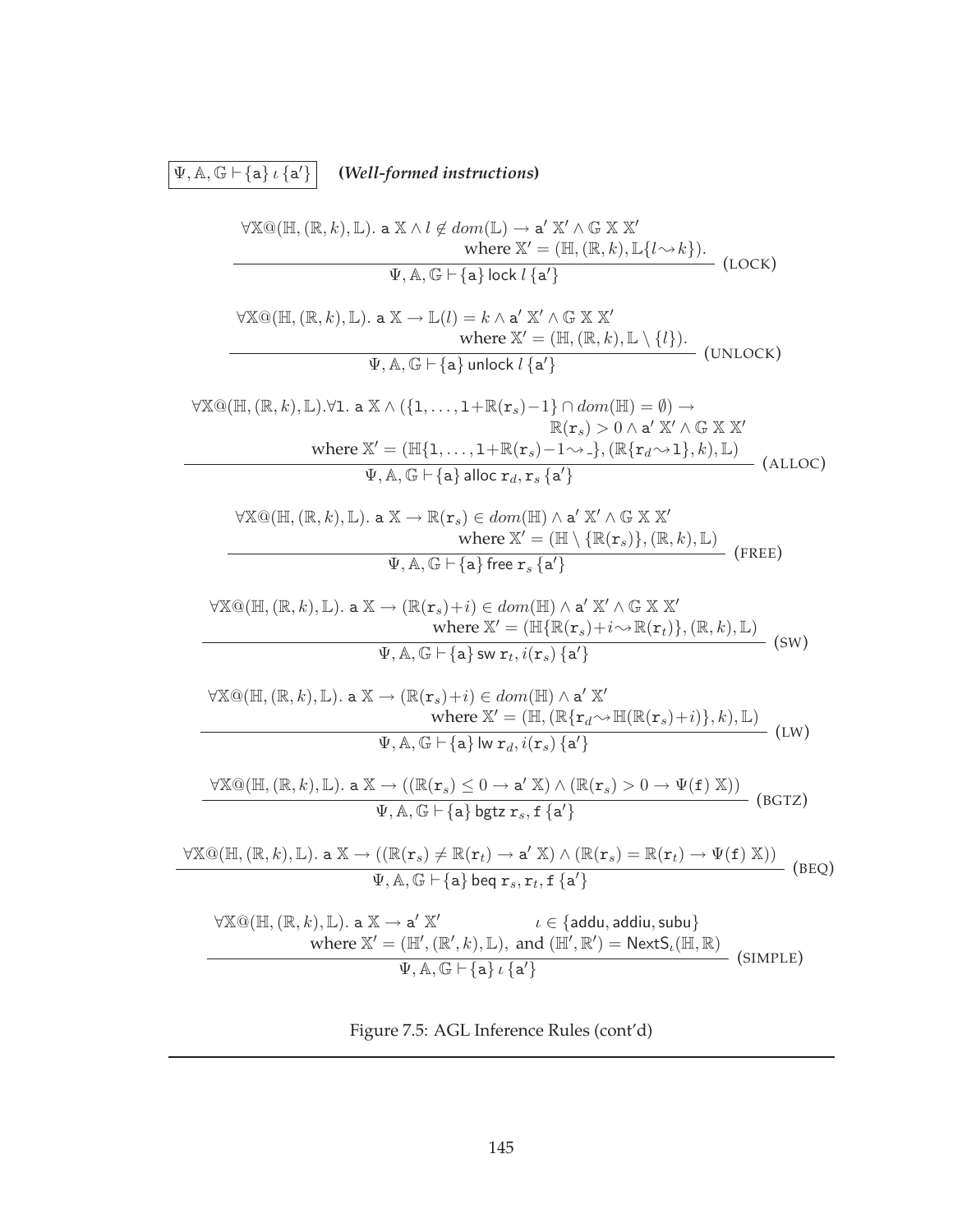$\boxed{\Psi, \mathbb{A}, \mathbb{G} \vdash \{\mathtt{a}\} \iota \left\{\mathtt{a}'\right\}}$ <sup>0</sup>} **(***Well-formed instructions***)**

$$
\forall X@(\mathbb{H}, (\mathbb{R}, k), \mathbb{L}) \cdot a X \land l \notin dom(\mathbb{L}) \rightarrow a' X' \land G X X'
$$
\nwhere  $X' = (\mathbb{H}, (\mathbb{R}, k), \mathbb{L}\{l \sim k\})$ .  
\n
$$
\frac{\forall X@(\mathbb{H}, (\mathbb{R}, k), \mathbb{L}) \cdot a X \rightarrow \mathbb{L}(l) = k \land a' X' \land G X X'}{\text{where } X' = (\mathbb{H}, (\mathbb{R}, k), \mathbb{L} \setminus \{l\})}
$$
\n
$$
\frac{\forall X@(\mathbb{H}, (\mathbb{R}, k), \mathbb{L}) \cdot a X \rightarrow \mathbb{L}(l) = k \land a' X' \land G X X'}{\text{where } X' = (\mathbb{H}, (\mathbb{R}, k), \mathbb{L} \setminus \{l\})}
$$
\n
$$
\frac{\forall X@(\mathbb{H}, (\mathbb{R}, k), \mathbb{L}) \cdot \forall 1 \cdot a X \land (\{1, \ldots, 1 + \mathbb{R}(r_s) = 1\} \cap dom(\mathbb{H}) = \emptyset) \rightarrow \text{where } X' = (\mathbb{H}\{1, \ldots, 1 + \mathbb{R}(r_s) = 1 \cap \{0 \land (H) = 0\}) \rightarrow \text{where } X' = (\mathbb{H}\{1, \ldots, 1 + \mathbb{R}(r_s) = 1 \land \neg), (\mathbb{R}\{r_d \sim 1\}, k), \mathbb{L})
$$
\n
$$
\frac{\forall X@(\mathbb{H}, (\mathbb{R}, k), \mathbb{L}) \cdot a X \rightarrow \mathbb{R}(r_s) \in dom(\mathbb{H}) \land a' X' \land G X X'}{\text{where } X' = (\mathbb{H}\setminus \{\mathbb{R}(r_s)\}, (\mathbb{R}, k), \mathbb{L})}
$$
\n
$$
\frac{\forall X@(\mathbb{H}, (\mathbb{R}, k), \mathbb{L}) \cdot a X \rightarrow (\mathbb{R}(r_s) + i) \in dom(\mathbb{H}) \land a' X' \land G X X'}{\text{where } X' = (\mathbb{H}\setminus \{\mathbb{R}(r_s)\}, (\mathbb{R}, k), \mathbb{L})}
$$
\n
$$
\frac{\forall X@(\mathbb{H}, (\mathbb{R}, k), \mathbb{L}) \cdot a X
$$

$$
\Psi, \mathbb{A}, \mathbb{G} \vdash \{\mathtt{a}\} \, \iota \, \{\mathtt{a'}\}
$$

Figure 7.5: AGL Inference Rules (cont'd)

(SIMPLE)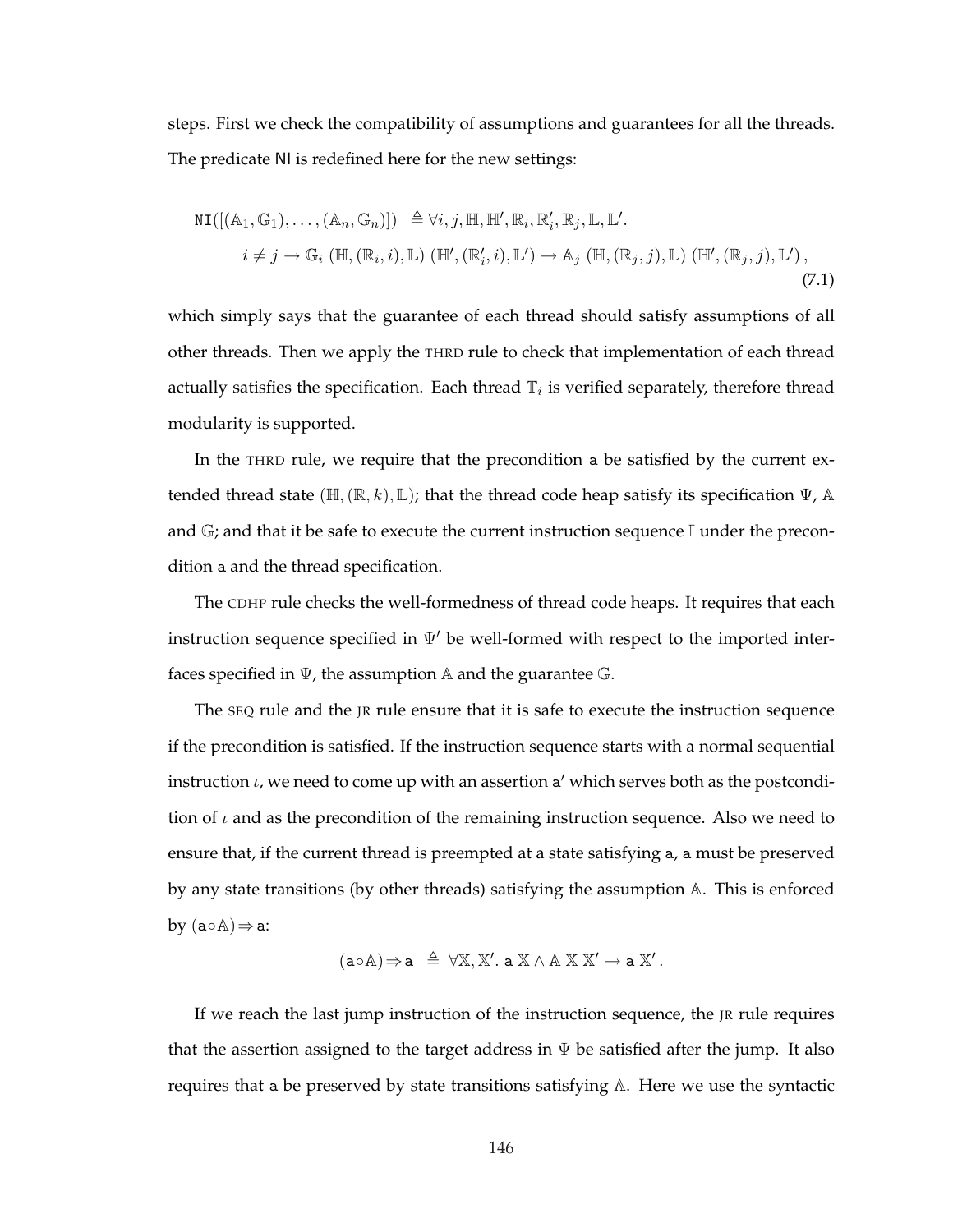steps. First we check the compatibility of assumptions and guarantees for all the threads. The predicate NI is redefined here for the new settings:

$$
NI([({\mathbb A}_1, {\mathbb G}_1),...,({\mathbb A}_n, {\mathbb G}_n)]) \triangleq \forall i, j, \mathbb{H}, \mathbb{H}', \mathbb{R}_i, \mathbb{R}'_i, \mathbb{R}_j, \mathbb{L}, \mathbb{L}'.
$$
  
\n
$$
i \neq j \rightarrow \mathbb{G}_i (\mathbb{H}, (\mathbb{R}_i, i), \mathbb{L}) (\mathbb{H}', (\mathbb{R}'_i, i), \mathbb{L}') \rightarrow \mathbb{A}_j (\mathbb{H}, (\mathbb{R}_j, j), \mathbb{L}) (\mathbb{H}', (\mathbb{R}_j, j), \mathbb{L}'),
$$
\n(7.1)

which simply says that the guarantee of each thread should satisfy assumptions of all other threads. Then we apply the THRD rule to check that implementation of each thread actually satisfies the specification. Each thread  $\mathbb{T}_i$  is verified separately, therefore thread modularity is supported.

In the THRD rule, we require that the precondition a be satisfied by the current extended thread state ( $\mathbb{H}, (\mathbb{R}, k), \mathbb{L}$ ); that the thread code heap satisfy its specification  $\Psi$ , A and  $\mathbb{G}$ ; and that it be safe to execute the current instruction sequence I under the precondition a and the thread specification.

The CDHP rule checks the well-formedness of thread code heaps. It requires that each instruction sequence specified in  $\Psi'$  be well-formed with respect to the imported interfaces specified in  $\Psi$ , the assumption A and the guarantee  $\mathbb{G}$ .

The SEQ rule and the JR rule ensure that it is safe to execute the instruction sequence if the precondition is satisfied. If the instruction sequence starts with a normal sequential instruction  $\iota$ , we need to come up with an assertion a' which serves both as the postcondition of  $\iota$  and as the precondition of the remaining instruction sequence. Also we need to ensure that, if the current thread is preempted at a state satisfying a, a must be preserved by any state transitions (by other threads) satisfying the assumption A. This is enforced by  $(a \circ A) \Rightarrow a$ :

$$
(a \circ A) \Rightarrow a \triangleq \forall X, X'. a X \land A X X' \rightarrow a X'.
$$

If we reach the last jump instruction of the instruction sequence, the JR rule requires that the assertion assigned to the target address in  $\Psi$  be satisfied after the jump. It also requires that a be preserved by state transitions satisfying A. Here we use the syntactic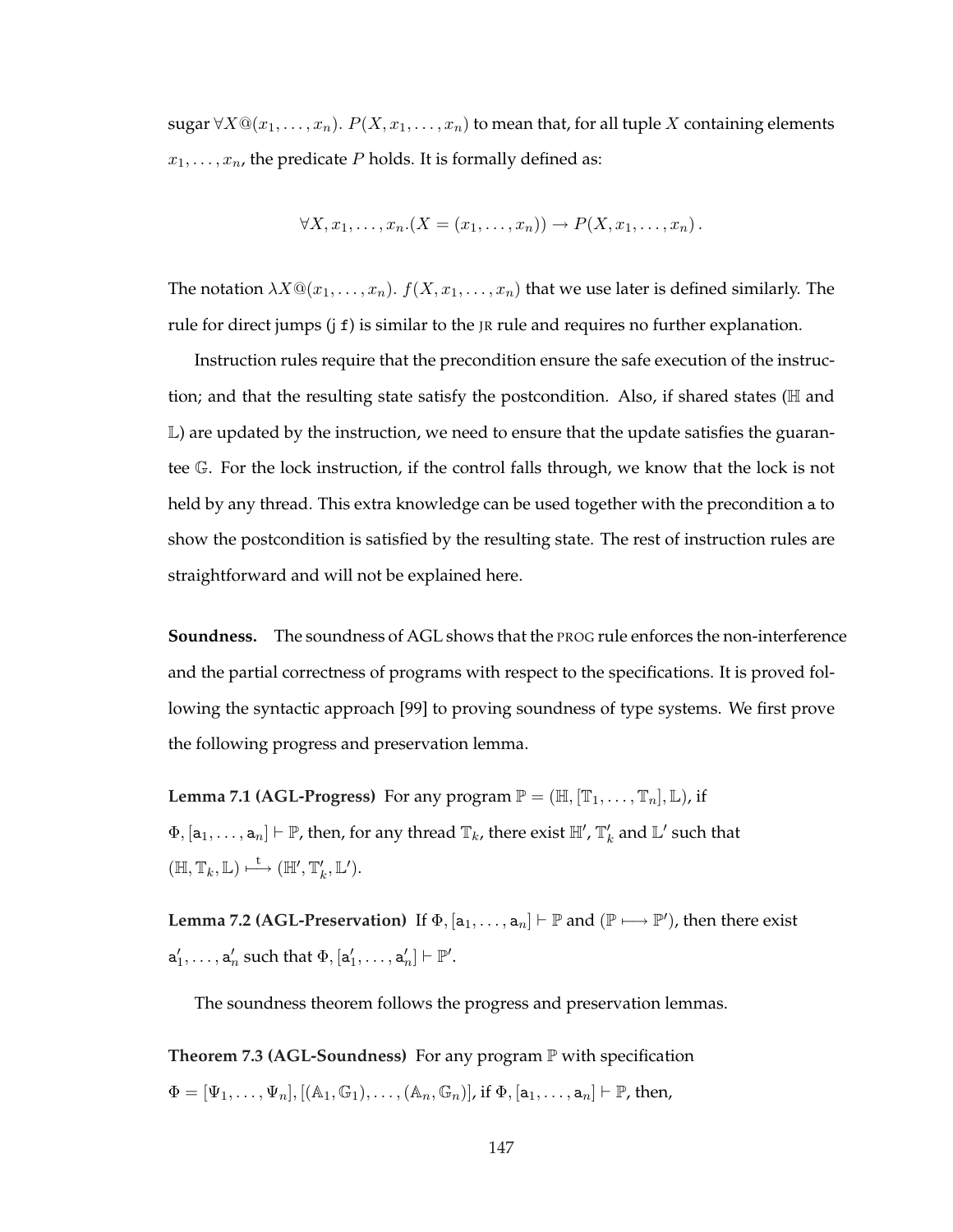sugar  $\forall X \mathbb{Q}(x_1, \ldots, x_n)$ .  $P(X, x_1, \ldots, x_n)$  to mean that, for all tuple X containing elements  $x_1, \ldots, x_n$ , the predicate P holds. It is formally defined as:

$$
\forall X, x_1, \ldots, x_n. (X = (x_1, \ldots, x_n)) \rightarrow P(X, x_1, \ldots, x_n).
$$

The notation  $\lambda X \mathbb{Q}(x_1, \ldots, x_n)$ .  $f(X, x_1, \ldots, x_n)$  that we use later is defined similarly. The rule for direct jumps (j f) is similar to the JR rule and requires no further explanation.

Instruction rules require that the precondition ensure the safe execution of the instruction; and that the resulting state satisfy the postcondition. Also, if shared states ( $H$  and  $\mathbb L$ ) are updated by the instruction, we need to ensure that the update satisfies the guarantee G. For the lock instruction, if the control falls through, we know that the lock is not held by any thread. This extra knowledge can be used together with the precondition a to show the postcondition is satisfied by the resulting state. The rest of instruction rules are straightforward and will not be explained here.

**Soundness.** The soundness of AGL shows that the PROG rule enforces the non-interference and the partial correctness of programs with respect to the specifications. It is proved following the syntactic approach [99] to proving soundness of type systems. We first prove the following progress and preservation lemma.

**Lemma 7.1 (AGL-Progress)** For any program  $\mathbb{P} = (\mathbb{H}, [\mathbb{T}_1, \dots, \mathbb{T}_n], \mathbb{L})$ , if  $\Phi, [a_1,\ldots,a_n]\vdash \mathbb{P}$ , then, for any thread  $\mathbb{T}_k$ , there exist  $\mathbb{H}', \mathbb{T}'_k$  and  $\mathbb{L}'$  such that  $(\mathbb{H}, \mathbb{T}_k, \mathbb{L}) \stackrel{\mathsf{t}}{\longmapsto} (\mathbb{H}', \mathbb{T}'_k, \mathbb{L}').$ 

**Lemma 7.2 (AGL-Preservation)** If  $\Phi$ ,  $[a_1, \ldots, a_n] \vdash \mathbb{P}$  and  $(\mathbb{P} \longmapsto \mathbb{P}')$ , then there exist  $\mathsf{a}'_1,\ldots,\mathsf{a}'_n$  such that  $\Phi,[\mathsf{a}'_1,\ldots,\mathsf{a}'_n]\vdash \mathbb{P}'.$ 

The soundness theorem follows the progress and preservation lemmas.

**Theorem 7.3 (AGL-Soundness)** For any program P with specification  $\Phi = [\Psi_1, \ldots, \Psi_n], [(\mathbb{A}_1, \mathbb{G}_1), \ldots, (\mathbb{A}_n, \mathbb{G}_n)],$  if  $\Phi, [\mathsf{a}_1, \ldots, \mathsf{a}_n] \vdash \mathbb{P}$ , then,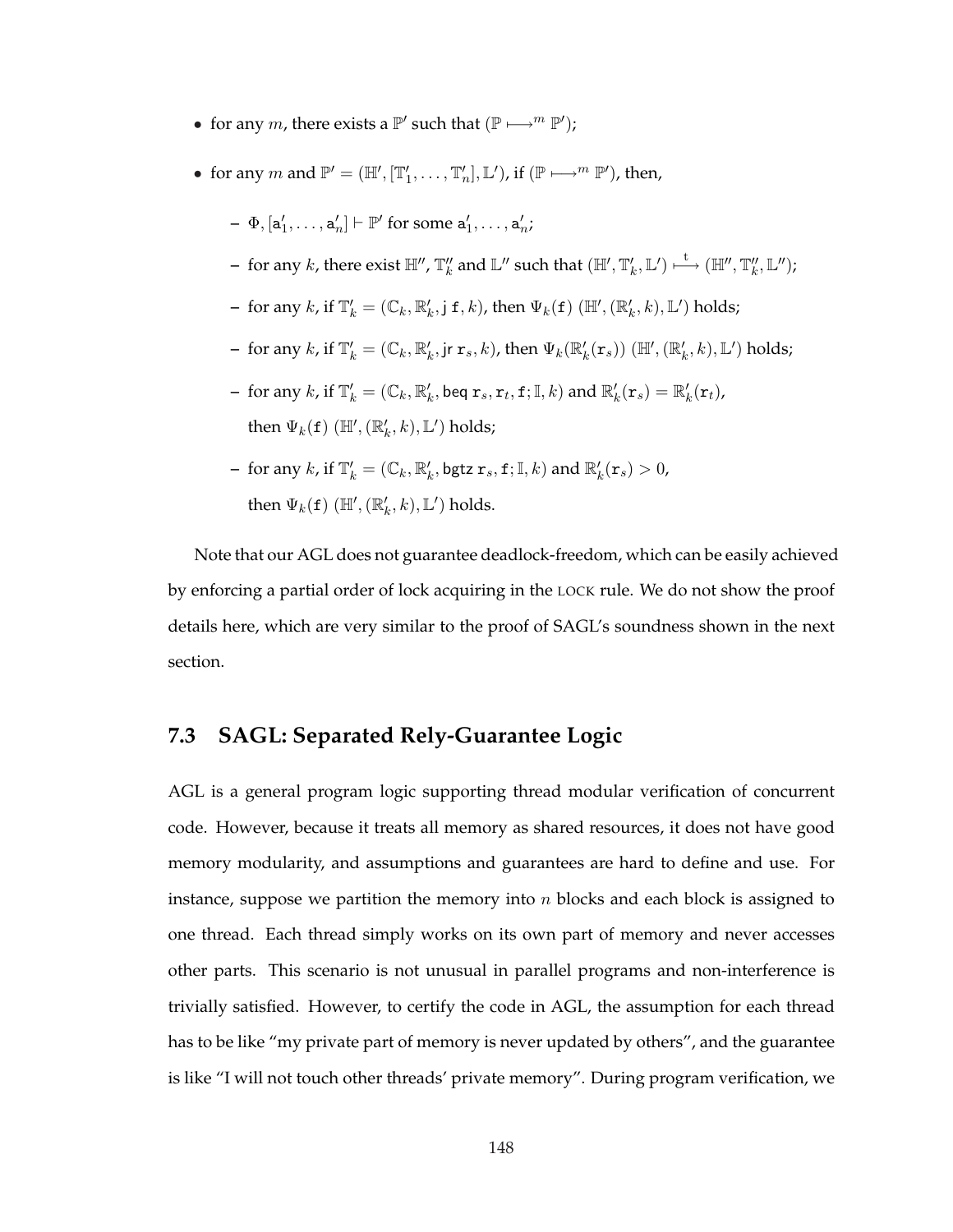- for any *m*, there exists a  $\mathbb{P}'$  such that  $(\mathbb{P} \longmapsto^m \mathbb{P}')$ ;
- for any  $m$  and  $\mathbb{P}' = (\mathbb{H}', [\mathbb{T}'_1, \ldots, \mathbb{T}'_n], \mathbb{L}'),$  if  $(\mathbb{P} \longmapsto^m \mathbb{P}'),$  then,
	- $\Phi = \Phi, [\mathsf{a}'_1, \ldots, \mathsf{a}'_n] \vdash \mathbb{P}'$  for some  $\mathsf{a}'_1, \ldots, \mathsf{a}'_n;$
	- $-$  for any  $k$ , there exist  $\mathbb{H}'',\mathbb{T}''_k$  and  $\mathbb{L}''$  such that  $(\mathbb{H}',\mathbb{T}'_k,\mathbb{L}')\stackrel{\mathsf{t}}{\longmapsto}(\mathbb{H}'',\mathbb{T}''_k,\mathbb{L}'') ;$
	- $-$  for any  $k$ , if  $\mathbb{T}'_k = (\mathbb{C}_k, \mathbb{R}'_k, j \leq k)$ , then  $\Psi_k(\mathbf{f})$   $(\mathbb{H}', (\mathbb{R}'_k, k), \mathbb{L}')$  holds;
	- $-$  for any  $k$ , if  $\mathbb{T}'_k = (\mathbb{C}_k, \mathbb{R}'_k, \mathsf{jr}\, \mathbf{r}_s, k)$ , then  $\Psi_k(\mathbb{R}'_k(\mathbf{r}_s))$   $(\mathbb{H}', (\mathbb{R}'_k, k), \mathbb{L}')$  holds;
	- $-$  for any  $k$ , if  $\mathbb{T}'_k = (\mathbb{C}_k, \mathbb{R}'_k$ , beq  $\mathtt{r}_s, \mathtt{r}_t, \mathtt{f}; \mathbb{I}, k)$  and  $\mathbb{R}'_k(\mathtt{r}_s) = \mathbb{R}'_k(\mathtt{r}_t)$ , then  $\Psi_k(\mathtt{f})$   $(\mathbb{H}', (\mathbb{R}'_k, k), \mathbb{L}')$  holds;
	- for any k, if  $\mathbb{T}'_k = (\mathbb{C}_k, \mathbb{R}'_k, \text{bgtz } \mathbf{r}_s, \mathbf{f}; \mathbb{I}, k)$  and  $\mathbb{R}'_k(\mathbf{r}_s) > 0$ , then  $\Psi_k(\mathbf{f})$  ( $\mathbb{H}', (\mathbb{R}'_k, k), \mathbb{L}'$ ) holds.

Note that our AGL does not guarantee deadlock-freedom, which can be easily achieved by enforcing a partial order of lock acquiring in the LOCK rule. We do not show the proof details here, which are very similar to the proof of SAGL's soundness shown in the next section.

## **7.3 SAGL: Separated Rely-Guarantee Logic**

AGL is a general program logic supporting thread modular verification of concurrent code. However, because it treats all memory as shared resources, it does not have good memory modularity, and assumptions and guarantees are hard to define and use. For instance, suppose we partition the memory into  $n$  blocks and each block is assigned to one thread. Each thread simply works on its own part of memory and never accesses other parts. This scenario is not unusual in parallel programs and non-interference is trivially satisfied. However, to certify the code in AGL, the assumption for each thread has to be like "my private part of memory is never updated by others", and the guarantee is like "I will not touch other threads' private memory". During program verification, we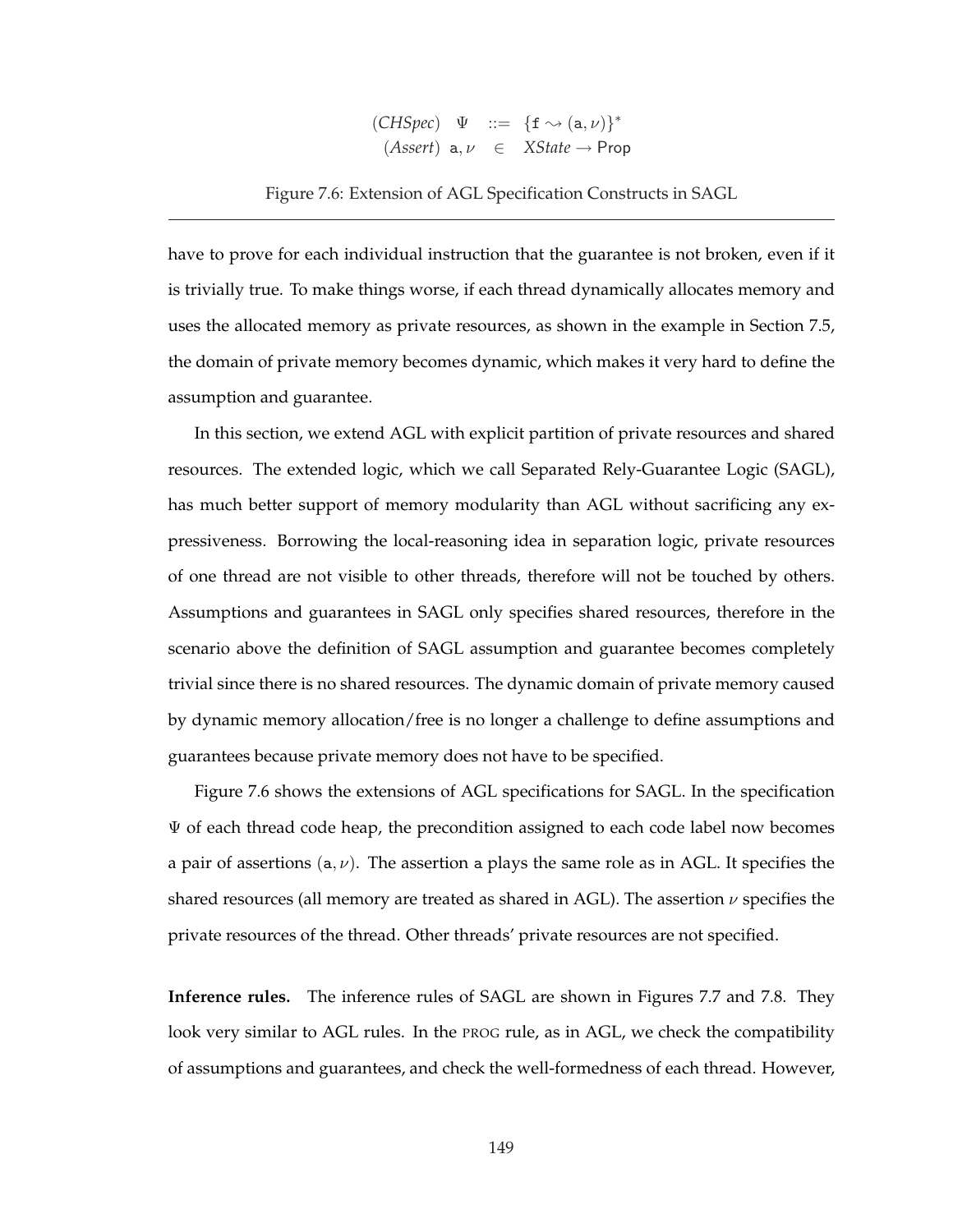$(CHSpec) \quad \Psi \quad ::= \ \{f \rightsquigarrow (a, \nu)\}^*$  $(Assert)$  a,  $\nu \in XState \rightarrow Prop$ 

Figure 7.6: Extension of AGL Specification Constructs in SAGL

have to prove for each individual instruction that the guarantee is not broken, even if it is trivially true. To make things worse, if each thread dynamically allocates memory and uses the allocated memory as private resources, as shown in the example in Section 7.5, the domain of private memory becomes dynamic, which makes it very hard to define the assumption and guarantee.

In this section, we extend AGL with explicit partition of private resources and shared resources. The extended logic, which we call Separated Rely-Guarantee Logic (SAGL), has much better support of memory modularity than AGL without sacrificing any expressiveness. Borrowing the local-reasoning idea in separation logic, private resources of one thread are not visible to other threads, therefore will not be touched by others. Assumptions and guarantees in SAGL only specifies shared resources, therefore in the scenario above the definition of SAGL assumption and guarantee becomes completely trivial since there is no shared resources. The dynamic domain of private memory caused by dynamic memory allocation/free is no longer a challenge to define assumptions and guarantees because private memory does not have to be specified.

Figure 7.6 shows the extensions of AGL specifications for SAGL. In the specification  $\Psi$  of each thread code heap, the precondition assigned to each code label now becomes a pair of assertions  $(a, \nu)$ . The assertion a plays the same role as in AGL. It specifies the shared resources (all memory are treated as shared in AGL). The assertion  $\nu$  specifies the private resources of the thread. Other threads' private resources are not specified.

**Inference rules.** The inference rules of SAGL are shown in Figures 7.7 and 7.8. They look very similar to AGL rules. In the PROG rule, as in AGL, we check the compatibility of assumptions and guarantees, and check the well-formedness of each thread. However,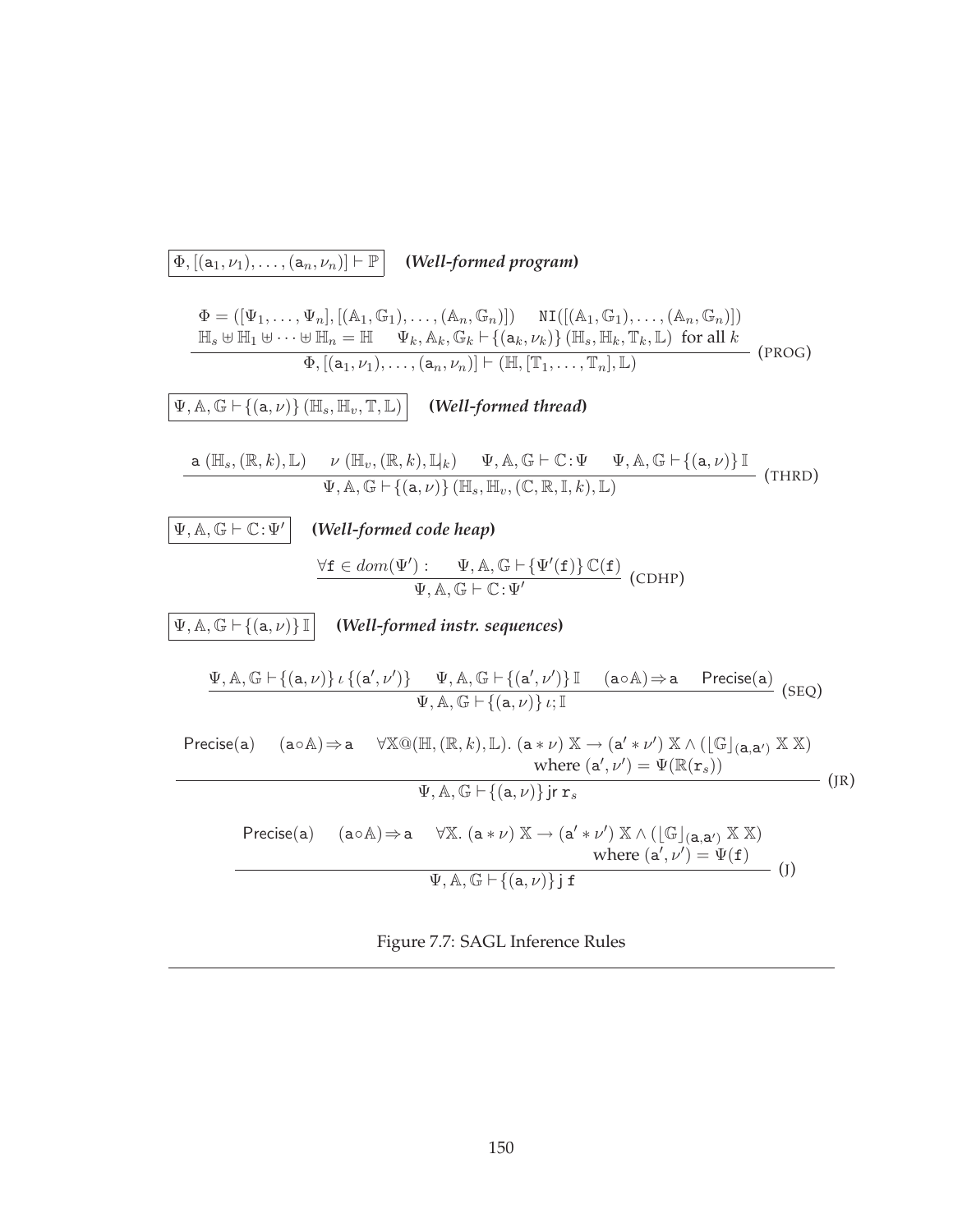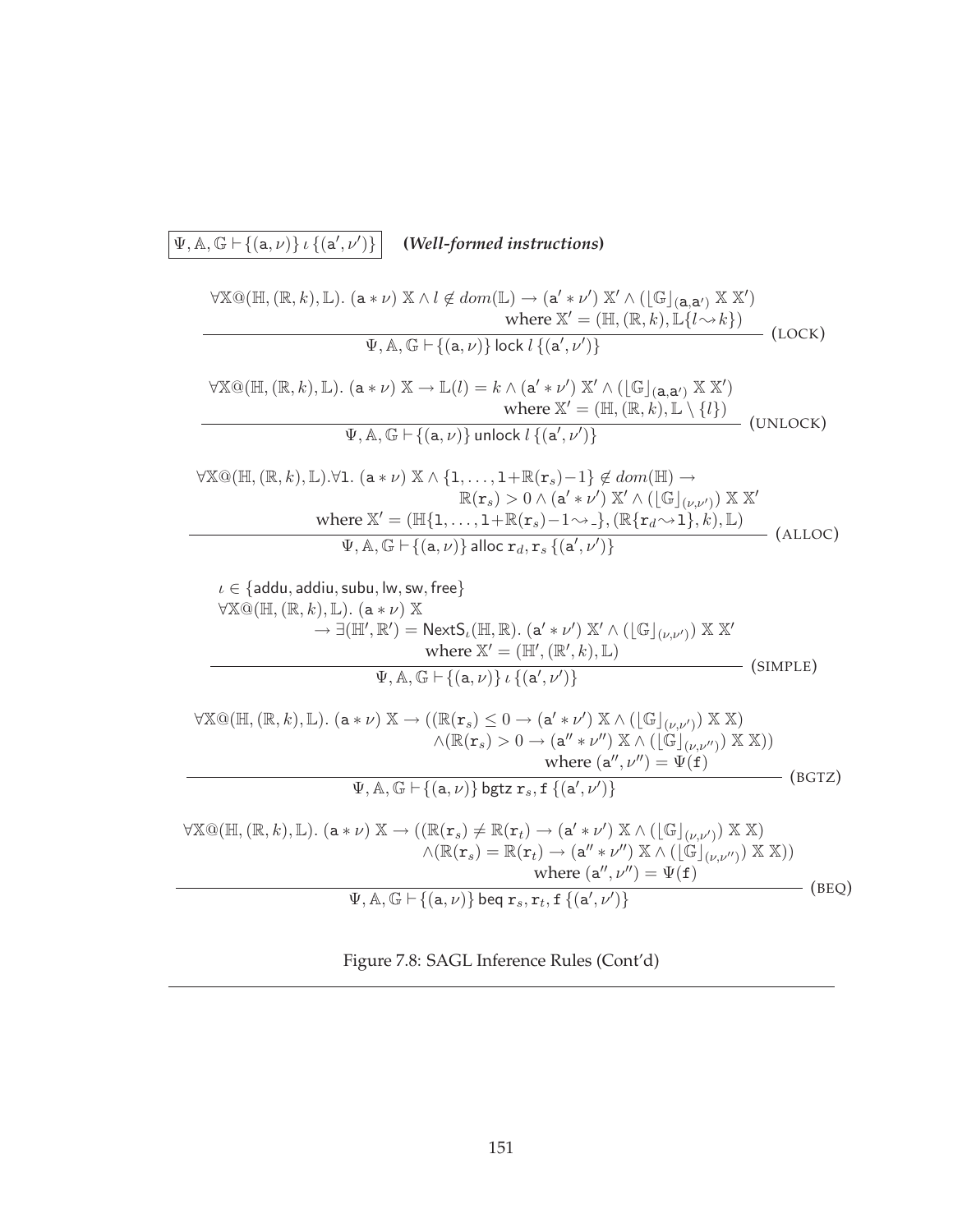## $\Psi$ ,  $\mathbb{A}$ ,  $\mathbb{G} \vdash \{(\mathsf{a},\nu)\}\iota$  { $(\mathsf{a}',\nu')$ )} **(***Well-formed instructions***)**  $\forall \mathbb{X} \mathbb{Q}(\mathbb{H}, (\mathbb{R}, k), \mathbb{L})$ .  $(\mathtt{a} * \nu) \mathbb{X} \wedge l \not\in dom(\mathbb{L}) \rightarrow (\mathtt{a}' * \nu') \mathbb{X}' \wedge ([\mathbb{G}]_{(\mathtt{a}, \mathtt{a}')} \mathbb{X} \mathbb{X}')$ where  $\mathbb{X}' = (\mathbb{H}, (\mathbb{R}, k), \mathbb{L}\{l \rightsquigarrow k\})$  $\Psi$ ,  $\mathbb{A}$ ,  $\mathbb{G} \vdash \{(\mathsf{a}, \nu)\}$  lock  $l\{(\mathsf{a}', \nu')\}$  (LOCK)  $\forall \mathbb{X} \mathbb{Q}(\mathbb{H}, (\mathbb{R}, k), \mathbb{L})$ .  $(a * \nu) \mathbb{X} \to \mathbb{L}(l) = k \wedge (a' * \nu') \mathbb{X}' \wedge (\lfloor \mathbb{G} \rfloor_{(a, a')} \mathbb{X} \mathbb{X}')$ where  $\mathbb{X}' = (\mathbb{H}, (\mathbb{R}, k), \mathbb{L} \setminus \{l\})$  $\Psi$ ,  $\mathbb{A}$ ,  $\mathbb{G} \vdash \{(\mathsf{a}, \nu)\}\$ unlock  $l\{(\mathsf{a}', \nu')\}$ (UNLOCK)  $\forall \mathbb{X}\mathbb{Q}(\mathbb{H},(\mathbb{R},k),\mathbb{L}).\forall 1.$   $(a * \nu) \mathbb{X} \wedge \{1,\ldots,1+\mathbb{R}(\mathbf{r}_s)-1\} \notin dom(\mathbb{H}) \rightarrow$  $\mathbb{R}(\mathbf{r}_s) > 0 \wedge (\mathsf{a}' \ast \nu') \mathbb{X}' \wedge (\lfloor \mathbb{G} \rfloor_{(\nu, \nu')}) \mathbb{X} \mathbb{X}'$ where  $\mathbb{X}' = (\mathbb{H}\{1,\ldots,1+\mathbb{R}(\mathbf{r}_s)-1\leadsto_-\},(\mathbb{R}\{\mathbf{r}_d\leadsto1\},k),\mathbb{L})$  $\Psi$ , A, G  $\vdash \{(a,\nu)\}\$ alloc  $r_d$ ,  $r_s$   $\{(a',\nu')\}$  (ALLOC)  $\iota \in \{\textsf{addu}, \textsf{addiu}, \textsf{subu}, \textsf{lw}, \textsf{sw}, \textsf{free}\}\$  $\forall \mathbb{X}\mathbb{Q}(\mathbb{H}, (\mathbb{R}, k), \mathbb{L})$ .  $(a * \nu) \mathbb{X}$  $\rightarrow \exists (\mathbb{H}', \mathbb{R}') = \mathsf{NextS}_t(\mathbb{H}, \mathbb{R}).$   $(a' * \nu') \mathbb{X}' \wedge (\lfloor \mathbb{G} \rfloor_{(\nu, \nu')}) \mathbb{X} \mathbb{X}'$ where  $\mathbb{X}' = (\mathbb{H}', (\mathbb{R}', k), \mathbb{L})$  $\Psi$ ,  $\mathbb{A}$ ,  $\mathbb{G} \vdash \{(\mathsf{a}, \nu)\}\iota\{(\mathsf{a}', \nu')\}$  (SIMPLE)  $\forall \mathbb{X} \mathbb{Q}(\mathbb{H}, (\mathbb{R}, k), \mathbb{L})$ .  $(a * \nu) \mathbb{X} \to ((\mathbb{R}(\mathbf{r}_s) \leq 0 \to (a' * \nu') \mathbb{X} \wedge (\lfloor \mathbb{G} \rfloor_{(\nu, \nu')}) \mathbb{X} \mathbb{X})$  $\wedge (\mathbb{R}(\mathbf{r}_s) > 0 \rightarrow (\mathbf{a}'' * \nu'') \mathbb{X} \wedge ([\mathbb{G}]_{(\nu, \nu'')}) \mathbb{X} \mathbb{X}))$ where  $(\mathsf{a}'', \nu'') = \Psi(\mathsf{f})$  $\Psi, \mathbb{A}, \mathbb{G} \vdash \{(\mathtt{a}, \nu)\}$  bgtz  $\mathtt{r}_s, \mathtt{f}$   $\{(\mathtt{a}', \nu')\}$  $-$  (BGTZ)  $\forall \mathbb{X} \mathbb{Q}(\mathbb{H}, (\mathbb{R}, k), \mathbb{L})$ .  $(a * \nu) \mathbb{X} \rightarrow ((\mathbb{R}(\mathbf{r}_s) \neq \mathbb{R}(\mathbf{r}_t) \rightarrow (a' * \nu') \mathbb{X} \wedge (\lfloor \mathbb{G} \rfloor_{(\nu, \nu')}) \mathbb{X} \mathbb{X})$  $\wedge (\mathbb{R}(\mathbf{r}_s) = \mathbb{R}(\mathbf{r}_t) \rightarrow (\mathbf{a}'' * \nu'') \mathbb{X} \wedge (\lfloor \mathbb{G} \rfloor_{(\nu,\nu'')}) \mathbb{X} \mathbb{X}))$ where  $(\mathsf{a}'', \nu'') = \Psi(\mathsf{f})$  $\Psi, \mathbb{A}, \mathbb{G} \vdash \{(\mathtt{a}, \nu)\}$  beq  $\mathtt{r}_s, \mathtt{r}_t, \mathtt{f} \{(\mathtt{a}', \nu')\}$ (BEQ)

Figure 7.8: SAGL Inference Rules (Cont'd)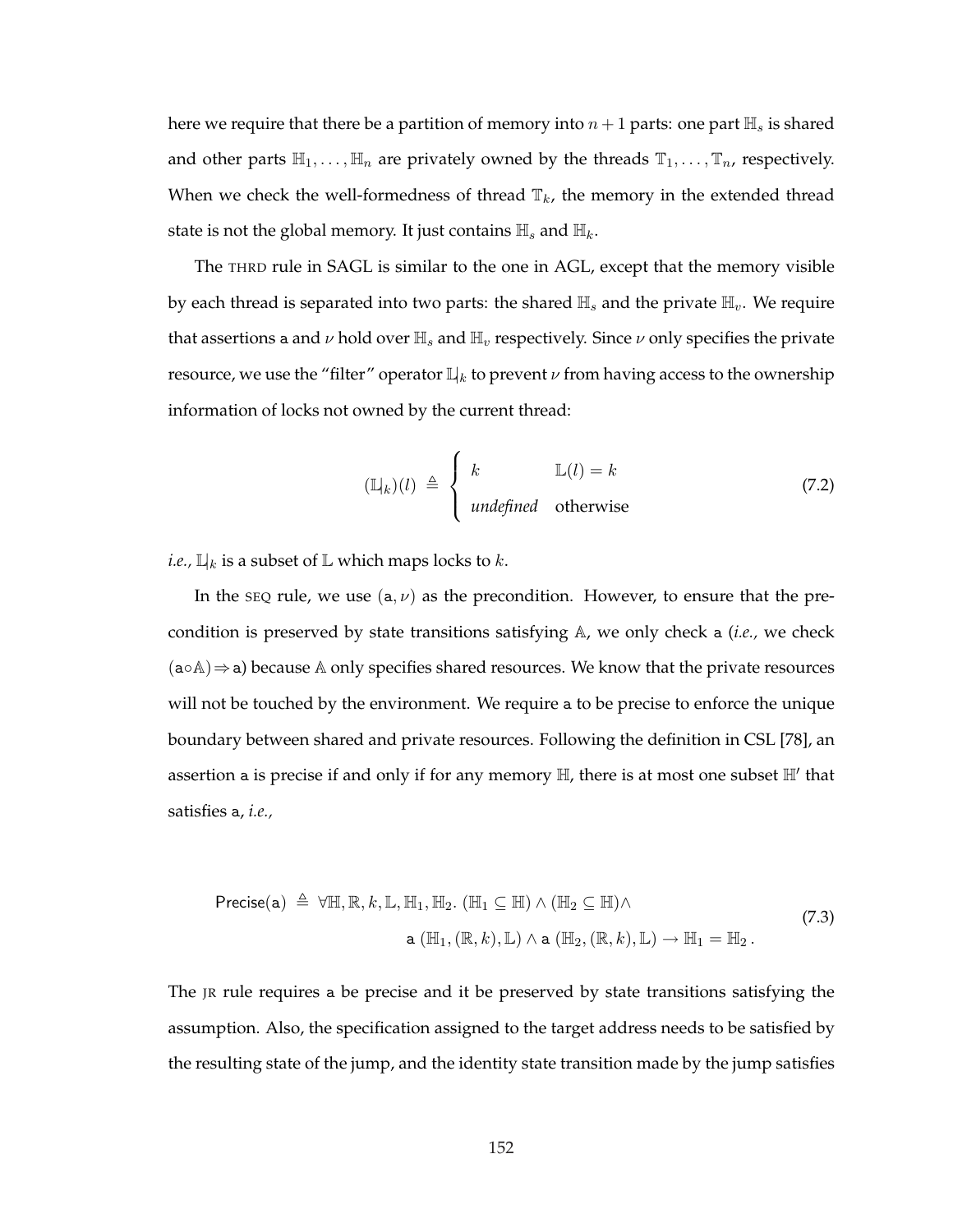here we require that there be a partition of memory into  $n + 1$  parts: one part  $\mathbb{H}_s$  is shared and other parts  $\mathbb{H}_1, \ldots, \mathbb{H}_n$  are privately owned by the threads  $\mathbb{T}_1, \ldots, \mathbb{T}_n$ , respectively. When we check the well-formedness of thread  $\mathbb{T}_k$ , the memory in the extended thread state is not the global memory. It just contains  $\mathbb{H}_s$  and  $\mathbb{H}_k$ .

The THRD rule in SAGL is similar to the one in AGL, except that the memory visible by each thread is separated into two parts: the shared  $\mathbb{H}_s$  and the private  $\mathbb{H}_v$ . We require that assertions a and  $\nu$  hold over  $\mathbb{H}_s$  and  $\mathbb{H}_v$  respectively. Since  $\nu$  only specifies the private resource, we use the "filter" operator  $\mathbb{L}|_k$  to prevent  $\nu$  from having access to the ownership information of locks not owned by the current thread:

$$
(\mathbb{L}|_k)(l) \triangleq \begin{cases} k & \mathbb{L}(l) = k \\ \text{undefined} & \text{otherwise} \end{cases}
$$
 (7.2)

*i.e.,*  $\mathbb{L}_k$  is a subset of  $\mathbb{L}$  which maps locks to  $k$ .

In the seq rule, we use  $(a, \nu)$  as the precondition. However, to ensure that the precondition is preserved by state transitions satisfying A, we only check a (*i.e.,* we check  $(a \circ A) \Rightarrow a$ ) because A only specifies shared resources. We know that the private resources will not be touched by the environment. We require a to be precise to enforce the unique boundary between shared and private resources. Following the definition in CSL [78], an assertion a is precise if and only if for any memory  $\mathbb{H}$ , there is at most one subset  $\mathbb{H}'$  that satisfies a, *i.e.,*

$$
\begin{aligned}\n\text{Precise(a)} \triangleq \forall \mathbb{H}, \mathbb{R}, k, \mathbb{L}, \mathbb{H}_1, \mathbb{H}_2. \ (\mathbb{H}_1 \subseteq \mathbb{H}) \land (\mathbb{H}_2 \subseteq \mathbb{H}) \land \\
&\text{a } (\mathbb{H}_1, (\mathbb{R}, k), \mathbb{L}) \land \text{a } (\mathbb{H}_2, (\mathbb{R}, k), \mathbb{L}) \to \mathbb{H}_1 = \mathbb{H}_2.\n\end{aligned} \tag{7.3}
$$

The JR rule requires a be precise and it be preserved by state transitions satisfying the assumption. Also, the specification assigned to the target address needs to be satisfied by the resulting state of the jump, and the identity state transition made by the jump satisfies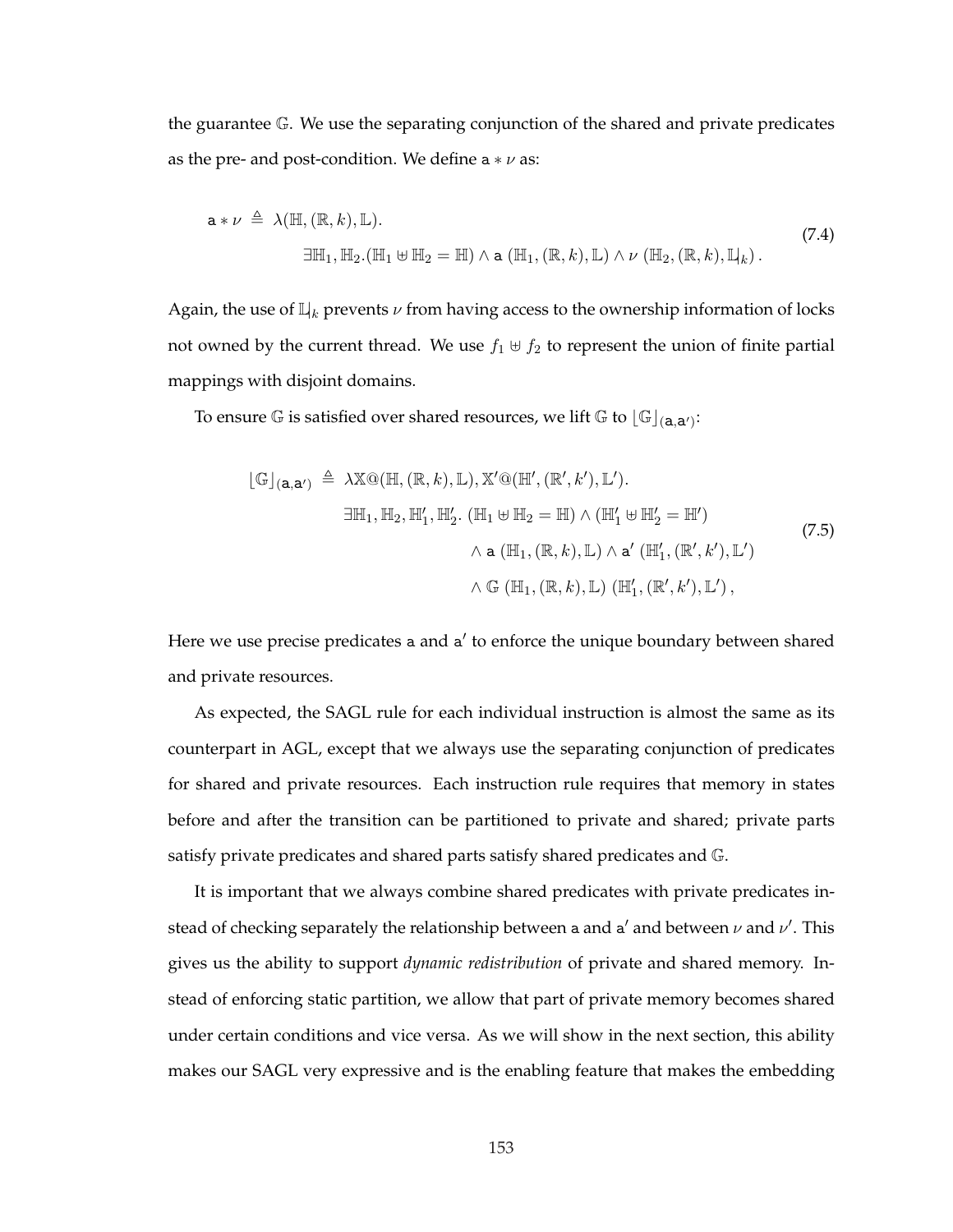the guarantee G. We use the separating conjunction of the shared and private predicates as the pre- and post-condition. We define  $a * \nu$  as:

$$
\mathbf{a} * \nu \triangleq \lambda(\mathbb{H}, (\mathbb{R}, k), \mathbb{L}).
$$
\n
$$
\exists \mathbb{H}_1, \mathbb{H}_2. (\mathbb{H}_1 \uplus \mathbb{H}_2 = \mathbb{H}) \land \mathbf{a} (\mathbb{H}_1, (\mathbb{R}, k), \mathbb{L}) \land \nu (\mathbb{H}_2, (\mathbb{R}, k), \mathbb{L}_k).
$$
\n(7.4)

Again, the use of  $\mathbb{L}_k$  prevents  $\nu$  from having access to the ownership information of locks not owned by the current thread. We use  $f_1 \oplus f_2$  to represent the union of finite partial mappings with disjoint domains.

To ensure  $\mathbb G$  is satisfied over shared resources, we lift  $\mathbb G$  to  $\lfloor \mathbb G\rfloor_{(\textbf{a},\textbf{a}')}$ :

$$
\begin{aligned}\n\left[\mathbb{G}\right]_{(a,a')} &\triangleq \lambda \mathbb{X} \mathbb{Q}(\mathbb{H}, (\mathbb{R}, k), \mathbb{L}), \mathbb{X}' \mathbb{Q}(\mathbb{H}', (\mathbb{R}', k'), \mathbb{L}'). \\
&\exists \mathbb{H}_1, \mathbb{H}_2, \mathbb{H}'_1, \mathbb{H}'_2. (\mathbb{H}_1 \oplus \mathbb{H}_2 = \mathbb{H}) \wedge (\mathbb{H}'_1 \oplus \mathbb{H}'_2 = \mathbb{H}') \\
&\wedge a (\mathbb{H}_1, (\mathbb{R}, k), \mathbb{L}) \wedge a' (\mathbb{H}'_1, (\mathbb{R}', k'), \mathbb{L}') \\
&\wedge \mathbb{G}(\mathbb{H}_1, (\mathbb{R}, k), \mathbb{L}) (\mathbb{H}'_1, (\mathbb{R}', k'), \mathbb{L}'),\n\end{aligned}
$$
\n(7.5)

Here we use precise predicates a and a' to enforce the unique boundary between shared and private resources.

As expected, the SAGL rule for each individual instruction is almost the same as its counterpart in AGL, except that we always use the separating conjunction of predicates for shared and private resources. Each instruction rule requires that memory in states before and after the transition can be partitioned to private and shared; private parts satisfy private predicates and shared parts satisfy shared predicates and G.

It is important that we always combine shared predicates with private predicates instead of checking separately the relationship between a and a' and between  $\nu$  and  $\nu'$ . This gives us the ability to support *dynamic redistribution* of private and shared memory. Instead of enforcing static partition, we allow that part of private memory becomes shared under certain conditions and vice versa. As we will show in the next section, this ability makes our SAGL very expressive and is the enabling feature that makes the embedding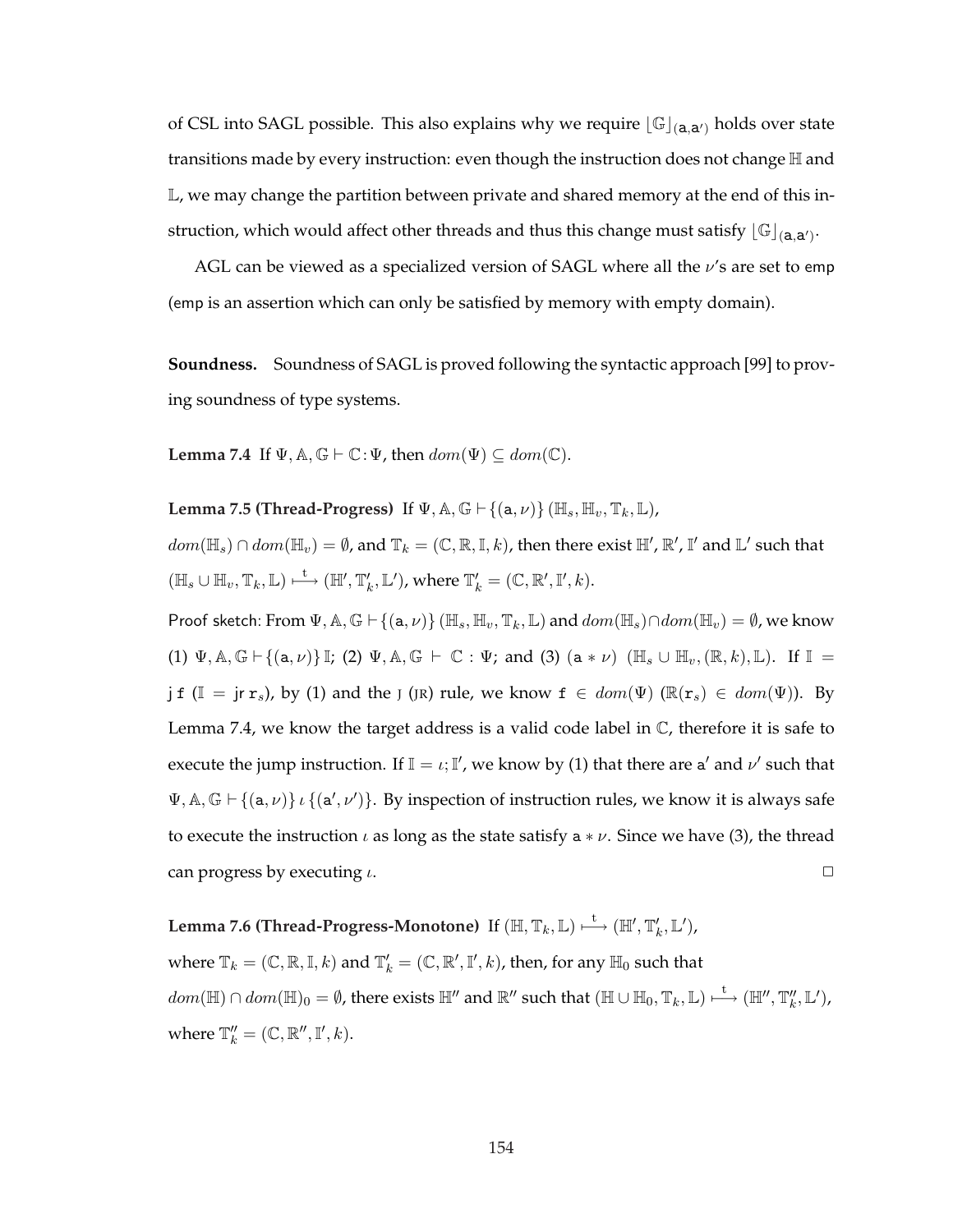of CSL into SAGL possible. This also explains why we require  $[\mathbb{G}]_{(a,a')}$  holds over state transitions made by every instruction: even though the instruction does not change  $\mathbb H$  and L, we may change the partition between private and shared memory at the end of this instruction, which would affect other threads and thus this change must satisfy  $\lfloor\mathbb{G}\rfloor_{(\textbf{a},\textbf{a}')}$ .

AGL can be viewed as a specialized version of SAGL where all the  $\nu$ 's are set to emp (emp is an assertion which can only be satisfied by memory with empty domain).

**Soundness.** Soundness of SAGL is proved following the syntactic approach [99] to proving soundness of type systems.

**Lemma 7.4** If  $\Psi$ ,  $\mathbb{A}$ ,  $\mathbb{G} \vdash \mathbb{C}$ :  $\Psi$ , then  $dom(\Psi) \subseteq dom(\mathbb{C})$ .

**Lemma 7.5 (Thread-Progress)** If  $\Psi$ ,  $\mathbb{A}$ ,  $\mathbb{G} \vdash \{(\mathsf{a}, \nu)\}$  ( $\mathbb{H}_s$ ,  $\mathbb{H}_v$ ,  $\mathbb{T}_k$ ,  $\mathbb{L}$ ),

 $dom(\mathbb{H}_s)\cap dom(\mathbb{H}_v)=\emptyset$ , and  $\mathbb{T}_k=(\mathbb{C},\mathbb{R},\mathbb{I},k)$ , then there exist  $\mathbb{H}',\mathbb{R}',\mathbb{I}'$  and  $\mathbb{L}'$  such that  $(\mathbb{H}_s\cup\mathbb{H}_v,\mathbb{T}_k,\mathbb{L})\stackrel{\mathrm{t}}{\longmapsto} (\mathbb{H}',\mathbb{T}'_k,\mathbb{L}'),$  where  $\mathbb{T}'_k=(\mathbb{C},\mathbb{R}',\mathbb{I}',k).$ 

Proof sketch: From  $\Psi$ ,  $\mathbb{A}, \mathbb{G} \vdash \{(\mathsf{a}, \nu)\}$  ( $\mathbb{H}_s$ ,  $\mathbb{H}_v$ ,  $\mathbb{T}_k$ ,  $\mathbb{L}$ ) and  $dom(\mathbb{H}_s) \cap dom(\mathbb{H}_v) = \emptyset$ , we know (1)  $\Psi$ ,  $\mathbb{A}, \mathbb{G} \vdash \{(\mathtt{a}, \nu)\}\mathbb{I}$ ; (2)  $\Psi$ ,  $\mathbb{A}, \mathbb{G} \vdash \mathbb{C} : \Psi$ ; and (3)  $(\mathtt{a} * \nu)$  ( $\mathbb{H}_s \cup \mathbb{H}_v$ ,  $(\mathbb{R}, k)$ ,  $\mathbb{L}$ ). If  $\mathbb{I} =$ j f ( $\mathbb{I} =$  jr  $r_s$ ), by (1) and the J (JR) rule, we know  $f \in dom(\Psi)$  ( $\mathbb{R}(r_s) \in dom(\Psi)$ ). By Lemma 7.4, we know the target address is a valid code label in  $\mathbb C$ , therefore it is safe to execute the jump instruction. If  $\mathbb{I} = \iota$ ;  $\mathbb{I}'$ , we know by (1) that there are a' and  $\nu'$  such that  $\Psi$ ,  $\mathbb{A}, \mathbb{G} \vdash \{(\mathsf{a}, \nu)\}\iota\{(\mathsf{a}', \nu')\}$ . By inspection of instruction rules, we know it is always safe to execute the instruction  $\iota$  as long as the state satisfy  $a * \nu$ . Since we have (3), the thread can progress by executing  $\iota$ .  $\Box$ 

# Lemma 7.6 (Thread-Progress-Monotone) If  $(\mathbb{H},\mathbb{T}_k,\mathbb{L})\longmapsto (\mathbb{H}',\mathbb{T}'_k,\mathbb{L}'),$

where  $\mathbb{T}_k = (\mathbb{C}, \mathbb{R}, \mathbb{I}, k)$  and  $\mathbb{T}'_k = (\mathbb{C}, \mathbb{R}', \mathbb{I}', k)$ , then, for any  $\mathbb{H}_0$  such that  $dom(\mathbb{H})\cap dom(\mathbb{H})_0=\emptyset$ , there exists  $\mathbb{H}''$  and  $\mathbb{R}''$  such that  $(\mathbb{H}\cup\mathbb{H}_0,\mathbb{T}_k,\mathbb{L})\stackrel{\mathsf{t}}{\longmapsto}(\mathbb{H}'',\mathbb{T}_k'',\mathbb{L}'),$ where  $\mathbb{T}_k'' = (\mathbb{C}, \mathbb{R}'', \mathbb{I}', k)$ .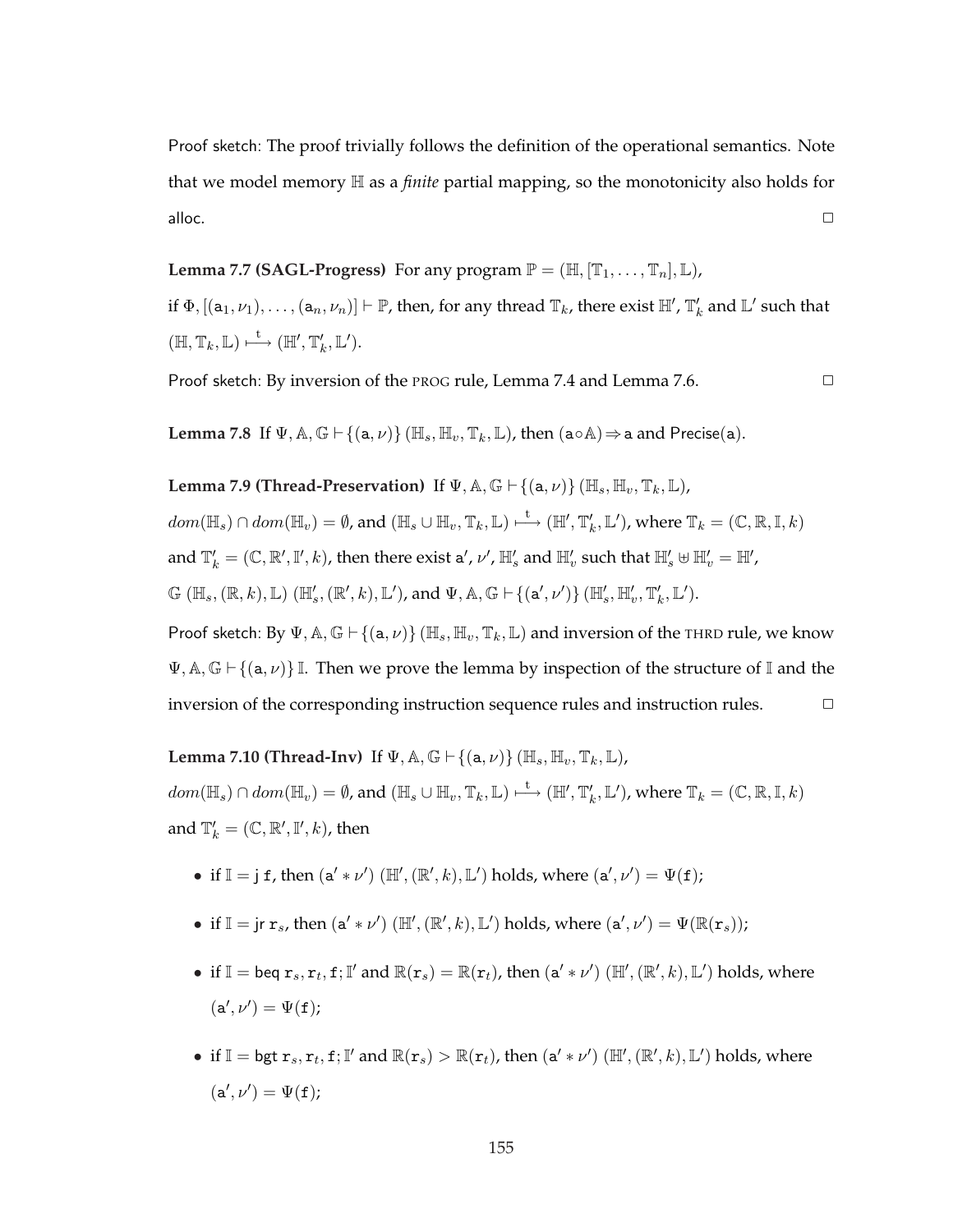Proof sketch: The proof trivially follows the definition of the operational semantics. Note that we model memory H as a *finite* partial mapping, so the monotonicity also holds for  $\Box$ alloc. $\Box$ 

**Lemma 7.7 (SAGL-Progress)** For any program  $\mathbb{P} = (\mathbb{H}, [\mathbb{T}_1, \dots, \mathbb{T}_n], \mathbb{L})$ ,

if  $\Phi$ ,  $[(a_1,\nu_1),\ldots,(a_n,\nu_n)] \vdash \mathbb{P}$ , then, for any thread  $\mathbb{T}_k$ , there exist  $\mathbb{H}'$ ,  $\mathbb{T}'_k$  and  $\mathbb{L}'$  such that  $(\mathbb{H}, \mathbb{T}_k, \mathbb{L}) \stackrel{\mathsf{t}}{\longmapsto} (\mathbb{H}', \mathbb{T}'_k, \mathbb{L}').$ 

Proof sketch: By inversion of the PROG rule, Lemma 7.4 and Lemma 7.6. ✷

**Lemma 7.8** If  $\Psi$ ,  $\mathbb{A}$ ,  $\mathbb{G} \vdash \{(\mathsf{a}, \nu)\}$  ( $\mathbb{H}_s$ ,  $\mathbb{H}_v$ ,  $\mathbb{T}_k$ ,  $\mathbb{L}$ ), then  $(\mathsf{a} \circ \mathbb{A}) \Rightarrow \mathsf{a}$  and Precise( $\mathsf{a}$ ).

**Lemma 7.9 (Thread-Preservation)** If  $\Psi$ ,  $\mathbb{A}$ ,  $\mathbb{G} \vdash \{(\mathbf{a}, \nu)\}$  ( $\mathbb{H}_s$ ,  $\mathbb{H}_v$ ,  $\mathbb{T}_k$ ,  $\mathbb{L}$ ),

 $dom(\mathbb{H}_s)\cap dom(\mathbb{H}_v)=\emptyset$ , and  $(\mathbb{H}_s\cup \mathbb{H}_v,\mathbb{T}_k,\mathbb{L})\stackrel{\mathsf{t}}{\longmapsto} (\mathbb{H}',\mathbb{T}'_k,\mathbb{L}'),$  where  $\mathbb{T}_k=(\mathbb{C},\mathbb{R},\mathbb{I},k)$ 

and  $\mathbb{T}'_k=(\mathbb{C},\mathbb{R}',\mathbb{I}',k)$ , then there exist a',  $\nu'$ ,  $\mathbb{H}'_s$  and  $\mathbb{H}'_v$  such that  $\mathbb{H}'_s\uplus\mathbb{H}'_v=\mathbb{H}'$ ,

 $\mathbb{G}(\mathbb{H}_s, (\mathbb{R}, k), \mathbb{L}) (\mathbb{H}'_s, (\mathbb{R}', k), \mathbb{L}'),$  and  $\Psi$ ,  $\mathbb{A}, \mathbb{G} \vdash \{(\mathsf{a}', \nu')\} (\mathbb{H}'_s, \mathbb{H}'_v, \mathbb{T}'_k, \mathbb{L}').$ 

Proof sketch: By  $\Psi$ ,  $\mathbb{A}, \mathbb{G} \vdash \{(\mathsf{a}, \nu)\}$  ( $\mathbb{H}_s$ ,  $\mathbb{H}_v$ ,  $\mathbb{T}_k$ ,  $\mathbb{L}$ ) and inversion of the THRD rule, we know  $\Psi$ ,  $\mathbb{A}, \mathbb{G} \vdash \{(\mathsf{a}, \nu)\}\mathbb{I}$ . Then we prove the lemma by inspection of the structure of I and the inversion of the corresponding instruction sequence rules and instruction rules.  $\Box$ 

**Lemma 7.10 (Thread-Inv)** If  $\Psi$ ,  $\mathbb{A}$ ,  $\mathbb{G} \vdash \{(\mathsf{a}, \nu)\}$  ( $\mathbb{H}_s$ ,  $\mathbb{H}_v$ ,  $\mathbb{T}_k$ ,  $\mathbb{L}$ ),  $dom(\mathbb{H}_s)\cap dom(\mathbb{H}_v)=\emptyset$ , and  $(\mathbb{H}_s\cup \mathbb{H}_v,\mathbb{T}_k,\mathbb{L})\stackrel{\mathsf{t}}{\longmapsto}(\mathbb{H}',\mathbb{T}'_k,\mathbb{L}'),$  where  $\mathbb{T}_k=(\mathbb{C},\mathbb{R},\mathbb{I},k)$ and  $\mathbb{T}'_k = (\mathbb{C}, \mathbb{R}', \mathbb{I}', k)$ , then

• if  $\mathbb{I} = j$  f, then  $(a' * \nu') (\mathbb{H}', (\mathbb{R}', k), \mathbb{L}')$  holds, where  $(a', \nu') = \Psi(f)$ ;

• if  $\mathbb{I} =$  jr  $\mathbf{r}_s$ , then  $(\mathbf{a}' * \nu')$  ( $\mathbb{H}', (\mathbb{R}', k)$ ,  $\mathbb{L}'$ ) holds, where  $(\mathbf{a}', \nu') = \Psi(\mathbb{R}(\mathbf{r}_s))$ ;

- if  $\mathbb{I} = \text{beq } r_s, r_t, f; \mathbb{I}'$  and  $\mathbb{R}(r_s) = \mathbb{R}(r_t)$ , then  $(a' * \nu') (\mathbb{H}', (\mathbb{R}', k), \mathbb{L}')$  holds, where  $(a', \nu') = \Psi(f);$
- if  $\mathbb{I} = \mathsf{bgt} r_s, r_t, \mathbf{f}; \mathbb{I}'$  and  $\mathbb{R}(r_s) > \mathbb{R}(r_t)$ , then  $(a' * \nu') (\mathbb{H}', (\mathbb{R}', k), \mathbb{L}')$  holds, where  $(a', \nu') = \Psi(f);$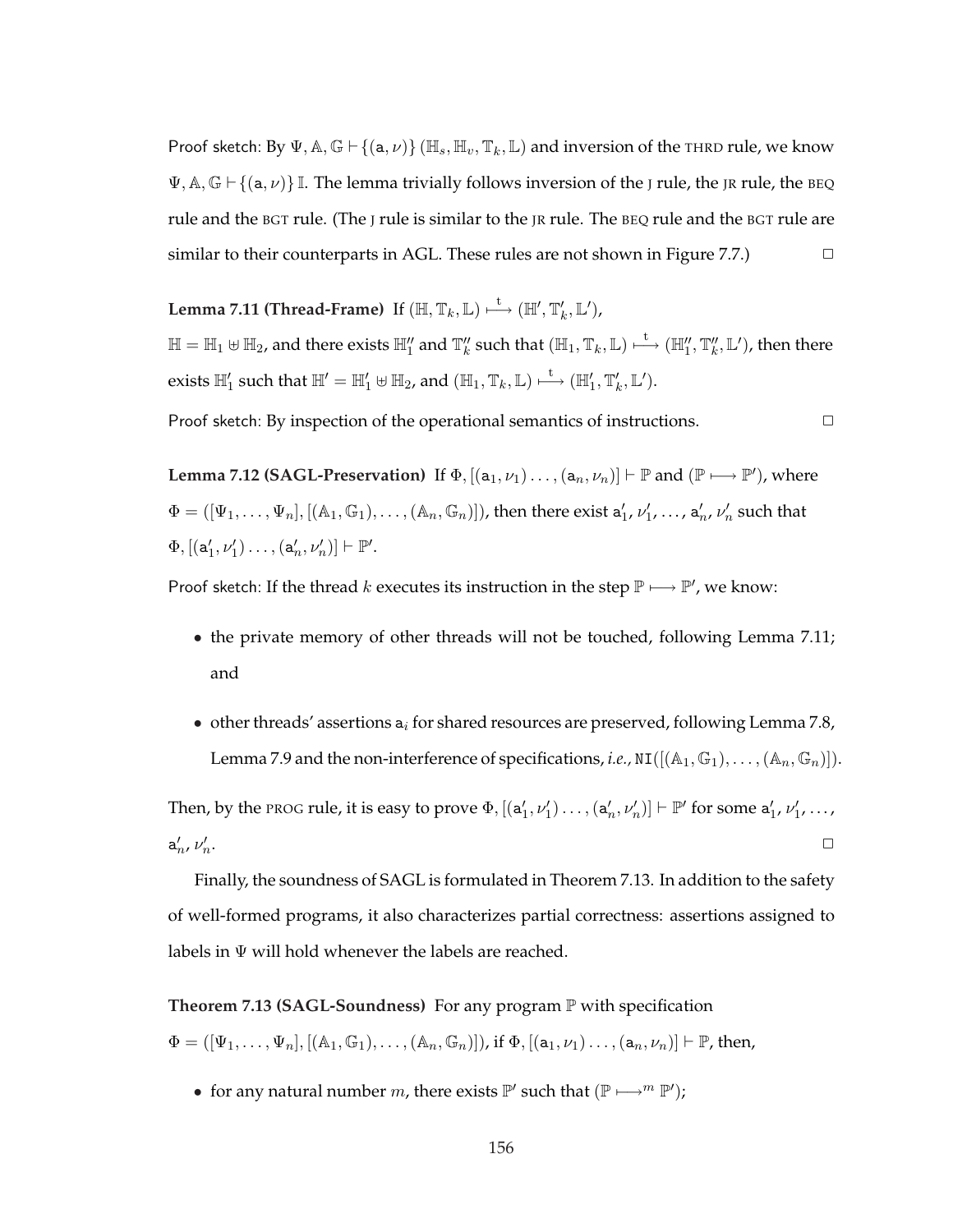Proof sketch: By  $\Psi$ ,  $\mathbb{A}$ ,  $\mathbb{G} \vdash \{(\mathsf{a}, \nu)\}$  ( $\mathbb{H}_s$ ,  $\mathbb{H}_v$ ,  $\mathbb{T}_k$ ,  $\mathbb{L}$ ) and inversion of the THRD rule, we know  $\Psi$ ,  $\mathbb{A}, \mathbb{G} \vdash \{(\mathsf{a}, \nu)\}\mathbb{I}$ . The lemma trivially follows inversion of the J rule, the JR rule, the BEQ rule and the BGT rule. (The J rule is similar to the JR rule. The BEQ rule and the BGT rule are similar to their counterparts in AGL. These rules are not shown in Figure 7.7.)  $\Box$ 

Lemma 7.11 (Thread-Frame) If  $(\mathbb{H},\mathbb{T}_k,\mathbb{L})\longmapsto (\mathbb{H}',\mathbb{T}'_k,\mathbb{L}'),$  $\mathbb{H}=\mathbb{H}_1\uplus\mathbb{H}_2$ , and there exists  $\mathbb{H}''_1$  and  $\mathbb{T}''_k$  such that  $(\mathbb{H}_1,\mathbb{T}_k,\mathbb{L})\stackrel{\text{t}}{\longmapsto}(\mathbb{H}''_1,\mathbb{T}''_k,\mathbb{L}'),$  then there exists  $\mathbb{H}_1'$  such that  $\mathbb{H}'=\mathbb{H}_1'\uplus \mathbb{H}_2$ , and  $(\mathbb{H}_1,\mathbb{T}_k,\mathbb{L})\stackrel{\mathsf{t}}{\longmapsto} (\mathbb{H}_1',\mathbb{T}'_k,\mathbb{L}').$ 

Proof sketch: By inspection of the operational semantics of instructions.  $\Box$ 

**Lemma 7.12 (SAGL-Preservation)** If  $\Phi$ ,  $[(a_1, \nu_1) \dots, (a_n, \nu_n)] \vdash \mathbb{P}$  and  $(\mathbb{P} \longmapsto \mathbb{P}')$ , where  $\Phi=([\Psi_1,\ldots,\Psi_n],[(\mathbb A_1,\mathbb G_1),\ldots,(\mathbb A_n,\mathbb G_n)])$ , then there exist  $\mathtt a'_1$ ,  $\nu'_1,\ldots$  ,  $\mathtt a'_n$ ,  $\nu'_n$  such that  $\Phi, \left[ \left( \mathtt{a}'_1, \nu'_1 \right) \ldots, \left( \mathtt{a}'_n, \nu'_n \right) \right] \vdash \mathbb{P}'.$ 

Proof sketch: If the thread k executes its instruction in the step  $\mathbb{P} \longmapsto \mathbb{P}'$ , we know:

- the private memory of other threads will not be touched, following Lemma 7.11; and
- other threads' assertions  $a_i$  for shared resources are preserved, following Lemma 7.8, Lemma 7.9 and the non-interference of specifications, *i.e.*,  $NI([({\mathbb A}_1, {\mathbb G}_1), \ldots, ({\mathbb A}_n, {\mathbb G}_n)]).$

Then, by the PROG rule, it is easy to prove  $\Phi$ ,  $[(a'_1, \nu'_1) \dots, (a'_n, \nu'_n)] \vdash \mathbb{P}'$  for some  $a'_1, \nu'_1, \dots$ ,  $a'_n$ ,  $\nu'_n$ . ✷

Finally, the soundness of SAGL is formulated in Theorem 7.13. In addition to the safety of well-formed programs, it also characterizes partial correctness: assertions assigned to labels in  $\Psi$  will hold whenever the labels are reached.

**Theorem 7.13 (SAGL-Soundness)** For any program P with specification

 $\Phi = ([\Psi_1, \ldots, \Psi_n], [(\mathbb{A}_1, \mathbb{G}_1), \ldots, (\mathbb{A}_n, \mathbb{G}_n)]$ ), if  $\Phi, [(\mathsf{a}_1, \nu_1) \ldots, (\mathsf{a}_n, \nu_n)] \vdash \mathbb{P}$ , then,

• for any natural number *m*, there exists  $\mathbb{P}'$  such that  $(\mathbb{P} \longmapsto^m \mathbb{P}')$ ;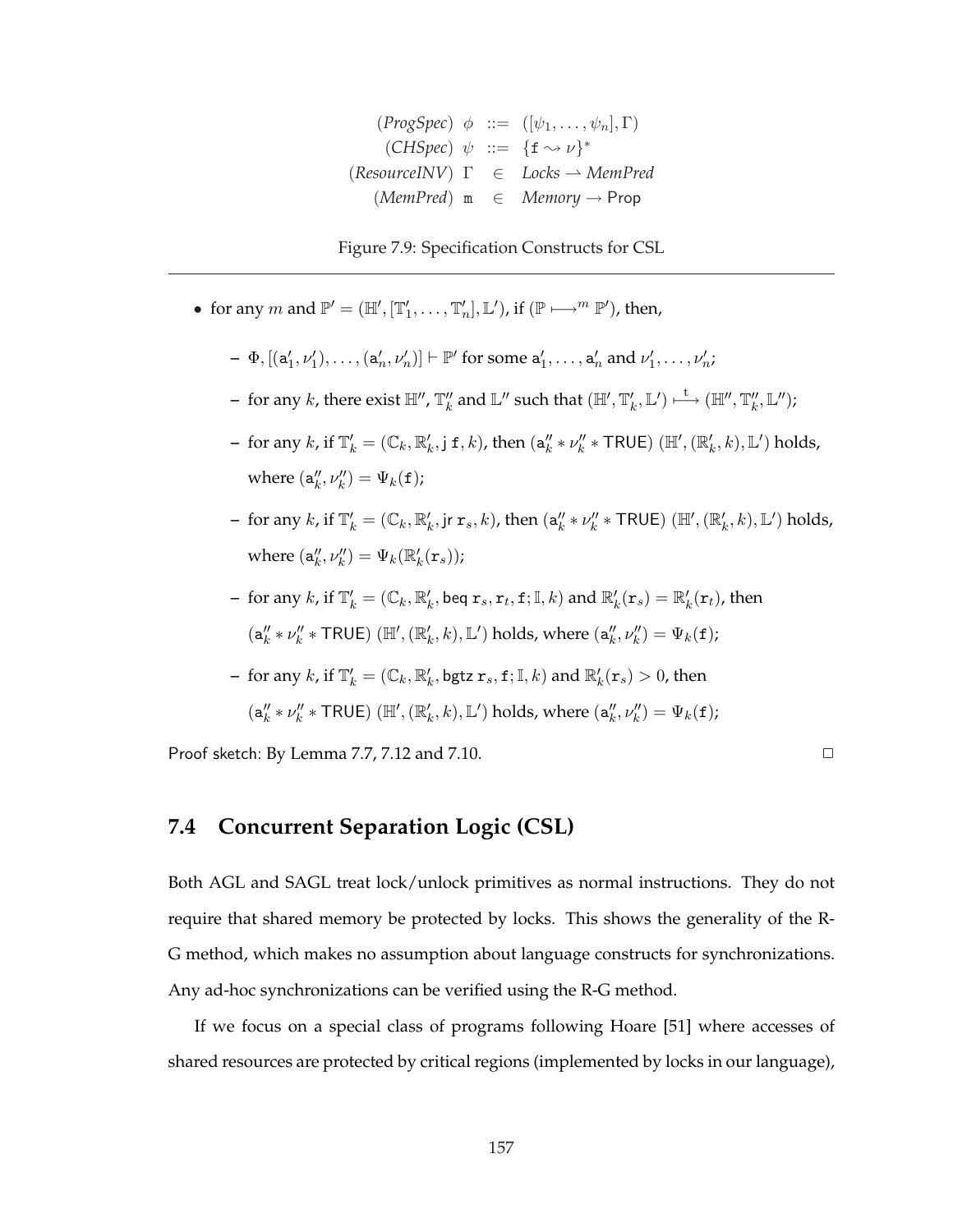$(ProgSpec) \phi ::= ([\psi_1,\ldots,\psi_n], \Gamma)$  $(CHSpec) \psi ::= {\{\textbf{f} \rightsquigarrow \nu\}}^*$  $(ResourceINV)$   $\Gamma$   $\in$  *Locks*  $\rightarrow$  *MemPred* (*MemPred*) m ∈ *Memory* → Prop

Figure 7.9: Specification Constructs for CSL

- for any  $m$  and  $\mathbb{P}' = (\mathbb{H}', [\mathbb{T}'_1, \ldots, \mathbb{T}'_n], \mathbb{L}'),$  if  $(\mathbb{P} \longmapsto^m \mathbb{P}'),$  then,
	- $\Phi$ ,  $[(a'_1, \nu'_1), \ldots, (a'_n, \nu'_n)] \vdash \mathbb{P}'$  for some  $a'_1, \ldots, a'_n$  and  $\nu'_1, \ldots, \nu'_n$ ;
	- $-$  for any  $k$ , there exist  $\mathbb{H}''$ ,  $\mathbb{T}''_k$  and  $\mathbb{L}''$  such that  $(\mathbb{H}', \mathbb{T}'_k, \mathbb{L}') \stackrel{\mathsf{t}}{\longmapsto} (\mathbb{H}'', \mathbb{T}''_k, \mathbb{L}'') ;$
	- $-$  for any  $k$ , if  $\mathbb{T}'_k = (\mathbb{C}_k, \mathbb{R}'_k, j \leq k)$ , then  $(a''_k * \nu''_k * \textsf{TRUE})$   $(\mathbb{H}', (\mathbb{R}'_k, k), \mathbb{L}')$  holds, where  $(\mathsf{a}_k'', \nu_k'') = \Psi_k(\mathtt{f});$
	- $-$  for any  $k$ , if  $\mathbb{T}'_k = (\mathbb{C}_k, \mathbb{R}'_k, \text{jr } \mathbf{r}_s, k)$ , then  $(\mathsf{a}''_k * \nu''_k * \textsf{TRUE})$   $(\mathbb{H}', (\mathbb{R}'_k, k), \mathbb{L}')$  holds, where  $(\mathsf{a}_k'', \nu_k'') = \Psi_k(\mathbb{R}'_k(\mathbf{r}_s));$
	- for any  $k$ , if  $\mathbb{T}'_k = (\mathbb{C}_k, \mathbb{R}'_k$ , beq  $\mathbf{r}_s, \mathbf{r}_t, \mathbf{f}; \mathbb{I}, k)$  and  $\mathbb{R}'_k(\mathbf{r}_s) = \mathbb{R}'_k(\mathbf{r}_t)$ , then  $(\mathsf{a}_k'' * \nu_k'' * \mathsf{TRUE}) \ (\mathbb{H}', (\mathbb{R}'_k, k), \mathbb{L}') \text{ holds, where } (\mathsf{a}_k'', \nu_k'') = \Psi_k(\mathtt{f});$
	- $-$  for any  $k$ , if  $\mathbb{T}'_k = (\mathbb{C}_k, \mathbb{R}'_k, \text{bgtz } \mathtt{r}_s, \mathtt{f}; \mathbb{I}, k)$  and  $\mathbb{R}'_k(\mathtt{r}_s) > 0$ , then  $(\mathsf{a}_k'' * \nu_k'' * \mathsf{TRUE})$   $(\mathbb{H}', (\mathbb{R}'_k, k), \mathbb{L}')$  holds, where  $(\mathsf{a}_k'', \nu_k'') = \Psi_k(\mathtt{f});$

Proof sketch: By Lemma 7.7, 7.12 and 7.10.  $\Box$ 

**7.4 Concurrent Separation Logic (CSL)**

Both AGL and SAGL treat lock/unlock primitives as normal instructions. They do not require that shared memory be protected by locks. This shows the generality of the R-G method, which makes no assumption about language constructs for synchronizations. Any ad-hoc synchronizations can be verified using the R-G method.

If we focus on a special class of programs following Hoare [51] where accesses of shared resources are protected by critical regions (implemented by locks in our language),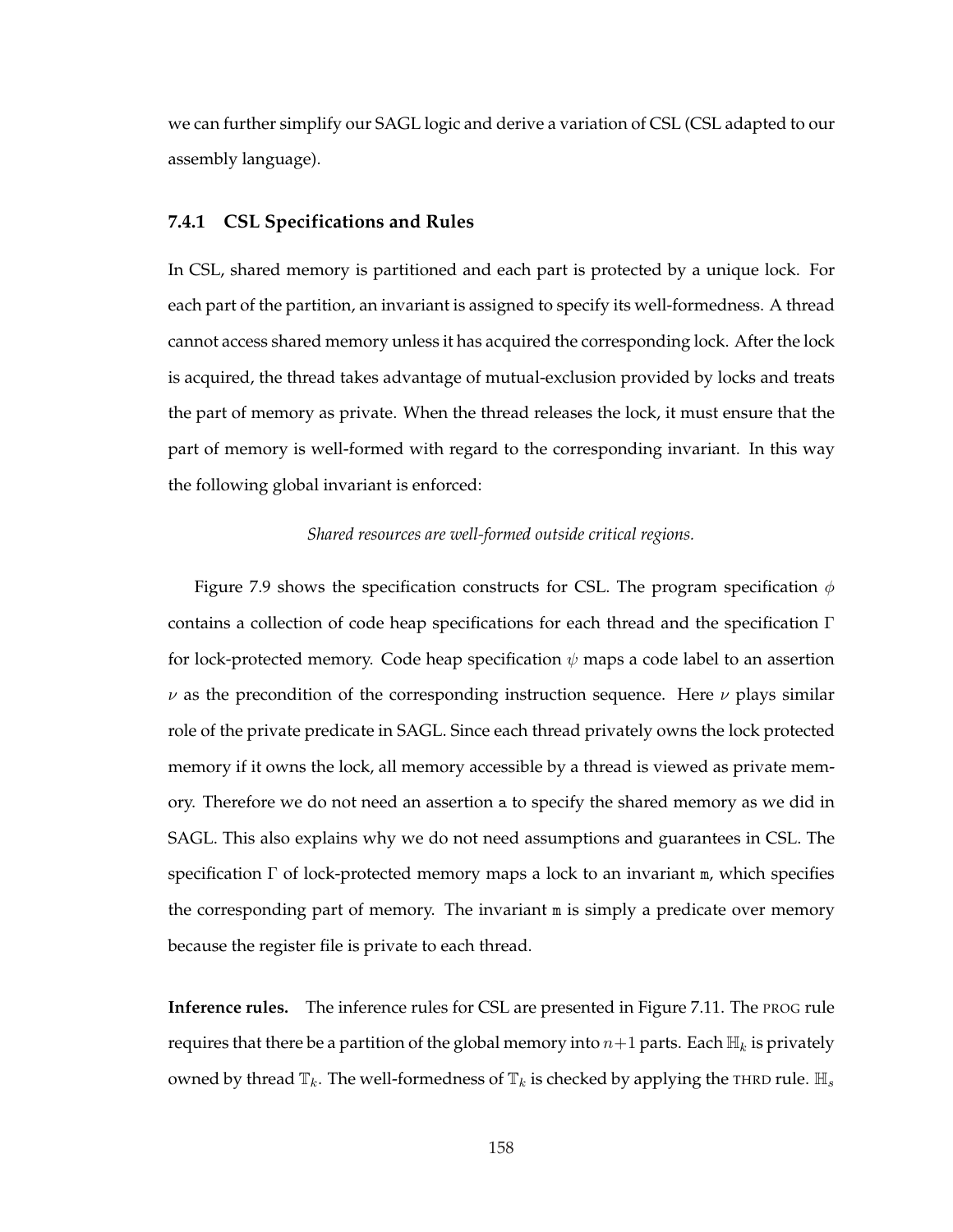we can further simplify our SAGL logic and derive a variation of CSL (CSL adapted to our assembly language).

### **7.4.1 CSL Specifications and Rules**

In CSL, shared memory is partitioned and each part is protected by a unique lock. For each part of the partition, an invariant is assigned to specify its well-formedness. A thread cannot access shared memory unless it has acquired the corresponding lock. After the lock is acquired, the thread takes advantage of mutual-exclusion provided by locks and treats the part of memory as private. When the thread releases the lock, it must ensure that the part of memory is well-formed with regard to the corresponding invariant. In this way the following global invariant is enforced:

#### *Shared resources are well-formed outside critical regions.*

Figure 7.9 shows the specification constructs for CSL. The program specification  $\phi$ contains a collection of code heap specifications for each thread and the specification Γ for lock-protected memory. Code heap specification  $\psi$  maps a code label to an assertion  $\nu$  as the precondition of the corresponding instruction sequence. Here  $\nu$  plays similar role of the private predicate in SAGL. Since each thread privately owns the lock protected memory if it owns the lock, all memory accessible by a thread is viewed as private memory. Therefore we do not need an assertion a to specify the shared memory as we did in SAGL. This also explains why we do not need assumptions and guarantees in CSL. The specification  $\Gamma$  of lock-protected memory maps a lock to an invariant  $m$ , which specifies the corresponding part of memory. The invariant m is simply a predicate over memory because the register file is private to each thread.

**Inference rules.** The inference rules for CSL are presented in Figure 7.11. The PROG rule requires that there be a partition of the global memory into  $n+1$  parts. Each  $\mathbb{H}_k$  is privately owned by thread  $\mathbb{T}_k$ . The well-formedness of  $\mathbb{T}_k$  is checked by applying the THRD rule.  $\mathbb{H}_s$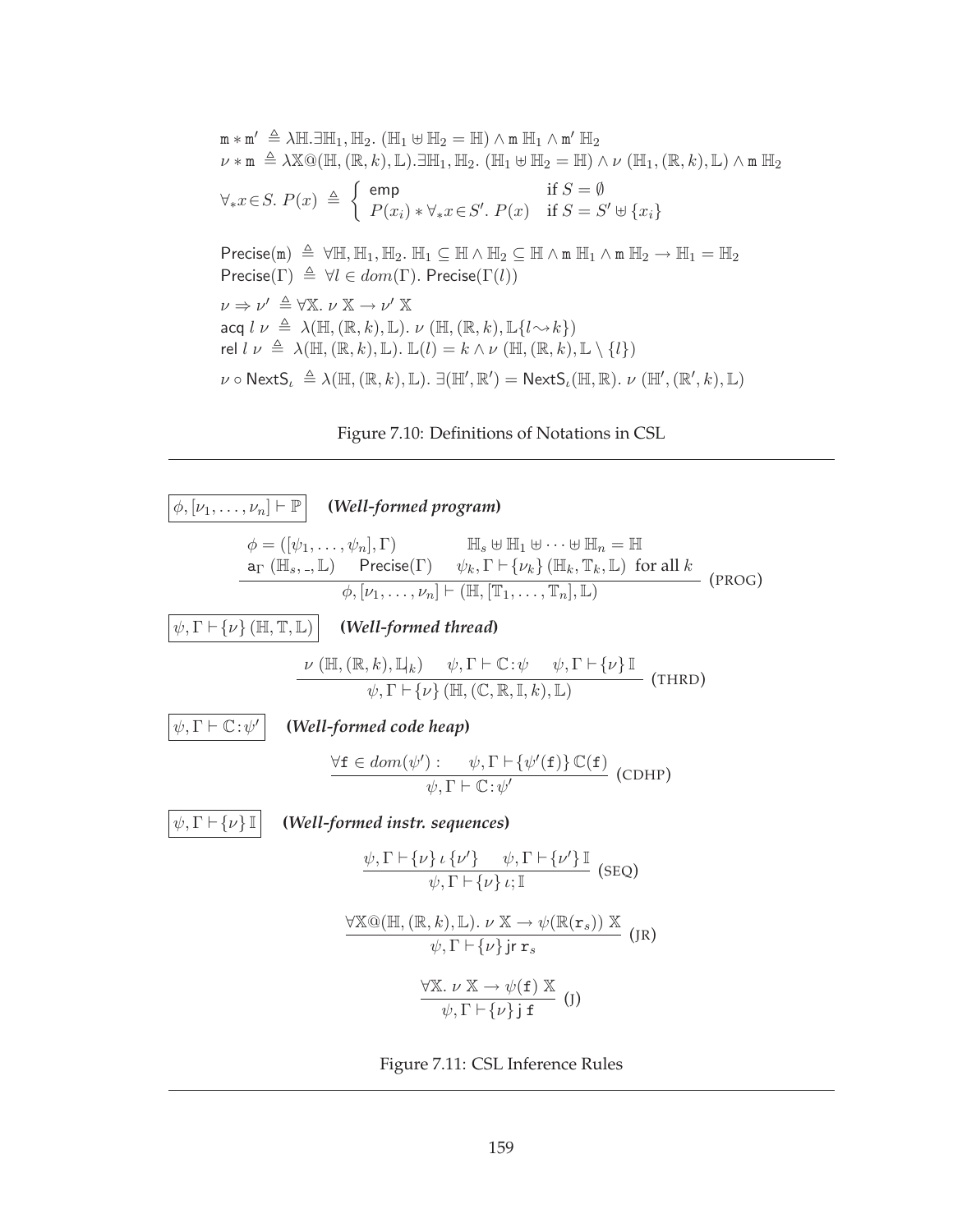$$
\mathbf{m} \times \mathbf{m}' \triangleq \lambda \mathbb{H}. \exists \mathbb{H}_1, \mathbb{H}_2. \ (\mathbb{H}_1 \oplus \mathbb{H}_2 = \mathbb{H}) \land \mathbf{m} \ \mathbb{H}_1 \land \mathbf{m}' \ \mathbb{H}_2
$$
\n
$$
\nu \times \mathbf{m} \triangleq \lambda \mathbb{X} \mathbb{Q}(\mathbb{H}, (\mathbb{R}, k), \mathbb{L}). \exists \mathbb{H}_1, \mathbb{H}_2. \ (\mathbb{H}_1 \oplus \mathbb{H}_2 = \mathbb{H}) \land \nu \ (\mathbb{H}_1, (\mathbb{R}, k), \mathbb{L}) \land \mathbf{m} \ \mathbb{H}_2
$$
\n
$$
\forall_* x \in S. \ P(x) \triangleq \left\{ \begin{array}{ll} \text{emp} & \text{if } S = \emptyset \\ P(x_i) \times \forall_* x \in S'. \ P(x) & \text{if } S = S' \oplus \{x_i\} \end{array} \right.
$$
\n
$$
\text{Precise}(\mathbf{m}) \triangleq \forall \mathbb{H}, \mathbb{H}_1, \mathbb{H}_2. \ \mathbb{H}_1 \subseteq \mathbb{H} \land \mathbb{H}_2 \subseteq \mathbb{H} \land \mathbf{m} \ \mathbb{H}_1 \land \mathbf{m} \ \mathbb{H}_2 \to \mathbb{H}_1 = \mathbb{H}_2
$$
\n
$$
\text{Precise}(\Gamma) \triangleq \forall l \in dom(\Gamma). \ \text{Precise}(\Gamma(l))
$$
\n
$$
\nu \Rightarrow \nu' \triangleq \forall \mathbb{X}. \ \nu \times \rightarrow \nu' \times
$$
\n
$$
\text{acq } l \ \nu \triangleq \lambda(\mathbb{H}, (\mathbb{R}, k), \mathbb{L}). \ \nu \ (\mathbb{H}, (\mathbb{R}, k), \mathbb{L}\{l \rightarrow k\})
$$
\n
$$
\text{rel } l \ \nu \triangleq \lambda(\mathbb{H}, (\mathbb{R}, k), \mathbb{L}). \ \mathbb{L}(l) = k \land \nu \ (\mathbb{H}, (\mathbb{R}, k), \mathbb{L}. \ \forall \ (H', (\mathbb{R}', k), \mathbb{L}).
$$
\n
$$
\nu \circ \text{NextS}_t \triangleq \lambda(\mathbb{H}, (\mathbb{R},
$$





Figure 7.11: CSL Inference Rules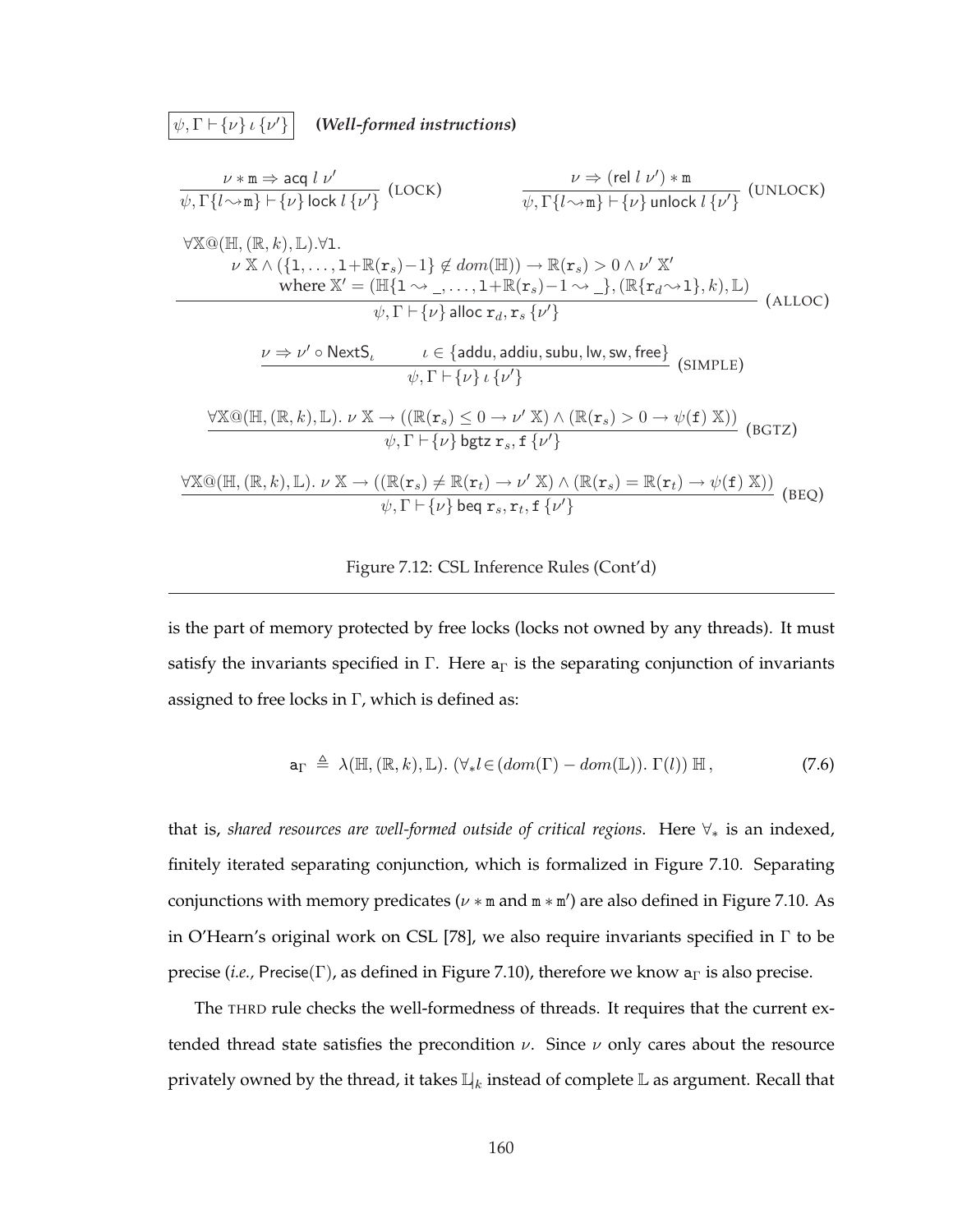$\psi, \Gamma \vdash \{\nu\} \iota \{\nu'\}$ <sup>0</sup>} **(***Well-formed instructions***)**

$$
\frac{\nu \ast \mathbf{m} \Rightarrow \text{acq } l \nu'}{\psi, \Gamma\{l \rightsquigarrow \mathbf{m}\} \vdash \{\nu\} \text{lock } l \{\nu'\}} \text{ (LOCK)} \qquad \frac{\nu \Rightarrow (\text{rel } l \nu') \ast \mathbf{m}}{\psi, \Gamma\{l \rightsquigarrow \mathbf{m}\} \vdash \{\nu\} \text{ unlock } l \{\nu'\}} \text{ (UNLOCK)}
$$
\n
$$
\forall \mathbb{X} \textcircled{a} (\mathbb{H}, (\mathbb{R}, k), \mathbb{L}). \forall 1.
$$
\n
$$
\nu \times \land (\{1, \dots, 1 + \mathbb{R}(\mathbf{r}_s) - 1\} \notin dom(\mathbb{H})) \to \mathbb{R}(\mathbf{r}_s) > 0 \land \nu' \times'
$$
\n
$$
\text{where } \mathbb{X}' = (\mathbb{H}\{1 \rightsquigarrow \_, \dots, 1 + \mathbb{R}(\mathbf{r}_s) - 1 \rightsquigarrow \_\}, (\mathbb{R}\{\mathbf{r}_d \rightsquigarrow 1\}, k), \mathbb{L})
$$
\n
$$
\psi, \Gamma \vdash \{\nu\} \text{alloc } \mathbf{r}_d, \mathbf{r}_s \{\nu'\}} \text{ (ALLOC)}
$$
\n
$$
\frac{\nu \Rightarrow \nu' \circ \text{NextS}_{\iota} \qquad \iota \in \{\text{addu}, \text{addu}, \text{subu}, \text{lw}, \text{sw}, \text{free}\}}{\psi, \Gamma \vdash \{\nu\} \iota \{\nu'\}} \text{ (SIMPLE)}
$$
\n
$$
\frac{\forall \mathbb{X} \textcircled{a} (\mathbb{H}, (\mathbb{R}, k), \mathbb{L}). \nu \times \to ((\mathbb{R}(\mathbf{r}_s) \leq 0 \to \nu' \times) \land (\mathbb{R}(\mathbf{r}_s) > 0 \to \psi(\mathbf{f}) \times)))}{\psi, \Gamma \vdash \{\nu\} \text{bgtz } \mathbf{r}_s, \mathbf{f} \{\nu'\}} \text{ (BGTZ)}
$$
\n
$$
\frac{\forall \mathbb{X} \textcircled{a} (\mathbb{H}, (\mathbb{R}, k), \mathbb{L}). \nu \times \to ((\mathbb{R}(\mathbf{r}_s) \leq 0 \to \nu
$$

Figure 7.12: CSL Inference Rules (Cont'd)

is the part of memory protected by free locks (locks not owned by any threads). It must satisfy the invariants specified in Γ. Here  $a_{\Gamma}$  is the separating conjunction of invariants assigned to free locks in  $\Gamma$ , which is defined as:

$$
\mathbf{a}_{\Gamma} \triangleq \lambda(\mathbb{H}, (\mathbb{R}, k), \mathbb{L}). \ (\forall_{*} l \in (dom(\Gamma) - dom(\mathbb{L})). \ \Gamma(l)) \ \mathbb{H} \,, \tag{7.6}
$$

that is, *shared resources are well-formed outside of critical regions*. Here ∀<sup>∗</sup> is an indexed, finitely iterated separating conjunction, which is formalized in Figure 7.10. Separating conjunctions with memory predicates ( $\nu$  \* m and m \* m') are also defined in Figure 7.10. As in O'Hearn's original work on CSL [78], we also require invariants specified in Γ to be precise (*i.e.,* Precise(Γ), as defined in Figure 7.10), therefore we know  $a<sub>Γ</sub>$  is also precise.

The THRD rule checks the well-formedness of threads. It requires that the current extended thread state satisfies the precondition  $\nu$ . Since  $\nu$  only cares about the resource privately owned by the thread, it takes  $\mathbb{L}_k$  instead of complete  $\mathbb L$  as argument. Recall that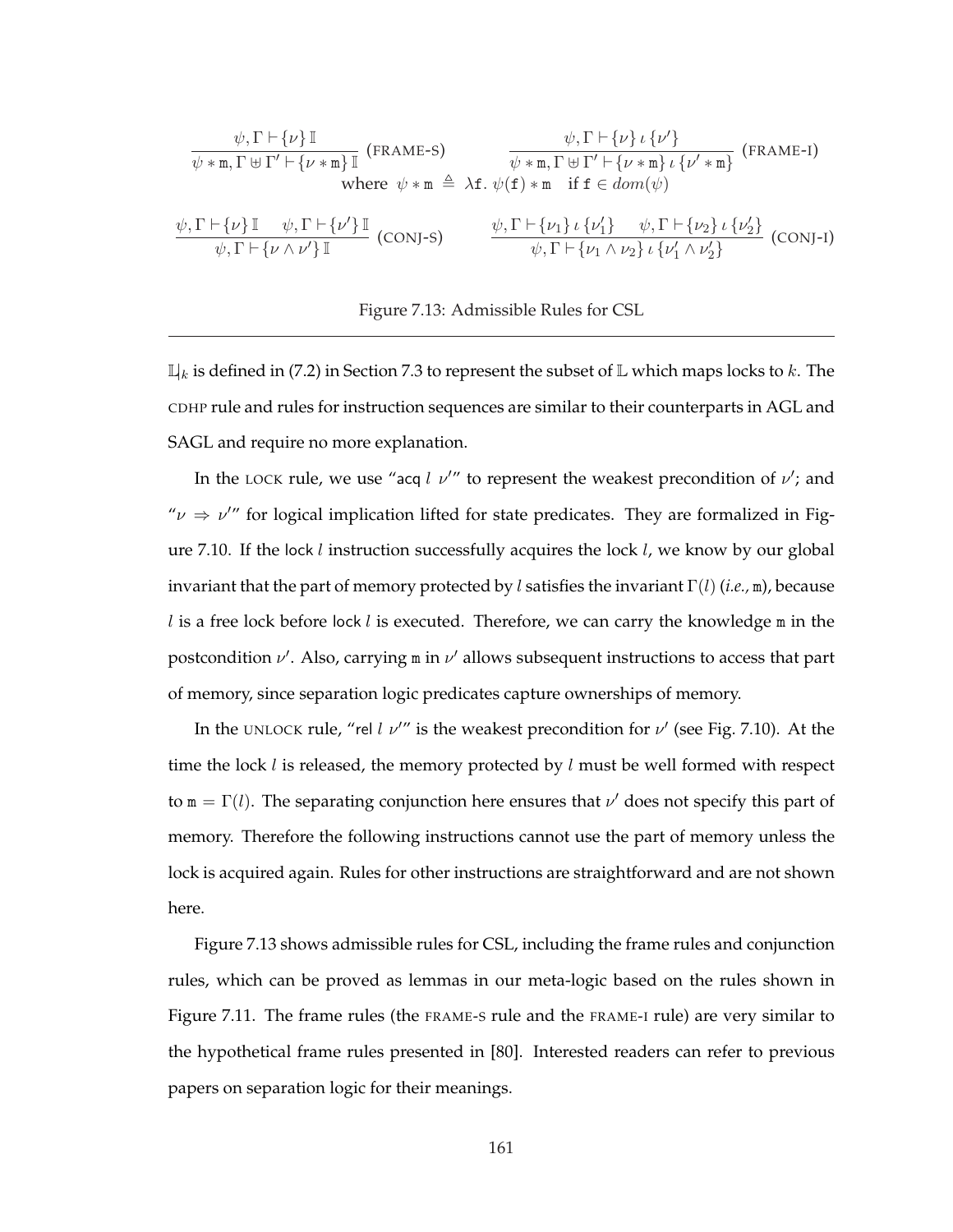$$
\frac{\psi, \Gamma \vdash \{\nu\} \mathbb{I} \qquad \psi, \Gamma \vdash \{\nu\} \mathbb{I} \qquad \psi, \Gamma \vdash \{\nu\} \iota \{\nu'\}}{\psi * \mathbb{m}, \Gamma \uplus \Gamma' \vdash \{\nu * \mathbb{m}\} \mathbb{I} \qquad \psi * \mathbb{m}, \Gamma \uplus \Gamma' \vdash \{\nu * \mathbb{m}\} \iota \{\nu' * \mathbb{m}\} \qquad (\text{FRAME-I})
$$
\n
$$
\text{where } \psi * \mathbb{m} \triangleq \lambda \mathbf{f}. \ \psi(\mathbf{f}) * \mathbb{m} \quad \text{if } \mathbf{f} \in \text{dom}(\psi)
$$
\n
$$
\frac{\psi, \Gamma \vdash \{\nu\} \mathbb{I} \qquad \psi, \Gamma \vdash \{\nu'\} \mathbb{I} \qquad \psi, \Gamma \vdash \{\nu'\} \mathbb{I} \qquad (\text{CONJ-S})}{\psi, \Gamma \vdash \{\nu \wedge \nu'\} \mathbb{I} \qquad (\text{CONJ-S})} \qquad \frac{\psi, \Gamma \vdash \{\nu_1\} \iota \{\nu_1'\} \qquad \psi, \Gamma \vdash \{\nu_2\} \iota \{\nu_2'\}}{\psi, \Gamma \vdash \{\nu_1 \wedge \nu_2\} \iota \{\nu_1' \wedge \nu_2'\}} \qquad (\text{CONJ-I})
$$

#### Figure 7.13: Admissible Rules for CSL

 $\mathbb{L}_k$  is defined in (7.2) in Section 7.3 to represent the subset of  $\mathbb L$  which maps locks to k. The CDHP rule and rules for instruction sequences are similar to their counterparts in AGL and SAGL and require no more explanation.

In the LOCK rule, we use "acq l  $\nu''$  to represent the weakest precondition of  $\nu'$ ; and " $\nu \Rightarrow \nu''$  for logical implication lifted for state predicates. They are formalized in Figure 7.10. If the lock *l* instruction successfully acquires the lock *l*, we know by our global invariant that the part of memory protected by l satisfies the invariant Γ(l) (*i.e.,* m), because  $l$  is a free lock before lock  $l$  is executed. Therefore, we can carry the knowledge  $m$  in the postcondition  $\nu'$ . Also, carrying m in  $\nu'$  allows subsequent instructions to access that part of memory, since separation logic predicates capture ownerships of memory.

In the UNLOCK rule, "rel l  $\nu''$  is the weakest precondition for  $\nu'$  (see Fig. 7.10). At the time the lock  $l$  is released, the memory protected by  $l$  must be well formed with respect to  $m = \Gamma(l)$ . The separating conjunction here ensures that  $\nu'$  does not specify this part of memory. Therefore the following instructions cannot use the part of memory unless the lock is acquired again. Rules for other instructions are straightforward and are not shown here.

Figure 7.13 shows admissible rules for CSL, including the frame rules and conjunction rules, which can be proved as lemmas in our meta-logic based on the rules shown in Figure 7.11. The frame rules (the FRAME-S rule and the FRAME-I rule) are very similar to the hypothetical frame rules presented in [80]. Interested readers can refer to previous papers on separation logic for their meanings.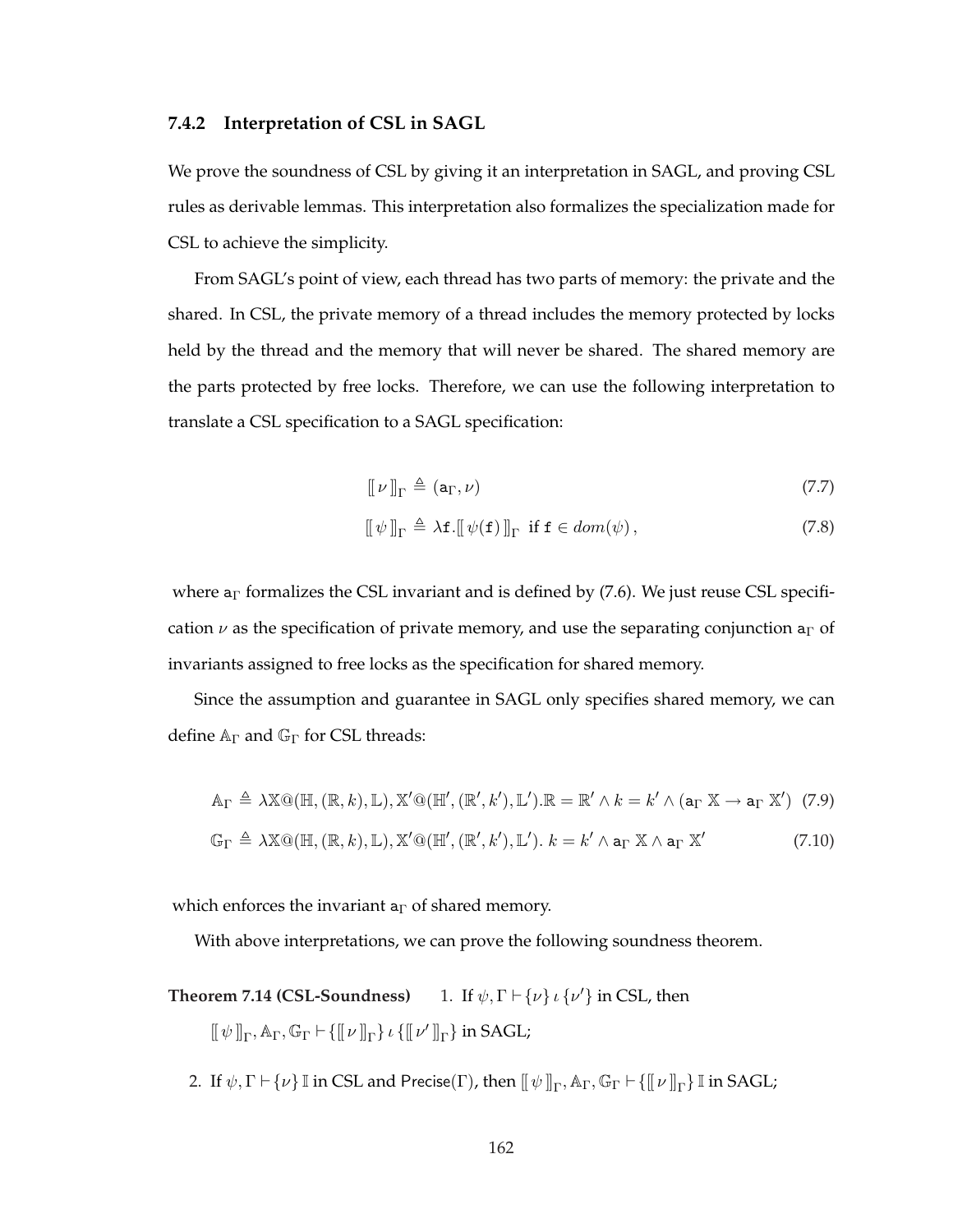#### **7.4.2 Interpretation of CSL in SAGL**

We prove the soundness of CSL by giving it an interpretation in SAGL, and proving CSL rules as derivable lemmas. This interpretation also formalizes the specialization made for CSL to achieve the simplicity.

From SAGL's point of view, each thread has two parts of memory: the private and the shared. In CSL, the private memory of a thread includes the memory protected by locks held by the thread and the memory that will never be shared. The shared memory are the parts protected by free locks. Therefore, we can use the following interpretation to translate a CSL specification to a SAGL specification:

$$
\llbracket \nu \rrbracket_{\Gamma} \triangleq (\mathsf{a}_{\Gamma}, \nu) \tag{7.7}
$$

$$
[\![\psi]\!]_{\Gamma} \triangleq \lambda \mathbf{f}.[\![\psi(\mathbf{f})]\!]_{\Gamma} \text{ if } \mathbf{f} \in dom(\psi), \tag{7.8}
$$

where  $a<sub>\Gamma</sub>$  formalizes the CSL invariant and is defined by (7.6). We just reuse CSL specification  $\nu$  as the specification of private memory, and use the separating conjunction a<sub>Γ</sub> of invariants assigned to free locks as the specification for shared memory.

Since the assumption and guarantee in SAGL only specifies shared memory, we can define  $A_{\Gamma}$  and  $G_{\Gamma}$  for CSL threads:

$$
\mathbb{A}_{\Gamma} \triangleq \lambda \mathbb{X} \mathbb{Q}(\mathbb{H}, (\mathbb{R}, k), \mathbb{L}), \mathbb{X}' \mathbb{Q}(\mathbb{H}', (\mathbb{R}', k'), \mathbb{L}'). \mathbb{R} = \mathbb{R}' \wedge k = k' \wedge (\mathbf{a}_{\Gamma} \mathbb{X} \to \mathbf{a}_{\Gamma} \mathbb{X}') \tag{7.9}
$$
  

$$
\mathbb{G}_{\Gamma} \triangleq \lambda \mathbb{X} \mathbb{Q}(\mathbb{H}, (\mathbb{R}, k), \mathbb{L}), \mathbb{X}' \mathbb{Q}(\mathbb{H}', (\mathbb{R}', k'), \mathbb{L}'). k = k' \wedge \mathbf{a}_{\Gamma} \mathbb{X} \wedge \mathbf{a}_{\Gamma} \mathbb{X}' \tag{7.10}
$$

which enforces the invariant  $a_{\Gamma}$  of shared memory.

With above interpretations, we can prove the following soundness theorem.

- **Theorem 7.14 (CSL-Soundness)** 1. If  $\psi$ ,  $\Gamma \vdash \{\nu\}$   $\iota \{\nu'\}\$ in CSL, then  $[\![\,\psi\,]\!]_\Gamma, \mathbb{A}_\Gamma, \mathbb{G}_\Gamma \vdash \{\llbracket\,\nu\,\rrbracket_\Gamma\} \ \iota\,\{\llbracket\,\nu'\,\rrbracket_\Gamma\} \ \text{in}\,\text{SAGL};$ 
	- 2. If  $\psi, \Gamma \vdash \{\nu\} \mathbb{I}$  in CSL and Precise( $\Gamma$ ), then  $[\![\,\psi\,]\!]_{\Gamma}, \mathbb{A}_{\Gamma}, \mathbb{G}_{\Gamma} \vdash \{\llbracket\,\nu\,\rrbracket_{\Gamma}\} \mathbb{I}$  in SAGL;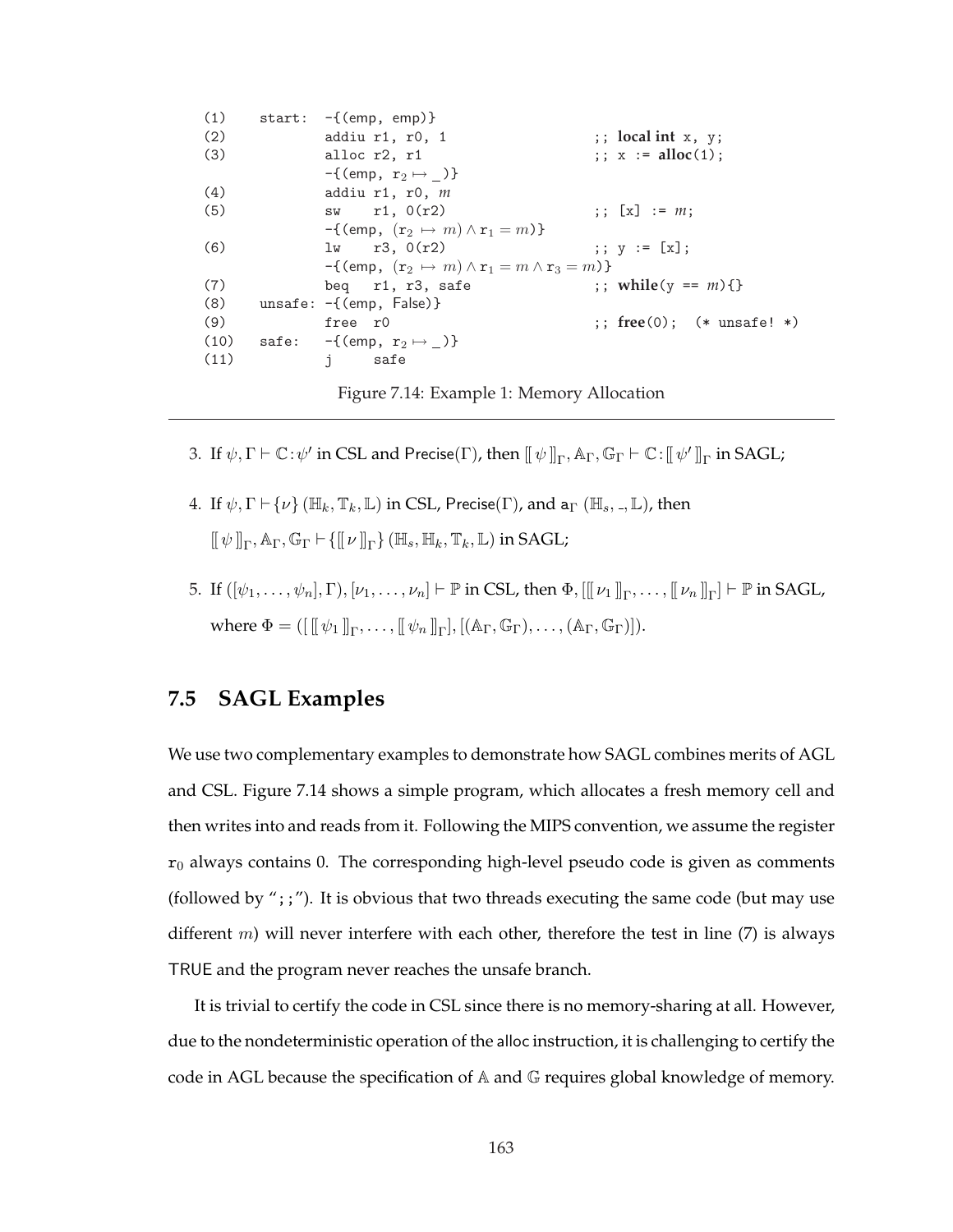| (1)  | start: | -{(emp, emp)}                                                  |                                                        |
|------|--------|----------------------------------------------------------------|--------------------------------------------------------|
| (2)  |        | addiu r1, r0, 1                                                | $\mathbf{y}$ ; local int $\mathbf{x}$ , $\mathbf{y}$ ; |
| (3)  |        | alloc r2, r1                                                   | $\therefore$ x := alloc(1);                            |
|      |        | $-\{$ (emp, $r_2 \mapsto$ )                                    |                                                        |
| (4)  |        | addiu $r1$ , $r0$ , $m$                                        |                                                        |
| (5)  |        | $sw$ r1, $0(r2)$                                               | $\{x\}$ := $m$ ;                                       |
|      |        | $-\{$ (emp, $(r_2 \mapsto m) \wedge r_1 = m)\}$ )              |                                                        |
| (6)  |        | $1w$ $r3, 0(r2)$                                               | ;; $y := [x]$ ;                                        |
|      |        | $-\{$ (emp, $(r_2 \mapsto m) \wedge r_1 = m \wedge r_3 = m)\}$ |                                                        |
| (7)  |        | beq r1, r3, safe                                               | ;; while(y == $m$ ){}                                  |
| (8)  |        | $unsafe: -\{(emp, False)\}$                                    |                                                        |
| (9)  |        | free r0                                                        | ;; free(0); $(*$ unsafe! $*)$                          |
| (10) |        | safe: $-\{$ (emp, $r_2 \mapsto$ )}                             |                                                        |
| (11) |        | $\mathbf{i}$<br>safe                                           |                                                        |
|      |        |                                                                |                                                        |

Figure 7.14: Example 1: Memory Allocation

- 3. If  $\psi, \Gamma \vdash \mathbb{C} : \psi'$  in CSL and Precise( $\Gamma$ ), then  $[\![\psi]\!]_{\Gamma}, \mathbb{A}_{\Gamma}, \mathbb{G}_{\Gamma} \vdash \mathbb{C} : [\![\psi']\!]_{\Gamma}$  in SAGL;
- 4. If  $\psi, \Gamma \vdash \{\nu\} (\mathbb{H}_k, \mathbb{T}_k, \mathbb{L})$  in CSL, Precise( $\Gamma$ ), and  $a_{\Gamma} (\mathbb{H}_s, \Pi, \mathbb{L})$ , then  $[\![\,\psi\,]\!]_\Gamma, \mathbb{A}_\Gamma, \mathbb{G}_\Gamma \vdash \{[\![\,\nu\,]\!]_\Gamma\}$  ( $\mathbb{H}_s, \mathbb{H}_k, \mathbb{T}_k, \mathbb{L}$ ) in SAGL;
- 5. If  $([\psi_1,\ldots,\psi_n],\Gamma), [\nu_1,\ldots,\nu_n]\vdash \mathbb{P}$  in CSL, then  $\Phi, [[[\nu_1]]_\Gamma,\ldots, [\![\nu_n]]_\Gamma]\vdash \mathbb{P}$  in SAGL, where  $\Phi = ([[[\psi_1]]_\Gamma, \ldots, [[\psi_n]]_\Gamma], [(\mathbb{A}_\Gamma, \mathbb{G}_\Gamma), \ldots, (\mathbb{A}_\Gamma, \mathbb{G}_\Gamma)]).$

## **7.5 SAGL Examples**

We use two complementary examples to demonstrate how SAGL combines merits of AGL and CSL. Figure 7.14 shows a simple program, which allocates a fresh memory cell and then writes into and reads from it. Following the MIPS convention, we assume the register  $r_0$  always contains 0. The corresponding high-level pseudo code is given as comments (followed by ";;"). It is obvious that two threads executing the same code (but may use different  $m$ ) will never interfere with each other, therefore the test in line (7) is always TRUE and the program never reaches the unsafe branch.

It is trivial to certify the code in CSL since there is no memory-sharing at all. However, due to the nondeterministic operation of the alloc instruction, it is challenging to certify the code in AGL because the specification of A and G requires global knowledge of memory.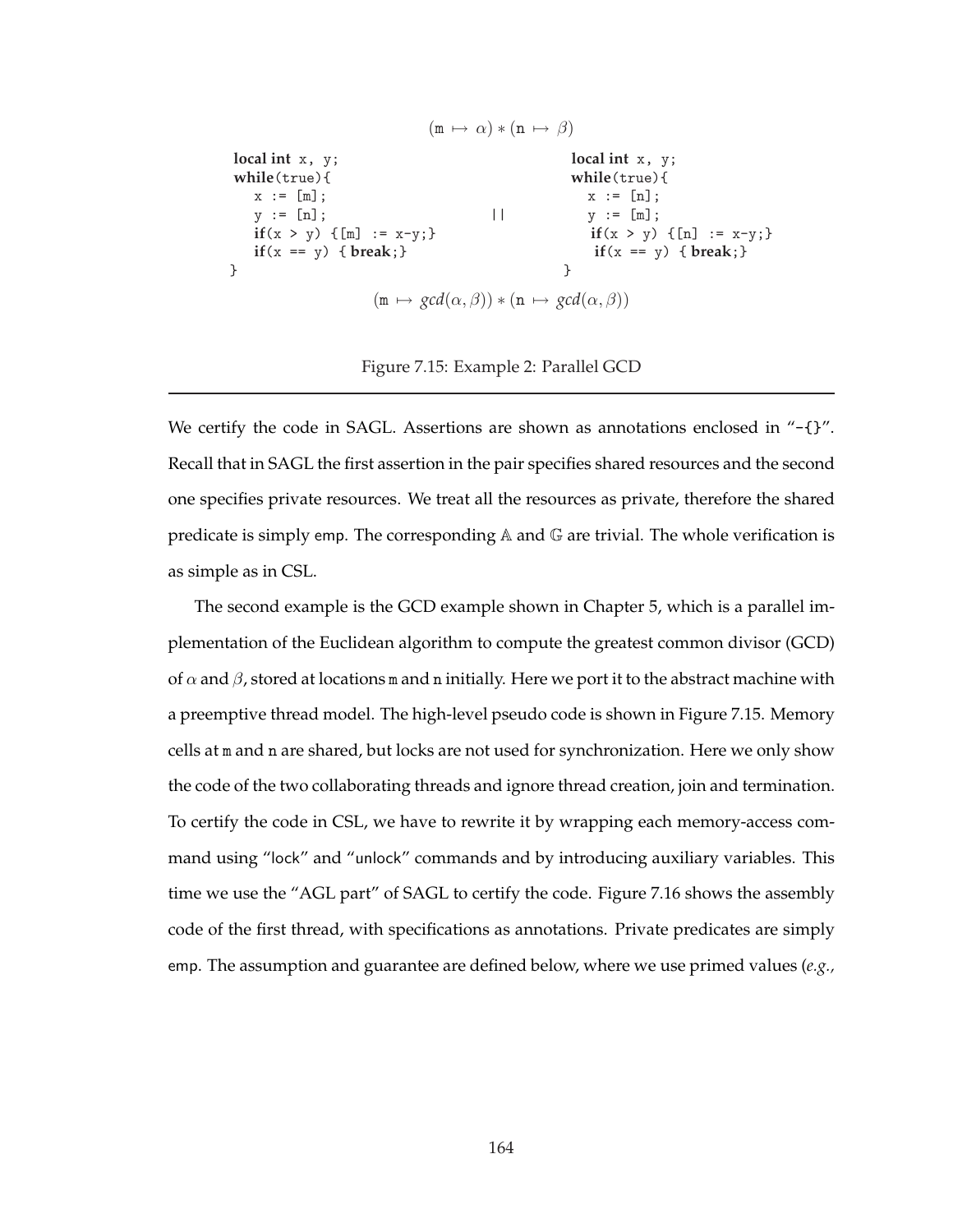```
(m \mapsto \alpha) * (n \mapsto \beta)local int x, y; local int x, y;
while(true){ while(true){
 x := [m]; x := [n];y := [n]; | \t y := [m];if(x > y) {[m] := x-y;} if(x > y) {[n] := x-y;}
 if(x == y) { break;} if(x == y) { break;}
} }
            (m \mapsto \text{gcd}(\alpha, \beta)) * (n \mapsto \text{gcd}(\alpha, \beta))
```
Figure 7.15: Example 2: Parallel GCD

We certify the code in SAGL. Assertions are shown as annotations enclosed in "-{}". Recall that in SAGL the first assertion in the pair specifies shared resources and the second one specifies private resources. We treat all the resources as private, therefore the shared predicate is simply emp. The corresponding  $A$  and  $G$  are trivial. The whole verification is as simple as in CSL.

The second example is the GCD example shown in Chapter 5, which is a parallel implementation of the Euclidean algorithm to compute the greatest common divisor (GCD) of  $\alpha$  and  $\beta$ , stored at locations m and n initially. Here we port it to the abstract machine with a preemptive thread model. The high-level pseudo code is shown in Figure 7.15. Memory cells at m and n are shared, but locks are not used for synchronization. Here we only show the code of the two collaborating threads and ignore thread creation, join and termination. To certify the code in CSL, we have to rewrite it by wrapping each memory-access command using "lock" and "unlock" commands and by introducing auxiliary variables. This time we use the "AGL part" of SAGL to certify the code. Figure 7.16 shows the assembly code of the first thread, with specifications as annotations. Private predicates are simply emp. The assumption and guarantee are defined below, where we use primed values (*e.g.,*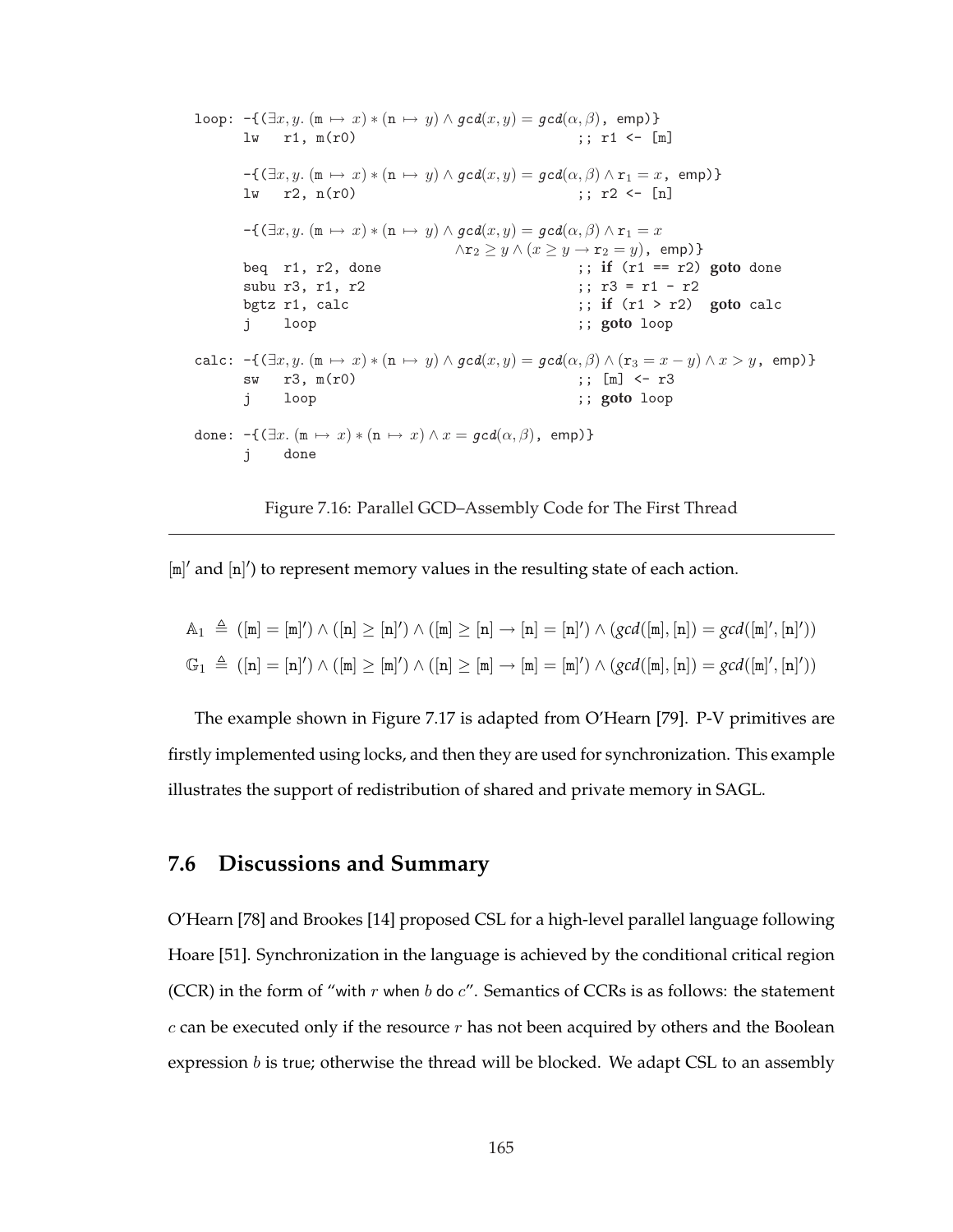```
loop: -\{(\exists x, y. (m \mapsto x) * (n \mapsto y) \land gcd(x, y) = gcd(\alpha, \beta), \text{ emp})\}\\lceil \text{lw} \rceil r1, \text{m}(\text{r0}) ;; r1 <- \lceil \text{m} \rceil-\{(\exists x, y. (m \mapsto x) * (n \mapsto y) \wedge gcd(x, y) = gcd(\alpha, \beta) \wedge r_1 = x, emp)
       \text{lw} r2, n(r0) ;; r2 <- [n]
       -\{(\exists x, y. (m \mapsto x) * (n \mapsto y) \wedge gcd(x, y) = gcd(\alpha, \beta) \wedge r_1 = x\}\wedger_2 \geq y \wedge (x \geq y \rightarrowr_2 = y), emp)}
       beq r1, r2, done ;; if (r1 == r2) goto done
      subu r3, r1, r2 ;; r3 = r1 - r2
       bgtz r1, calc ;; if (r1 > r2) goto calc
       j loop ;; goto loop
calc: -\{(\exists x, y. (m \mapsto x) * (n \mapsto y) \wedge \text{gcd}(x, y)) = \text{gcd}(\alpha, \beta) \wedge (r_3 = x - y) \wedge x > y, emp)
       sw r3, m(r0) ;; [m] <- r3
       j loop ;; goto loop
done: -\{(\exists x \cdot (\mathbb{m} \mapsto x) * (\mathbb{n} \mapsto x) \wedge x = \text{gcd}(\alpha, \beta), \text{ emp})\}\j done
```
Figure 7.16: Parallel GCD–Assembly Code for The First Thread

 $[m]'$  and  $[n]'$ ) to represent memory values in the resulting state of each action.

$$
\begin{array}{l} \mathbb{A}_1 \ \triangleq \ (\left[\mathtt{m}\right] = \left[\mathtt{m}\right]) \wedge (\left[\mathtt{n}\right] \geq \left[\mathtt{n}\right]) \wedge (\left[\mathtt{m}\right] \geq \left[\mathtt{n}\right] \rightarrow \left[\mathtt{n}\right] = \left[\mathtt{n}\right]) \wedge (gcd([\mathtt{m}], [\mathtt{n}]) = gcd([\mathtt{m}], [\mathtt{n}]')) \\ \mathbb{G}_1 \ \triangleq \ (\left[\mathtt{n}\right] = \left[\mathtt{n}\right]) \wedge (\left[\mathtt{m}\right] \geq \left[\mathtt{m}\right]) \wedge (\left[\mathtt{n}\right] \geq \left[\mathtt{m}\right] \rightarrow \left[\mathtt{m}\right] = \left[\mathtt{m}\right]) \wedge (gcd([\mathtt{m}], [\mathtt{n}]) = gcd([\mathtt{m}], [\mathtt{n}])) \end{array}
$$

The example shown in Figure 7.17 is adapted from O'Hearn [79]. P-V primitives are firstly implemented using locks, and then they are used for synchronization. This example illustrates the support of redistribution of shared and private memory in SAGL.

## **7.6 Discussions and Summary**

O'Hearn [78] and Brookes [14] proposed CSL for a high-level parallel language following Hoare [51]. Synchronization in the language is achieved by the conditional critical region (CCR) in the form of "with  $r$  when  $b$  do  $c$ ". Semantics of CCRs is as follows: the statement  $c$  can be executed only if the resource  $r$  has not been acquired by others and the Boolean expression  $b$  is true; otherwise the thread will be blocked. We adapt CSL to an assembly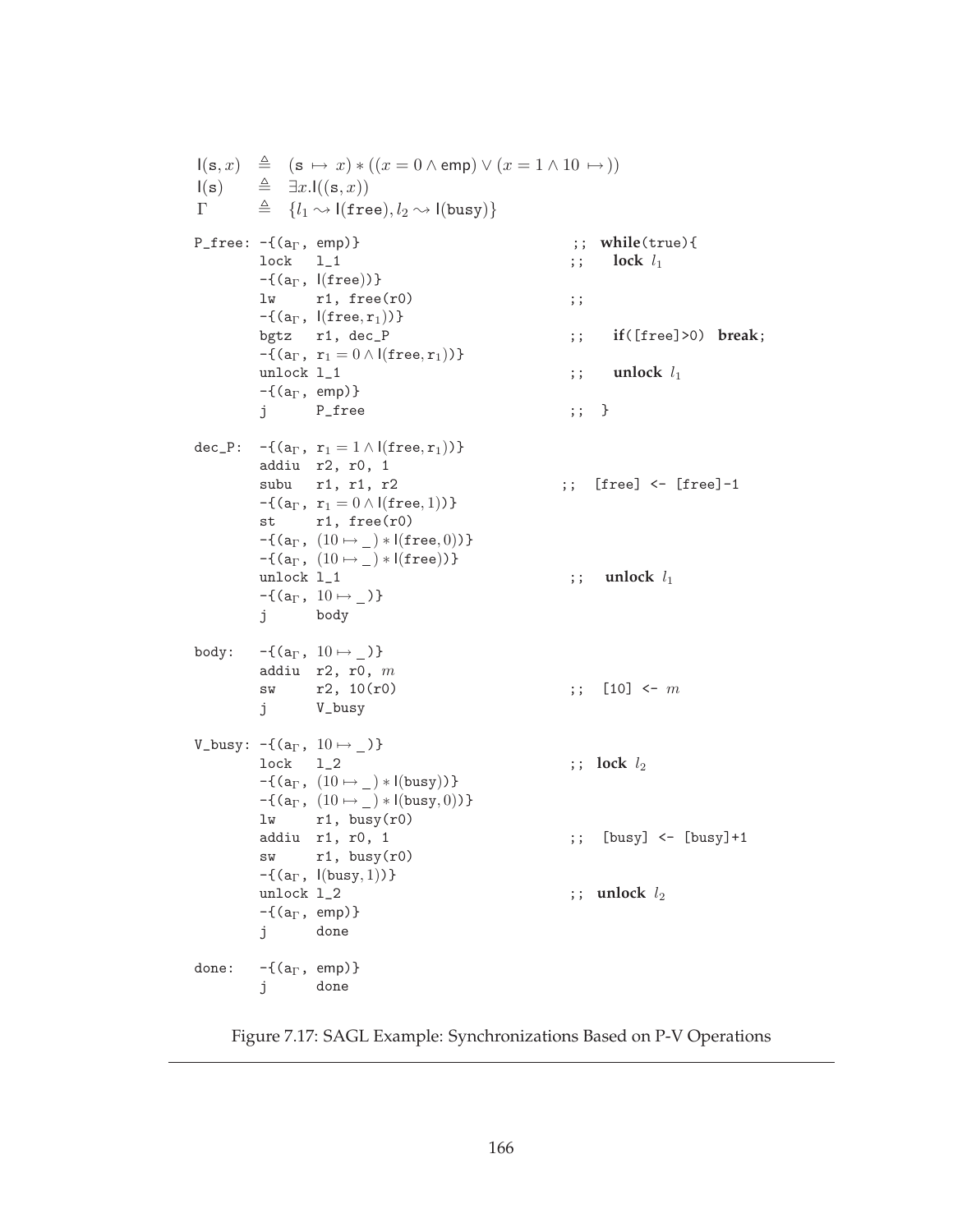$I(s, x) \triangleq (s \mapsto x) * ((x = 0 \wedge \text{emp}) \vee (x = 1 \wedge 10 \mapsto))$  $I(s)$   $\triangleq \exists x. I((s, x))$  $\Gamma \triangleq \{l_1 \leadsto \mathsf{l}(\texttt{free}), l_2 \leadsto \mathsf{l}(\texttt{busy})\}$ P\_free:  $-\{(a_{\Gamma}, \text{ emp})\}$  ;; while(true){  $\text{lock}$   $1_1$  ;;  $\text{lock}$   $l_1$  $-\{(a_\Gamma, \vert (free))\}$  $\mathbf{1w}$  r1, free(r0) ;;  $-\{(a_\Gamma, \; |(free, r_1))\}$ bgtz r1, dec\_P ;; **if**([free]>0) **break**;  $-f(a_{\Gamma}, r_1 = 0 \wedge l(free, r_1))$ unlock  $l_1$   $\qquad \qquad$  ;; unlock  $l_1$  $-\{(a_{\Gamma}, \text{ emp})\}$ j P\_free ;; } dec\_P:  $-\{(a_{\Gamma}, r_1 = 1 \land | (free, r_1))\}$ addiu r2, r0, 1 subu r1, r1, r2 ;; [free] <- [free]-1  $-\{(a_{\Gamma}, r_1 = 0 \wedge 1(\text{free}, 1))\}$ st r1, free(r0)  $-\{(a_{\Gamma}, (10 \mapsto ) * I(\text{free}, 0))\}$  $-\{(a_{\Gamma}, (10 \mapsto ) * I(\text{free}))\}$ unlock  $l_1$  ;; unlock  $l_1$  $-\{(a_{\Gamma}, 10 \mapsto )\}$ j body body:  $-\{(a_{\Gamma}, 10 \mapsto )\}$ addiu  $r2$ ,  $r0$ ,  $m$ sw r2,  $10(r0)$  ;; [10] <- m j V\_busy V\_busy:  $-\{(a_{\Gamma}, 10 \mapsto )\}$  $\text{lock}$   $1_2$  ;;  $\text{lock}$   $l_2$  $-\{(a_{\Gamma}, (10 \mapsto ) * I(busy))\}$  $-\{(a_{\Gamma}, (10 \mapsto ) * I(busy, 0))\}$  $\begin{aligned} &\text{lu} & \text{r1, busy(r0)} \\ &\text{addiu} & \text{r1, r0, 1} \end{aligned}$  $;\;$  [busy] <- [busy] +1  $sw$  r1, busy(r0)  $-\{(a_{\Gamma}, \mathsf{I}(\text{busy}, 1))\}$ unlock  $l_2$  ;; unlock  $l_2$  $-\{(a_{\Gamma}, \text{ emp})\}$ j done done:  $-\{(a_{\Gamma}, \text{emp})\}$ j done

Figure 7.17: SAGL Example: Synchronizations Based on P-V Operations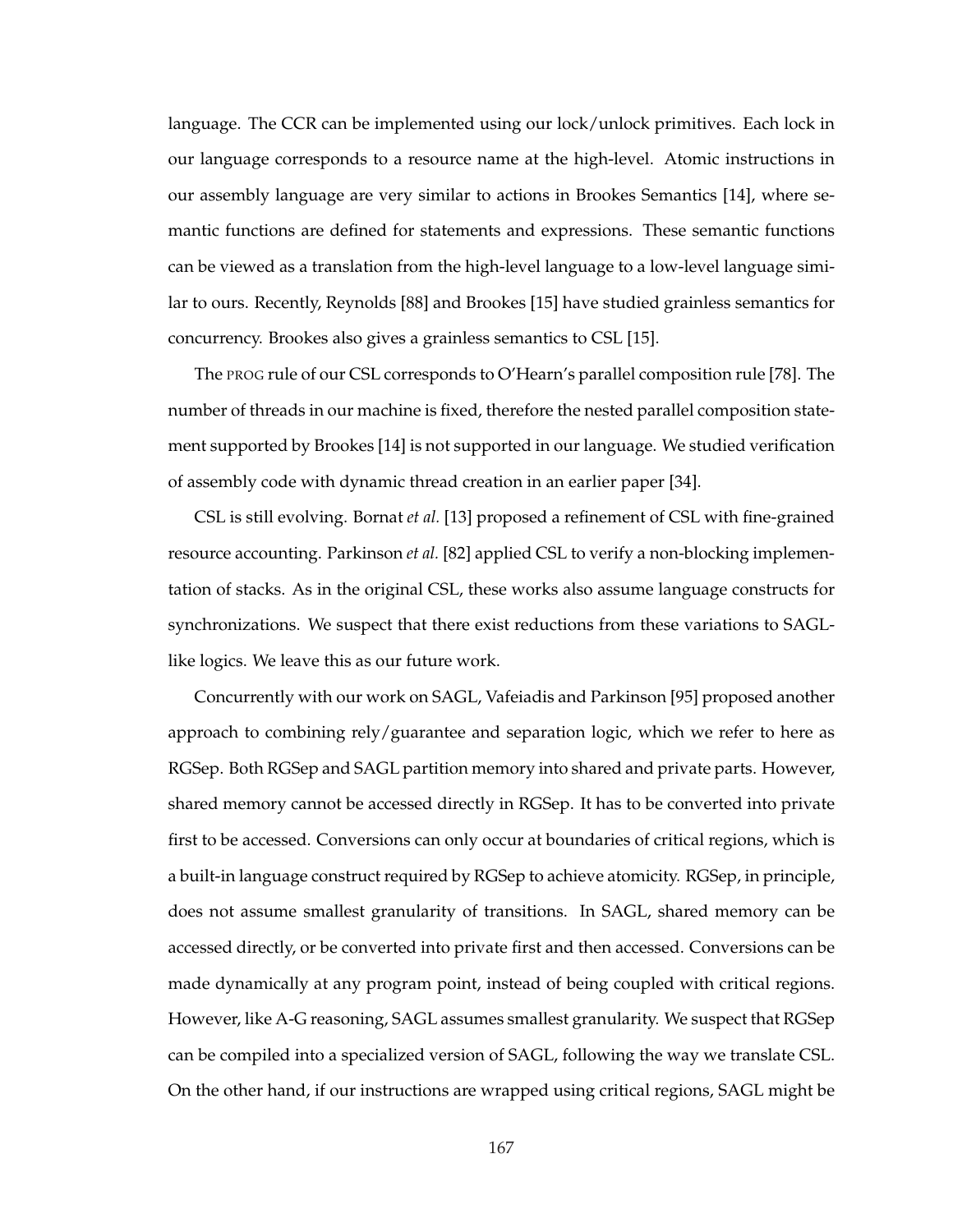language. The CCR can be implemented using our lock/unlock primitives. Each lock in our language corresponds to a resource name at the high-level. Atomic instructions in our assembly language are very similar to actions in Brookes Semantics [14], where semantic functions are defined for statements and expressions. These semantic functions can be viewed as a translation from the high-level language to a low-level language similar to ours. Recently, Reynolds [88] and Brookes [15] have studied grainless semantics for concurrency. Brookes also gives a grainless semantics to CSL [15].

The PROG rule of our CSL corresponds to O'Hearn's parallel composition rule [78]. The number of threads in our machine is fixed, therefore the nested parallel composition statement supported by Brookes [14] is not supported in our language. We studied verification of assembly code with dynamic thread creation in an earlier paper [34].

CSL is still evolving. Bornat *et al.* [13] proposed a refinement of CSL with fine-grained resource accounting. Parkinson *et al.* [82] applied CSL to verify a non-blocking implementation of stacks. As in the original CSL, these works also assume language constructs for synchronizations. We suspect that there exist reductions from these variations to SAGLlike logics. We leave this as our future work.

Concurrently with our work on SAGL, Vafeiadis and Parkinson [95] proposed another approach to combining rely/guarantee and separation logic, which we refer to here as RGSep. Both RGSep and SAGL partition memory into shared and private parts. However, shared memory cannot be accessed directly in RGSep. It has to be converted into private first to be accessed. Conversions can only occur at boundaries of critical regions, which is a built-in language construct required by RGSep to achieve atomicity. RGSep, in principle, does not assume smallest granularity of transitions. In SAGL, shared memory can be accessed directly, or be converted into private first and then accessed. Conversions can be made dynamically at any program point, instead of being coupled with critical regions. However, like A-G reasoning, SAGL assumes smallest granularity. We suspect that RGSep can be compiled into a specialized version of SAGL, following the way we translate CSL. On the other hand, if our instructions are wrapped using critical regions, SAGL might be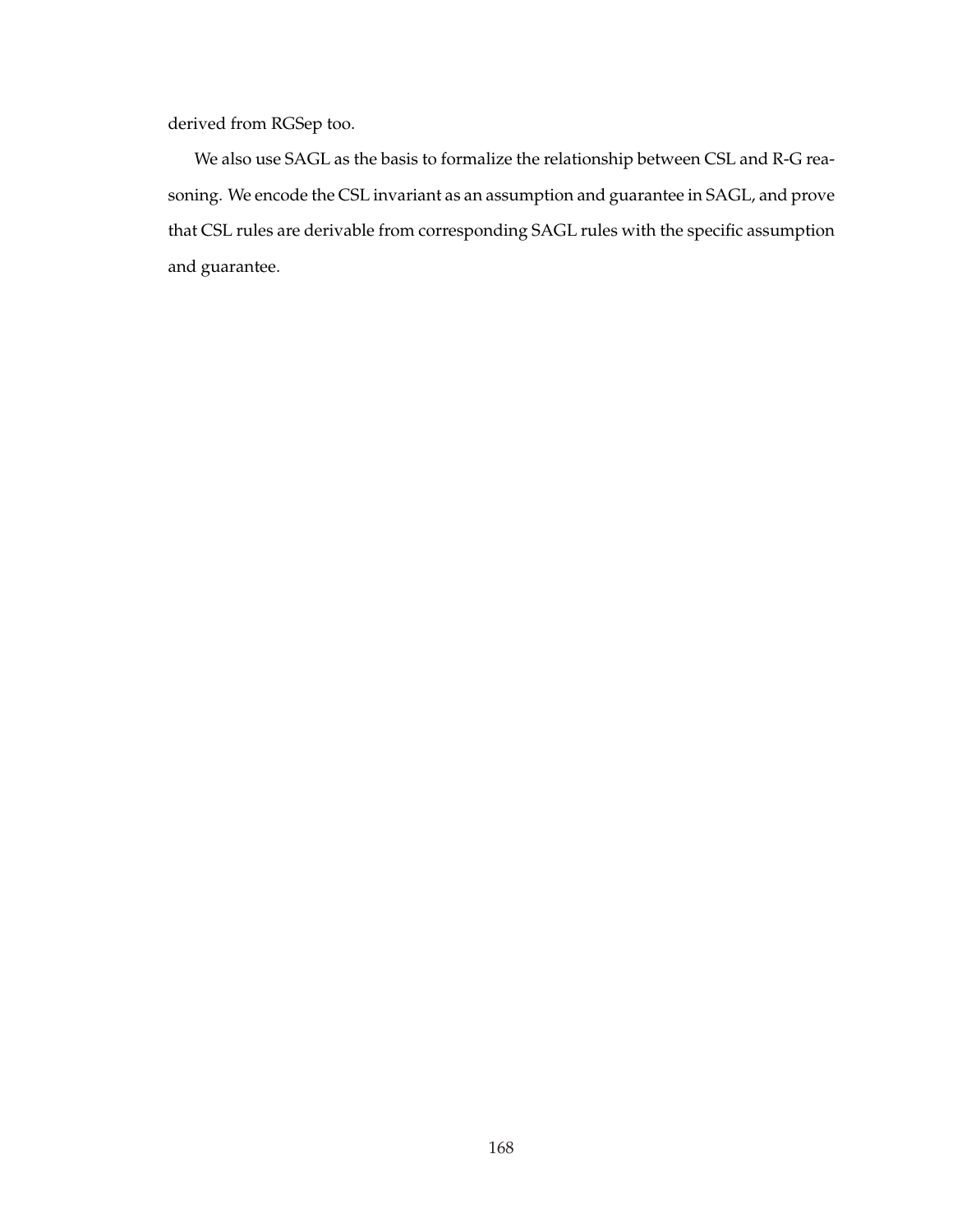derived from RGSep too.

We also use SAGL as the basis to formalize the relationship between CSL and R-G reasoning. We encode the CSL invariant as an assumption and guarantee in SAGL, and prove that CSL rules are derivable from corresponding SAGL rules with the specific assumption and guarantee.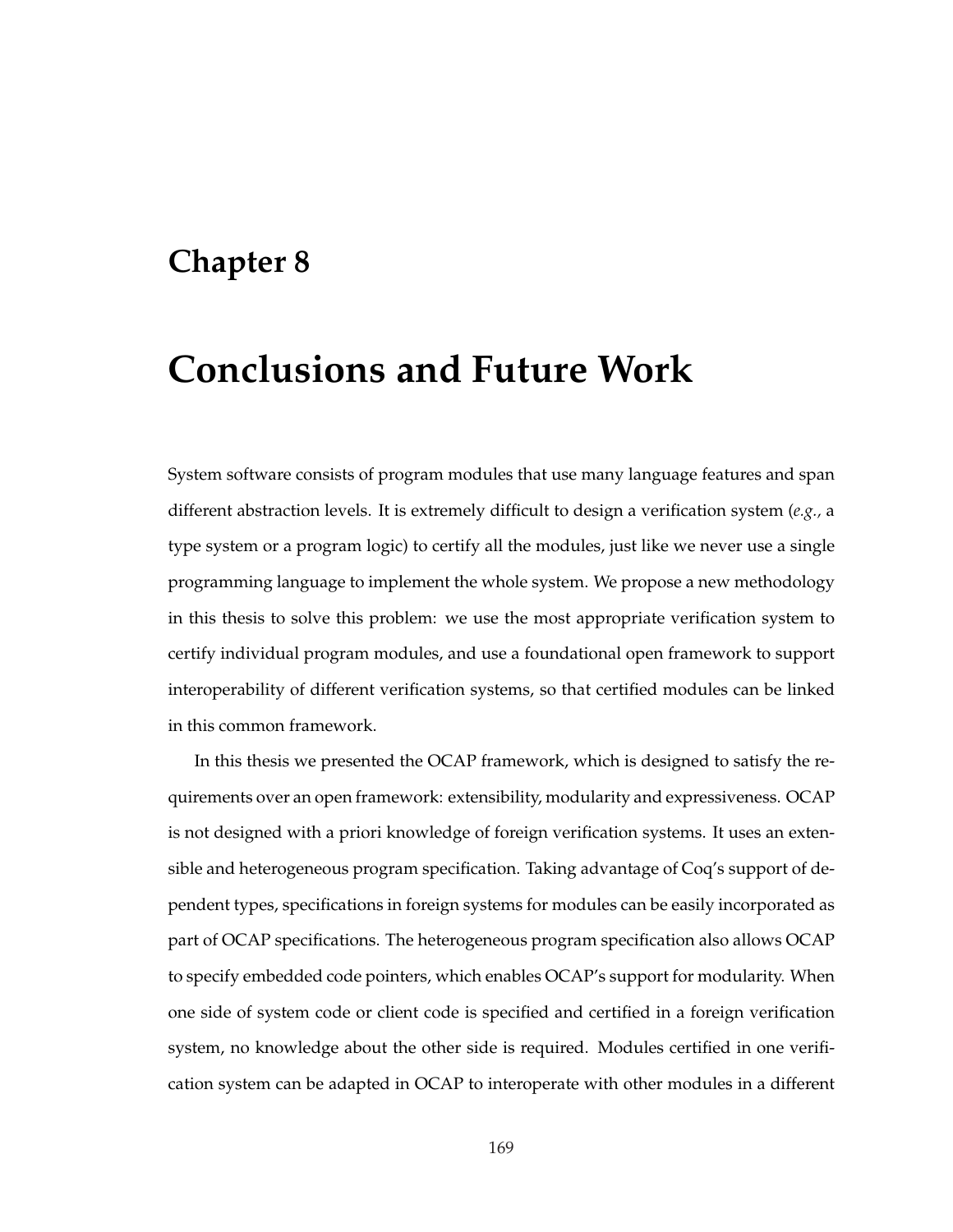## **Chapter 8**

## **Conclusions and Future Work**

System software consists of program modules that use many language features and span different abstraction levels. It is extremely difficult to design a verification system (*e.g.,* a type system or a program logic) to certify all the modules, just like we never use a single programming language to implement the whole system. We propose a new methodology in this thesis to solve this problem: we use the most appropriate verification system to certify individual program modules, and use a foundational open framework to support interoperability of different verification systems, so that certified modules can be linked in this common framework.

In this thesis we presented the OCAP framework, which is designed to satisfy the requirements over an open framework: extensibility, modularity and expressiveness. OCAP is not designed with a priori knowledge of foreign verification systems. It uses an extensible and heterogeneous program specification. Taking advantage of Coq's support of dependent types, specifications in foreign systems for modules can be easily incorporated as part of OCAP specifications. The heterogeneous program specification also allows OCAP to specify embedded code pointers, which enables OCAP's support for modularity. When one side of system code or client code is specified and certified in a foreign verification system, no knowledge about the other side is required. Modules certified in one verification system can be adapted in OCAP to interoperate with other modules in a different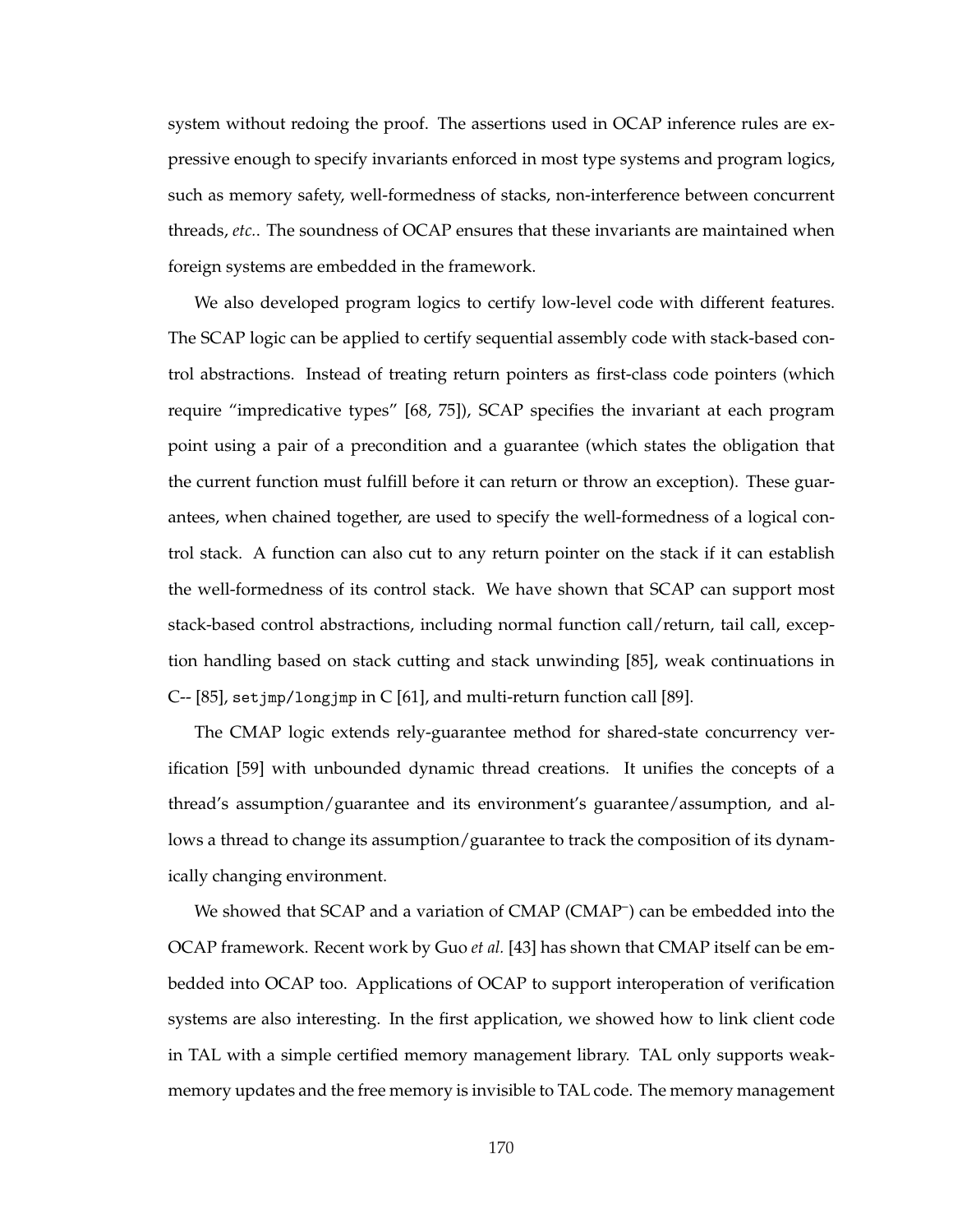system without redoing the proof. The assertions used in OCAP inference rules are expressive enough to specify invariants enforced in most type systems and program logics, such as memory safety, well-formedness of stacks, non-interference between concurrent threads, *etc.*. The soundness of OCAP ensures that these invariants are maintained when foreign systems are embedded in the framework.

We also developed program logics to certify low-level code with different features. The SCAP logic can be applied to certify sequential assembly code with stack-based control abstractions. Instead of treating return pointers as first-class code pointers (which require "impredicative types" [68, 75]), SCAP specifies the invariant at each program point using a pair of a precondition and a guarantee (which states the obligation that the current function must fulfill before it can return or throw an exception). These guarantees, when chained together, are used to specify the well-formedness of a logical control stack. A function can also cut to any return pointer on the stack if it can establish the well-formedness of its control stack. We have shown that SCAP can support most stack-based control abstractions, including normal function call/return, tail call, exception handling based on stack cutting and stack unwinding [85], weak continuations in C-- [85], setjmp/longjmp in C [61], and multi-return function call [89].

The CMAP logic extends rely-guarantee method for shared-state concurrency verification [59] with unbounded dynamic thread creations. It unifies the concepts of a thread's assumption/guarantee and its environment's guarantee/assumption, and allows a thread to change its assumption/guarantee to track the composition of its dynamically changing environment.

We showed that SCAP and a variation of CMAP (CMAP<sup>-</sup>) can be embedded into the OCAP framework. Recent work by Guo *et al.* [43] has shown that CMAP itself can be embedded into OCAP too. Applications of OCAP to support interoperation of verification systems are also interesting. In the first application, we showed how to link client code in TAL with a simple certified memory management library. TAL only supports weakmemory updates and the free memory is invisible to TAL code. The memory management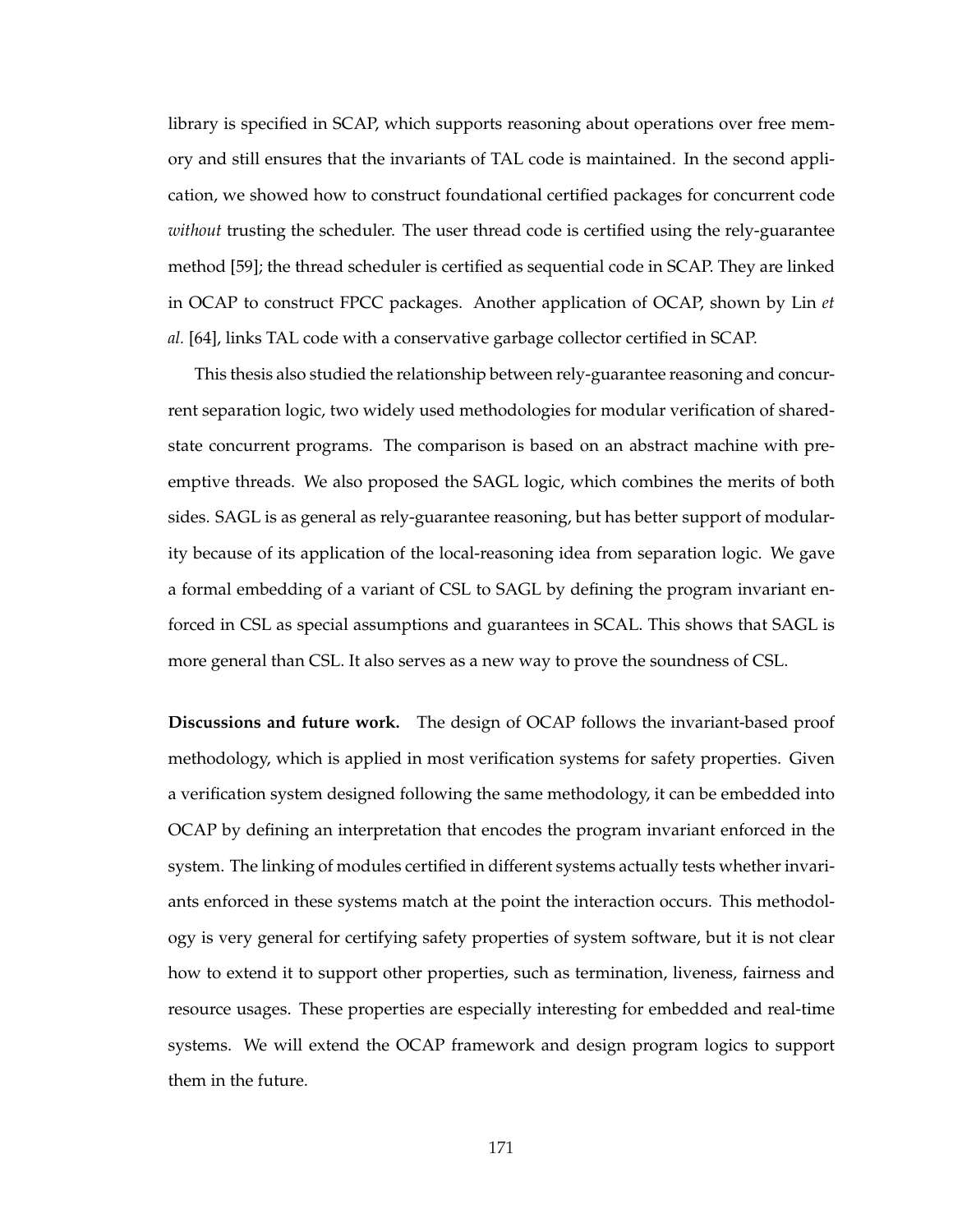library is specified in SCAP, which supports reasoning about operations over free memory and still ensures that the invariants of TAL code is maintained. In the second application, we showed how to construct foundational certified packages for concurrent code *without* trusting the scheduler. The user thread code is certified using the rely-guarantee method [59]; the thread scheduler is certified as sequential code in SCAP. They are linked in OCAP to construct FPCC packages. Another application of OCAP, shown by Lin *et al.* [64], links TAL code with a conservative garbage collector certified in SCAP.

This thesis also studied the relationship between rely-guarantee reasoning and concurrent separation logic, two widely used methodologies for modular verification of sharedstate concurrent programs. The comparison is based on an abstract machine with preemptive threads. We also proposed the SAGL logic, which combines the merits of both sides. SAGL is as general as rely-guarantee reasoning, but has better support of modularity because of its application of the local-reasoning idea from separation logic. We gave a formal embedding of a variant of CSL to SAGL by defining the program invariant enforced in CSL as special assumptions and guarantees in SCAL. This shows that SAGL is more general than CSL. It also serves as a new way to prove the soundness of CSL.

**Discussions and future work.** The design of OCAP follows the invariant-based proof methodology, which is applied in most verification systems for safety properties. Given a verification system designed following the same methodology, it can be embedded into OCAP by defining an interpretation that encodes the program invariant enforced in the system. The linking of modules certified in different systems actually tests whether invariants enforced in these systems match at the point the interaction occurs. This methodology is very general for certifying safety properties of system software, but it is not clear how to extend it to support other properties, such as termination, liveness, fairness and resource usages. These properties are especially interesting for embedded and real-time systems. We will extend the OCAP framework and design program logics to support them in the future.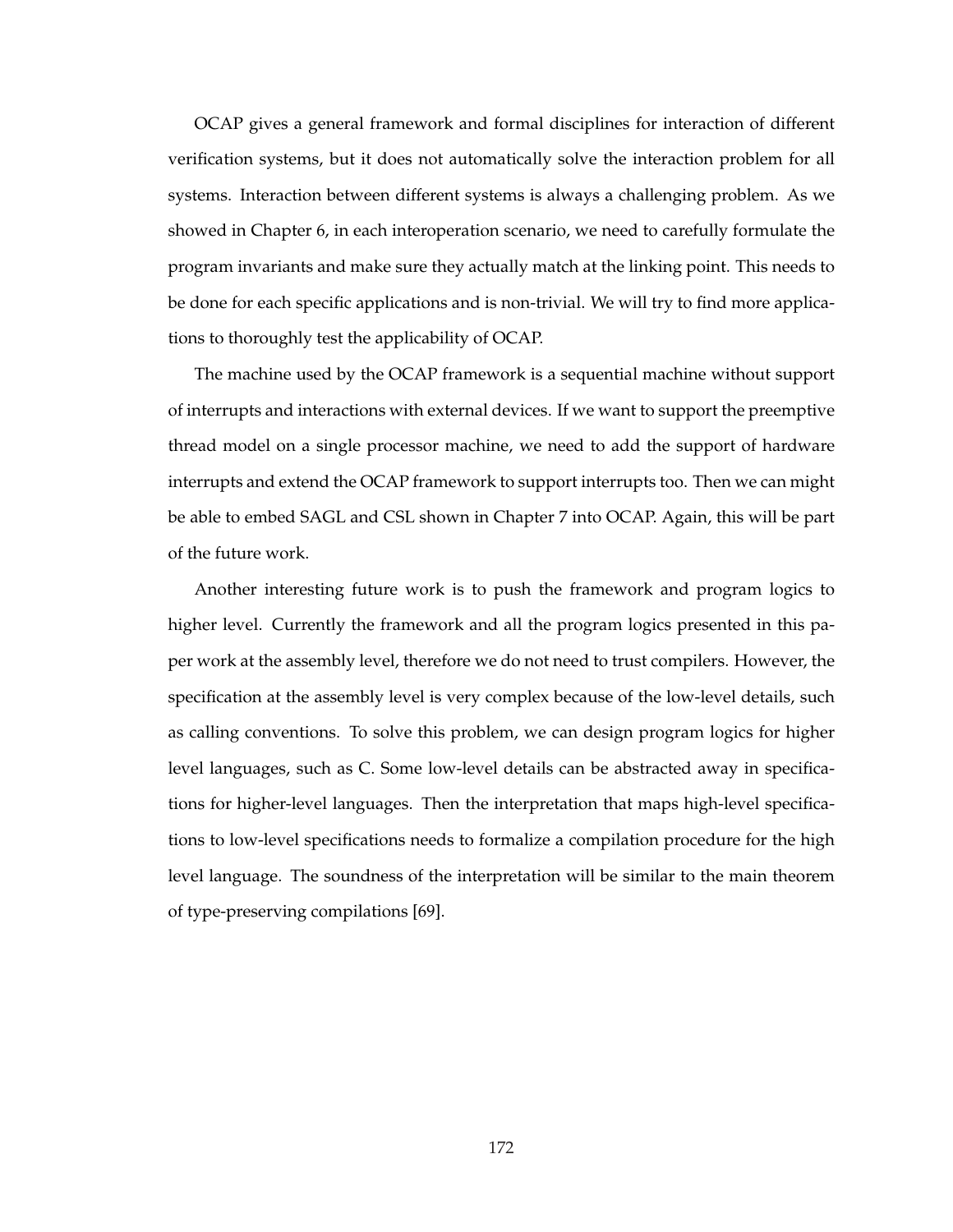OCAP gives a general framework and formal disciplines for interaction of different verification systems, but it does not automatically solve the interaction problem for all systems. Interaction between different systems is always a challenging problem. As we showed in Chapter 6, in each interoperation scenario, we need to carefully formulate the program invariants and make sure they actually match at the linking point. This needs to be done for each specific applications and is non-trivial. We will try to find more applications to thoroughly test the applicability of OCAP.

The machine used by the OCAP framework is a sequential machine without support of interrupts and interactions with external devices. If we want to support the preemptive thread model on a single processor machine, we need to add the support of hardware interrupts and extend the OCAP framework to support interrupts too. Then we can might be able to embed SAGL and CSL shown in Chapter 7 into OCAP. Again, this will be part of the future work.

Another interesting future work is to push the framework and program logics to higher level. Currently the framework and all the program logics presented in this paper work at the assembly level, therefore we do not need to trust compilers. However, the specification at the assembly level is very complex because of the low-level details, such as calling conventions. To solve this problem, we can design program logics for higher level languages, such as C. Some low-level details can be abstracted away in specifications for higher-level languages. Then the interpretation that maps high-level specifications to low-level specifications needs to formalize a compilation procedure for the high level language. The soundness of the interpretation will be similar to the main theorem of type-preserving compilations [69].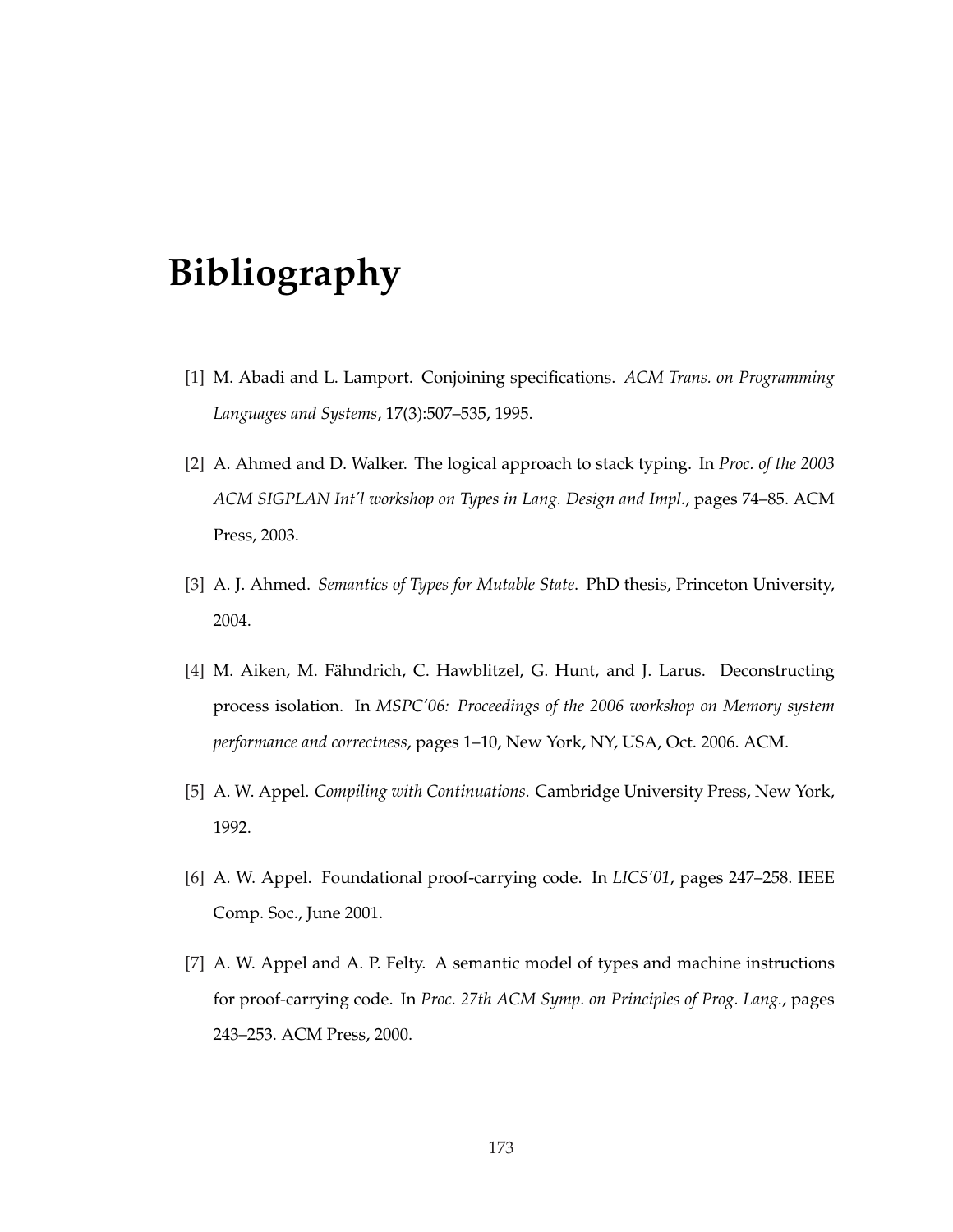## **Bibliography**

- [1] M. Abadi and L. Lamport. Conjoining specifications. *ACM Trans. on Programming Languages and Systems*, 17(3):507–535, 1995.
- [2] A. Ahmed and D. Walker. The logical approach to stack typing. In *Proc. of the 2003 ACM SIGPLAN Int'l workshop on Types in Lang. Design and Impl.*, pages 74–85. ACM Press, 2003.
- [3] A. J. Ahmed. *Semantics of Types for Mutable State*. PhD thesis, Princeton University, 2004.
- [4] M. Aiken, M. Fähndrich, C. Hawblitzel, G. Hunt, and J. Larus. Deconstructing process isolation. In *MSPC'06: Proceedings of the 2006 workshop on Memory system performance and correctness*, pages 1–10, New York, NY, USA, Oct. 2006. ACM.
- [5] A. W. Appel. *Compiling with Continuations*. Cambridge University Press, New York, 1992.
- [6] A. W. Appel. Foundational proof-carrying code. In *LICS'01*, pages 247–258. IEEE Comp. Soc., June 2001.
- [7] A. W. Appel and A. P. Felty. A semantic model of types and machine instructions for proof-carrying code. In *Proc. 27th ACM Symp. on Principles of Prog. Lang.*, pages 243–253. ACM Press, 2000.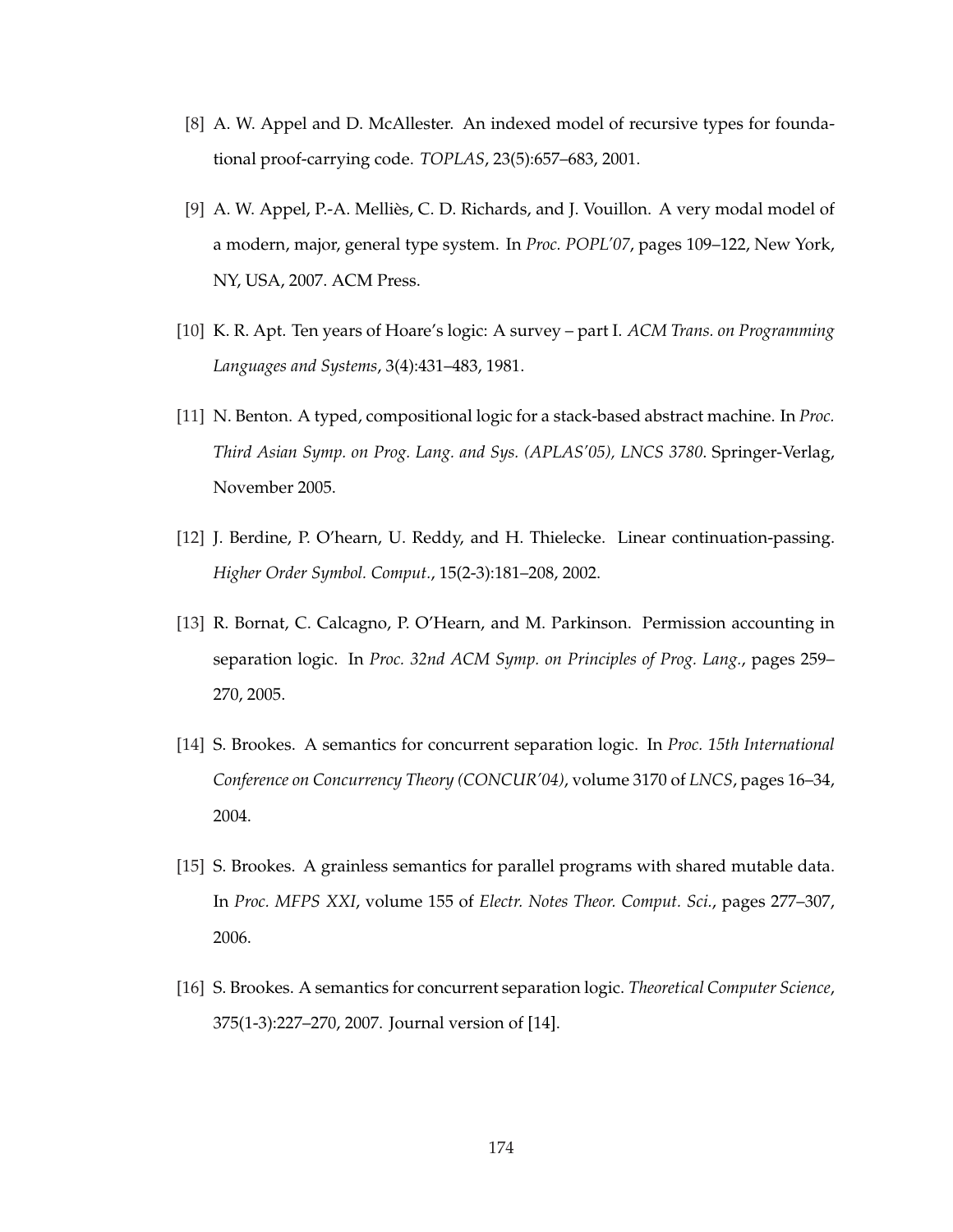- [8] A. W. Appel and D. McAllester. An indexed model of recursive types for foundational proof-carrying code. *TOPLAS*, 23(5):657–683, 2001.
- [9] A. W. Appel, P.-A. Mellies, C. D. Richards, and J. Vouillon. A very modal model of ` a modern, major, general type system. In *Proc. POPL'07*, pages 109–122, New York, NY, USA, 2007. ACM Press.
- [10] K. R. Apt. Ten years of Hoare's logic: A survey part I. *ACM Trans. on Programming Languages and Systems*, 3(4):431–483, 1981.
- [11] N. Benton. A typed, compositional logic for a stack-based abstract machine. In *Proc. Third Asian Symp. on Prog. Lang. and Sys. (APLAS'05), LNCS 3780*. Springer-Verlag, November 2005.
- [12] J. Berdine, P. O'hearn, U. Reddy, and H. Thielecke. Linear continuation-passing. *Higher Order Symbol. Comput.*, 15(2-3):181–208, 2002.
- [13] R. Bornat, C. Calcagno, P. O'Hearn, and M. Parkinson. Permission accounting in separation logic. In *Proc. 32nd ACM Symp. on Principles of Prog. Lang.*, pages 259– 270, 2005.
- [14] S. Brookes. A semantics for concurrent separation logic. In *Proc. 15th International Conference on Concurrency Theory (CONCUR'04)*, volume 3170 of *LNCS*, pages 16–34, 2004.
- [15] S. Brookes. A grainless semantics for parallel programs with shared mutable data. In *Proc. MFPS XXI*, volume 155 of *Electr. Notes Theor. Comput. Sci.*, pages 277–307, 2006.
- [16] S. Brookes. A semantics for concurrent separation logic. *Theoretical Computer Science*, 375(1-3):227–270, 2007. Journal version of [14].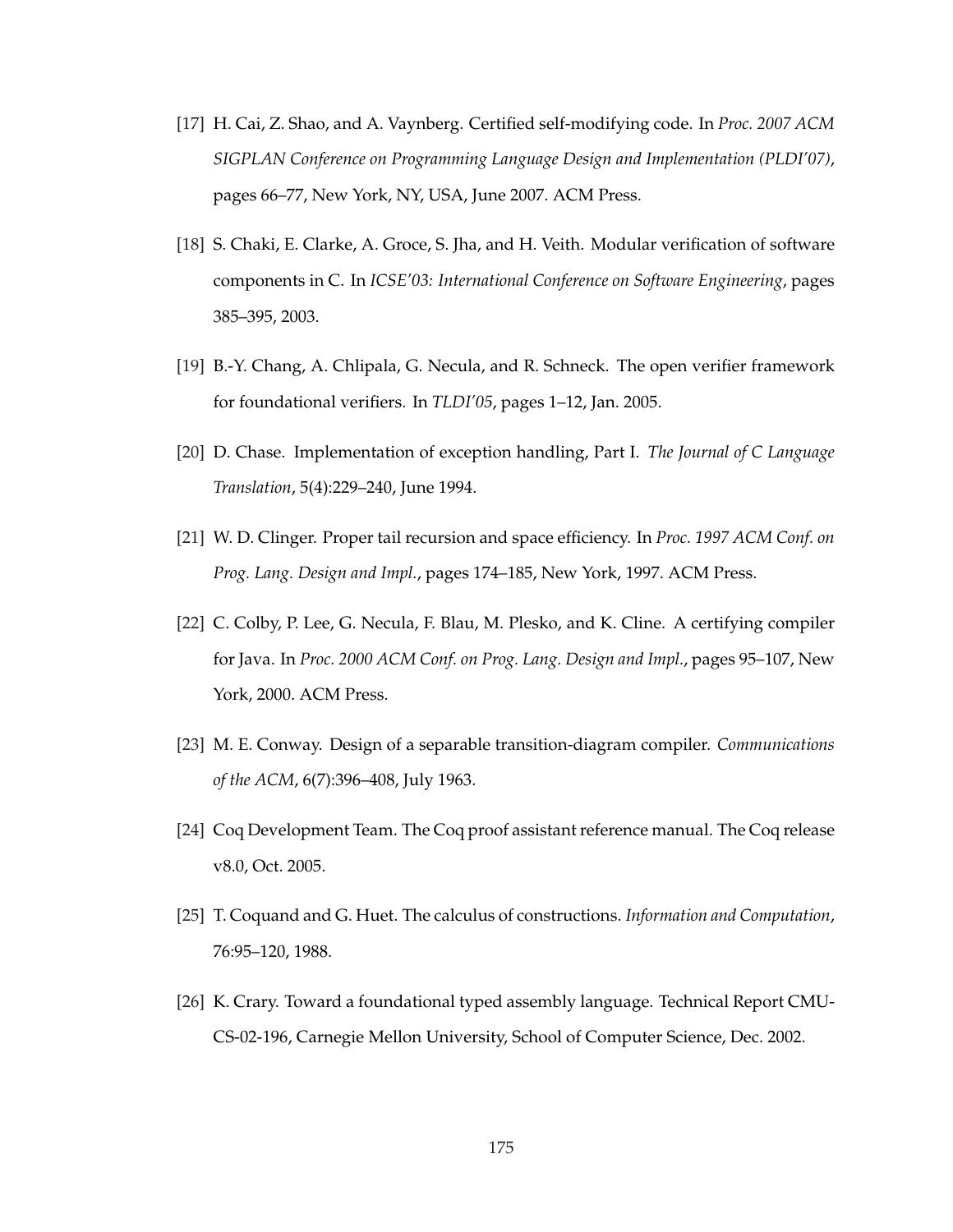- [17] H. Cai, Z. Shao, and A. Vaynberg. Certified self-modifying code. In *Proc. 2007 ACM SIGPLAN Conference on Programming Language Design and Implementation (PLDI'07)*, pages 66–77, New York, NY, USA, June 2007. ACM Press.
- [18] S. Chaki, E. Clarke, A. Groce, S. Jha, and H. Veith. Modular verification of software components in C. In *ICSE'03: International Conference on Software Engineering*, pages 385–395, 2003.
- [19] B.-Y. Chang, A. Chlipala, G. Necula, and R. Schneck. The open verifier framework for foundational verifiers. In *TLDI'05*, pages 1–12, Jan. 2005.
- [20] D. Chase. Implementation of exception handling, Part I. *The Journal of C Language Translation*, 5(4):229–240, June 1994.
- [21] W. D. Clinger. Proper tail recursion and space efficiency. In *Proc. 1997 ACM Conf. on Prog. Lang. Design and Impl.*, pages 174–185, New York, 1997. ACM Press.
- [22] C. Colby, P. Lee, G. Necula, F. Blau, M. Plesko, and K. Cline. A certifying compiler for Java. In *Proc. 2000 ACM Conf. on Prog. Lang. Design and Impl.*, pages 95–107, New York, 2000. ACM Press.
- [23] M. E. Conway. Design of a separable transition-diagram compiler. *Communications of the ACM*, 6(7):396–408, July 1963.
- [24] Coq Development Team. The Coq proof assistant reference manual. The Coq release v8.0, Oct. 2005.
- [25] T. Coquand and G. Huet. The calculus of constructions. *Information and Computation*, 76:95–120, 1988.
- [26] K. Crary. Toward a foundational typed assembly language. Technical Report CMU-CS-02-196, Carnegie Mellon University, School of Computer Science, Dec. 2002.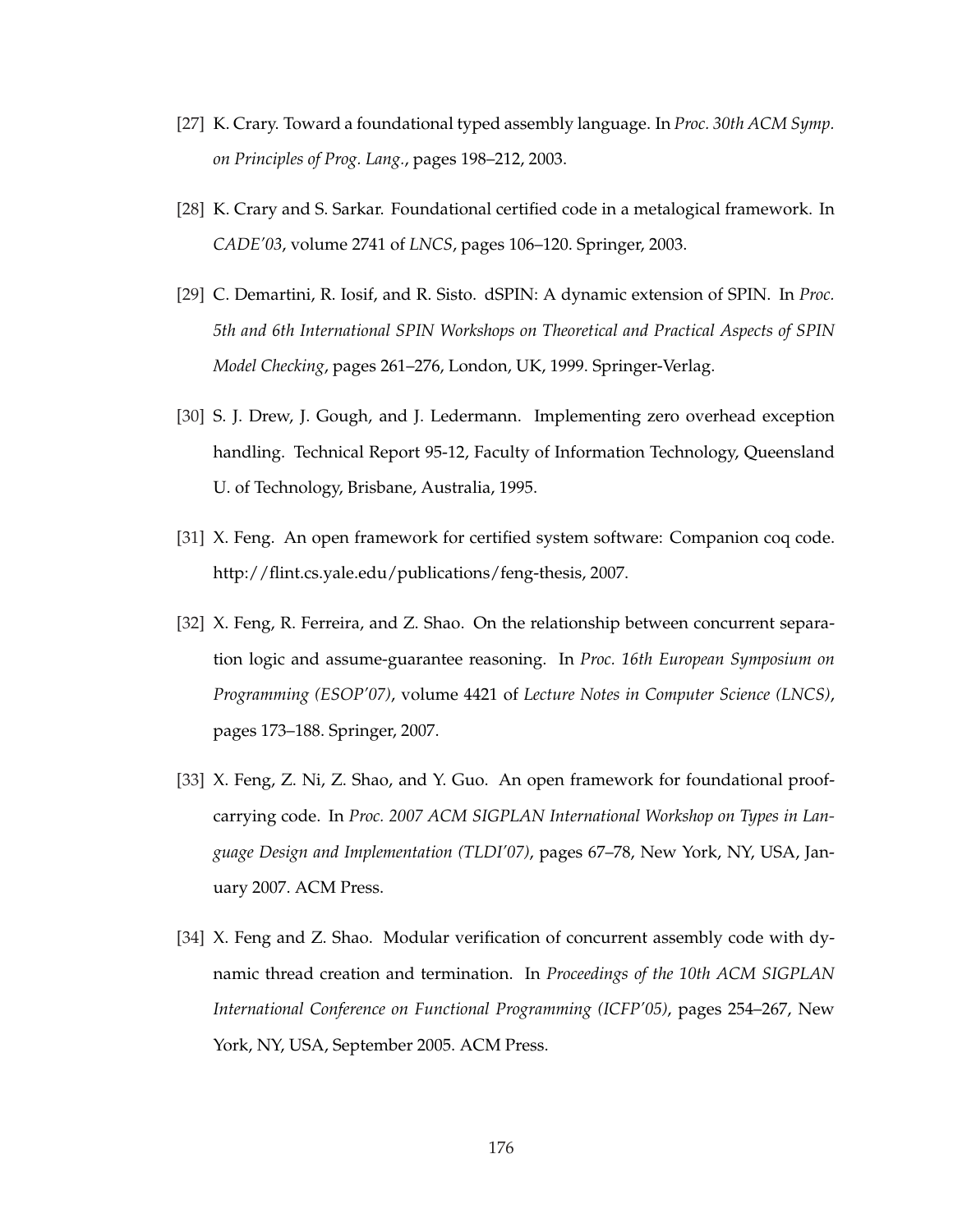- [27] K. Crary. Toward a foundational typed assembly language. In *Proc. 30th ACM Symp. on Principles of Prog. Lang.*, pages 198–212, 2003.
- [28] K. Crary and S. Sarkar. Foundational certified code in a metalogical framework. In *CADE'03*, volume 2741 of *LNCS*, pages 106–120. Springer, 2003.
- [29] C. Demartini, R. Iosif, and R. Sisto. dSPIN: A dynamic extension of SPIN. In *Proc. 5th and 6th International SPIN Workshops on Theoretical and Practical Aspects of SPIN Model Checking*, pages 261–276, London, UK, 1999. Springer-Verlag.
- [30] S. J. Drew, J. Gough, and J. Ledermann. Implementing zero overhead exception handling. Technical Report 95-12, Faculty of Information Technology, Queensland U. of Technology, Brisbane, Australia, 1995.
- [31] X. Feng. An open framework for certified system software: Companion coq code. http://flint.cs.yale.edu/publications/feng-thesis, 2007.
- [32] X. Feng, R. Ferreira, and Z. Shao. On the relationship between concurrent separation logic and assume-guarantee reasoning. In *Proc. 16th European Symposium on Programming (ESOP'07)*, volume 4421 of *Lecture Notes in Computer Science (LNCS)*, pages 173–188. Springer, 2007.
- [33] X. Feng, Z. Ni, Z. Shao, and Y. Guo. An open framework for foundational proofcarrying code. In *Proc. 2007 ACM SIGPLAN International Workshop on Types in Language Design and Implementation (TLDI'07)*, pages 67–78, New York, NY, USA, January 2007. ACM Press.
- [34] X. Feng and Z. Shao. Modular verification of concurrent assembly code with dynamic thread creation and termination. In *Proceedings of the 10th ACM SIGPLAN International Conference on Functional Programming (ICFP'05)*, pages 254–267, New York, NY, USA, September 2005. ACM Press.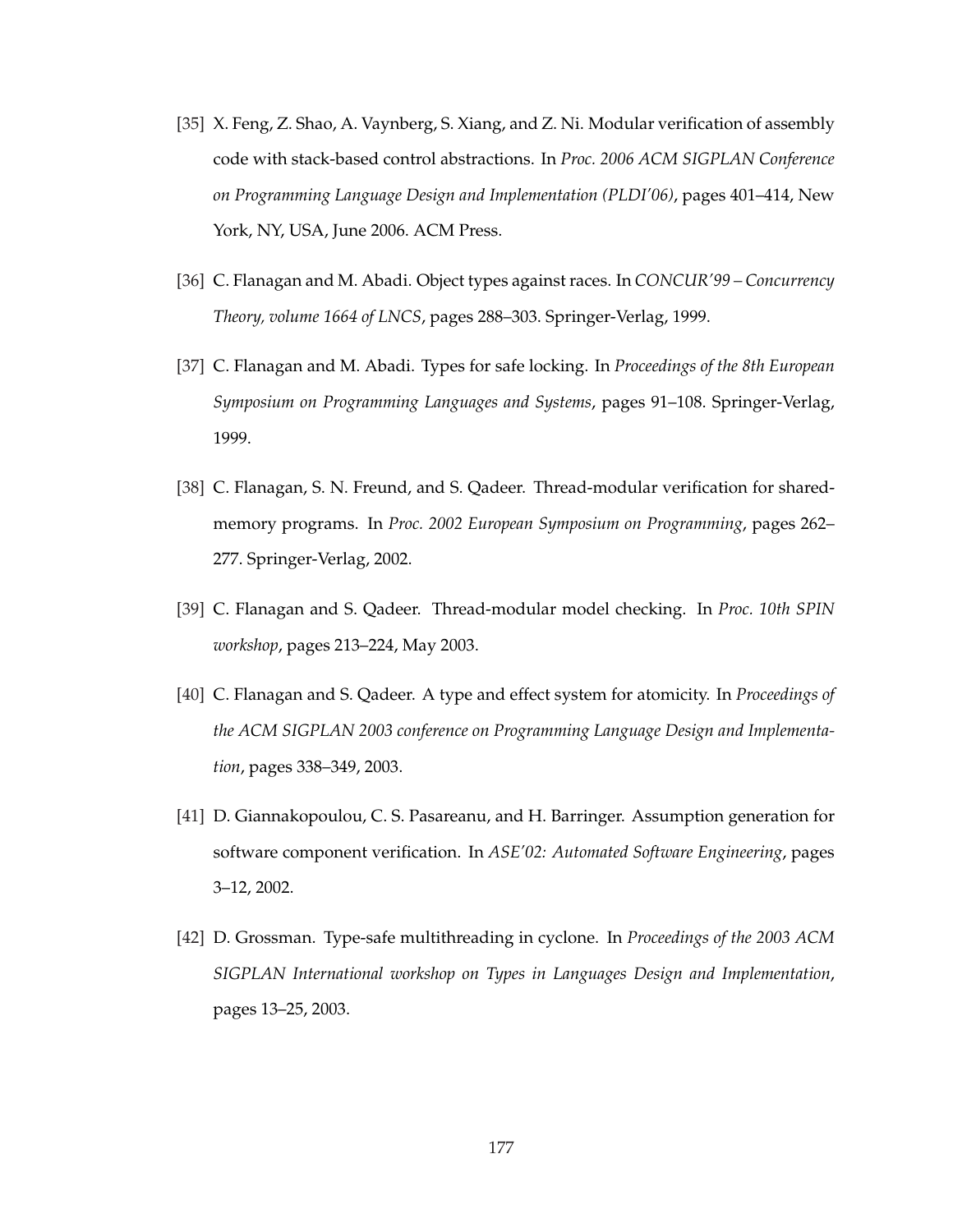- [35] X. Feng, Z. Shao, A. Vaynberg, S. Xiang, and Z. Ni. Modular verification of assembly code with stack-based control abstractions. In *Proc. 2006 ACM SIGPLAN Conference on Programming Language Design and Implementation (PLDI'06)*, pages 401–414, New York, NY, USA, June 2006. ACM Press.
- [36] C. Flanagan and M. Abadi. Object types against races. In *CONCUR'99 Concurrency Theory, volume 1664 of LNCS*, pages 288–303. Springer-Verlag, 1999.
- [37] C. Flanagan and M. Abadi. Types for safe locking. In *Proceedings of the 8th European Symposium on Programming Languages and Systems*, pages 91–108. Springer-Verlag, 1999.
- [38] C. Flanagan, S. N. Freund, and S. Qadeer. Thread-modular verification for sharedmemory programs. In *Proc. 2002 European Symposium on Programming*, pages 262– 277. Springer-Verlag, 2002.
- [39] C. Flanagan and S. Qadeer. Thread-modular model checking. In *Proc. 10th SPIN workshop*, pages 213–224, May 2003.
- [40] C. Flanagan and S. Qadeer. A type and effect system for atomicity. In *Proceedings of the ACM SIGPLAN 2003 conference on Programming Language Design and Implementation*, pages 338–349, 2003.
- [41] D. Giannakopoulou, C. S. Pasareanu, and H. Barringer. Assumption generation for software component verification. In *ASE'02: Automated Software Engineering*, pages 3–12, 2002.
- [42] D. Grossman. Type-safe multithreading in cyclone. In *Proceedings of the 2003 ACM SIGPLAN International workshop on Types in Languages Design and Implementation*, pages 13–25, 2003.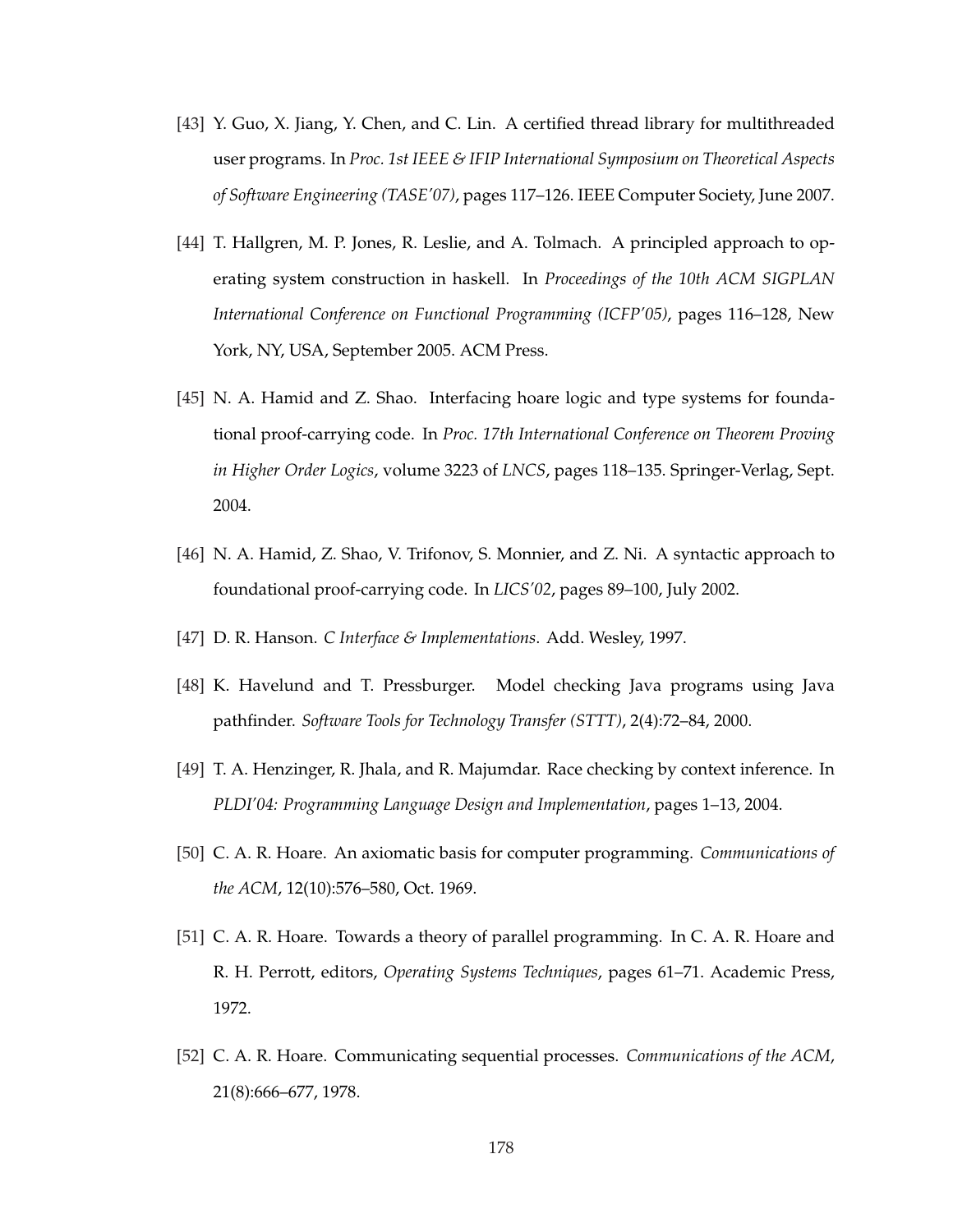- [43] Y. Guo, X. Jiang, Y. Chen, and C. Lin. A certified thread library for multithreaded user programs. In *Proc. 1st IEEE & IFIP International Symposium on Theoretical Aspects of Software Engineering (TASE'07)*, pages 117–126. IEEE Computer Society, June 2007.
- [44] T. Hallgren, M. P. Jones, R. Leslie, and A. Tolmach. A principled approach to operating system construction in haskell. In *Proceedings of the 10th ACM SIGPLAN International Conference on Functional Programming (ICFP'05)*, pages 116–128, New York, NY, USA, September 2005. ACM Press.
- [45] N. A. Hamid and Z. Shao. Interfacing hoare logic and type systems for foundational proof-carrying code. In *Proc. 17th International Conference on Theorem Proving in Higher Order Logics*, volume 3223 of *LNCS*, pages 118–135. Springer-Verlag, Sept. 2004.
- [46] N. A. Hamid, Z. Shao, V. Trifonov, S. Monnier, and Z. Ni. A syntactic approach to foundational proof-carrying code. In *LICS'02*, pages 89–100, July 2002.
- [47] D. R. Hanson. *C Interface & Implementations*. Add. Wesley, 1997.
- [48] K. Havelund and T. Pressburger. Model checking Java programs using Java pathfinder. *Software Tools for Technology Transfer (STTT)*, 2(4):72–84, 2000.
- [49] T. A. Henzinger, R. Jhala, and R. Majumdar. Race checking by context inference. In *PLDI'04: Programming Language Design and Implementation*, pages 1–13, 2004.
- [50] C. A. R. Hoare. An axiomatic basis for computer programming. *Communications of the ACM*, 12(10):576–580, Oct. 1969.
- [51] C. A. R. Hoare. Towards a theory of parallel programming. In C. A. R. Hoare and R. H. Perrott, editors, *Operating Systems Techniques*, pages 61–71. Academic Press, 1972.
- [52] C. A. R. Hoare. Communicating sequential processes. *Communications of the ACM*, 21(8):666–677, 1978.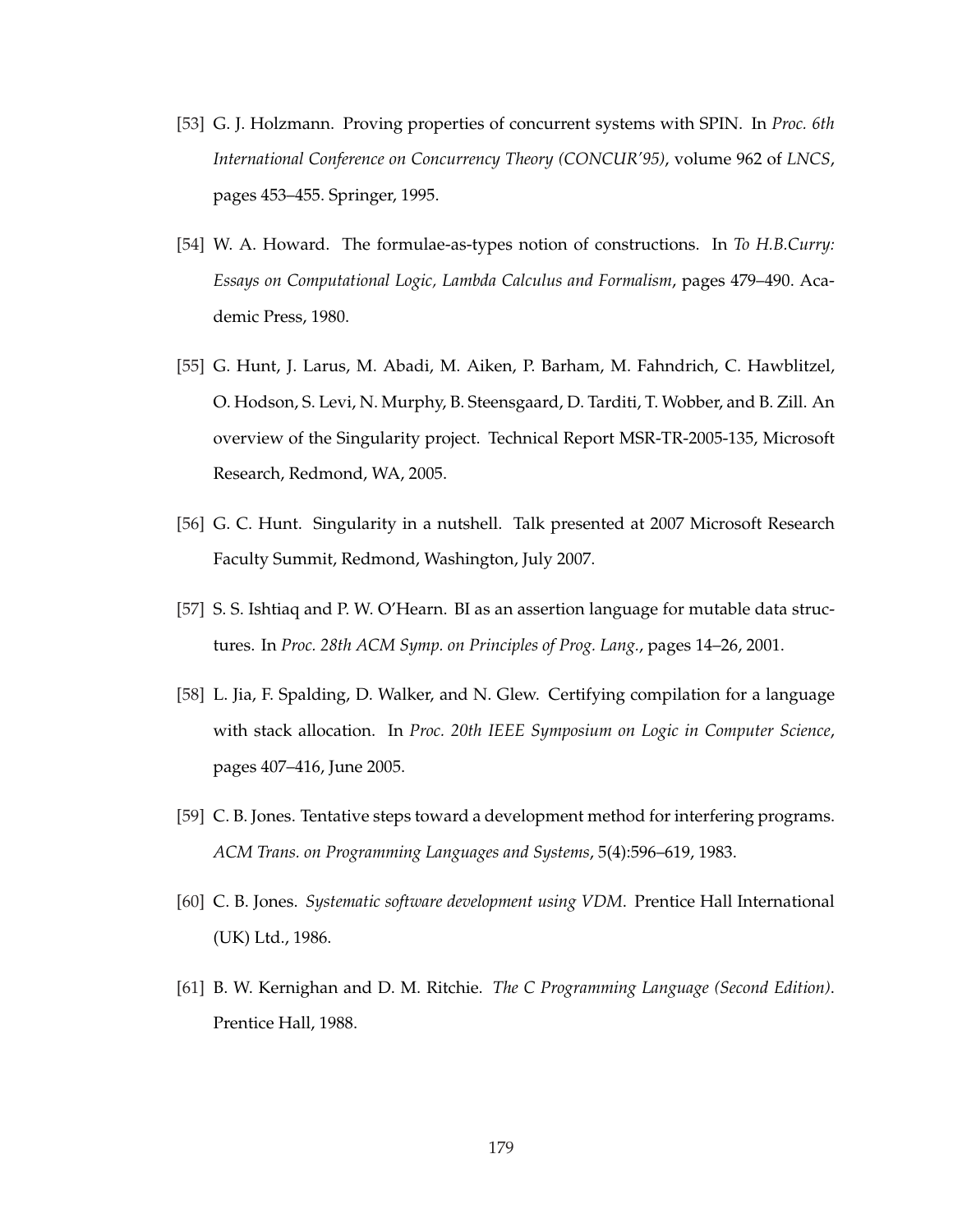- [53] G. J. Holzmann. Proving properties of concurrent systems with SPIN. In *Proc. 6th International Conference on Concurrency Theory (CONCUR'95)*, volume 962 of *LNCS*, pages 453–455. Springer, 1995.
- [54] W. A. Howard. The formulae-as-types notion of constructions. In *To H.B.Curry: Essays on Computational Logic, Lambda Calculus and Formalism*, pages 479–490. Academic Press, 1980.
- [55] G. Hunt, J. Larus, M. Abadi, M. Aiken, P. Barham, M. Fahndrich, C. Hawblitzel, O. Hodson, S. Levi, N. Murphy, B. Steensgaard, D. Tarditi, T. Wobber, and B. Zill. An overview of the Singularity project. Technical Report MSR-TR-2005-135, Microsoft Research, Redmond, WA, 2005.
- [56] G. C. Hunt. Singularity in a nutshell. Talk presented at 2007 Microsoft Research Faculty Summit, Redmond, Washington, July 2007.
- [57] S. S. Ishtiaq and P. W. O'Hearn. BI as an assertion language for mutable data structures. In *Proc. 28th ACM Symp. on Principles of Prog. Lang.*, pages 14–26, 2001.
- [58] L. Jia, F. Spalding, D. Walker, and N. Glew. Certifying compilation for a language with stack allocation. In *Proc. 20th IEEE Symposium on Logic in Computer Science*, pages 407–416, June 2005.
- [59] C. B. Jones. Tentative steps toward a development method for interfering programs. *ACM Trans. on Programming Languages and Systems*, 5(4):596–619, 1983.
- [60] C. B. Jones. *Systematic software development using VDM*. Prentice Hall International (UK) Ltd., 1986.
- [61] B. W. Kernighan and D. M. Ritchie. *The C Programming Language (Second Edition)*. Prentice Hall, 1988.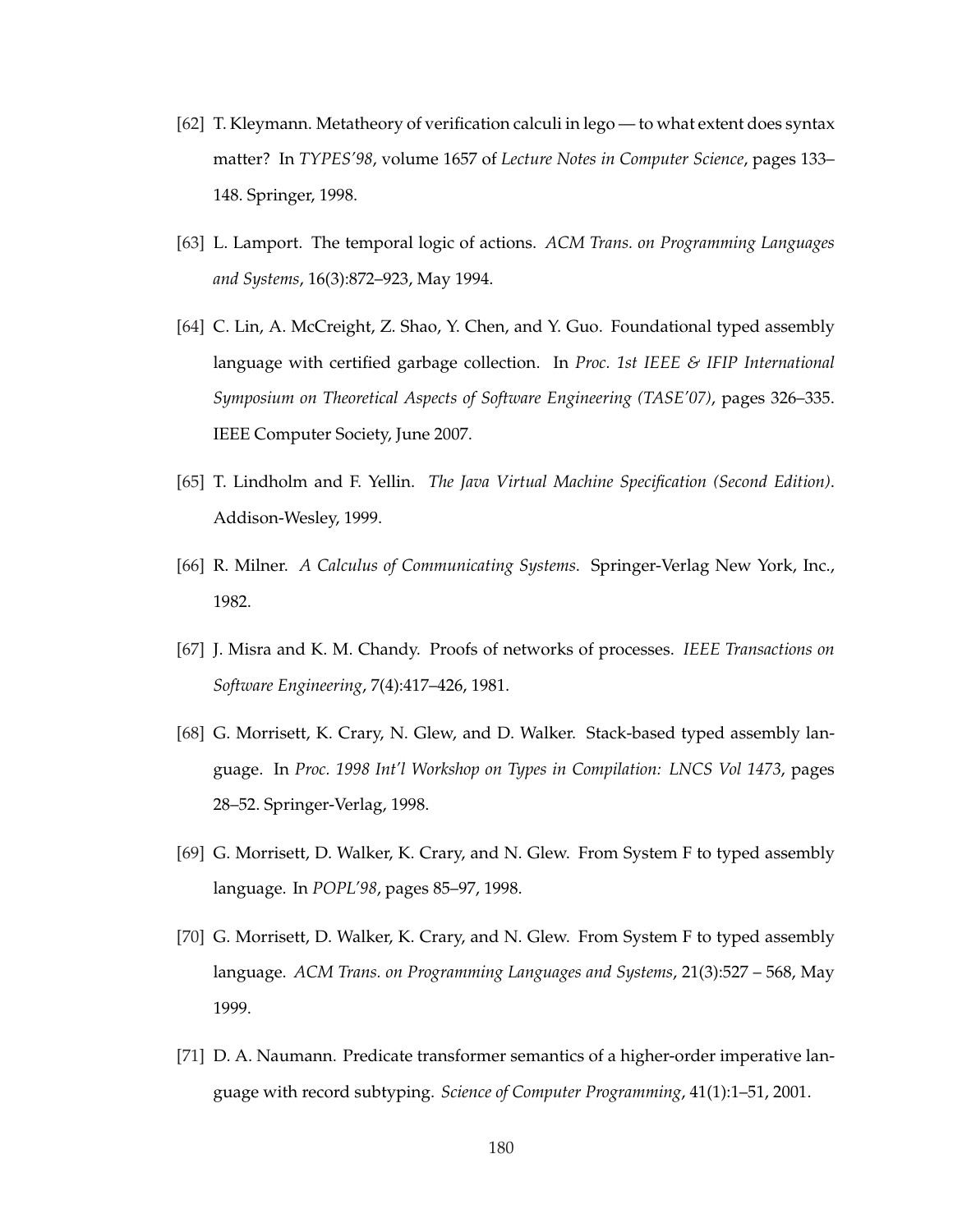- [62] T. Kleymann. Metatheory of verification calculi in lego to what extent does syntax matter? In *TYPES'98*, volume 1657 of *Lecture Notes in Computer Science*, pages 133– 148. Springer, 1998.
- [63] L. Lamport. The temporal logic of actions. *ACM Trans. on Programming Languages and Systems*, 16(3):872–923, May 1994.
- [64] C. Lin, A. McCreight, Z. Shao, Y. Chen, and Y. Guo. Foundational typed assembly language with certified garbage collection. In *Proc. 1st IEEE & IFIP International Symposium on Theoretical Aspects of Software Engineering (TASE'07)*, pages 326–335. IEEE Computer Society, June 2007.
- [65] T. Lindholm and F. Yellin. *The Java Virtual Machine Specification (Second Edition)*. Addison-Wesley, 1999.
- [66] R. Milner. *A Calculus of Communicating Systems*. Springer-Verlag New York, Inc., 1982.
- [67] J. Misra and K. M. Chandy. Proofs of networks of processes. *IEEE Transactions on Software Engineering*, 7(4):417–426, 1981.
- [68] G. Morrisett, K. Crary, N. Glew, and D. Walker. Stack-based typed assembly language. In *Proc. 1998 Int'l Workshop on Types in Compilation: LNCS Vol 1473*, pages 28–52. Springer-Verlag, 1998.
- [69] G. Morrisett, D. Walker, K. Crary, and N. Glew. From System F to typed assembly language. In *POPL'98*, pages 85–97, 1998.
- [70] G. Morrisett, D. Walker, K. Crary, and N. Glew. From System F to typed assembly language. *ACM Trans. on Programming Languages and Systems*, 21(3):527 – 568, May 1999.
- [71] D. A. Naumann. Predicate transformer semantics of a higher-order imperative language with record subtyping. *Science of Computer Programming*, 41(1):1–51, 2001.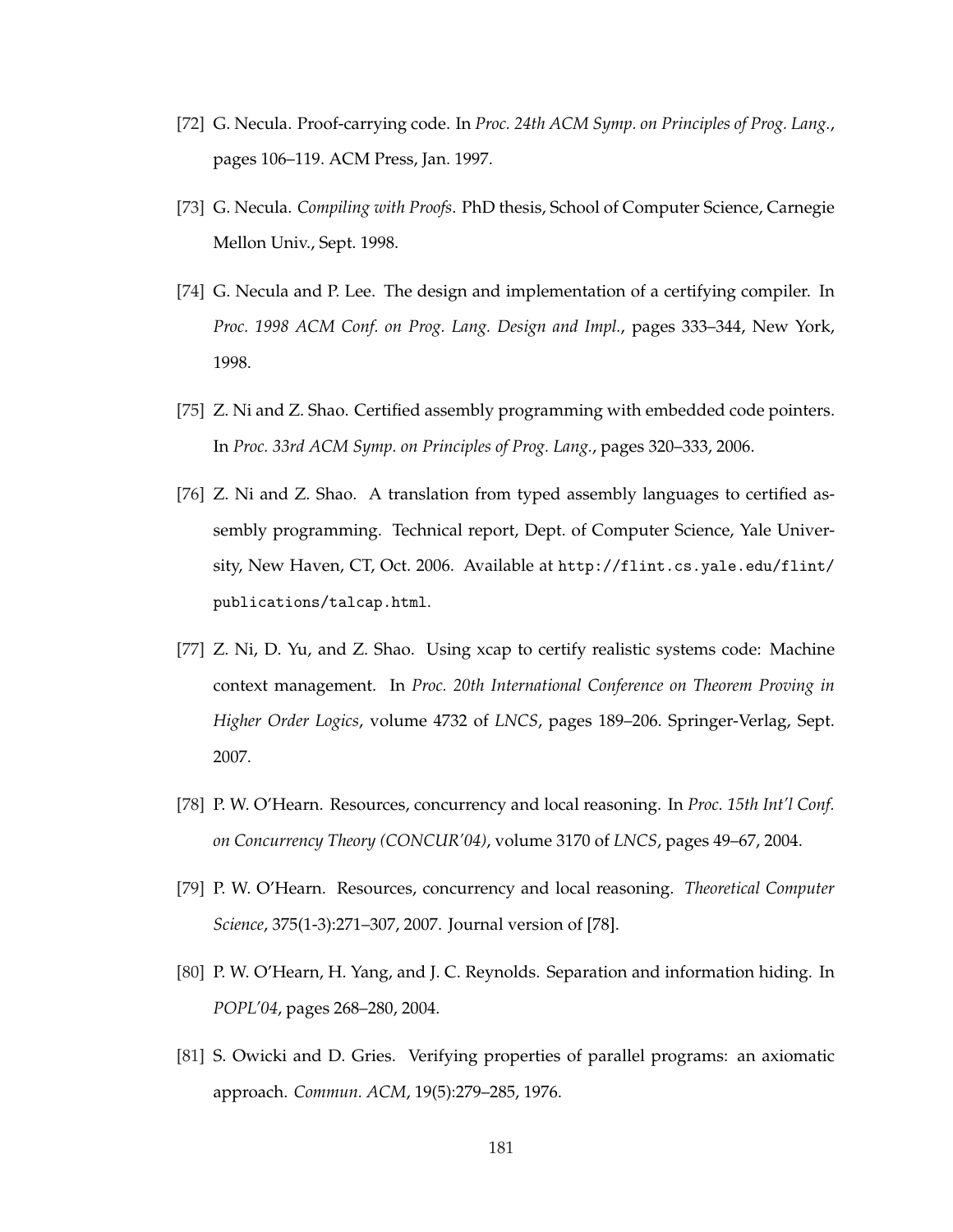- [72] G. Necula. Proof-carrying code. In *Proc. 24th ACM Symp. on Principles of Prog. Lang.*, pages 106–119. ACM Press, Jan. 1997.
- [73] G. Necula. *Compiling with Proofs*. PhD thesis, School of Computer Science, Carnegie Mellon Univ., Sept. 1998.
- [74] G. Necula and P. Lee. The design and implementation of a certifying compiler. In *Proc. 1998 ACM Conf. on Prog. Lang. Design and Impl.*, pages 333–344, New York, 1998.
- [75] Z. Ni and Z. Shao. Certified assembly programming with embedded code pointers. In *Proc. 33rd ACM Symp. on Principles of Prog. Lang.*, pages 320–333, 2006.
- [76] Z. Ni and Z. Shao. A translation from typed assembly languages to certified assembly programming. Technical report, Dept. of Computer Science, Yale University, New Haven, CT, Oct. 2006. Available at http://flint.cs.yale.edu/flint/ publications/talcap.html.
- [77] Z. Ni, D. Yu, and Z. Shao. Using xcap to certify realistic systems code: Machine context management. In *Proc. 20th International Conference on Theorem Proving in Higher Order Logics*, volume 4732 of *LNCS*, pages 189–206. Springer-Verlag, Sept. 2007.
- [78] P. W. O'Hearn. Resources, concurrency and local reasoning. In *Proc. 15th Int'l Conf. on Concurrency Theory (CONCUR'04)*, volume 3170 of *LNCS*, pages 49–67, 2004.
- [79] P. W. O'Hearn. Resources, concurrency and local reasoning. *Theoretical Computer Science*, 375(1-3):271–307, 2007. Journal version of [78].
- [80] P. W. O'Hearn, H. Yang, and J. C. Reynolds. Separation and information hiding. In *POPL'04*, pages 268–280, 2004.
- [81] S. Owicki and D. Gries. Verifying properties of parallel programs: an axiomatic approach. *Commun. ACM*, 19(5):279–285, 1976.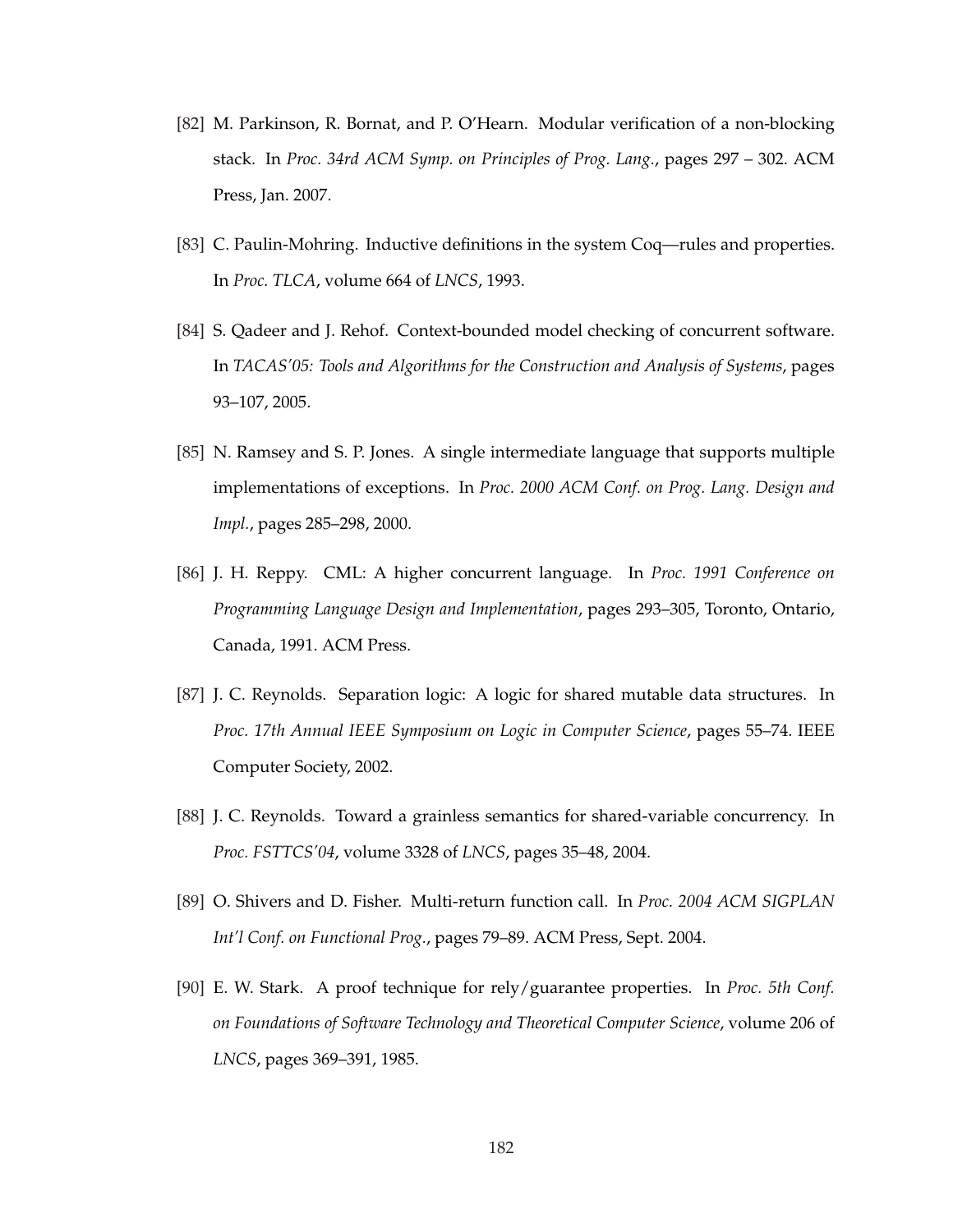- [82] M. Parkinson, R. Bornat, and P. O'Hearn. Modular verification of a non-blocking stack. In *Proc. 34rd ACM Symp. on Principles of Prog. Lang.*, pages 297 – 302. ACM Press, Jan. 2007.
- [83] C. Paulin-Mohring. Inductive definitions in the system Coq—rules and properties. In *Proc. TLCA*, volume 664 of *LNCS*, 1993.
- [84] S. Qadeer and J. Rehof. Context-bounded model checking of concurrent software. In *TACAS'05: Tools and Algorithms for the Construction and Analysis of Systems*, pages 93–107, 2005.
- [85] N. Ramsey and S. P. Jones. A single intermediate language that supports multiple implementations of exceptions. In *Proc. 2000 ACM Conf. on Prog. Lang. Design and Impl.*, pages 285–298, 2000.
- [86] J. H. Reppy. CML: A higher concurrent language. In *Proc. 1991 Conference on Programming Language Design and Implementation*, pages 293–305, Toronto, Ontario, Canada, 1991. ACM Press.
- [87] J. C. Reynolds. Separation logic: A logic for shared mutable data structures. In *Proc. 17th Annual IEEE Symposium on Logic in Computer Science*, pages 55–74. IEEE Computer Society, 2002.
- [88] J. C. Reynolds. Toward a grainless semantics for shared-variable concurrency. In *Proc. FSTTCS'04*, volume 3328 of *LNCS*, pages 35–48, 2004.
- [89] O. Shivers and D. Fisher. Multi-return function call. In *Proc. 2004 ACM SIGPLAN Int'l Conf. on Functional Prog.*, pages 79–89. ACM Press, Sept. 2004.
- [90] E. W. Stark. A proof technique for rely/guarantee properties. In *Proc. 5th Conf. on Foundations of Software Technology and Theoretical Computer Science*, volume 206 of *LNCS*, pages 369–391, 1985.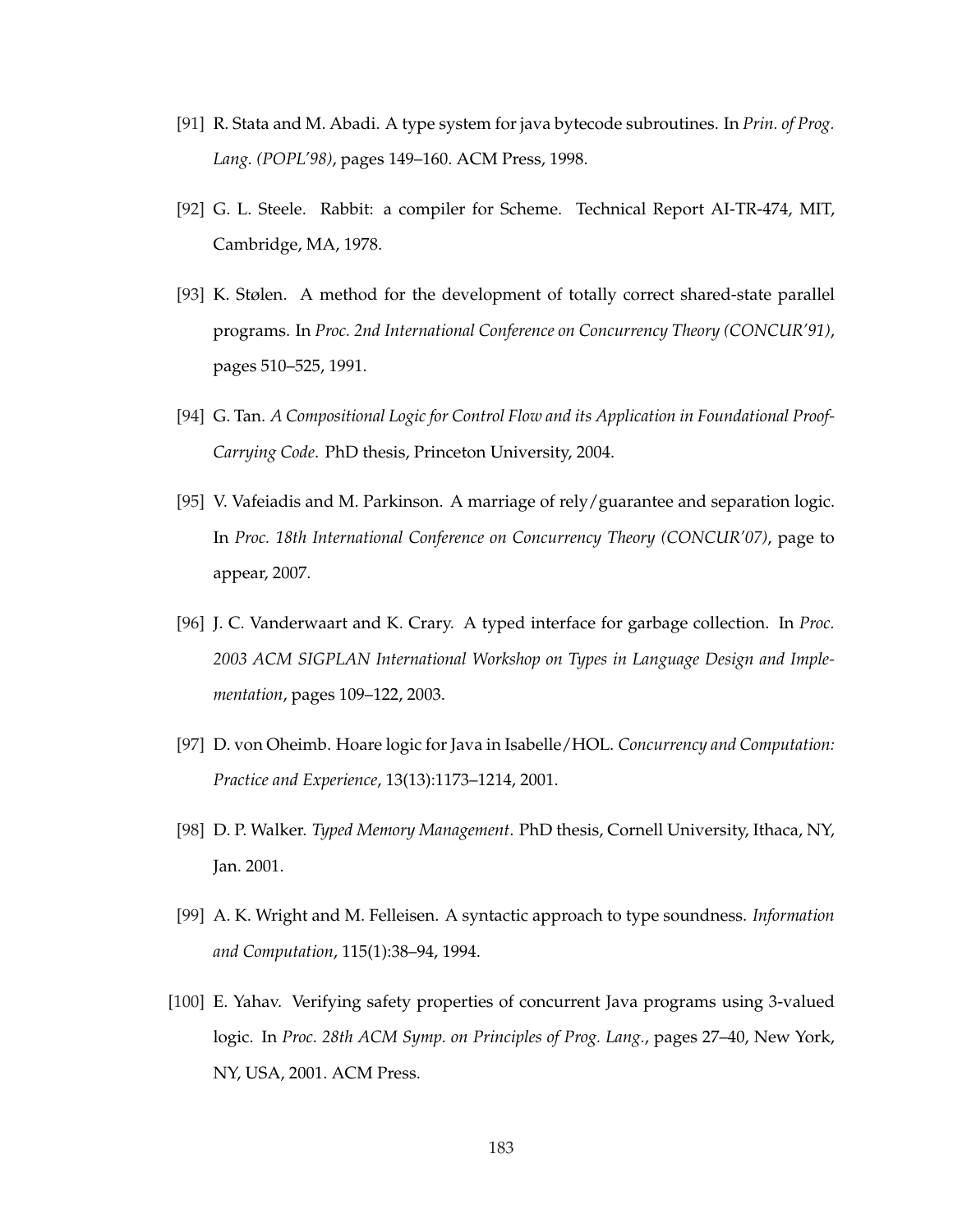- [91] R. Stata and M. Abadi. A type system for java bytecode subroutines. In *Prin. of Prog. Lang. (POPL'98)*, pages 149–160. ACM Press, 1998.
- [92] G. L. Steele. Rabbit: a compiler for Scheme. Technical Report AI-TR-474, MIT, Cambridge, MA, 1978.
- [93] K. Stølen. A method for the development of totally correct shared-state parallel programs. In *Proc. 2nd International Conference on Concurrency Theory (CONCUR'91)*, pages 510–525, 1991.
- [94] G. Tan. *A Compositional Logic for Control Flow and its Application in Foundational Proof-Carrying Code*. PhD thesis, Princeton University, 2004.
- [95] V. Vafeiadis and M. Parkinson. A marriage of rely/guarantee and separation logic. In *Proc. 18th International Conference on Concurrency Theory (CONCUR'07)*, page to appear, 2007.
- [96] J. C. Vanderwaart and K. Crary. A typed interface for garbage collection. In *Proc. 2003 ACM SIGPLAN International Workshop on Types in Language Design and Implementation*, pages 109–122, 2003.
- [97] D. von Oheimb. Hoare logic for Java in Isabelle/HOL. *Concurrency and Computation: Practice and Experience*, 13(13):1173–1214, 2001.
- [98] D. P. Walker. *Typed Memory Management*. PhD thesis, Cornell University, Ithaca, NY, Jan. 2001.
- [99] A. K. Wright and M. Felleisen. A syntactic approach to type soundness. *Information and Computation*, 115(1):38–94, 1994.
- [100] E. Yahav. Verifying safety properties of concurrent Java programs using 3-valued logic. In *Proc. 28th ACM Symp. on Principles of Prog. Lang.*, pages 27–40, New York, NY, USA, 2001. ACM Press.